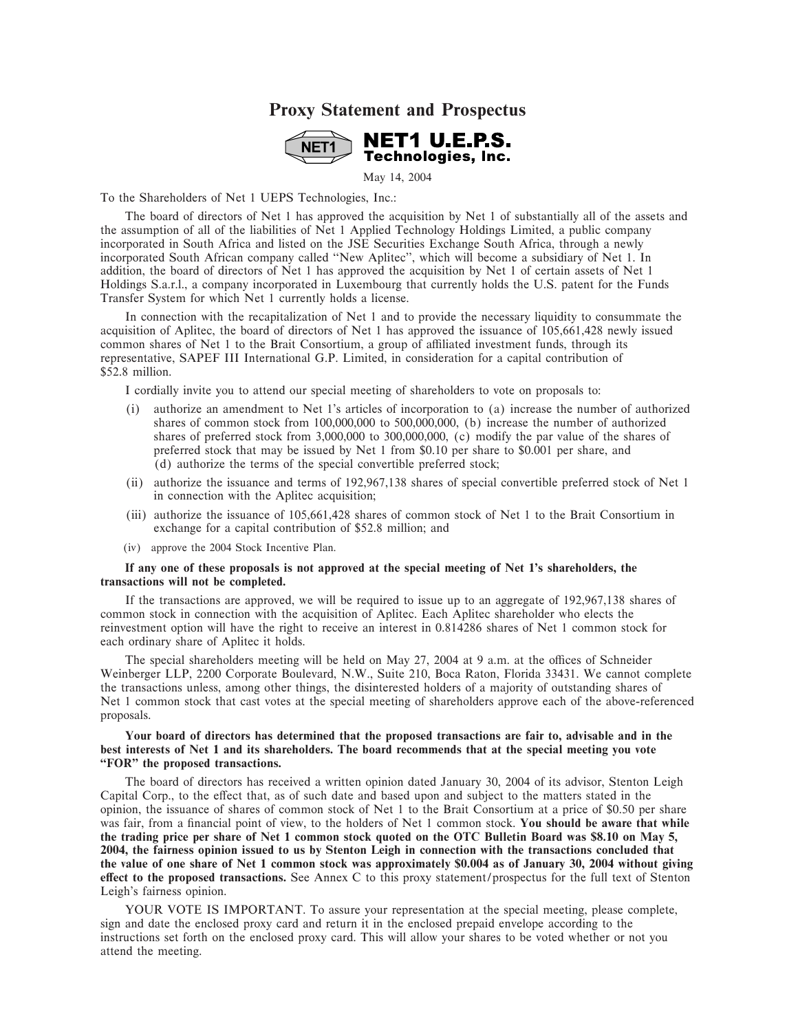## **Proxy Statement and Prospectus**



May 14, 2004

To the Shareholders of Net 1 UEPS Technologies, Inc.:

The board of directors of Net 1 has approved the acquisition by Net 1 of substantially all of the assets and the assumption of all of the liabilities of Net 1 Applied Technology Holdings Limited, a public company incorporated in South Africa and listed on the JSE Securities Exchange South Africa, through a newly incorporated South African company called "New Aplitec", which will become a subsidiary of Net 1. In addition, the board of directors of Net 1 has approved the acquisition by Net 1 of certain assets of Net 1 Holdings S.a.r.l., a company incorporated in Luxembourg that currently holds the U.S. patent for the Funds Transfer System for which Net 1 currently holds a license.

In connection with the recapitalization of Net 1 and to provide the necessary liquidity to consummate the acquisition of Aplitec, the board of directors of Net 1 has approved the issuance of 105,661,428 newly issued common shares of Net 1 to the Brait Consortium, a group of affiliated investment funds, through its representative, SAPEF III International G.P. Limited, in consideration for a capital contribution of \$52.8 million.

I cordially invite you to attend our special meeting of shareholders to vote on proposals to:

- (i) authorize an amendment to Net 1's articles of incorporation to (a) increase the number of authorized shares of common stock from 100,000,000 to 500,000,000, (b) increase the number of authorized shares of preferred stock from 3,000,000 to 300,000,000, (c) modify the par value of the shares of preferred stock that may be issued by Net 1 from \$0.10 per share to \$0.001 per share, and (d) authorize the terms of the special convertible preferred stock;
- (ii) authorize the issuance and terms of 192,967,138 shares of special convertible preferred stock of Net 1 in connection with the Aplitec acquisition;
- (iii) authorize the issuance of 105,661,428 shares of common stock of Net 1 to the Brait Consortium in exchange for a capital contribution of \$52.8 million; and
- (iv) approve the 2004 Stock Incentive Plan.

#### **If any one of these proposals is not approved at the special meeting of Net 1's shareholders, the transactions will not be completed.**

If the transactions are approved, we will be required to issue up to an aggregate of 192,967,138 shares of common stock in connection with the acquisition of Aplitec. Each Aplitec shareholder who elects the reinvestment option will have the right to receive an interest in 0.814286 shares of Net 1 common stock for each ordinary share of Aplitec it holds.

The special shareholders meeting will be held on May 27, 2004 at 9 a.m. at the offices of Schneider Weinberger LLP, 2200 Corporate Boulevard, N.W., Suite 210, Boca Raton, Florida 33431. We cannot complete the transactions unless, among other things, the disinterested holders of a majority of outstanding shares of Net 1 common stock that cast votes at the special meeting of shareholders approve each of the above-referenced proposals.

#### **Your board of directors has determined that the proposed transactions are fair to, advisable and in the best interests of Net 1 and its shareholders. The board recommends that at the special meeting you vote ""FOR'' the proposed transactions.**

The board of directors has received a written opinion dated January 30, 2004 of its advisor, Stenton Leigh Capital Corp., to the effect that, as of such date and based upon and subject to the matters stated in the opinion, the issuance of shares of common stock of Net 1 to the Brait Consortium at a price of \$0.50 per share was fair, from a financial point of view, to the holders of Net 1 common stock. You should be aware that while **the trading price per share of Net 1 common stock quoted on the OTC Bulletin Board was \$8.10 on May 5, 2004, the fairness opinion issued to us by Stenton Leigh in connection with the transactions concluded that the value of one share of Net 1 common stock was approximately \$0.004 as of January 30, 2004 without giving effect to the proposed transactions.** See Annex C to this proxy statement/prospectus for the full text of Stenton Leigh's fairness opinion.

YOUR VOTE IS IMPORTANT. To assure your representation at the special meeting, please complete, sign and date the enclosed proxy card and return it in the enclosed prepaid envelope according to the instructions set forth on the enclosed proxy card. This will allow your shares to be voted whether or not you attend the meeting.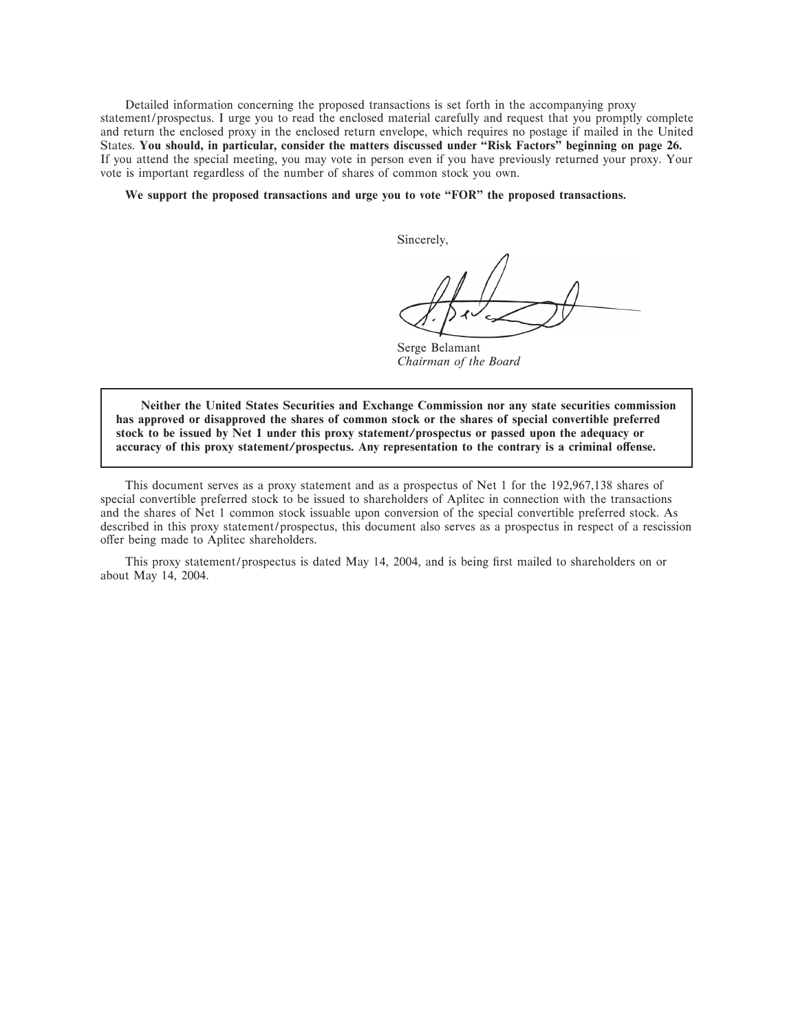Detailed information concerning the proposed transactions is set forth in the accompanying proxy statement/prospectus. I urge you to read the enclosed material carefully and request that you promptly complete and return the enclosed proxy in the enclosed return envelope, which requires no postage if mailed in the United States. **You should, in particular, consider the matters discussed under ""Risk Factors'' beginning on page 26.** If you attend the special meeting, you may vote in person even if you have previously returned your proxy. Your vote is important regardless of the number of shares of common stock you own.

#### We support the proposed transactions and urge you to vote "FOR" the proposed transactions.

Sincerely,

Serge Belamant *Chairman of the Board*

**Neither the United States Securities and Exchange Commission nor any state securities commission has approved or disapproved the shares of common stock or the shares of special convertible preferred stock to be issued by Net 1 under this proxy statement/prospectus or passed upon the adequacy or** accuracy of this proxy statement/prospectus. Any representation to the contrary is a criminal offense.

This document serves as a proxy statement and as a prospectus of Net 1 for the 192,967,138 shares of special convertible preferred stock to be issued to shareholders of Aplitec in connection with the transactions and the shares of Net 1 common stock issuable upon conversion of the special convertible preferred stock. As described in this proxy statement/prospectus, this document also serves as a prospectus in respect of a rescission offer being made to Aplitec shareholders.

This proxy statement/prospectus is dated May 14, 2004, and is being first mailed to shareholders on or about May 14, 2004.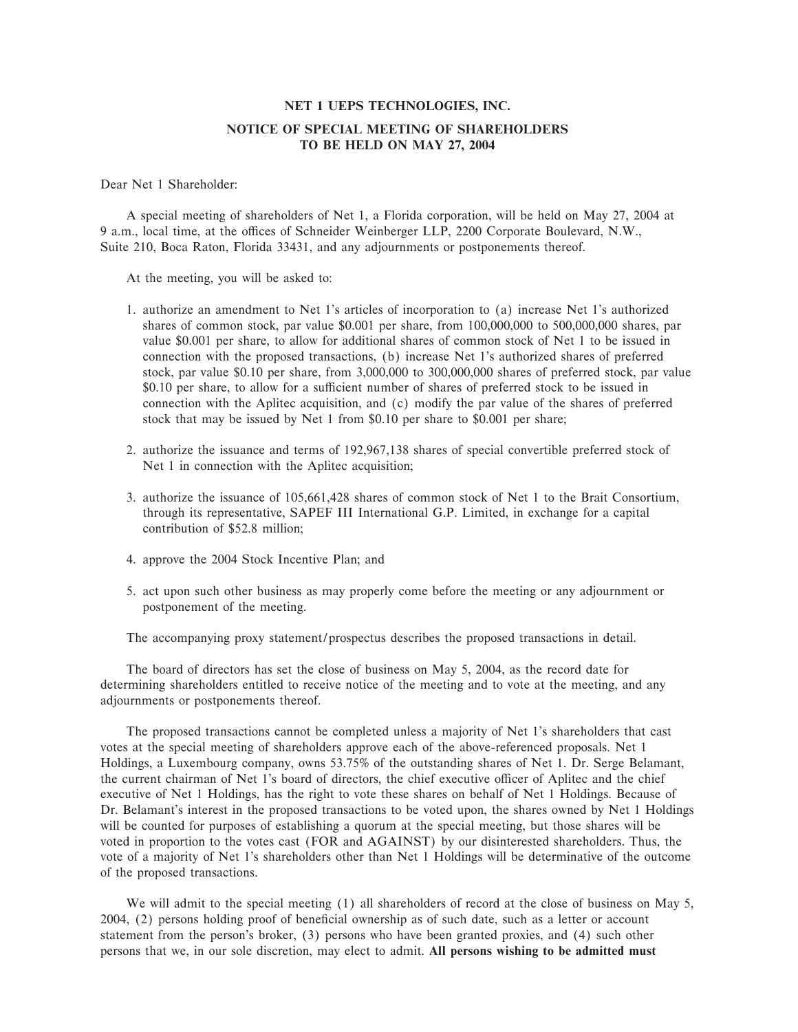## **NET 1 UEPS TECHNOLOGIES, INC. NOTICE OF SPECIAL MEETING OF SHAREHOLDERS TO BE HELD ON MAY 27, 2004**

#### Dear Net 1 Shareholder:

A special meeting of shareholders of Net 1, a Florida corporation, will be held on May 27, 2004 at 9 a.m., local time, at the offices of Schneider Weinberger LLP, 2200 Corporate Boulevard, N.W., Suite 210, Boca Raton, Florida 33431, and any adjournments or postponements thereof.

At the meeting, you will be asked to:

- 1. authorize an amendment to Net 1's articles of incorporation to (a) increase Net 1's authorized shares of common stock, par value \$0.001 per share, from 100,000,000 to 500,000,000 shares, par value \$0.001 per share, to allow for additional shares of common stock of Net 1 to be issued in connection with the proposed transactions, (b) increase Net 1's authorized shares of preferred stock, par value \$0.10 per share, from 3,000,000 to 300,000,000 shares of preferred stock, par value \$0.10 per share, to allow for a sufficient number of shares of preferred stock to be issued in connection with the Aplitec acquisition, and (c) modify the par value of the shares of preferred stock that may be issued by Net 1 from \$0.10 per share to \$0.001 per share;
- 2. authorize the issuance and terms of 192,967,138 shares of special convertible preferred stock of Net 1 in connection with the Aplitec acquisition;
- 3. authorize the issuance of 105,661,428 shares of common stock of Net 1 to the Brait Consortium, through its representative, SAPEF III International G.P. Limited, in exchange for a capital contribution of \$52.8 million;
- 4. approve the 2004 Stock Incentive Plan; and
- 5. act upon such other business as may properly come before the meeting or any adjournment or postponement of the meeting.

The accompanying proxy statement/prospectus describes the proposed transactions in detail.

The board of directors has set the close of business on May 5, 2004, as the record date for determining shareholders entitled to receive notice of the meeting and to vote at the meeting, and any adjournments or postponements thereof.

The proposed transactions cannot be completed unless a majority of Net 1's shareholders that cast votes at the special meeting of shareholders approve each of the above-referenced proposals. Net 1 Holdings, a Luxembourg company, owns 53.75% of the outstanding shares of Net 1. Dr. Serge Belamant, the current chairman of Net 1's board of directors, the chief executive officer of Aplitec and the chief executive of Net 1 Holdings, has the right to vote these shares on behalf of Net 1 Holdings. Because of Dr. Belamant's interest in the proposed transactions to be voted upon, the shares owned by Net 1 Holdings will be counted for purposes of establishing a quorum at the special meeting, but those shares will be voted in proportion to the votes cast (FOR and AGAINST) by our disinterested shareholders. Thus, the vote of a majority of Net 1's shareholders other than Net 1 Holdings will be determinative of the outcome of the proposed transactions.

We will admit to the special meeting (1) all shareholders of record at the close of business on May 5, 2004, (2) persons holding proof of beneficial ownership as of such date, such as a letter or account statement from the person's broker, (3) persons who have been granted proxies, and (4) such other persons that we, in our sole discretion, may elect to admit. **All persons wishing to be admitted must**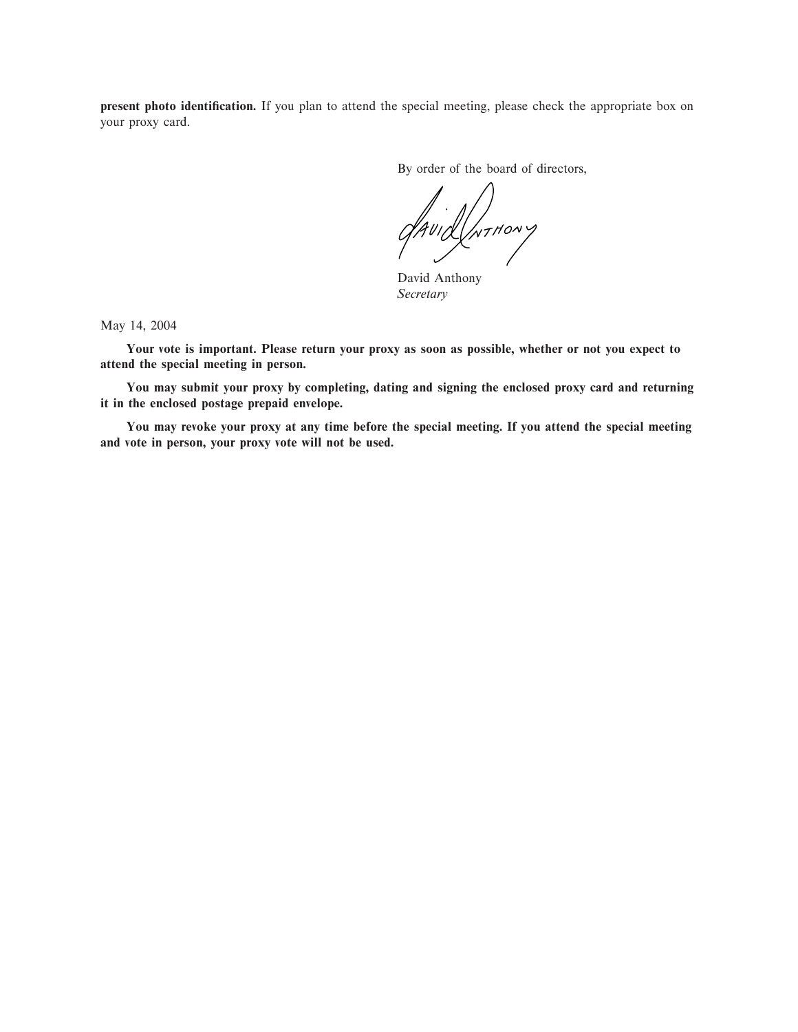**present photo identification.** If you plan to attend the special meeting, please check the appropriate box on your proxy card.

By order of the board of directors,

**INTHONY** 

David Anthony *Secretary*

May 14, 2004

**Your vote is important. Please return your proxy as soon as possible, whether or not you expect to attend the special meeting in person.**

**You may submit your proxy by completing, dating and signing the enclosed proxy card and returning it in the enclosed postage prepaid envelope.**

**You may revoke your proxy at any time before the special meeting. If you attend the special meeting and vote in person, your proxy vote will not be used.**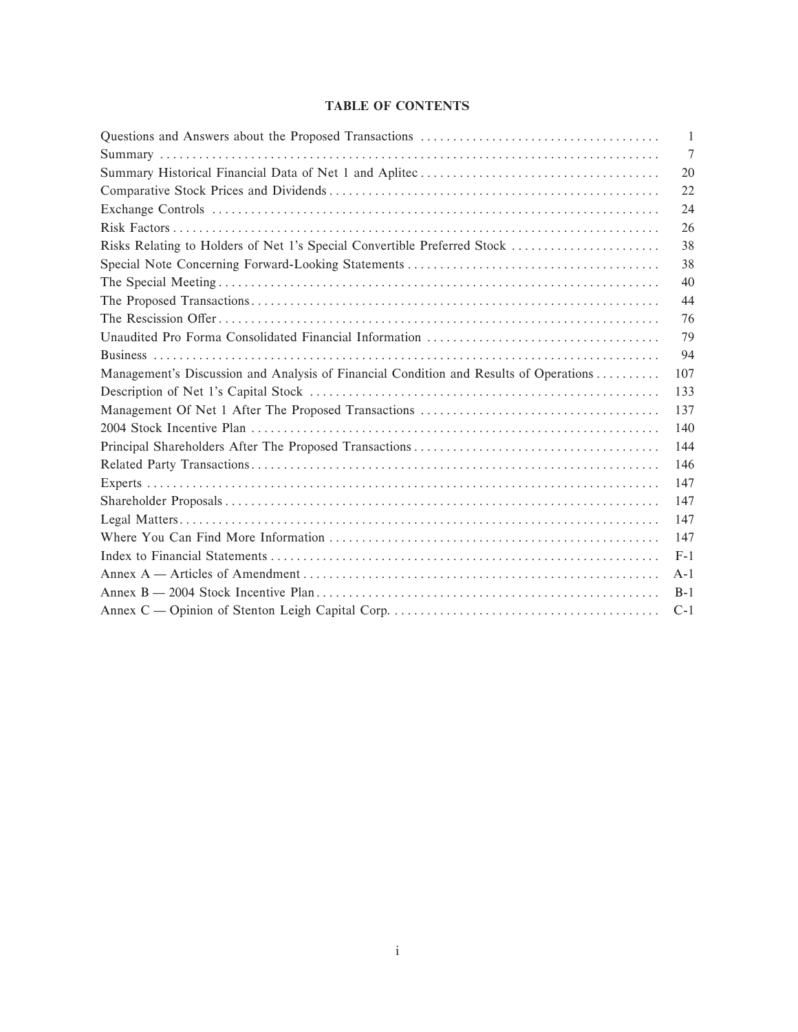## **TABLE OF CONTENTS**

|                                                                                       | $\mathbf{1}$ |
|---------------------------------------------------------------------------------------|--------------|
|                                                                                       | 7            |
|                                                                                       | 20           |
|                                                                                       | 22           |
|                                                                                       | 24           |
|                                                                                       | 26           |
| Risks Relating to Holders of Net 1's Special Convertible Preferred Stock              | 38           |
|                                                                                       | 38           |
|                                                                                       | 40           |
|                                                                                       | 44           |
|                                                                                       | 76           |
|                                                                                       | 79           |
|                                                                                       | 94           |
| Management's Discussion and Analysis of Financial Condition and Results of Operations | 107          |
|                                                                                       | 133          |
|                                                                                       | 137          |
|                                                                                       | 140          |
|                                                                                       | 144          |
|                                                                                       | 146          |
|                                                                                       | 147          |
|                                                                                       | 147          |
|                                                                                       | 147          |
|                                                                                       | 147          |
|                                                                                       | $F-1$        |
|                                                                                       | $A-1$        |
|                                                                                       | $B-1$        |
|                                                                                       | $C-1$        |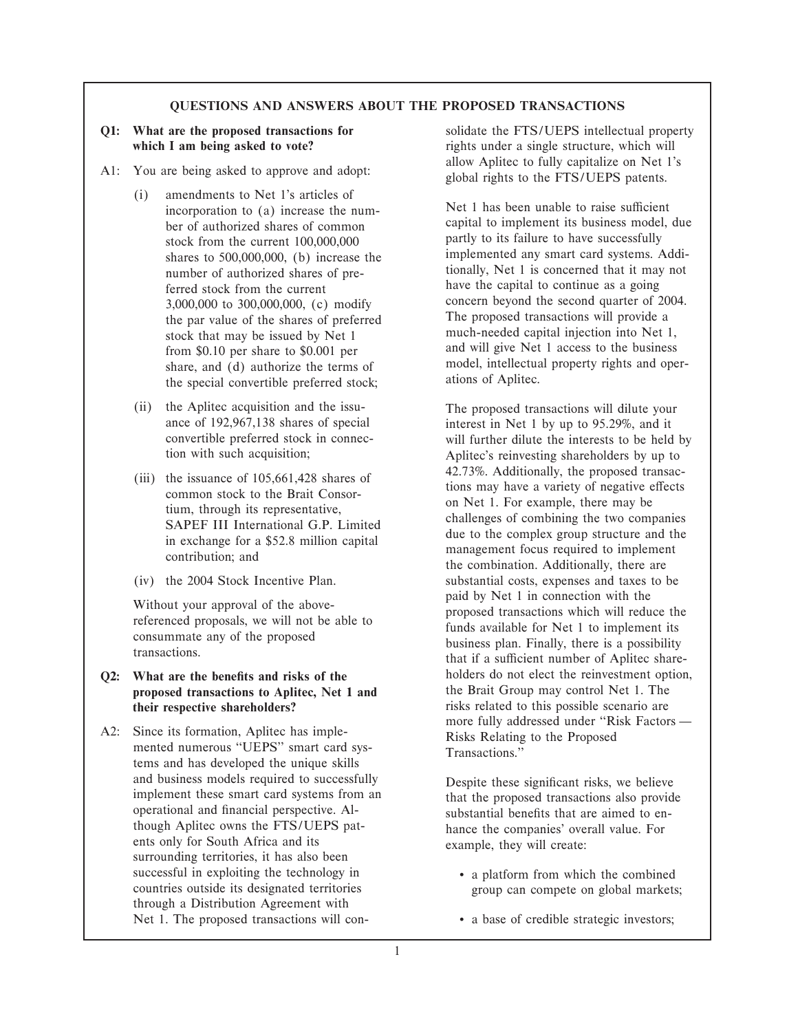#### **QUESTIONS AND ANSWERS ABOUT THE PROPOSED TRANSACTIONS**

- - (i) amendments to Net 1's articles of incorporation to (a) increase the num-<br>Net 1 has been unable to raise sufficient stock from the current 100,000,000 partly to its failure to have successfully number of authorized shares of preferred stock from the current have the capital to continue as a going share, and (d) authorize the terms of  $\qquad$  model, intellectual propertible preferred stock; ations of Aplitec. the special convertible preferred stock;
	- (ii) the Aplitec acquisition and the issu-<br>ance of 192,967,138 shares of special interest in Net 1 by up to 95.29%, and it
	-
	-

- **Q2:** What are the benefits and risks of the holders do not elect the reinvestment option, proposed transactions to Aplitec. Net 1 and the Brait Group may control Net 1. The proposed transactions to Aplitec, Net 1 and
- A2: Since its formation, Aplitec has imple-<br>mented numerous "UEPS" smart card sys-<br>Transactions.'' tems and has developed the unique skills and business models required to successfully<br>implement these smart card systems from an that the proposed transactions also provide<br>operational and financial perspective. Al-<br>substantial benefits that are aimed to enoperational and financial perspective. Al-<br>though Aplitec owns the FTS/UEPS pat-<br>hance the companies' overall value. For ents only for South Africa and its example, they will create: surrounding territories, it has also been successful in exploiting the technology in <br>
e a platform from which the combined<br>
e a platform from which the combined<br>
e a platform from which the combined<br>
e a platform from which the combined<br>
e a platform from which t through a Distribution Agreement with Net 1. The proposed transactions will con-<br>  $\bullet$  a base of credible strategic investors;

**Q1: What are the proposed transactions for** solidate the FTS/UEPS intellectual property **which I am being asked to vote?** rights under a single structure, which will A1: You are being asked to approve and adopt: allow Aplitec to fully capitalize on Net 1's global rights to the FTS/UEPS patents.

> ber of authorized shares of common capital to implement its business model, due shares to 500,000,000, (b) increase the implemented any smart card systems. Addi-<br>number of authorized shares of pre-<br>itionally. Net 1 is concerned that it may not 3,000,000 to 300,000,000, (c) modify<br>the par value of the shares of preferred The proposed transactions will provide a the par value of the shares of preferred<br>the proposed transactions will provide a<br>much-needed capital injection into Net 1,<br>the proposed transactions will provide a<br> $\frac{1}{2}$ stock that may be issued by Net 1 much-needed capital injection into Net 1,<br>from \$0.10 per share to \$0.001 per from \$0.10 per share to \$0.001 per share and (d) authorize the terms of model, intellectual property rights and oper-

ance of 192,967,138 shares of special interest in Net 1 by up to 95.29%, and it convertible preferred stock in connec-<br>will further dilute the interests to be held convertible preferred stock in connec-<br>
will further dilute the interests to be held by<br>  $\frac{1}{2}$  Aplitec's reinvesting shareholders by up to Aplitec's reinvesting shareholders by up to (iii) the issuance of 105,661,428 shares of the Brait Consor-<br>
tium, through its representative,<br>
SAPEF III International G.P. Limited<br>
in exchange for a \$52.8 million capital<br>
contribution; and<br>
contribution; and<br>
combina (iv) the 2004 Stock Incentive Plan. substantial costs, expenses and taxes to be Without your approval of the above-<br>
referenced proposals, we will not be able to<br>
consummate any of the proposed<br>
rensactions which will reduce the<br>
transactions.<br>
transactions.<br>
transactions.<br>
that if a sufficient number **their respective shareholders?** risks related to this possible scenario are more fully addressed under "Risk Factors —

hance the companies' overall value. For

- group can compete on global markets;
-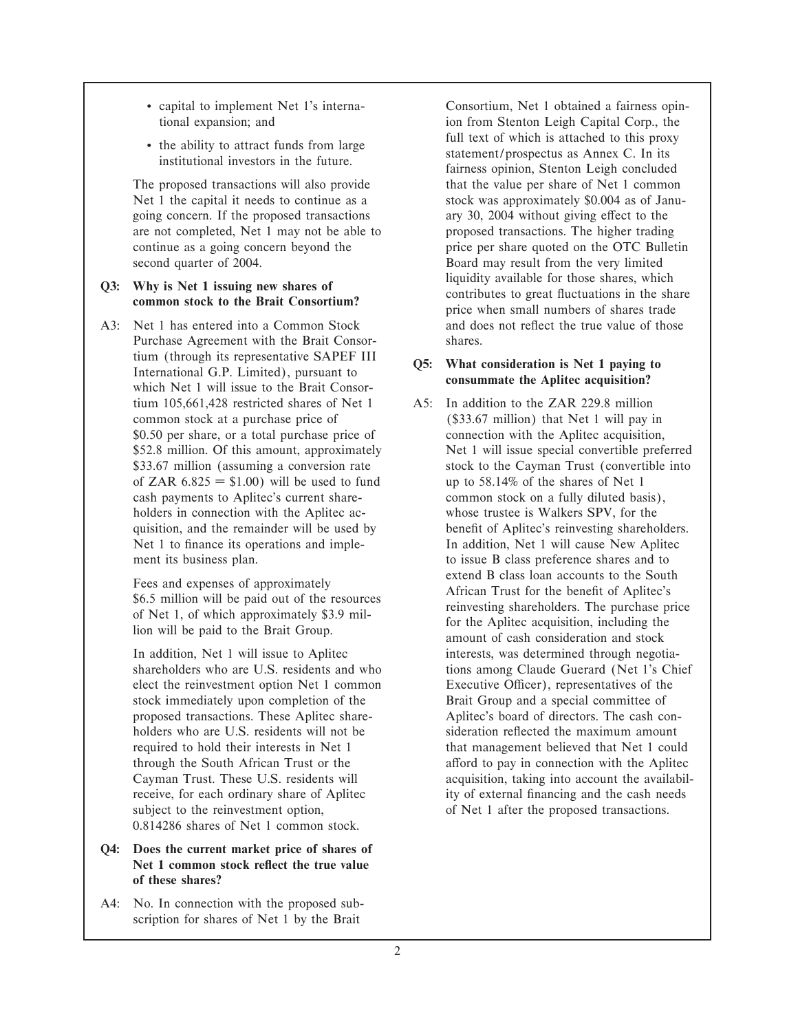- 
- 

The proposed transactions will also provide that the value per share of Net 1 common Net 1 the capital it needs to continue as a stock was approximately \$0.004 as of Janugoing concern. If the proposed transactions ary 30, 2004 without giving effect to the are not completed, Net 1 may not be able to proposed transactions. The higher trading continue as a going concern beyond the price per share quoted on the OTC Bulletin second quarter of 2004. **Board may result from the very limited** 

A3: Net 1 has entered into a Common Stock and does not reflect the true value of those Purchase Agreement with the Brait Consor- shares. tium (through its representative SAPEF III <br>International G.P. Limited), pursuant to **consummate the Aplitec acquisition?**<br>which Net 1 will issue to the Brait Consortium 105,661,428 restricted shares of Net 1 A5: In addition to the ZAR 229.8 million common stock at a purchase price of (\$33.67 million) that Net 1 will pay in \$0.50 per share, or a total purchase price of connection with the Aplitec acquisition, of ZAR  $6.825 = $1.00$ ) will be used to fund up to 58.14% of the shares of Net 1 cash payments to Aplitec's current share- common stock on a fully diluted basis), holders in connection with the Aplitec ac-<br>whose trustee is Walkers SPV, for the ment its business plan. The interval of the issue B class preference shares and to

stock immediately upon completion of the Brait Group and a special committee of subject to the reinvestment option, of Net 1 after the proposed transactions. 0.814286 shares of Net 1 common stock.

- **Q4: Does the current market price of shares of** Net 1 common stock reflect the true value **of these shares?**
- A4: No. In connection with the proposed subscription for shares of Net 1 by the Brait

' capital to implement Net 1's interna- Consortium, Net 1 obtained a fairness opintional expansion; and ion from Stenton Leigh Capital Corp., the • the ability to attract funds from large full text of which is attached to this proxy statement/prospectus as Annex C. In its fairness opinion, Stenton Leigh concluded **Q3: Why is Net 1 issuing new shares of** common stock to the Brait Consortium?<br> **Q3:** Contributes to great fluctuations in the share price when small numbers of shares trade

\$52.8 million. Of this amount, approximately Net 1 will issue special convertible preferred \$33.67 million (assuming a conversion rate stock to the Cayman Trust (convertible into quisition, and the remainder will be used by benefit of Aplitec's reinvesting shareholders. Net 1 to finance its operations and imple-<br>In addition, Net 1 will cause New Aplitec Fees and expenses of approximately<br>
\$6.5 million will be paid out of the resources<br>
of Net 1, of which approximately \$3.9 mil-<br>
lion will be paid to the Brait Group.<br>  $\begin{array}{c|c}\n\text{if } 1, 1, 2, 3, 4, 5, 6, 6, 7, 8, 1, 1, 1,$ In addition, Net 1 will issue to Aplitec interests, was determined through negotiashareholders who are U.S. residents and who tions among Claude Guerard (Net 1's Chief elect the reinvestment option Net 1 common Executive Officer), representatives of the proposed transactions. These Aplitec share- Aplitec's board of directors. The cash conholders who are U.S. residents will not be sideration reflected the maximum amount required to hold their interests in Net 1 that management believed that Net 1 could through the South African Trust or the afford to pay in connection with the Aplitec Cayman Trust. These U.S. residents will acquisition, taking into account the availabilreceive, for each ordinary share of Aplitec ity of external financing and the cash needs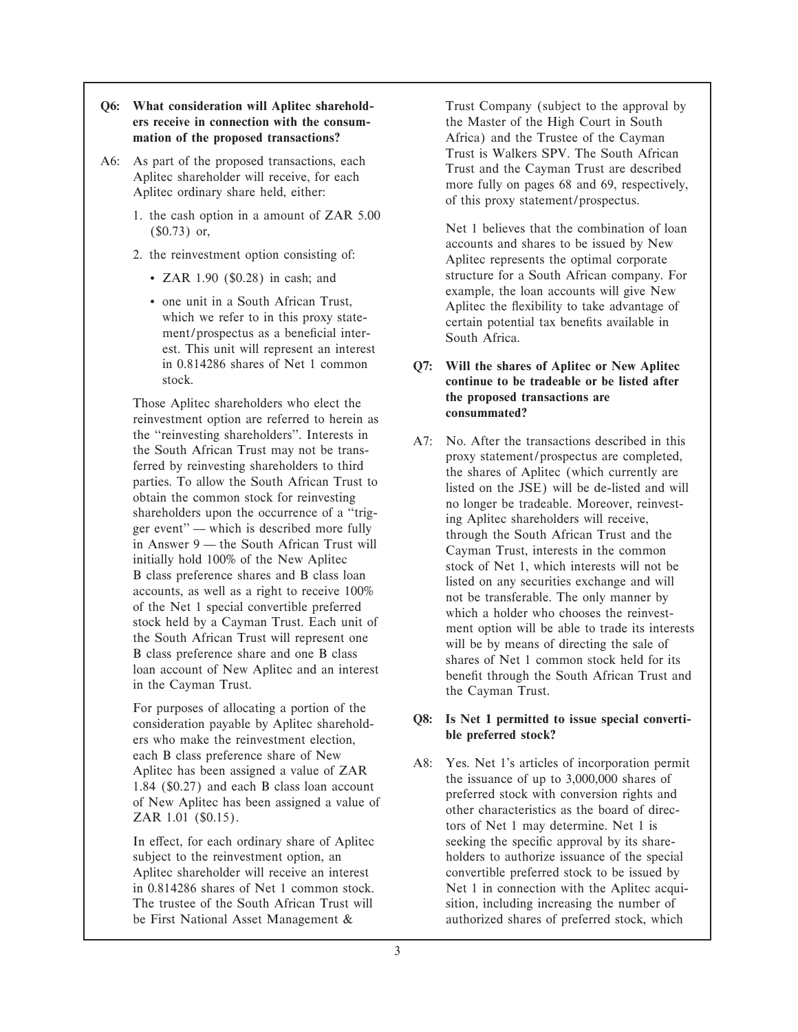- **Q6: What consideration will Aplitec sharehold-** Trust Company (subject to the approval by **ers receive in connection with the consum-** the Master of the High Court in South **mation of the proposed transactions?** Africa) and the Trustee of the Cayman
- - 1. the cash option in a amount of ZAR 5.00
	- -
		- est. This unit will represent an interest

Those Aplitec shareholders who elect the **consummated consummated? consummated? consummated consummated consummated consummated consummated consummated consummated consummated consummated consummate** 

For purposes of allocating a portion of the<br>
consideration payable by Aplitec sharehold-<br> **allocates ble preferred stock?**<br> **ble preferred stock?** 

A6: As part of the proposed transactions, each<br>Aplitec shareholder will receive, for each<br>Aplitec ordinary share held, either:<br>Aplitec ordinary share held, either:<br>of this proxy statement/prospectus.

( $$0.73)$  or,<br>Net 1 believes that the combination of loan accounts and shares to be issued by New 2. the reinvestment option consisting of: Aplitec represents the optimal corporate • ZAR 1.90 (\$0.28) in cash; and structure for a South African company. For example, the loan accounts will give New • one unit in a South African Trust,<br>which we refer to in this proxy state-<br>ment/prospectus as a beneficial inter-<br>South Africa.<br>South Africa.

# in 0.814286 shares of Net 1 common **Q7: Will the shares of Aplitec or New Aplitec** continue to be tradeable or be listed after

the "reinvesting shareholders". Interests in A7: No. After the transactions described in this<br>
South African Trust amay not be transactions are completed,<br>
ferred by reinvesting shareholders to third<br>
shareholders to third

each B class preference share of New<br>Aplitec has been assigned a value of ZAR<br>1.84 (\$0.27) and each B class loan account<br>of New Aplitec has been assigned a value of<br>ZAR 1.01 (\$0.15).<br>The issuance of up to 3,000,000 shares In effect, for each ordinary share of Aplitec seeking the specific approval by its sharesubject to the reinvestment option, an holders to authorize issuance of the special Aplitec shareholder will receive an interest convertible preferred stock to be issued by in 0.814286 shares of Net 1 common stock. Net 1 in connection with the Aplitec acqui-The trustee of the South African Trust will sition, including increasing the number of be First National Asset Management  $\&$  authorized shares of preferred stock, which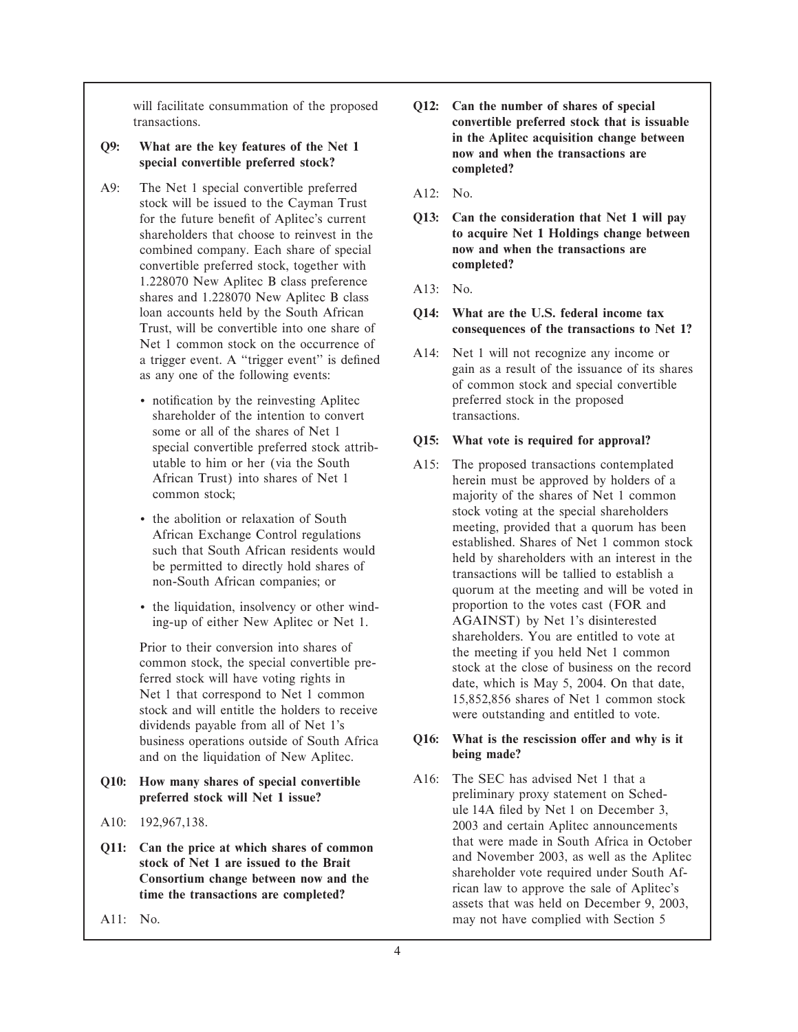will facilitate consummation of the proposed **Q12:** Can the number of shares of special

# **special convertible preferred stock? completed?**

- A9: The Net 1 special convertible preferred  $A12:$  No. stock will be issued to the Cayman Trust combined company. Each share of special **now and when the transactions are** convertible preferred stock, together with **completed?** 1.228070 New Aplitec B class preference <br>
shares and 1.228070 New Aplitec B class <br>
A13: No. Trust, will be convertible into one share of **consequences of the transactions to Net 1?**
	- notification by the reinvesting Aplitec preferred stock in the proposed shareholder of the intention to convert transactions. some or all of the shares of Net 1 **Q15:** What vote is required for approval?<br>special convertible preferred stock attributable to him or her (via the South A15: The proposed transactions contemplated
	-
	- ing-up of either New Aplitec or Net 1.

Ferred stock will have voting rights in date, which is May 5, 2004. On that date,<br>
Net 1 that correspond to Net 1 common<br>
stock and will entitle the holders to receive were outstanding and entitled to vote.<br>
dividends paya and on the liquidation of New Aplitec.

- **Q10: How many shares of special convertible** A16: The SEC has advised Net 1 that a
- 
- 
- 
- transactions. **convertible preferred stock that is issuable in the Aplitec acquisition change between Q9: What are the key features of the Net 1 now and when the transactions are**
	-
	- for the future benefit of Aplitec's current **Q13:** Can the consideration that Net 1 will pay shareholders that choose to reinvest in the **to acquire Net 1 Holdings change between**
		-
	- loan accounts held by the South African **Q14:** What are the U.S. federal income tax Trust, will be convertible into one share of **COLES** consequences of the transactions to Ne
	- a trigger event. A "trigger event" is defined<br>as any one of the following events:<br>as any one of the following events:<br>as a result of the issuance of its shares<br>of common stock and special convertible

African Trust) into shares of Net 1 herein must be approved by holders of a common stock;<br>maiority of the shares of Net 1 common majority of the shares of Net 1 common • the abolition or relaxation of South<br>
African Exchange Control regulations<br>
such that South African residents would<br>
be permitted to directly hold shares of<br>
non-South African companies; or<br>  $\frac{1}{2}$  of  $\frac{1}{2}$  common • the liquidation, insolvency or other wind-<br>
ing-up of either New Aplitec or Net 1. AGAINST) by Net 1's disinterested shareholders. You are entitled to vote at Prior to their conversion into shares of<br>
common stock, the special convertible pre-<br>
ferred stock will have voting rights in<br>
date which is May 5, 2004. On that date

## business operations outside of South Africa **Q16:** What is the rescission offer and why is it and on the liquidation of New Aplitec **being made**?

**preferred stock will Net 1 issue?** preliminary proxy statement on Schedule 14A Ñled by Net 1 on December 3, A10: 192,967,138. 2003 and certain Aplitec announcements **Q11:** Can the price at which shares of common<br>stock of Net 1 are issued to the Brait<br>Consortium change between now and the<br>time the transactions are completed?<br>time the transactions are completed?<br>assets that was held on A11: No. **may not have complied with Section 5** may not have complied with Section 5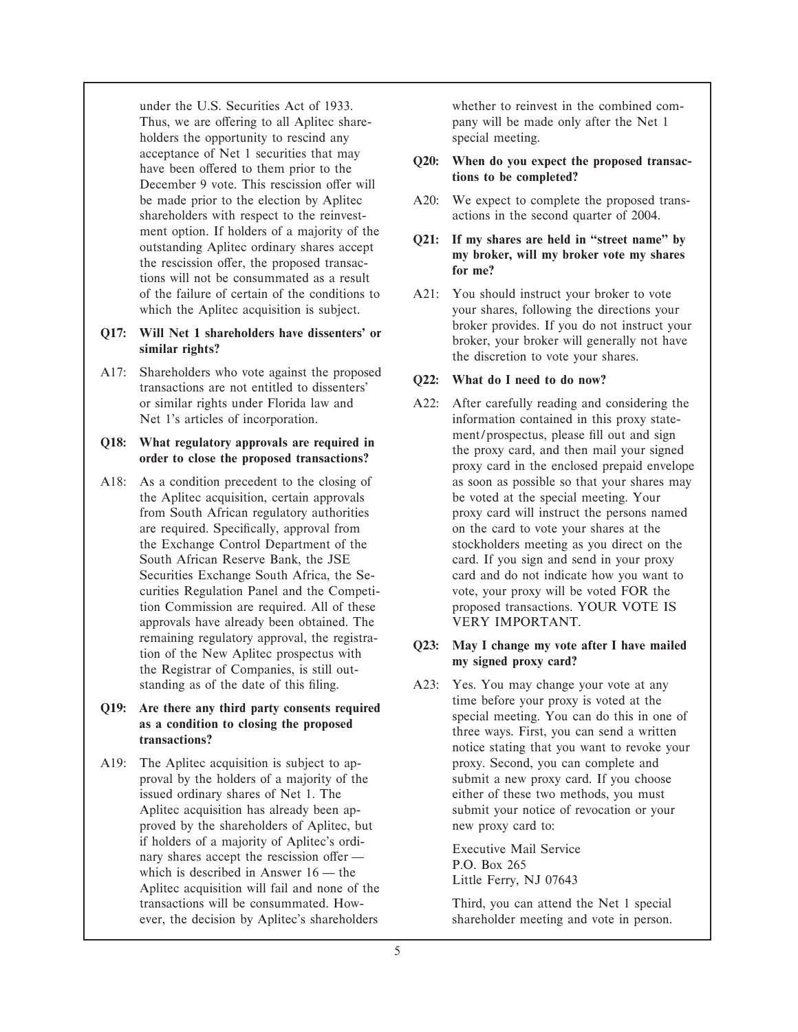under the U.S. Securities Act of 1933. whether to reinvest in the combined com-Thus, we are offering to all Aplitec share- pany will be made only after the Net 1 holders the opportunity to rescind any special meeting. acceptance of Net 1 securities that may **Q20:** When do you expect the proposed transachave been offered to them prior to the **the completed**?<br>
December 9 vote. This rescission offer will ment option. If holders of a majority of the<br>outstanding Aplitec ordinary shares accept<br>the rescission offer, the proposed transactions will not be consummated as a result<br>for me?

A17: Shareholders who vote against the proposed transactions are not entitled to dissenters' Q22: What do I need to do now?

A18: As a condition precedent to the closing of as soon as possible so that your shares may approvals have already been obtained. The VERY IMPORTANT. remaining regulatory approval, the registra-<br>tion of the New Aplitec prospectus with<br>the Registrar of Companies, is still out-<br>**a my signed proxy card?** 

A19: The Aplitec acquisition is subject to ap- proxy. Second, you can complete and proved by the shareholders of Aplitec, but new proxy card to: if holders of a majority of Aplitec's ordi-<br>
nary shares accept the rescission offer —<br>
which is described in Answer 16 — the<br>
Aplitec acquisition will fail and none of the<br>
Little Ferry, NJ 07643 transactions will be consummated. How- Third, you can attend the Net 1 special ever, the decision by Aplitec's shareholders shareholder meeting and vote in person.

- be made prior to the election by Aplitec A20: We expect to complete the proposed transshareholders with respect to the reinvest-<br>actions in the second quarter of 2004.
	-
- of the failure of certain of the conditions to A21: You should instruct your broker to vote which the Aplitec acquisition is subject. your shares, following the directions your **Q17:** Will Net 1 shareholders have dissenters' or broker provides. If you do not instruct your similar rights?<br> **Similar rights?** the discretion to vote your shares.

or similar rights under Florida law and A22: After carefully reading and considering the Net 1's articles of incorporation. information contained in this proxy state-**Q18:** What regulatory approvals are required in ment/prospectus, please fill out and sign order to close the proposed transactions?<br>
order to close the proposed transactions?<br>
proxy card in the enclosed prepaid envelope the Aplitec acquisition, certain approvals be voted at the special meeting. Your from South African regulatory authorities proxy card will instruct the persons named are required. Specifically, approval from on the card to vote your shares at the the Exchange Control Department of the stockholders meeting as you direct on the South African Reserve Bank, the JSE card. If you sign and send in your proxy Securities Exchange South Africa, the Se- card and do not indicate how you want to curities Regulation Panel and the Competi- vote, your proxy will be voted FOR the tion Commission are required. All of these proposed transactions. YOUR VOTE IS

standing as of the date of this filing. A23: Yes. You may change your vote at any **Q19:** Are there any third party consents required<br>as a condition to closing the proposed<br>transactions?<br>transactions?<br>transactions?<br>transactions?<br>transactions? proval by the holders of a majority of the submit a new proxy card. If you choose issued ordinary shares of Net 1. The either of these two methods, you must Aplitec acquisition has already been ap- submit your notice of revocation or your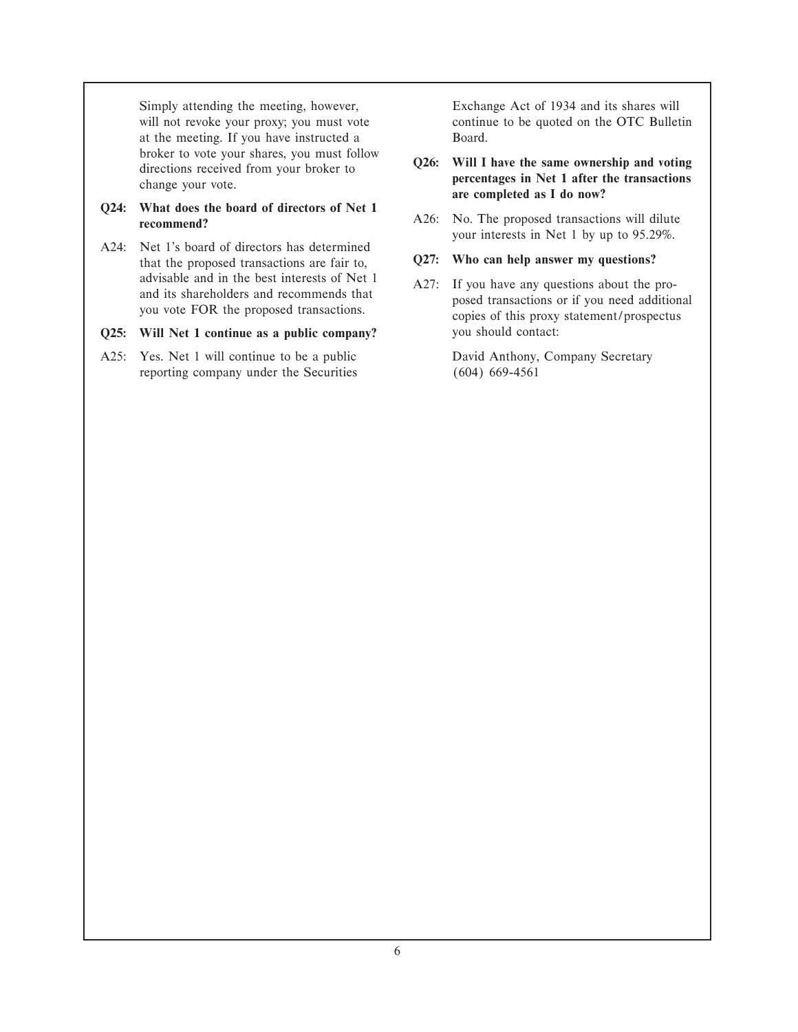Simply attending the meeting, however, Exchange Act of 1934 and its shares will will not revoke your proxy; you must vote continue to be quoted on the OTC Bulletin at the meeting. If you have instructed a Board.

A24: Net 1's board of directors has determined that the proposed transactions are fair to, **Q27:** Who can help answer my questions?

## **Q25:** Will Net 1 continue as a public company? you should contact:

A25: Yes. Net 1 will continue to be a public David Anthony, Company Secretary reporting company under the Securities (604) 669-4561

# broker to vote your shares, you must follow<br>directions received from your broker to<br>change your vote.<br>Q24: What does the board of directors of Net 1

**CALCE THE BOARD OF DIRECTORS OF ALL CALCES** OF A A26: No. The proposed transactions will dilute **recommend**? your interests in Net 1 by up to 95.29%.

advisable and in the best interests of Net 1<br>and its shareholders and recommends that<br>you vote FOR the proposed transactions.<br>you vote FOR the proposed transactions.<br>going of this proxy statement/prospectus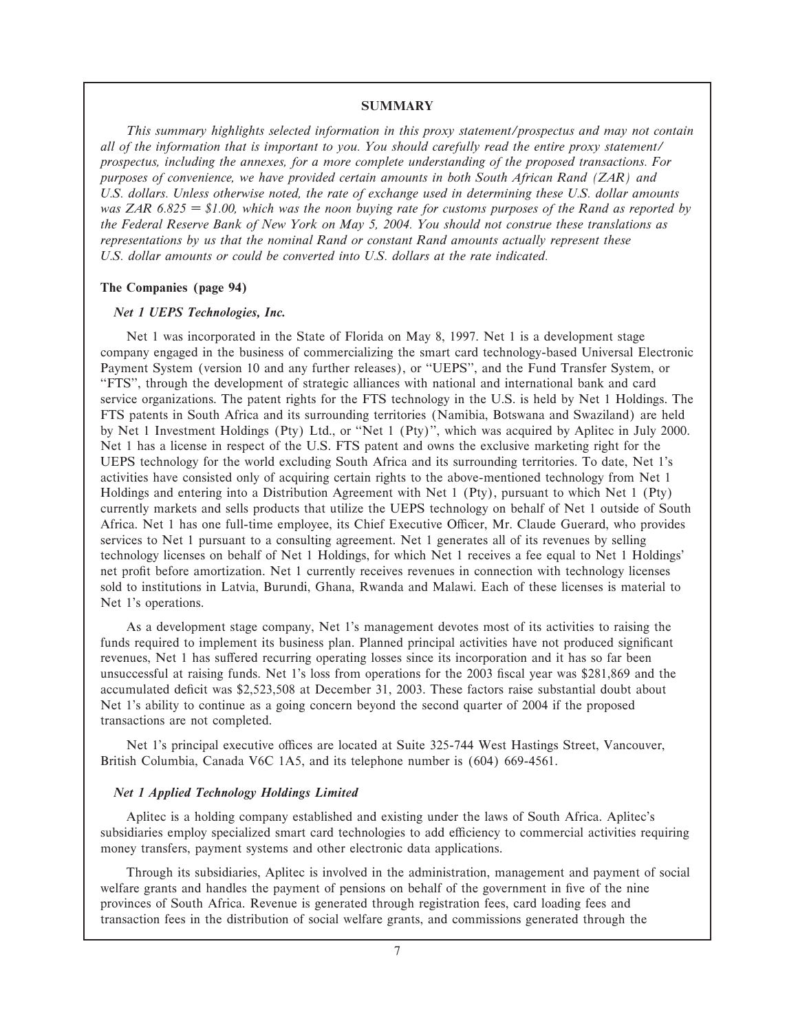#### **SUMMARY**

*This summary highlights selected information in this proxy statement/prospectus and may not contain all of the information that is important to you. You should carefully read the entire proxy statement/ prospectus, including the annexes, for a more complete understanding of the proposed transactions. For purposes of convenience, we have provided certain amounts in both South African Rand (ZAR) and U.S. dollars. Unless otherwise noted, the rate of exchange used in determining these U.S. dollar amounts was ZAR 6.825 • \$1.00, which was the noon buying rate for customs purposes of the Rand as reported by the Federal Reserve Bank of New York on May 5, 2004. You should not construe these translations as representations by us that the nominal Rand or constant Rand amounts actually represent these U.S. dollar amounts or could be converted into U.S. dollars at the rate indicated.*

#### **The Companies (page 94)**

#### *Net 1 UEPS Technologies, Inc.*

Net 1 was incorporated in the State of Florida on May 8, 1997. Net 1 is a development stage company engaged in the business of commercializing the smart card technology-based Universal Electronic Payment System (version 10 and any further releases), or ""UEPS'', and the Fund Transfer System, or ""FTS'', through the development of strategic alliances with national and international bank and card service organizations. The patent rights for the FTS technology in the U.S. is held by Net 1 Holdings. The FTS patents in South Africa and its surrounding territories (Namibia, Botswana and Swaziland) are held by Net 1 Investment Holdings (Pty) Ltd., or ""Net 1 (Pty)'', which was acquired by Aplitec in July 2000. Net 1 has a license in respect of the U.S. FTS patent and owns the exclusive marketing right for the UEPS technology for the world excluding South Africa and its surrounding territories. To date, Net 1's activities have consisted only of acquiring certain rights to the above-mentioned technology from Net 1 Holdings and entering into a Distribution Agreement with Net 1 (Pty), pursuant to which Net 1 (Pty) currently markets and sells products that utilize the UEPS technology on behalf of Net 1 outside of South Africa. Net 1 has one full-time employee, its Chief Executive Officer, Mr. Claude Guerard, who provides services to Net 1 pursuant to a consulting agreement. Net 1 generates all of its revenues by selling technology licenses on behalf of Net 1 Holdings, for which Net 1 receives a fee equal to Net 1 Holdings' net profit before amortization. Net 1 currently receives revenues in connection with technology licenses sold to institutions in Latvia, Burundi, Ghana, Rwanda and Malawi. Each of these licenses is material to Net 1's operations.

As a development stage company, Net 1's management devotes most of its activities to raising the funds required to implement its business plan. Planned principal activities have not produced significant revenues, Net 1 has suffered recurring operating losses since its incorporation and it has so far been unsuccessful at raising funds. Net 1's loss from operations for the 2003 fiscal year was \$281,869 and the accumulated deficit was \$2,523,508 at December 31, 2003. These factors raise substantial doubt about Net 1's ability to continue as a going concern beyond the second quarter of 2004 if the proposed transactions are not completed.

Net 1's principal executive offices are located at Suite 325-744 West Hastings Street, Vancouver, British Columbia, Canada V6C 1A5, and its telephone number is (604) 669-4561.

#### *Net 1 Applied Technology Holdings Limited*

Aplitec is a holding company established and existing under the laws of South Africa. Aplitec's subsidiaries employ specialized smart card technologies to add efficiency to commercial activities requiring money transfers, payment systems and other electronic data applications.

Through its subsidiaries, Aplitec is involved in the administration, management and payment of social welfare grants and handles the payment of pensions on behalf of the government in five of the nine provinces of South Africa. Revenue is generated through registration fees, card loading fees and transaction fees in the distribution of social welfare grants, and commissions generated through the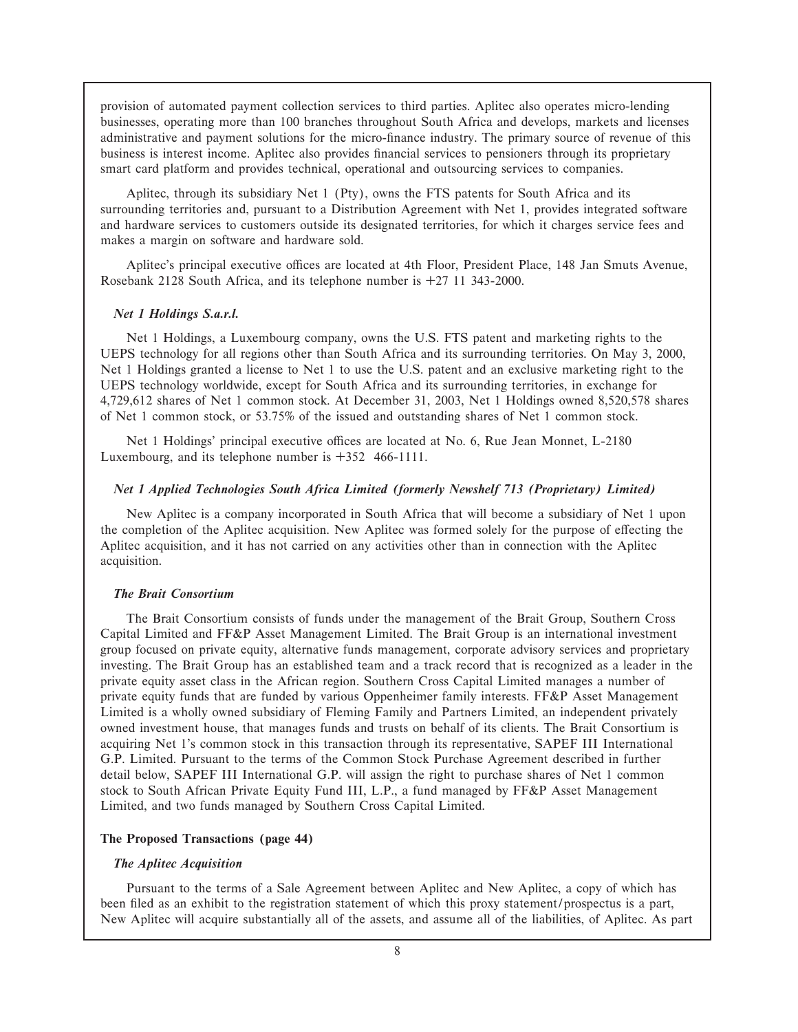provision of automated payment collection services to third parties. Aplitec also operates micro-lending businesses, operating more than 100 branches throughout South Africa and develops, markets and licenses administrative and payment solutions for the micro-finance industry. The primary source of revenue of this business is interest income. Aplitec also provides financial services to pensioners through its proprietary smart card platform and provides technical, operational and outsourcing services to companies.

Aplitec, through its subsidiary Net 1 (Pty), owns the FTS patents for South Africa and its surrounding territories and, pursuant to a Distribution Agreement with Net 1, provides integrated software and hardware services to customers outside its designated territories, for which it charges service fees and makes a margin on software and hardware sold.

Aplitec's principal executive offices are located at 4th Floor, President Place, 148 Jan Smuts Avenue, Rosebank 2128 South Africa, and its telephone number is  $+27$  11 343-2000.

#### *Net 1 Holdings S.a.r.l.*

Net 1 Holdings, a Luxembourg company, owns the U.S. FTS patent and marketing rights to the UEPS technology for all regions other than South Africa and its surrounding territories. On May 3, 2000, Net 1 Holdings granted a license to Net 1 to use the U.S. patent and an exclusive marketing right to the UEPS technology worldwide, except for South Africa and its surrounding territories, in exchange for 4,729,612 shares of Net 1 common stock. At December 31, 2003, Net 1 Holdings owned 8,520,578 shares of Net 1 common stock, or 53.75% of the issued and outstanding shares of Net 1 common stock.

Net 1 Holdings' principal executive offices are located at No. 6, Rue Jean Monnet, L-2180 Luxembourg, and its telephone number is  $+352$  466-1111.

## *Net 1 Applied Technologies South Africa Limited (formerly Newshelf 713 (Proprietary) Limited)*

New Aplitec is a company incorporated in South Africa that will become a subsidiary of Net 1 upon the completion of the Aplitec acquisition. New Aplitec was formed solely for the purpose of effecting the Aplitec acquisition, and it has not carried on any activities other than in connection with the Aplitec acquisition.

#### *The Brait Consortium*

The Brait Consortium consists of funds under the management of the Brait Group, Southern Cross Capital Limited and FF&P Asset Management Limited. The Brait Group is an international investment group focused on private equity, alternative funds management, corporate advisory services and proprietary investing. The Brait Group has an established team and a track record that is recognized as a leader in the private equity asset class in the African region. Southern Cross Capital Limited manages a number of private equity funds that are funded by various Oppenheimer family interests. FF&P Asset Management Limited is a wholly owned subsidiary of Fleming Family and Partners Limited, an independent privately owned investment house, that manages funds and trusts on behalf of its clients. The Brait Consortium is acquiring Net 1's common stock in this transaction through its representative, SAPEF III International G.P. Limited. Pursuant to the terms of the Common Stock Purchase Agreement described in further detail below, SAPEF III International G.P. will assign the right to purchase shares of Net 1 common stock to South African Private Equity Fund III, L.P., a fund managed by FF&P Asset Management Limited, and two funds managed by Southern Cross Capital Limited.

#### **The Proposed Transactions (page 44)**

#### *The Aplitec Acquisition*

Pursuant to the terms of a Sale Agreement between Aplitec and New Aplitec, a copy of which has been filed as an exhibit to the registration statement of which this proxy statement/prospectus is a part, New Aplitec will acquire substantially all of the assets, and assume all of the liabilities, of Aplitec. As part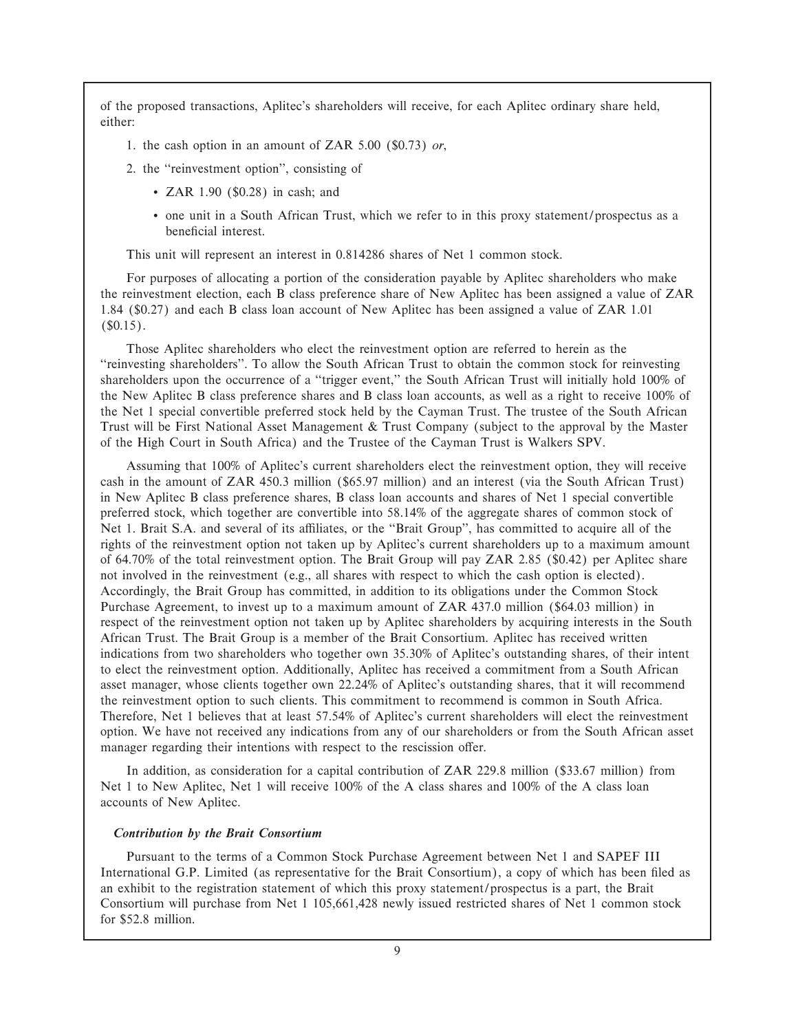of the proposed transactions, Aplitec's shareholders will receive, for each Aplitec ordinary share held, either:

- 1. the cash option in an amount of ZAR 5.00 (\$0.73) *or*,
- 2. the "reinvestment option", consisting of
	- ZAR 1.90 (\$0.28) in cash; and
	- ' one unit in a South African Trust, which we refer to in this proxy statement/prospectus as a beneficial interest.

This unit will represent an interest in 0.814286 shares of Net 1 common stock.

For purposes of allocating a portion of the consideration payable by Aplitec shareholders who make the reinvestment election, each B class preference share of New Aplitec has been assigned a value of ZAR 1.84 (\$0.27) and each B class loan account of New Aplitec has been assigned a value of ZAR 1.01  $(S0.15)$ .

Those Aplitec shareholders who elect the reinvestment option are referred to herein as the "reinvesting shareholders". To allow the South African Trust to obtain the common stock for reinvesting shareholders upon the occurrence of a "trigger event," the South African Trust will initially hold 100% of the New Aplitec B class preference shares and B class loan accounts, as well as a right to receive 100% of the Net 1 special convertible preferred stock held by the Cayman Trust. The trustee of the South African Trust will be First National Asset Management & Trust Company (subject to the approval by the Master of the High Court in South Africa) and the Trustee of the Cayman Trust is Walkers SPV.

Assuming that 100% of Aplitec's current shareholders elect the reinvestment option, they will receive cash in the amount of ZAR 450.3 million (\$65.97 million) and an interest (via the South African Trust) in New Aplitec B class preference shares, B class loan accounts and shares of Net 1 special convertible preferred stock, which together are convertible into 58.14% of the aggregate shares of common stock of Net 1. Brait S.A. and several of its affiliates, or the "Brait Group", has committed to acquire all of the rights of the reinvestment option not taken up by Aplitec's current shareholders up to a maximum amount of 64.70% of the total reinvestment option. The Brait Group will pay ZAR 2.85 (\$0.42) per Aplitec share not involved in the reinvestment (e.g., all shares with respect to which the cash option is elected). Accordingly, the Brait Group has committed, in addition to its obligations under the Common Stock Purchase Agreement, to invest up to a maximum amount of ZAR 437.0 million (\$64.03 million) in respect of the reinvestment option not taken up by Aplitec shareholders by acquiring interests in the South African Trust. The Brait Group is a member of the Brait Consortium. Aplitec has received written indications from two shareholders who together own 35.30% of Aplitec's outstanding shares, of their intent to elect the reinvestment option. Additionally, Aplitec has received a commitment from a South African asset manager, whose clients together own 22.24% of Aplitec's outstanding shares, that it will recommend the reinvestment option to such clients. This commitment to recommend is common in South Africa. Therefore, Net 1 believes that at least 57.54% of Aplitec's current shareholders will elect the reinvestment option. We have not received any indications from any of our shareholders or from the South African asset manager regarding their intentions with respect to the rescission offer.

In addition, as consideration for a capital contribution of ZAR 229.8 million (\$33.67 million) from Net 1 to New Aplitec, Net 1 will receive 100% of the A class shares and 100% of the A class loan accounts of New Aplitec.

#### *Contribution by the Brait Consortium*

Pursuant to the terms of a Common Stock Purchase Agreement between Net 1 and SAPEF III International G.P. Limited (as representative for the Brait Consortium), a copy of which has been filed as an exhibit to the registration statement of which this proxy statement/prospectus is a part, the Brait Consortium will purchase from Net 1 105,661,428 newly issued restricted shares of Net 1 common stock for \$52.8 million.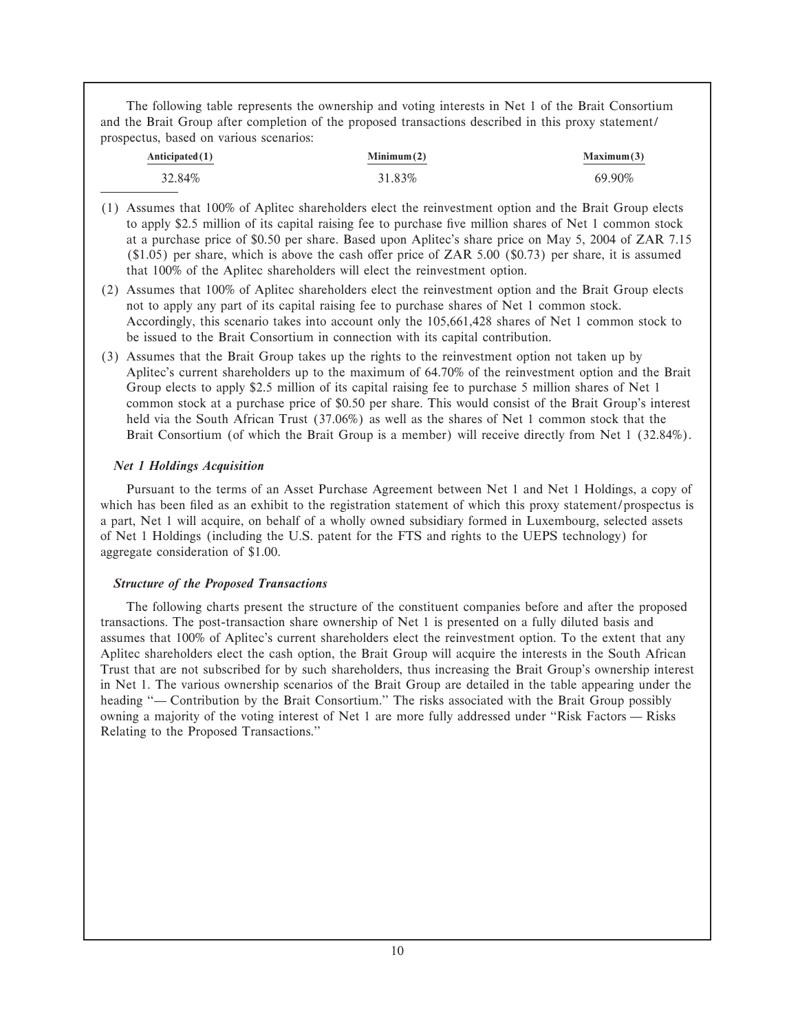The following table represents the ownership and voting interests in Net 1 of the Brait Consortium and the Brait Group after completion of the proposed transactions described in this proxy statement/ prospectus, based on various scenarios:

| Anticipated(1) | Minimum(2) | Maximum(3) |
|----------------|------------|------------|
| 32.84%         | 31.83%     | 69.90%     |

- (1) Assumes that 100% of Aplitec shareholders elect the reinvestment option and the Brait Group elects to apply \$2.5 million of its capital raising fee to purchase five million shares of Net 1 common stock at a purchase price of \$0.50 per share. Based upon Aplitec's share price on May 5, 2004 of ZAR 7.15  $(1.05)$  per share, which is above the cash offer price of ZAR 5.00 (\$0.73) per share, it is assumed that 100% of the Aplitec shareholders will elect the reinvestment option.
- (2) Assumes that 100% of Aplitec shareholders elect the reinvestment option and the Brait Group elects not to apply any part of its capital raising fee to purchase shares of Net 1 common stock. Accordingly, this scenario takes into account only the 105,661,428 shares of Net 1 common stock to be issued to the Brait Consortium in connection with its capital contribution.
- (3) Assumes that the Brait Group takes up the rights to the reinvestment option not taken up by Aplitec's current shareholders up to the maximum of 64.70% of the reinvestment option and the Brait Group elects to apply \$2.5 million of its capital raising fee to purchase 5 million shares of Net 1 common stock at a purchase price of \$0.50 per share. This would consist of the Brait Group's interest held via the South African Trust (37.06%) as well as the shares of Net 1 common stock that the Brait Consortium (of which the Brait Group is a member) will receive directly from Net 1 (32.84%).

## *Net 1 Holdings Acquisition*

Pursuant to the terms of an Asset Purchase Agreement between Net 1 and Net 1 Holdings, a copy of which has been filed as an exhibit to the registration statement of which this proxy statement/prospectus is a part, Net 1 will acquire, on behalf of a wholly owned subsidiary formed in Luxembourg, selected assets of Net 1 Holdings (including the U.S. patent for the FTS and rights to the UEPS technology) for aggregate consideration of \$1.00.

## *Structure of the Proposed Transactions*

The following charts present the structure of the constituent companies before and after the proposed transactions. The post-transaction share ownership of Net 1 is presented on a fully diluted basis and assumes that 100% of Aplitec's current shareholders elect the reinvestment option. To the extent that any Aplitec shareholders elect the cash option, the Brait Group will acquire the interests in the South African Trust that are not subscribed for by such shareholders, thus increasing the Brait Group's ownership interest in Net 1. The various ownership scenarios of the Brait Group are detailed in the table appearing under the heading "— Contribution by the Brait Consortium." The risks associated with the Brait Group possibly owning a majority of the voting interest of Net 1 are more fully addressed under "Risk Factors — Risks" Relating to the Proposed Transactions.''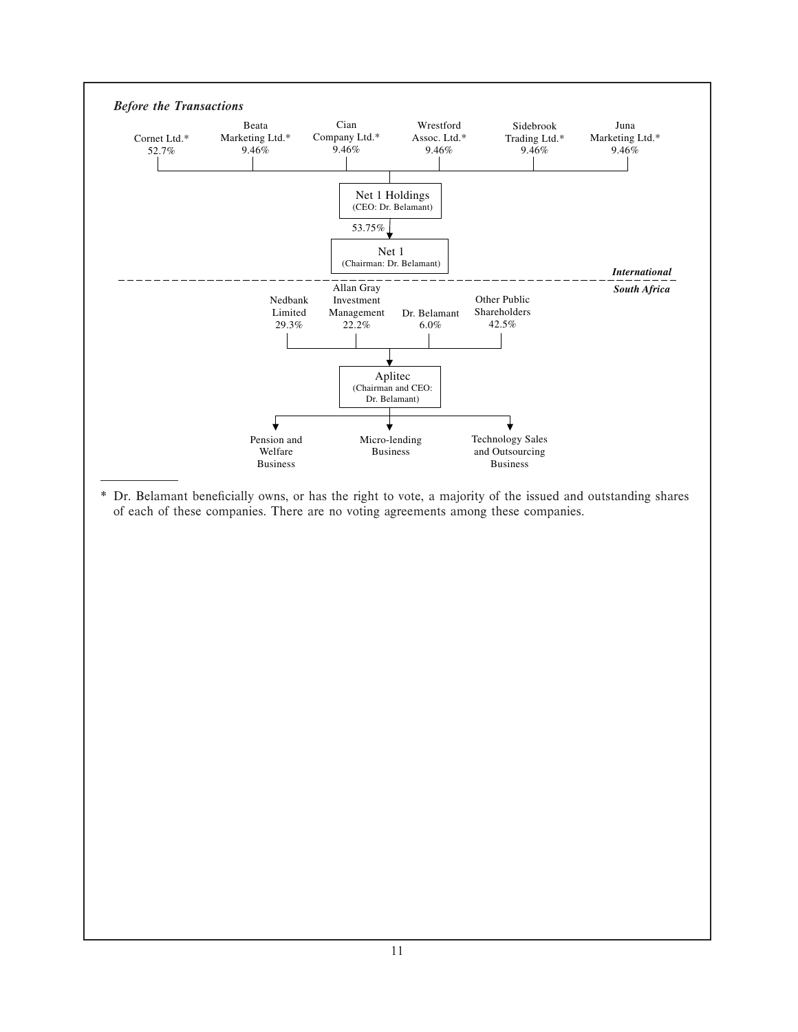

11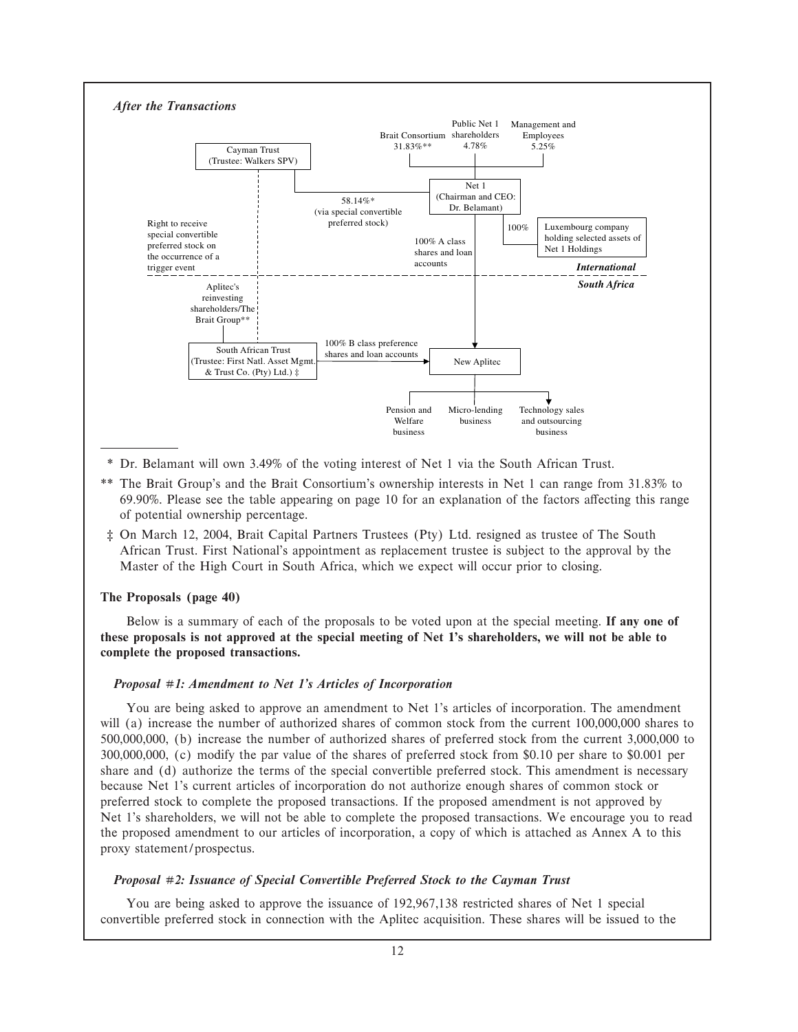

- \* Dr. Belamant will own 3.49% of the voting interest of Net 1 via the South African Trust.
- \*\* The Brait Group's and the Brait Consortium's ownership interests in Net 1 can range from 31.83% to 69.90%. Please see the table appearing on page 10 for an explanation of the factors affecting this range of potential ownership percentage.
- ƒ On March 12, 2004, Brait Capital Partners Trustees (Pty) Ltd. resigned as trustee of The South African Trust. First National's appointment as replacement trustee is subject to the approval by the Master of the High Court in South Africa, which we expect will occur prior to closing.

#### **The Proposals (page 40)**

Below is a summary of each of the proposals to be voted upon at the special meeting. **If any one of these proposals is not approved at the special meeting of Net 1's shareholders, we will not be able to complete the proposed transactions.**

#### *Proposal #1: Amendment to Net 1's Articles of Incorporation*

You are being asked to approve an amendment to Net 1's articles of incorporation. The amendment will (a) increase the number of authorized shares of common stock from the current 100,000,000 shares to 500,000,000, (b) increase the number of authorized shares of preferred stock from the current 3,000,000 to 300,000,000, (c) modify the par value of the shares of preferred stock from \$0.10 per share to \$0.001 per share and (d) authorize the terms of the special convertible preferred stock. This amendment is necessary because Net 1's current articles of incorporation do not authorize enough shares of common stock or preferred stock to complete the proposed transactions. If the proposed amendment is not approved by Net 1's shareholders, we will not be able to complete the proposed transactions. We encourage you to read the proposed amendment to our articles of incorporation, a copy of which is attached as Annex A to this proxy statement/prospectus.

#### *Proposal #2: Issuance of Special Convertible Preferred Stock to the Cayman Trust*

You are being asked to approve the issuance of 192,967,138 restricted shares of Net 1 special convertible preferred stock in connection with the Aplitec acquisition. These shares will be issued to the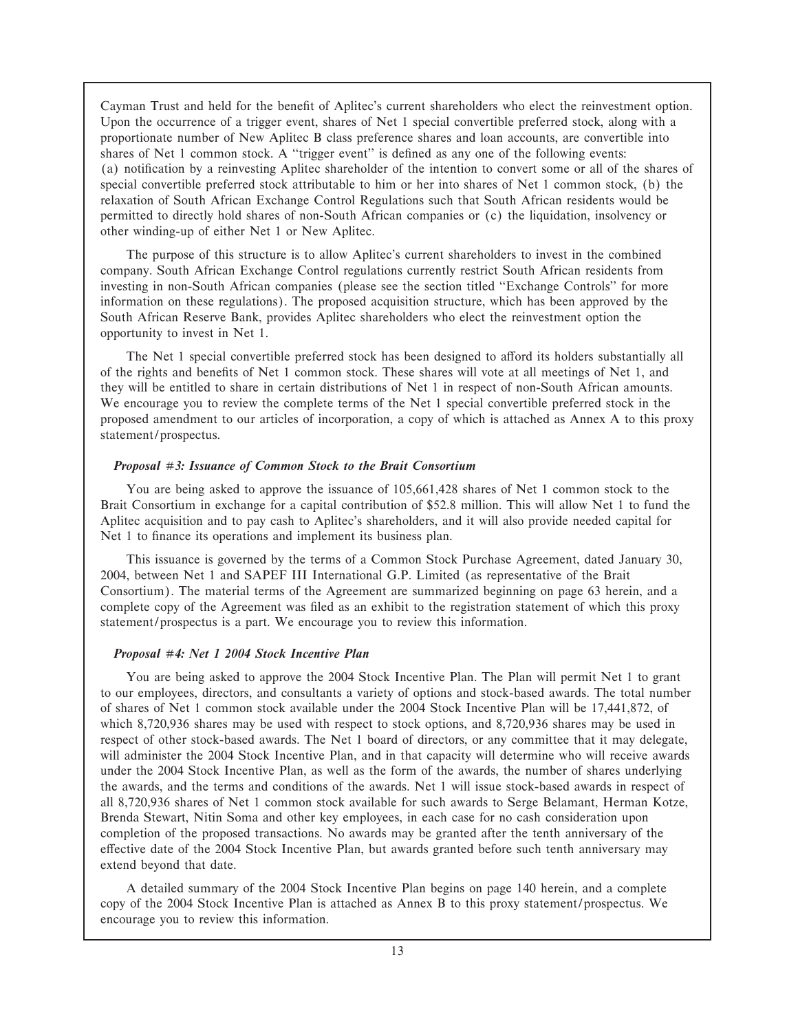Cayman Trust and held for the benefit of Aplitec's current shareholders who elect the reinvestment option. Upon the occurrence of a trigger event, shares of Net 1 special convertible preferred stock, along with a proportionate number of New Aplitec B class preference shares and loan accounts, are convertible into shares of Net 1 common stock. A "trigger event" is defined as any one of the following events: (a) notification by a reinvesting Aplitec shareholder of the intention to convert some or all of the shares of special convertible preferred stock attributable to him or her into shares of Net 1 common stock, (b) the relaxation of South African Exchange Control Regulations such that South African residents would be permitted to directly hold shares of non-South African companies or (c) the liquidation, insolvency or other winding-up of either Net 1 or New Aplitec.

The purpose of this structure is to allow Aplitec's current shareholders to invest in the combined company. South African Exchange Control regulations currently restrict South African residents from investing in non-South African companies (please see the section titled "Exchange Controls" for more information on these regulations). The proposed acquisition structure, which has been approved by the South African Reserve Bank, provides Aplitec shareholders who elect the reinvestment option the opportunity to invest in Net 1.

The Net 1 special convertible preferred stock has been designed to afford its holders substantially all of the rights and benefits of Net 1 common stock. These shares will vote at all meetings of Net 1, and they will be entitled to share in certain distributions of Net 1 in respect of non-South African amounts. We encourage you to review the complete terms of the Net 1 special convertible preferred stock in the proposed amendment to our articles of incorporation, a copy of which is attached as Annex A to this proxy statement/prospectus.

#### *Proposal #3: Issuance of Common Stock to the Brait Consortium*

You are being asked to approve the issuance of 105,661,428 shares of Net 1 common stock to the Brait Consortium in exchange for a capital contribution of \$52.8 million. This will allow Net 1 to fund the Aplitec acquisition and to pay cash to Aplitec's shareholders, and it will also provide needed capital for Net 1 to finance its operations and implement its business plan.

This issuance is governed by the terms of a Common Stock Purchase Agreement, dated January 30, 2004, between Net 1 and SAPEF III International G.P. Limited (as representative of the Brait Consortium). The material terms of the Agreement are summarized beginning on page 63 herein, and a complete copy of the Agreement was filed as an exhibit to the registration statement of which this proxy statement/prospectus is a part. We encourage you to review this information.

#### *Proposal #4: Net 1 2004 Stock Incentive Plan*

You are being asked to approve the 2004 Stock Incentive Plan. The Plan will permit Net 1 to grant to our employees, directors, and consultants a variety of options and stock-based awards. The total number of shares of Net 1 common stock available under the 2004 Stock Incentive Plan will be 17,441,872, of which 8,720,936 shares may be used with respect to stock options, and 8,720,936 shares may be used in respect of other stock-based awards. The Net 1 board of directors, or any committee that it may delegate, will administer the 2004 Stock Incentive Plan, and in that capacity will determine who will receive awards under the 2004 Stock Incentive Plan, as well as the form of the awards, the number of shares underlying the awards, and the terms and conditions of the awards. Net 1 will issue stock-based awards in respect of all 8,720,936 shares of Net 1 common stock available for such awards to Serge Belamant, Herman Kotze, Brenda Stewart, Nitin Soma and other key employees, in each case for no cash consideration upon completion of the proposed transactions. No awards may be granted after the tenth anniversary of the effective date of the 2004 Stock Incentive Plan, but awards granted before such tenth anniversary may extend beyond that date.

A detailed summary of the 2004 Stock Incentive Plan begins on page 140 herein, and a complete copy of the 2004 Stock Incentive Plan is attached as Annex B to this proxy statement/prospectus. We encourage you to review this information.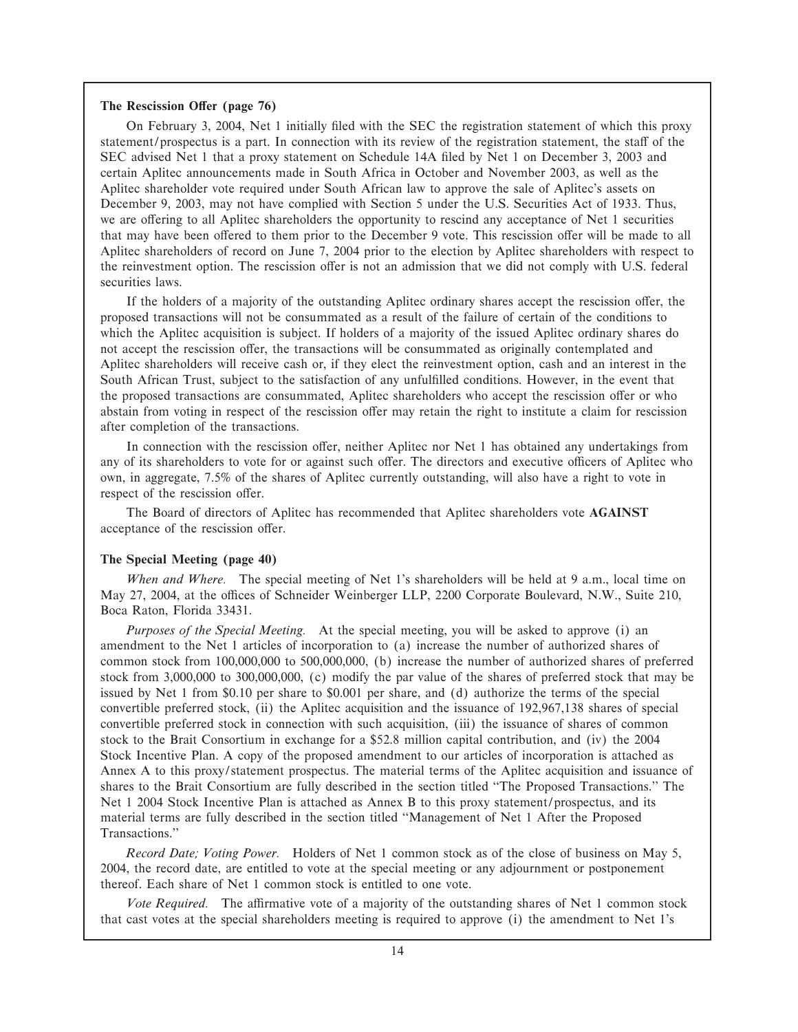#### The Rescission Offer (page 76)

On February 3, 2004, Net 1 initially filed with the SEC the registration statement of which this proxy statement/prospectus is a part. In connection with its review of the registration statement, the staff of the SEC advised Net 1 that a proxy statement on Schedule 14A Ñled by Net 1 on December 3, 2003 and certain Aplitec announcements made in South Africa in October and November 2003, as well as the Aplitec shareholder vote required under South African law to approve the sale of Aplitec's assets on December 9, 2003, may not have complied with Section 5 under the U.S. Securities Act of 1933. Thus, we are offering to all Aplitec shareholders the opportunity to rescind any acceptance of Net 1 securities that may have been offered to them prior to the December 9 vote. This rescission offer will be made to all Aplitec shareholders of record on June 7, 2004 prior to the election by Aplitec shareholders with respect to the reinvestment option. The rescission offer is not an admission that we did not comply with U.S. federal securities laws.

If the holders of a majority of the outstanding Aplitec ordinary shares accept the rescission offer, the proposed transactions will not be consummated as a result of the failure of certain of the conditions to which the Aplitec acquisition is subject. If holders of a majority of the issued Aplitec ordinary shares do not accept the rescission offer, the transactions will be consummated as originally contemplated and Aplitec shareholders will receive cash or, if they elect the reinvestment option, cash and an interest in the South African Trust, subject to the satisfaction of any unfulfilled conditions. However, in the event that the proposed transactions are consummated, Aplitec shareholders who accept the rescission offer or who abstain from voting in respect of the rescission offer may retain the right to institute a claim for rescission after completion of the transactions.

In connection with the rescission offer, neither Aplitec nor Net 1 has obtained any undertakings from any of its shareholders to vote for or against such offer. The directors and executive officers of Aplitec who own, in aggregate, 7.5% of the shares of Aplitec currently outstanding, will also have a right to vote in respect of the rescission offer.

The Board of directors of Aplitec has recommended that Aplitec shareholders vote **AGAINST** acceptance of the rescission offer.

#### **The Special Meeting (page 40)**

*When and Where.* The special meeting of Net 1's shareholders will be held at 9 a.m., local time on May 27, 2004, at the offices of Schneider Weinberger LLP, 2200 Corporate Boulevard, N.W., Suite 210, Boca Raton, Florida 33431.

*Purposes of the Special Meeting.* At the special meeting, you will be asked to approve (i) an amendment to the Net 1 articles of incorporation to (a) increase the number of authorized shares of common stock from 100,000,000 to 500,000,000, (b) increase the number of authorized shares of preferred stock from 3,000,000 to 300,000,000, (c) modify the par value of the shares of preferred stock that may be issued by Net 1 from \$0.10 per share to \$0.001 per share, and (d) authorize the terms of the special convertible preferred stock, (ii) the Aplitec acquisition and the issuance of 192,967,138 shares of special convertible preferred stock in connection with such acquisition, (iii) the issuance of shares of common stock to the Brait Consortium in exchange for a \$52.8 million capital contribution, and (iv) the 2004 Stock Incentive Plan. A copy of the proposed amendment to our articles of incorporation is attached as Annex A to this proxy/statement prospectus. The material terms of the Aplitec acquisition and issuance of shares to the Brait Consortium are fully described in the section titled ""The Proposed Transactions.'' The Net 1 2004 Stock Incentive Plan is attached as Annex B to this proxy statement/prospectus, and its material terms are fully described in the section titled ""Management of Net 1 After the Proposed Transactions.''

*Record Date; Voting Power.* Holders of Net 1 common stock as of the close of business on May 5, 2004, the record date, are entitled to vote at the special meeting or any adjournment or postponement thereof. Each share of Net 1 common stock is entitled to one vote.

*Vote Required.* The affirmative vote of a majority of the outstanding shares of Net 1 common stock that cast votes at the special shareholders meeting is required to approve (i) the amendment to Net 1's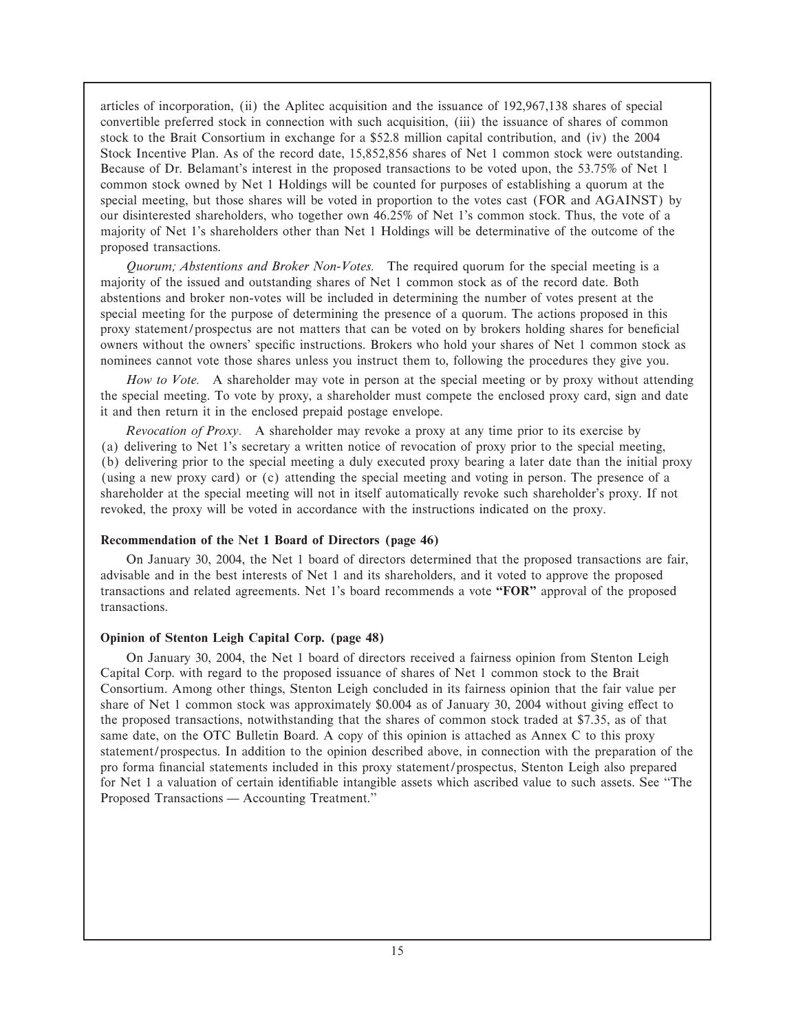articles of incorporation, (ii) the Aplitec acquisition and the issuance of 192,967,138 shares of special convertible preferred stock in connection with such acquisition, (iii) the issuance of shares of common stock to the Brait Consortium in exchange for a \$52.8 million capital contribution, and (iv) the 2004 Stock Incentive Plan. As of the record date, 15,852,856 shares of Net 1 common stock were outstanding. Because of Dr. Belamant's interest in the proposed transactions to be voted upon, the 53.75% of Net 1 common stock owned by Net 1 Holdings will be counted for purposes of establishing a quorum at the special meeting, but those shares will be voted in proportion to the votes cast (FOR and AGAINST) by our disinterested shareholders, who together own 46.25% of Net 1's common stock. Thus, the vote of a majority of Net 1's shareholders other than Net 1 Holdings will be determinative of the outcome of the proposed transactions.

*Quorum; Abstentions and Broker Non-Votes.* The required quorum for the special meeting is a majority of the issued and outstanding shares of Net 1 common stock as of the record date. Both abstentions and broker non-votes will be included in determining the number of votes present at the special meeting for the purpose of determining the presence of a quorum. The actions proposed in this proxy statement/prospectus are not matters that can be voted on by brokers holding shares for beneficial owners without the owners' specific instructions. Brokers who hold your shares of Net 1 common stock as nominees cannot vote those shares unless you instruct them to, following the procedures they give you.

*How to Vote.* A shareholder may vote in person at the special meeting or by proxy without attending the special meeting. To vote by proxy, a shareholder must compete the enclosed proxy card, sign and date it and then return it in the enclosed prepaid postage envelope.

*Revocation of Proxy.* A shareholder may revoke a proxy at any time prior to its exercise by (a) delivering to Net 1's secretary a written notice of revocation of proxy prior to the special meeting, (b) delivering prior to the special meeting a duly executed proxy bearing a later date than the initial proxy (using a new proxy card) or (c) attending the special meeting and voting in person. The presence of a shareholder at the special meeting will not in itself automatically revoke such shareholder's proxy. If not revoked, the proxy will be voted in accordance with the instructions indicated on the proxy.

#### **Recommendation of the Net 1 Board of Directors (page 46)**

On January 30, 2004, the Net 1 board of directors determined that the proposed transactions are fair, advisable and in the best interests of Net 1 and its shareholders, and it voted to approve the proposed transactions and related agreements. Net 1's board recommends a vote **""FOR''** approval of the proposed transactions.

#### **Opinion of Stenton Leigh Capital Corp. (page 48)**

On January 30, 2004, the Net 1 board of directors received a fairness opinion from Stenton Leigh Capital Corp. with regard to the proposed issuance of shares of Net 1 common stock to the Brait Consortium. Among other things, Stenton Leigh concluded in its fairness opinion that the fair value per share of Net 1 common stock was approximately  $$0.004$  as of January 30, 2004 without giving effect to the proposed transactions, notwithstanding that the shares of common stock traded at \$7.35, as of that same date, on the OTC Bulletin Board. A copy of this opinion is attached as Annex C to this proxy statement/prospectus. In addition to the opinion described above, in connection with the preparation of the pro forma Ñnancial statements included in this proxy statement/prospectus, Stenton Leigh also prepared for Net 1 a valuation of certain identifiable intangible assets which ascribed value to such assets. See "The Proposed Transactions — Accounting Treatment."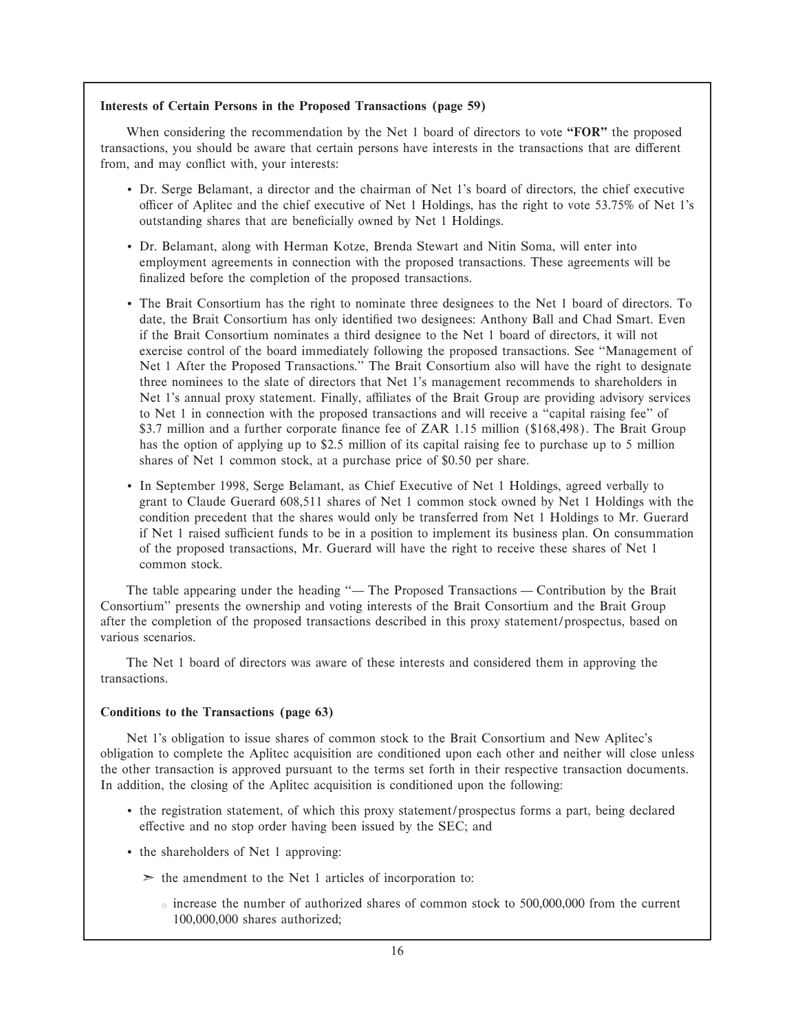#### **Interests of Certain Persons in the Proposed Transactions (page 59)**

When considering the recommendation by the Net 1 board of directors to vote **""FOR''** the proposed transactions, you should be aware that certain persons have interests in the transactions that are different from, and may conflict with, your interests:

- ' Dr. Serge Belamant, a director and the chairman of Net 1's board of directors, the chief executive oÇcer of Aplitec and the chief executive of Net 1 Holdings, has the right to vote 53.75% of Net 1's outstanding shares that are beneficially owned by Net 1 Holdings.
- ' Dr. Belamant, along with Herman Kotze, Brenda Stewart and Nitin Soma, will enter into employment agreements in connection with the proposed transactions. These agreements will be finalized before the completion of the proposed transactions.
- ' The Brait Consortium has the right to nominate three designees to the Net 1 board of directors. To date, the Brait Consortium has only identified two designees: Anthony Ball and Chad Smart. Even if the Brait Consortium nominates a third designee to the Net 1 board of directors, it will not exercise control of the board immediately following the proposed transactions. See ""Management of Net 1 After the Proposed Transactions.'' The Brait Consortium also will have the right to designate three nominees to the slate of directors that Net 1's management recommends to shareholders in Net 1's annual proxy statement. Finally, affiliates of the Brait Group are providing advisory services to Net 1 in connection with the proposed transactions and will receive a ""capital raising fee'' of \$3.7 million and a further corporate finance fee of ZAR 1.15 million (\$168,498). The Brait Group has the option of applying up to \$2.5 million of its capital raising fee to purchase up to 5 million shares of Net 1 common stock, at a purchase price of \$0.50 per share.
- ' In September 1998, Serge Belamant, as Chief Executive of Net 1 Holdings, agreed verbally to grant to Claude Guerard 608,511 shares of Net 1 common stock owned by Net 1 Holdings with the condition precedent that the shares would only be transferred from Net 1 Holdings to Mr. Guerard if Net 1 raised sufficient funds to be in a position to implement its business plan. On consummation of the proposed transactions, Mr. Guerard will have the right to receive these shares of Net 1 common stock.

The table appearing under the heading "— The Proposed Transactions — Contribution by the Brait Consortium'' presents the ownership and voting interests of the Brait Consortium and the Brait Group after the completion of the proposed transactions described in this proxy statement/prospectus, based on various scenarios.

The Net 1 board of directors was aware of these interests and considered them in approving the transactions.

#### **Conditions to the Transactions (page 63)**

Net 1's obligation to issue shares of common stock to the Brait Consortium and New Aplitec's obligation to complete the Aplitec acquisition are conditioned upon each other and neither will close unless the other transaction is approved pursuant to the terms set forth in their respective transaction documents. In addition, the closing of the Aplitec acquisition is conditioned upon the following:

- ' the registration statement, of which this proxy statement/prospectus forms a part, being declared effective and no stop order having been issued by the SEC; and
- ' the shareholders of Net 1 approving:
	- $\geq$  the amendment to the Net 1 articles of incorporation to:
		- $\circ$  increase the number of authorized shares of common stock to 500,000,000 from the current 100,000,000 shares authorized;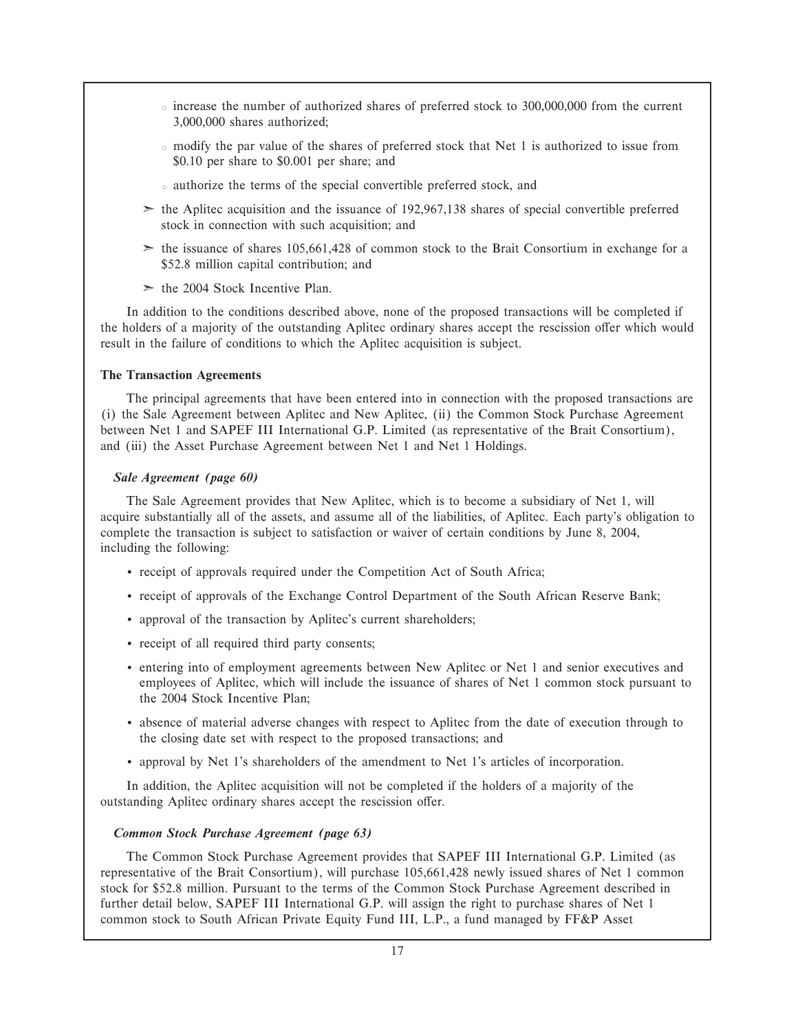- $\circ$  increase the number of authorized shares of preferred stock to 300,000,000 from the current 3,000,000 shares authorized;
- modify the par value of the shares of preferred stock that Net 1 is authorized to issue from \$0.10 per share to \$0.001 per share; and
- authorize the terms of the special convertible preferred stock, and
- $\geq$  the Aplitec acquisition and the issuance of 192,967,138 shares of special convertible preferred stock in connection with such acquisition; and
- $\geq$  the issuance of shares 105,661,428 of common stock to the Brait Consortium in exchange for a \$52.8 million capital contribution; and
- $\ge$  the 2004 Stock Incentive Plan.

In addition to the conditions described above, none of the proposed transactions will be completed if the holders of a majority of the outstanding Aplitec ordinary shares accept the rescission offer which would result in the failure of conditions to which the Aplitec acquisition is subject.

#### **The Transaction Agreements**

The principal agreements that have been entered into in connection with the proposed transactions are (i) the Sale Agreement between Aplitec and New Aplitec, (ii) the Common Stock Purchase Agreement between Net 1 and SAPEF III International G.P. Limited (as representative of the Brait Consortium), and (iii) the Asset Purchase Agreement between Net 1 and Net 1 Holdings.

#### *Sale Agreement (page 60)*

The Sale Agreement provides that New Aplitec, which is to become a subsidiary of Net 1, will acquire substantially all of the assets, and assume all of the liabilities, of Aplitec. Each party's obligation to complete the transaction is subject to satisfaction or waiver of certain conditions by June 8, 2004, including the following:

- ' receipt of approvals required under the Competition Act of South Africa;
- ' receipt of approvals of the Exchange Control Department of the South African Reserve Bank;
- ' approval of the transaction by Aplitec's current shareholders;
- ' receipt of all required third party consents;
- ' entering into of employment agreements between New Aplitec or Net 1 and senior executives and employees of Aplitec, which will include the issuance of shares of Net 1 common stock pursuant to the 2004 Stock Incentive Plan;
- ' absence of material adverse changes with respect to Aplitec from the date of execution through to the closing date set with respect to the proposed transactions; and
- ' approval by Net 1's shareholders of the amendment to Net 1's articles of incorporation.

In addition, the Aplitec acquisition will not be completed if the holders of a majority of the outstanding Aplitec ordinary shares accept the rescission offer.

#### *Common Stock Purchase Agreement (page 63)*

The Common Stock Purchase Agreement provides that SAPEF III International G.P. Limited (as representative of the Brait Consortium), will purchase 105,661,428 newly issued shares of Net 1 common stock for \$52.8 million. Pursuant to the terms of the Common Stock Purchase Agreement described in further detail below, SAPEF III International G.P. will assign the right to purchase shares of Net 1 common stock to South African Private Equity Fund III, L.P., a fund managed by FF&P Asset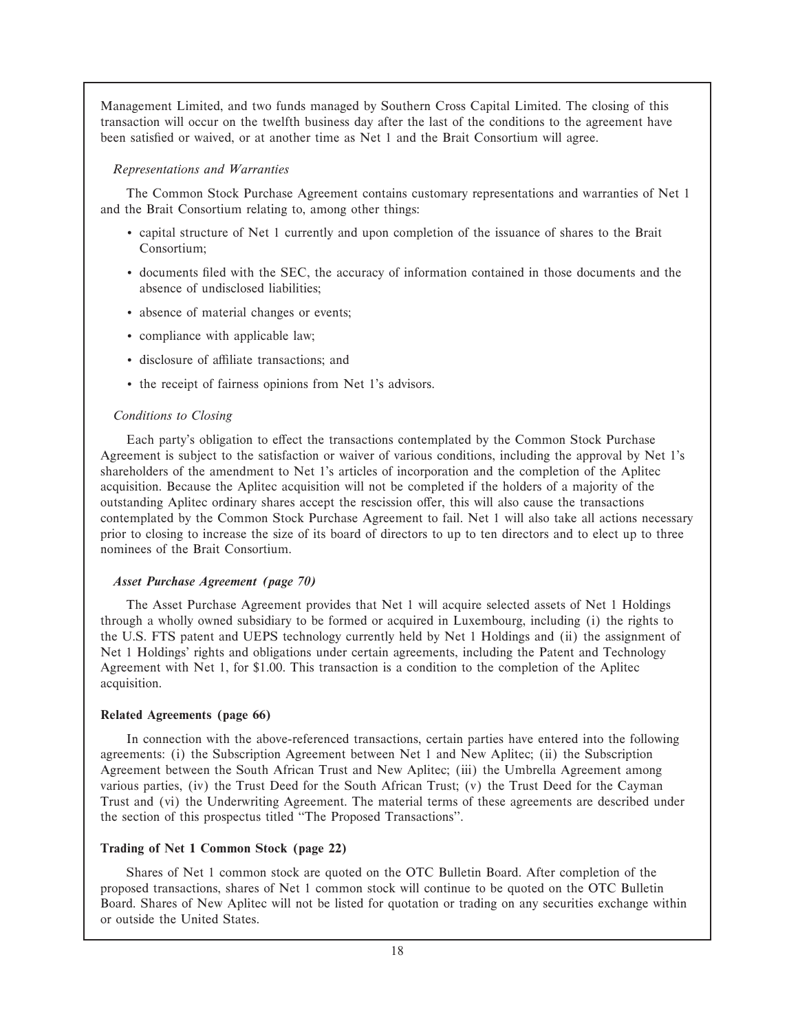Management Limited, and two funds managed by Southern Cross Capital Limited. The closing of this transaction will occur on the twelfth business day after the last of the conditions to the agreement have been satisfied or waived, or at another time as Net 1 and the Brait Consortium will agree.

#### *Representations and Warranties*

The Common Stock Purchase Agreement contains customary representations and warranties of Net 1 and the Brait Consortium relating to, among other things:

- ' capital structure of Net 1 currently and upon completion of the issuance of shares to the Brait Consortium;
- ' documents Ñled with the SEC, the accuracy of information contained in those documents and the absence of undisclosed liabilities;
- ' absence of material changes or events;
- ' compliance with applicable law;
- $\bullet$  disclosure of affiliate transactions; and
- ' the receipt of fairness opinions from Net 1's advisors.

#### *Conditions to Closing*

Each party's obligation to effect the transactions contemplated by the Common Stock Purchase Agreement is subject to the satisfaction or waiver of various conditions, including the approval by Net 1's shareholders of the amendment to Net 1's articles of incorporation and the completion of the Aplitec acquisition. Because the Aplitec acquisition will not be completed if the holders of a majority of the outstanding Aplitec ordinary shares accept the rescission offer, this will also cause the transactions contemplated by the Common Stock Purchase Agreement to fail. Net 1 will also take all actions necessary prior to closing to increase the size of its board of directors to up to ten directors and to elect up to three nominees of the Brait Consortium.

#### *Asset Purchase Agreement (page 70)*

The Asset Purchase Agreement provides that Net 1 will acquire selected assets of Net 1 Holdings through a wholly owned subsidiary to be formed or acquired in Luxembourg, including (i) the rights to the U.S. FTS patent and UEPS technology currently held by Net 1 Holdings and (ii) the assignment of Net 1 Holdings' rights and obligations under certain agreements, including the Patent and Technology Agreement with Net 1, for \$1.00. This transaction is a condition to the completion of the Aplitec acquisition.

#### **Related Agreements (page 66)**

In connection with the above-referenced transactions, certain parties have entered into the following agreements: (i) the Subscription Agreement between Net 1 and New Aplitec; (ii) the Subscription Agreement between the South African Trust and New Aplitec; (iii) the Umbrella Agreement among various parties, (iv) the Trust Deed for the South African Trust; (v) the Trust Deed for the Cayman Trust and (vi) the Underwriting Agreement. The material terms of these agreements are described under the section of this prospectus titled ""The Proposed Transactions''.

#### **Trading of Net 1 Common Stock (page 22)**

Shares of Net 1 common stock are quoted on the OTC Bulletin Board. After completion of the proposed transactions, shares of Net 1 common stock will continue to be quoted on the OTC Bulletin Board. Shares of New Aplitec will not be listed for quotation or trading on any securities exchange within or outside the United States.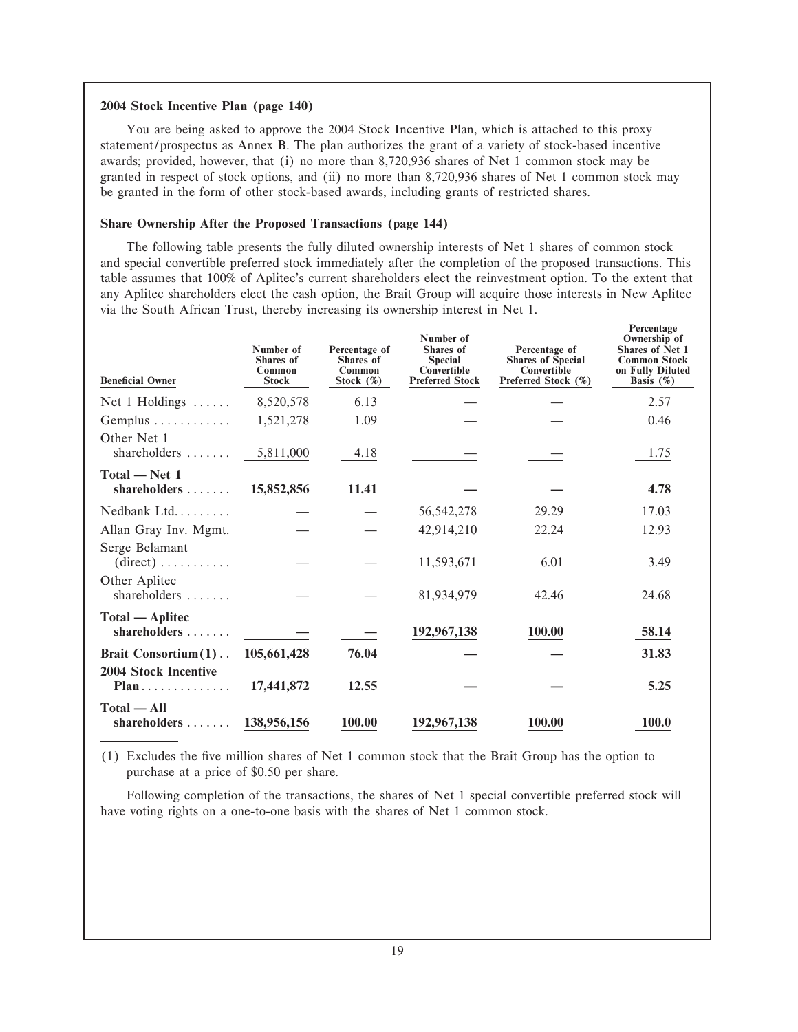#### **2004 Stock Incentive Plan (page 140)**

You are being asked to approve the 2004 Stock Incentive Plan, which is attached to this proxy statement/prospectus as Annex B. The plan authorizes the grant of a variety of stock-based incentive awards; provided, however, that (i) no more than 8,720,936 shares of Net 1 common stock may be granted in respect of stock options, and (ii) no more than 8,720,936 shares of Net 1 common stock may be granted in the form of other stock-based awards, including grants of restricted shares.

## **Share Ownership After the Proposed Transactions (page 144)**

The following table presents the fully diluted ownership interests of Net 1 shares of common stock and special convertible preferred stock immediately after the completion of the proposed transactions. This table assumes that 100% of Aplitec's current shareholders elect the reinvestment option. To the extent that any Aplitec shareholders elect the cash option, the Brait Group will acquire those interests in New Aplitec via the South African Trust, thereby increasing its ownership interest in Net 1.

**Percentage**

| <b>Beneficial Owner</b>                               | Number of<br><b>Shares</b> of<br>Common<br><b>Stock</b> | Percentage of<br><b>Shares</b> of<br><b>Common</b><br>Stock $(\%)$ | Number of<br>Shares of<br><b>Special</b><br>Convertible<br><b>Preferred Stock</b> | Percentage of<br><b>Shares of Special</b><br>Convertible<br>Preferred Stock (%) | 1 creditage<br>Ownership of<br><b>Shares of Net 1</b><br><b>Common Stock</b><br>on Fully Diluted<br>Basis $(\%)$ |
|-------------------------------------------------------|---------------------------------------------------------|--------------------------------------------------------------------|-----------------------------------------------------------------------------------|---------------------------------------------------------------------------------|------------------------------------------------------------------------------------------------------------------|
| Net $1$ Holdings $\dots$                              | 8,520,578                                               | 6.13                                                               |                                                                                   |                                                                                 | 2.57                                                                                                             |
| Gemplus $\dots\dots\dots\dots$                        | 1,521,278                                               | 1.09                                                               |                                                                                   |                                                                                 | 0.46                                                                                                             |
| Other Net 1<br>shareholders $\ldots \ldots$ 5,811,000 |                                                         | 4.18                                                               |                                                                                   |                                                                                 | 1.75                                                                                                             |
| Total - Net 1<br>shareholders $\ldots$ 15,852,856     |                                                         | 11.41                                                              |                                                                                   |                                                                                 | 4.78                                                                                                             |
| Nedbank Ltd $\ldots$                                  |                                                         |                                                                    | 56, 542, 278                                                                      | 29.29                                                                           | 17.03                                                                                                            |
| Allan Gray Inv. Mgmt.                                 |                                                         |                                                                    | 42,914,210                                                                        | 22.24                                                                           | 12.93                                                                                                            |
| Serge Belamant<br>$(direct) \ldots \ldots \ldots$     |                                                         |                                                                    | 11,593,671                                                                        | 6.01                                                                            | 3.49                                                                                                             |
| Other Aplitec<br>shareholders $\ldots$                |                                                         |                                                                    | 81,934,979                                                                        | 42.46                                                                           | 24.68                                                                                                            |
| Total — Aplitec<br>shareholders                       |                                                         |                                                                    | 192,967,138                                                                       | 100.00                                                                          | 58.14                                                                                                            |
| Brait Consortium (1)                                  | 105,661,428                                             | 76.04                                                              |                                                                                   |                                                                                 | 31.83                                                                                                            |
| <b>2004 Stock Incentive</b><br>$Plan$                 | 17,441,872                                              | 12.55                                                              |                                                                                   |                                                                                 | 5.25                                                                                                             |
| $Total - All$<br>shareholders                         | 138,956,156                                             | 100.00                                                             | 192,967,138                                                                       | 100.00                                                                          | 100.0                                                                                                            |

(1) Excludes the Ñve million shares of Net 1 common stock that the Brait Group has the option to purchase at a price of \$0.50 per share.

Following completion of the transactions, the shares of Net 1 special convertible preferred stock will have voting rights on a one-to-one basis with the shares of Net 1 common stock.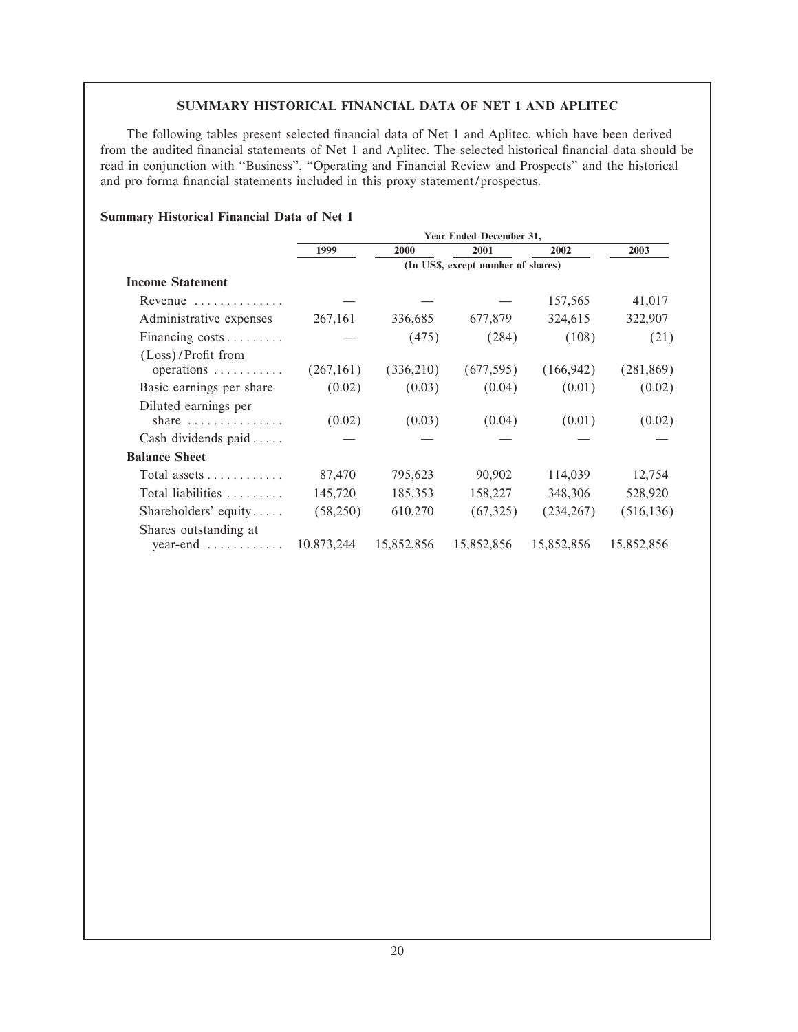## **SUMMARY HISTORICAL FINANCIAL DATA OF NET 1 AND APLITEC**

The following tables present selected financial data of Net 1 and Aplitec, which have been derived from the audited financial statements of Net 1 and Aplitec. The selected historical financial data should be read in conjunction with "Business", "Operating and Financial Review and Prospects" and the historical and pro forma financial statements included in this proxy statement/prospectus.

|                                                             | Year Ended December 31,            |            |            |            |            |  |  |  |  |
|-------------------------------------------------------------|------------------------------------|------------|------------|------------|------------|--|--|--|--|
|                                                             | 1999                               | 2000       | 2001       | 2002       | 2003       |  |  |  |  |
|                                                             | (In US\$, except number of shares) |            |            |            |            |  |  |  |  |
| <b>Income Statement</b>                                     |                                    |            |            |            |            |  |  |  |  |
| Revenue $\ldots \ldots \ldots$                              |                                    |            |            | 157,565    | 41,017     |  |  |  |  |
| Administrative expenses                                     | 267,161                            | 336,685    | 677,879    | 324,615    | 322,907    |  |  |  |  |
| Financing costs                                             |                                    | (475)      | (284)      | (108)      | (21)       |  |  |  |  |
| (Loss)/Profit from<br>operations $\dots \dots \dots$        | (267,161)                          | (336,210)  | (677, 595) | (166, 942) | (281, 869) |  |  |  |  |
| Basic earnings per share                                    | (0.02)                             | (0.03)     | (0.04)     | (0.01)     | (0.02)     |  |  |  |  |
| Diluted earnings per<br>share $\ldots \ldots \ldots \ldots$ | (0.02)                             | (0.03)     | (0.04)     | (0.01)     | (0.02)     |  |  |  |  |
| Cash dividends paid                                         |                                    |            |            |            |            |  |  |  |  |
| <b>Balance Sheet</b>                                        |                                    |            |            |            |            |  |  |  |  |
| Total assets $\dots \dots \dots$                            | 87,470                             | 795,623    | 90,902     | 114,039    | 12,754     |  |  |  |  |
| Total liabilities $\ldots \ldots$                           | 145,720                            | 185,353    | 158,227    | 348,306    | 528,920    |  |  |  |  |
| Shareholders' equity                                        | (58,250)                           | 610,270    | (67,325)   | (234, 267) | (516, 136) |  |  |  |  |
| Shares outstanding at<br>$year-end$                         | 10,873,244                         | 15,852,856 | 15,852,856 | 15,852,856 | 15,852,856 |  |  |  |  |

#### **Summary Historical Financial Data of Net 1**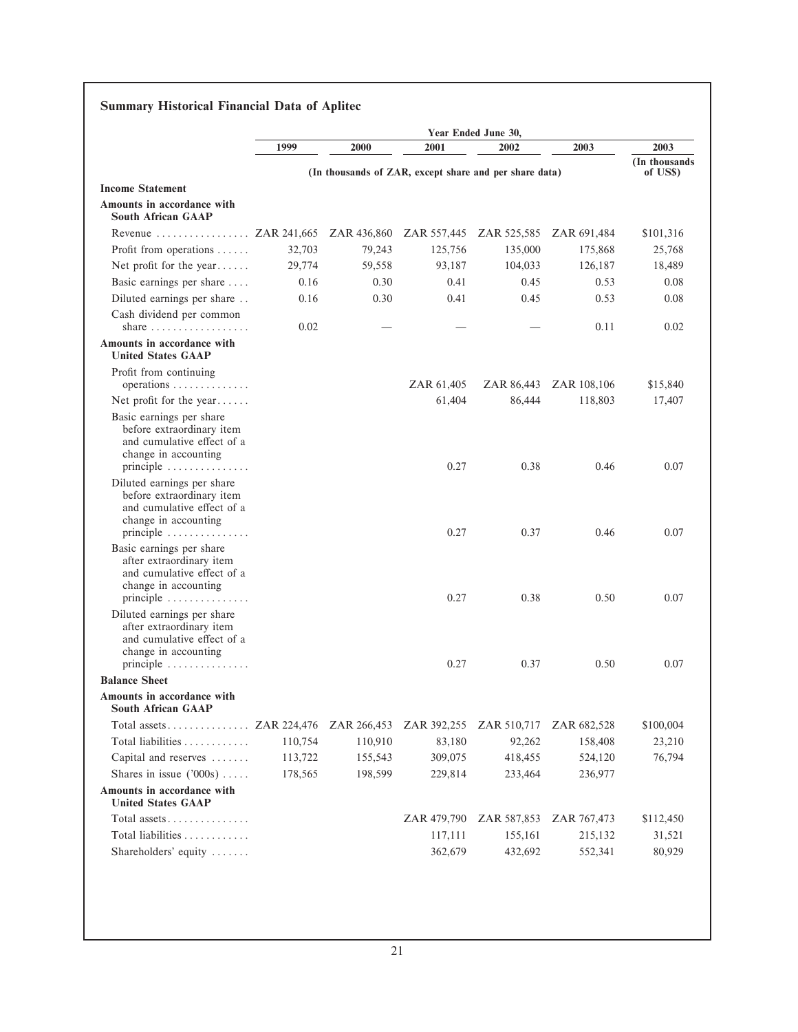|                                                                                                                                                          |         |             |                                                        | Year Ended June 30,     |             |                            |
|----------------------------------------------------------------------------------------------------------------------------------------------------------|---------|-------------|--------------------------------------------------------|-------------------------|-------------|----------------------------|
|                                                                                                                                                          | 1999    | 2000        | 2001                                                   | 2002                    | 2003        | 2003                       |
|                                                                                                                                                          |         |             | (In thousands of ZAR, except share and per share data) |                         |             | (In thousands)<br>of US\$) |
| <b>Income Statement</b>                                                                                                                                  |         |             |                                                        |                         |             |                            |
| Amounts in accordance with<br><b>South African GAAP</b>                                                                                                  |         |             |                                                        |                         |             |                            |
| Revenue  ZAR 241,665 ZAR 436,860                                                                                                                         |         |             |                                                        | ZAR 557,445 ZAR 525,585 | ZAR 691,484 | \$101,316                  |
| Profit from operations                                                                                                                                   | 32,703  | 79,243      | 125,756                                                | 135,000                 | 175,868     | 25,768                     |
| Net profit for the year                                                                                                                                  | 29,774  | 59,558      | 93,187                                                 | 104,033                 | 126,187     | 18,489                     |
| Basic earnings per share                                                                                                                                 | 0.16    | 0.30        | 0.41                                                   | 0.45                    | 0.53        | 0.08                       |
| Diluted earnings per share                                                                                                                               | 0.16    | 0.30        | 0.41                                                   | 0.45                    | 0.53        | 0.08                       |
| Cash dividend per common<br>share $\ldots \ldots \ldots \ldots \ldots$                                                                                   | 0.02    |             |                                                        |                         | 0.11        | 0.02                       |
| Amounts in accordance with                                                                                                                               |         |             |                                                        |                         |             |                            |
| <b>United States GAAP</b>                                                                                                                                |         |             |                                                        |                         |             |                            |
| Profit from continuing<br>$operations \ldots \ldots \ldots \ldots$                                                                                       |         |             | ZAR 61,405                                             | ZAR 86,443              | ZAR 108,106 | \$15,840                   |
| Net profit for the year                                                                                                                                  |         |             | 61,404                                                 | 86,444                  | 118,803     | 17,407                     |
| Basic earnings per share<br>before extraordinary item<br>and cumulative effect of a<br>change in accounting<br>principle                                 |         |             | 0.27                                                   | 0.38                    | 0.46        | 0.07                       |
| Diluted earnings per share<br>before extraordinary item<br>and cumulative effect of a<br>change in accounting<br>principle $\ldots \ldots \ldots \ldots$ |         |             | 0.27                                                   | 0.37                    | 0.46        | 0.07                       |
| Basic earnings per share<br>after extraordinary item<br>and cumulative effect of a<br>change in accounting<br>principle                                  |         |             | 0.27                                                   | 0.38                    | 0.50        | 0.07                       |
| Diluted earnings per share<br>after extraordinary item<br>and cumulative effect of a<br>change in accounting<br>principle $\ldots \ldots \ldots \ldots$  |         |             | 0.27                                                   | 0.37                    | 0.50        | 0.07                       |
| <b>Balance Sheet</b>                                                                                                                                     |         |             |                                                        |                         |             |                            |
| Amounts in accordance with<br><b>South African GAAP</b>                                                                                                  |         |             |                                                        |                         |             |                            |
| Total assets ZAR 224,476                                                                                                                                 |         | ZAR 266,453 | ZAR 392,255                                            | ZAR 510,717             | ZAR 682,528 | \$100,004                  |
| Total liabilities                                                                                                                                        | 110,754 | 110,910     | 83,180                                                 | 92,262                  | 158,408     | 23,210                     |
| Capital and reserves                                                                                                                                     | 113,722 | 155,543     | 309,075                                                | 418,455                 | 524,120     | 76,794                     |
| Shares in issue $('000s)$                                                                                                                                | 178,565 | 198,599     | 229,814                                                | 233,464                 | 236,977     |                            |
| Amounts in accordance with<br><b>United States GAAP</b>                                                                                                  |         |             |                                                        |                         |             |                            |
| Total assets                                                                                                                                             |         |             | ZAR 479,790                                            | ZAR 587,853             | ZAR 767,473 | \$112,450                  |
| Total liabilities                                                                                                                                        |         |             | 117,111                                                | 155,161                 | 215,132     | 31,521                     |
|                                                                                                                                                          |         |             |                                                        |                         |             |                            |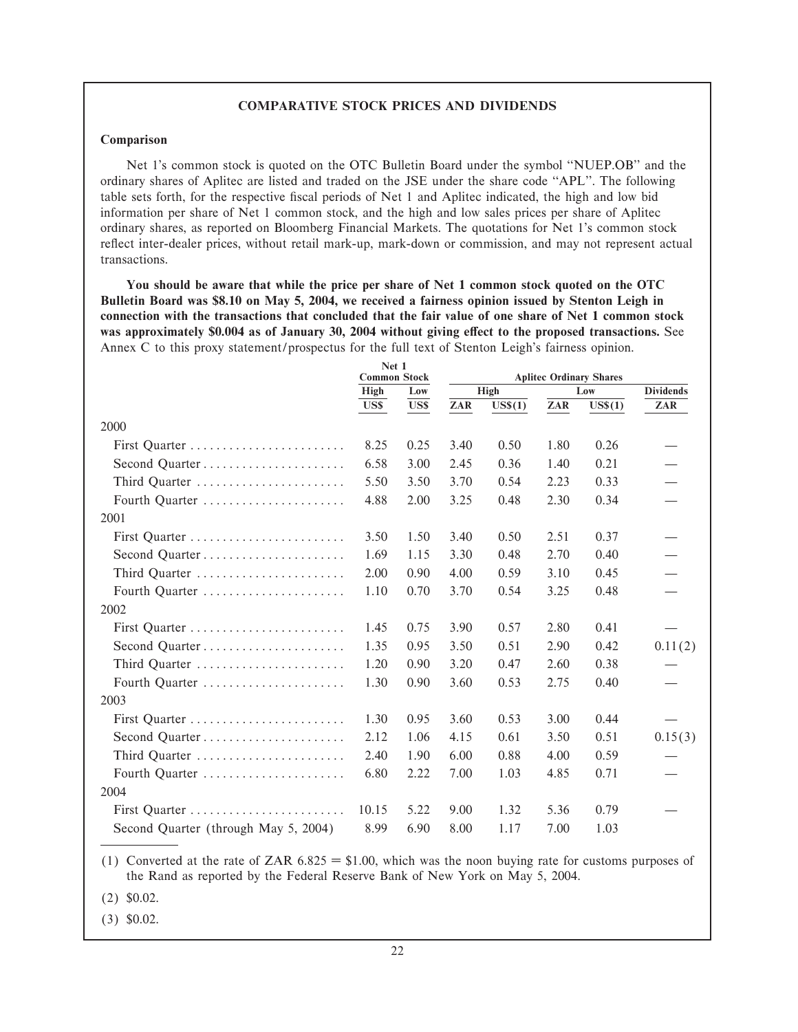#### **COMPARATIVE STOCK PRICES AND DIVIDENDS**

#### **Comparison**

Net 1's common stock is quoted on the OTC Bulletin Board under the symbol "NUEP.OB" and the ordinary shares of Aplitec are listed and traded on the JSE under the share code "APL". The following table sets forth, for the respective fiscal periods of Net 1 and Aplitec indicated, the high and low bid information per share of Net 1 common stock, and the high and low sales prices per share of Aplitec ordinary shares, as reported on Bloomberg Financial Markets. The quotations for Net 1's common stock reflect inter-dealer prices, without retail mark-up, mark-down or commission, and may not represent actual transactions.

**You should be aware that while the price per share of Net 1 common stock quoted on the OTC Bulletin Board was \$8.10 on May 5, 2004, we received a fairness opinion issued by Stenton Leigh in connection with the transactions that concluded that the fair value of one share of Net 1 common stock** was approximately \$0.004 as of January 30, 2004 without giving effect to the proposed transactions. See Annex C to this proxy statement/prospectus for the full text of Stenton Leigh's fairness opinion.

|                                      | Net 1<br><b>Common Stock</b> |      | <b>Aplitec Ordinary Shares</b> |                       |      |           |                  |
|--------------------------------------|------------------------------|------|--------------------------------|-----------------------|------|-----------|------------------|
|                                      | High<br>Low                  |      |                                | High                  |      | Low       | <b>Dividends</b> |
|                                      | US\$                         | US\$ | ZAR                            | $\overline{U}$ S\$(1) | ZAR  | $US\$(1)$ | ZAR              |
| 2000                                 |                              |      |                                |                       |      |           |                  |
| First Quarter                        | 8.25                         | 0.25 | 3.40                           | 0.50                  | 1.80 | 0.26      |                  |
| Second Quarter                       | 6.58                         | 3.00 | 2.45                           | 0.36                  | 1.40 | 0.21      |                  |
| Third Quarter                        | 5.50                         | 3.50 | 3.70                           | 0.54                  | 2.23 | 0.33      |                  |
| Fourth Quarter                       | 4.88                         | 2.00 | 3.25                           | 0.48                  | 2.30 | 0.34      |                  |
| 2001                                 |                              |      |                                |                       |      |           |                  |
| First Quarter                        | 3.50                         | 1.50 | 3.40                           | 0.50                  | 2.51 | 0.37      |                  |
|                                      | 1.69                         | 1.15 | 3.30                           | 0.48                  | 2.70 | 0.40      |                  |
| Third Quarter                        | 2.00                         | 0.90 | 4.00                           | 0.59                  | 3.10 | 0.45      |                  |
| Fourth Quarter                       | 1.10                         | 0.70 | 3.70                           | 0.54                  | 3.25 | 0.48      |                  |
| 2002                                 |                              |      |                                |                       |      |           |                  |
| First Quarter                        | 1.45                         | 0.75 | 3.90                           | 0.57                  | 2.80 | 0.41      |                  |
|                                      | 1.35                         | 0.95 | 3.50                           | 0.51                  | 2.90 | 0.42      | 0.11(2)          |
| Third Quarter                        | 1.20                         | 0.90 | 3.20                           | 0.47                  | 2.60 | 0.38      |                  |
| Fourth Quarter                       | 1.30                         | 0.90 | 3.60                           | 0.53                  | 2.75 | 0.40      |                  |
| 2003                                 |                              |      |                                |                       |      |           |                  |
| First Quarter                        | 1.30                         | 0.95 | 3.60                           | 0.53                  | 3.00 | 0.44      |                  |
|                                      | 2.12                         | 1.06 | 4.15                           | 0.61                  | 3.50 | 0.51      | 0.15(3)          |
| Third Quarter                        | 2.40                         | 1.90 | 6.00                           | 0.88                  | 4.00 | 0.59      |                  |
| Fourth Quarter                       | 6.80                         | 2.22 | 7.00                           | 1.03                  | 4.85 | 0.71      |                  |
| 2004                                 |                              |      |                                |                       |      |           |                  |
| First Quarter                        | 10.15                        | 5.22 | 9.00                           | 1.32                  | 5.36 | 0.79      |                  |
| Second Quarter (through May 5, 2004) | 8.99                         | 6.90 | 8.00                           | 1.17                  | 7.00 | 1.03      |                  |

(1) Converted at the rate of ZAR  $6.825 = $1.00$ , which was the noon buying rate for customs purposes of the Rand as reported by the Federal Reserve Bank of New York on May 5, 2004.

(2) \$0.02.

(3) \$0.02.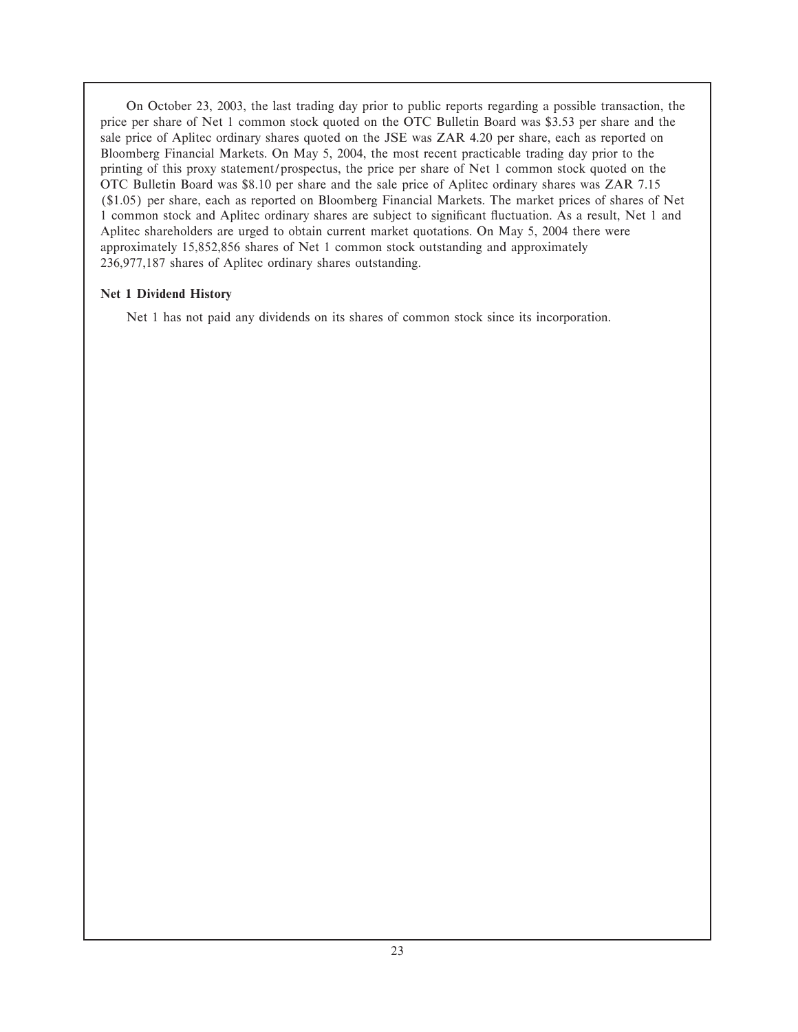On October 23, 2003, the last trading day prior to public reports regarding a possible transaction, the price per share of Net 1 common stock quoted on the OTC Bulletin Board was \$3.53 per share and the sale price of Aplitec ordinary shares quoted on the JSE was ZAR 4.20 per share, each as reported on Bloomberg Financial Markets. On May 5, 2004, the most recent practicable trading day prior to the printing of this proxy statement/prospectus, the price per share of Net 1 common stock quoted on the OTC Bulletin Board was \$8.10 per share and the sale price of Aplitec ordinary shares was ZAR 7.15 (\$1.05) per share, each as reported on Bloomberg Financial Markets. The market prices of shares of Net 1 common stock and Aplitec ordinary shares are subject to significant fluctuation. As a result, Net 1 and Aplitec shareholders are urged to obtain current market quotations. On May 5, 2004 there were approximately 15,852,856 shares of Net 1 common stock outstanding and approximately 236,977,187 shares of Aplitec ordinary shares outstanding.

## **Net 1 Dividend History**

Net 1 has not paid any dividends on its shares of common stock since its incorporation.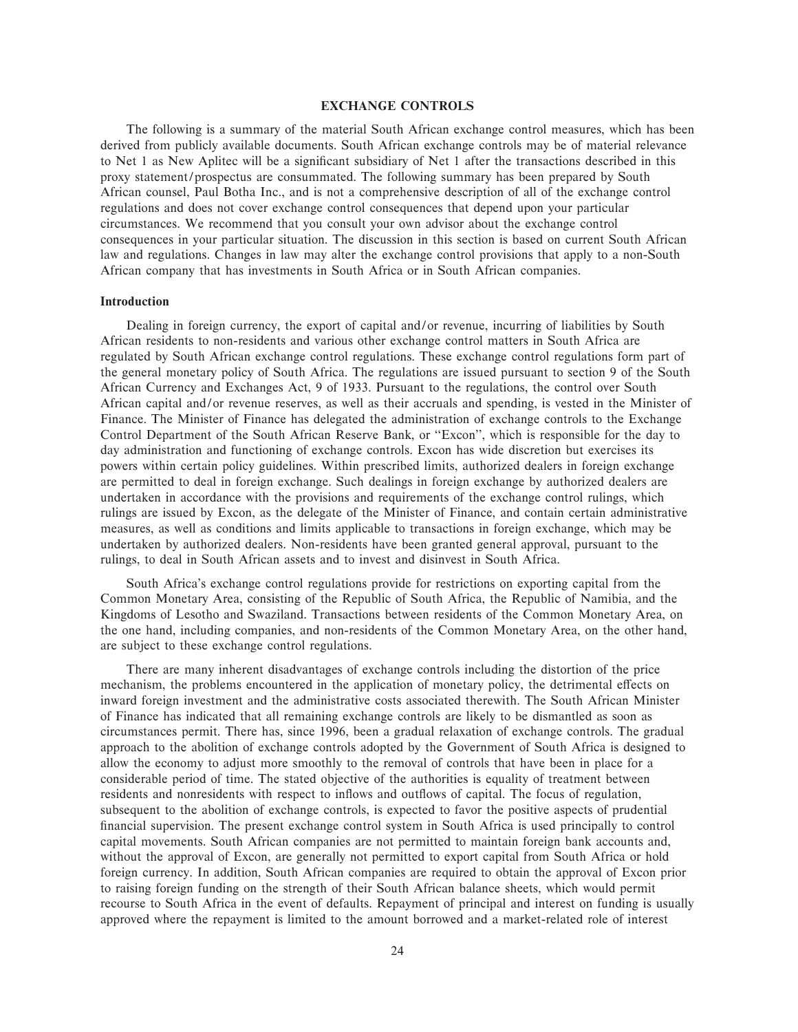#### **EXCHANGE CONTROLS**

The following is a summary of the material South African exchange control measures, which has been derived from publicly available documents. South African exchange controls may be of material relevance to Net 1 as New Aplitec will be a significant subsidiary of Net 1 after the transactions described in this proxy statement/prospectus are consummated. The following summary has been prepared by South African counsel, Paul Botha Inc., and is not a comprehensive description of all of the exchange control regulations and does not cover exchange control consequences that depend upon your particular circumstances. We recommend that you consult your own advisor about the exchange control consequences in your particular situation. The discussion in this section is based on current South African law and regulations. Changes in law may alter the exchange control provisions that apply to a non-South African company that has investments in South Africa or in South African companies.

#### **Introduction**

Dealing in foreign currency, the export of capital and/or revenue, incurring of liabilities by South African residents to non-residents and various other exchange control matters in South Africa are regulated by South African exchange control regulations. These exchange control regulations form part of the general monetary policy of South Africa. The regulations are issued pursuant to section 9 of the South African Currency and Exchanges Act, 9 of 1933. Pursuant to the regulations, the control over South African capital and/or revenue reserves, as well as their accruals and spending, is vested in the Minister of Finance. The Minister of Finance has delegated the administration of exchange controls to the Exchange Control Department of the South African Reserve Bank, or ""Excon'', which is responsible for the day to day administration and functioning of exchange controls. Excon has wide discretion but exercises its powers within certain policy guidelines. Within prescribed limits, authorized dealers in foreign exchange are permitted to deal in foreign exchange. Such dealings in foreign exchange by authorized dealers are undertaken in accordance with the provisions and requirements of the exchange control rulings, which rulings are issued by Excon, as the delegate of the Minister of Finance, and contain certain administrative measures, as well as conditions and limits applicable to transactions in foreign exchange, which may be undertaken by authorized dealers. Non-residents have been granted general approval, pursuant to the rulings, to deal in South African assets and to invest and disinvest in South Africa.

South Africa's exchange control regulations provide for restrictions on exporting capital from the Common Monetary Area, consisting of the Republic of South Africa, the Republic of Namibia, and the Kingdoms of Lesotho and Swaziland. Transactions between residents of the Common Monetary Area, on the one hand, including companies, and non-residents of the Common Monetary Area, on the other hand, are subject to these exchange control regulations.

There are many inherent disadvantages of exchange controls including the distortion of the price mechanism, the problems encountered in the application of monetary policy, the detrimental effects on inward foreign investment and the administrative costs associated therewith. The South African Minister of Finance has indicated that all remaining exchange controls are likely to be dismantled as soon as circumstances permit. There has, since 1996, been a gradual relaxation of exchange controls. The gradual approach to the abolition of exchange controls adopted by the Government of South Africa is designed to allow the economy to adjust more smoothly to the removal of controls that have been in place for a considerable period of time. The stated objective of the authorities is equality of treatment between residents and nonresidents with respect to inflows and outflows of capital. The focus of regulation, subsequent to the abolition of exchange controls, is expected to favor the positive aspects of prudential financial supervision. The present exchange control system in South Africa is used principally to control capital movements. South African companies are not permitted to maintain foreign bank accounts and, without the approval of Excon, are generally not permitted to export capital from South Africa or hold foreign currency. In addition, South African companies are required to obtain the approval of Excon prior to raising foreign funding on the strength of their South African balance sheets, which would permit recourse to South Africa in the event of defaults. Repayment of principal and interest on funding is usually approved where the repayment is limited to the amount borrowed and a market-related role of interest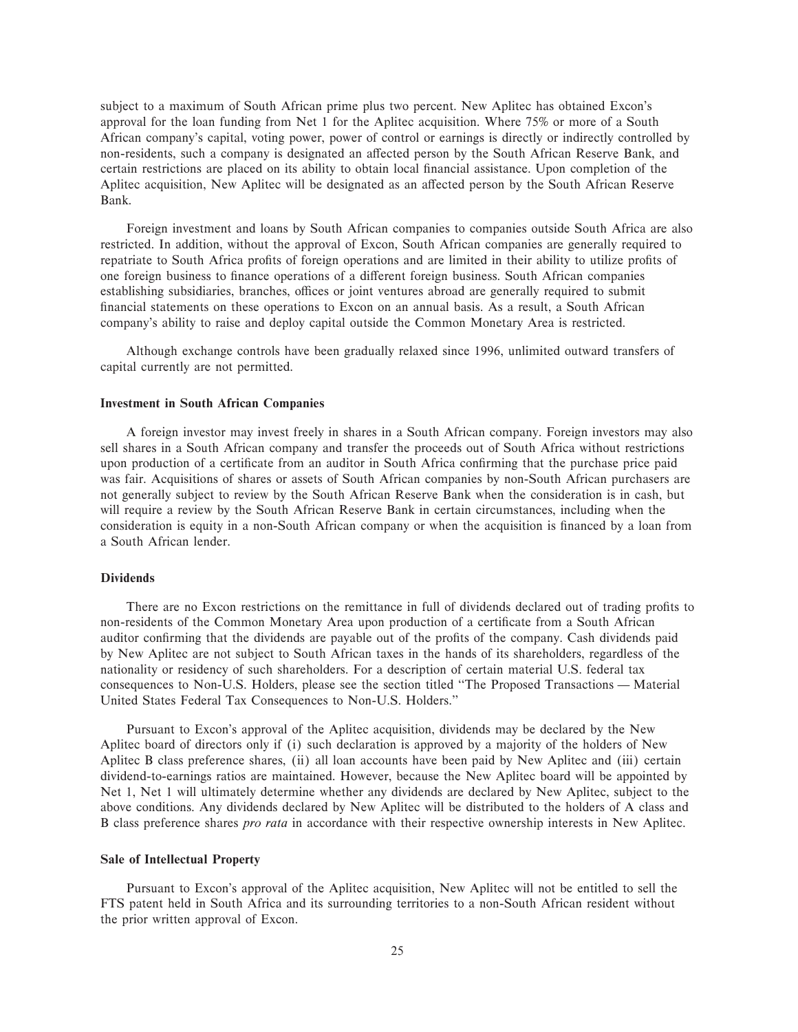subject to a maximum of South African prime plus two percent. New Aplitec has obtained Excon's approval for the loan funding from Net 1 for the Aplitec acquisition. Where 75% or more of a South African company's capital, voting power, power of control or earnings is directly or indirectly controlled by non-residents, such a company is designated an affected person by the South African Reserve Bank, and certain restrictions are placed on its ability to obtain local financial assistance. Upon completion of the Aplitec acquisition, New Aplitec will be designated as an affected person by the South African Reserve Bank.

Foreign investment and loans by South African companies to companies outside South Africa are also restricted. In addition, without the approval of Excon, South African companies are generally required to repatriate to South Africa profits of foreign operations and are limited in their ability to utilize profits of one foreign business to finance operations of a different foreign business. South African companies establishing subsidiaries, branches, offices or joint ventures abroad are generally required to submit financial statements on these operations to Excon on an annual basis. As a result, a South African company's ability to raise and deploy capital outside the Common Monetary Area is restricted.

Although exchange controls have been gradually relaxed since 1996, unlimited outward transfers of capital currently are not permitted.

#### **Investment in South African Companies**

A foreign investor may invest freely in shares in a South African company. Foreign investors may also sell shares in a South African company and transfer the proceeds out of South Africa without restrictions upon production of a certificate from an auditor in South Africa confirming that the purchase price paid was fair. Acquisitions of shares or assets of South African companies by non-South African purchasers are not generally subject to review by the South African Reserve Bank when the consideration is in cash, but will require a review by the South African Reserve Bank in certain circumstances, including when the consideration is equity in a non-South African company or when the acquisition is financed by a loan from a South African lender.

#### **Dividends**

There are no Excon restrictions on the remittance in full of dividends declared out of trading profits to non-residents of the Common Monetary Area upon production of a certificate from a South African auditor confirming that the dividends are payable out of the profits of the company. Cash dividends paid by New Aplitec are not subject to South African taxes in the hands of its shareholders, regardless of the nationality or residency of such shareholders. For a description of certain material U.S. federal tax consequences to Non-U.S. Holders, please see the section titled "The Proposed Transactions — Material United States Federal Tax Consequences to Non-U.S. Holders.''

Pursuant to Excon's approval of the Aplitec acquisition, dividends may be declared by the New Aplitec board of directors only if (i) such declaration is approved by a majority of the holders of New Aplitec B class preference shares, (ii) all loan accounts have been paid by New Aplitec and (iii) certain dividend-to-earnings ratios are maintained. However, because the New Aplitec board will be appointed by Net 1, Net 1 will ultimately determine whether any dividends are declared by New Aplitec, subject to the above conditions. Any dividends declared by New Aplitec will be distributed to the holders of A class and B class preference shares *pro rata* in accordance with their respective ownership interests in New Aplitec.

#### **Sale of Intellectual Property**

Pursuant to Excon's approval of the Aplitec acquisition, New Aplitec will not be entitled to sell the FTS patent held in South Africa and its surrounding territories to a non-South African resident without the prior written approval of Excon.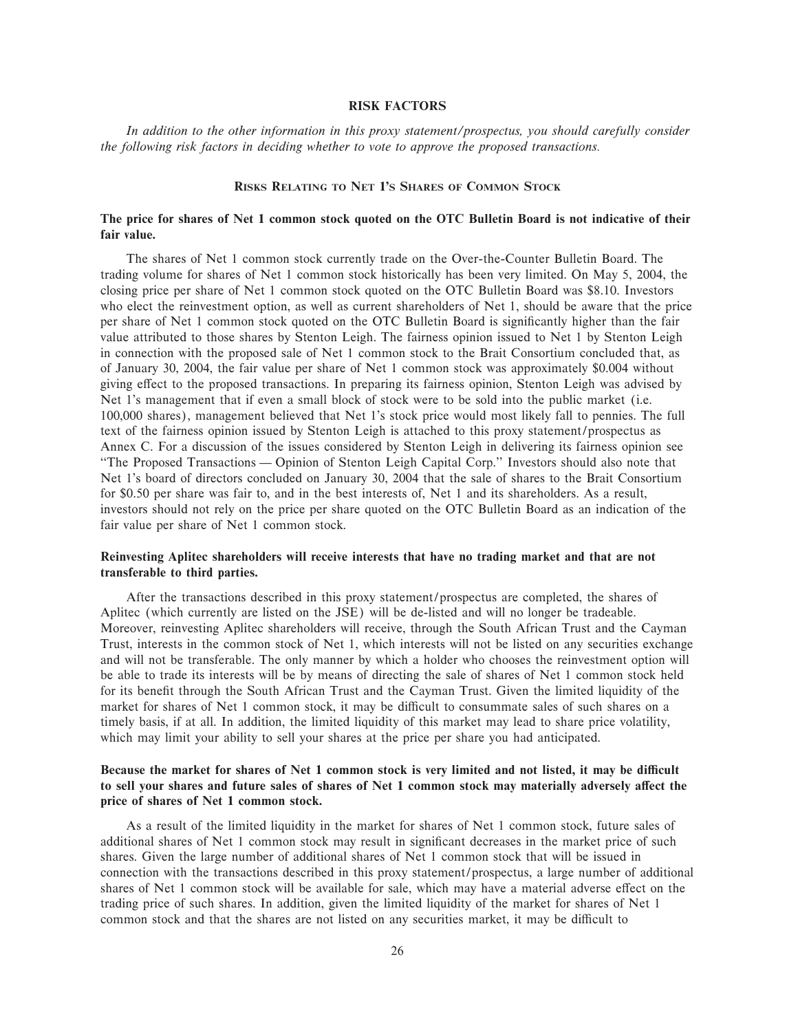#### **RISK FACTORS**

*In addition to the other information in this proxy statement/prospectus, you should carefully consider the following risk factors in deciding whether to vote to approve the proposed transactions.*

#### **RISKS RELATING TO NET 1'S SHARES OF COMMON STOCK**

#### **The price for shares of Net 1 common stock quoted on the OTC Bulletin Board is not indicative of their fair value.**

The shares of Net 1 common stock currently trade on the Over-the-Counter Bulletin Board. The trading volume for shares of Net 1 common stock historically has been very limited. On May 5, 2004, the closing price per share of Net 1 common stock quoted on the OTC Bulletin Board was \$8.10. Investors who elect the reinvestment option, as well as current shareholders of Net 1, should be aware that the price per share of Net 1 common stock quoted on the OTC Bulletin Board is significantly higher than the fair value attributed to those shares by Stenton Leigh. The fairness opinion issued to Net 1 by Stenton Leigh in connection with the proposed sale of Net 1 common stock to the Brait Consortium concluded that, as of January 30, 2004, the fair value per share of Net 1 common stock was approximately \$0.004 without giving effect to the proposed transactions. In preparing its fairness opinion, Stenton Leigh was advised by Net 1's management that if even a small block of stock were to be sold into the public market (i.e. 100,000 shares), management believed that Net 1's stock price would most likely fall to pennies. The full text of the fairness opinion issued by Stenton Leigh is attached to this proxy statement/prospectus as Annex C. For a discussion of the issues considered by Stenton Leigh in delivering its fairness opinion see "The Proposed Transactions — Opinion of Stenton Leigh Capital Corp." Investors should also note that Net 1's board of directors concluded on January 30, 2004 that the sale of shares to the Brait Consortium for \$0.50 per share was fair to, and in the best interests of, Net 1 and its shareholders. As a result, investors should not rely on the price per share quoted on the OTC Bulletin Board as an indication of the fair value per share of Net 1 common stock.

#### **Reinvesting Aplitec shareholders will receive interests that have no trading market and that are not transferable to third parties.**

After the transactions described in this proxy statement/prospectus are completed, the shares of Aplitec (which currently are listed on the JSE) will be de-listed and will no longer be tradeable. Moreover, reinvesting Aplitec shareholders will receive, through the South African Trust and the Cayman Trust, interests in the common stock of Net 1, which interests will not be listed on any securities exchange and will not be transferable. The only manner by which a holder who chooses the reinvestment option will be able to trade its interests will be by means of directing the sale of shares of Net 1 common stock held for its benefit through the South African Trust and the Cayman Trust. Given the limited liquidity of the market for shares of Net 1 common stock, it may be difficult to consummate sales of such shares on a timely basis, if at all. In addition, the limited liquidity of this market may lead to share price volatility, which may limit your ability to sell your shares at the price per share you had anticipated.

### Because the market for shares of Net 1 common stock is very limited and not listed, it may be difficult to sell your shares and future sales of shares of Net 1 common stock may materially adversely affect the **price of shares of Net 1 common stock.**

As a result of the limited liquidity in the market for shares of Net 1 common stock, future sales of additional shares of Net 1 common stock may result in significant decreases in the market price of such shares. Given the large number of additional shares of Net 1 common stock that will be issued in connection with the transactions described in this proxy statement/prospectus, a large number of additional shares of Net 1 common stock will be available for sale, which may have a material adverse effect on the trading price of such shares. In addition, given the limited liquidity of the market for shares of Net 1 common stock and that the shares are not listed on any securities market, it may be difficult to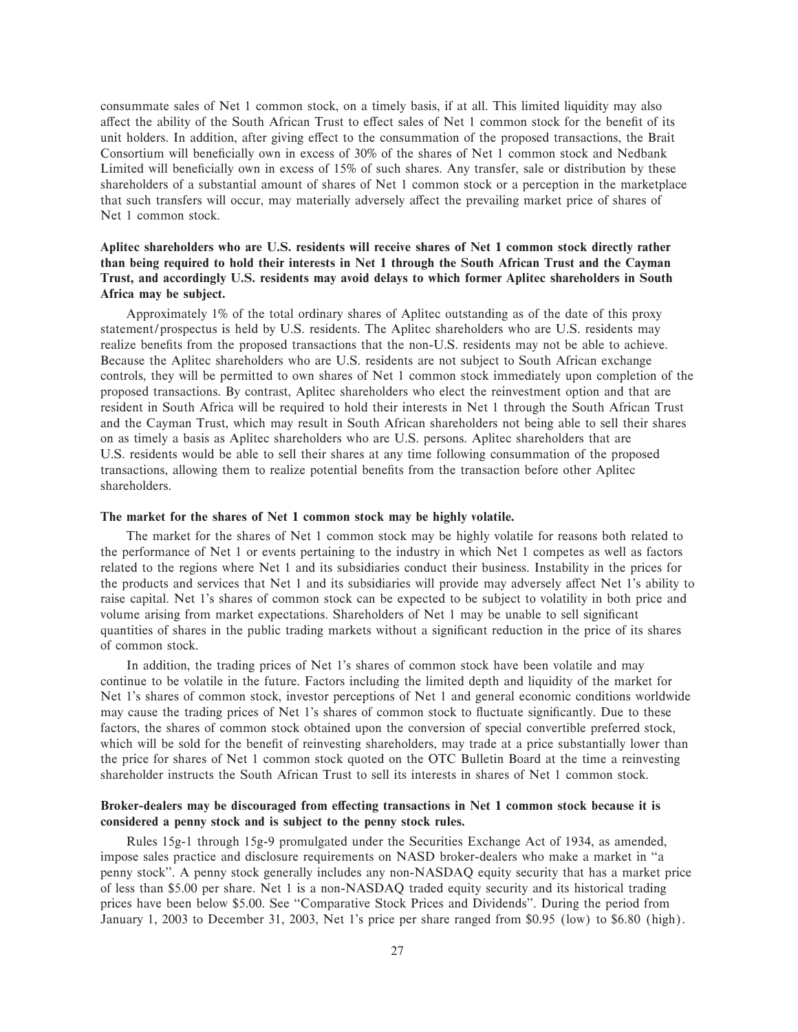consummate sales of Net 1 common stock, on a timely basis, if at all. This limited liquidity may also affect the ability of the South African Trust to effect sales of Net 1 common stock for the benefit of its unit holders. In addition, after giving effect to the consummation of the proposed transactions, the Brait Consortium will beneficially own in excess of 30% of the shares of Net 1 common stock and Nedbank Limited will beneficially own in excess of 15% of such shares. Any transfer, sale or distribution by these shareholders of a substantial amount of shares of Net 1 common stock or a perception in the marketplace that such transfers will occur, may materially adversely affect the prevailing market price of shares of Net 1 common stock.

## **Aplitec shareholders who are U.S. residents will receive shares of Net 1 common stock directly rather than being required to hold their interests in Net 1 through the South African Trust and the Cayman Trust, and accordingly U.S. residents may avoid delays to which former Aplitec shareholders in South Africa may be subject.**

Approximately 1% of the total ordinary shares of Aplitec outstanding as of the date of this proxy statement/prospectus is held by U.S. residents. The Aplitec shareholders who are U.S. residents may realize benefits from the proposed transactions that the non-U.S. residents may not be able to achieve. Because the Aplitec shareholders who are U.S. residents are not subject to South African exchange controls, they will be permitted to own shares of Net 1 common stock immediately upon completion of the proposed transactions. By contrast, Aplitec shareholders who elect the reinvestment option and that are resident in South Africa will be required to hold their interests in Net 1 through the South African Trust and the Cayman Trust, which may result in South African shareholders not being able to sell their shares on as timely a basis as Aplitec shareholders who are U.S. persons. Aplitec shareholders that are U.S. residents would be able to sell their shares at any time following consummation of the proposed transactions, allowing them to realize potential benefits from the transaction before other Aplitec shareholders.

#### **The market for the shares of Net 1 common stock may be highly volatile.**

The market for the shares of Net 1 common stock may be highly volatile for reasons both related to the performance of Net 1 or events pertaining to the industry in which Net 1 competes as well as factors related to the regions where Net 1 and its subsidiaries conduct their business. Instability in the prices for the products and services that Net 1 and its subsidiaries will provide may adversely affect Net 1's ability to raise capital. Net 1's shares of common stock can be expected to be subject to volatility in both price and volume arising from market expectations. Shareholders of Net 1 may be unable to sell significant quantities of shares in the public trading markets without a significant reduction in the price of its shares of common stock.

In addition, the trading prices of Net 1's shares of common stock have been volatile and may continue to be volatile in the future. Factors including the limited depth and liquidity of the market for Net 1's shares of common stock, investor perceptions of Net 1 and general economic conditions worldwide may cause the trading prices of Net 1's shares of common stock to fluctuate significantly. Due to these factors, the shares of common stock obtained upon the conversion of special convertible preferred stock, which will be sold for the benefit of reinvesting shareholders, may trade at a price substantially lower than the price for shares of Net 1 common stock quoted on the OTC Bulletin Board at the time a reinvesting shareholder instructs the South African Trust to sell its interests in shares of Net 1 common stock.

#### Broker-dealers may be discouraged from effecting transactions in Net 1 common stock because it is **considered a penny stock and is subject to the penny stock rules.**

Rules 15g-1 through 15g-9 promulgated under the Securities Exchange Act of 1934, as amended, impose sales practice and disclosure requirements on NASD broker-dealers who make a market in "a penny stock''. A penny stock generally includes any non-NASDAQ equity security that has a market price of less than \$5.00 per share. Net 1 is a non-NASDAQ traded equity security and its historical trading prices have been below \$5.00. See ""Comparative Stock Prices and Dividends''. During the period from January 1, 2003 to December 31, 2003, Net 1's price per share ranged from \$0.95 (low) to \$6.80 (high).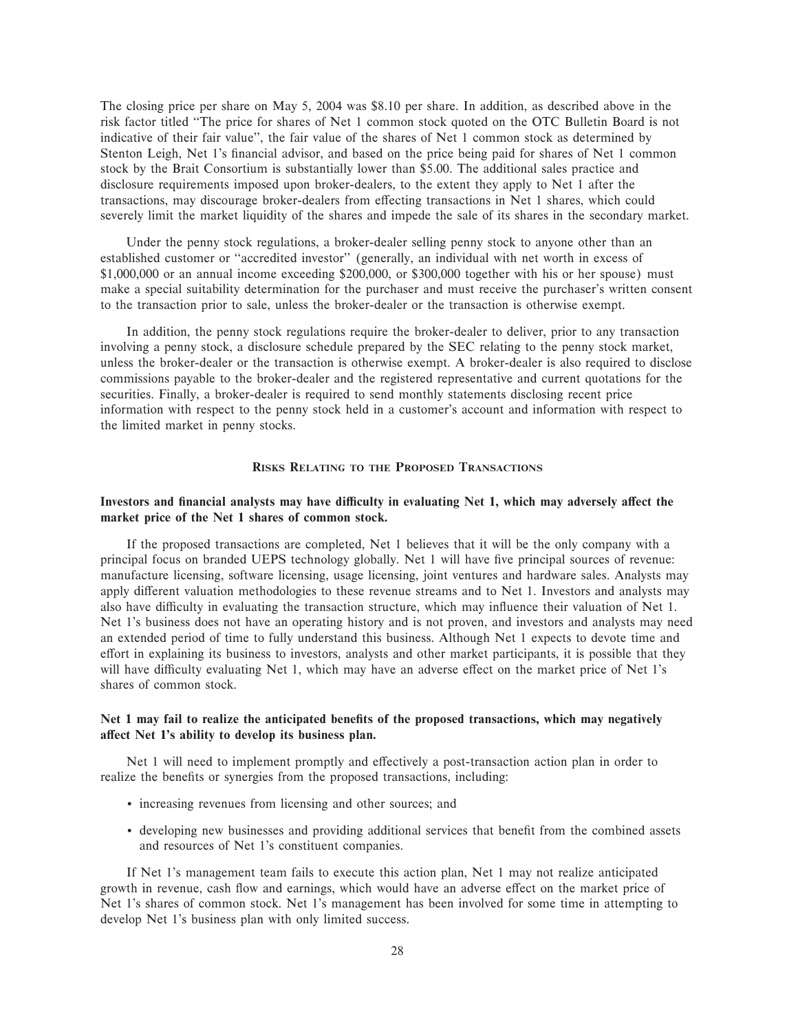The closing price per share on May 5, 2004 was \$8.10 per share. In addition, as described above in the risk factor titled ""The price for shares of Net 1 common stock quoted on the OTC Bulletin Board is not indicative of their fair value'', the fair value of the shares of Net 1 common stock as determined by Stenton Leigh, Net 1's financial advisor, and based on the price being paid for shares of Net 1 common stock by the Brait Consortium is substantially lower than \$5.00. The additional sales practice and disclosure requirements imposed upon broker-dealers, to the extent they apply to Net 1 after the transactions, may discourage broker-dealers from effecting transactions in Net 1 shares, which could severely limit the market liquidity of the shares and impede the sale of its shares in the secondary market.

Under the penny stock regulations, a broker-dealer selling penny stock to anyone other than an established customer or "accredited investor" (generally, an individual with net worth in excess of \$1,000,000 or an annual income exceeding \$200,000, or \$300,000 together with his or her spouse) must make a special suitability determination for the purchaser and must receive the purchaser's written consent to the transaction prior to sale, unless the broker-dealer or the transaction is otherwise exempt.

In addition, the penny stock regulations require the broker-dealer to deliver, prior to any transaction involving a penny stock, a disclosure schedule prepared by the SEC relating to the penny stock market, unless the broker-dealer or the transaction is otherwise exempt. A broker-dealer is also required to disclose commissions payable to the broker-dealer and the registered representative and current quotations for the securities. Finally, a broker-dealer is required to send monthly statements disclosing recent price information with respect to the penny stock held in a customer's account and information with respect to the limited market in penny stocks.

#### **RISKS RELATING TO THE PROPOSED TRANSACTIONS**

#### Investors and financial analysts may have difficulty in evaluating Net 1, which may adversely affect the **market price of the Net 1 shares of common stock.**

If the proposed transactions are completed, Net 1 believes that it will be the only company with a principal focus on branded UEPS technology globally. Net 1 will have five principal sources of revenue: manufacture licensing, software licensing, usage licensing, joint ventures and hardware sales. Analysts may apply different valuation methodologies to these revenue streams and to Net 1. Investors and analysts may also have difficulty in evaluating the transaction structure, which may influence their valuation of Net 1. Net 1's business does not have an operating history and is not proven, and investors and analysts may need an extended period of time to fully understand this business. Although Net 1 expects to devote time and effort in explaining its business to investors, analysts and other market participants, it is possible that they will have difficulty evaluating Net 1, which may have an adverse effect on the market price of Net 1's shares of common stock.

#### Net 1 may fail to realize the anticipated benefits of the proposed transactions, which may negatively affect Net 1's ability to develop its business plan.

Net 1 will need to implement promptly and effectively a post-transaction action plan in order to realize the benefits or synergies from the proposed transactions, including:

- ' increasing revenues from licensing and other sources; and
- ' developing new businesses and providing additional services that beneÑt from the combined assets and resources of Net 1's constituent companies.

If Net 1's management team fails to execute this action plan, Net 1 may not realize anticipated growth in revenue, cash flow and earnings, which would have an adverse effect on the market price of Net 1's shares of common stock. Net 1's management has been involved for some time in attempting to develop Net 1's business plan with only limited success.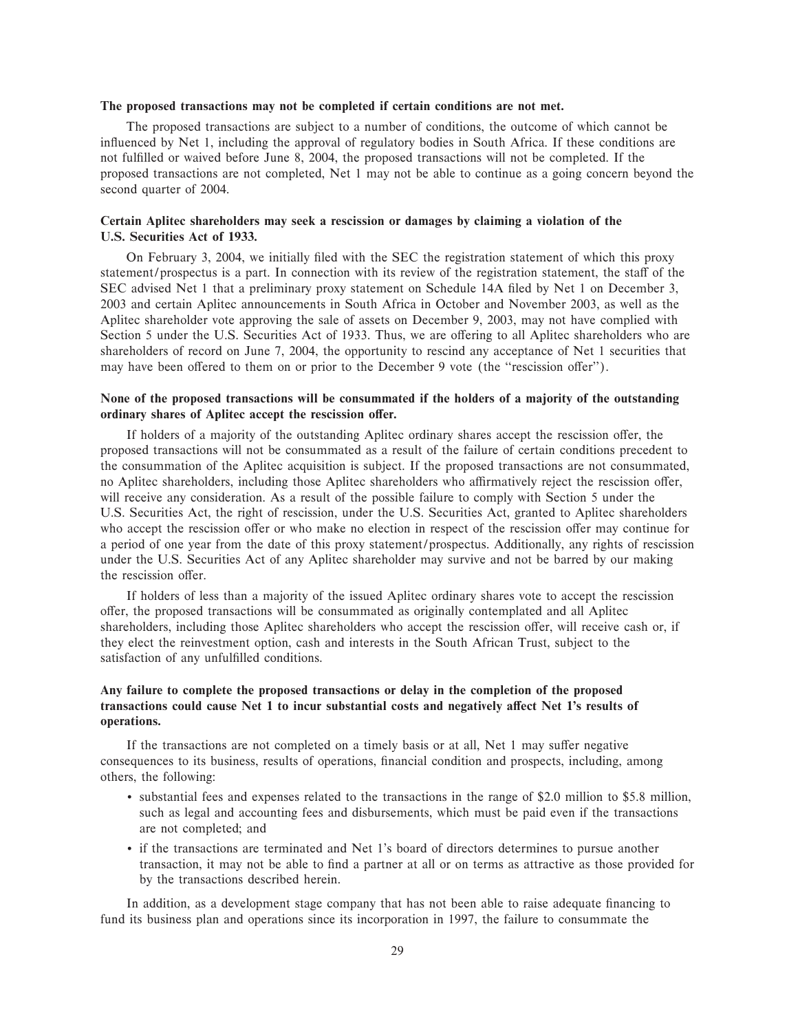#### **The proposed transactions may not be completed if certain conditions are not met.**

The proposed transactions are subject to a number of conditions, the outcome of which cannot be influenced by Net 1, including the approval of regulatory bodies in South Africa. If these conditions are not fulÑlled or waived before June 8, 2004, the proposed transactions will not be completed. If the proposed transactions are not completed, Net 1 may not be able to continue as a going concern beyond the second quarter of 2004.

## **Certain Aplitec shareholders may seek a rescission or damages by claiming a violation of the U.S. Securities Act of 1933.**

On February 3, 2004, we initially filed with the SEC the registration statement of which this proxy statement/prospectus is a part. In connection with its review of the registration statement, the staff of the SEC advised Net 1 that a preliminary proxy statement on Schedule 14A filed by Net 1 on December 3, 2003 and certain Aplitec announcements in South Africa in October and November 2003, as well as the Aplitec shareholder vote approving the sale of assets on December 9, 2003, may not have complied with Section 5 under the U.S. Securities Act of 1933. Thus, we are offering to all Aplitec shareholders who are shareholders of record on June 7, 2004, the opportunity to rescind any acceptance of Net 1 securities that may have been offered to them on or prior to the December 9 vote (the "rescission offer").

#### **None of the proposed transactions will be consummated if the holders of a majority of the outstanding** ordinary shares of Aplitec accept the rescission offer.

If holders of a majority of the outstanding Aplitec ordinary shares accept the rescission offer, the proposed transactions will not be consummated as a result of the failure of certain conditions precedent to the consummation of the Aplitec acquisition is subject. If the proposed transactions are not consummated, no Aplitec shareholders, including those Aplitec shareholders who affirmatively reject the rescission offer, will receive any consideration. As a result of the possible failure to comply with Section 5 under the U.S. Securities Act, the right of rescission, under the U.S. Securities Act, granted to Aplitec shareholders who accept the rescission offer or who make no election in respect of the rescission offer may continue for a period of one year from the date of this proxy statement/prospectus. Additionally, any rights of rescission under the U.S. Securities Act of any Aplitec shareholder may survive and not be barred by our making the rescission offer.

If holders of less than a majority of the issued Aplitec ordinary shares vote to accept the rescission oÅer, the proposed transactions will be consummated as originally contemplated and all Aplitec shareholders, including those Aplitec shareholders who accept the rescission offer, will receive cash or, if they elect the reinvestment option, cash and interests in the South African Trust, subject to the satisfaction of any unfulfilled conditions.

## **Any failure to complete the proposed transactions or delay in the completion of the proposed** transactions could cause Net 1 to incur substantial costs and negatively affect Net 1's results of **operations.**

If the transactions are not completed on a timely basis or at all, Net  $1$  may suffer negative consequences to its business, results of operations, financial condition and prospects, including, among others, the following:

- ' substantial fees and expenses related to the transactions in the range of \$2.0 million to \$5.8 million, such as legal and accounting fees and disbursements, which must be paid even if the transactions are not completed; and
- ' if the transactions are terminated and Net 1's board of directors determines to pursue another transaction, it may not be able to find a partner at all or on terms as attractive as those provided for by the transactions described herein.

In addition, as a development stage company that has not been able to raise adequate financing to fund its business plan and operations since its incorporation in 1997, the failure to consummate the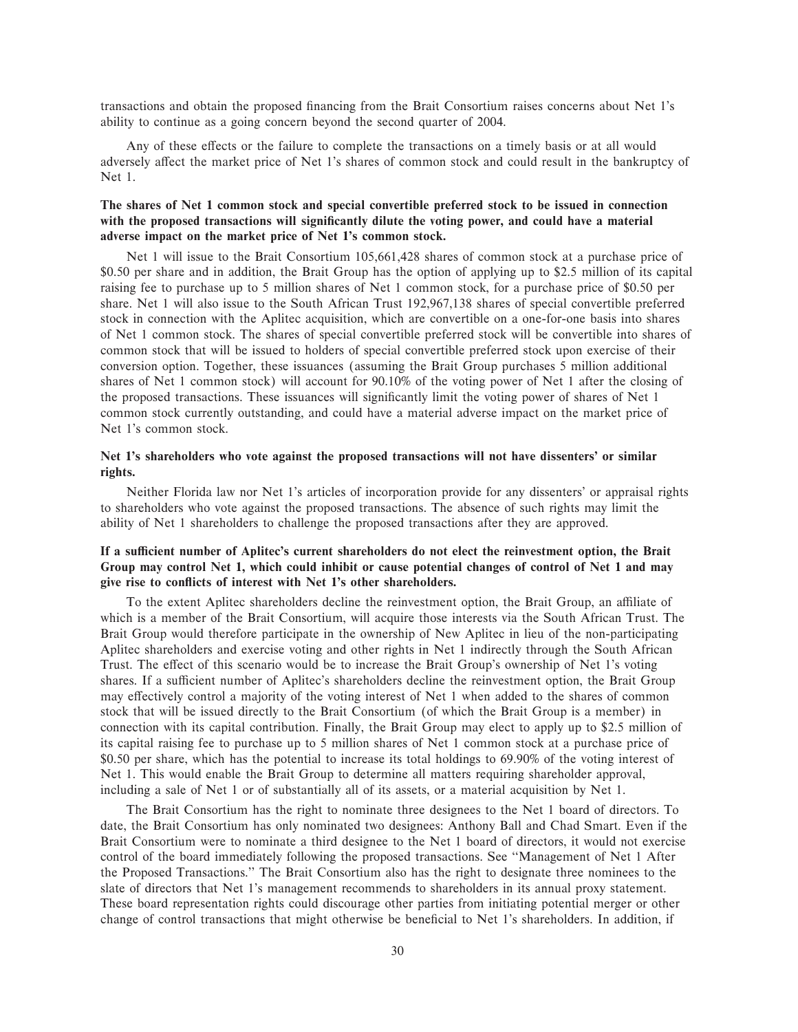transactions and obtain the proposed Ñnancing from the Brait Consortium raises concerns about Net 1's ability to continue as a going concern beyond the second quarter of 2004.

Any of these effects or the failure to complete the transactions on a timely basis or at all would adversely affect the market price of Net 1's shares of common stock and could result in the bankruptcy of Net 1.

### **The shares of Net 1 common stock and special convertible preferred stock to be issued in connection** with the proposed transactions will significantly dilute the voting power, and could have a material **adverse impact on the market price of Net 1's common stock.**

Net 1 will issue to the Brait Consortium 105,661,428 shares of common stock at a purchase price of \$0.50 per share and in addition, the Brait Group has the option of applying up to \$2.5 million of its capital raising fee to purchase up to 5 million shares of Net 1 common stock, for a purchase price of \$0.50 per share. Net 1 will also issue to the South African Trust 192,967,138 shares of special convertible preferred stock in connection with the Aplitec acquisition, which are convertible on a one-for-one basis into shares of Net 1 common stock. The shares of special convertible preferred stock will be convertible into shares of common stock that will be issued to holders of special convertible preferred stock upon exercise of their conversion option. Together, these issuances (assuming the Brait Group purchases 5 million additional shares of Net 1 common stock) will account for 90.10% of the voting power of Net 1 after the closing of the proposed transactions. These issuances will significantly limit the voting power of shares of Net 1 common stock currently outstanding, and could have a material adverse impact on the market price of Net 1's common stock.

#### **Net 1's shareholders who vote against the proposed transactions will not have dissenters' or similar rights.**

Neither Florida law nor Net 1's articles of incorporation provide for any dissenters' or appraisal rights to shareholders who vote against the proposed transactions. The absence of such rights may limit the ability of Net 1 shareholders to challenge the proposed transactions after they are approved.

## If a sufficient number of Aplitec's current shareholders do not elect the reinvestment option, the Brait **Group may control Net 1, which could inhibit or cause potential changes of control of Net 1 and may give rise to conÖicts of interest with Net 1's other shareholders.**

To the extent Aplitec shareholders decline the reinvestment option, the Brait Group, an affiliate of which is a member of the Brait Consortium, will acquire those interests via the South African Trust. The Brait Group would therefore participate in the ownership of New Aplitec in lieu of the non-participating Aplitec shareholders and exercise voting and other rights in Net 1 indirectly through the South African Trust. The effect of this scenario would be to increase the Brait Group's ownership of Net 1's voting shares. If a sufficient number of Aplitec's shareholders decline the reinvestment option, the Brait Group may effectively control a majority of the voting interest of Net 1 when added to the shares of common stock that will be issued directly to the Brait Consortium (of which the Brait Group is a member) in connection with its capital contribution. Finally, the Brait Group may elect to apply up to \$2.5 million of its capital raising fee to purchase up to 5 million shares of Net 1 common stock at a purchase price of \$0.50 per share, which has the potential to increase its total holdings to 69.90% of the voting interest of Net 1. This would enable the Brait Group to determine all matters requiring shareholder approval, including a sale of Net 1 or of substantially all of its assets, or a material acquisition by Net 1.

The Brait Consortium has the right to nominate three designees to the Net 1 board of directors. To date, the Brait Consortium has only nominated two designees: Anthony Ball and Chad Smart. Even if the Brait Consortium were to nominate a third designee to the Net 1 board of directors, it would not exercise control of the board immediately following the proposed transactions. See ""Management of Net 1 After the Proposed Transactions.'' The Brait Consortium also has the right to designate three nominees to the slate of directors that Net 1's management recommends to shareholders in its annual proxy statement. These board representation rights could discourage other parties from initiating potential merger or other change of control transactions that might otherwise be beneficial to Net 1's shareholders. In addition, if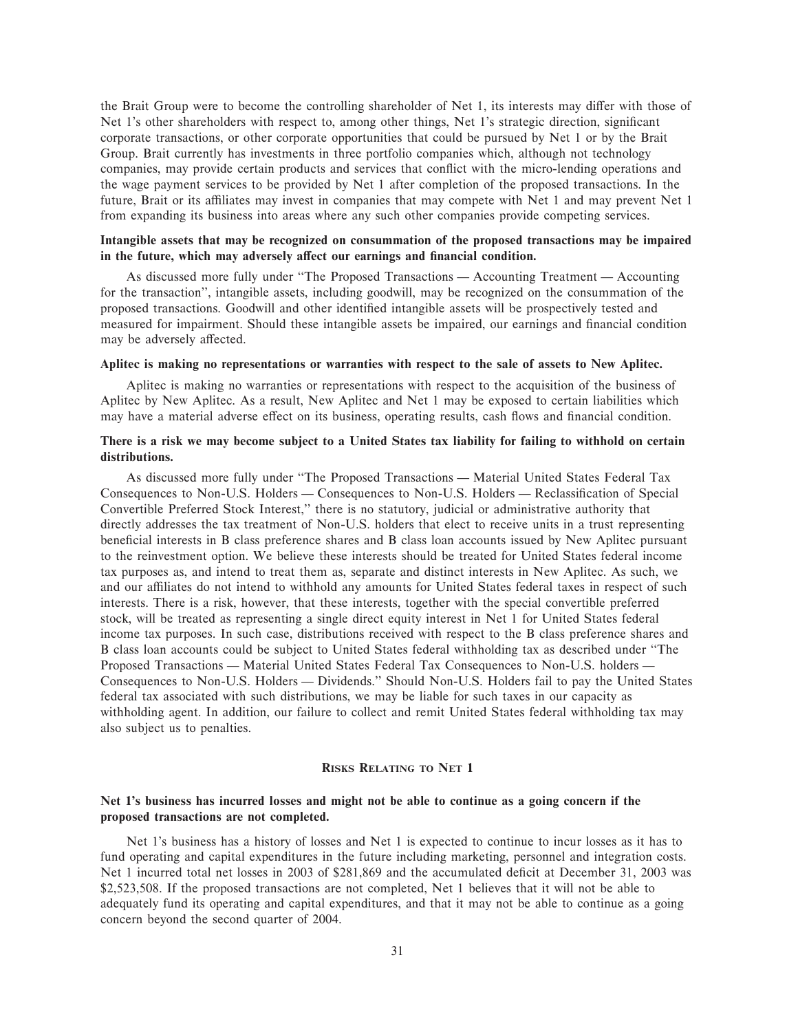the Brait Group were to become the controlling shareholder of Net 1, its interests may differ with those of Net 1's other shareholders with respect to, among other things, Net 1's strategic direction, significant corporate transactions, or other corporate opportunities that could be pursued by Net 1 or by the Brait Group. Brait currently has investments in three portfolio companies which, although not technology companies, may provide certain products and services that conflict with the micro-lending operations and the wage payment services to be provided by Net 1 after completion of the proposed transactions. In the future, Brait or its affiliates may invest in companies that may compete with Net 1 and may prevent Net 1 from expanding its business into areas where any such other companies provide competing services.

#### **Intangible assets that may be recognized on consummation of the proposed transactions may be impaired** in the future, which may adversely affect our earnings and financial condition.

As discussed more fully under "The Proposed Transactions — Accounting Treatment — Accounting for the transaction'', intangible assets, including goodwill, may be recognized on the consummation of the proposed transactions. Goodwill and other identified intangible assets will be prospectively tested and measured for impairment. Should these intangible assets be impaired, our earnings and financial condition may be adversely affected.

#### **Aplitec is making no representations or warranties with respect to the sale of assets to New Aplitec.**

Aplitec is making no warranties or representations with respect to the acquisition of the business of Aplitec by New Aplitec. As a result, New Aplitec and Net 1 may be exposed to certain liabilities which may have a material adverse effect on its business, operating results, cash flows and financial condition.

#### **There is a risk we may become subject to a United States tax liability for failing to withhold on certain distributions.**

As discussed more fully under "The Proposed Transactions — Material United States Federal Tax Consequences to Non-U.S. Holders — Consequences to Non-U.S. Holders — Reclassification of Special Convertible Preferred Stock Interest,'' there is no statutory, judicial or administrative authority that directly addresses the tax treatment of Non-U.S. holders that elect to receive units in a trust representing beneficial interests in B class preference shares and B class loan accounts issued by New Aplitec pursuant to the reinvestment option. We believe these interests should be treated for United States federal income tax purposes as, and intend to treat them as, separate and distinct interests in New Aplitec. As such, we and our affiliates do not intend to withhold any amounts for United States federal taxes in respect of such interests. There is a risk, however, that these interests, together with the special convertible preferred stock, will be treated as representing a single direct equity interest in Net 1 for United States federal income tax purposes. In such case, distributions received with respect to the B class preference shares and B class loan accounts could be subject to United States federal withholding tax as described under ""The Proposed Transactions — Material United States Federal Tax Consequences to Non-U.S. holders — Consequences to Non-U.S. Holders — Dividends." Should Non-U.S. Holders fail to pay the United States federal tax associated with such distributions, we may be liable for such taxes in our capacity as withholding agent. In addition, our failure to collect and remit United States federal withholding tax may also subject us to penalties.

#### **RISKS RELATING TO NET 1**

#### **Net 1's business has incurred losses and might not be able to continue as a going concern if the proposed transactions are not completed.**

Net 1's business has a history of losses and Net 1 is expected to continue to incur losses as it has to fund operating and capital expenditures in the future including marketing, personnel and integration costs. Net 1 incurred total net losses in 2003 of \$281,869 and the accumulated deficit at December 31, 2003 was \$2,523,508. If the proposed transactions are not completed, Net 1 believes that it will not be able to adequately fund its operating and capital expenditures, and that it may not be able to continue as a going concern beyond the second quarter of 2004.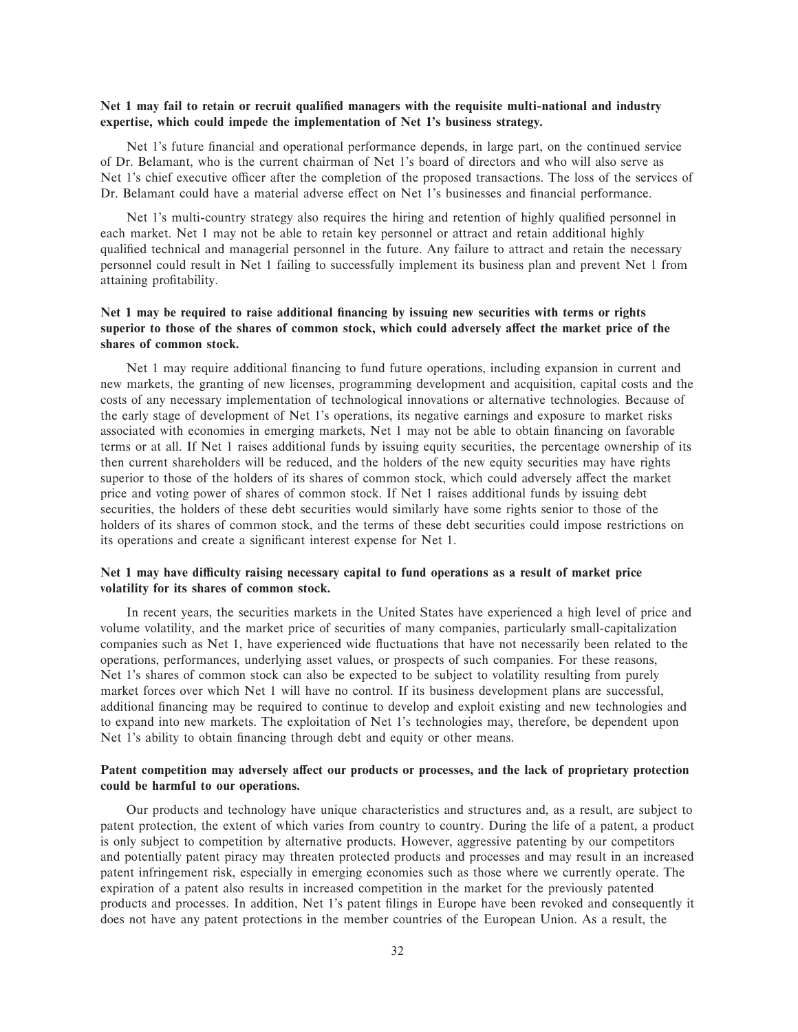## Net 1 may fail to retain or recruit qualified managers with the requisite multi-national and industry **expertise, which could impede the implementation of Net 1's business strategy.**

Net 1's future financial and operational performance depends, in large part, on the continued service of Dr. Belamant, who is the current chairman of Net 1's board of directors and who will also serve as Net 1's chief executive officer after the completion of the proposed transactions. The loss of the services of Dr. Belamant could have a material adverse effect on Net 1's businesses and financial performance.

Net 1's multi-country strategy also requires the hiring and retention of highly qualified personnel in each market. Net 1 may not be able to retain key personnel or attract and retain additional highly qualified technical and managerial personnel in the future. Any failure to attract and retain the necessary personnel could result in Net 1 failing to successfully implement its business plan and prevent Net 1 from attaining profitability.

# Net 1 may be required to raise additional financing by issuing new securities with terms or rights superior to those of the shares of common stock, which could adversely affect the market price of the **shares of common stock.**

Net 1 may require additional financing to fund future operations, including expansion in current and new markets, the granting of new licenses, programming development and acquisition, capital costs and the costs of any necessary implementation of technological innovations or alternative technologies. Because of the early stage of development of Net 1's operations, its negative earnings and exposure to market risks associated with economies in emerging markets, Net 1 may not be able to obtain financing on favorable terms or at all. If Net 1 raises additional funds by issuing equity securities, the percentage ownership of its then current shareholders will be reduced, and the holders of the new equity securities may have rights superior to those of the holders of its shares of common stock, which could adversely affect the market price and voting power of shares of common stock. If Net 1 raises additional funds by issuing debt securities, the holders of these debt securities would similarly have some rights senior to those of the holders of its shares of common stock, and the terms of these debt securities could impose restrictions on its operations and create a significant interest expense for Net 1.

# Net 1 may have difficulty raising necessary capital to fund operations as a result of market price **volatility for its shares of common stock.**

In recent years, the securities markets in the United States have experienced a high level of price and volume volatility, and the market price of securities of many companies, particularly small-capitalization companies such as Net 1, have experienced wide fluctuations that have not necessarily been related to the operations, performances, underlying asset values, or prospects of such companies. For these reasons, Net 1's shares of common stock can also be expected to be subject to volatility resulting from purely market forces over which Net 1 will have no control. If its business development plans are successful, additional financing may be required to continue to develop and exploit existing and new technologies and to expand into new markets. The exploitation of Net 1's technologies may, therefore, be dependent upon Net 1's ability to obtain financing through debt and equity or other means.

# Patent competition may adversely affect our products or processes, and the lack of proprietary protection **could be harmful to our operations.**

Our products and technology have unique characteristics and structures and, as a result, are subject to patent protection, the extent of which varies from country to country. During the life of a patent, a product is only subject to competition by alternative products. However, aggressive patenting by our competitors and potentially patent piracy may threaten protected products and processes and may result in an increased patent infringement risk, especially in emerging economies such as those where we currently operate. The expiration of a patent also results in increased competition in the market for the previously patented products and processes. In addition, Net 1's patent filings in Europe have been revoked and consequently it does not have any patent protections in the member countries of the European Union. As a result, the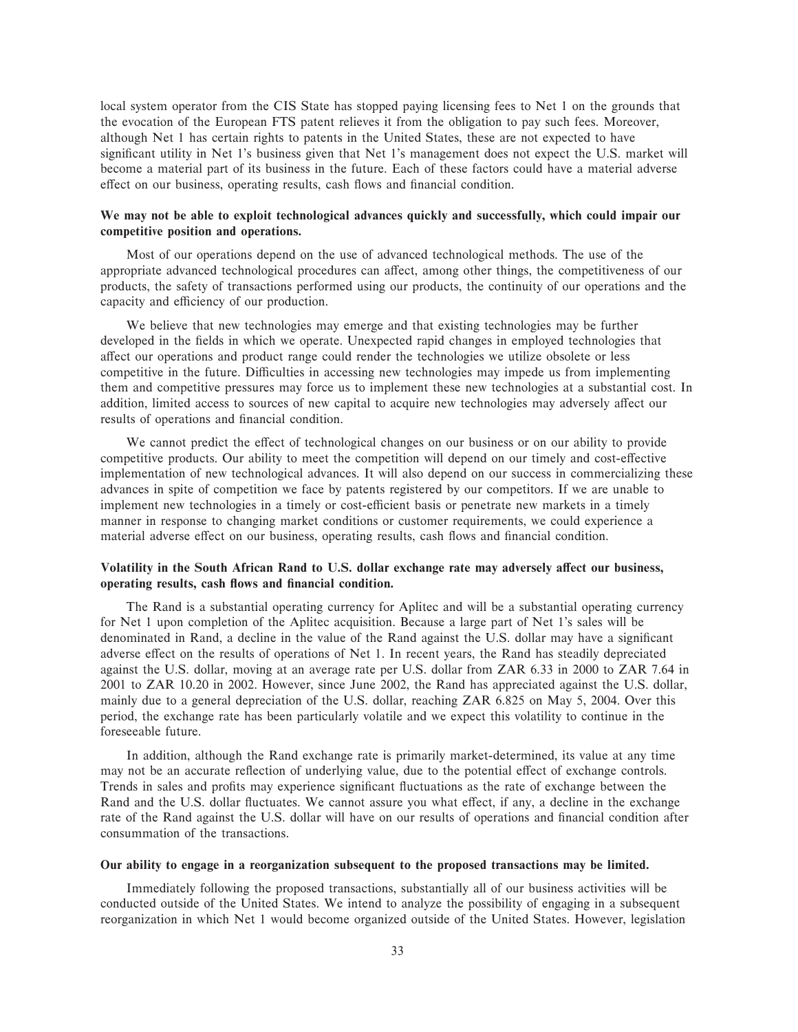local system operator from the CIS State has stopped paying licensing fees to Net 1 on the grounds that the evocation of the European FTS patent relieves it from the obligation to pay such fees. Moreover, although Net 1 has certain rights to patents in the United States, these are not expected to have significant utility in Net 1's business given that Net 1's management does not expect the U.S. market will become a material part of its business in the future. Each of these factors could have a material adverse effect on our business, operating results, cash flows and financial condition.

# **We may not be able to exploit technological advances quickly and successfully, which could impair our competitive position and operations.**

Most of our operations depend on the use of advanced technological methods. The use of the appropriate advanced technological procedures can affect, among other things, the competitiveness of our products, the safety of transactions performed using our products, the continuity of our operations and the capacity and efficiency of our production.

We believe that new technologies may emerge and that existing technologies may be further developed in the fields in which we operate. Unexpected rapid changes in employed technologies that affect our operations and product range could render the technologies we utilize obsolete or less competitive in the future. Difficulties in accessing new technologies may impede us from implementing them and competitive pressures may force us to implement these new technologies at a substantial cost. In addition, limited access to sources of new capital to acquire new technologies may adversely affect our results of operations and financial condition.

We cannot predict the effect of technological changes on our business or on our ability to provide competitive products. Our ability to meet the competition will depend on our timely and cost-effective implementation of new technological advances. It will also depend on our success in commercializing these advances in spite of competition we face by patents registered by our competitors. If we are unable to implement new technologies in a timely or cost-efficient basis or penetrate new markets in a timely manner in response to changing market conditions or customer requirements, we could experience a material adverse effect on our business, operating results, cash flows and financial condition.

# Volatility in the South African Rand to U.S. dollar exchange rate may adversely affect our business, **operating results, cash flows and financial condition.**

The Rand is a substantial operating currency for Aplitec and will be a substantial operating currency for Net 1 upon completion of the Aplitec acquisition. Because a large part of Net 1's sales will be denominated in Rand, a decline in the value of the Rand against the U.S. dollar may have a significant adverse effect on the results of operations of Net 1. In recent years, the Rand has steadily depreciated against the U.S. dollar, moving at an average rate per U.S. dollar from ZAR 6.33 in 2000 to ZAR 7.64 in 2001 to ZAR 10.20 in 2002. However, since June 2002, the Rand has appreciated against the U.S. dollar, mainly due to a general depreciation of the U.S. dollar, reaching ZAR 6.825 on May 5, 2004. Over this period, the exchange rate has been particularly volatile and we expect this volatility to continue in the foreseeable future.

In addition, although the Rand exchange rate is primarily market-determined, its value at any time may not be an accurate reflection of underlying value, due to the potential effect of exchange controls. Trends in sales and profits may experience significant fluctuations as the rate of exchange between the Rand and the U.S. dollar fluctuates. We cannot assure you what effect, if any, a decline in the exchange rate of the Rand against the U.S. dollar will have on our results of operations and financial condition after consummation of the transactions.

## **Our ability to engage in a reorganization subsequent to the proposed transactions may be limited.**

Immediately following the proposed transactions, substantially all of our business activities will be conducted outside of the United States. We intend to analyze the possibility of engaging in a subsequent reorganization in which Net 1 would become organized outside of the United States. However, legislation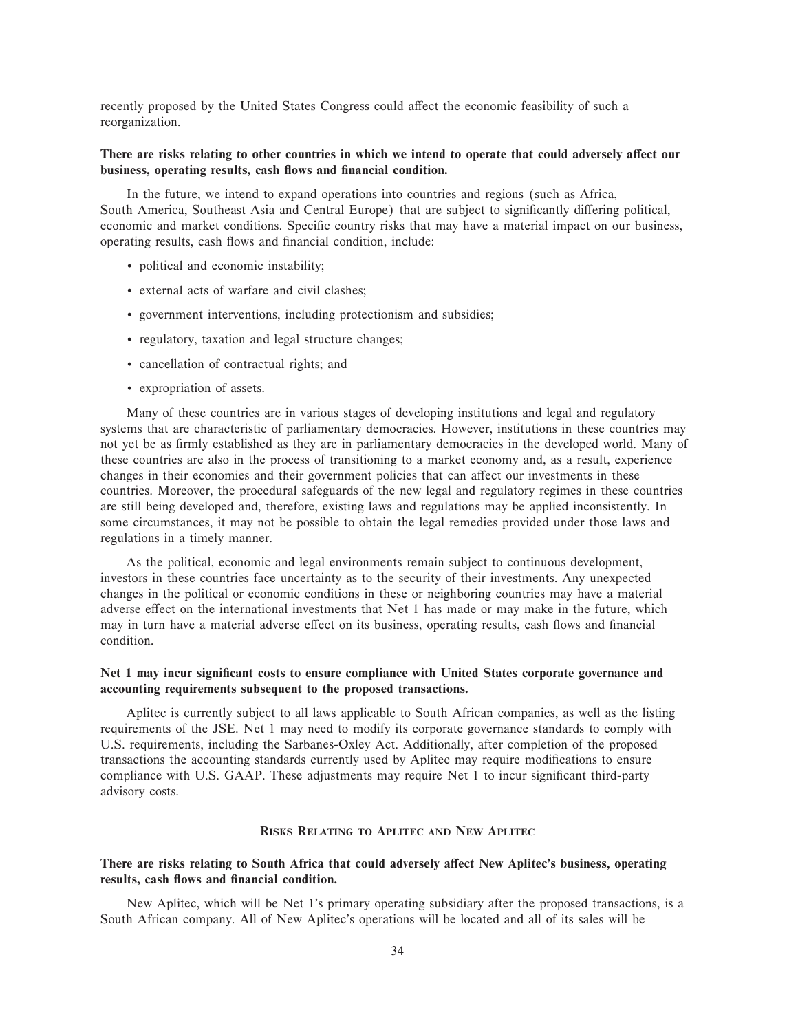recently proposed by the United States Congress could affect the economic feasibility of such a reorganization.

# There are risks relating to other countries in which we intend to operate that could adversely affect our business, operating results, cash flows and financial condition.

In the future, we intend to expand operations into countries and regions (such as Africa, South America, Southeast Asia and Central Europe) that are subject to significantly differing political, economic and market conditions. Specific country risks that may have a material impact on our business, operating results, cash flows and financial condition, include:

- ' political and economic instability;
- ' external acts of warfare and civil clashes;
- ' government interventions, including protectionism and subsidies;
- ' regulatory, taxation and legal structure changes;
- ' cancellation of contractual rights; and
- ' expropriation of assets.

Many of these countries are in various stages of developing institutions and legal and regulatory systems that are characteristic of parliamentary democracies. However, institutions in these countries may not yet be as firmly established as they are in parliamentary democracies in the developed world. Many of these countries are also in the process of transitioning to a market economy and, as a result, experience changes in their economies and their government policies that can affect our investments in these countries. Moreover, the procedural safeguards of the new legal and regulatory regimes in these countries are still being developed and, therefore, existing laws and regulations may be applied inconsistently. In some circumstances, it may not be possible to obtain the legal remedies provided under those laws and regulations in a timely manner.

As the political, economic and legal environments remain subject to continuous development, investors in these countries face uncertainty as to the security of their investments. Any unexpected changes in the political or economic conditions in these or neighboring countries may have a material adverse effect on the international investments that Net 1 has made or may make in the future, which may in turn have a material adverse effect on its business, operating results, cash flows and financial condition.

# Net 1 may incur significant costs to ensure compliance with United States corporate governance and **accounting requirements subsequent to the proposed transactions.**

Aplitec is currently subject to all laws applicable to South African companies, as well as the listing requirements of the JSE. Net 1 may need to modify its corporate governance standards to comply with U.S. requirements, including the Sarbanes-Oxley Act. Additionally, after completion of the proposed transactions the accounting standards currently used by Aplitec may require modifications to ensure compliance with U.S. GAAP. These adjustments may require Net 1 to incur significant third-party advisory costs.

# **RISKS RELATING TO APLITEC AND NEW APLITEC**

# There are risks relating to South Africa that could adversely affect New Aplitec's business, operating results, cash flows and financial condition.

New Aplitec, which will be Net 1's primary operating subsidiary after the proposed transactions, is a South African company. All of New Aplitec's operations will be located and all of its sales will be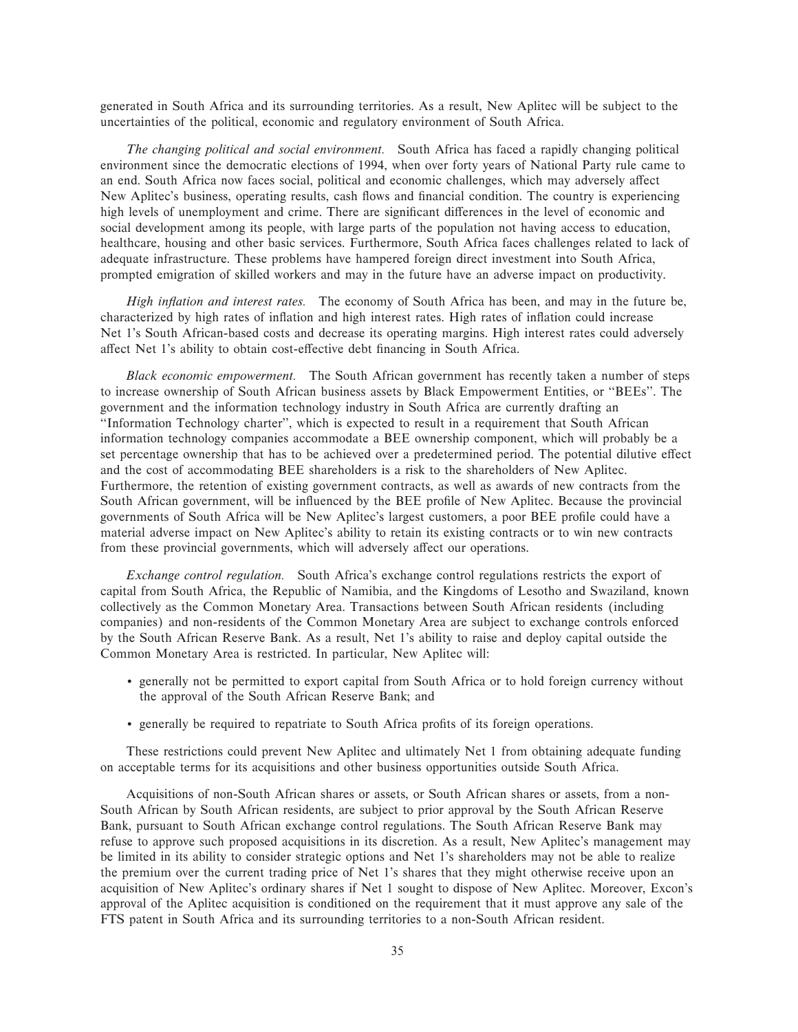generated in South Africa and its surrounding territories. As a result, New Aplitec will be subject to the uncertainties of the political, economic and regulatory environment of South Africa.

*The changing political and social environment.* South Africa has faced a rapidly changing political environment since the democratic elections of 1994, when over forty years of National Party rule came to an end. South Africa now faces social, political and economic challenges, which may adversely affect New Aplitec's business, operating results, cash flows and financial condition. The country is experiencing high levels of unemployment and crime. There are significant differences in the level of economic and social development among its people, with large parts of the population not having access to education, healthcare, housing and other basic services. Furthermore, South Africa faces challenges related to lack of adequate infrastructure. These problems have hampered foreign direct investment into South Africa, prompted emigration of skilled workers and may in the future have an adverse impact on productivity.

*High inflation and interest rates.* The economy of South Africa has been, and may in the future be, characterized by high rates of inflation and high interest rates. High rates of inflation could increase Net 1's South African-based costs and decrease its operating margins. High interest rates could adversely affect Net 1's ability to obtain cost-effective debt financing in South Africa.

*Black economic empowerment.* The South African government has recently taken a number of steps to increase ownership of South African business assets by Black Empowerment Entities, or ""BEEs''. The government and the information technology industry in South Africa are currently drafting an ""Information Technology charter'', which is expected to result in a requirement that South African information technology companies accommodate a BEE ownership component, which will probably be a set percentage ownership that has to be achieved over a predetermined period. The potential dilutive effect and the cost of accommodating BEE shareholders is a risk to the shareholders of New Aplitec. Furthermore, the retention of existing government contracts, as well as awards of new contracts from the South African government, will be influenced by the BEE profile of New Aplitec. Because the provincial governments of South Africa will be New Aplitec's largest customers, a poor BEE profile could have a material adverse impact on New Aplitec's ability to retain its existing contracts or to win new contracts from these provincial governments, which will adversely affect our operations.

*Exchange control regulation.* South Africa's exchange control regulations restricts the export of capital from South Africa, the Republic of Namibia, and the Kingdoms of Lesotho and Swaziland, known collectively as the Common Monetary Area. Transactions between South African residents (including companies) and non-residents of the Common Monetary Area are subject to exchange controls enforced by the South African Reserve Bank. As a result, Net 1's ability to raise and deploy capital outside the Common Monetary Area is restricted. In particular, New Aplitec will:

- ' generally not be permitted to export capital from South Africa or to hold foreign currency without the approval of the South African Reserve Bank; and
- generally be required to repatriate to South Africa profits of its foreign operations.

These restrictions could prevent New Aplitec and ultimately Net 1 from obtaining adequate funding on acceptable terms for its acquisitions and other business opportunities outside South Africa.

Acquisitions of non-South African shares or assets, or South African shares or assets, from a non-South African by South African residents, are subject to prior approval by the South African Reserve Bank, pursuant to South African exchange control regulations. The South African Reserve Bank may refuse to approve such proposed acquisitions in its discretion. As a result, New Aplitec's management may be limited in its ability to consider strategic options and Net 1's shareholders may not be able to realize the premium over the current trading price of Net 1's shares that they might otherwise receive upon an acquisition of New Aplitec's ordinary shares if Net 1 sought to dispose of New Aplitec. Moreover, Excon's approval of the Aplitec acquisition is conditioned on the requirement that it must approve any sale of the FTS patent in South Africa and its surrounding territories to a non-South African resident.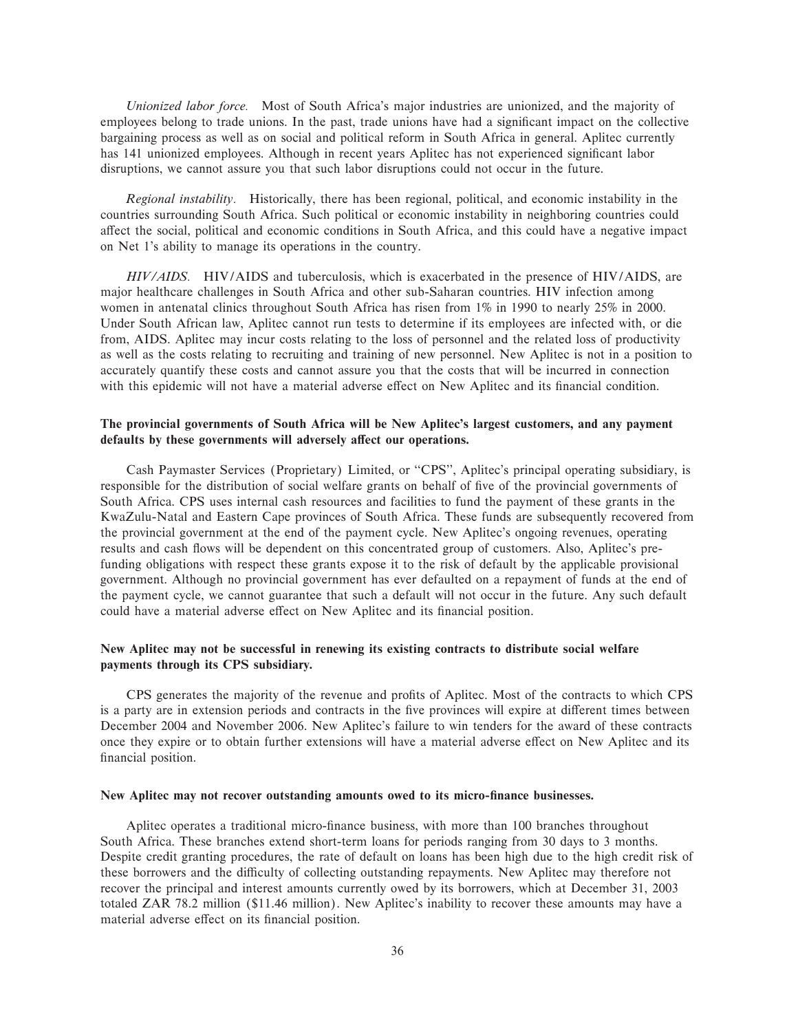*Unionized labor force.* Most of South Africa's major industries are unionized, and the majority of employees belong to trade unions. In the past, trade unions have had a significant impact on the collective bargaining process as well as on social and political reform in South Africa in general. Aplitec currently has 141 unionized employees. Although in recent years Aplitec has not experienced significant labor disruptions, we cannot assure you that such labor disruptions could not occur in the future.

*Regional instability.* Historically, there has been regional, political, and economic instability in the countries surrounding South Africa. Such political or economic instability in neighboring countries could affect the social, political and economic conditions in South Africa, and this could have a negative impact on Net 1's ability to manage its operations in the country.

*HIV/AIDS.* HIV/AIDS and tuberculosis, which is exacerbated in the presence of HIV/AIDS, are major healthcare challenges in South Africa and other sub-Saharan countries. HIV infection among women in antenatal clinics throughout South Africa has risen from 1% in 1990 to nearly 25% in 2000. Under South African law, Aplitec cannot run tests to determine if its employees are infected with, or die from, AIDS. Aplitec may incur costs relating to the loss of personnel and the related loss of productivity as well as the costs relating to recruiting and training of new personnel. New Aplitec is not in a position to accurately quantify these costs and cannot assure you that the costs that will be incurred in connection with this epidemic will not have a material adverse effect on New Aplitec and its financial condition.

# **The provincial governments of South Africa will be New Aplitec's largest customers, and any payment** defaults by these governments will adversely affect our operations.

Cash Paymaster Services (Proprietary) Limited, or "CPS", Aplitec's principal operating subsidiary, is responsible for the distribution of social welfare grants on behalf of five of the provincial governments of South Africa. CPS uses internal cash resources and facilities to fund the payment of these grants in the KwaZulu-Natal and Eastern Cape provinces of South Africa. These funds are subsequently recovered from the provincial government at the end of the payment cycle. New Aplitec's ongoing revenues, operating results and cash flows will be dependent on this concentrated group of customers. Also, Aplitec's prefunding obligations with respect these grants expose it to the risk of default by the applicable provisional government. Although no provincial government has ever defaulted on a repayment of funds at the end of the payment cycle, we cannot guarantee that such a default will not occur in the future. Any such default could have a material adverse effect on New Aplitec and its financial position.

# **New Aplitec may not be successful in renewing its existing contracts to distribute social welfare payments through its CPS subsidiary.**

CPS generates the majority of the revenue and profits of Aplitec. Most of the contracts to which CPS is a party are in extension periods and contracts in the five provinces will expire at different times between December 2004 and November 2006. New Aplitec's failure to win tenders for the award of these contracts once they expire or to obtain further extensions will have a material adverse effect on New Aplitec and its financial position.

## New Aplitec may not recover outstanding amounts owed to its micro-finance businesses.

Aplitec operates a traditional micro-finance business, with more than 100 branches throughout South Africa. These branches extend short-term loans for periods ranging from 30 days to 3 months. Despite credit granting procedures, the rate of default on loans has been high due to the high credit risk of these borrowers and the difficulty of collecting outstanding repayments. New Aplitec may therefore not recover the principal and interest amounts currently owed by its borrowers, which at December 31, 2003 totaled ZAR 78.2 million (\$11.46 million). New Aplitec's inability to recover these amounts may have a material adverse effect on its financial position.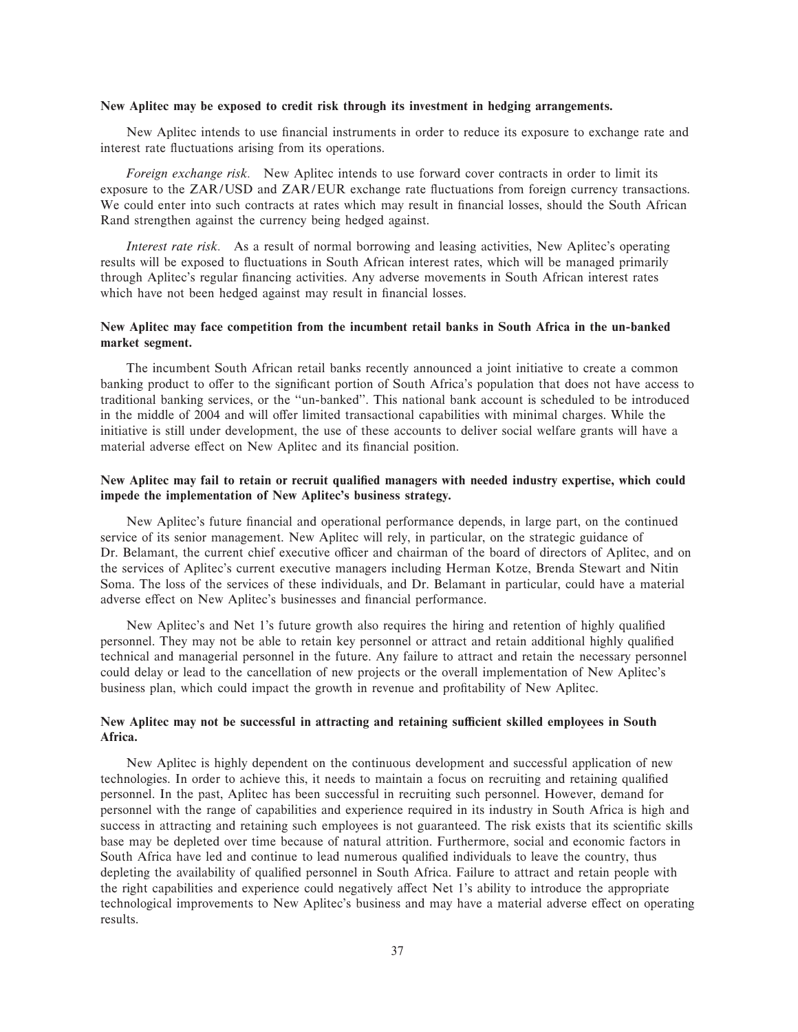### **New Aplitec may be exposed to credit risk through its investment in hedging arrangements.**

New Aplitec intends to use financial instruments in order to reduce its exposure to exchange rate and interest rate fluctuations arising from its operations.

*Foreign exchange risk.* New Aplitec intends to use forward cover contracts in order to limit its exposure to the ZAR/USD and ZAR/EUR exchange rate fluctuations from foreign currency transactions. We could enter into such contracts at rates which may result in financial losses, should the South African Rand strengthen against the currency being hedged against.

*Interest rate risk.* As a result of normal borrowing and leasing activities, New Aplitec's operating results will be exposed to fluctuations in South African interest rates, which will be managed primarily through Aplitec's regular financing activities. Any adverse movements in South African interest rates which have not been hedged against may result in financial losses.

# **New Aplitec may face competition from the incumbent retail banks in South Africa in the un-banked market segment.**

The incumbent South African retail banks recently announced a joint initiative to create a common banking product to offer to the significant portion of South Africa's population that does not have access to traditional banking services, or the ""un-banked''. This national bank account is scheduled to be introduced in the middle of 2004 and will offer limited transactional capabilities with minimal charges. While the initiative is still under development, the use of these accounts to deliver social welfare grants will have a material adverse effect on New Aplitec and its financial position.

# New Aplitec may fail to retain or recruit qualified managers with needed industry expertise, which could **impede the implementation of New Aplitec's business strategy.**

New Aplitec's future financial and operational performance depends, in large part, on the continued service of its senior management. New Aplitec will rely, in particular, on the strategic guidance of Dr. Belamant, the current chief executive officer and chairman of the board of directors of Aplitec, and on the services of Aplitec's current executive managers including Herman Kotze, Brenda Stewart and Nitin Soma. The loss of the services of these individuals, and Dr. Belamant in particular, could have a material adverse effect on New Aplitec's businesses and financial performance.

New Aplitec's and Net 1's future growth also requires the hiring and retention of highly qualified personnel. They may not be able to retain key personnel or attract and retain additional highly qualified technical and managerial personnel in the future. Any failure to attract and retain the necessary personnel could delay or lead to the cancellation of new projects or the overall implementation of New Aplitec's business plan, which could impact the growth in revenue and profitability of New Aplitec.

# New Aplitec may not be successful in attracting and retaining sufficient skilled employees in South **Africa.**

New Aplitec is highly dependent on the continuous development and successful application of new technologies. In order to achieve this, it needs to maintain a focus on recruiting and retaining qualified personnel. In the past, Aplitec has been successful in recruiting such personnel. However, demand for personnel with the range of capabilities and experience required in its industry in South Africa is high and success in attracting and retaining such employees is not guaranteed. The risk exists that its scientific skills base may be depleted over time because of natural attrition. Furthermore, social and economic factors in South Africa have led and continue to lead numerous qualified individuals to leave the country, thus depleting the availability of qualified personnel in South Africa. Failure to attract and retain people with the right capabilities and experience could negatively affect Net 1's ability to introduce the appropriate technological improvements to New Aplitec's business and may have a material adverse effect on operating results.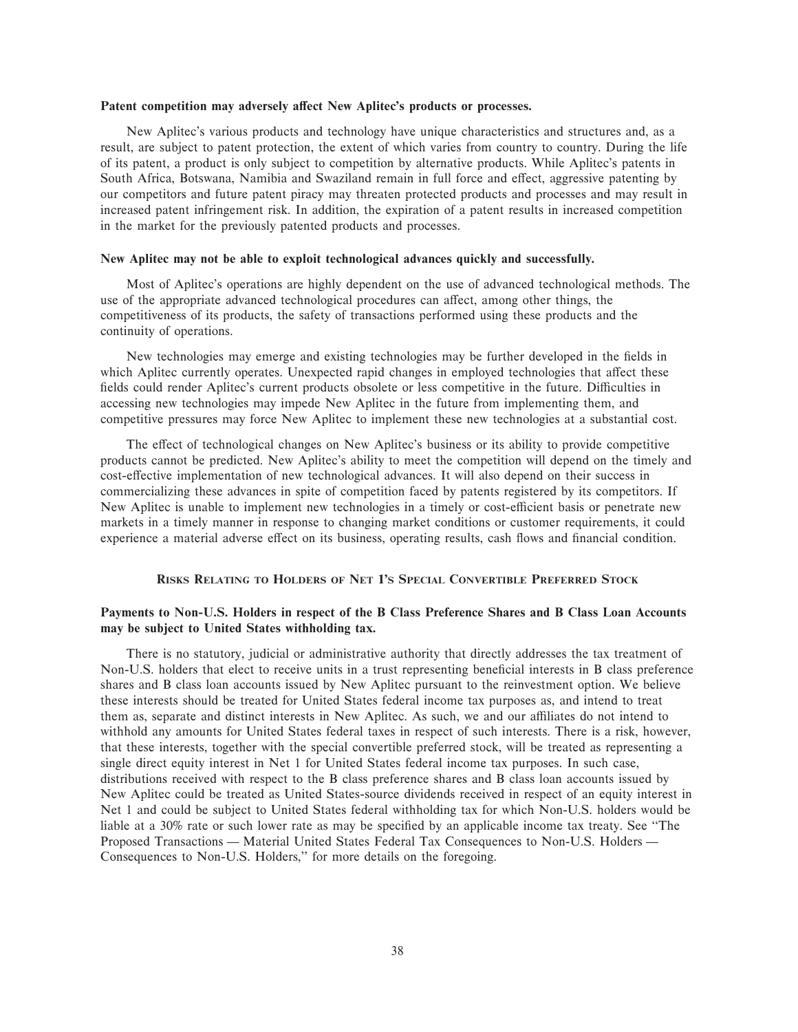### Patent competition may adversely affect New Aplitec's products or processes.

New Aplitec's various products and technology have unique characteristics and structures and, as a result, are subject to patent protection, the extent of which varies from country to country. During the life of its patent, a product is only subject to competition by alternative products. While Aplitec's patents in South Africa, Botswana, Namibia and Swaziland remain in full force and effect, aggressive patenting by our competitors and future patent piracy may threaten protected products and processes and may result in increased patent infringement risk. In addition, the expiration of a patent results in increased competition in the market for the previously patented products and processes.

## **New Aplitec may not be able to exploit technological advances quickly and successfully.**

Most of Aplitec's operations are highly dependent on the use of advanced technological methods. The use of the appropriate advanced technological procedures can affect, among other things, the competitiveness of its products, the safety of transactions performed using these products and the continuity of operations.

New technologies may emerge and existing technologies may be further developed in the fields in which Aplitec currently operates. Unexpected rapid changes in employed technologies that affect these fields could render Aplitec's current products obsolete or less competitive in the future. Difficulties in accessing new technologies may impede New Aplitec in the future from implementing them, and competitive pressures may force New Aplitec to implement these new technologies at a substantial cost.

The effect of technological changes on New Aplitec's business or its ability to provide competitive products cannot be predicted. New Aplitec's ability to meet the competition will depend on the timely and cost-effective implementation of new technological advances. It will also depend on their success in commercializing these advances in spite of competition faced by patents registered by its competitors. If New Aplitec is unable to implement new technologies in a timely or cost-efficient basis or penetrate new markets in a timely manner in response to changing market conditions or customer requirements, it could experience a material adverse effect on its business, operating results, cash flows and financial condition.

# **RISKS RELATING TO HOLDERS OF NET 1'S SPECIAL CONVERTIBLE PREFERRED STOCK**

# **Payments to Non-U.S. Holders in respect of the B Class Preference Shares and B Class Loan Accounts may be subject to United States withholding tax.**

There is no statutory, judicial or administrative authority that directly addresses the tax treatment of Non-U.S. holders that elect to receive units in a trust representing beneficial interests in B class preference shares and B class loan accounts issued by New Aplitec pursuant to the reinvestment option. We believe these interests should be treated for United States federal income tax purposes as, and intend to treat them as, separate and distinct interests in New Aplitec. As such, we and our affiliates do not intend to withhold any amounts for United States federal taxes in respect of such interests. There is a risk, however, that these interests, together with the special convertible preferred stock, will be treated as representing a single direct equity interest in Net 1 for United States federal income tax purposes. In such case, distributions received with respect to the B class preference shares and B class loan accounts issued by New Aplitec could be treated as United States-source dividends received in respect of an equity interest in Net 1 and could be subject to United States federal withholding tax for which Non-U.S. holders would be liable at a 30% rate or such lower rate as may be specified by an applicable income tax treaty. See "The Proposed Transactions — Material United States Federal Tax Consequences to Non-U.S. Holders — Consequences to Non-U.S. Holders,'' for more details on the foregoing.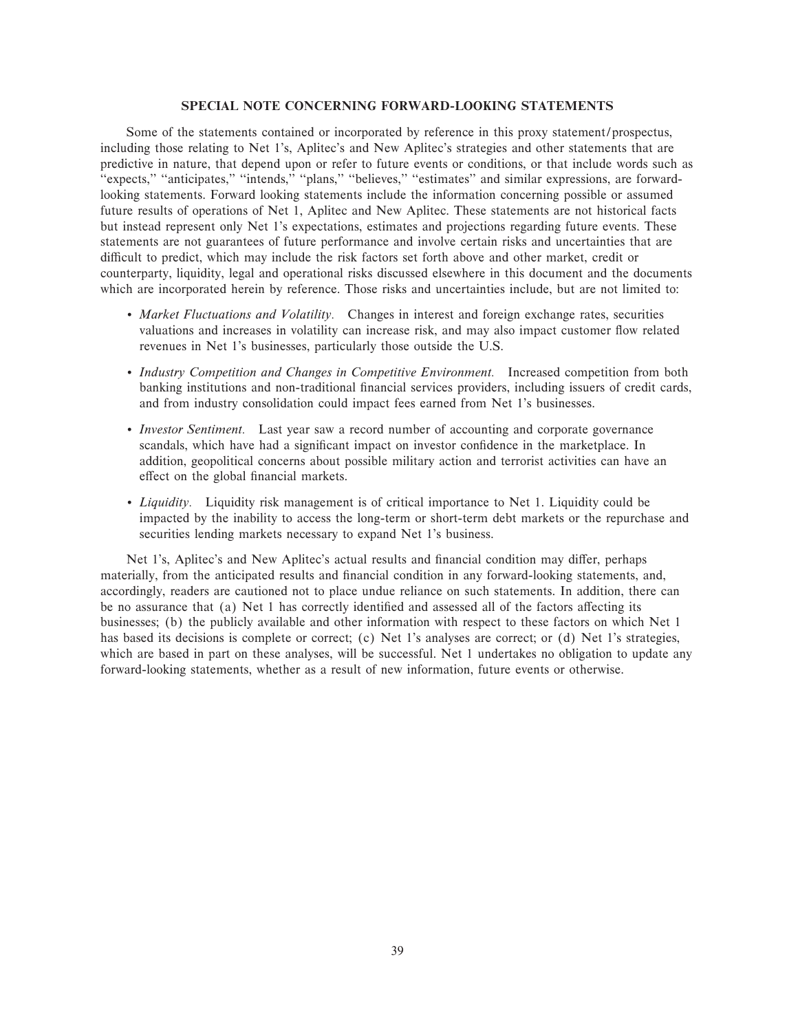## **SPECIAL NOTE CONCERNING FORWARD-LOOKING STATEMENTS**

Some of the statements contained or incorporated by reference in this proxy statement/prospectus, including those relating to Net 1's, Aplitec's and New Aplitec's strategies and other statements that are predictive in nature, that depend upon or refer to future events or conditions, or that include words such as "expects," "anticipates," "intends," "plans," "believes," "estimates" and similar expressions, are forwardlooking statements. Forward looking statements include the information concerning possible or assumed future results of operations of Net 1, Aplitec and New Aplitec. These statements are not historical facts but instead represent only Net 1's expectations, estimates and projections regarding future events. These statements are not guarantees of future performance and involve certain risks and uncertainties that are difficult to predict, which may include the risk factors set forth above and other market, credit or counterparty, liquidity, legal and operational risks discussed elsewhere in this document and the documents which are incorporated herein by reference. Those risks and uncertainties include, but are not limited to:

- ' *Market Fluctuations and Volatility.* Changes in interest and foreign exchange rates, securities valuations and increases in volatility can increase risk, and may also impact customer flow related revenues in Net 1's businesses, particularly those outside the U.S.
- ' *Industry Competition and Changes in Competitive Environment.* Increased competition from both banking institutions and non-traditional financial services providers, including issuers of credit cards, and from industry consolidation could impact fees earned from Net 1's businesses.
- ' *Investor Sentiment.* Last year saw a record number of accounting and corporate governance scandals, which have had a significant impact on investor confidence in the marketplace. In addition, geopolitical concerns about possible military action and terrorist activities can have an effect on the global financial markets.
- ' *Liquidity.* Liquidity risk management is of critical importance to Net 1. Liquidity could be impacted by the inability to access the long-term or short-term debt markets or the repurchase and securities lending markets necessary to expand Net 1's business.

Net 1's, Aplitec's and New Aplitec's actual results and financial condition may differ, perhaps materially, from the anticipated results and financial condition in any forward-looking statements, and, accordingly, readers are cautioned not to place undue reliance on such statements. In addition, there can be no assurance that (a) Net 1 has correctly identified and assessed all of the factors affecting its businesses; (b) the publicly available and other information with respect to these factors on which Net 1 has based its decisions is complete or correct; (c) Net 1's analyses are correct; or (d) Net 1's strategies, which are based in part on these analyses, will be successful. Net 1 undertakes no obligation to update any forward-looking statements, whether as a result of new information, future events or otherwise.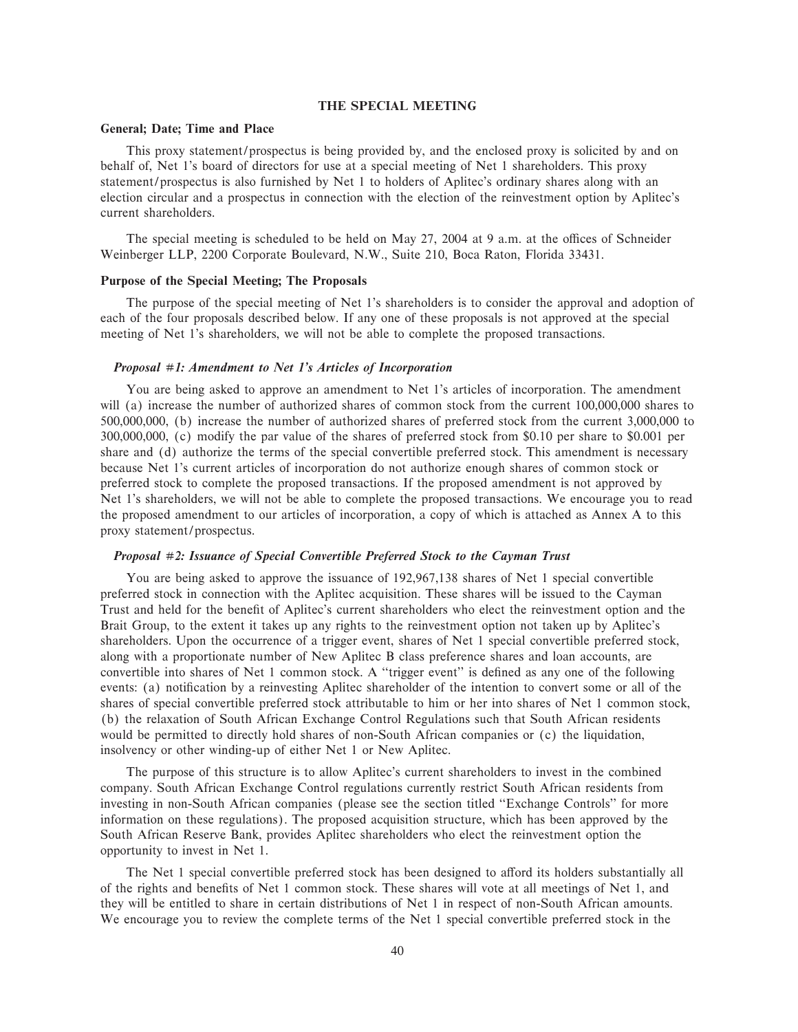## **THE SPECIAL MEETING**

### **General; Date; Time and Place**

This proxy statement/prospectus is being provided by, and the enclosed proxy is solicited by and on behalf of, Net 1's board of directors for use at a special meeting of Net 1 shareholders. This proxy statement/prospectus is also furnished by Net 1 to holders of Aplitec's ordinary shares along with an election circular and a prospectus in connection with the election of the reinvestment option by Aplitec's current shareholders.

The special meeting is scheduled to be held on May  $27$ ,  $2004$  at 9 a.m. at the offices of Schneider Weinberger LLP, 2200 Corporate Boulevard, N.W., Suite 210, Boca Raton, Florida 33431.

### **Purpose of the Special Meeting; The Proposals**

The purpose of the special meeting of Net 1's shareholders is to consider the approval and adoption of each of the four proposals described below. If any one of these proposals is not approved at the special meeting of Net 1's shareholders, we will not be able to complete the proposed transactions.

#### *Proposal #1: Amendment to Net 1's Articles of Incorporation*

You are being asked to approve an amendment to Net 1's articles of incorporation. The amendment will (a) increase the number of authorized shares of common stock from the current 100,000,000 shares to 500,000,000, (b) increase the number of authorized shares of preferred stock from the current 3,000,000 to 300,000,000, (c) modify the par value of the shares of preferred stock from \$0.10 per share to \$0.001 per share and (d) authorize the terms of the special convertible preferred stock. This amendment is necessary because Net 1's current articles of incorporation do not authorize enough shares of common stock or preferred stock to complete the proposed transactions. If the proposed amendment is not approved by Net 1's shareholders, we will not be able to complete the proposed transactions. We encourage you to read the proposed amendment to our articles of incorporation, a copy of which is attached as Annex A to this proxy statement/prospectus.

## *Proposal #2: Issuance of Special Convertible Preferred Stock to the Cayman Trust*

You are being asked to approve the issuance of 192,967,138 shares of Net 1 special convertible preferred stock in connection with the Aplitec acquisition. These shares will be issued to the Cayman Trust and held for the benefit of Aplitec's current shareholders who elect the reinvestment option and the Brait Group, to the extent it takes up any rights to the reinvestment option not taken up by Aplitec's shareholders. Upon the occurrence of a trigger event, shares of Net 1 special convertible preferred stock, along with a proportionate number of New Aplitec B class preference shares and loan accounts, are convertible into shares of Net 1 common stock. A "trigger event" is defined as any one of the following events: (a) notification by a reinvesting Aplitec shareholder of the intention to convert some or all of the shares of special convertible preferred stock attributable to him or her into shares of Net 1 common stock, (b) the relaxation of South African Exchange Control Regulations such that South African residents would be permitted to directly hold shares of non-South African companies or (c) the liquidation, insolvency or other winding-up of either Net 1 or New Aplitec.

The purpose of this structure is to allow Aplitec's current shareholders to invest in the combined company. South African Exchange Control regulations currently restrict South African residents from investing in non-South African companies (please see the section titled "Exchange Controls" for more information on these regulations). The proposed acquisition structure, which has been approved by the South African Reserve Bank, provides Aplitec shareholders who elect the reinvestment option the opportunity to invest in Net 1.

The Net 1 special convertible preferred stock has been designed to afford its holders substantially all of the rights and benefits of Net 1 common stock. These shares will vote at all meetings of Net 1, and they will be entitled to share in certain distributions of Net 1 in respect of non-South African amounts. We encourage you to review the complete terms of the Net 1 special convertible preferred stock in the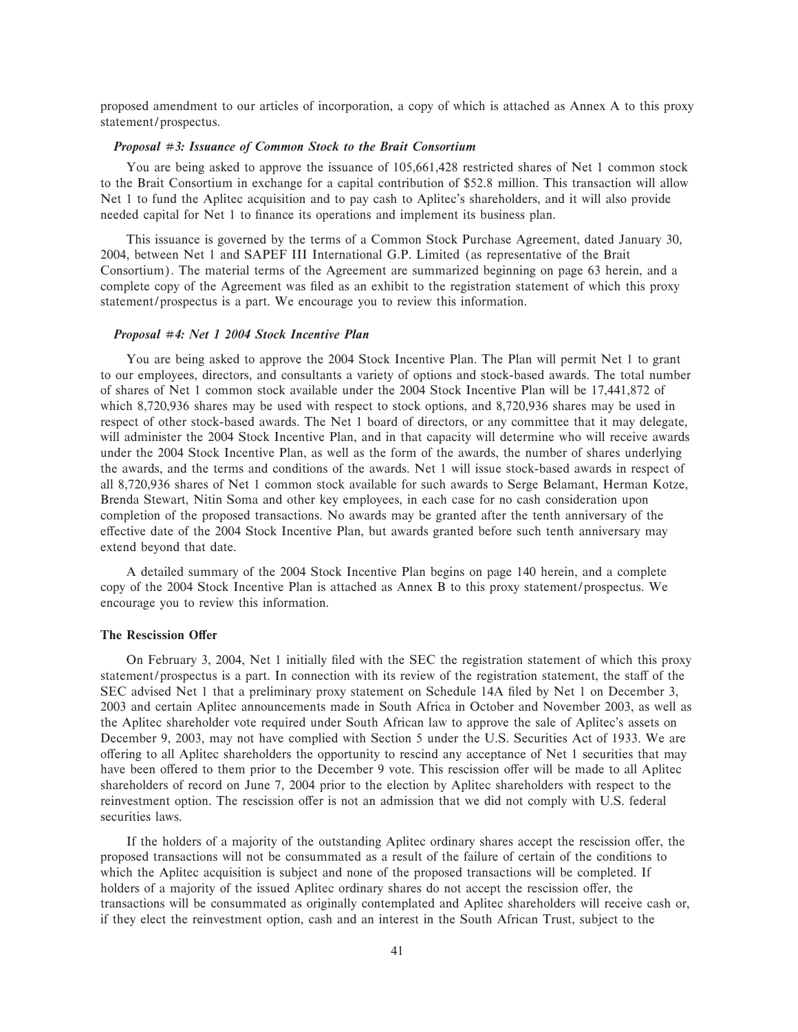proposed amendment to our articles of incorporation, a copy of which is attached as Annex A to this proxy statement/prospectus.

## *Proposal #3: Issuance of Common Stock to the Brait Consortium*

You are being asked to approve the issuance of 105,661,428 restricted shares of Net 1 common stock to the Brait Consortium in exchange for a capital contribution of \$52.8 million. This transaction will allow Net 1 to fund the Aplitec acquisition and to pay cash to Aplitec's shareholders, and it will also provide needed capital for Net 1 to finance its operations and implement its business plan.

This issuance is governed by the terms of a Common Stock Purchase Agreement, dated January 30, 2004, between Net 1 and SAPEF III International G.P. Limited (as representative of the Brait Consortium). The material terms of the Agreement are summarized beginning on page 63 herein, and a complete copy of the Agreement was filed as an exhibit to the registration statement of which this proxy statement/prospectus is a part. We encourage you to review this information.

### *Proposal #4: Net 1 2004 Stock Incentive Plan*

You are being asked to approve the 2004 Stock Incentive Plan. The Plan will permit Net 1 to grant to our employees, directors, and consultants a variety of options and stock-based awards. The total number of shares of Net 1 common stock available under the 2004 Stock Incentive Plan will be 17,441,872 of which 8,720,936 shares may be used with respect to stock options, and 8,720,936 shares may be used in respect of other stock-based awards. The Net 1 board of directors, or any committee that it may delegate, will administer the 2004 Stock Incentive Plan, and in that capacity will determine who will receive awards under the 2004 Stock Incentive Plan, as well as the form of the awards, the number of shares underlying the awards, and the terms and conditions of the awards. Net 1 will issue stock-based awards in respect of all 8,720,936 shares of Net 1 common stock available for such awards to Serge Belamant, Herman Kotze, Brenda Stewart, Nitin Soma and other key employees, in each case for no cash consideration upon completion of the proposed transactions. No awards may be granted after the tenth anniversary of the effective date of the 2004 Stock Incentive Plan, but awards granted before such tenth anniversary may extend beyond that date.

A detailed summary of the 2004 Stock Incentive Plan begins on page 140 herein, and a complete copy of the 2004 Stock Incentive Plan is attached as Annex B to this proxy statement/prospectus. We encourage you to review this information.

### **The Rescission Offer**

On February 3, 2004, Net 1 initially filed with the SEC the registration statement of which this proxy statement/prospectus is a part. In connection with its review of the registration statement, the staff of the SEC advised Net 1 that a preliminary proxy statement on Schedule 14A filed by Net 1 on December 3, 2003 and certain Aplitec announcements made in South Africa in October and November 2003, as well as the Aplitec shareholder vote required under South African law to approve the sale of Aplitec's assets on December 9, 2003, may not have complied with Section 5 under the U.S. Securities Act of 1933. We are offering to all Aplitec shareholders the opportunity to rescind any acceptance of Net 1 securities that may have been offered to them prior to the December 9 vote. This rescission offer will be made to all Aplitec shareholders of record on June 7, 2004 prior to the election by Aplitec shareholders with respect to the reinvestment option. The rescission offer is not an admission that we did not comply with U.S. federal securities laws.

If the holders of a majority of the outstanding Aplitec ordinary shares accept the rescission offer, the proposed transactions will not be consummated as a result of the failure of certain of the conditions to which the Aplitec acquisition is subject and none of the proposed transactions will be completed. If holders of a majority of the issued Aplitec ordinary shares do not accept the rescission offer, the transactions will be consummated as originally contemplated and Aplitec shareholders will receive cash or, if they elect the reinvestment option, cash and an interest in the South African Trust, subject to the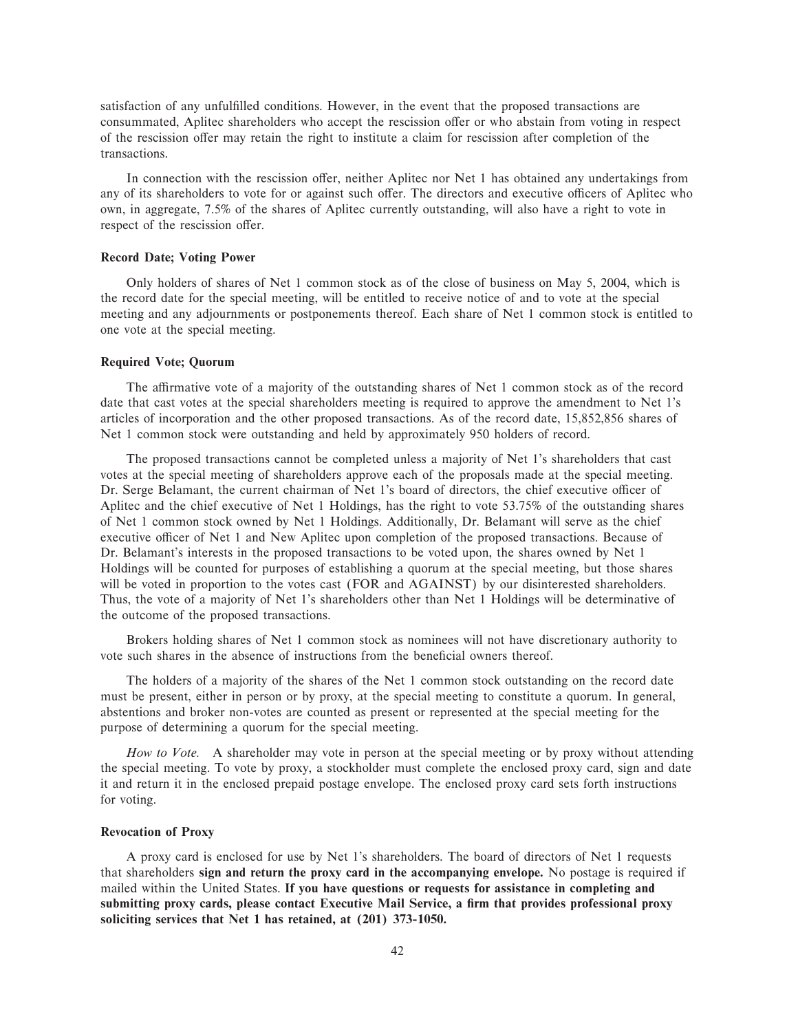satisfaction of any unfulfilled conditions. However, in the event that the proposed transactions are consummated, Aplitec shareholders who accept the rescission offer or who abstain from voting in respect of the rescission offer may retain the right to institute a claim for rescission after completion of the transactions.

In connection with the rescission offer, neither Aplitec nor Net 1 has obtained any undertakings from any of its shareholders to vote for or against such offer. The directors and executive officers of Aplitec who own, in aggregate, 7.5% of the shares of Aplitec currently outstanding, will also have a right to vote in respect of the rescission offer.

## **Record Date; Voting Power**

Only holders of shares of Net 1 common stock as of the close of business on May 5, 2004, which is the record date for the special meeting, will be entitled to receive notice of and to vote at the special meeting and any adjournments or postponements thereof. Each share of Net 1 common stock is entitled to one vote at the special meeting.

## **Required Vote; Quorum**

The affirmative vote of a majority of the outstanding shares of Net 1 common stock as of the record date that cast votes at the special shareholders meeting is required to approve the amendment to Net 1's articles of incorporation and the other proposed transactions. As of the record date, 15,852,856 shares of Net 1 common stock were outstanding and held by approximately 950 holders of record.

The proposed transactions cannot be completed unless a majority of Net 1's shareholders that cast votes at the special meeting of shareholders approve each of the proposals made at the special meeting. Dr. Serge Belamant, the current chairman of Net 1's board of directors, the chief executive officer of Aplitec and the chief executive of Net 1 Holdings, has the right to vote 53.75% of the outstanding shares of Net 1 common stock owned by Net 1 Holdings. Additionally, Dr. Belamant will serve as the chief executive officer of Net 1 and New Aplitec upon completion of the proposed transactions. Because of Dr. Belamant's interests in the proposed transactions to be voted upon, the shares owned by Net 1 Holdings will be counted for purposes of establishing a quorum at the special meeting, but those shares will be voted in proportion to the votes cast (FOR and AGAINST) by our disinterested shareholders. Thus, the vote of a majority of Net 1's shareholders other than Net 1 Holdings will be determinative of the outcome of the proposed transactions.

Brokers holding shares of Net 1 common stock as nominees will not have discretionary authority to vote such shares in the absence of instructions from the beneficial owners thereof.

The holders of a majority of the shares of the Net 1 common stock outstanding on the record date must be present, either in person or by proxy, at the special meeting to constitute a quorum. In general, abstentions and broker non-votes are counted as present or represented at the special meeting for the purpose of determining a quorum for the special meeting.

*How to Vote.* A shareholder may vote in person at the special meeting or by proxy without attending the special meeting. To vote by proxy, a stockholder must complete the enclosed proxy card, sign and date it and return it in the enclosed prepaid postage envelope. The enclosed proxy card sets forth instructions for voting.

## **Revocation of Proxy**

A proxy card is enclosed for use by Net 1's shareholders. The board of directors of Net 1 requests that shareholders **sign and return the proxy card in the accompanying envelope.** No postage is required if mailed within the United States. **If you have questions or requests for assistance in completing and** submitting proxy cards, please contact Executive Mail Service, a firm that provides professional proxy **soliciting services that Net 1 has retained, at (201) 373-1050.**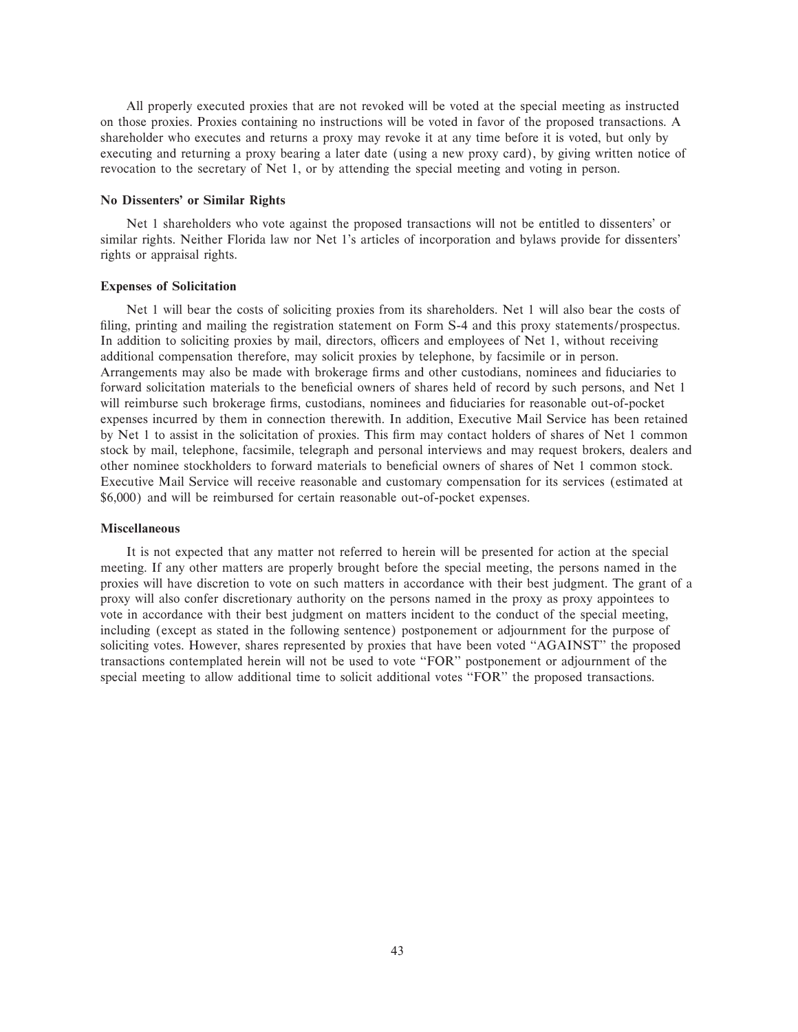All properly executed proxies that are not revoked will be voted at the special meeting as instructed on those proxies. Proxies containing no instructions will be voted in favor of the proposed transactions. A shareholder who executes and returns a proxy may revoke it at any time before it is voted, but only by executing and returning a proxy bearing a later date (using a new proxy card), by giving written notice of revocation to the secretary of Net 1, or by attending the special meeting and voting in person.

# **No Dissenters' or Similar Rights**

Net 1 shareholders who vote against the proposed transactions will not be entitled to dissenters' or similar rights. Neither Florida law nor Net 1's articles of incorporation and bylaws provide for dissenters' rights or appraisal rights.

# **Expenses of Solicitation**

Net 1 will bear the costs of soliciting proxies from its shareholders. Net 1 will also bear the costs of filing, printing and mailing the registration statement on Form S-4 and this proxy statements/prospectus. In addition to soliciting proxies by mail, directors, officers and employees of Net 1, without receiving additional compensation therefore, may solicit proxies by telephone, by facsimile or in person. Arrangements may also be made with brokerage firms and other custodians, nominees and fiduciaries to forward solicitation materials to the beneficial owners of shares held of record by such persons, and Net 1 will reimburse such brokerage firms, custodians, nominees and fiduciaries for reasonable out-of-pocket expenses incurred by them in connection therewith. In addition, Executive Mail Service has been retained by Net 1 to assist in the solicitation of proxies. This firm may contact holders of shares of Net 1 common stock by mail, telephone, facsimile, telegraph and personal interviews and may request brokers, dealers and other nominee stockholders to forward materials to beneficial owners of shares of Net 1 common stock. Executive Mail Service will receive reasonable and customary compensation for its services (estimated at \$6,000) and will be reimbursed for certain reasonable out-of-pocket expenses.

#### **Miscellaneous**

It is not expected that any matter not referred to herein will be presented for action at the special meeting. If any other matters are properly brought before the special meeting, the persons named in the proxies will have discretion to vote on such matters in accordance with their best judgment. The grant of a proxy will also confer discretionary authority on the persons named in the proxy as proxy appointees to vote in accordance with their best judgment on matters incident to the conduct of the special meeting, including (except as stated in the following sentence) postponement or adjournment for the purpose of soliciting votes. However, shares represented by proxies that have been voted "AGAINST" the proposed transactions contemplated herein will not be used to vote ""FOR'' postponement or adjournment of the special meeting to allow additional time to solicit additional votes "FOR" the proposed transactions.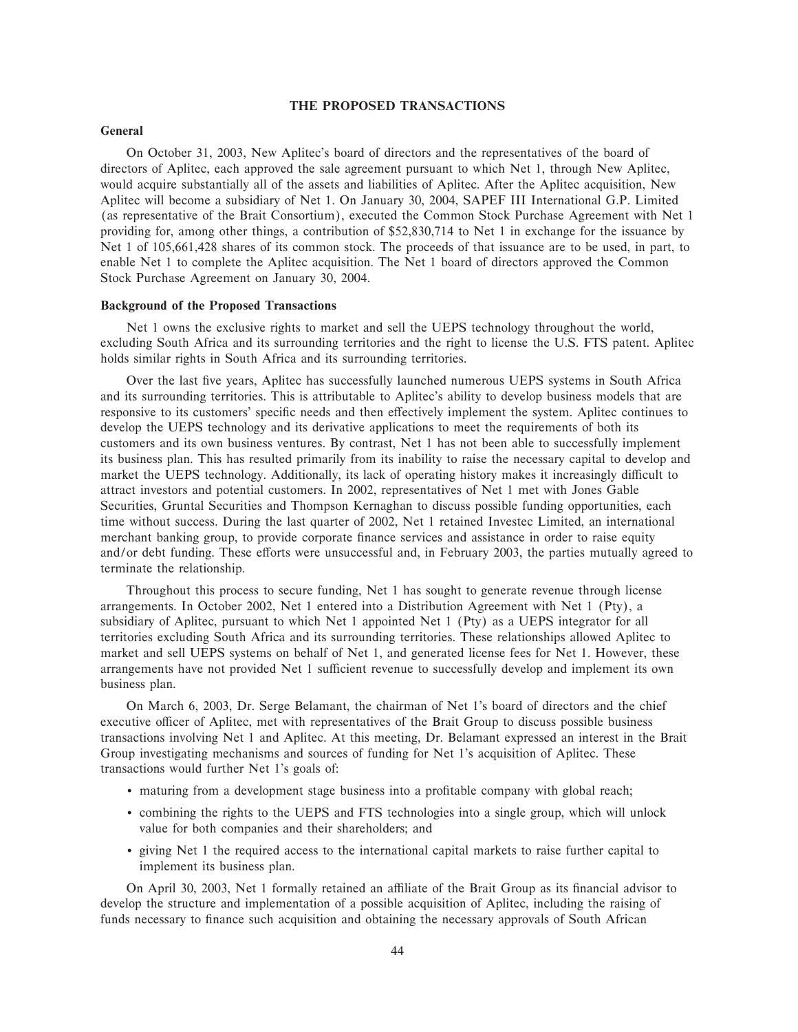## **THE PROPOSED TRANSACTIONS**

## **General**

On October 31, 2003, New Aplitec's board of directors and the representatives of the board of directors of Aplitec, each approved the sale agreement pursuant to which Net 1, through New Aplitec, would acquire substantially all of the assets and liabilities of Aplitec. After the Aplitec acquisition, New Aplitec will become a subsidiary of Net 1. On January 30, 2004, SAPEF III International G.P. Limited (as representative of the Brait Consortium), executed the Common Stock Purchase Agreement with Net 1 providing for, among other things, a contribution of \$52,830,714 to Net 1 in exchange for the issuance by Net 1 of 105,661,428 shares of its common stock. The proceeds of that issuance are to be used, in part, to enable Net 1 to complete the Aplitec acquisition. The Net 1 board of directors approved the Common Stock Purchase Agreement on January 30, 2004.

## **Background of the Proposed Transactions**

Net 1 owns the exclusive rights to market and sell the UEPS technology throughout the world, excluding South Africa and its surrounding territories and the right to license the U.S. FTS patent. Aplitec holds similar rights in South Africa and its surrounding territories.

Over the last five years, Aplitec has successfully launched numerous UEPS systems in South Africa and its surrounding territories. This is attributable to Aplitec's ability to develop business models that are responsive to its customers' specific needs and then effectively implement the system. Aplitec continues to develop the UEPS technology and its derivative applications to meet the requirements of both its customers and its own business ventures. By contrast, Net 1 has not been able to successfully implement its business plan. This has resulted primarily from its inability to raise the necessary capital to develop and market the UEPS technology. Additionally, its lack of operating history makes it increasingly difficult to attract investors and potential customers. In 2002, representatives of Net 1 met with Jones Gable Securities, Gruntal Securities and Thompson Kernaghan to discuss possible funding opportunities, each time without success. During the last quarter of 2002, Net 1 retained Investec Limited, an international merchant banking group, to provide corporate finance services and assistance in order to raise equity and/or debt funding. These efforts were unsuccessful and, in February 2003, the parties mutually agreed to terminate the relationship.

Throughout this process to secure funding, Net 1 has sought to generate revenue through license arrangements. In October 2002, Net 1 entered into a Distribution Agreement with Net 1 (Pty), a subsidiary of Aplitec, pursuant to which Net 1 appointed Net 1 (Pty) as a UEPS integrator for all territories excluding South Africa and its surrounding territories. These relationships allowed Aplitec to market and sell UEPS systems on behalf of Net 1, and generated license fees for Net 1. However, these arrangements have not provided Net 1 sufficient revenue to successfully develop and implement its own business plan.

On March 6, 2003, Dr. Serge Belamant, the chairman of Net 1's board of directors and the chief executive officer of Aplitec, met with representatives of the Brait Group to discuss possible business transactions involving Net 1 and Aplitec. At this meeting, Dr. Belamant expressed an interest in the Brait Group investigating mechanisms and sources of funding for Net 1's acquisition of Aplitec. These transactions would further Net 1's goals of:

- maturing from a development stage business into a profitable company with global reach;
- ' combining the rights to the UEPS and FTS technologies into a single group, which will unlock value for both companies and their shareholders; and
- ' giving Net 1 the required access to the international capital markets to raise further capital to implement its business plan.

On April 30, 2003, Net 1 formally retained an affiliate of the Brait Group as its financial advisor to develop the structure and implementation of a possible acquisition of Aplitec, including the raising of funds necessary to finance such acquisition and obtaining the necessary approvals of South African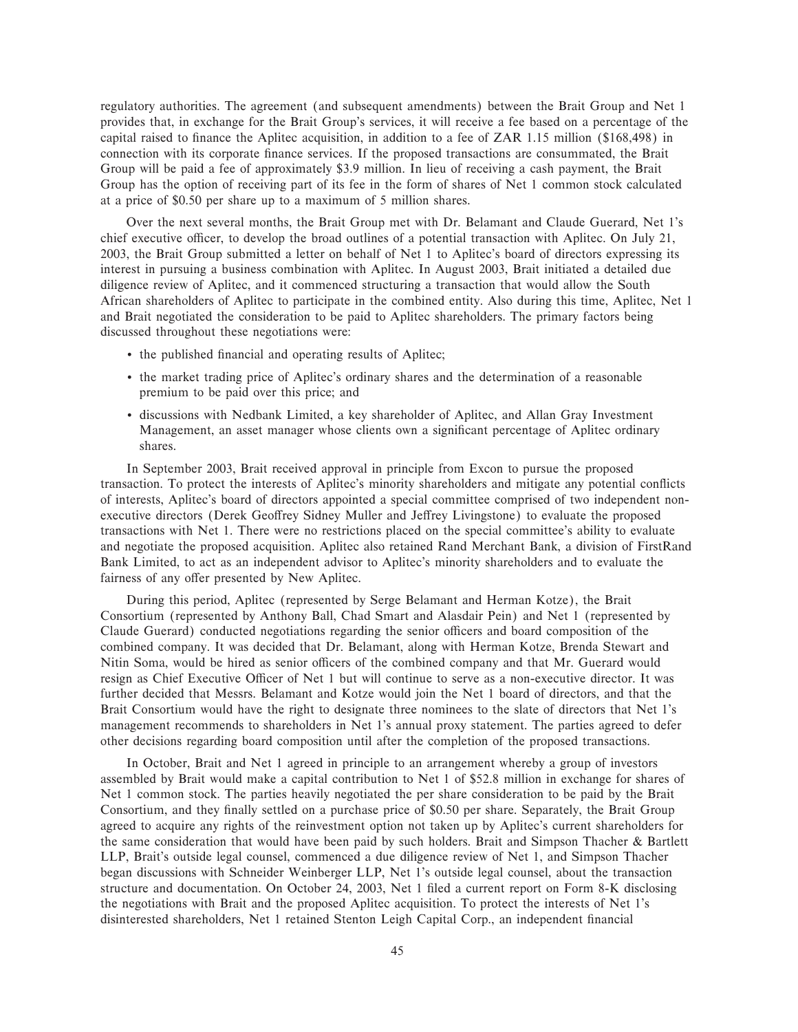regulatory authorities. The agreement (and subsequent amendments) between the Brait Group and Net 1 provides that, in exchange for the Brait Group's services, it will receive a fee based on a percentage of the capital raised to finance the Aplitec acquisition, in addition to a fee of ZAR 1.15 million (\$168,498) in connection with its corporate finance services. If the proposed transactions are consummated, the Brait Group will be paid a fee of approximately \$3.9 million. In lieu of receiving a cash payment, the Brait Group has the option of receiving part of its fee in the form of shares of Net 1 common stock calculated at a price of \$0.50 per share up to a maximum of 5 million shares.

Over the next several months, the Brait Group met with Dr. Belamant and Claude Guerard, Net 1's chief executive officer, to develop the broad outlines of a potential transaction with Aplitec. On July 21, 2003, the Brait Group submitted a letter on behalf of Net 1 to Aplitec's board of directors expressing its interest in pursuing a business combination with Aplitec. In August 2003, Brait initiated a detailed due diligence review of Aplitec, and it commenced structuring a transaction that would allow the South African shareholders of Aplitec to participate in the combined entity. Also during this time, Aplitec, Net 1 and Brait negotiated the consideration to be paid to Aplitec shareholders. The primary factors being discussed throughout these negotiations were:

- the published financial and operating results of Aplitec;
- ' the market trading price of Aplitec's ordinary shares and the determination of a reasonable premium to be paid over this price; and
- ' discussions with Nedbank Limited, a key shareholder of Aplitec, and Allan Gray Investment Management, an asset manager whose clients own a significant percentage of Aplitec ordinary shares.

In September 2003, Brait received approval in principle from Excon to pursue the proposed transaction. To protect the interests of Aplitec's minority shareholders and mitigate any potential conflicts of interests, Aplitec's board of directors appointed a special committee comprised of two independent nonexecutive directors (Derek Geoffrey Sidney Muller and Jeffrey Livingstone) to evaluate the proposed transactions with Net 1. There were no restrictions placed on the special committee's ability to evaluate and negotiate the proposed acquisition. Aplitec also retained Rand Merchant Bank, a division of FirstRand Bank Limited, to act as an independent advisor to Aplitec's minority shareholders and to evaluate the fairness of any offer presented by New Aplitec.

During this period, Aplitec (represented by Serge Belamant and Herman Kotze), the Brait Consortium (represented by Anthony Ball, Chad Smart and Alasdair Pein) and Net 1 (represented by Claude Guerard) conducted negotiations regarding the senior officers and board composition of the combined company. It was decided that Dr. Belamant, along with Herman Kotze, Brenda Stewart and Nitin Soma, would be hired as senior officers of the combined company and that Mr. Guerard would resign as Chief Executive Officer of Net 1 but will continue to serve as a non-executive director. It was further decided that Messrs. Belamant and Kotze would join the Net 1 board of directors, and that the Brait Consortium would have the right to designate three nominees to the slate of directors that Net 1's management recommends to shareholders in Net 1's annual proxy statement. The parties agreed to defer other decisions regarding board composition until after the completion of the proposed transactions.

In October, Brait and Net 1 agreed in principle to an arrangement whereby a group of investors assembled by Brait would make a capital contribution to Net 1 of \$52.8 million in exchange for shares of Net 1 common stock. The parties heavily negotiated the per share consideration to be paid by the Brait Consortium, and they finally settled on a purchase price of \$0.50 per share. Separately, the Brait Group agreed to acquire any rights of the reinvestment option not taken up by Aplitec's current shareholders for the same consideration that would have been paid by such holders. Brait and Simpson Thacher & Bartlett LLP, Brait's outside legal counsel, commenced a due diligence review of Net 1, and Simpson Thacher began discussions with Schneider Weinberger LLP, Net 1's outside legal counsel, about the transaction structure and documentation. On October 24, 2003, Net 1 filed a current report on Form 8-K disclosing the negotiations with Brait and the proposed Aplitec acquisition. To protect the interests of Net 1's disinterested shareholders, Net 1 retained Stenton Leigh Capital Corp., an independent financial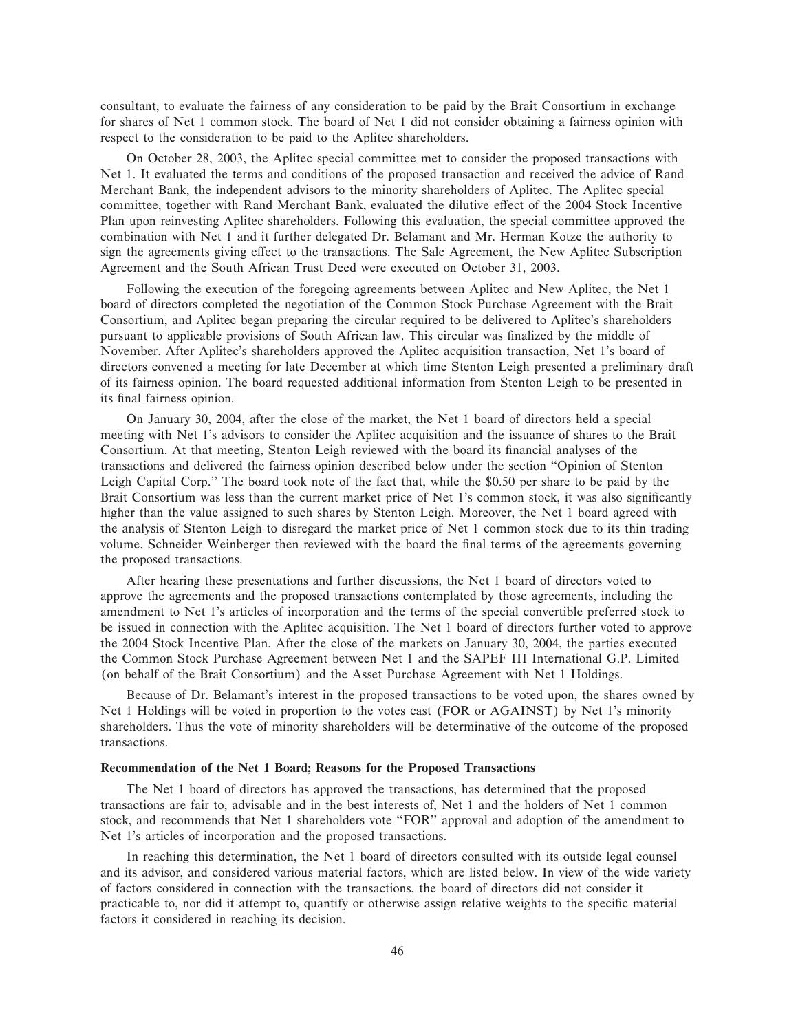consultant, to evaluate the fairness of any consideration to be paid by the Brait Consortium in exchange for shares of Net 1 common stock. The board of Net 1 did not consider obtaining a fairness opinion with respect to the consideration to be paid to the Aplitec shareholders.

On October 28, 2003, the Aplitec special committee met to consider the proposed transactions with Net 1. It evaluated the terms and conditions of the proposed transaction and received the advice of Rand Merchant Bank, the independent advisors to the minority shareholders of Aplitec. The Aplitec special committee, together with Rand Merchant Bank, evaluated the dilutive effect of the 2004 Stock Incentive Plan upon reinvesting Aplitec shareholders. Following this evaluation, the special committee approved the combination with Net 1 and it further delegated Dr. Belamant and Mr. Herman Kotze the authority to sign the agreements giving effect to the transactions. The Sale Agreement, the New Aplitec Subscription Agreement and the South African Trust Deed were executed on October 31, 2003.

Following the execution of the foregoing agreements between Aplitec and New Aplitec, the Net 1 board of directors completed the negotiation of the Common Stock Purchase Agreement with the Brait Consortium, and Aplitec began preparing the circular required to be delivered to Aplitec's shareholders pursuant to applicable provisions of South African law. This circular was finalized by the middle of November. After Aplitec's shareholders approved the Aplitec acquisition transaction, Net 1's board of directors convened a meeting for late December at which time Stenton Leigh presented a preliminary draft of its fairness opinion. The board requested additional information from Stenton Leigh to be presented in its final fairness opinion.

On January 30, 2004, after the close of the market, the Net 1 board of directors held a special meeting with Net 1's advisors to consider the Aplitec acquisition and the issuance of shares to the Brait Consortium. At that meeting, Stenton Leigh reviewed with the board its financial analyses of the transactions and delivered the fairness opinion described below under the section ""Opinion of Stenton Leigh Capital Corp.'' The board took note of the fact that, while the \$0.50 per share to be paid by the Brait Consortium was less than the current market price of Net 1's common stock, it was also significantly higher than the value assigned to such shares by Stenton Leigh. Moreover, the Net 1 board agreed with the analysis of Stenton Leigh to disregard the market price of Net 1 common stock due to its thin trading volume. Schneider Weinberger then reviewed with the board the final terms of the agreements governing the proposed transactions.

After hearing these presentations and further discussions, the Net 1 board of directors voted to approve the agreements and the proposed transactions contemplated by those agreements, including the amendment to Net 1's articles of incorporation and the terms of the special convertible preferred stock to be issued in connection with the Aplitec acquisition. The Net 1 board of directors further voted to approve the 2004 Stock Incentive Plan. After the close of the markets on January 30, 2004, the parties executed the Common Stock Purchase Agreement between Net 1 and the SAPEF III International G.P. Limited (on behalf of the Brait Consortium) and the Asset Purchase Agreement with Net 1 Holdings.

Because of Dr. Belamant's interest in the proposed transactions to be voted upon, the shares owned by Net 1 Holdings will be voted in proportion to the votes cast (FOR or AGAINST) by Net 1's minority shareholders. Thus the vote of minority shareholders will be determinative of the outcome of the proposed transactions.

#### **Recommendation of the Net 1 Board; Reasons for the Proposed Transactions**

The Net 1 board of directors has approved the transactions, has determined that the proposed transactions are fair to, advisable and in the best interests of, Net 1 and the holders of Net 1 common stock, and recommends that Net 1 shareholders vote "FOR" approval and adoption of the amendment to Net 1's articles of incorporation and the proposed transactions.

In reaching this determination, the Net 1 board of directors consulted with its outside legal counsel and its advisor, and considered various material factors, which are listed below. In view of the wide variety of factors considered in connection with the transactions, the board of directors did not consider it practicable to, nor did it attempt to, quantify or otherwise assign relative weights to the specific material factors it considered in reaching its decision.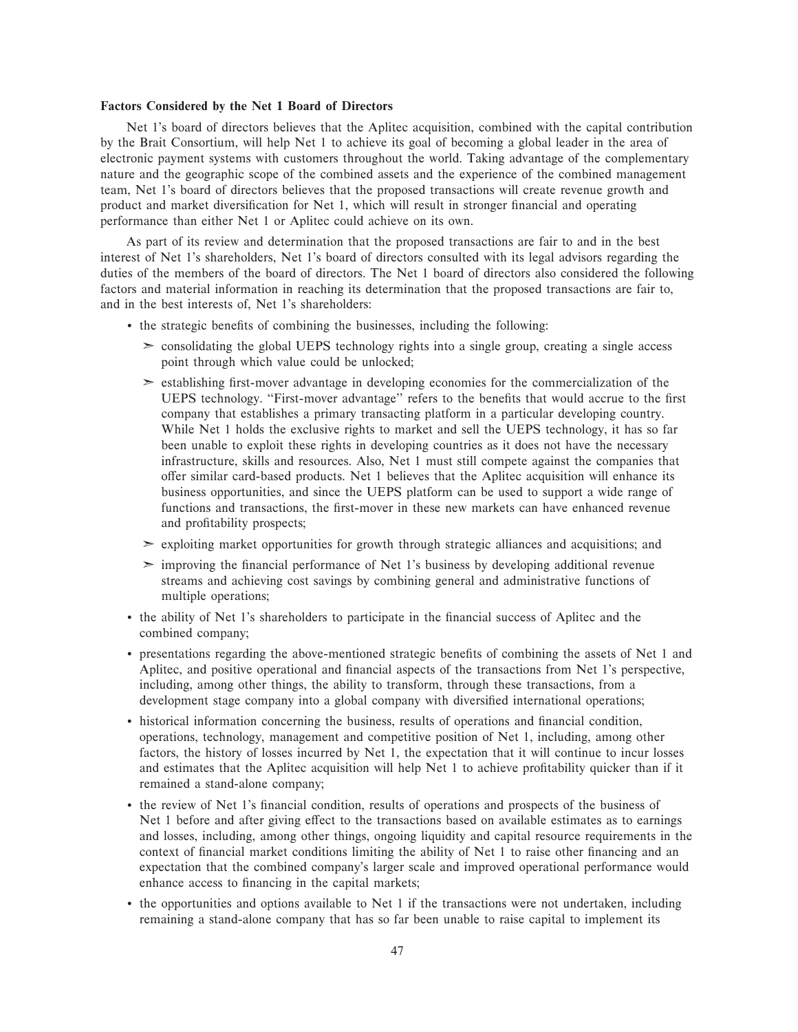### **Factors Considered by the Net 1 Board of Directors**

Net 1's board of directors believes that the Aplitec acquisition, combined with the capital contribution by the Brait Consortium, will help Net 1 to achieve its goal of becoming a global leader in the area of electronic payment systems with customers throughout the world. Taking advantage of the complementary nature and the geographic scope of the combined assets and the experience of the combined management team, Net 1's board of directors believes that the proposed transactions will create revenue growth and product and market diversification for Net 1, which will result in stronger financial and operating performance than either Net 1 or Aplitec could achieve on its own.

As part of its review and determination that the proposed transactions are fair to and in the best interest of Net 1's shareholders, Net 1's board of directors consulted with its legal advisors regarding the duties of the members of the board of directors. The Net 1 board of directors also considered the following factors and material information in reaching its determination that the proposed transactions are fair to, and in the best interests of, Net 1's shareholders:

- the strategic benefits of combining the businesses, including the following:
	- $\geq$  consolidating the global UEPS technology rights into a single group, creating a single access point through which value could be unlocked;
	- $\geq$  establishing first-mover advantage in developing economies for the commercialization of the UEPS technology. "First-mover advantage" refers to the benefits that would accrue to the first company that establishes a primary transacting platform in a particular developing country. While Net 1 holds the exclusive rights to market and sell the UEPS technology, it has so far been unable to exploit these rights in developing countries as it does not have the necessary infrastructure, skills and resources. Also, Net 1 must still compete against the companies that offer similar card-based products. Net 1 believes that the Aplitec acquisition will enhance its business opportunities, and since the UEPS platform can be used to support a wide range of functions and transactions, the first-mover in these new markets can have enhanced revenue and profitability prospects;
	- ➣ exploiting market opportunities for growth through strategic alliances and acquisitions; and
	- $\geq$  improving the financial performance of Net 1's business by developing additional revenue streams and achieving cost savings by combining general and administrative functions of multiple operations;
- the ability of Net 1's shareholders to participate in the financial success of Aplitec and the combined company;
- ' presentations regarding the above-mentioned strategic beneÑts of combining the assets of Net 1 and Aplitec, and positive operational and financial aspects of the transactions from Net 1's perspective, including, among other things, the ability to transform, through these transactions, from a development stage company into a global company with diversified international operations;
- ' historical information concerning the business, results of operations and Ñnancial condition, operations, technology, management and competitive position of Net 1, including, among other factors, the history of losses incurred by Net 1, the expectation that it will continue to incur losses and estimates that the Aplitec acquisition will help Net 1 to achieve profitability quicker than if it remained a stand-alone company;
- ' the review of Net 1's Ñnancial condition, results of operations and prospects of the business of Net 1 before and after giving effect to the transactions based on available estimates as to earnings and losses, including, among other things, ongoing liquidity and capital resource requirements in the context of financial market conditions limiting the ability of Net 1 to raise other financing and an expectation that the combined company's larger scale and improved operational performance would enhance access to financing in the capital markets;
- ' the opportunities and options available to Net 1 if the transactions were not undertaken, including remaining a stand-alone company that has so far been unable to raise capital to implement its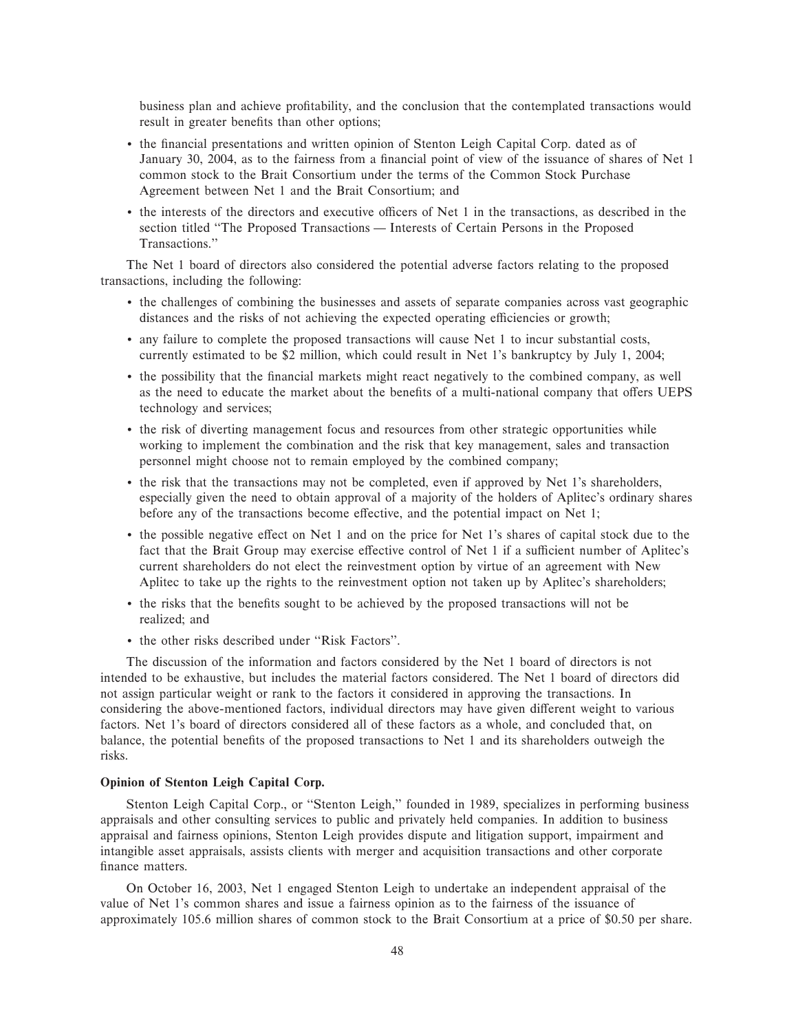business plan and achieve profitability, and the conclusion that the contemplated transactions would result in greater benefits than other options;

- the financial presentations and written opinion of Stenton Leigh Capital Corp. dated as of January 30, 2004, as to the fairness from a financial point of view of the issuance of shares of Net 1 common stock to the Brait Consortium under the terms of the Common Stock Purchase Agreement between Net 1 and the Brait Consortium; and
- the interests of the directors and executive officers of Net 1 in the transactions, as described in the section titled "The Proposed Transactions — Interests of Certain Persons in the Proposed Transactions.''

The Net 1 board of directors also considered the potential adverse factors relating to the proposed transactions, including the following:

- ' the challenges of combining the businesses and assets of separate companies across vast geographic distances and the risks of not achieving the expected operating efficiencies or growth;
- ' any failure to complete the proposed transactions will cause Net 1 to incur substantial costs, currently estimated to be \$2 million, which could result in Net 1's bankruptcy by July 1, 2004;
- the possibility that the financial markets might react negatively to the combined company, as well as the need to educate the market about the benefits of a multi-national company that offers UEPS technology and services;
- ' the risk of diverting management focus and resources from other strategic opportunities while working to implement the combination and the risk that key management, sales and transaction personnel might choose not to remain employed by the combined company;
- ' the risk that the transactions may not be completed, even if approved by Net 1's shareholders, especially given the need to obtain approval of a majority of the holders of Aplitec's ordinary shares before any of the transactions become effective, and the potential impact on Net 1;
- the possible negative effect on Net 1 and on the price for Net 1's shares of capital stock due to the fact that the Brait Group may exercise effective control of Net 1 if a sufficient number of Aplitec's current shareholders do not elect the reinvestment option by virtue of an agreement with New Aplitec to take up the rights to the reinvestment option not taken up by Aplitec's shareholders;
- the risks that the benefits sought to be achieved by the proposed transactions will not be realized; and
- the other risks described under "Risk Factors".

The discussion of the information and factors considered by the Net 1 board of directors is not intended to be exhaustive, but includes the material factors considered. The Net 1 board of directors did not assign particular weight or rank to the factors it considered in approving the transactions. In considering the above-mentioned factors, individual directors may have given different weight to various factors. Net 1's board of directors considered all of these factors as a whole, and concluded that, on balance, the potential benefits of the proposed transactions to Net 1 and its shareholders outweigh the risks.

## **Opinion of Stenton Leigh Capital Corp.**

Stenton Leigh Capital Corp., or "Stenton Leigh," founded in 1989, specializes in performing business appraisals and other consulting services to public and privately held companies. In addition to business appraisal and fairness opinions, Stenton Leigh provides dispute and litigation support, impairment and intangible asset appraisals, assists clients with merger and acquisition transactions and other corporate finance matters.

On October 16, 2003, Net 1 engaged Stenton Leigh to undertake an independent appraisal of the value of Net 1's common shares and issue a fairness opinion as to the fairness of the issuance of approximately 105.6 million shares of common stock to the Brait Consortium at a price of \$0.50 per share.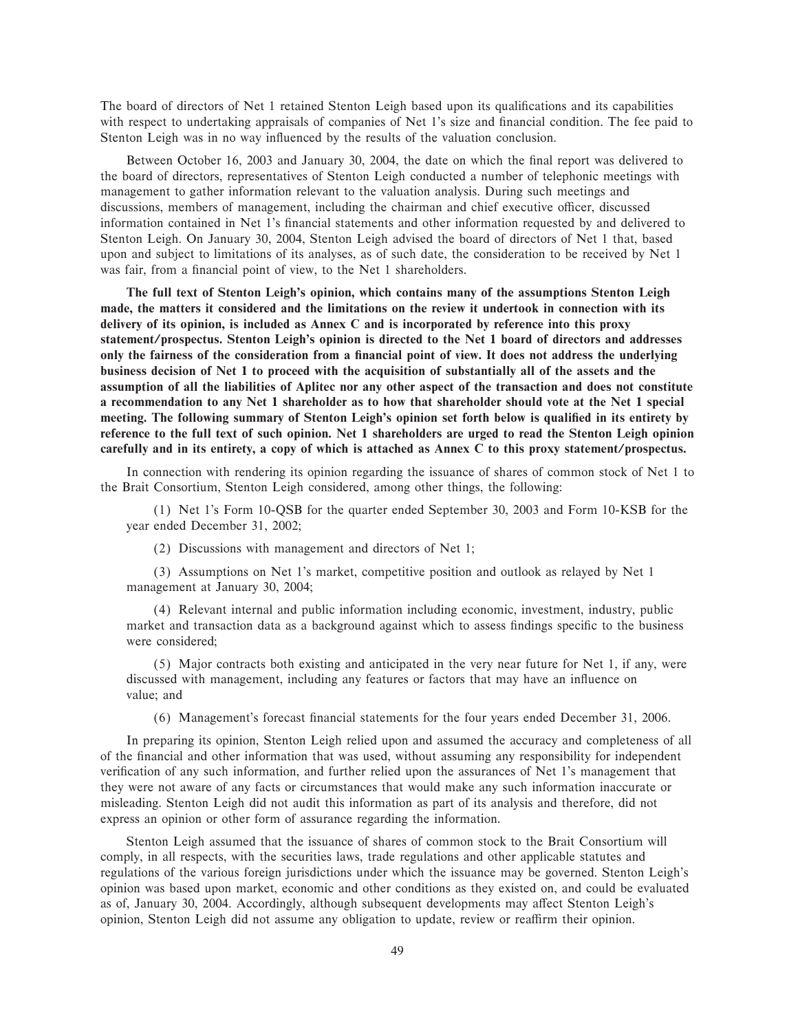The board of directors of Net 1 retained Stenton Leigh based upon its qualifications and its capabilities with respect to undertaking appraisals of companies of Net 1's size and financial condition. The fee paid to Stenton Leigh was in no way influenced by the results of the valuation conclusion.

Between October 16, 2003 and January 30, 2004, the date on which the final report was delivered to the board of directors, representatives of Stenton Leigh conducted a number of telephonic meetings with management to gather information relevant to the valuation analysis. During such meetings and discussions, members of management, including the chairman and chief executive officer, discussed information contained in Net 1's financial statements and other information requested by and delivered to Stenton Leigh. On January 30, 2004, Stenton Leigh advised the board of directors of Net 1 that, based upon and subject to limitations of its analyses, as of such date, the consideration to be received by Net 1 was fair, from a financial point of view, to the Net 1 shareholders.

**The full text of Stenton Leigh's opinion, which contains many of the assumptions Stenton Leigh made, the matters it considered and the limitations on the review it undertook in connection with its delivery of its opinion, is included as Annex C and is incorporated by reference into this proxy statement/prospectus. Stenton Leigh's opinion is directed to the Net 1 board of directors and addresses only the fairness of the consideration from a Ñnancial point of view. It does not address the underlying business decision of Net 1 to proceed with the acquisition of substantially all of the assets and the assumption of all the liabilities of Aplitec nor any other aspect of the transaction and does not constitute a recommendation to any Net 1 shareholder as to how that shareholder should vote at the Net 1 special** meeting. The following summary of Stenton Leigh's opinion set forth below is qualified in its entirety by **reference to the full text of such opinion. Net 1 shareholders are urged to read the Stenton Leigh opinion carefully and in its entirety, a copy of which is attached as Annex C to this proxy statement/prospectus.**

In connection with rendering its opinion regarding the issuance of shares of common stock of Net 1 to the Brait Consortium, Stenton Leigh considered, among other things, the following:

(1) Net 1's Form 10-QSB for the quarter ended September 30, 2003 and Form 10-KSB for the year ended December 31, 2002;

(2) Discussions with management and directors of Net 1;

(3) Assumptions on Net 1's market, competitive position and outlook as relayed by Net 1 management at January 30, 2004;

(4) Relevant internal and public information including economic, investment, industry, public market and transaction data as a background against which to assess findings specific to the business were considered;

(5) Major contracts both existing and anticipated in the very near future for Net 1, if any, were discussed with management, including any features or factors that may have an influence on value; and

(6) Management's forecast Ñnancial statements for the four years ended December 31, 2006.

In preparing its opinion, Stenton Leigh relied upon and assumed the accuracy and completeness of all of the Ñnancial and other information that was used, without assuming any responsibility for independent verification of any such information, and further relied upon the assurances of Net 1's management that they were not aware of any facts or circumstances that would make any such information inaccurate or misleading. Stenton Leigh did not audit this information as part of its analysis and therefore, did not express an opinion or other form of assurance regarding the information.

Stenton Leigh assumed that the issuance of shares of common stock to the Brait Consortium will comply, in all respects, with the securities laws, trade regulations and other applicable statutes and regulations of the various foreign jurisdictions under which the issuance may be governed. Stenton Leigh's opinion was based upon market, economic and other conditions as they existed on, and could be evaluated as of, January 30, 2004. Accordingly, although subsequent developments may affect Stenton Leigh's opinion, Stenton Leigh did not assume any obligation to update, review or reaffirm their opinion.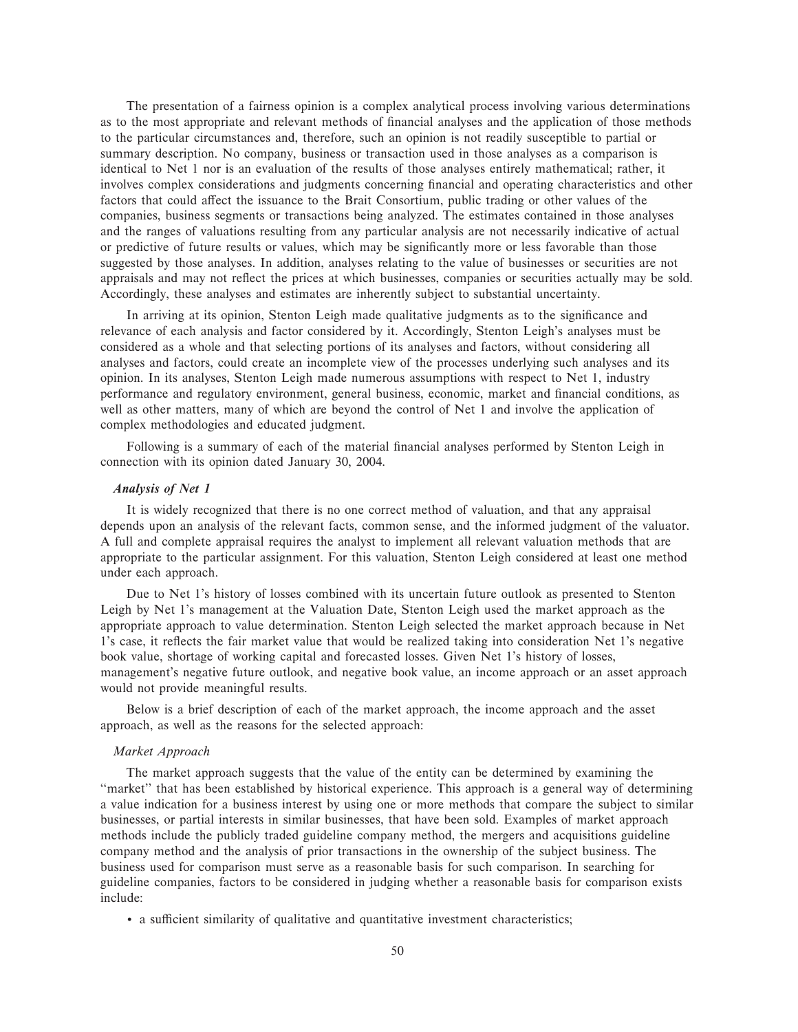The presentation of a fairness opinion is a complex analytical process involving various determinations as to the most appropriate and relevant methods of financial analyses and the application of those methods to the particular circumstances and, therefore, such an opinion is not readily susceptible to partial or summary description. No company, business or transaction used in those analyses as a comparison is identical to Net 1 nor is an evaluation of the results of those analyses entirely mathematical; rather, it involves complex considerations and judgments concerning financial and operating characteristics and other factors that could affect the issuance to the Brait Consortium, public trading or other values of the companies, business segments or transactions being analyzed. The estimates contained in those analyses and the ranges of valuations resulting from any particular analysis are not necessarily indicative of actual or predictive of future results or values, which may be significantly more or less favorable than those suggested by those analyses. In addition, analyses relating to the value of businesses or securities are not appraisals and may not reflect the prices at which businesses, companies or securities actually may be sold. Accordingly, these analyses and estimates are inherently subject to substantial uncertainty.

In arriving at its opinion, Stenton Leigh made qualitative judgments as to the significance and relevance of each analysis and factor considered by it. Accordingly, Stenton Leigh's analyses must be considered as a whole and that selecting portions of its analyses and factors, without considering all analyses and factors, could create an incomplete view of the processes underlying such analyses and its opinion. In its analyses, Stenton Leigh made numerous assumptions with respect to Net 1, industry performance and regulatory environment, general business, economic, market and Ñnancial conditions, as well as other matters, many of which are beyond the control of Net 1 and involve the application of complex methodologies and educated judgment.

Following is a summary of each of the material financial analyses performed by Stenton Leigh in connection with its opinion dated January 30, 2004.

## *Analysis of Net 1*

It is widely recognized that there is no one correct method of valuation, and that any appraisal depends upon an analysis of the relevant facts, common sense, and the informed judgment of the valuator. A full and complete appraisal requires the analyst to implement all relevant valuation methods that are appropriate to the particular assignment. For this valuation, Stenton Leigh considered at least one method under each approach.

Due to Net 1's history of losses combined with its uncertain future outlook as presented to Stenton Leigh by Net 1's management at the Valuation Date, Stenton Leigh used the market approach as the appropriate approach to value determination. Stenton Leigh selected the market approach because in Net 1's case, it reflects the fair market value that would be realized taking into consideration Net 1's negative book value, shortage of working capital and forecasted losses. Given Net 1's history of losses, management's negative future outlook, and negative book value, an income approach or an asset approach would not provide meaningful results.

Below is a brief description of each of the market approach, the income approach and the asset approach, as well as the reasons for the selected approach:

# *Market Approach*

The market approach suggests that the value of the entity can be determined by examining the "market" that has been established by historical experience. This approach is a general way of determining a value indication for a business interest by using one or more methods that compare the subject to similar businesses, or partial interests in similar businesses, that have been sold. Examples of market approach methods include the publicly traded guideline company method, the mergers and acquisitions guideline company method and the analysis of prior transactions in the ownership of the subject business. The business used for comparison must serve as a reasonable basis for such comparison. In searching for guideline companies, factors to be considered in judging whether a reasonable basis for comparison exists include:

• a sufficient similarity of qualitative and quantitative investment characteristics;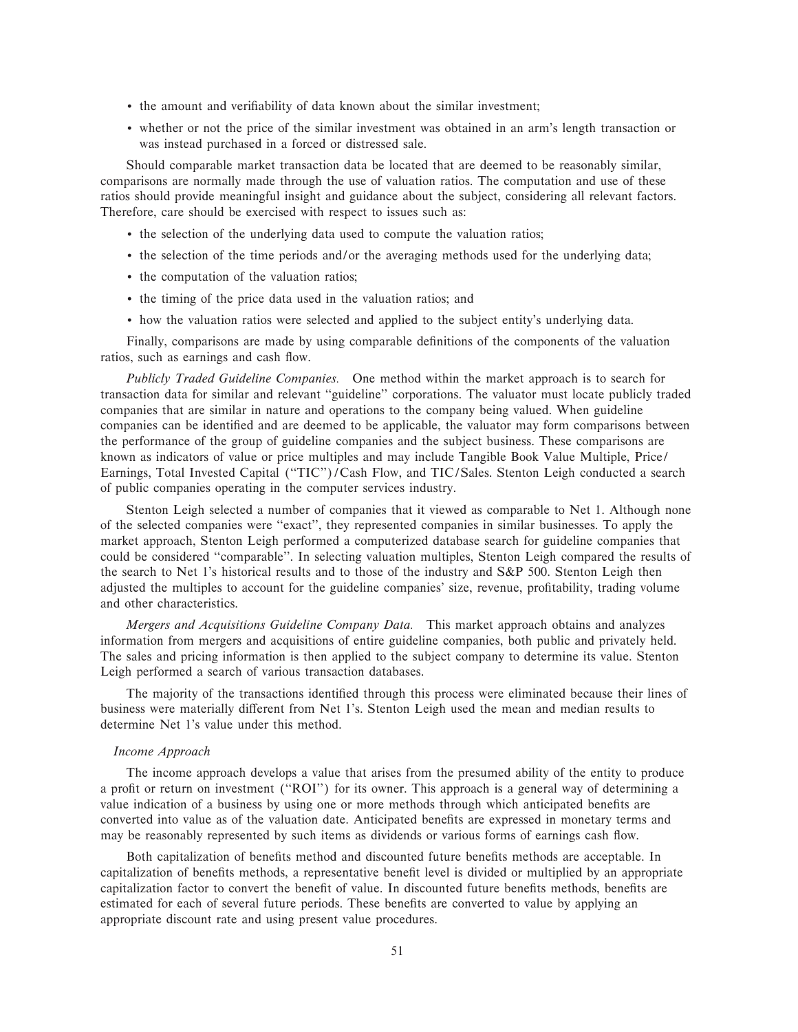- the amount and verifiability of data known about the similar investment;
- ' whether or not the price of the similar investment was obtained in an arm's length transaction or was instead purchased in a forced or distressed sale.

Should comparable market transaction data be located that are deemed to be reasonably similar, comparisons are normally made through the use of valuation ratios. The computation and use of these ratios should provide meaningful insight and guidance about the subject, considering all relevant factors. Therefore, care should be exercised with respect to issues such as:

- ' the selection of the underlying data used to compute the valuation ratios;
- ' the selection of the time periods and/or the averaging methods used for the underlying data;
- ' the computation of the valuation ratios;
- ' the timing of the price data used in the valuation ratios; and
- ' how the valuation ratios were selected and applied to the subject entity's underlying data.

Finally, comparisons are made by using comparable definitions of the components of the valuation ratios, such as earnings and cash flow.

*Publicly Traded Guideline Companies.* One method within the market approach is to search for transaction data for similar and relevant ""guideline'' corporations. The valuator must locate publicly traded companies that are similar in nature and operations to the company being valued. When guideline companies can be identified and are deemed to be applicable, the valuator may form comparisons between the performance of the group of guideline companies and the subject business. These comparisons are known as indicators of value or price multiples and may include Tangible Book Value Multiple, Price/ Earnings, Total Invested Capital ("TIC")/Cash Flow, and TIC/Sales. Stenton Leigh conducted a search of public companies operating in the computer services industry.

Stenton Leigh selected a number of companies that it viewed as comparable to Net 1. Although none of the selected companies were ""exact'', they represented companies in similar businesses. To apply the market approach, Stenton Leigh performed a computerized database search for guideline companies that could be considered "comparable". In selecting valuation multiples, Stenton Leigh compared the results of the search to Net 1's historical results and to those of the industry and S&P 500. Stenton Leigh then adjusted the multiples to account for the guideline companies' size, revenue, profitability, trading volume and other characteristics.

*Mergers and Acquisitions Guideline Company Data.* This market approach obtains and analyzes information from mergers and acquisitions of entire guideline companies, both public and privately held. The sales and pricing information is then applied to the subject company to determine its value. Stenton Leigh performed a search of various transaction databases.

The majority of the transactions identified through this process were eliminated because their lines of business were materially different from Net 1's. Stenton Leigh used the mean and median results to determine Net 1's value under this method.

## *Income Approach*

The income approach develops a value that arises from the presumed ability of the entity to produce a profit or return on investment ("ROI") for its owner. This approach is a general way of determining a value indication of a business by using one or more methods through which anticipated benefits are converted into value as of the valuation date. Anticipated benefits are expressed in monetary terms and may be reasonably represented by such items as dividends or various forms of earnings cash Öow.

Both capitalization of benefits method and discounted future benefits methods are acceptable. In capitalization of benefits methods, a representative benefit level is divided or multiplied by an appropriate capitalization factor to convert the benefit of value. In discounted future benefits methods, benefits are estimated for each of several future periods. These benefits are converted to value by applying an appropriate discount rate and using present value procedures.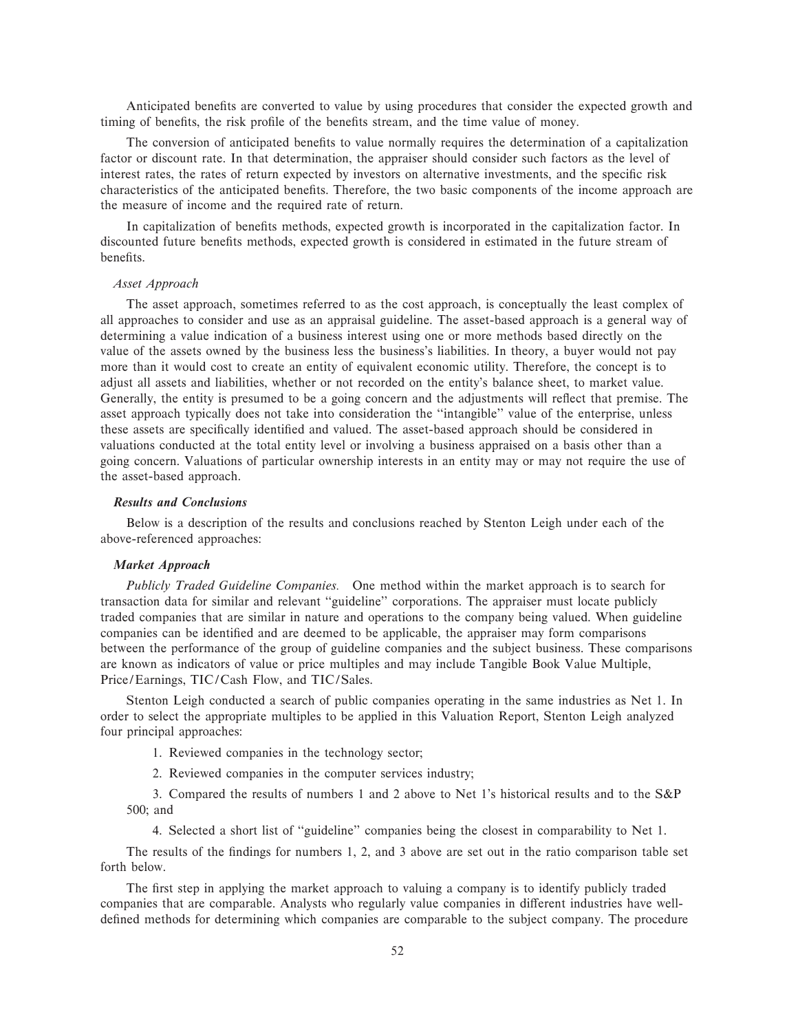Anticipated benefits are converted to value by using procedures that consider the expected growth and timing of benefits, the risk profile of the benefits stream, and the time value of money.

The conversion of anticipated benefits to value normally requires the determination of a capitalization factor or discount rate. In that determination, the appraiser should consider such factors as the level of interest rates, the rates of return expected by investors on alternative investments, and the specific risk characteristics of the anticipated benefits. Therefore, the two basic components of the income approach are the measure of income and the required rate of return.

In capitalization of benefits methods, expected growth is incorporated in the capitalization factor. In discounted future benefits methods, expected growth is considered in estimated in the future stream of benefits.

#### *Asset Approach*

The asset approach, sometimes referred to as the cost approach, is conceptually the least complex of all approaches to consider and use as an appraisal guideline. The asset-based approach is a general way of determining a value indication of a business interest using one or more methods based directly on the value of the assets owned by the business less the business's liabilities. In theory, a buyer would not pay more than it would cost to create an entity of equivalent economic utility. Therefore, the concept is to adjust all assets and liabilities, whether or not recorded on the entity's balance sheet, to market value. Generally, the entity is presumed to be a going concern and the adjustments will reflect that premise. The asset approach typically does not take into consideration the ""intangible'' value of the enterprise, unless these assets are specifically identified and valued. The asset-based approach should be considered in valuations conducted at the total entity level or involving a business appraised on a basis other than a going concern. Valuations of particular ownership interests in an entity may or may not require the use of the asset-based approach.

# *Results and Conclusions*

Below is a description of the results and conclusions reached by Stenton Leigh under each of the above-referenced approaches:

# *Market Approach*

*Publicly Traded Guideline Companies.* One method within the market approach is to search for transaction data for similar and relevant ""guideline'' corporations. The appraiser must locate publicly traded companies that are similar in nature and operations to the company being valued. When guideline companies can be identified and are deemed to be applicable, the appraiser may form comparisons between the performance of the group of guideline companies and the subject business. These comparisons are known as indicators of value or price multiples and may include Tangible Book Value Multiple, Price/Earnings, TIC/Cash Flow, and TIC/Sales.

Stenton Leigh conducted a search of public companies operating in the same industries as Net 1. In order to select the appropriate multiples to be applied in this Valuation Report, Stenton Leigh analyzed four principal approaches:

1. Reviewed companies in the technology sector;

2. Reviewed companies in the computer services industry;

3. Compared the results of numbers 1 and 2 above to Net 1's historical results and to the S&P 500; and

4. Selected a short list of "guideline" companies being the closest in comparability to Net 1.

The results of the findings for numbers 1, 2, and 3 above are set out in the ratio comparison table set forth below.

The first step in applying the market approach to valuing a company is to identify publicly traded companies that are comparable. Analysts who regularly value companies in different industries have welldefined methods for determining which companies are comparable to the subject company. The procedure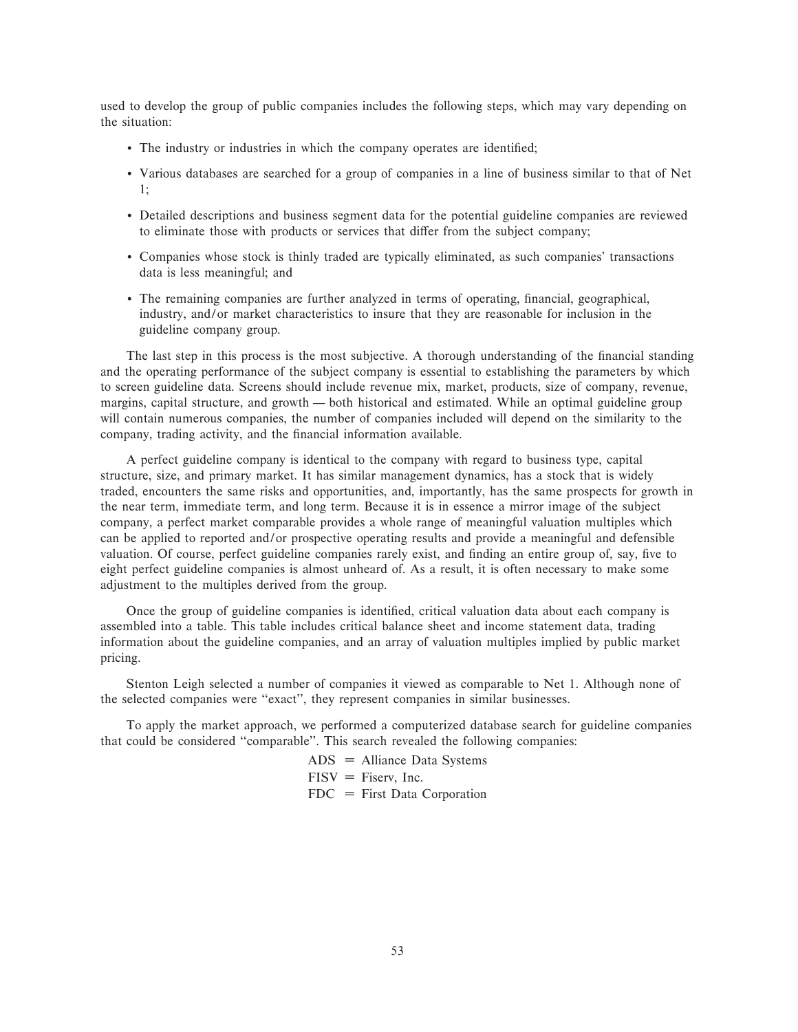used to develop the group of public companies includes the following steps, which may vary depending on the situation:

- The industry or industries in which the company operates are identified;
- ' Various databases are searched for a group of companies in a line of business similar to that of Net 1;
- ' Detailed descriptions and business segment data for the potential guideline companies are reviewed to eliminate those with products or services that differ from the subject company;
- ' Companies whose stock is thinly traded are typically eliminated, as such companies' transactions data is less meaningful; and
- The remaining companies are further analyzed in terms of operating, financial, geographical, industry, and/or market characteristics to insure that they are reasonable for inclusion in the guideline company group.

The last step in this process is the most subjective. A thorough understanding of the financial standing and the operating performance of the subject company is essential to establishing the parameters by which to screen guideline data. Screens should include revenue mix, market, products, size of company, revenue, margins, capital structure, and growth — both historical and estimated. While an optimal guideline group will contain numerous companies, the number of companies included will depend on the similarity to the company, trading activity, and the financial information available.

A perfect guideline company is identical to the company with regard to business type, capital structure, size, and primary market. It has similar management dynamics, has a stock that is widely traded, encounters the same risks and opportunities, and, importantly, has the same prospects for growth in the near term, immediate term, and long term. Because it is in essence a mirror image of the subject company, a perfect market comparable provides a whole range of meaningful valuation multiples which can be applied to reported and/or prospective operating results and provide a meaningful and defensible valuation. Of course, perfect guideline companies rarely exist, and finding an entire group of, say, five to eight perfect guideline companies is almost unheard of. As a result, it is often necessary to make some adjustment to the multiples derived from the group.

Once the group of guideline companies is identified, critical valuation data about each company is assembled into a table. This table includes critical balance sheet and income statement data, trading information about the guideline companies, and an array of valuation multiples implied by public market pricing.

Stenton Leigh selected a number of companies it viewed as comparable to Net 1. Although none of the selected companies were ""exact'', they represent companies in similar businesses.

To apply the market approach, we performed a computerized database search for guideline companies that could be considered "comparable". This search revealed the following companies:

> $ADS = Alliance Data Systems$  $FISV =$  Fiserv, Inc.  $FDC = First Data Corporation$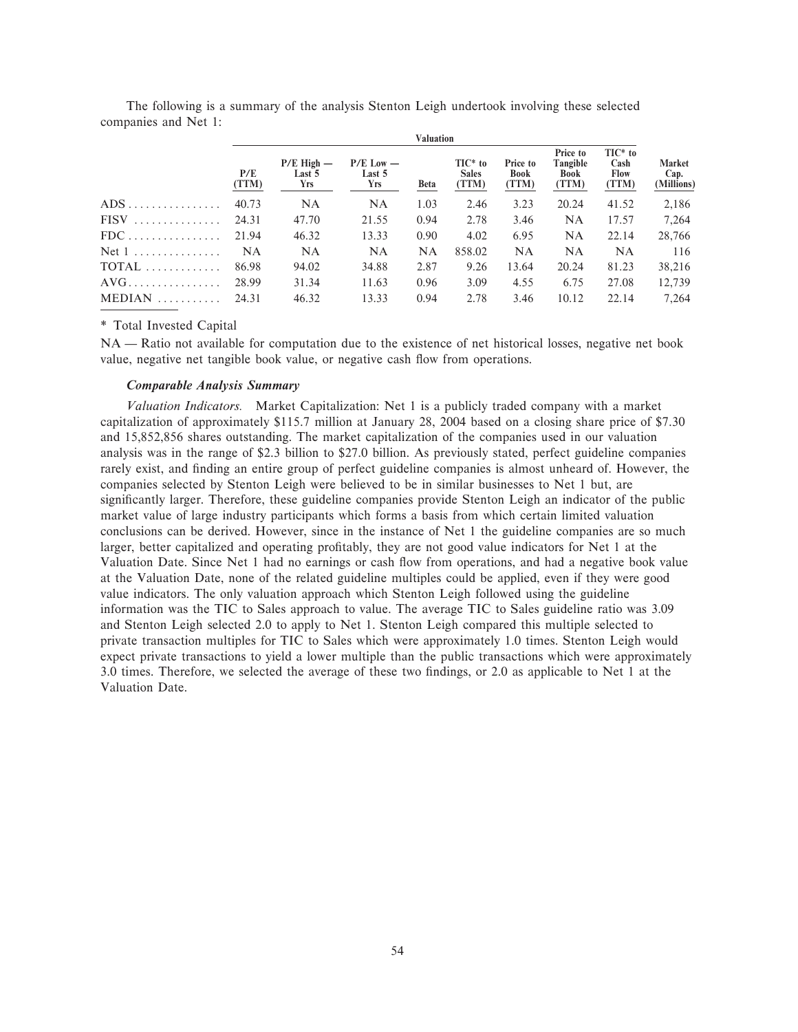|                                     | v aluativii  |                                        |                                       |             |                                     |                                  |                                       |                                            |                                     |
|-------------------------------------|--------------|----------------------------------------|---------------------------------------|-------------|-------------------------------------|----------------------------------|---------------------------------------|--------------------------------------------|-------------------------------------|
|                                     | P/E<br>(TTM) | $P/E$ High $-$<br>Last 5<br><b>Yrs</b> | $P/E$ Low $-$<br>Last 5<br><b>Yrs</b> | <b>Beta</b> | $TIC^*$ to<br><b>Sales</b><br>(TTM) | Price to<br><b>Book</b><br>(TTM) | Price to<br>Tangible<br>Book<br>(TTM) | $TIC^*$ to<br>Cash<br><b>Flow</b><br>(TTM) | <b>Market</b><br>Cap.<br>(Millions) |
| $ADS \dots \dots \dots \dots \dots$ | 40.73        | <b>NA</b>                              | NA                                    | 1.03        | 2.46                                | 3.23                             | 20.24                                 | 41.52                                      | 2,186                               |
| $FISV$                              | 24.31        | 47.70                                  | 21.55                                 | 0.94        | 2.78                                | 3.46                             | NA                                    | 17.57                                      | 7,264                               |
| $FDC$                               | 21.94        | 46.32                                  | 13.33                                 | 0.90        | 4.02                                | 6.95                             | <b>NA</b>                             | 22.14                                      | 28,766                              |
| Net $1$                             | <b>NA</b>    | <b>NA</b>                              | <b>NA</b>                             | <b>NA</b>   | 858.02                              | <b>NA</b>                        | <b>NA</b>                             | <b>NA</b>                                  | 116                                 |
| TOTAL                               | 86.98        | 94.02                                  | 34.88                                 | 2.87        | 9.26                                | 13.64                            | 20.24                                 | 81.23                                      | 38,216                              |
| $AVG$                               | 28.99        | 31.34                                  | 11.63                                 | 0.96        | 3.09                                | 4.55                             | 6.75                                  | 27.08                                      | 12,739                              |
| $MEDIAN$                            | 24.31        | 46.32                                  | 13.33                                 | 0.94        | 2.78                                | 3.46                             | 10.12                                 | 22.14                                      | 7.264                               |

**Valuation**

The following is a summary of the analysis Stenton Leigh undertook involving these selected companies and Net 1:

# \* Total Invested Capital

NA — Ratio not available for computation due to the existence of net historical losses, negative net book value, negative net tangible book value, or negative cash flow from operations.

# *Comparable Analysis Summary*

*Valuation Indicators.* Market Capitalization: Net 1 is a publicly traded company with a market capitalization of approximately \$115.7 million at January 28, 2004 based on a closing share price of \$7.30 and 15,852,856 shares outstanding. The market capitalization of the companies used in our valuation analysis was in the range of \$2.3 billion to \$27.0 billion. As previously stated, perfect guideline companies rarely exist, and finding an entire group of perfect guideline companies is almost unheard of. However, the companies selected by Stenton Leigh were believed to be in similar businesses to Net 1 but, are significantly larger. Therefore, these guideline companies provide Stenton Leigh an indicator of the public market value of large industry participants which forms a basis from which certain limited valuation conclusions can be derived. However, since in the instance of Net 1 the guideline companies are so much larger, better capitalized and operating profitably, they are not good value indicators for Net 1 at the Valuation Date. Since Net 1 had no earnings or cash flow from operations, and had a negative book value at the Valuation Date, none of the related guideline multiples could be applied, even if they were good value indicators. The only valuation approach which Stenton Leigh followed using the guideline information was the TIC to Sales approach to value. The average TIC to Sales guideline ratio was 3.09 and Stenton Leigh selected 2.0 to apply to Net 1. Stenton Leigh compared this multiple selected to private transaction multiples for TIC to Sales which were approximately 1.0 times. Stenton Leigh would expect private transactions to yield a lower multiple than the public transactions which were approximately 3.0 times. Therefore, we selected the average of these two findings, or 2.0 as applicable to Net 1 at the Valuation Date.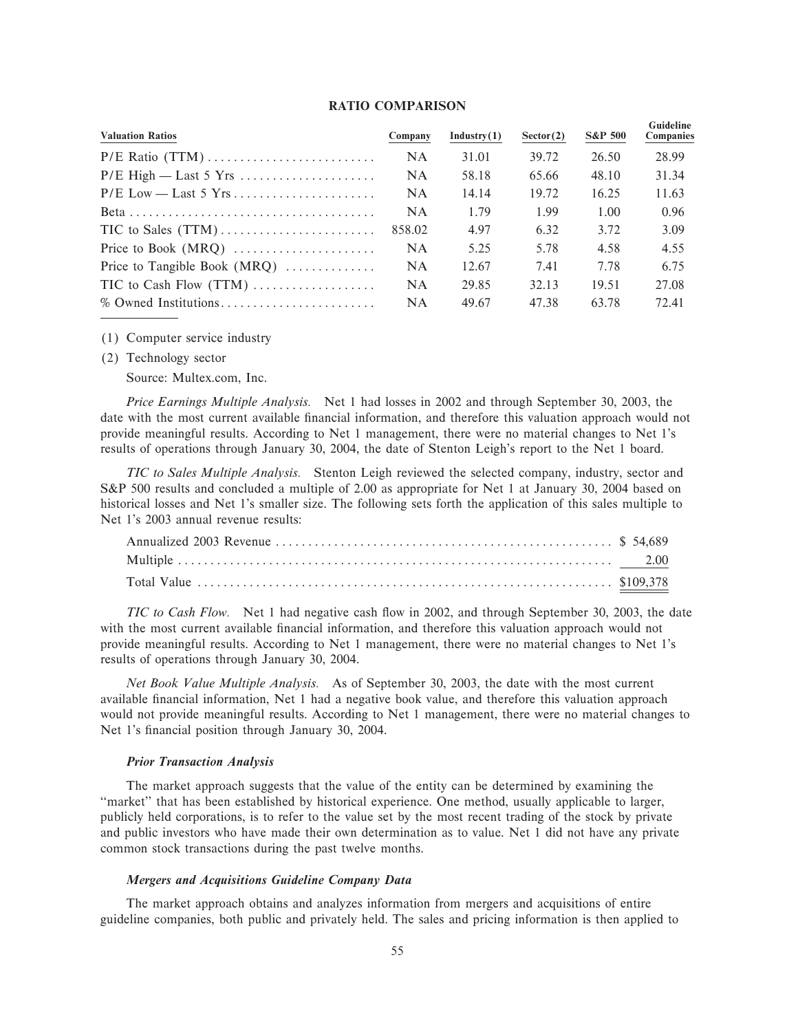## **RATIO COMPARISON**

| <b>Valuation Ratios</b>        | Company | Industry(1) | Sector(2) | <b>S&amp;P 500</b> | Guideline<br>Companies |
|--------------------------------|---------|-------------|-----------|--------------------|------------------------|
|                                | NA.     | 31.01       | 39.72     | 26.50              | 28.99                  |
|                                | NA.     | 58.18       | 65.66     | 48.10              | 31.34                  |
|                                | NA.     | 14.14       | 19.72     | 16.25              | 11.63                  |
|                                | NA.     | 1.79        | 1.99      | 1.00               | 0.96                   |
|                                | 858.02  | 4.97        | 6.32      | 3.72               | 3.09                   |
|                                | NA.     | 5.25        | 5.78      | 4.58               | 4.55                   |
| Price to Tangible Book $(MRQ)$ | NA.     | 12.67       | 7.41      | 7.78               | 6.75                   |
| TIC to Cash Flow $(TTM)$       | NA.     | 29.85       | 32.13     | 19.51              | 27.08                  |
| % Owned Institutions           | NA.     | 49.67       | 47.38     | 63.78              | 72.41                  |

(1) Computer service industry

(2) Technology sector

Source: Multex.com, Inc.

*Price Earnings Multiple Analysis.* Net 1 had losses in 2002 and through September 30, 2003, the date with the most current available financial information, and therefore this valuation approach would not provide meaningful results. According to Net 1 management, there were no material changes to Net 1's results of operations through January 30, 2004, the date of Stenton Leigh's report to the Net 1 board.

*TIC to Sales Multiple Analysis.* Stenton Leigh reviewed the selected company, industry, sector and S&P 500 results and concluded a multiple of 2.00 as appropriate for Net 1 at January 30, 2004 based on historical losses and Net 1's smaller size. The following sets forth the application of this sales multiple to Net 1's 2003 annual revenue results:

*TIC to Cash Flow.* Net 1 had negative cash flow in 2002, and through September 30, 2003, the date with the most current available financial information, and therefore this valuation approach would not provide meaningful results. According to Net 1 management, there were no material changes to Net 1's results of operations through January 30, 2004.

*Net Book Value Multiple Analysis.* As of September 30, 2003, the date with the most current available financial information, Net 1 had a negative book value, and therefore this valuation approach would not provide meaningful results. According to Net 1 management, there were no material changes to Net 1's financial position through January 30, 2004.

### *Prior Transaction Analysis*

The market approach suggests that the value of the entity can be determined by examining the ""market'' that has been established by historical experience. One method, usually applicable to larger, publicly held corporations, is to refer to the value set by the most recent trading of the stock by private and public investors who have made their own determination as to value. Net 1 did not have any private common stock transactions during the past twelve months.

## *Mergers and Acquisitions Guideline Company Data*

The market approach obtains and analyzes information from mergers and acquisitions of entire guideline companies, both public and privately held. The sales and pricing information is then applied to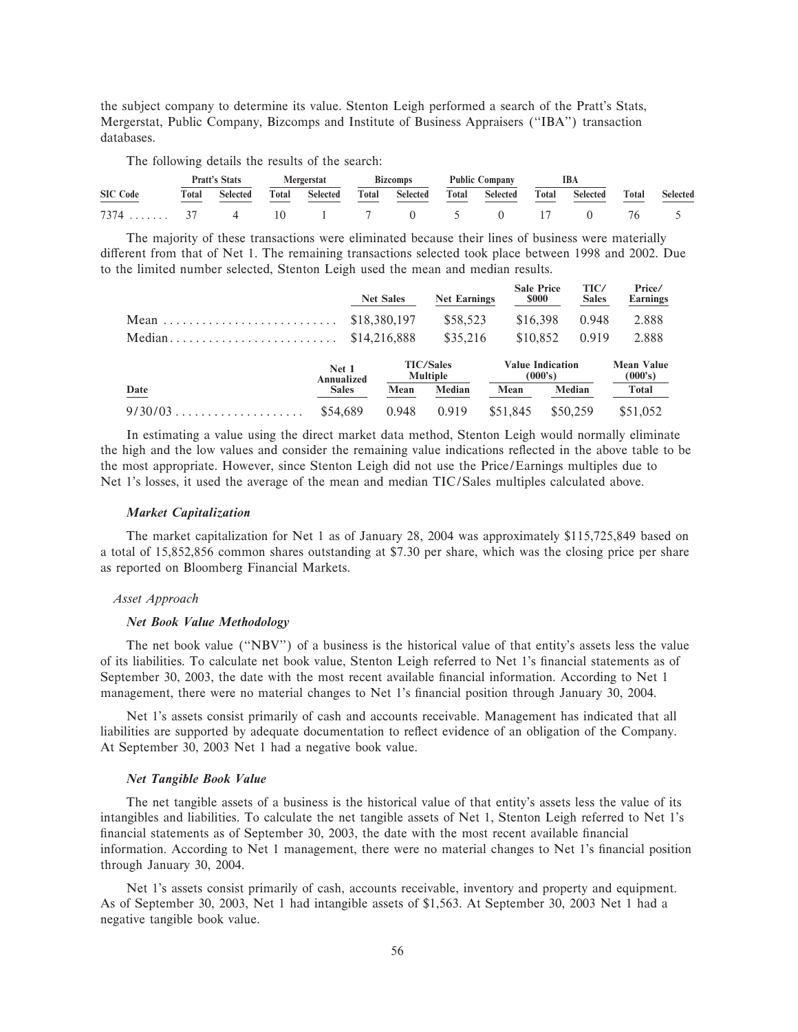the subject company to determine its value. Stenton Leigh performed a search of the Pratt's Stats, Mergerstat, Public Company, Bizcomps and Institute of Business Appraisers (""IBA'') transaction databases.

The following details the results of the search:

|                           |       | <b>Pratt's Stats</b> |       | <b>Mergerstat</b> |       | <b>Bizcomps</b> | <b>Public Company</b> |          | IBA   |                 |              |                 |
|---------------------------|-------|----------------------|-------|-------------------|-------|-----------------|-----------------------|----------|-------|-----------------|--------------|-----------------|
| <b>SIC Code</b>           | Total | <b>Selected</b>      | Total | <b>Selected</b>   | Total | <b>Selected</b> | Total                 | Selected | Total | <b>Selected</b> | <b>Total</b> | <b>Selected</b> |
| 7374 37 4 10 1 7 0 5 0 17 |       |                      |       |                   |       |                 |                       |          |       |                 |              |                 |

The majority of these transactions were eliminated because their lines of business were materially different from that of Net 1. The remaining transactions selected took place between 1998 and 2002. Due to the limited number selected, Stenton Leigh used the mean and median results.

|                                                                |                     | <b>Net Sales</b> | <b>Net Earnings</b>                 | <b>Sale Price</b><br><b>\$000</b>  | TIC/<br><b>Sales</b> | Price/<br><b>Earnings</b>    |
|----------------------------------------------------------------|---------------------|------------------|-------------------------------------|------------------------------------|----------------------|------------------------------|
|                                                                |                     | \$18,380,197     | \$58,523                            | \$16,398                           | 0.948                | 2.888                        |
| $Median \dots \dots \dots \dots \dots \dots \dots \dots \dots$ |                     | \$14,216,888     | \$35,216                            | \$10,852                           | 0.919                | 2.888                        |
|                                                                | Net 1<br>Annualized |                  | <b>TIC/Sales</b><br><b>Multiple</b> | <b>Value Indication</b><br>(000's) |                      | <b>Mean Value</b><br>(000's) |
| Date                                                           | <b>Sales</b>        | Mean             | Median                              | Mean                               | Median               | Total                        |
| $9/30/03$                                                      | \$54,689            | 0.948            | 0.919                               | \$51,845                           | \$50,259             | \$51,052                     |

In estimating a value using the direct market data method, Stenton Leigh would normally eliminate the high and the low values and consider the remaining value indications reflected in the above table to be the most appropriate. However, since Stenton Leigh did not use the Price/Earnings multiples due to Net 1's losses, it used the average of the mean and median TIC/Sales multiples calculated above.

### *Market Capitalization*

The market capitalization for Net 1 as of January 28, 2004 was approximately \$115,725,849 based on a total of 15,852,856 common shares outstanding at \$7.30 per share, which was the closing price per share as reported on Bloomberg Financial Markets.

## *Asset Approach*

#### *Net Book Value Methodology*

The net book value (""NBV'') of a business is the historical value of that entity's assets less the value of its liabilities. To calculate net book value, Stenton Leigh referred to Net 1's financial statements as of September 30, 2003, the date with the most recent available financial information. According to Net 1 management, there were no material changes to Net 1's financial position through January 30, 2004.

Net 1's assets consist primarily of cash and accounts receivable. Management has indicated that all liabilities are supported by adequate documentation to reflect evidence of an obligation of the Company. At September 30, 2003 Net 1 had a negative book value.

### *Net Tangible Book Value*

The net tangible assets of a business is the historical value of that entity's assets less the value of its intangibles and liabilities. To calculate the net tangible assets of Net 1, Stenton Leigh referred to Net 1's financial statements as of September 30, 2003, the date with the most recent available financial information. According to Net 1 management, there were no material changes to Net 1's financial position through January 30, 2004.

Net 1's assets consist primarily of cash, accounts receivable, inventory and property and equipment. As of September 30, 2003, Net 1 had intangible assets of \$1,563. At September 30, 2003 Net 1 had a negative tangible book value.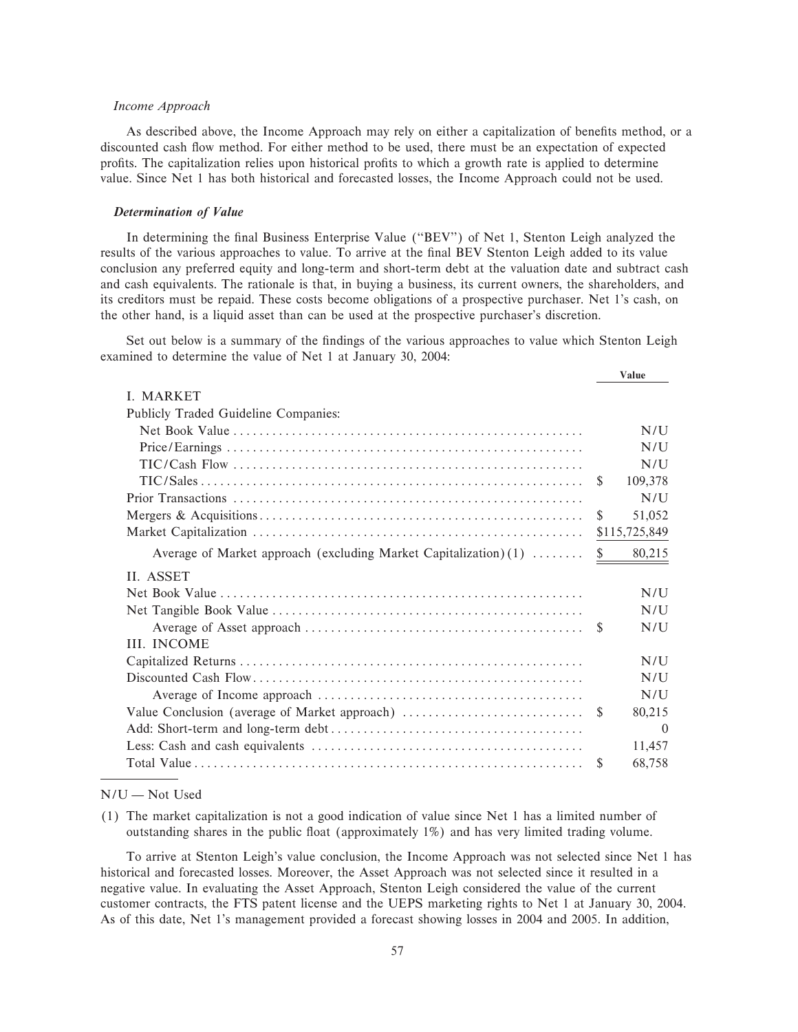## *Income Approach*

As described above, the Income Approach may rely on either a capitalization of benefits method, or a discounted cash flow method. For either method to be used, there must be an expectation of expected profits. The capitalization relies upon historical profits to which a growth rate is applied to determine value. Since Net 1 has both historical and forecasted losses, the Income Approach could not be used.

## *Determination of Value*

In determining the final Business Enterprise Value ("BEV") of Net 1, Stenton Leigh analyzed the results of the various approaches to value. To arrive at the final BEV Stenton Leigh added to its value conclusion any preferred equity and long-term and short-term debt at the valuation date and subtract cash and cash equivalents. The rationale is that, in buying a business, its current owners, the shareholders, and its creditors must be repaid. These costs become obligations of a prospective purchaser. Net 1's cash, on the other hand, is a liquid asset than can be used at the prospective purchaser's discretion.

Set out below is a summary of the findings of the various approaches to value which Stenton Leigh examined to determine the value of Net 1 at January 30, 2004:

|                                                                  |               | <b>Value</b>  |
|------------------------------------------------------------------|---------------|---------------|
| <b>I. MARKET</b>                                                 |               |               |
| Publicly Traded Guideline Companies:                             |               |               |
|                                                                  |               | N/I           |
|                                                                  |               | N/I           |
|                                                                  |               | N/U           |
|                                                                  | <sup>\$</sup> | 109,378       |
|                                                                  |               | N/U           |
|                                                                  | \$            | 51,052        |
|                                                                  |               | \$115,725,849 |
| Average of Market approach (excluding Market Capitalization) (1) | \$            | 80,215        |
| II. ASSET                                                        |               |               |
|                                                                  |               | N/I           |
|                                                                  |               | N/U           |
|                                                                  |               | N/U           |
| <b>III. INCOME</b>                                               |               |               |
|                                                                  |               | N/I           |
|                                                                  |               | N/U           |
|                                                                  |               | N/U           |
|                                                                  |               | 80,215        |
|                                                                  |               | $\Omega$      |
|                                                                  |               | 11,457        |
|                                                                  | -S            | 68,758        |

## $N/U - Not$  Used

(1) The market capitalization is not a good indication of value since Net 1 has a limited number of outstanding shares in the public float (approximately 1%) and has very limited trading volume.

To arrive at Stenton Leigh's value conclusion, the Income Approach was not selected since Net 1 has historical and forecasted losses. Moreover, the Asset Approach was not selected since it resulted in a negative value. In evaluating the Asset Approach, Stenton Leigh considered the value of the current customer contracts, the FTS patent license and the UEPS marketing rights to Net 1 at January 30, 2004. As of this date, Net 1's management provided a forecast showing losses in 2004 and 2005. In addition,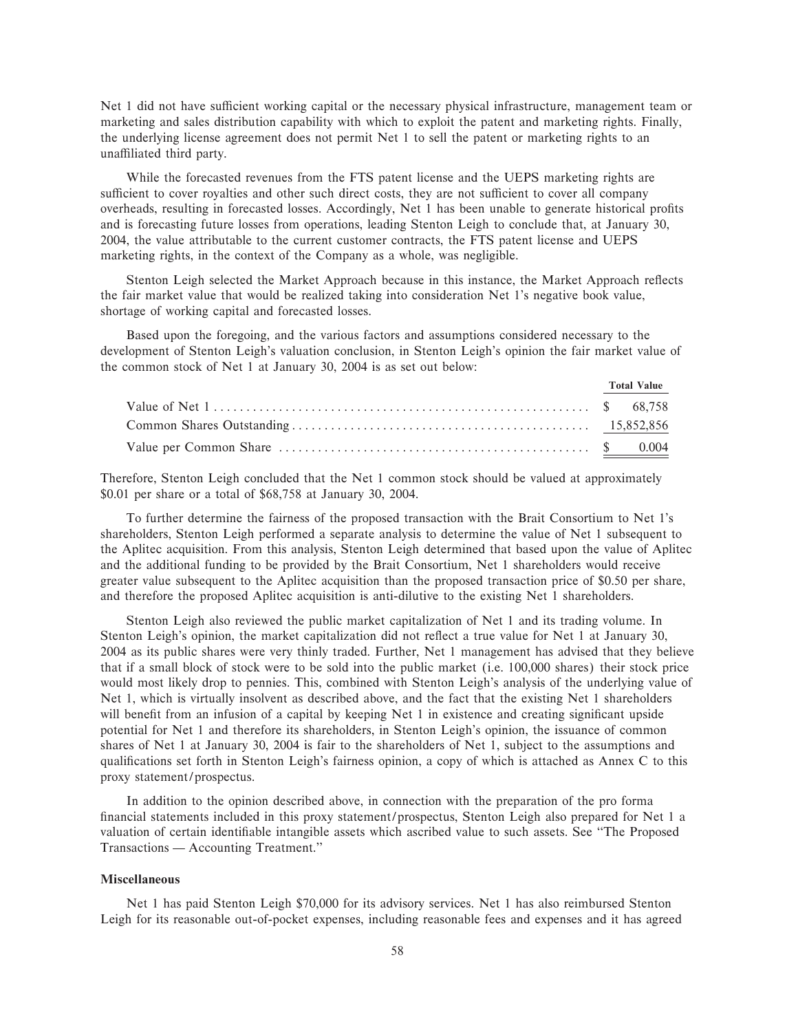Net 1 did not have sufficient working capital or the necessary physical infrastructure, management team or marketing and sales distribution capability with which to exploit the patent and marketing rights. Finally, the underlying license agreement does not permit Net 1 to sell the patent or marketing rights to an unaffiliated third party.

While the forecasted revenues from the FTS patent license and the UEPS marketing rights are sufficient to cover royalties and other such direct costs, they are not sufficient to cover all company overheads, resulting in forecasted losses. Accordingly, Net 1 has been unable to generate historical profits and is forecasting future losses from operations, leading Stenton Leigh to conclude that, at January 30, 2004, the value attributable to the current customer contracts, the FTS patent license and UEPS marketing rights, in the context of the Company as a whole, was negligible.

Stenton Leigh selected the Market Approach because in this instance, the Market Approach reflects the fair market value that would be realized taking into consideration Net 1's negative book value, shortage of working capital and forecasted losses.

Based upon the foregoing, and the various factors and assumptions considered necessary to the development of Stenton Leigh's valuation conclusion, in Stenton Leigh's opinion the fair market value of the common stock of Net 1 at January 30, 2004 is as set out below:

|  | <b>Total Value</b> |
|--|--------------------|
|  |                    |
|  |                    |
|  |                    |

Therefore, Stenton Leigh concluded that the Net 1 common stock should be valued at approximately \$0.01 per share or a total of \$68,758 at January 30, 2004.

To further determine the fairness of the proposed transaction with the Brait Consortium to Net 1's shareholders, Stenton Leigh performed a separate analysis to determine the value of Net 1 subsequent to the Aplitec acquisition. From this analysis, Stenton Leigh determined that based upon the value of Aplitec and the additional funding to be provided by the Brait Consortium, Net 1 shareholders would receive greater value subsequent to the Aplitec acquisition than the proposed transaction price of \$0.50 per share, and therefore the proposed Aplitec acquisition is anti-dilutive to the existing Net 1 shareholders.

Stenton Leigh also reviewed the public market capitalization of Net 1 and its trading volume. In Stenton Leigh's opinion, the market capitalization did not reflect a true value for Net 1 at January 30, 2004 as its public shares were very thinly traded. Further, Net 1 management has advised that they believe that if a small block of stock were to be sold into the public market (i.e. 100,000 shares) their stock price would most likely drop to pennies. This, combined with Stenton Leigh's analysis of the underlying value of Net 1, which is virtually insolvent as described above, and the fact that the existing Net 1 shareholders will benefit from an infusion of a capital by keeping Net 1 in existence and creating significant upside potential for Net 1 and therefore its shareholders, in Stenton Leigh's opinion, the issuance of common shares of Net 1 at January 30, 2004 is fair to the shareholders of Net 1, subject to the assumptions and qualifications set forth in Stenton Leigh's fairness opinion, a copy of which is attached as Annex C to this proxy statement/prospectus.

In addition to the opinion described above, in connection with the preparation of the pro forma financial statements included in this proxy statement/prospectus, Stenton Leigh also prepared for Net 1 a valuation of certain identifiable intangible assets which ascribed value to such assets. See "The Proposed Transactions — Accounting Treatment."

### **Miscellaneous**

Net 1 has paid Stenton Leigh \$70,000 for its advisory services. Net 1 has also reimbursed Stenton Leigh for its reasonable out-of-pocket expenses, including reasonable fees and expenses and it has agreed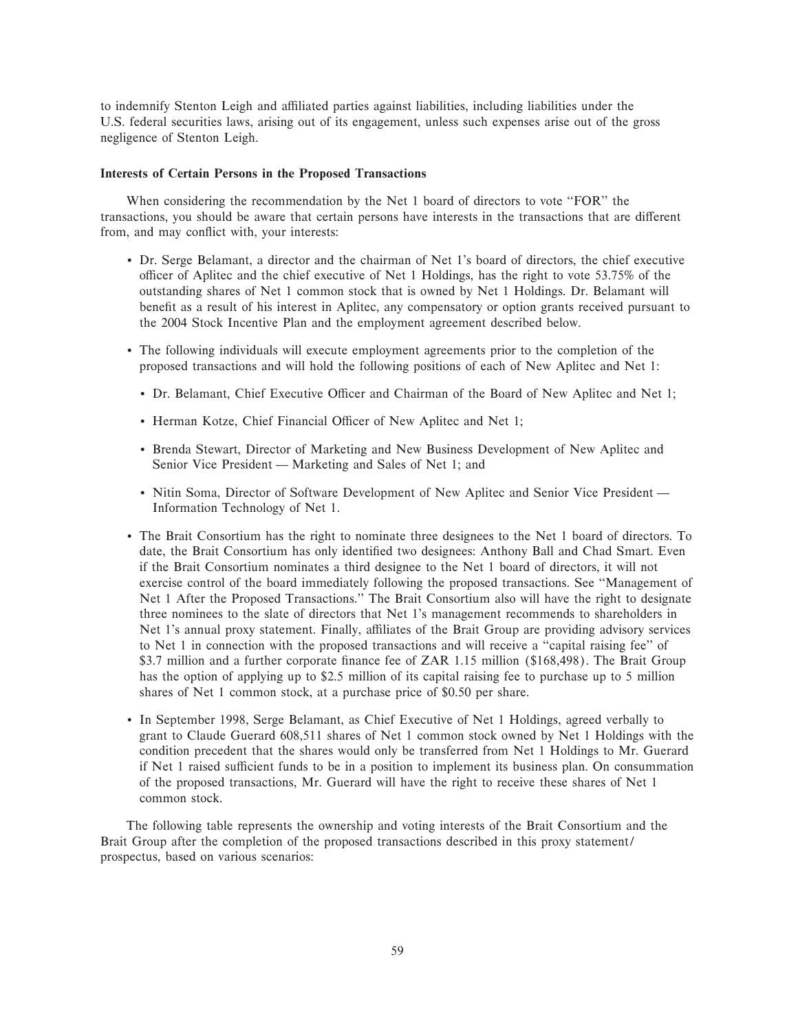to indemnify Stenton Leigh and affiliated parties against liabilities, including liabilities under the U.S. federal securities laws, arising out of its engagement, unless such expenses arise out of the gross negligence of Stenton Leigh.

#### **Interests of Certain Persons in the Proposed Transactions**

When considering the recommendation by the Net 1 board of directors to vote "FOR" the transactions, you should be aware that certain persons have interests in the transactions that are different from, and may conflict with, your interests:

- ' Dr. Serge Belamant, a director and the chairman of Net 1's board of directors, the chief executive officer of Aplitec and the chief executive of Net 1 Holdings, has the right to vote 53.75% of the outstanding shares of Net 1 common stock that is owned by Net 1 Holdings. Dr. Belamant will benefit as a result of his interest in Aplitec, any compensatory or option grants received pursuant to the 2004 Stock Incentive Plan and the employment agreement described below.
- ' The following individuals will execute employment agreements prior to the completion of the proposed transactions and will hold the following positions of each of New Aplitec and Net 1:
	- Dr. Belamant, Chief Executive Officer and Chairman of the Board of New Aplitec and Net 1;
	- Herman Kotze, Chief Financial Officer of New Aplitec and Net 1;
	- ' Brenda Stewart, Director of Marketing and New Business Development of New Aplitec and Senior Vice President — Marketing and Sales of Net 1; and
	- Nitin Soma, Director of Software Development of New Aplitec and Senior Vice President Information Technology of Net 1.
- ' The Brait Consortium has the right to nominate three designees to the Net 1 board of directors. To date, the Brait Consortium has only identified two designees: Anthony Ball and Chad Smart. Even if the Brait Consortium nominates a third designee to the Net 1 board of directors, it will not exercise control of the board immediately following the proposed transactions. See ""Management of Net 1 After the Proposed Transactions.'' The Brait Consortium also will have the right to designate three nominees to the slate of directors that Net 1's management recommends to shareholders in Net 1's annual proxy statement. Finally, affiliates of the Brait Group are providing advisory services to Net 1 in connection with the proposed transactions and will receive a "capital raising fee" of \$3.7 million and a further corporate finance fee of ZAR 1.15 million (\$168,498). The Brait Group has the option of applying up to \$2.5 million of its capital raising fee to purchase up to 5 million shares of Net 1 common stock, at a purchase price of \$0.50 per share.
- ' In September 1998, Serge Belamant, as Chief Executive of Net 1 Holdings, agreed verbally to grant to Claude Guerard 608,511 shares of Net 1 common stock owned by Net 1 Holdings with the condition precedent that the shares would only be transferred from Net 1 Holdings to Mr. Guerard if Net 1 raised sufficient funds to be in a position to implement its business plan. On consummation of the proposed transactions, Mr. Guerard will have the right to receive these shares of Net 1 common stock.

The following table represents the ownership and voting interests of the Brait Consortium and the Brait Group after the completion of the proposed transactions described in this proxy statement/ prospectus, based on various scenarios: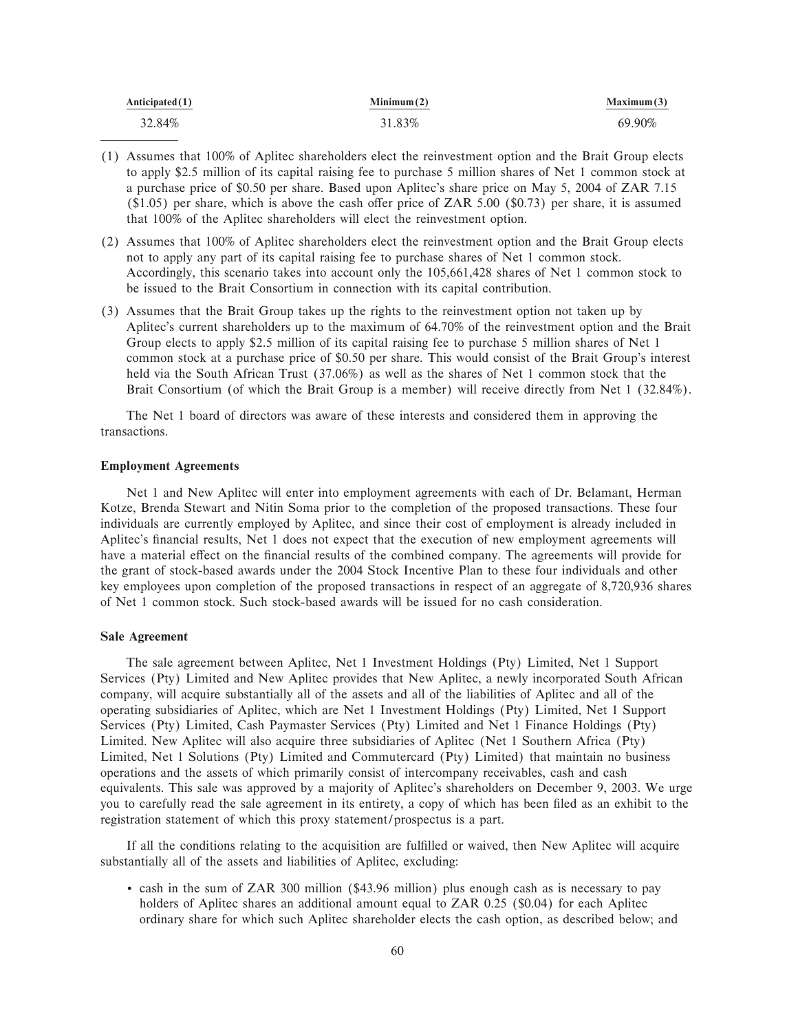| Anticipated $(1)$ | Minimum(2) | Maximum(3) |
|-------------------|------------|------------|
| 32.84%            | 31.83%     | 69.90%     |

- (1) Assumes that 100% of Aplitec shareholders elect the reinvestment option and the Brait Group elects to apply \$2.5 million of its capital raising fee to purchase 5 million shares of Net 1 common stock at a purchase price of \$0.50 per share. Based upon Aplitec's share price on May 5, 2004 of ZAR 7.15  $($1.05)$  per share, which is above the cash offer price of ZAR 5.00  $($0.73)$  per share, it is assumed that 100% of the Aplitec shareholders will elect the reinvestment option.
- (2) Assumes that 100% of Aplitec shareholders elect the reinvestment option and the Brait Group elects not to apply any part of its capital raising fee to purchase shares of Net 1 common stock. Accordingly, this scenario takes into account only the 105,661,428 shares of Net 1 common stock to be issued to the Brait Consortium in connection with its capital contribution.
- (3) Assumes that the Brait Group takes up the rights to the reinvestment option not taken up by Aplitec's current shareholders up to the maximum of 64.70% of the reinvestment option and the Brait Group elects to apply \$2.5 million of its capital raising fee to purchase 5 million shares of Net 1 common stock at a purchase price of \$0.50 per share. This would consist of the Brait Group's interest held via the South African Trust (37.06%) as well as the shares of Net 1 common stock that the Brait Consortium (of which the Brait Group is a member) will receive directly from Net 1 (32.84%).

The Net 1 board of directors was aware of these interests and considered them in approving the transactions.

### **Employment Agreements**

Net 1 and New Aplitec will enter into employment agreements with each of Dr. Belamant, Herman Kotze, Brenda Stewart and Nitin Soma prior to the completion of the proposed transactions. These four individuals are currently employed by Aplitec, and since their cost of employment is already included in Aplitec's financial results, Net 1 does not expect that the execution of new employment agreements will have a material effect on the financial results of the combined company. The agreements will provide for the grant of stock-based awards under the 2004 Stock Incentive Plan to these four individuals and other key employees upon completion of the proposed transactions in respect of an aggregate of 8,720,936 shares of Net 1 common stock. Such stock-based awards will be issued for no cash consideration.

### **Sale Agreement**

The sale agreement between Aplitec, Net 1 Investment Holdings (Pty) Limited, Net 1 Support Services (Pty) Limited and New Aplitec provides that New Aplitec, a newly incorporated South African company, will acquire substantially all of the assets and all of the liabilities of Aplitec and all of the operating subsidiaries of Aplitec, which are Net 1 Investment Holdings (Pty) Limited, Net 1 Support Services (Pty) Limited, Cash Paymaster Services (Pty) Limited and Net 1 Finance Holdings (Pty) Limited. New Aplitec will also acquire three subsidiaries of Aplitec (Net 1 Southern Africa (Pty) Limited, Net 1 Solutions (Pty) Limited and Commutercard (Pty) Limited) that maintain no business operations and the assets of which primarily consist of intercompany receivables, cash and cash equivalents. This sale was approved by a majority of Aplitec's shareholders on December 9, 2003. We urge you to carefully read the sale agreement in its entirety, a copy of which has been Ñled as an exhibit to the registration statement of which this proxy statement/prospectus is a part.

If all the conditions relating to the acquisition are fulfilled or waived, then New Aplitec will acquire substantially all of the assets and liabilities of Aplitec, excluding:

' cash in the sum of ZAR 300 million (\$43.96 million) plus enough cash as is necessary to pay holders of Aplitec shares an additional amount equal to ZAR 0.25 (\$0.04) for each Aplitec ordinary share for which such Aplitec shareholder elects the cash option, as described below; and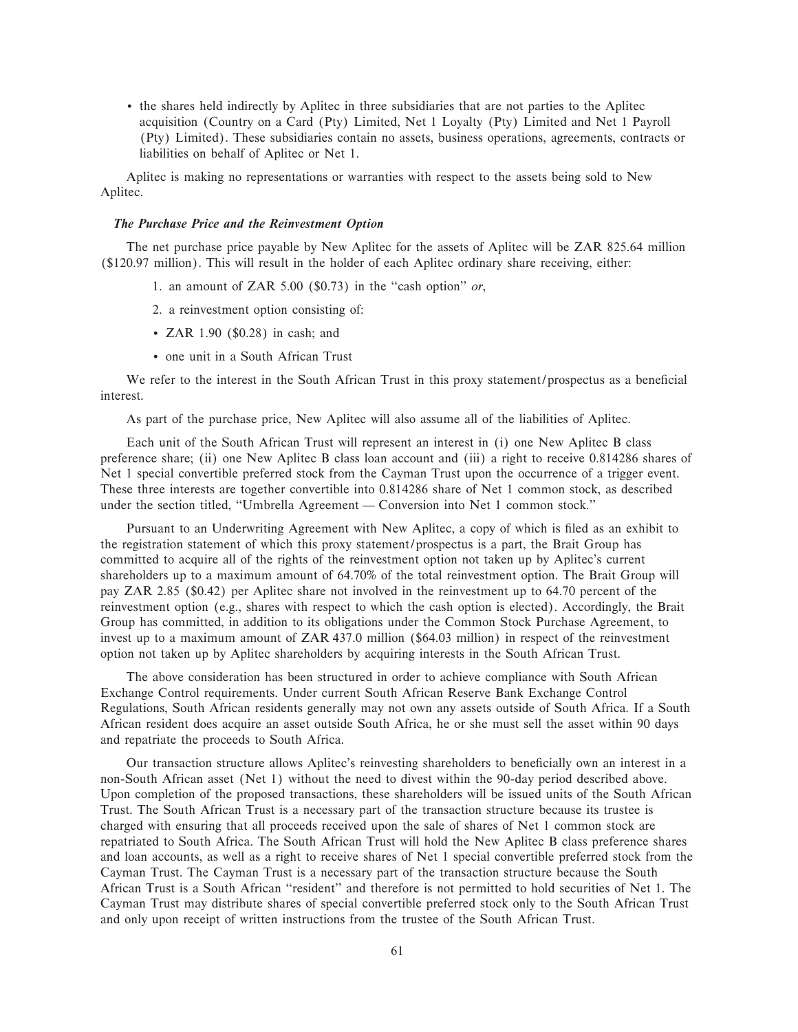' the shares held indirectly by Aplitec in three subsidiaries that are not parties to the Aplitec acquisition (Country on a Card (Pty) Limited, Net 1 Loyalty (Pty) Limited and Net 1 Payroll (Pty) Limited). These subsidiaries contain no assets, business operations, agreements, contracts or liabilities on behalf of Aplitec or Net 1.

Aplitec is making no representations or warranties with respect to the assets being sold to New Aplitec.

## *The Purchase Price and the Reinvestment Option*

The net purchase price payable by New Aplitec for the assets of Aplitec will be ZAR 825.64 million (\$120.97 million). This will result in the holder of each Aplitec ordinary share receiving, either:

- 1. an amount of ZAR 5.00  $(\$0.73)$  in the "cash option" *or*,
- 2. a reinvestment option consisting of:
- ZAR 1.90 (\$0.28) in cash; and
- ' one unit in a South African Trust

We refer to the interest in the South African Trust in this proxy statement/prospectus as a beneficial interest.

As part of the purchase price, New Aplitec will also assume all of the liabilities of Aplitec.

Each unit of the South African Trust will represent an interest in (i) one New Aplitec B class preference share; (ii) one New Aplitec B class loan account and (iii) a right to receive 0.814286 shares of Net 1 special convertible preferred stock from the Cayman Trust upon the occurrence of a trigger event. These three interests are together convertible into 0.814286 share of Net 1 common stock, as described under the section titled, "Umbrella Agreement — Conversion into Net 1 common stock."

Pursuant to an Underwriting Agreement with New Aplitec, a copy of which is filed as an exhibit to the registration statement of which this proxy statement/prospectus is a part, the Brait Group has committed to acquire all of the rights of the reinvestment option not taken up by Aplitec's current shareholders up to a maximum amount of 64.70% of the total reinvestment option. The Brait Group will pay ZAR 2.85 (\$0.42) per Aplitec share not involved in the reinvestment up to 64.70 percent of the reinvestment option (e.g., shares with respect to which the cash option is elected). Accordingly, the Brait Group has committed, in addition to its obligations under the Common Stock Purchase Agreement, to invest up to a maximum amount of ZAR 437.0 million (\$64.03 million) in respect of the reinvestment option not taken up by Aplitec shareholders by acquiring interests in the South African Trust.

The above consideration has been structured in order to achieve compliance with South African Exchange Control requirements. Under current South African Reserve Bank Exchange Control Regulations, South African residents generally may not own any assets outside of South Africa. If a South African resident does acquire an asset outside South Africa, he or she must sell the asset within 90 days and repatriate the proceeds to South Africa.

Our transaction structure allows Aplitec's reinvesting shareholders to beneficially own an interest in a non-South African asset (Net 1) without the need to divest within the 90-day period described above. Upon completion of the proposed transactions, these shareholders will be issued units of the South African Trust. The South African Trust is a necessary part of the transaction structure because its trustee is charged with ensuring that all proceeds received upon the sale of shares of Net 1 common stock are repatriated to South Africa. The South African Trust will hold the New Aplitec B class preference shares and loan accounts, as well as a right to receive shares of Net 1 special convertible preferred stock from the Cayman Trust. The Cayman Trust is a necessary part of the transaction structure because the South African Trust is a South African ""resident'' and therefore is not permitted to hold securities of Net 1. The Cayman Trust may distribute shares of special convertible preferred stock only to the South African Trust and only upon receipt of written instructions from the trustee of the South African Trust.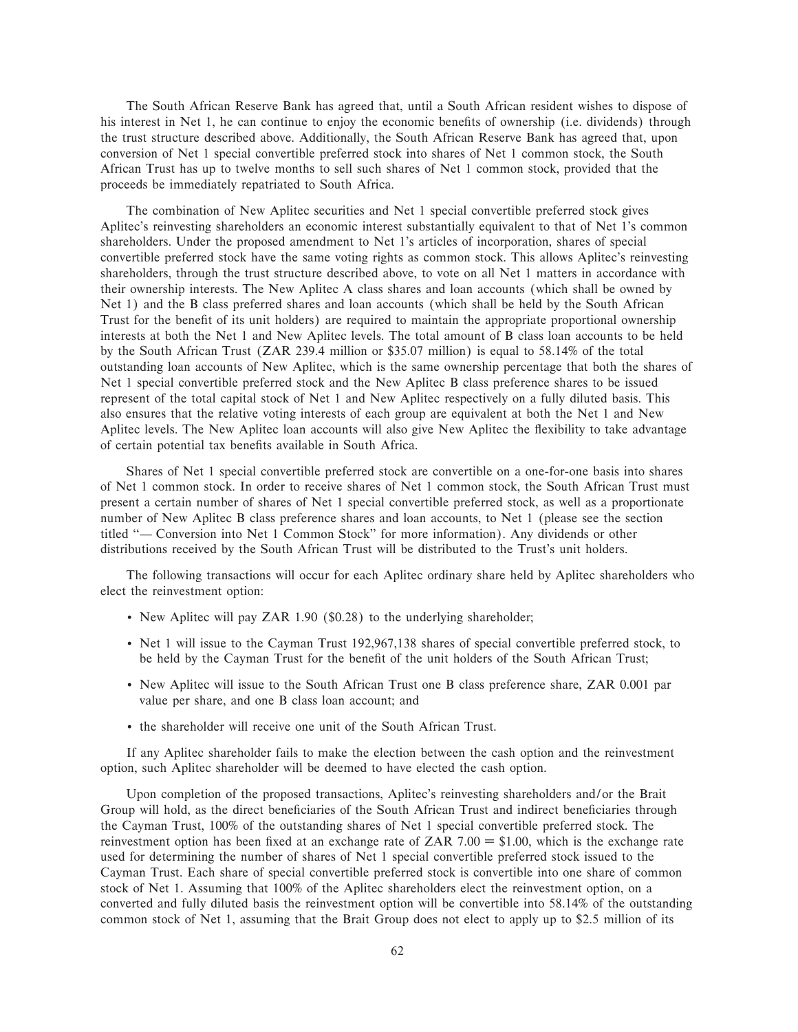The South African Reserve Bank has agreed that, until a South African resident wishes to dispose of his interest in Net 1, he can continue to enjoy the economic benefits of ownership (i.e. dividends) through the trust structure described above. Additionally, the South African Reserve Bank has agreed that, upon conversion of Net 1 special convertible preferred stock into shares of Net 1 common stock, the South African Trust has up to twelve months to sell such shares of Net 1 common stock, provided that the proceeds be immediately repatriated to South Africa.

The combination of New Aplitec securities and Net 1 special convertible preferred stock gives Aplitec's reinvesting shareholders an economic interest substantially equivalent to that of Net 1's common shareholders. Under the proposed amendment to Net 1's articles of incorporation, shares of special convertible preferred stock have the same voting rights as common stock. This allows Aplitec's reinvesting shareholders, through the trust structure described above, to vote on all Net 1 matters in accordance with their ownership interests. The New Aplitec A class shares and loan accounts (which shall be owned by Net 1) and the B class preferred shares and loan accounts (which shall be held by the South African Trust for the benefit of its unit holders) are required to maintain the appropriate proportional ownership interests at both the Net 1 and New Aplitec levels. The total amount of B class loan accounts to be held by the South African Trust (ZAR 239.4 million or \$35.07 million) is equal to 58.14% of the total outstanding loan accounts of New Aplitec, which is the same ownership percentage that both the shares of Net 1 special convertible preferred stock and the New Aplitec B class preference shares to be issued represent of the total capital stock of Net 1 and New Aplitec respectively on a fully diluted basis. This also ensures that the relative voting interests of each group are equivalent at both the Net 1 and New Aplitec levels. The New Aplitec loan accounts will also give New Aplitec the flexibility to take advantage of certain potential tax benefits available in South Africa.

Shares of Net 1 special convertible preferred stock are convertible on a one-for-one basis into shares of Net 1 common stock. In order to receive shares of Net 1 common stock, the South African Trust must present a certain number of shares of Net 1 special convertible preferred stock, as well as a proportionate number of New Aplitec B class preference shares and loan accounts, to Net 1 (please see the section titled "— Conversion into Net 1 Common Stock" for more information). Any dividends or other distributions received by the South African Trust will be distributed to the Trust's unit holders.

The following transactions will occur for each Aplitec ordinary share held by Aplitec shareholders who elect the reinvestment option:

- ' New Aplitec will pay ZAR 1.90 (\$0.28) to the underlying shareholder;
- ' Net 1 will issue to the Cayman Trust 192,967,138 shares of special convertible preferred stock, to be held by the Cayman Trust for the benefit of the unit holders of the South African Trust;
- ' New Aplitec will issue to the South African Trust one B class preference share, ZAR 0.001 par value per share, and one B class loan account; and
- ' the shareholder will receive one unit of the South African Trust.

If any Aplitec shareholder fails to make the election between the cash option and the reinvestment option, such Aplitec shareholder will be deemed to have elected the cash option.

Upon completion of the proposed transactions, Aplitec's reinvesting shareholders and/or the Brait Group will hold, as the direct beneficiaries of the South African Trust and indirect beneficiaries through the Cayman Trust, 100% of the outstanding shares of Net 1 special convertible preferred stock. The reinvestment option has been fixed at an exchange rate of ZAR 7.00  $=$  \$1.00, which is the exchange rate used for determining the number of shares of Net 1 special convertible preferred stock issued to the Cayman Trust. Each share of special convertible preferred stock is convertible into one share of common stock of Net 1. Assuming that 100% of the Aplitec shareholders elect the reinvestment option, on a converted and fully diluted basis the reinvestment option will be convertible into 58.14% of the outstanding common stock of Net 1, assuming that the Brait Group does not elect to apply up to \$2.5 million of its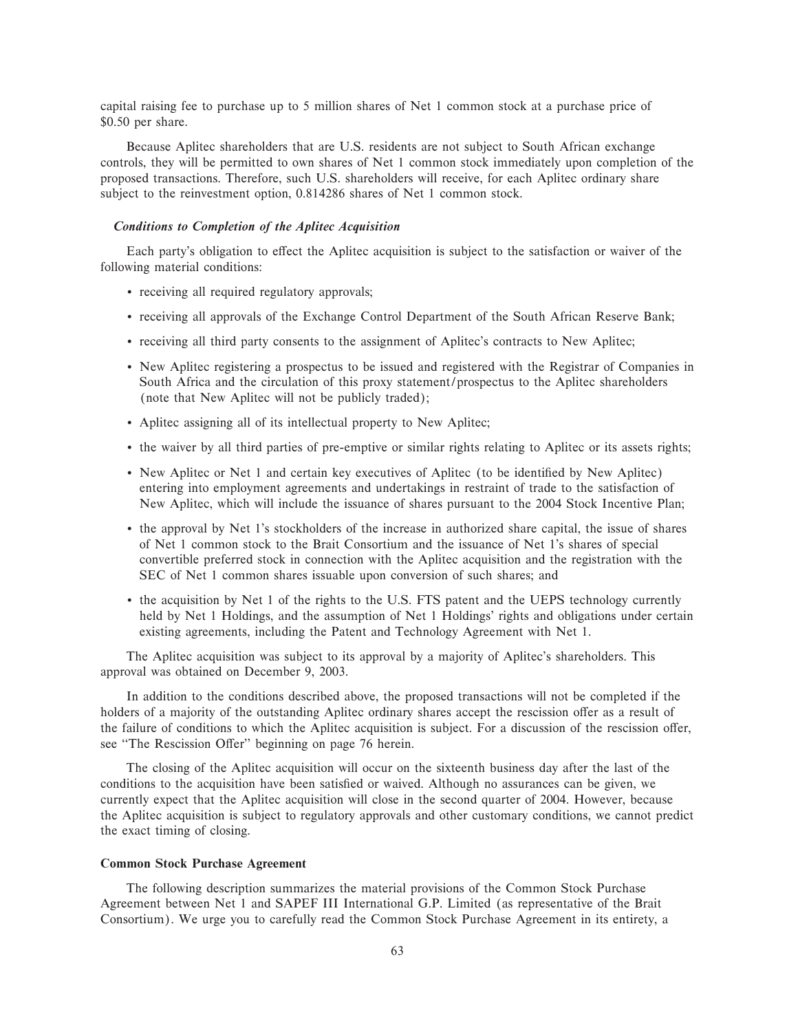capital raising fee to purchase up to 5 million shares of Net 1 common stock at a purchase price of \$0.50 per share.

Because Aplitec shareholders that are U.S. residents are not subject to South African exchange controls, they will be permitted to own shares of Net 1 common stock immediately upon completion of the proposed transactions. Therefore, such U.S. shareholders will receive, for each Aplitec ordinary share subject to the reinvestment option, 0.814286 shares of Net 1 common stock.

## *Conditions to Completion of the Aplitec Acquisition*

Each party's obligation to effect the Aplitec acquisition is subject to the satisfaction or waiver of the following material conditions:

- ' receiving all required regulatory approvals;
- ' receiving all approvals of the Exchange Control Department of the South African Reserve Bank;
- ' receiving all third party consents to the assignment of Aplitec's contracts to New Aplitec;
- ' New Aplitec registering a prospectus to be issued and registered with the Registrar of Companies in South Africa and the circulation of this proxy statement/prospectus to the Aplitec shareholders (note that New Aplitec will not be publicly traded);
- ' Aplitec assigning all of its intellectual property to New Aplitec;
- ' the waiver by all third parties of pre-emptive or similar rights relating to Aplitec or its assets rights;
- New Aplitec or Net 1 and certain key executives of Aplitec (to be identified by New Aplitec) entering into employment agreements and undertakings in restraint of trade to the satisfaction of New Aplitec, which will include the issuance of shares pursuant to the 2004 Stock Incentive Plan;
- ' the approval by Net 1's stockholders of the increase in authorized share capital, the issue of shares of Net 1 common stock to the Brait Consortium and the issuance of Net 1's shares of special convertible preferred stock in connection with the Aplitec acquisition and the registration with the SEC of Net 1 common shares issuable upon conversion of such shares; and
- ' the acquisition by Net 1 of the rights to the U.S. FTS patent and the UEPS technology currently held by Net 1 Holdings, and the assumption of Net 1 Holdings' rights and obligations under certain existing agreements, including the Patent and Technology Agreement with Net 1.

The Aplitec acquisition was subject to its approval by a majority of Aplitec's shareholders. This approval was obtained on December 9, 2003.

In addition to the conditions described above, the proposed transactions will not be completed if the holders of a majority of the outstanding Aplitec ordinary shares accept the rescission offer as a result of the failure of conditions to which the Aplitec acquisition is subject. For a discussion of the rescission offer, see "The Rescission Offer" beginning on page 76 herein.

The closing of the Aplitec acquisition will occur on the sixteenth business day after the last of the conditions to the acquisition have been satisfied or waived. Although no assurances can be given, we currently expect that the Aplitec acquisition will close in the second quarter of 2004. However, because the Aplitec acquisition is subject to regulatory approvals and other customary conditions, we cannot predict the exact timing of closing.

## **Common Stock Purchase Agreement**

The following description summarizes the material provisions of the Common Stock Purchase Agreement between Net 1 and SAPEF III International G.P. Limited (as representative of the Brait Consortium). We urge you to carefully read the Common Stock Purchase Agreement in its entirety, a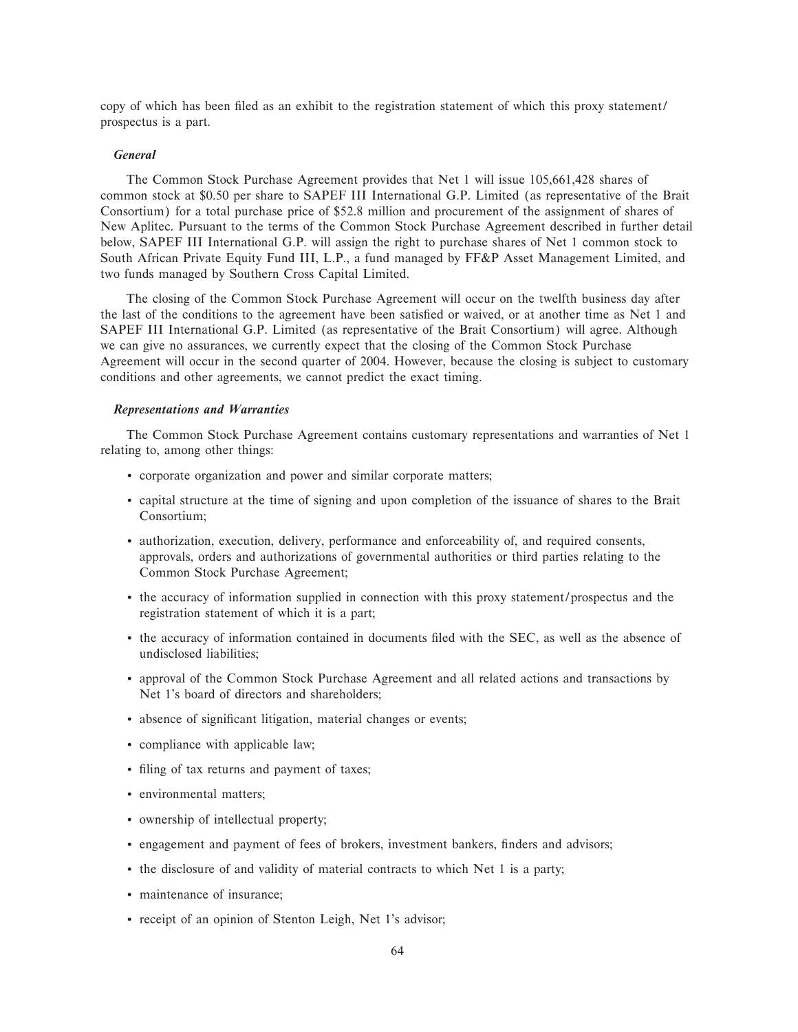copy of which has been filed as an exhibit to the registration statement of which this proxy statement/ prospectus is a part.

### *General*

The Common Stock Purchase Agreement provides that Net 1 will issue 105,661,428 shares of common stock at \$0.50 per share to SAPEF III International G.P. Limited (as representative of the Brait Consortium) for a total purchase price of \$52.8 million and procurement of the assignment of shares of New Aplitec. Pursuant to the terms of the Common Stock Purchase Agreement described in further detail below, SAPEF III International G.P. will assign the right to purchase shares of Net 1 common stock to South African Private Equity Fund III, L.P., a fund managed by FF&P Asset Management Limited, and two funds managed by Southern Cross Capital Limited.

The closing of the Common Stock Purchase Agreement will occur on the twelfth business day after the last of the conditions to the agreement have been satisfied or waived, or at another time as Net 1 and SAPEF III International G.P. Limited (as representative of the Brait Consortium) will agree. Although we can give no assurances, we currently expect that the closing of the Common Stock Purchase Agreement will occur in the second quarter of 2004. However, because the closing is subject to customary conditions and other agreements, we cannot predict the exact timing.

# *Representations and Warranties*

The Common Stock Purchase Agreement contains customary representations and warranties of Net 1 relating to, among other things:

- ' corporate organization and power and similar corporate matters;
- ' capital structure at the time of signing and upon completion of the issuance of shares to the Brait Consortium;
- ' authorization, execution, delivery, performance and enforceability of, and required consents, approvals, orders and authorizations of governmental authorities or third parties relating to the Common Stock Purchase Agreement;
- ' the accuracy of information supplied in connection with this proxy statement/prospectus and the registration statement of which it is a part;
- ' the accuracy of information contained in documents Ñled with the SEC, as well as the absence of undisclosed liabilities;
- ' approval of the Common Stock Purchase Agreement and all related actions and transactions by Net 1's board of directors and shareholders;
- absence of significant litigation, material changes or events;
- ' compliance with applicable law;
- filing of tax returns and payment of taxes;
- ' environmental matters;
- ' ownership of intellectual property;
- ' engagement and payment of fees of brokers, investment bankers, Ñnders and advisors;
- ' the disclosure of and validity of material contracts to which Net 1 is a party;
- ' maintenance of insurance;
- ' receipt of an opinion of Stenton Leigh, Net 1's advisor;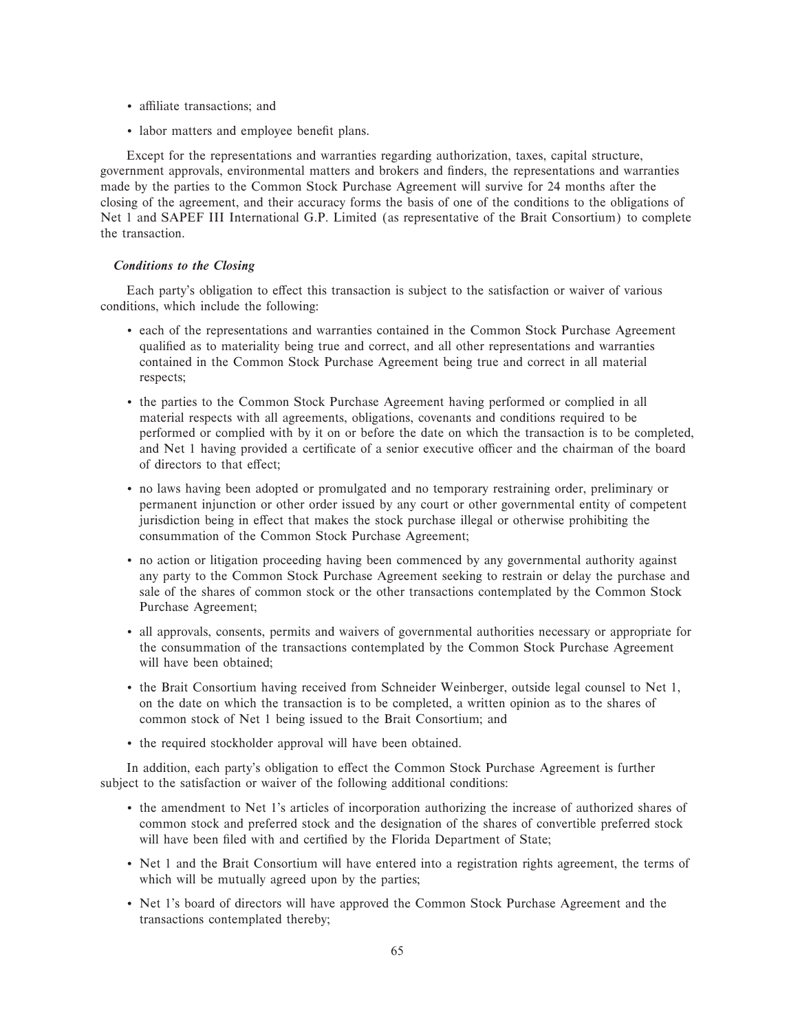- affiliate transactions; and
- labor matters and employee benefit plans.

Except for the representations and warranties regarding authorization, taxes, capital structure, government approvals, environmental matters and brokers and Ñnders, the representations and warranties made by the parties to the Common Stock Purchase Agreement will survive for 24 months after the closing of the agreement, and their accuracy forms the basis of one of the conditions to the obligations of Net 1 and SAPEF III International G.P. Limited (as representative of the Brait Consortium) to complete the transaction.

## *Conditions to the Closing*

Each party's obligation to effect this transaction is subject to the satisfaction or waiver of various conditions, which include the following:

- ' each of the representations and warranties contained in the Common Stock Purchase Agreement qualified as to materiality being true and correct, and all other representations and warranties contained in the Common Stock Purchase Agreement being true and correct in all material respects;
- ' the parties to the Common Stock Purchase Agreement having performed or complied in all material respects with all agreements, obligations, covenants and conditions required to be performed or complied with by it on or before the date on which the transaction is to be completed, and Net 1 having provided a certificate of a senior executive officer and the chairman of the board of directors to that effect;
- ' no laws having been adopted or promulgated and no temporary restraining order, preliminary or permanent injunction or other order issued by any court or other governmental entity of competent jurisdiction being in effect that makes the stock purchase illegal or otherwise prohibiting the consummation of the Common Stock Purchase Agreement;
- ' no action or litigation proceeding having been commenced by any governmental authority against any party to the Common Stock Purchase Agreement seeking to restrain or delay the purchase and sale of the shares of common stock or the other transactions contemplated by the Common Stock Purchase Agreement;
- ' all approvals, consents, permits and waivers of governmental authorities necessary or appropriate for the consummation of the transactions contemplated by the Common Stock Purchase Agreement will have been obtained;
- ' the Brait Consortium having received from Schneider Weinberger, outside legal counsel to Net 1, on the date on which the transaction is to be completed, a written opinion as to the shares of common stock of Net 1 being issued to the Brait Consortium; and
- ' the required stockholder approval will have been obtained.

In addition, each party's obligation to effect the Common Stock Purchase Agreement is further subject to the satisfaction or waiver of the following additional conditions:

- ' the amendment to Net 1's articles of incorporation authorizing the increase of authorized shares of common stock and preferred stock and the designation of the shares of convertible preferred stock will have been filed with and certified by the Florida Department of State;
- ' Net 1 and the Brait Consortium will have entered into a registration rights agreement, the terms of which will be mutually agreed upon by the parties;
- ' Net 1's board of directors will have approved the Common Stock Purchase Agreement and the transactions contemplated thereby;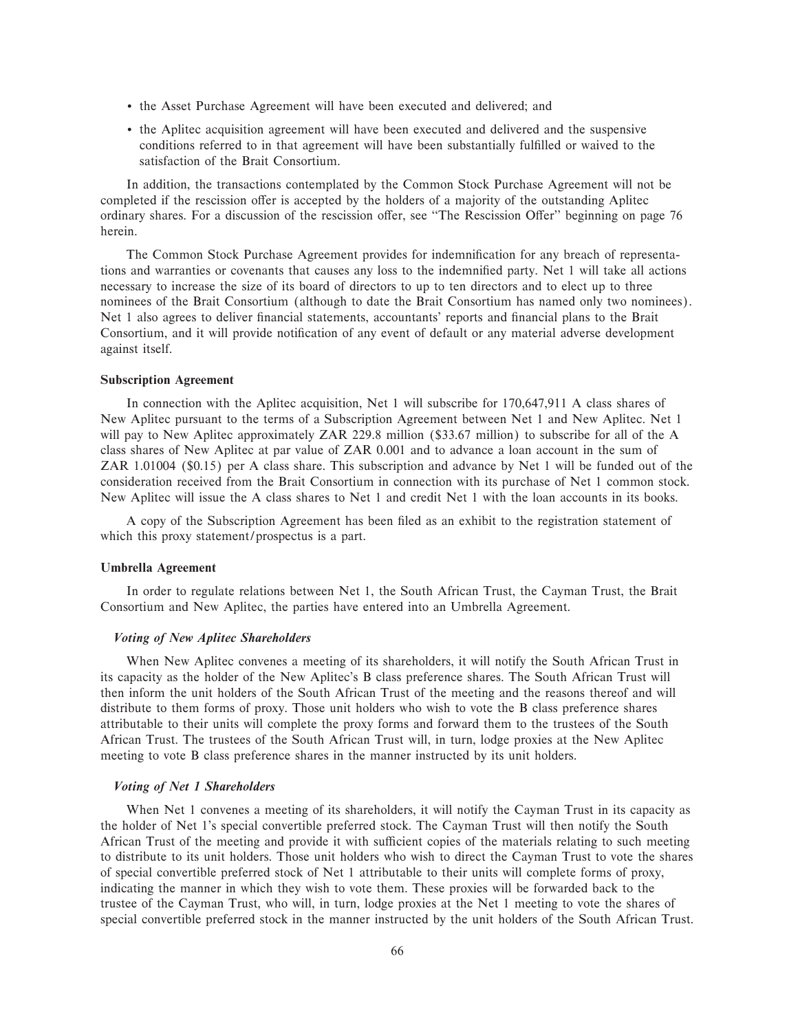- ' the Asset Purchase Agreement will have been executed and delivered; and
- ' the Aplitec acquisition agreement will have been executed and delivered and the suspensive conditions referred to in that agreement will have been substantially fulfilled or waived to the satisfaction of the Brait Consortium.

In addition, the transactions contemplated by the Common Stock Purchase Agreement will not be completed if the rescission offer is accepted by the holders of a majority of the outstanding Aplitec ordinary shares. For a discussion of the rescission offer, see "The Rescission Offer" beginning on page 76 herein.

The Common Stock Purchase Agreement provides for indemnification for any breach of representations and warranties or covenants that causes any loss to the indemnified party. Net 1 will take all actions necessary to increase the size of its board of directors to up to ten directors and to elect up to three nominees of the Brait Consortium (although to date the Brait Consortium has named only two nominees). Net 1 also agrees to deliver financial statements, accountants' reports and financial plans to the Brait Consortium, and it will provide notification of any event of default or any material adverse development against itself.

### **Subscription Agreement**

In connection with the Aplitec acquisition, Net 1 will subscribe for 170,647,911 A class shares of New Aplitec pursuant to the terms of a Subscription Agreement between Net 1 and New Aplitec. Net 1 will pay to New Aplitec approximately ZAR 229.8 million (\$33.67 million) to subscribe for all of the A class shares of New Aplitec at par value of ZAR 0.001 and to advance a loan account in the sum of ZAR 1.01004 (\$0.15) per A class share. This subscription and advance by Net 1 will be funded out of the consideration received from the Brait Consortium in connection with its purchase of Net 1 common stock. New Aplitec will issue the A class shares to Net 1 and credit Net 1 with the loan accounts in its books.

A copy of the Subscription Agreement has been filed as an exhibit to the registration statement of which this proxy statement/prospectus is a part.

### **Umbrella Agreement**

In order to regulate relations between Net 1, the South African Trust, the Cayman Trust, the Brait Consortium and New Aplitec, the parties have entered into an Umbrella Agreement.

## *Voting of New Aplitec Shareholders*

When New Aplitec convenes a meeting of its shareholders, it will notify the South African Trust in its capacity as the holder of the New Aplitec's B class preference shares. The South African Trust will then inform the unit holders of the South African Trust of the meeting and the reasons thereof and will distribute to them forms of proxy. Those unit holders who wish to vote the B class preference shares attributable to their units will complete the proxy forms and forward them to the trustees of the South African Trust. The trustees of the South African Trust will, in turn, lodge proxies at the New Aplitec meeting to vote B class preference shares in the manner instructed by its unit holders.

#### *Voting of Net 1 Shareholders*

When Net 1 convenes a meeting of its shareholders, it will notify the Cayman Trust in its capacity as the holder of Net 1's special convertible preferred stock. The Cayman Trust will then notify the South African Trust of the meeting and provide it with sufficient copies of the materials relating to such meeting to distribute to its unit holders. Those unit holders who wish to direct the Cayman Trust to vote the shares of special convertible preferred stock of Net 1 attributable to their units will complete forms of proxy, indicating the manner in which they wish to vote them. These proxies will be forwarded back to the trustee of the Cayman Trust, who will, in turn, lodge proxies at the Net 1 meeting to vote the shares of special convertible preferred stock in the manner instructed by the unit holders of the South African Trust.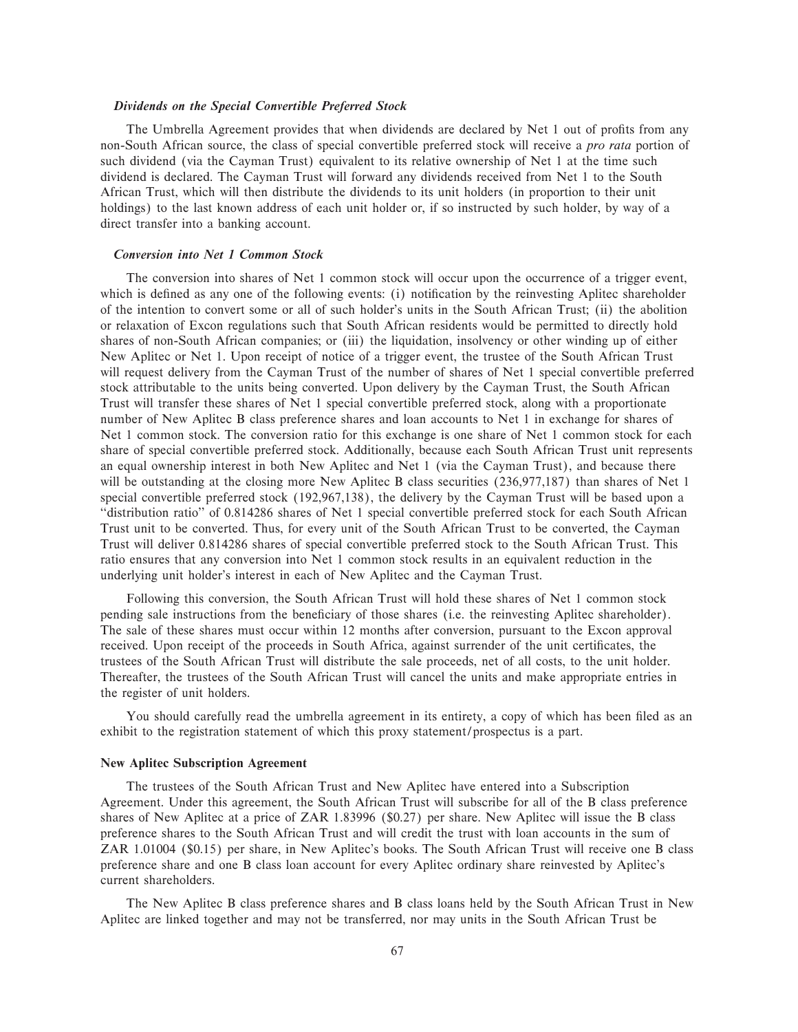### *Dividends on the Special Convertible Preferred Stock*

The Umbrella Agreement provides that when dividends are declared by Net 1 out of profits from any non-South African source, the class of special convertible preferred stock will receive a *pro rata* portion of such dividend (via the Cayman Trust) equivalent to its relative ownership of Net 1 at the time such dividend is declared. The Cayman Trust will forward any dividends received from Net 1 to the South African Trust, which will then distribute the dividends to its unit holders (in proportion to their unit holdings) to the last known address of each unit holder or, if so instructed by such holder, by way of a direct transfer into a banking account.

### *Conversion into Net 1 Common Stock*

The conversion into shares of Net 1 common stock will occur upon the occurrence of a trigger event, which is defined as any one of the following events: (i) notification by the reinvesting Aplitec shareholder of the intention to convert some or all of such holder's units in the South African Trust; (ii) the abolition or relaxation of Excon regulations such that South African residents would be permitted to directly hold shares of non-South African companies; or (iii) the liquidation, insolvency or other winding up of either New Aplitec or Net 1. Upon receipt of notice of a trigger event, the trustee of the South African Trust will request delivery from the Cayman Trust of the number of shares of Net 1 special convertible preferred stock attributable to the units being converted. Upon delivery by the Cayman Trust, the South African Trust will transfer these shares of Net 1 special convertible preferred stock, along with a proportionate number of New Aplitec B class preference shares and loan accounts to Net 1 in exchange for shares of Net 1 common stock. The conversion ratio for this exchange is one share of Net 1 common stock for each share of special convertible preferred stock. Additionally, because each South African Trust unit represents an equal ownership interest in both New Aplitec and Net 1 (via the Cayman Trust), and because there will be outstanding at the closing more New Aplitec B class securities (236,977,187) than shares of Net 1 special convertible preferred stock (192,967,138), the delivery by the Cayman Trust will be based upon a "distribution ratio" of 0.814286 shares of Net 1 special convertible preferred stock for each South African Trust unit to be converted. Thus, for every unit of the South African Trust to be converted, the Cayman Trust will deliver 0.814286 shares of special convertible preferred stock to the South African Trust. This ratio ensures that any conversion into Net 1 common stock results in an equivalent reduction in the underlying unit holder's interest in each of New Aplitec and the Cayman Trust.

Following this conversion, the South African Trust will hold these shares of Net 1 common stock pending sale instructions from the beneficiary of those shares (i.e. the reinvesting Aplitec shareholder). The sale of these shares must occur within 12 months after conversion, pursuant to the Excon approval received. Upon receipt of the proceeds in South Africa, against surrender of the unit certificates, the trustees of the South African Trust will distribute the sale proceeds, net of all costs, to the unit holder. Thereafter, the trustees of the South African Trust will cancel the units and make appropriate entries in the register of unit holders.

You should carefully read the umbrella agreement in its entirety, a copy of which has been filed as an exhibit to the registration statement of which this proxy statement/prospectus is a part.

#### **New Aplitec Subscription Agreement**

The trustees of the South African Trust and New Aplitec have entered into a Subscription Agreement. Under this agreement, the South African Trust will subscribe for all of the B class preference shares of New Aplitec at a price of ZAR 1.83996 (\$0.27) per share. New Aplitec will issue the B class preference shares to the South African Trust and will credit the trust with loan accounts in the sum of ZAR 1.01004 (\$0.15) per share, in New Aplitec's books. The South African Trust will receive one B class preference share and one B class loan account for every Aplitec ordinary share reinvested by Aplitec's current shareholders.

The New Aplitec B class preference shares and B class loans held by the South African Trust in New Aplitec are linked together and may not be transferred, nor may units in the South African Trust be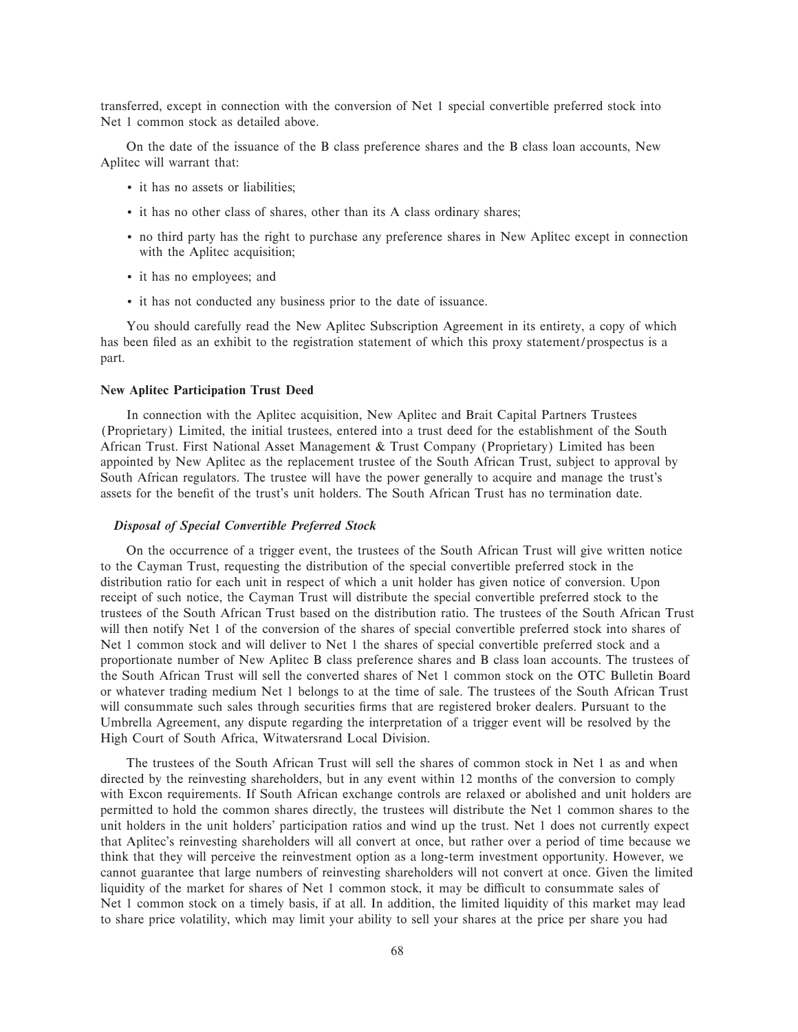transferred, except in connection with the conversion of Net 1 special convertible preferred stock into Net 1 common stock as detailed above.

On the date of the issuance of the B class preference shares and the B class loan accounts, New Aplitec will warrant that:

- ' it has no assets or liabilities;
- ' it has no other class of shares, other than its A class ordinary shares;
- ' no third party has the right to purchase any preference shares in New Aplitec except in connection with the Aplitec acquisition;
- ' it has no employees; and
- ' it has not conducted any business prior to the date of issuance.

You should carefully read the New Aplitec Subscription Agreement in its entirety, a copy of which has been filed as an exhibit to the registration statement of which this proxy statement/prospectus is a part.

### **New Aplitec Participation Trust Deed**

In connection with the Aplitec acquisition, New Aplitec and Brait Capital Partners Trustees (Proprietary) Limited, the initial trustees, entered into a trust deed for the establishment of the South African Trust. First National Asset Management & Trust Company (Proprietary) Limited has been appointed by New Aplitec as the replacement trustee of the South African Trust, subject to approval by South African regulators. The trustee will have the power generally to acquire and manage the trust's assets for the benefit of the trust's unit holders. The South African Trust has no termination date.

### *Disposal of Special Convertible Preferred Stock*

On the occurrence of a trigger event, the trustees of the South African Trust will give written notice to the Cayman Trust, requesting the distribution of the special convertible preferred stock in the distribution ratio for each unit in respect of which a unit holder has given notice of conversion. Upon receipt of such notice, the Cayman Trust will distribute the special convertible preferred stock to the trustees of the South African Trust based on the distribution ratio. The trustees of the South African Trust will then notify Net 1 of the conversion of the shares of special convertible preferred stock into shares of Net 1 common stock and will deliver to Net 1 the shares of special convertible preferred stock and a proportionate number of New Aplitec B class preference shares and B class loan accounts. The trustees of the South African Trust will sell the converted shares of Net 1 common stock on the OTC Bulletin Board or whatever trading medium Net 1 belongs to at the time of sale. The trustees of the South African Trust will consummate such sales through securities firms that are registered broker dealers. Pursuant to the Umbrella Agreement, any dispute regarding the interpretation of a trigger event will be resolved by the High Court of South Africa, Witwatersrand Local Division.

The trustees of the South African Trust will sell the shares of common stock in Net 1 as and when directed by the reinvesting shareholders, but in any event within 12 months of the conversion to comply with Excon requirements. If South African exchange controls are relaxed or abolished and unit holders are permitted to hold the common shares directly, the trustees will distribute the Net 1 common shares to the unit holders in the unit holders' participation ratios and wind up the trust. Net 1 does not currently expect that Aplitec's reinvesting shareholders will all convert at once, but rather over a period of time because we think that they will perceive the reinvestment option as a long-term investment opportunity. However, we cannot guarantee that large numbers of reinvesting shareholders will not convert at once. Given the limited liquidity of the market for shares of Net 1 common stock, it may be difficult to consummate sales of Net 1 common stock on a timely basis, if at all. In addition, the limited liquidity of this market may lead to share price volatility, which may limit your ability to sell your shares at the price per share you had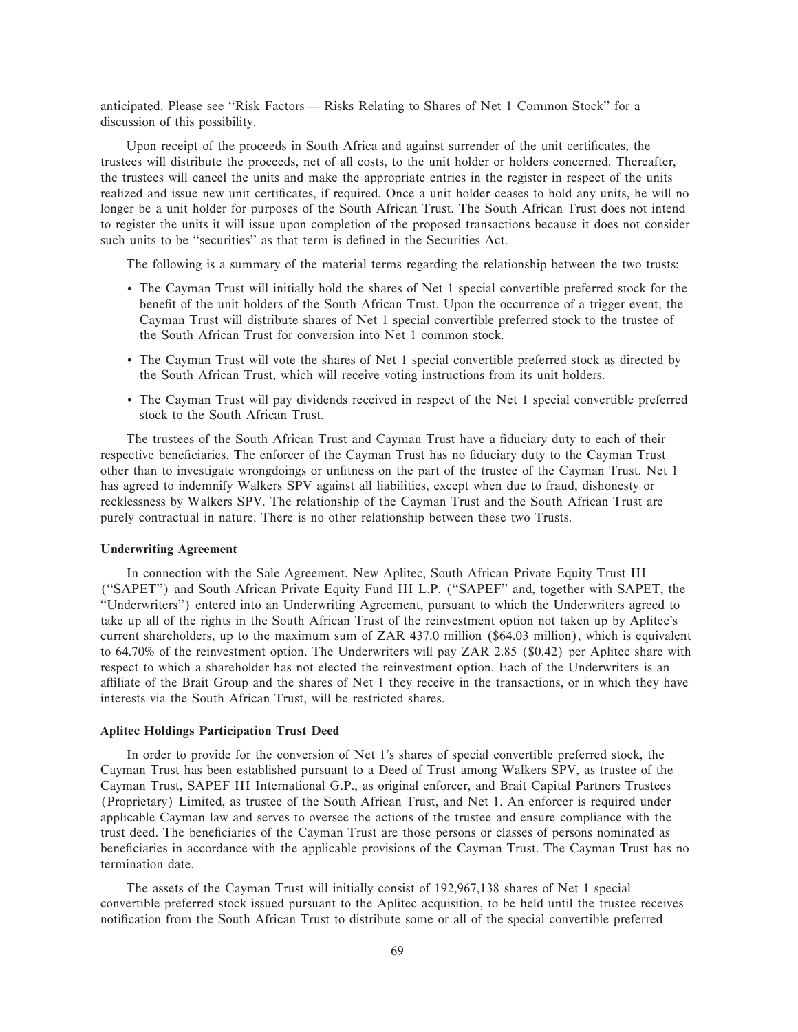anticipated. Please see "Risk Factors — Risks Relating to Shares of Net 1 Common Stock" for a discussion of this possibility.

Upon receipt of the proceeds in South Africa and against surrender of the unit certificates, the trustees will distribute the proceeds, net of all costs, to the unit holder or holders concerned. Thereafter, the trustees will cancel the units and make the appropriate entries in the register in respect of the units realized and issue new unit certificates, if required. Once a unit holder ceases to hold any units, he will no longer be a unit holder for purposes of the South African Trust. The South African Trust does not intend to register the units it will issue upon completion of the proposed transactions because it does not consider such units to be "securities" as that term is defined in the Securities Act.

The following is a summary of the material terms regarding the relationship between the two trusts:

- ' The Cayman Trust will initially hold the shares of Net 1 special convertible preferred stock for the benefit of the unit holders of the South African Trust. Upon the occurrence of a trigger event, the Cayman Trust will distribute shares of Net 1 special convertible preferred stock to the trustee of the South African Trust for conversion into Net 1 common stock.
- ' The Cayman Trust will vote the shares of Net 1 special convertible preferred stock as directed by the South African Trust, which will receive voting instructions from its unit holders.
- ' The Cayman Trust will pay dividends received in respect of the Net 1 special convertible preferred stock to the South African Trust.

The trustees of the South African Trust and Cayman Trust have a fiduciary duty to each of their respective beneficiaries. The enforcer of the Cayman Trust has no fiduciary duty to the Cayman Trust other than to investigate wrongdoings or unfitness on the part of the trustee of the Cayman Trust. Net 1 has agreed to indemnify Walkers SPV against all liabilities, except when due to fraud, dishonesty or recklessness by Walkers SPV. The relationship of the Cayman Trust and the South African Trust are purely contractual in nature. There is no other relationship between these two Trusts.

### **Underwriting Agreement**

In connection with the Sale Agreement, New Aplitec, South African Private Equity Trust III (""SAPET'') and South African Private Equity Fund III L.P. (""SAPEF'' and, together with SAPET, the ""Underwriters'') entered into an Underwriting Agreement, pursuant to which the Underwriters agreed to take up all of the rights in the South African Trust of the reinvestment option not taken up by Aplitec's current shareholders, up to the maximum sum of ZAR 437.0 million (\$64.03 million), which is equivalent to 64.70% of the reinvestment option. The Underwriters will pay ZAR 2.85 (\$0.42) per Aplitec share with respect to which a shareholder has not elected the reinvestment option. Each of the Underwriters is an affiliate of the Brait Group and the shares of Net 1 they receive in the transactions, or in which they have interests via the South African Trust, will be restricted shares.

#### **Aplitec Holdings Participation Trust Deed**

In order to provide for the conversion of Net 1's shares of special convertible preferred stock, the Cayman Trust has been established pursuant to a Deed of Trust among Walkers SPV, as trustee of the Cayman Trust, SAPEF III International G.P., as original enforcer, and Brait Capital Partners Trustees (Proprietary) Limited, as trustee of the South African Trust, and Net 1. An enforcer is required under applicable Cayman law and serves to oversee the actions of the trustee and ensure compliance with the trust deed. The beneficiaries of the Cayman Trust are those persons or classes of persons nominated as beneficiaries in accordance with the applicable provisions of the Cayman Trust. The Cayman Trust has no termination date.

The assets of the Cayman Trust will initially consist of 192,967,138 shares of Net 1 special convertible preferred stock issued pursuant to the Aplitec acquisition, to be held until the trustee receives notification from the South African Trust to distribute some or all of the special convertible preferred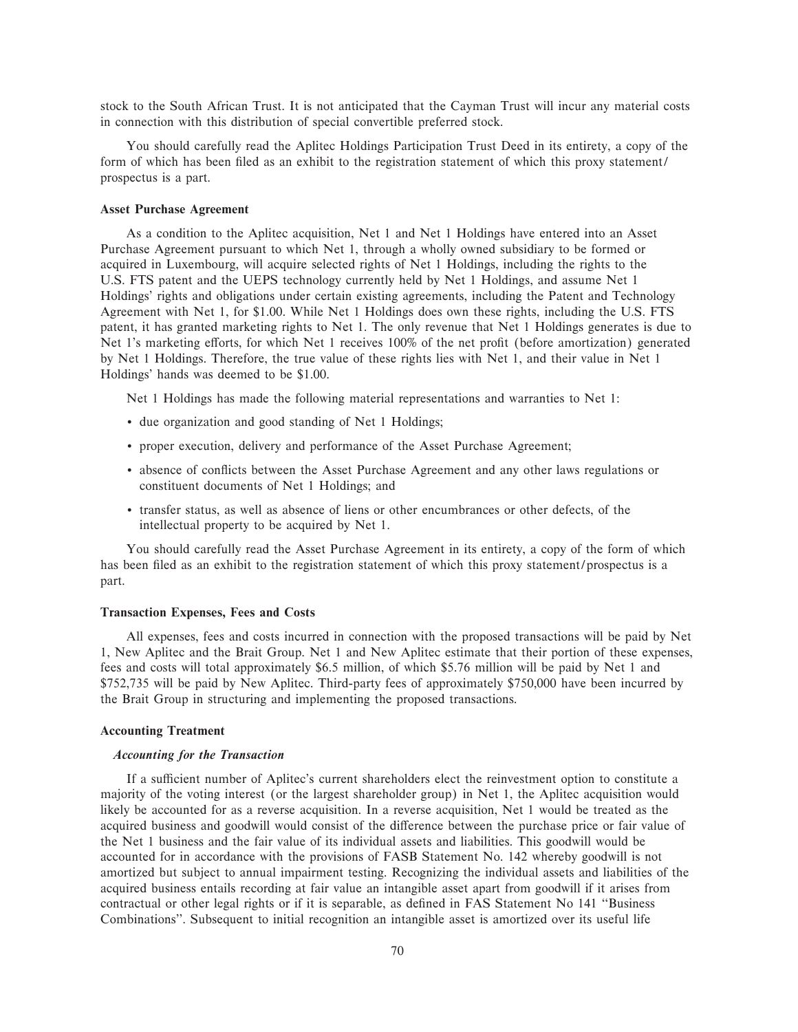stock to the South African Trust. It is not anticipated that the Cayman Trust will incur any material costs in connection with this distribution of special convertible preferred stock.

You should carefully read the Aplitec Holdings Participation Trust Deed in its entirety, a copy of the form of which has been filed as an exhibit to the registration statement of which this proxy statement/ prospectus is a part.

#### **Asset Purchase Agreement**

As a condition to the Aplitec acquisition, Net 1 and Net 1 Holdings have entered into an Asset Purchase Agreement pursuant to which Net 1, through a wholly owned subsidiary to be formed or acquired in Luxembourg, will acquire selected rights of Net 1 Holdings, including the rights to the U.S. FTS patent and the UEPS technology currently held by Net 1 Holdings, and assume Net 1 Holdings' rights and obligations under certain existing agreements, including the Patent and Technology Agreement with Net 1, for \$1.00. While Net 1 Holdings does own these rights, including the U.S. FTS patent, it has granted marketing rights to Net 1. The only revenue that Net 1 Holdings generates is due to Net 1's marketing efforts, for which Net 1 receives 100% of the net profit (before amortization) generated by Net 1 Holdings. Therefore, the true value of these rights lies with Net 1, and their value in Net 1 Holdings' hands was deemed to be \$1.00.

Net 1 Holdings has made the following material representations and warranties to Net 1:

- ' due organization and good standing of Net 1 Holdings;
- ' proper execution, delivery and performance of the Asset Purchase Agreement;
- absence of conflicts between the Asset Purchase Agreement and any other laws regulations or constituent documents of Net 1 Holdings; and
- ' transfer status, as well as absence of liens or other encumbrances or other defects, of the intellectual property to be acquired by Net 1.

You should carefully read the Asset Purchase Agreement in its entirety, a copy of the form of which has been filed as an exhibit to the registration statement of which this proxy statement/prospectus is a part.

#### **Transaction Expenses, Fees and Costs**

All expenses, fees and costs incurred in connection with the proposed transactions will be paid by Net 1, New Aplitec and the Brait Group. Net 1 and New Aplitec estimate that their portion of these expenses, fees and costs will total approximately \$6.5 million, of which \$5.76 million will be paid by Net 1 and \$752,735 will be paid by New Aplitec. Third-party fees of approximately \$750,000 have been incurred by the Brait Group in structuring and implementing the proposed transactions.

### **Accounting Treatment**

### *Accounting for the Transaction*

If a sufficient number of Aplitec's current shareholders elect the reinvestment option to constitute a majority of the voting interest (or the largest shareholder group) in Net 1, the Aplitec acquisition would likely be accounted for as a reverse acquisition. In a reverse acquisition, Net 1 would be treated as the acquired business and goodwill would consist of the difference between the purchase price or fair value of the Net 1 business and the fair value of its individual assets and liabilities. This goodwill would be accounted for in accordance with the provisions of FASB Statement No. 142 whereby goodwill is not amortized but subject to annual impairment testing. Recognizing the individual assets and liabilities of the acquired business entails recording at fair value an intangible asset apart from goodwill if it arises from contractual or other legal rights or if it is separable, as defined in FAS Statement No 141 "Business Combinations''. Subsequent to initial recognition an intangible asset is amortized over its useful life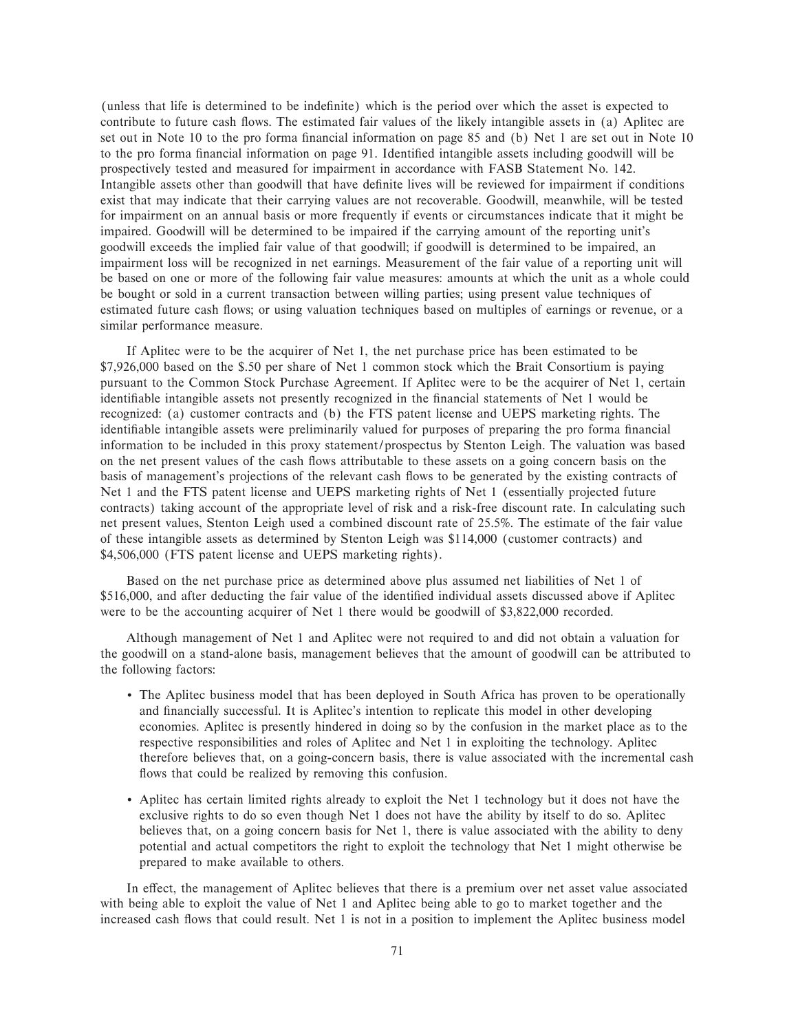(unless that life is determined to be indefinite) which is the period over which the asset is expected to contribute to future cash flows. The estimated fair values of the likely intangible assets in (a) Aplitec are set out in Note 10 to the pro forma financial information on page 85 and (b) Net 1 are set out in Note 10 to the pro forma financial information on page 91. Identified intangible assets including goodwill will be prospectively tested and measured for impairment in accordance with FASB Statement No. 142. Intangible assets other than goodwill that have definite lives will be reviewed for impairment if conditions exist that may indicate that their carrying values are not recoverable. Goodwill, meanwhile, will be tested for impairment on an annual basis or more frequently if events or circumstances indicate that it might be impaired. Goodwill will be determined to be impaired if the carrying amount of the reporting unit's goodwill exceeds the implied fair value of that goodwill; if goodwill is determined to be impaired, an impairment loss will be recognized in net earnings. Measurement of the fair value of a reporting unit will be based on one or more of the following fair value measures: amounts at which the unit as a whole could be bought or sold in a current transaction between willing parties; using present value techniques of estimated future cash flows; or using valuation techniques based on multiples of earnings or revenue, or a similar performance measure.

If Aplitec were to be the acquirer of Net 1, the net purchase price has been estimated to be \$7,926,000 based on the \$.50 per share of Net 1 common stock which the Brait Consortium is paying pursuant to the Common Stock Purchase Agreement. If Aplitec were to be the acquirer of Net 1, certain identifiable intangible assets not presently recognized in the financial statements of Net 1 would be recognized: (a) customer contracts and (b) the FTS patent license and UEPS marketing rights. The identifiable intangible assets were preliminarily valued for purposes of preparing the pro forma financial information to be included in this proxy statement/prospectus by Stenton Leigh. The valuation was based on the net present values of the cash Öows attributable to these assets on a going concern basis on the basis of management's projections of the relevant cash flows to be generated by the existing contracts of Net 1 and the FTS patent license and UEPS marketing rights of Net 1 (essentially projected future contracts) taking account of the appropriate level of risk and a risk-free discount rate. In calculating such net present values, Stenton Leigh used a combined discount rate of 25.5%. The estimate of the fair value of these intangible assets as determined by Stenton Leigh was \$114,000 (customer contracts) and \$4,506,000 (FTS patent license and UEPS marketing rights).

Based on the net purchase price as determined above plus assumed net liabilities of Net 1 of \$516,000, and after deducting the fair value of the identified individual assets discussed above if Aplitec were to be the accounting acquirer of Net 1 there would be goodwill of \$3,822,000 recorded.

Although management of Net 1 and Aplitec were not required to and did not obtain a valuation for the goodwill on a stand-alone basis, management believes that the amount of goodwill can be attributed to the following factors:

- ' The Aplitec business model that has been deployed in South Africa has proven to be operationally and financially successful. It is Aplitec's intention to replicate this model in other developing economies. Aplitec is presently hindered in doing so by the confusion in the market place as to the respective responsibilities and roles of Aplitec and Net 1 in exploiting the technology. Aplitec therefore believes that, on a going-concern basis, there is value associated with the incremental cash flows that could be realized by removing this confusion.
- ' Aplitec has certain limited rights already to exploit the Net 1 technology but it does not have the exclusive rights to do so even though Net 1 does not have the ability by itself to do so. Aplitec believes that, on a going concern basis for Net 1, there is value associated with the ability to deny potential and actual competitors the right to exploit the technology that Net 1 might otherwise be prepared to make available to others.

In effect, the management of Aplitec believes that there is a premium over net asset value associated with being able to exploit the value of Net 1 and Aplitec being able to go to market together and the increased cash flows that could result. Net 1 is not in a position to implement the Aplitec business model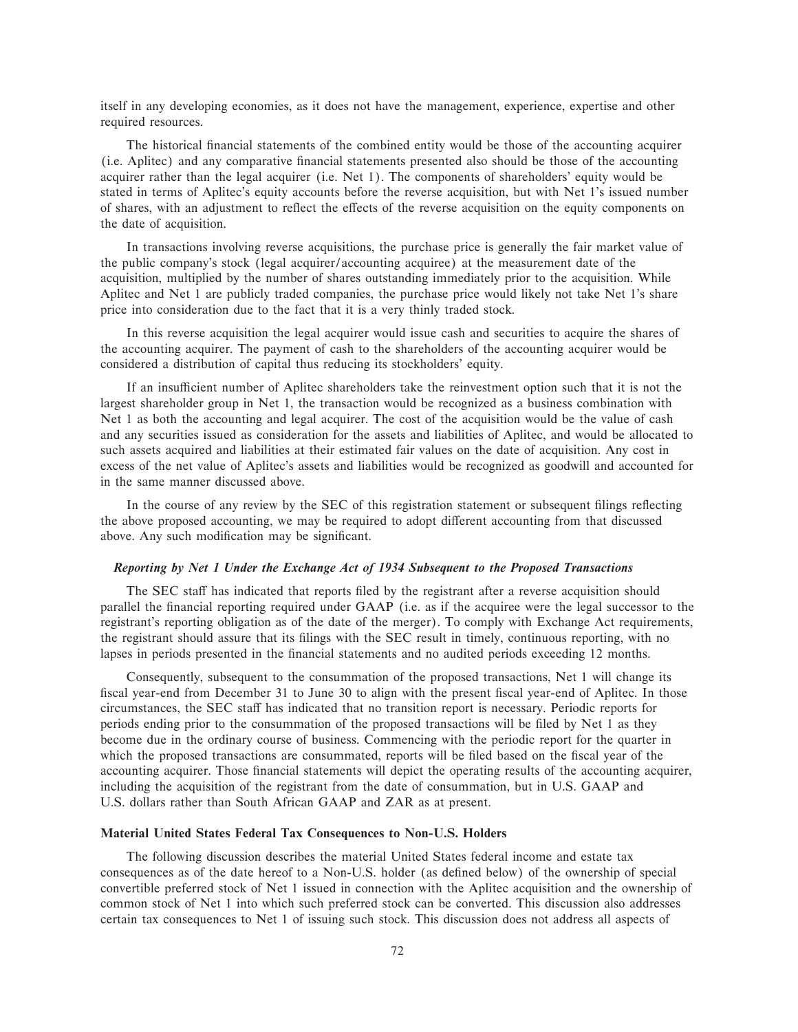itself in any developing economies, as it does not have the management, experience, expertise and other required resources.

The historical financial statements of the combined entity would be those of the accounting acquirer (i.e. Aplitec) and any comparative financial statements presented also should be those of the accounting acquirer rather than the legal acquirer (i.e. Net 1). The components of shareholders' equity would be stated in terms of Aplitec's equity accounts before the reverse acquisition, but with Net 1's issued number of shares, with an adjustment to reflect the effects of the reverse acquisition on the equity components on the date of acquisition.

In transactions involving reverse acquisitions, the purchase price is generally the fair market value of the public company's stock (legal acquirer/accounting acquiree) at the measurement date of the acquisition, multiplied by the number of shares outstanding immediately prior to the acquisition. While Aplitec and Net 1 are publicly traded companies, the purchase price would likely not take Net 1's share price into consideration due to the fact that it is a very thinly traded stock.

In this reverse acquisition the legal acquirer would issue cash and securities to acquire the shares of the accounting acquirer. The payment of cash to the shareholders of the accounting acquirer would be considered a distribution of capital thus reducing its stockholders' equity.

If an insufficient number of Aplitec shareholders take the reinvestment option such that it is not the largest shareholder group in Net 1, the transaction would be recognized as a business combination with Net 1 as both the accounting and legal acquirer. The cost of the acquisition would be the value of cash and any securities issued as consideration for the assets and liabilities of Aplitec, and would be allocated to such assets acquired and liabilities at their estimated fair values on the date of acquisition. Any cost in excess of the net value of Aplitec's assets and liabilities would be recognized as goodwill and accounted for in the same manner discussed above.

In the course of any review by the SEC of this registration statement or subsequent filings reflecting the above proposed accounting, we may be required to adopt different accounting from that discussed above. Any such modification may be significant.

#### *Reporting by Net 1 Under the Exchange Act of 1934 Subsequent to the Proposed Transactions*

The SEC staff has indicated that reports filed by the registrant after a reverse acquisition should parallel the financial reporting required under GAAP (i.e. as if the acquiree were the legal successor to the registrant's reporting obligation as of the date of the merger). To comply with Exchange Act requirements, the registrant should assure that its filings with the SEC result in timely, continuous reporting, with no lapses in periods presented in the financial statements and no audited periods exceeding 12 months.

Consequently, subsequent to the consummation of the proposed transactions, Net 1 will change its fiscal year-end from December 31 to June 30 to align with the present fiscal year-end of Aplitec. In those circumstances, the SEC staff has indicated that no transition report is necessary. Periodic reports for periods ending prior to the consummation of the proposed transactions will be filed by Net 1 as they become due in the ordinary course of business. Commencing with the periodic report for the quarter in which the proposed transactions are consummated, reports will be filed based on the fiscal year of the accounting acquirer. Those financial statements will depict the operating results of the accounting acquirer, including the acquisition of the registrant from the date of consummation, but in U.S. GAAP and U.S. dollars rather than South African GAAP and ZAR as at present.

### **Material United States Federal Tax Consequences to Non-U.S. Holders**

The following discussion describes the material United States federal income and estate tax consequences as of the date hereof to a Non-U.S. holder (as defined below) of the ownership of special convertible preferred stock of Net 1 issued in connection with the Aplitec acquisition and the ownership of common stock of Net 1 into which such preferred stock can be converted. This discussion also addresses certain tax consequences to Net 1 of issuing such stock. This discussion does not address all aspects of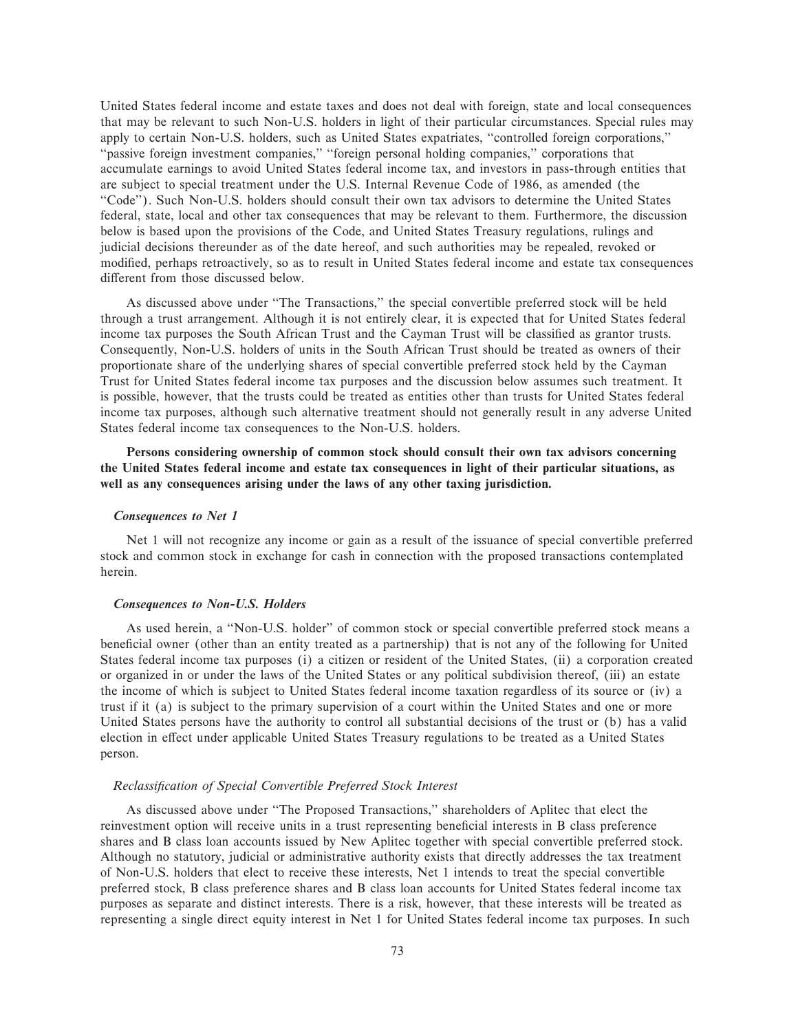United States federal income and estate taxes and does not deal with foreign, state and local consequences that may be relevant to such Non-U.S. holders in light of their particular circumstances. Special rules may apply to certain Non-U.S. holders, such as United States expatriates, ""controlled foreign corporations,'' "passive foreign investment companies," "foreign personal holding companies," corporations that accumulate earnings to avoid United States federal income tax, and investors in pass-through entities that are subject to special treatment under the U.S. Internal Revenue Code of 1986, as amended (the ""Code''). Such Non-U.S. holders should consult their own tax advisors to determine the United States federal, state, local and other tax consequences that may be relevant to them. Furthermore, the discussion below is based upon the provisions of the Code, and United States Treasury regulations, rulings and judicial decisions thereunder as of the date hereof, and such authorities may be repealed, revoked or modified, perhaps retroactively, so as to result in United States federal income and estate tax consequences different from those discussed below.

As discussed above under ""The Transactions,'' the special convertible preferred stock will be held through a trust arrangement. Although it is not entirely clear, it is expected that for United States federal income tax purposes the South African Trust and the Cayman Trust will be classified as grantor trusts. Consequently, Non-U.S. holders of units in the South African Trust should be treated as owners of their proportionate share of the underlying shares of special convertible preferred stock held by the Cayman Trust for United States federal income tax purposes and the discussion below assumes such treatment. It is possible, however, that the trusts could be treated as entities other than trusts for United States federal income tax purposes, although such alternative treatment should not generally result in any adverse United States federal income tax consequences to the Non-U.S. holders.

**Persons considering ownership of common stock should consult their own tax advisors concerning the United States federal income and estate tax consequences in light of their particular situations, as well as any consequences arising under the laws of any other taxing jurisdiction.**

### *Consequences to Net 1*

Net 1 will not recognize any income or gain as a result of the issuance of special convertible preferred stock and common stock in exchange for cash in connection with the proposed transactions contemplated herein.

#### *Consequences to Non-U.S. Holders*

As used herein, a ""Non-U.S. holder'' of common stock or special convertible preferred stock means a beneficial owner (other than an entity treated as a partnership) that is not any of the following for United States federal income tax purposes (i) a citizen or resident of the United States, (ii) a corporation created or organized in or under the laws of the United States or any political subdivision thereof, (iii) an estate the income of which is subject to United States federal income taxation regardless of its source or (iv) a trust if it (a) is subject to the primary supervision of a court within the United States and one or more United States persons have the authority to control all substantial decisions of the trust or (b) has a valid election in effect under applicable United States Treasury regulations to be treated as a United States person.

#### **Reclassification of Special Convertible Preferred Stock Interest**

As discussed above under ""The Proposed Transactions,'' shareholders of Aplitec that elect the reinvestment option will receive units in a trust representing beneficial interests in B class preference shares and B class loan accounts issued by New Aplitec together with special convertible preferred stock. Although no statutory, judicial or administrative authority exists that directly addresses the tax treatment of Non-U.S. holders that elect to receive these interests, Net 1 intends to treat the special convertible preferred stock, B class preference shares and B class loan accounts for United States federal income tax purposes as separate and distinct interests. There is a risk, however, that these interests will be treated as representing a single direct equity interest in Net 1 for United States federal income tax purposes. In such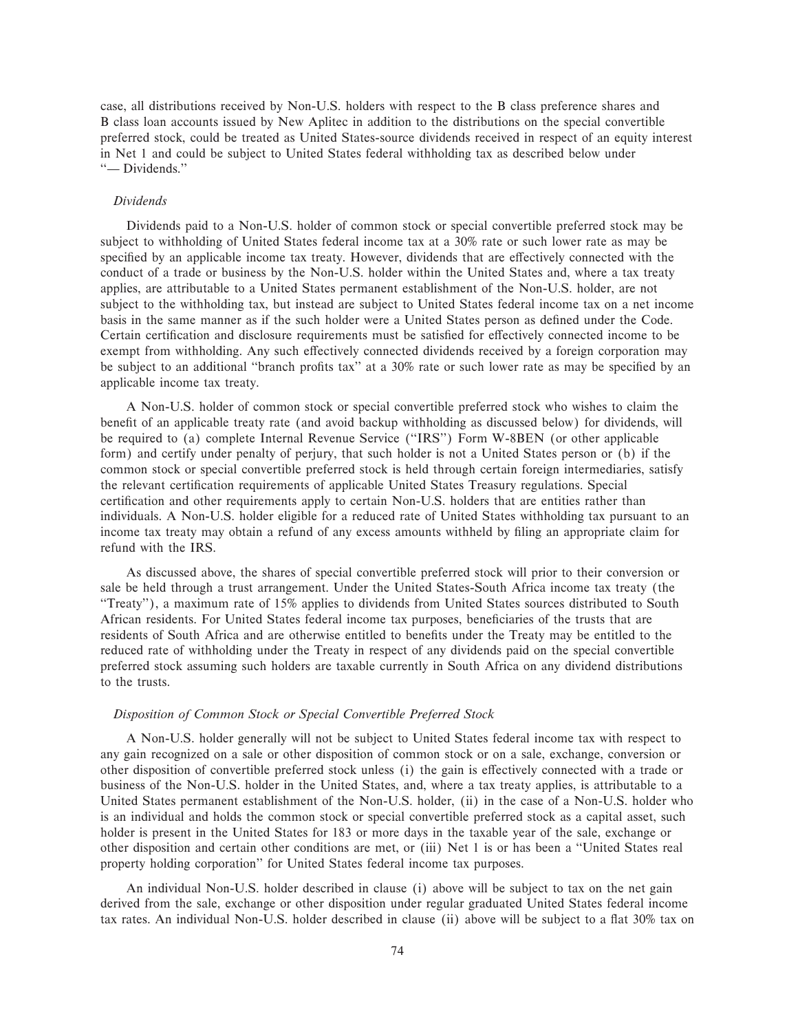case, all distributions received by Non-U.S. holders with respect to the B class preference shares and B class loan accounts issued by New Aplitec in addition to the distributions on the special convertible preferred stock, could be treated as United States-source dividends received in respect of an equity interest in Net 1 and could be subject to United States federal withholding tax as described below under "
— Dividends."

### *Dividends*

Dividends paid to a Non-U.S. holder of common stock or special convertible preferred stock may be subject to withholding of United States federal income tax at a 30% rate or such lower rate as may be specified by an applicable income tax treaty. However, dividends that are effectively connected with the conduct of a trade or business by the Non-U.S. holder within the United States and, where a tax treaty applies, are attributable to a United States permanent establishment of the Non-U.S. holder, are not subject to the withholding tax, but instead are subject to United States federal income tax on a net income basis in the same manner as if the such holder were a United States person as defined under the Code. Certain certification and disclosure requirements must be satisfied for effectively connected income to be exempt from withholding. Any such effectively connected dividends received by a foreign corporation may be subject to an additional "branch profits tax" at a 30% rate or such lower rate as may be specified by an applicable income tax treaty.

A Non-U.S. holder of common stock or special convertible preferred stock who wishes to claim the benefit of an applicable treaty rate (and avoid backup withholding as discussed below) for dividends, will be required to (a) complete Internal Revenue Service (""IRS'') Form W-8BEN (or other applicable form) and certify under penalty of perjury, that such holder is not a United States person or (b) if the common stock or special convertible preferred stock is held through certain foreign intermediaries, satisfy the relevant certification requirements of applicable United States Treasury regulations. Special certification and other requirements apply to certain Non-U.S. holders that are entities rather than individuals. A Non-U.S. holder eligible for a reduced rate of United States withholding tax pursuant to an income tax treaty may obtain a refund of any excess amounts withheld by filing an appropriate claim for refund with the IRS.

As discussed above, the shares of special convertible preferred stock will prior to their conversion or sale be held through a trust arrangement. Under the United States-South Africa income tax treaty (the ""Treaty''), a maximum rate of 15% applies to dividends from United States sources distributed to South African residents. For United States federal income tax purposes, beneficiaries of the trusts that are residents of South Africa and are otherwise entitled to benefits under the Treaty may be entitled to the reduced rate of withholding under the Treaty in respect of any dividends paid on the special convertible preferred stock assuming such holders are taxable currently in South Africa on any dividend distributions to the trusts.

### *Disposition of Common Stock or Special Convertible Preferred Stock*

A Non-U.S. holder generally will not be subject to United States federal income tax with respect to any gain recognized on a sale or other disposition of common stock or on a sale, exchange, conversion or other disposition of convertible preferred stock unless (i) the gain is effectively connected with a trade or business of the Non-U.S. holder in the United States, and, where a tax treaty applies, is attributable to a United States permanent establishment of the Non-U.S. holder, (ii) in the case of a Non-U.S. holder who is an individual and holds the common stock or special convertible preferred stock as a capital asset, such holder is present in the United States for 183 or more days in the taxable year of the sale, exchange or other disposition and certain other conditions are met, or (iii) Net 1 is or has been a ""United States real property holding corporation'' for United States federal income tax purposes.

An individual Non-U.S. holder described in clause (i) above will be subject to tax on the net gain derived from the sale, exchange or other disposition under regular graduated United States federal income tax rates. An individual Non-U.S. holder described in clause (ii) above will be subject to a flat 30% tax on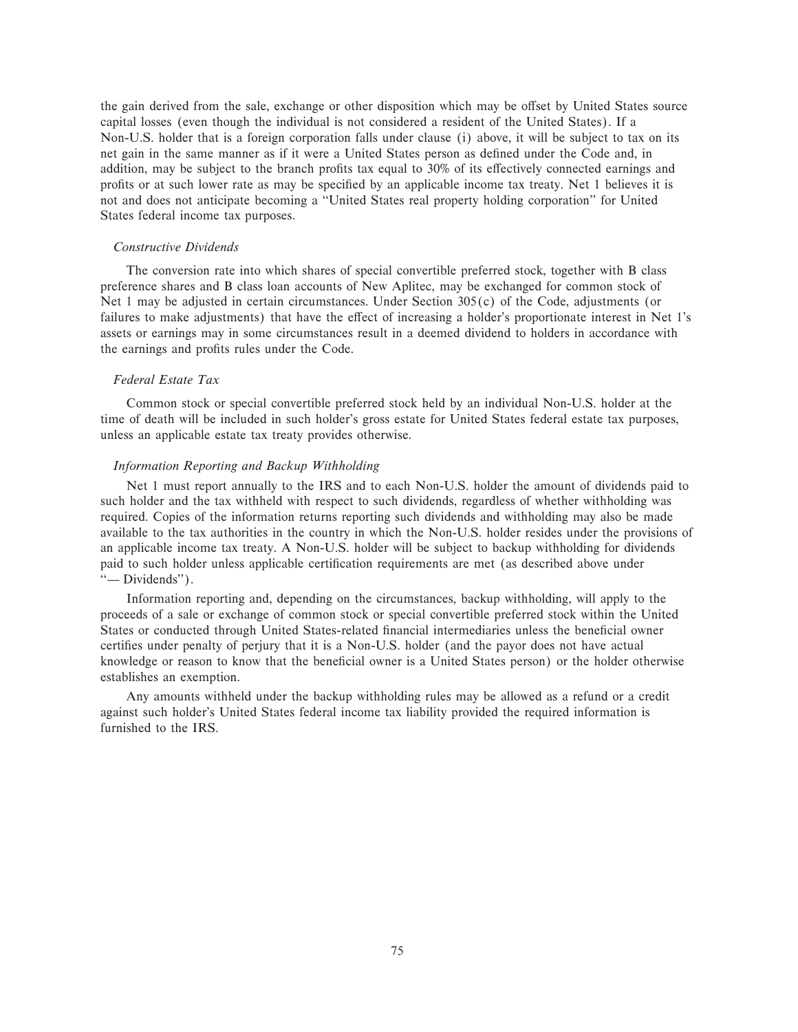the gain derived from the sale, exchange or other disposition which may be offset by United States source capital losses (even though the individual is not considered a resident of the United States). If a Non-U.S. holder that is a foreign corporation falls under clause (i) above, it will be subject to tax on its net gain in the same manner as if it were a United States person as defined under the Code and, in addition, may be subject to the branch profits tax equal to 30% of its effectively connected earnings and profits or at such lower rate as may be specified by an applicable income tax treaty. Net 1 believes it is not and does not anticipate becoming a ""United States real property holding corporation'' for United States federal income tax purposes.

### *Constructive Dividends*

The conversion rate into which shares of special convertible preferred stock, together with B class preference shares and B class loan accounts of New Aplitec, may be exchanged for common stock of Net 1 may be adjusted in certain circumstances. Under Section 305(c) of the Code, adjustments (or failures to make adjustments) that have the effect of increasing a holder's proportionate interest in Net 1's assets or earnings may in some circumstances result in a deemed dividend to holders in accordance with the earnings and profits rules under the Code.

### *Federal Estate Tax*

Common stock or special convertible preferred stock held by an individual Non-U.S. holder at the time of death will be included in such holder's gross estate for United States federal estate tax purposes, unless an applicable estate tax treaty provides otherwise.

### *Information Reporting and Backup Withholding*

Net 1 must report annually to the IRS and to each Non-U.S. holder the amount of dividends paid to such holder and the tax withheld with respect to such dividends, regardless of whether withholding was required. Copies of the information returns reporting such dividends and withholding may also be made available to the tax authorities in the country in which the Non-U.S. holder resides under the provisions of an applicable income tax treaty. A Non-U.S. holder will be subject to backup withholding for dividends paid to such holder unless applicable certification requirements are met (as described above under "-Dividends").

Information reporting and, depending on the circumstances, backup withholding, will apply to the proceeds of a sale or exchange of common stock or special convertible preferred stock within the United States or conducted through United States-related financial intermediaries unless the beneficial owner certifies under penalty of perjury that it is a Non-U.S. holder (and the payor does not have actual knowledge or reason to know that the beneficial owner is a United States person) or the holder otherwise establishes an exemption.

Any amounts withheld under the backup withholding rules may be allowed as a refund or a credit against such holder's United States federal income tax liability provided the required information is furnished to the IRS.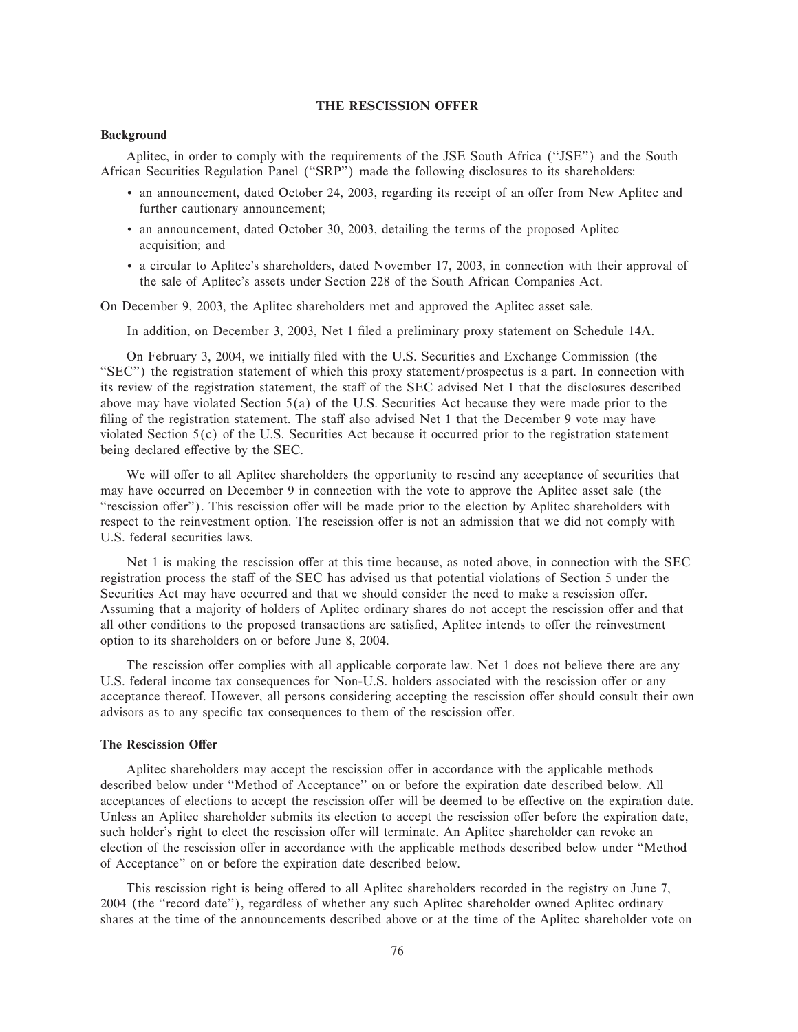### **THE RESCISSION OFFER**

### **Background**

Aplitec, in order to comply with the requirements of the JSE South Africa ("JSE") and the South African Securities Regulation Panel ("SRP") made the following disclosures to its shareholders:

- an announcement, dated October 24, 2003, regarding its receipt of an offer from New Aplitec and further cautionary announcement;
- ' an announcement, dated October 30, 2003, detailing the terms of the proposed Aplitec acquisition; and
- ' a circular to Aplitec's shareholders, dated November 17, 2003, in connection with their approval of the sale of Aplitec's assets under Section 228 of the South African Companies Act.

On December 9, 2003, the Aplitec shareholders met and approved the Aplitec asset sale.

In addition, on December 3, 2003, Net 1 filed a preliminary proxy statement on Schedule 14A.

On February 3, 2004, we initially filed with the U.S. Securities and Exchange Commission (the "SEC") the registration statement of which this proxy statement/prospectus is a part. In connection with its review of the registration statement, the staff of the SEC advised Net 1 that the disclosures described above may have violated Section  $5(a)$  of the U.S. Securities Act because they were made prior to the filing of the registration statement. The staff also advised Net 1 that the December 9 vote may have violated Section  $5(c)$  of the U.S. Securities Act because it occurred prior to the registration statement being declared effective by the SEC.

We will offer to all Aplitec shareholders the opportunity to rescind any acceptance of securities that may have occurred on December 9 in connection with the vote to approve the Aplitec asset sale (the "rescission offer"). This rescission offer will be made prior to the election by Aplitec shareholders with respect to the reinvestment option. The rescission offer is not an admission that we did not comply with U.S. federal securities laws.

Net 1 is making the rescission offer at this time because, as noted above, in connection with the SEC registration process the staff of the SEC has advised us that potential violations of Section 5 under the Securities Act may have occurred and that we should consider the need to make a rescission offer. Assuming that a majority of holders of Aplitec ordinary shares do not accept the rescission offer and that all other conditions to the proposed transactions are satisfied, Aplitec intends to offer the reinvestment option to its shareholders on or before June 8, 2004.

The rescission offer complies with all applicable corporate law. Net 1 does not believe there are any U.S. federal income tax consequences for Non-U.S. holders associated with the rescission offer or any acceptance thereof. However, all persons considering accepting the rescission offer should consult their own advisors as to any specific tax consequences to them of the rescission offer.

### **The Rescission Offer**

Aplitec shareholders may accept the rescission offer in accordance with the applicable methods described below under ""Method of Acceptance'' on or before the expiration date described below. All acceptances of elections to accept the rescission offer will be deemed to be effective on the expiration date. Unless an Aplitec shareholder submits its election to accept the rescission offer before the expiration date, such holder's right to elect the rescission offer will terminate. An Aplitec shareholder can revoke an election of the rescission offer in accordance with the applicable methods described below under "Method of Acceptance'' on or before the expiration date described below.

This rescission right is being offered to all Aplitec shareholders recorded in the registry on June 7, 2004 (the ""record date''), regardless of whether any such Aplitec shareholder owned Aplitec ordinary shares at the time of the announcements described above or at the time of the Aplitec shareholder vote on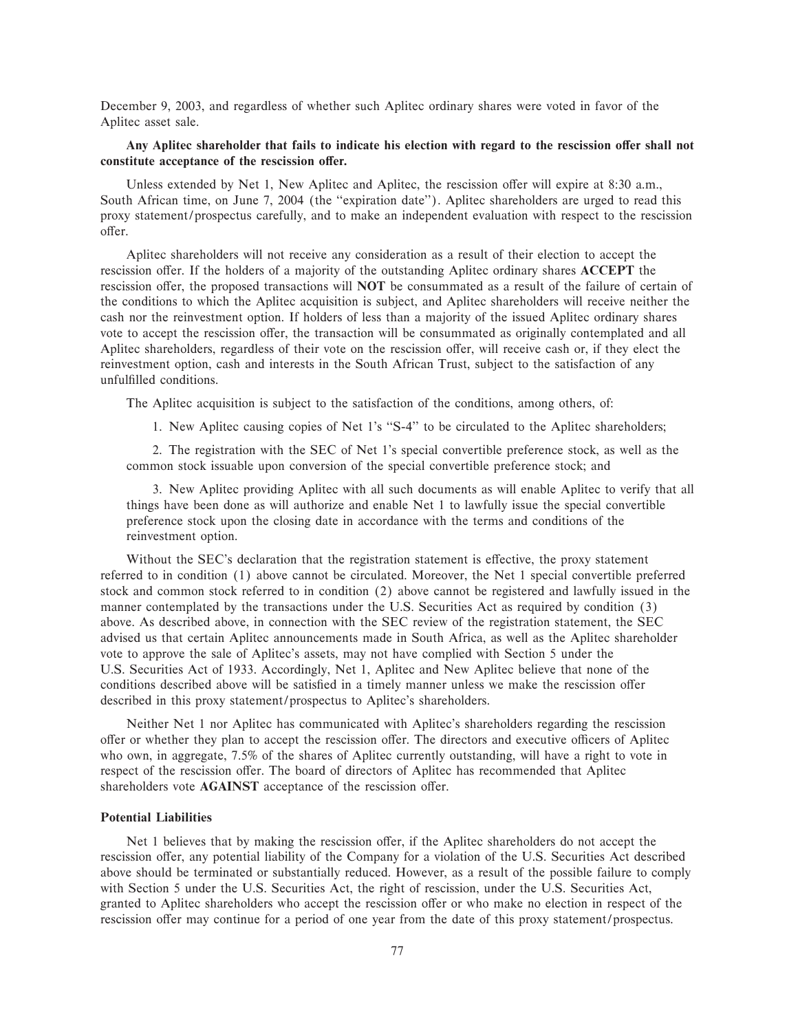December 9, 2003, and regardless of whether such Aplitec ordinary shares were voted in favor of the Aplitec asset sale.

### Any Aplitec shareholder that fails to indicate his election with regard to the rescission offer shall not constitute acceptance of the rescission offer.

Unless extended by Net 1, New Aplitec and Aplitec, the rescission offer will expire at 8:30 a.m., South African time, on June 7, 2004 (the "expiration date"). Aplitec shareholders are urged to read this proxy statement/prospectus carefully, and to make an independent evaluation with respect to the rescission offer.

Aplitec shareholders will not receive any consideration as a result of their election to accept the rescission offer. If the holders of a majority of the outstanding Aplitec ordinary shares **ACCEPT** the rescission offer, the proposed transactions will **NOT** be consummated as a result of the failure of certain of the conditions to which the Aplitec acquisition is subject, and Aplitec shareholders will receive neither the cash nor the reinvestment option. If holders of less than a majority of the issued Aplitec ordinary shares vote to accept the rescission offer, the transaction will be consummated as originally contemplated and all Aplitec shareholders, regardless of their vote on the rescission offer, will receive cash or, if they elect the reinvestment option, cash and interests in the South African Trust, subject to the satisfaction of any unfulfilled conditions.

The Aplitec acquisition is subject to the satisfaction of the conditions, among others, of:

1. New Aplitec causing copies of Net 1's "S-4" to be circulated to the Aplitec shareholders;

2. The registration with the SEC of Net 1's special convertible preference stock, as well as the common stock issuable upon conversion of the special convertible preference stock; and

3. New Aplitec providing Aplitec with all such documents as will enable Aplitec to verify that all things have been done as will authorize and enable Net 1 to lawfully issue the special convertible preference stock upon the closing date in accordance with the terms and conditions of the reinvestment option.

Without the SEC's declaration that the registration statement is effective, the proxy statement referred to in condition (1) above cannot be circulated. Moreover, the Net 1 special convertible preferred stock and common stock referred to in condition (2) above cannot be registered and lawfully issued in the manner contemplated by the transactions under the U.S. Securities Act as required by condition (3) above. As described above, in connection with the SEC review of the registration statement, the SEC advised us that certain Aplitec announcements made in South Africa, as well as the Aplitec shareholder vote to approve the sale of Aplitec's assets, may not have complied with Section 5 under the U.S. Securities Act of 1933. Accordingly, Net 1, Aplitec and New Aplitec believe that none of the conditions described above will be satisfied in a timely manner unless we make the rescission offer described in this proxy statement/prospectus to Aplitec's shareholders.

Neither Net 1 nor Aplitec has communicated with Aplitec's shareholders regarding the rescission offer or whether they plan to accept the rescission offer. The directors and executive officers of Aplitec who own, in aggregate, 7.5% of the shares of Aplitec currently outstanding, will have a right to vote in respect of the rescission offer. The board of directors of Aplitec has recommended that Aplitec shareholders vote **AGAINST** acceptance of the rescission offer.

### **Potential Liabilities**

Net 1 believes that by making the rescission offer, if the Aplitec shareholders do not accept the rescission offer, any potential liability of the Company for a violation of the U.S. Securities Act described above should be terminated or substantially reduced. However, as a result of the possible failure to comply with Section 5 under the U.S. Securities Act, the right of rescission, under the U.S. Securities Act, granted to Aplitec shareholders who accept the rescission offer or who make no election in respect of the rescission offer may continue for a period of one year from the date of this proxy statement/prospectus.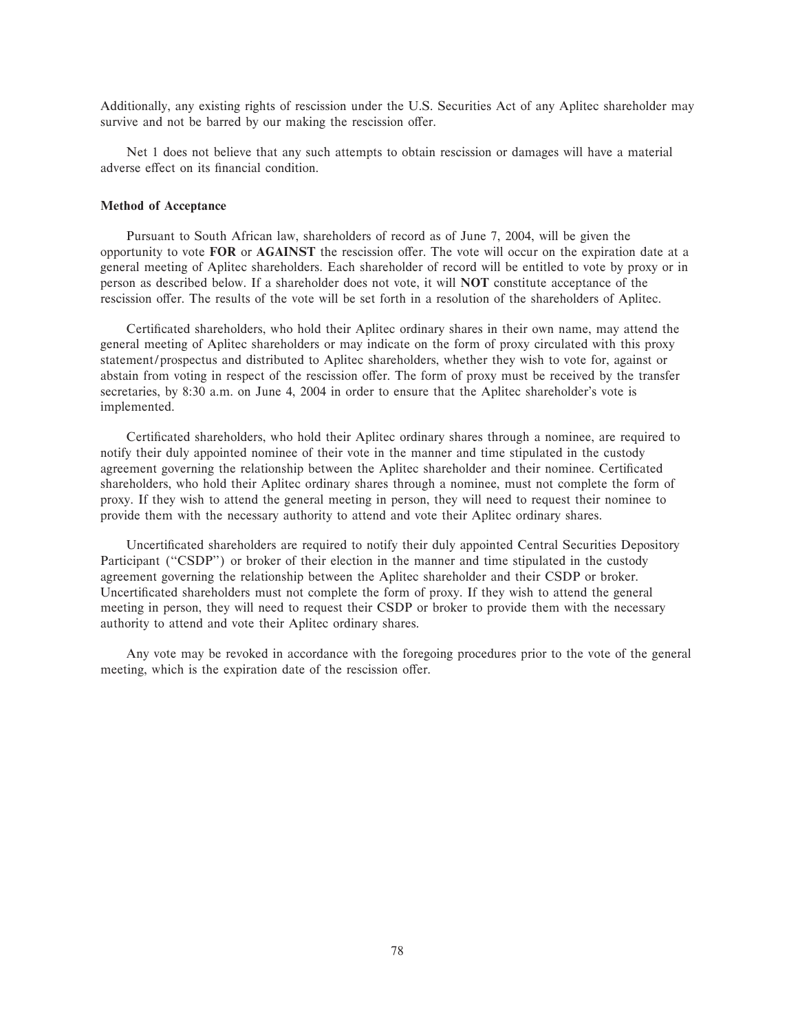Additionally, any existing rights of rescission under the U.S. Securities Act of any Aplitec shareholder may survive and not be barred by our making the rescission offer.

Net 1 does not believe that any such attempts to obtain rescission or damages will have a material adverse effect on its financial condition.

### **Method of Acceptance**

Pursuant to South African law, shareholders of record as of June 7, 2004, will be given the opportunity to vote FOR or AGAINST the rescission offer. The vote will occur on the expiration date at a general meeting of Aplitec shareholders. Each shareholder of record will be entitled to vote by proxy or in person as described below. If a shareholder does not vote, it will **NOT** constitute acceptance of the rescission offer. The results of the vote will be set forth in a resolution of the shareholders of Aplitec.

Certificated shareholders, who hold their Aplitec ordinary shares in their own name, may attend the general meeting of Aplitec shareholders or may indicate on the form of proxy circulated with this proxy statement/prospectus and distributed to Aplitec shareholders, whether they wish to vote for, against or abstain from voting in respect of the rescission offer. The form of proxy must be received by the transfer secretaries, by 8:30 a.m. on June 4, 2004 in order to ensure that the Aplitec shareholder's vote is implemented.

Certificated shareholders, who hold their Aplitec ordinary shares through a nominee, are required to notify their duly appointed nominee of their vote in the manner and time stipulated in the custody agreement governing the relationship between the Aplitec shareholder and their nominee. Certificated shareholders, who hold their Aplitec ordinary shares through a nominee, must not complete the form of proxy. If they wish to attend the general meeting in person, they will need to request their nominee to provide them with the necessary authority to attend and vote their Aplitec ordinary shares.

Uncertificated shareholders are required to notify their duly appointed Central Securities Depository Participant ("CSDP") or broker of their election in the manner and time stipulated in the custody agreement governing the relationship between the Aplitec shareholder and their CSDP or broker. Uncertificated shareholders must not complete the form of proxy. If they wish to attend the general meeting in person, they will need to request their CSDP or broker to provide them with the necessary authority to attend and vote their Aplitec ordinary shares.

Any vote may be revoked in accordance with the foregoing procedures prior to the vote of the general meeting, which is the expiration date of the rescission offer.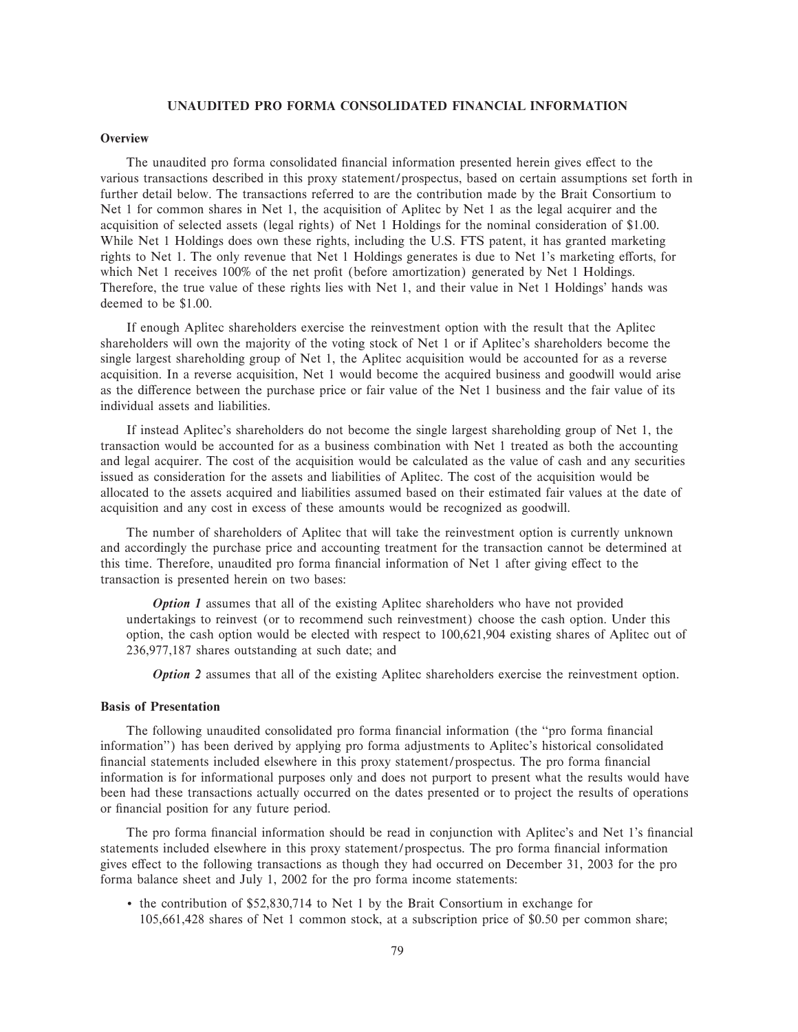### **UNAUDITED PRO FORMA CONSOLIDATED FINANCIAL INFORMATION**

### **Overview**

The unaudited pro forma consolidated financial information presented herein gives effect to the various transactions described in this proxy statement/prospectus, based on certain assumptions set forth in further detail below. The transactions referred to are the contribution made by the Brait Consortium to Net 1 for common shares in Net 1, the acquisition of Aplitec by Net 1 as the legal acquirer and the acquisition of selected assets (legal rights) of Net 1 Holdings for the nominal consideration of \$1.00. While Net 1 Holdings does own these rights, including the U.S. FTS patent, it has granted marketing rights to Net 1. The only revenue that Net 1 Holdings generates is due to Net 1's marketing efforts, for which Net 1 receives 100% of the net profit (before amortization) generated by Net 1 Holdings. Therefore, the true value of these rights lies with Net 1, and their value in Net 1 Holdings' hands was deemed to be \$1.00.

If enough Aplitec shareholders exercise the reinvestment option with the result that the Aplitec shareholders will own the majority of the voting stock of Net 1 or if Aplitec's shareholders become the single largest shareholding group of Net 1, the Aplitec acquisition would be accounted for as a reverse acquisition. In a reverse acquisition, Net 1 would become the acquired business and goodwill would arise as the difference between the purchase price or fair value of the Net 1 business and the fair value of its individual assets and liabilities.

If instead Aplitec's shareholders do not become the single largest shareholding group of Net 1, the transaction would be accounted for as a business combination with Net 1 treated as both the accounting and legal acquirer. The cost of the acquisition would be calculated as the value of cash and any securities issued as consideration for the assets and liabilities of Aplitec. The cost of the acquisition would be allocated to the assets acquired and liabilities assumed based on their estimated fair values at the date of acquisition and any cost in excess of these amounts would be recognized as goodwill.

The number of shareholders of Aplitec that will take the reinvestment option is currently unknown and accordingly the purchase price and accounting treatment for the transaction cannot be determined at this time. Therefore, unaudited pro forma financial information of Net 1 after giving effect to the transaction is presented herein on two bases:

*Option 1* assumes that all of the existing Aplitec shareholders who have not provided undertakings to reinvest (or to recommend such reinvestment) choose the cash option. Under this option, the cash option would be elected with respect to 100,621,904 existing shares of Aplitec out of 236,977,187 shares outstanding at such date; and

*Option 2* assumes that all of the existing Aplitec shareholders exercise the reinvestment option.

### **Basis of Presentation**

The following unaudited consolidated pro forma financial information (the "pro forma financial information'') has been derived by applying pro forma adjustments to Aplitec's historical consolidated financial statements included elsewhere in this proxy statement/prospectus. The pro forma financial information is for informational purposes only and does not purport to present what the results would have been had these transactions actually occurred on the dates presented or to project the results of operations or financial position for any future period.

The pro forma financial information should be read in conjunction with Aplitec's and Net 1's financial statements included elsewhere in this proxy statement/prospectus. The pro forma financial information gives effect to the following transactions as though they had occurred on December 31, 2003 for the pro forma balance sheet and July 1, 2002 for the pro forma income statements:

' the contribution of \$52,830,714 to Net 1 by the Brait Consortium in exchange for 105,661,428 shares of Net 1 common stock, at a subscription price of \$0.50 per common share;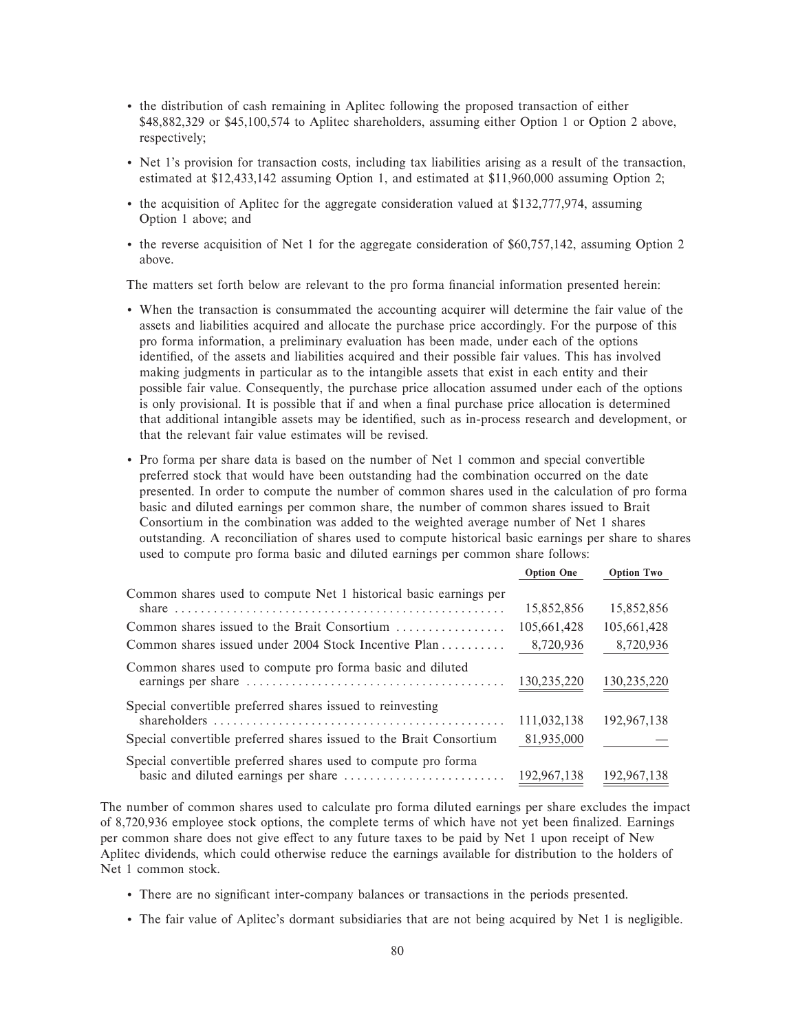- ' the distribution of cash remaining in Aplitec following the proposed transaction of either \$48,882,329 or \$45,100,574 to Aplitec shareholders, assuming either Option 1 or Option 2 above, respectively;
- ' Net 1's provision for transaction costs, including tax liabilities arising as a result of the transaction, estimated at \$12,433,142 assuming Option 1, and estimated at \$11,960,000 assuming Option 2;
- ' the acquisition of Aplitec for the aggregate consideration valued at \$132,777,974, assuming Option 1 above; and
- ' the reverse acquisition of Net 1 for the aggregate consideration of \$60,757,142, assuming Option 2 above.

The matters set forth below are relevant to the pro forma financial information presented herein:

- ' When the transaction is consummated the accounting acquirer will determine the fair value of the assets and liabilities acquired and allocate the purchase price accordingly. For the purpose of this pro forma information, a preliminary evaluation has been made, under each of the options identified, of the assets and liabilities acquired and their possible fair values. This has involved making judgments in particular as to the intangible assets that exist in each entity and their possible fair value. Consequently, the purchase price allocation assumed under each of the options is only provisional. It is possible that if and when a final purchase price allocation is determined that additional intangible assets may be identified, such as in-process research and development, or that the relevant fair value estimates will be revised.
- ' Pro forma per share data is based on the number of Net 1 common and special convertible preferred stock that would have been outstanding had the combination occurred on the date presented. In order to compute the number of common shares used in the calculation of pro forma basic and diluted earnings per common share, the number of common shares issued to Brait Consortium in the combination was added to the weighted average number of Net 1 shares outstanding. A reconciliation of shares used to compute historical basic earnings per share to shares used to compute pro forma basic and diluted earnings per common share follows:

|                                                                                              | <b>Option One</b> | <b>Option Two</b> |
|----------------------------------------------------------------------------------------------|-------------------|-------------------|
| Common shares used to compute Net 1 historical basic earnings per                            |                   |                   |
|                                                                                              | 15,852,856        | 15,852,856        |
| Common shares issued to the Brait Consortium                                                 | 105,661,428       | 105,661,428       |
| Common shares issued under 2004 Stock Incentive Plan                                         | 8,720,936         | 8,720,936         |
| Common shares used to compute pro forma basic and diluted                                    |                   |                   |
| earnings per share $\dots \dots \dots \dots \dots \dots \dots \dots \dots \dots \dots \dots$ | 130,235,220       | 130,235,220       |
| Special convertible preferred shares issued to reinvesting                                   |                   |                   |
|                                                                                              | 111,032,138       | 192,967,138       |
| Special convertible preferred shares issued to the Brait Consortium                          | 81,935,000        |                   |
| Special convertible preferred shares used to compute pro forma                               |                   |                   |
|                                                                                              | 192,967,138       | 192,967,138       |

The number of common shares used to calculate pro forma diluted earnings per share excludes the impact of 8,720,936 employee stock options, the complete terms of which have not yet been finalized. Earnings per common share does not give effect to any future taxes to be paid by Net 1 upon receipt of New Aplitec dividends, which could otherwise reduce the earnings available for distribution to the holders of Net 1 common stock.

- There are no significant inter-company balances or transactions in the periods presented.
- ' The fair value of Aplitec's dormant subsidiaries that are not being acquired by Net 1 is negligible.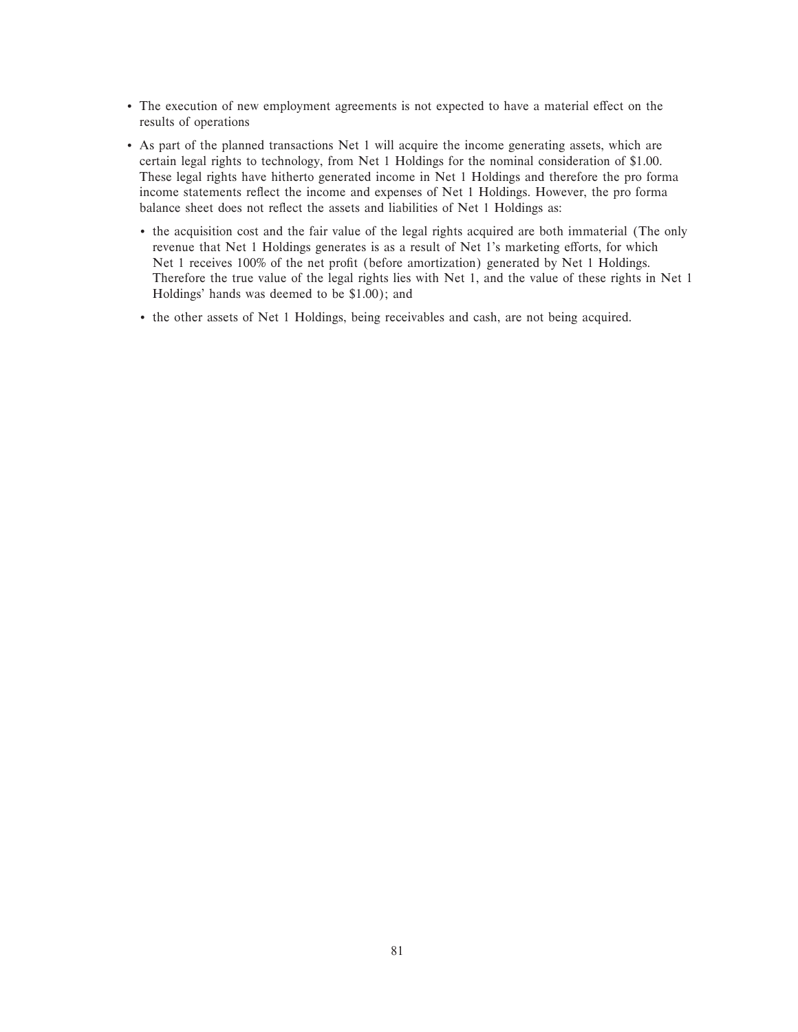- The execution of new employment agreements is not expected to have a material effect on the results of operations
- ' As part of the planned transactions Net 1 will acquire the income generating assets, which are certain legal rights to technology, from Net 1 Holdings for the nominal consideration of \$1.00. These legal rights have hitherto generated income in Net 1 Holdings and therefore the pro forma income statements reflect the income and expenses of Net 1 Holdings. However, the pro forma balance sheet does not reflect the assets and liabilities of Net 1 Holdings as:
	- ' the acquisition cost and the fair value of the legal rights acquired are both immaterial (The only revenue that Net 1 Holdings generates is as a result of Net 1's marketing efforts, for which Net 1 receives 100% of the net profit (before amortization) generated by Net 1 Holdings. Therefore the true value of the legal rights lies with Net 1, and the value of these rights in Net 1 Holdings' hands was deemed to be \$1.00); and
	- ' the other assets of Net 1 Holdings, being receivables and cash, are not being acquired.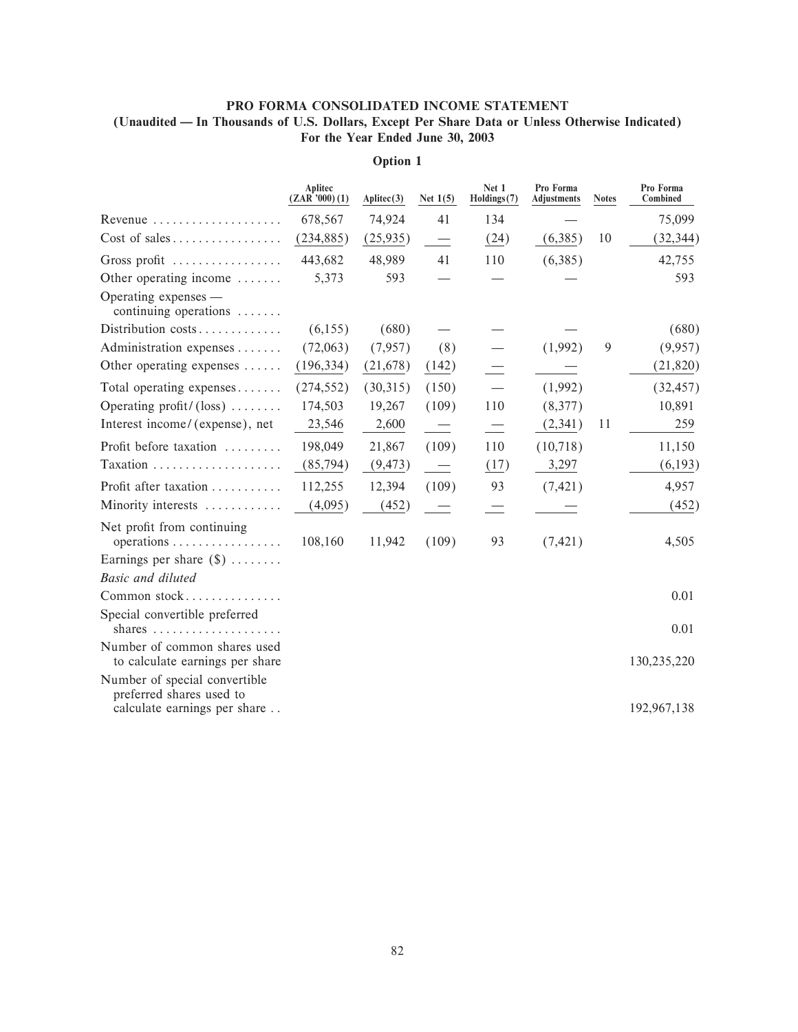## PRO FORMA CONSOLIDATED INCOME STATEMENT (Unaudited — In Thousands of U.S. Dollars, Except Per Share Data or Unless Otherwise Indicated) For the Year Ended June 30, 2003

|                                                                                           | Aplitec<br>$(ZAR'$ '000 $)(1)$ | $\text{Aplice}(3)$ | Net $1(5)$               | Net 1<br>Holdings(7) | Pro Forma<br><b>Adjustments</b> | <b>Notes</b> | Pro Forma<br>Combined |
|-------------------------------------------------------------------------------------------|--------------------------------|--------------------|--------------------------|----------------------|---------------------------------|--------------|-----------------------|
| Revenue                                                                                   | 678,567                        | 74,924             | 41                       | 134                  |                                 |              | 75,099                |
| $Cost of sales \dots \dots \dots \dots \dots$                                             | (234, 885)                     | (25,935)           |                          | (24)                 | (6,385)                         | 10           | (32, 344)             |
| Gross profit                                                                              | 443,682                        | 48,989             | 41                       | 110                  | (6,385)                         |              | 42,755                |
| Other operating income $\dots\dots$                                                       | 5,373                          | 593                |                          |                      |                                 |              | 593                   |
| Operating expenses —<br>continuing operations                                             |                                |                    |                          |                      |                                 |              |                       |
| Distribution costs                                                                        | (6,155)                        | (680)              |                          |                      |                                 |              | (680)                 |
| Administration expenses                                                                   | (72,063)                       | (7,957)            | (8)                      |                      | (1,992)                         | 9            | (9,957)               |
| Other operating expenses $\dots$ .                                                        | (196, 334)                     | (21,678)           | (142)                    |                      |                                 |              | (21, 820)             |
| Total operating expenses                                                                  | (274, 552)                     | (30,315)           | (150)                    |                      | (1,992)                         |              | (32, 457)             |
| Operating profit/ $(\text{loss})$                                                         | 174,503                        | 19,267             | (109)                    | 110                  | (8,377)                         |              | 10,891                |
| Interest income/(expense), net                                                            | 23,546                         | 2,600              | $\overline{\phantom{a}}$ | $\equiv$             | (2, 341)                        | 11           | 259                   |
| Profit before taxation                                                                    | 198,049                        | 21,867             | (109)                    | 110                  | (10,718)                        |              | 11,150                |
|                                                                                           | (85, 794)                      | (9, 473)           | $\overline{\phantom{a}}$ | (17)                 | 3,297                           |              | (6, 193)              |
| Profit after taxation                                                                     | 112,255                        | 12,394             | (109)                    | 93                   | (7, 421)                        |              | 4,957                 |
| Minority interests                                                                        | (4,095)                        | (452)              | $\sim$                   | $\equiv$             |                                 |              | (452)                 |
| Net profit from continuing                                                                | 108,160                        | 11,942             | (109)                    | 93                   | (7, 421)                        |              | 4,505                 |
| Earnings per share $(\$) \dots \dots$                                                     |                                |                    |                          |                      |                                 |              |                       |
| <b>Basic and diluted</b>                                                                  |                                |                    |                          |                      |                                 |              |                       |
| Common stock                                                                              |                                |                    |                          |                      |                                 |              | 0.01                  |
| Special convertible preferred                                                             |                                |                    |                          |                      |                                 |              | 0.01                  |
| Number of common shares used<br>to calculate earnings per share                           |                                |                    |                          |                      |                                 |              | 130,235,220           |
| Number of special convertible<br>preferred shares used to<br>calculate earnings per share |                                |                    |                          |                      |                                 |              | 192,967,138           |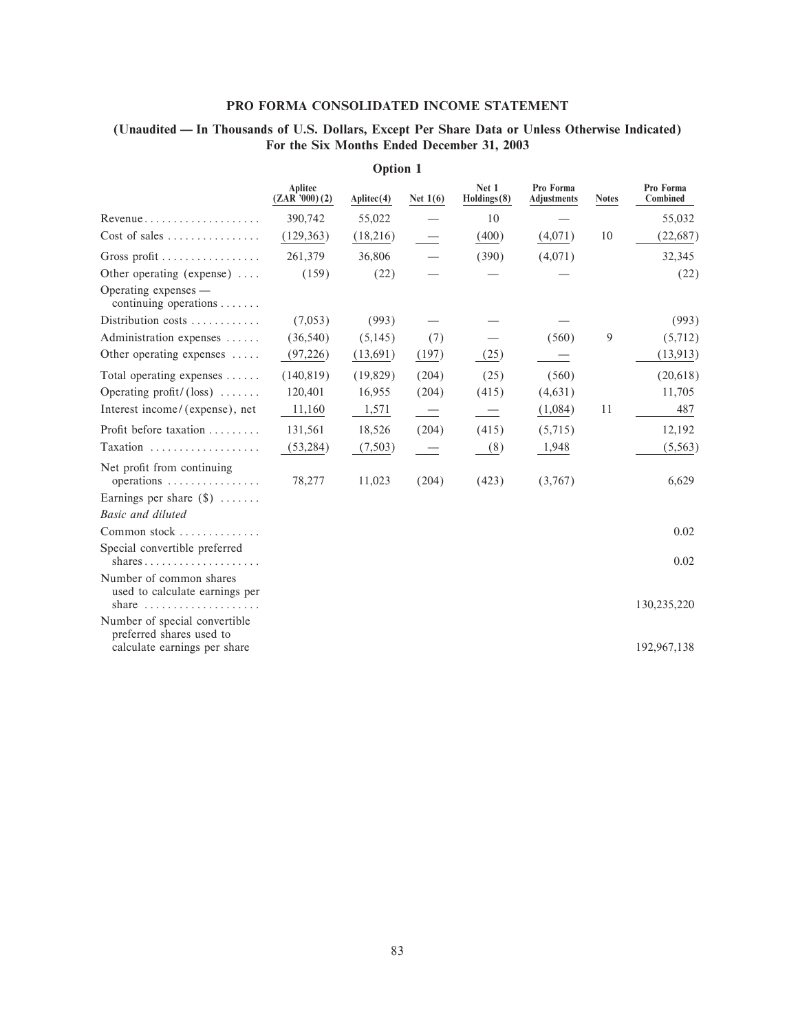### PRO FORMA CONSOLIDATED INCOME STATEMENT

## (Unaudited - In Thousands of U.S. Dollars, Except Per Share Data or Unless Otherwise Indicated) For the Six Months Ended December 31, 2003

|                                                                                                          | Aplitec<br>(ZAR'000)(2) | $\text{Aplice}(4)$ | Net $1(6)$ | Net 1<br>Holdings(8)     | Pro Forma<br><b>Adjustments</b> | <b>Notes</b> | Pro Forma<br>Combined |
|----------------------------------------------------------------------------------------------------------|-------------------------|--------------------|------------|--------------------------|---------------------------------|--------------|-----------------------|
| $Revenue \ldots \ldots \ldots \ldots \ldots$                                                             | 390,742                 | 55,022             |            | 10                       |                                 |              | 55,032                |
| $Cost of sales \dots \dots \dots \dots \dots$                                                            | (129, 363)              | (18,216)           |            | (400)                    | (4,071)                         | 10           | (22, 687)             |
| Gross profit                                                                                             | 261,379                 | 36,806             |            | (390)                    | (4,071)                         |              | 32,345                |
| Other operating (expense) $\dots$                                                                        | (159)                   | (22)               |            |                          |                                 |              | (22)                  |
| Operating expenses —<br>continuing operations $\ldots$                                                   |                         |                    |            |                          |                                 |              |                       |
| Distribution costs                                                                                       | (7,053)                 | (993)              |            |                          |                                 |              | (993)                 |
| Administration expenses                                                                                  | (36, 540)               | (5,145)            | (7)        |                          | (560)                           | 9            | (5,712)               |
| Other operating expenses $\dots$                                                                         | (97,226)                | (13,691)           | (197)      | (25)                     |                                 |              | (13, 913)             |
| Total operating expenses                                                                                 | (140, 819)              | (19, 829)          | (204)      | (25)                     | (560)                           |              | (20,618)              |
| Operating profit/ $(\text{loss})$                                                                        | 120,401                 | 16,955             | (204)      | (415)                    | (4,631)                         |              | 11,705                |
| Interest income/(expense), net                                                                           | 11,160                  | 1,571              |            | $\overline{\phantom{0}}$ | (1,084)                         | 11           | 487                   |
| Profit before taxation                                                                                   | 131,561                 | 18,526             | (204)      | (415)                    | (5,715)                         |              | 12,192                |
| Taxation                                                                                                 | (53, 284)               | (7,503)            |            | (8)                      | 1,948                           |              | (5,563)               |
| Net profit from continuing<br>operations                                                                 | 78,277                  | 11,023             | (204)      | (423)                    | (3,767)                         |              | 6,629                 |
| Earnings per share $(\$)$                                                                                |                         |                    |            |                          |                                 |              |                       |
| Basic and diluted                                                                                        |                         |                    |            |                          |                                 |              |                       |
| Common stock                                                                                             |                         |                    |            |                          |                                 |              | 0.02                  |
| Special convertible preferred<br>shares                                                                  |                         |                    |            |                          |                                 |              | 0.02                  |
| Number of common shares<br>used to calculate earnings per<br>share $\dots\dots\dots\dots\dots\dots\dots$ |                         |                    |            |                          |                                 |              | 130,235,220           |
| Number of special convertible<br>preferred shares used to<br>calculate earnings per share                |                         |                    |            |                          |                                 |              | 192,967,138           |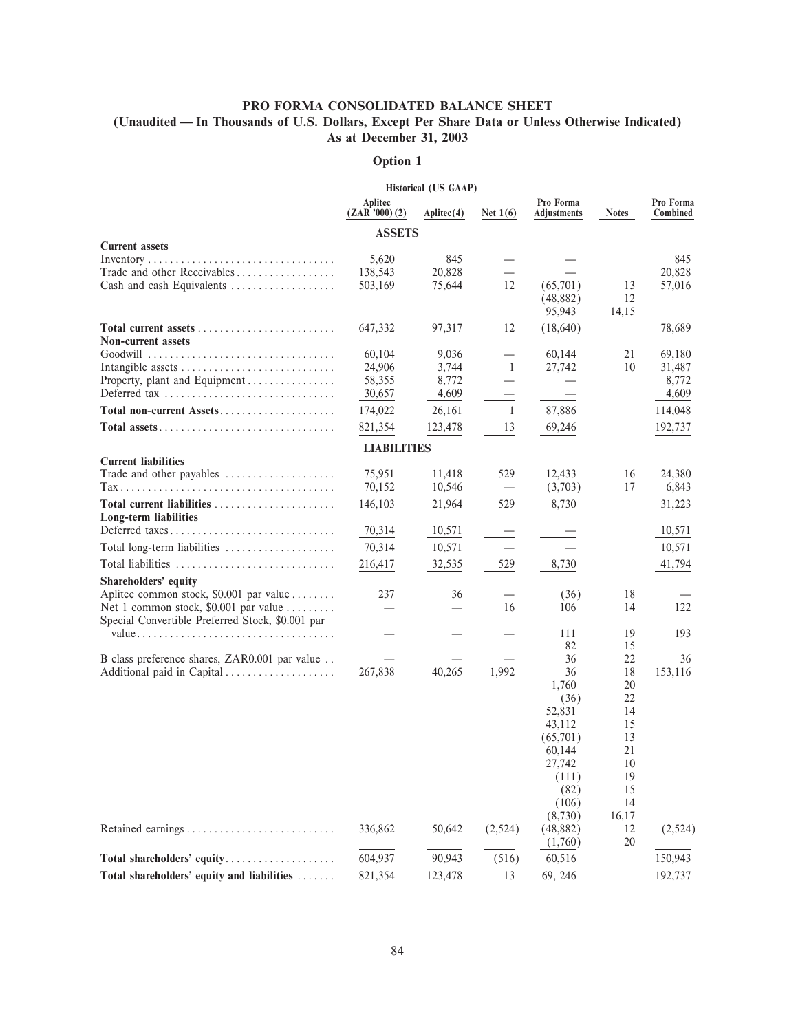### PRO FORMA CONSOLIDATED BALANCE SHEET

## (Unaudited — In Thousands of U.S. Dollars, Except Per Share Data or Unless Otherwise Indicated) As at December 31, 2003

|                                                          |                         | Historical (US GAAP) |              |                          |              |                       |
|----------------------------------------------------------|-------------------------|----------------------|--------------|--------------------------|--------------|-----------------------|
|                                                          | Aplitec<br>(ZAR'000)(2) | $\text{Aplitec}(4)$  | Net $1(6)$   | Pro Forma<br>Adjustments | <b>Notes</b> | Pro Forma<br>Combined |
|                                                          | <b>ASSETS</b>           |                      |              |                          |              |                       |
| <b>Current assets</b>                                    |                         |                      |              |                          |              |                       |
|                                                          | 5,620                   | 845                  |              |                          |              | 845                   |
| Trade and other Receivables<br>Cash and cash Equivalents | 138,543<br>503,169      | 20,828<br>75,644     | 12           | (65,701)                 | 13           | 20,828                |
|                                                          |                         |                      |              | (48, 882)                | 12           | 57,016                |
|                                                          |                         |                      |              | 95,943                   | 14,15        |                       |
|                                                          | 647,332                 | 97,317               | 12           | (18,640)                 |              | 78,689                |
| <b>Non-current assets</b>                                |                         |                      |              |                          |              |                       |
|                                                          | 60,104                  | 9,036                |              | 60,144                   | 21           | 69,180                |
| Intangible assets                                        | 24,906                  | 3,744                | 1            | 27,742                   | 10           | 31,487                |
| Property, plant and Equipment                            | 58,355                  | 8,772                |              |                          |              | 8,772                 |
| Deferred tax                                             | 30,657                  | 4,609                |              |                          |              | 4,609                 |
| Total non-current Assets                                 | 174,022                 | 26,161               | $\mathbf{1}$ | 87,886                   |              | 114,048               |
|                                                          | 821,354                 | 123,478              | 13           | 69,246                   |              | 192,737               |
|                                                          | <b>LIABILITIES</b>      |                      |              |                          |              |                       |
| <b>Current liabilities</b>                               |                         |                      |              |                          |              |                       |
| Trade and other payables                                 | 75,951                  | 11,418               | 529          | 12,433                   | 16           | 24,380                |
|                                                          | 70,152                  | 10,546               |              | (3,703)                  | 17           | 6,843                 |
| Total current liabilities<br>Long-term liabilities       | 146,103                 | 21,964               | 529          | 8,730                    |              | 31,223                |
| Deferred taxes                                           | 70,314                  | 10,571               |              |                          |              | 10,571                |
| Total long-term liabilities                              | 70,314                  | 10,571               |              |                          |              | 10,571                |
| Total liabilities                                        | 216,417                 | 32,535               | 529          | 8,730                    |              | 41,794                |
| Shareholders' equity                                     |                         |                      |              |                          |              |                       |
| Aplitec common stock, \$0.001 par value                  | 237                     | 36                   |              | (36)                     | 18           |                       |
| Net 1 common stock, \$0.001 par value                    |                         |                      | 16           | 106                      | 14           | 122                   |
| Special Convertible Preferred Stock, \$0.001 par         |                         |                      |              |                          |              |                       |
|                                                          |                         |                      |              | 111<br>82                | 19<br>15     | 193                   |
| B class preference shares, ZAR0.001 par value            |                         |                      |              | 36                       | 22           | 36                    |
| Additional paid in Capital                               | 267,838                 | 40,265               | 1,992        | 36                       | 18           | 153,116               |
|                                                          |                         |                      |              | 1,760                    | 20           |                       |
|                                                          |                         |                      |              | (36)                     | 22           |                       |
|                                                          |                         |                      |              | 52,831                   | 14           |                       |
|                                                          |                         |                      |              | 43,112                   | 15           |                       |
|                                                          |                         |                      |              | (65,701)<br>60,144       | 13<br>21     |                       |
|                                                          |                         |                      |              | 27,742                   | 10           |                       |
|                                                          |                         |                      |              | (111)                    | 19           |                       |
|                                                          |                         |                      |              | (82)                     | 15           |                       |
|                                                          |                         |                      |              | (106)                    | 14           |                       |
|                                                          |                         |                      |              | (8,730)                  | 16,17        |                       |
|                                                          | 336,862                 | 50,642               | (2,524)      | (48, 882)                | 12           | (2,524)               |
|                                                          |                         |                      |              | (1,760)                  | 20           |                       |
| Total shareholders' equity                               | 604,937                 | 90,943               | (516)        | 60,516                   |              | 150,943               |
| Total shareholders' equity and liabilities               | 821,354                 | 123,478              | 13           | 69, 246                  |              | 192,737               |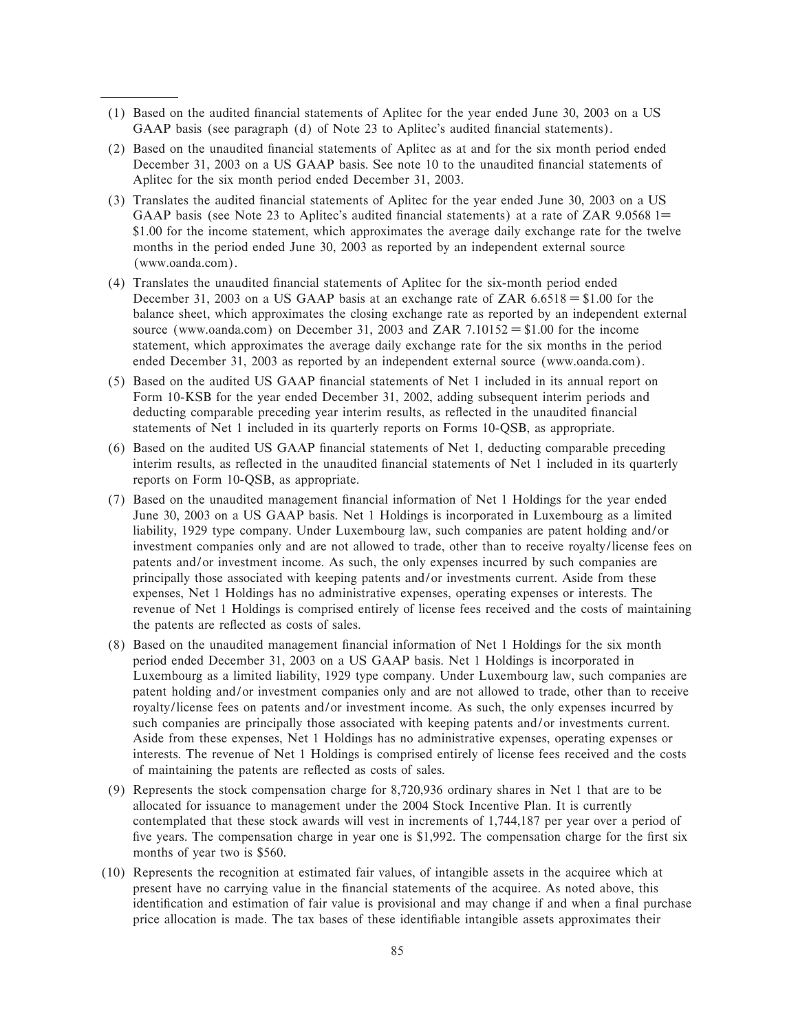- (1) Based on the audited Ñnancial statements of Aplitec for the year ended June 30, 2003 on a US GAAP basis (see paragraph (d) of Note 23 to Aplitec's audited financial statements).
- (2) Based on the unaudited Ñnancial statements of Aplitec as at and for the six month period ended December 31, 2003 on a US GAAP basis. See note 10 to the unaudited financial statements of Aplitec for the six month period ended December 31, 2003.
- (3) Translates the audited Ñnancial statements of Aplitec for the year ended June 30, 2003 on a US GAAP basis (see Note 23 to Aplitec's audited financial statements) at a rate of ZAR 9.0568 1= \$1.00 for the income statement, which approximates the average daily exchange rate for the twelve months in the period ended June 30, 2003 as reported by an independent external source (www.oanda.com).
- (4) Translates the unaudited Ñnancial statements of Aplitec for the six-month period ended December 31, 2003 on a US GAAP basis at an exchange rate of ZAR  $6.6518 = $1.00$  for the balance sheet, which approximates the closing exchange rate as reported by an independent external source (www.oanda.com) on December 31, 2003 and ZAR 7.10152 = \$1.00 for the income statement, which approximates the average daily exchange rate for the six months in the period ended December 31, 2003 as reported by an independent external source (www.oanda.com).
- (5) Based on the audited US GAAP Ñnancial statements of Net 1 included in its annual report on Form 10-KSB for the year ended December 31, 2002, adding subsequent interim periods and deducting comparable preceding year interim results, as reflected in the unaudited financial statements of Net 1 included in its quarterly reports on Forms 10-QSB, as appropriate.
- (6) Based on the audited US GAAP Ñnancial statements of Net 1, deducting comparable preceding interim results, as reflected in the unaudited financial statements of Net 1 included in its quarterly reports on Form 10-QSB, as appropriate.
- (7) Based on the unaudited management Ñnancial information of Net 1 Holdings for the year ended June 30, 2003 on a US GAAP basis. Net 1 Holdings is incorporated in Luxembourg as a limited liability, 1929 type company. Under Luxembourg law, such companies are patent holding and/or investment companies only and are not allowed to trade, other than to receive royalty/license fees on patents and/or investment income. As such, the only expenses incurred by such companies are principally those associated with keeping patents and/or investments current. Aside from these expenses, Net 1 Holdings has no administrative expenses, operating expenses or interests. The revenue of Net 1 Holdings is comprised entirely of license fees received and the costs of maintaining the patents are reflected as costs of sales.
- (8) Based on the unaudited management financial information of Net 1 Holdings for the six month period ended December 31, 2003 on a US GAAP basis. Net 1 Holdings is incorporated in Luxembourg as a limited liability, 1929 type company. Under Luxembourg law, such companies are patent holding and/or investment companies only and are not allowed to trade, other than to receive royalty/license fees on patents and/or investment income. As such, the only expenses incurred by such companies are principally those associated with keeping patents and/or investments current. Aside from these expenses, Net 1 Holdings has no administrative expenses, operating expenses or interests. The revenue of Net 1 Holdings is comprised entirely of license fees received and the costs of maintaining the patents are reÖected as costs of sales.
- (9) Represents the stock compensation charge for 8,720,936 ordinary shares in Net 1 that are to be allocated for issuance to management under the 2004 Stock Incentive Plan. It is currently contemplated that these stock awards will vest in increments of 1,744,187 per year over a period of five years. The compensation charge in year one is \$1,992. The compensation charge for the first six months of year two is \$560.
- (10) Represents the recognition at estimated fair values, of intangible assets in the acquiree which at present have no carrying value in the financial statements of the acquiree. As noted above, this identification and estimation of fair value is provisional and may change if and when a final purchase price allocation is made. The tax bases of these identifiable intangible assets approximates their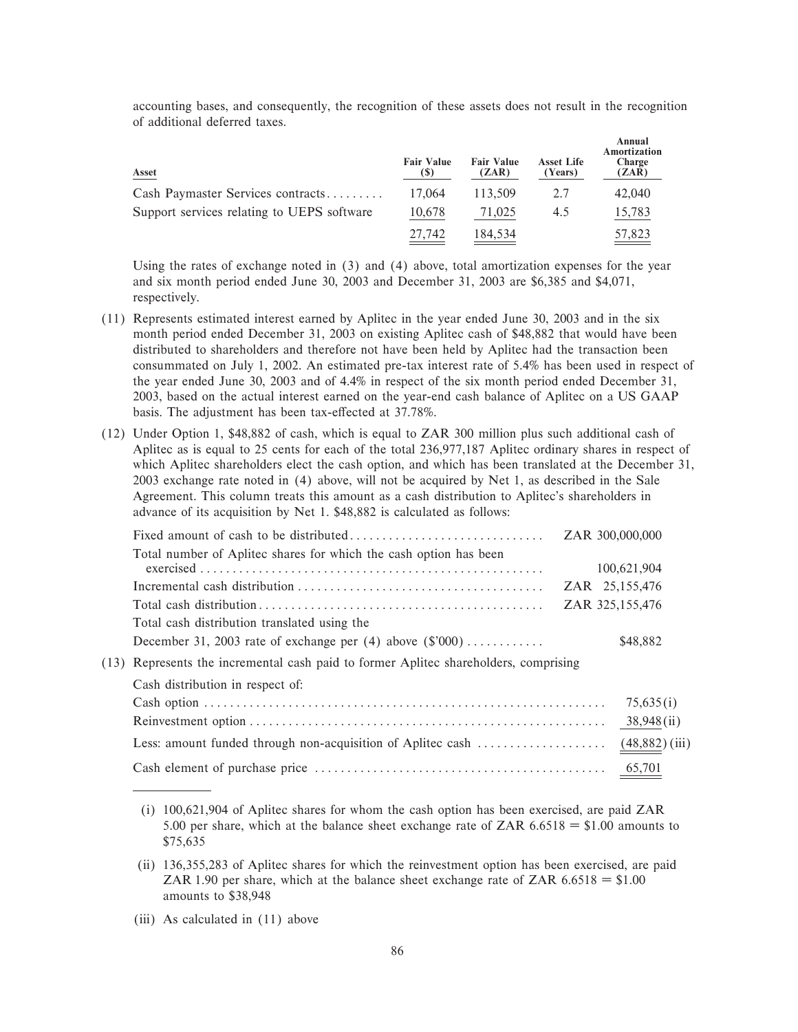accounting bases, and consequently, the recognition of these assets does not result in the recognition of additional deferred taxes.

| Asset                                      | <b>Fair Value</b> | <b>Fair Value</b><br>(ZAR) | <b>Asset Life</b><br>(Years) | Annual<br>Amortization<br>Charge<br>(ZAR) |
|--------------------------------------------|-------------------|----------------------------|------------------------------|-------------------------------------------|
| Cash Paymaster Services contracts          | 17.064            | 113.509                    | 2.7                          | 42,040                                    |
| Support services relating to UEPS software | 10,678            | 71,025                     | 4.5                          | 15,783                                    |
|                                            | 27.742            | 184,534                    |                              | 57,823                                    |

Using the rates of exchange noted in (3) and (4) above, total amortization expenses for the year and six month period ended June 30, 2003 and December 31, 2003 are \$6,385 and \$4,071, respectively.

- (11) Represents estimated interest earned by Aplitec in the year ended June 30, 2003 and in the six month period ended December 31, 2003 on existing Aplitec cash of \$48,882 that would have been distributed to shareholders and therefore not have been held by Aplitec had the transaction been consummated on July 1, 2002. An estimated pre-tax interest rate of 5.4% has been used in respect of the year ended June 30, 2003 and of 4.4% in respect of the six month period ended December 31, 2003, based on the actual interest earned on the year-end cash balance of Aplitec on a US GAAP basis. The adjustment has been tax-effected at 37.78%.
- (12) Under Option 1, \$48,882 of cash, which is equal to ZAR 300 million plus such additional cash of Aplitec as is equal to 25 cents for each of the total 236,977,187 Aplitec ordinary shares in respect of which Aplitec shareholders elect the cash option, and which has been translated at the December 31, 2003 exchange rate noted in (4) above, will not be acquired by Net 1, as described in the Sale Agreement. This column treats this amount as a cash distribution to Aplitec's shareholders in advance of its acquisition by Net 1. \$48,882 is calculated as follows:

|                                                                                               | ZAR 300,000,000  |
|-----------------------------------------------------------------------------------------------|------------------|
| Total number of Aplitec shares for which the cash option has been                             | 100,621,904      |
|                                                                                               | ZAR 25,155,476   |
|                                                                                               | ZAR 325,155,476  |
| Total cash distribution translated using the                                                  |                  |
| December 31, 2003 rate of exchange per $(4)$ above $(\frac{2000}{1}, \ldots, \ldots, \ldots)$ | \$48,882         |
| (13) Represents the incremental cash paid to former Aplitec shareholders, comprising          |                  |
| Cash distribution in respect of:                                                              |                  |
|                                                                                               | 75,635(i)        |
|                                                                                               | 38,948(ii)       |
| Less: amount funded through non-acquisition of Aplitec cash                                   | $(48,882)$ (iii) |
|                                                                                               | 65,701           |

- (i) 100,621,904 of Aplitec shares for whom the cash option has been exercised, are paid ZAR 5.00 per share, which at the balance sheet exchange rate of ZAR  $6.6518 = $1.00$  amounts to \$75,635
- (ii) 136,355,283 of Aplitec shares for which the reinvestment option has been exercised, are paid ZAR 1.90 per share, which at the balance sheet exchange rate of ZAR  $6.6518 = $1.00$ amounts to \$38,948
- (iii) As calculated in (11) above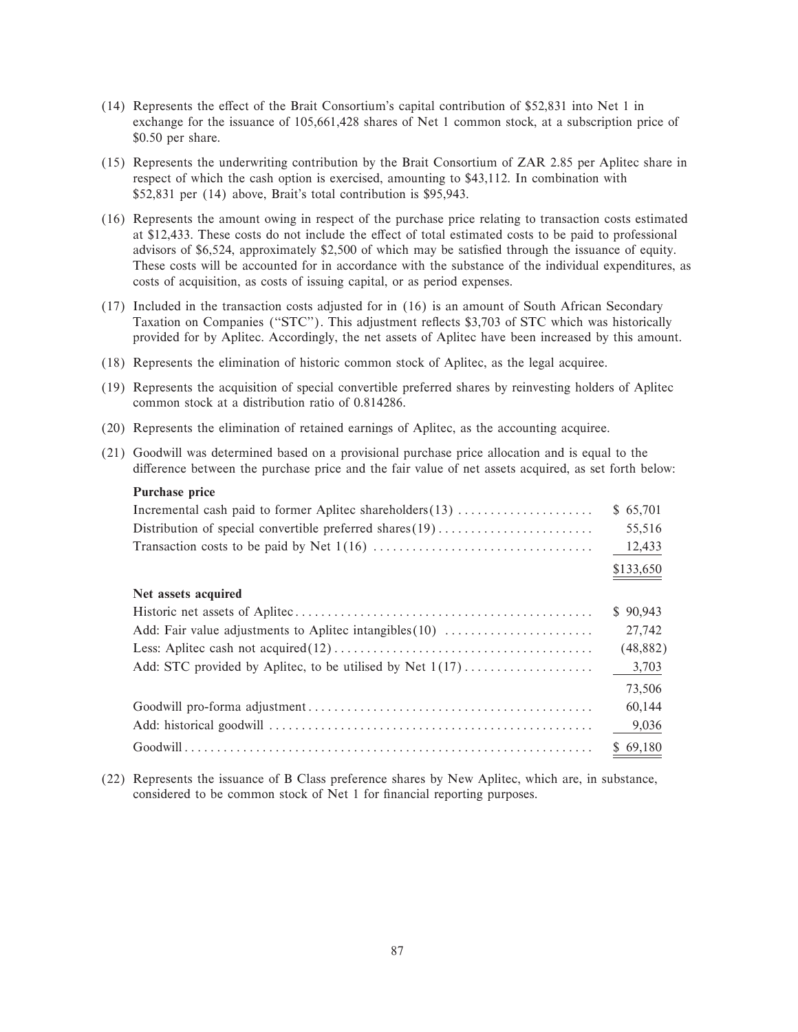- $(14)$  Represents the effect of the Brait Consortium's capital contribution of \$52,831 into Net 1 in exchange for the issuance of 105,661,428 shares of Net 1 common stock, at a subscription price of \$0.50 per share.
- (15) Represents the underwriting contribution by the Brait Consortium of ZAR 2.85 per Aplitec share in respect of which the cash option is exercised, amounting to \$43,112. In combination with \$52,831 per (14) above, Brait's total contribution is \$95,943.
- (16) Represents the amount owing in respect of the purchase price relating to transaction costs estimated at \$12,433. These costs do not include the effect of total estimated costs to be paid to professional advisors of \$6,524, approximately \$2,500 of which may be satisfied through the issuance of equity. These costs will be accounted for in accordance with the substance of the individual expenditures, as costs of acquisition, as costs of issuing capital, or as period expenses.
- (17) Included in the transaction costs adjusted for in (16) is an amount of South African Secondary Taxation on Companies ("STC"). This adjustment reflects \$3,703 of STC which was historically provided for by Aplitec. Accordingly, the net assets of Aplitec have been increased by this amount.
- (18) Represents the elimination of historic common stock of Aplitec, as the legal acquiree.
- (19) Represents the acquisition of special convertible preferred shares by reinvesting holders of Aplitec common stock at a distribution ratio of 0.814286.
- (20) Represents the elimination of retained earnings of Aplitec, as the accounting acquiree.
- (21) Goodwill was determined based on a provisional purchase price allocation and is equal to the difference between the purchase price and the fair value of net assets acquired, as set forth below:

#### **Purchase price**

| Incremental cash paid to former Aplitec shareholders (13)   | \$65,701  |
|-------------------------------------------------------------|-----------|
| Distribution of special convertible preferred shares $(19)$ | 55,516    |
|                                                             | 12,433    |
|                                                             | \$133,650 |
| Net assets acquired                                         |           |
|                                                             | \$90,943  |
| Add: Fair value adjustments to Aplitec intangibles $(10)$   | 27,742    |
|                                                             | (48, 882) |
| Add: STC provided by Aplitec, to be utilised by Net $1(17)$ | 3,703     |
|                                                             | 73,506    |
|                                                             | 60,144    |
|                                                             | 9,036     |
|                                                             | \$69,180  |

(22) Represents the issuance of B Class preference shares by New Aplitec, which are, in substance, considered to be common stock of Net 1 for financial reporting purposes.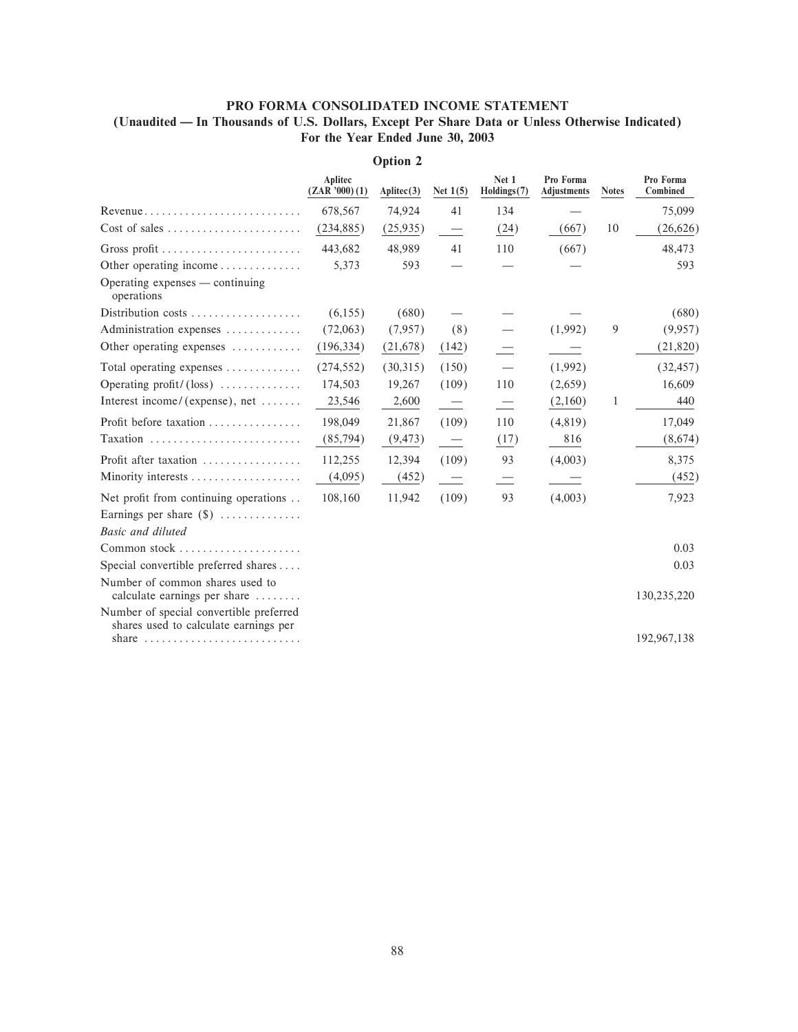## PRO FORMA CONSOLIDATED INCOME STATEMENT (Unaudited — In Thousands of U.S. Dollars, Except Per Share Data or Unless Otherwise Indicated) For the Year Ended June 30, 2003

|                                                                                                                                                     | Aplitec<br>$(ZAR'$ '000) $(1)$ | Aplitec(3) | Net $1(5)$               | Net 1<br>Holdings(7) | Pro Forma<br><b>Adjustments</b> | <b>Notes</b> | Pro Forma<br>Combined |
|-----------------------------------------------------------------------------------------------------------------------------------------------------|--------------------------------|------------|--------------------------|----------------------|---------------------------------|--------------|-----------------------|
| $Revenue \ldots \ldots \ldots \ldots \ldots \ldots \ldots \ldots$                                                                                   | 678,567                        | 74,924     | 41                       | 134                  |                                 |              | 75,099                |
| $Cost of sales \dots \dots \dots \dots \dots \dots \dots$                                                                                           | (234, 885)                     | (25,935)   |                          | (24)                 | (667)                           | 10           | (26,626)              |
| Gross profit                                                                                                                                        | 443,682                        | 48,989     | 41                       | 110                  | (667)                           |              | 48,473                |
| Other operating income $\dots \dots \dots$                                                                                                          | 5,373                          | 593        |                          |                      |                                 |              | 593                   |
| Operating expenses — continuing<br>operations                                                                                                       |                                |            |                          |                      |                                 |              |                       |
| Distribution costs                                                                                                                                  | (6,155)                        | (680)      |                          |                      |                                 |              | (680)                 |
| Administration expenses                                                                                                                             | (72,063)                       | (7,957)    | (8)                      |                      | (1,992)                         | 9            | (9,957)               |
| Other operating expenses                                                                                                                            | (196, 334)                     | (21,678)   | (142)                    |                      |                                 |              | (21, 820)             |
| Total operating expenses $\dots\dots\dots\dots$                                                                                                     | (274, 552)                     | (30,315)   | (150)                    |                      | (1,992)                         |              | (32, 457)             |
| Operating profit/ $(\text{loss})$                                                                                                                   | 174,503                        | 19,267     | (109)                    | 110                  | (2,659)                         |              | 16,609                |
| Interest income/ (expense), net $\dots\dots$                                                                                                        | 23,546                         | 2,600      | $\overline{\phantom{a}}$ |                      | (2,160)                         | 1            | 440                   |
| Profit before taxation                                                                                                                              | 198,049                        | 21,867     | (109)                    | 110                  | (4,819)                         |              | 17,049                |
| Taxation                                                                                                                                            | (85,794)                       | (9, 473)   | $\overline{\phantom{0}}$ | (17)                 | 816                             |              | (8,674)               |
| Profit after taxation                                                                                                                               | 112,255                        | 12,394     | (109)                    | 93                   | (4,003)                         |              | 8,375                 |
|                                                                                                                                                     | (4,095)                        | (452)      | $\overline{\phantom{0}}$ |                      |                                 |              | (452)                 |
| Net profit from continuing operations                                                                                                               | 108,160                        | 11,942     | (109)                    | 93                   | (4,003)                         |              | 7,923                 |
| Earnings per share $(\$)$                                                                                                                           |                                |            |                          |                      |                                 |              |                       |
| Basic and diluted                                                                                                                                   |                                |            |                          |                      |                                 |              |                       |
|                                                                                                                                                     |                                |            |                          |                      |                                 |              | 0.03                  |
| Special convertible preferred shares                                                                                                                |                                |            |                          |                      |                                 |              | 0.03                  |
| Number of common shares used to<br>calculate earnings per share $\dots\dots$                                                                        |                                |            |                          |                      |                                 |              | 130,235,220           |
| Number of special convertible preferred<br>shares used to calculate earnings per<br>share $\ldots \ldots \ldots \ldots \ldots \ldots \ldots \ldots$ |                                |            |                          |                      |                                 |              | 192,967,138           |
|                                                                                                                                                     |                                |            |                          |                      |                                 |              |                       |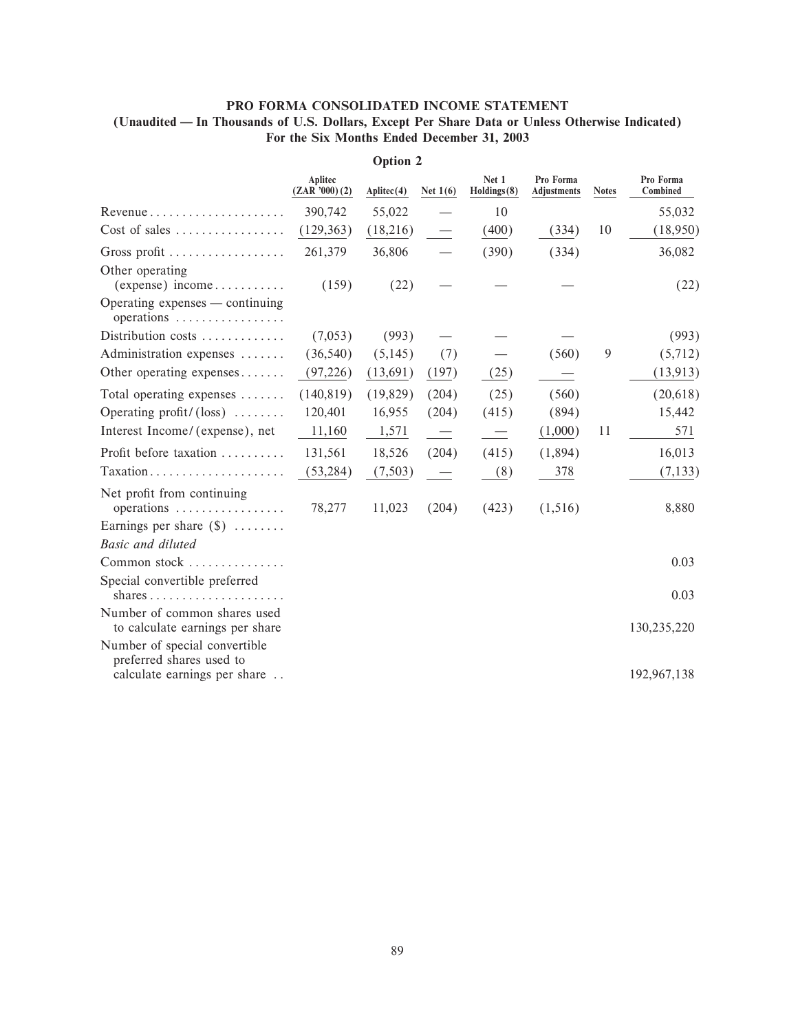## PRO FORMA CONSOLIDATED INCOME STATEMENT (Unaudited - In Thousands of U.S. Dollars, Except Per Share Data or Unless Otherwise Indicated) For the Six Months Ended December 31, 2003

|                                                                                           | Aplitec<br>(ZAR'000)(2) | Aplitec(4) | Net $1(6)$ | Net 1<br>Holdings(8) | Pro Forma<br>Adjustments | <b>Notes</b> | Pro Forma<br>Combined |
|-------------------------------------------------------------------------------------------|-------------------------|------------|------------|----------------------|--------------------------|--------------|-----------------------|
|                                                                                           | 390,742                 | 55,022     |            | 10                   |                          |              | 55,032                |
| Cost of sales                                                                             | (129, 363)              | (18,216)   |            | (400)                | (334)                    | 10           | (18,950)              |
| Gross profit                                                                              | 261,379                 | 36,806     |            | (390)                | (334)                    |              | 36,082                |
| Other operating<br>$(expense)$ income                                                     | (159)                   | (22)       |            |                      |                          |              | (22)                  |
| Operating expenses — continuing<br>operations                                             |                         |            |            |                      |                          |              |                       |
| Distribution costs $\dots\dots\dots\dots$                                                 | (7,053)                 | (993)      |            |                      |                          |              | (993)                 |
| Administration expenses                                                                   | (36, 540)               | (5,145)    | (7)        |                      | (560)                    | 9            | (5,712)               |
| Other operating expenses                                                                  | (97,226)                | (13,691)   | (197)      | (25)                 |                          |              | (13, 913)             |
| Total operating expenses                                                                  | (140, 819)              | (19, 829)  | (204)      | (25)                 | (560)                    |              | (20, 618)             |
| Operating profit/ $(\text{loss})$                                                         | 120,401                 | 16,955     | (204)      | (415)                | (894)                    |              | 15,442                |
| Interest Income/(expense), net                                                            | 11,160                  | 1,571      |            |                      | (1,000)                  | 11           | 571                   |
| Profit before taxation                                                                    | 131,561                 | 18,526     | (204)      | (415)                | (1,894)                  |              | 16,013                |
| Taxation                                                                                  | (53, 284)               | (7,503)    |            | (8)                  | 378                      |              | (7, 133)              |
| Net profit from continuing<br>operations $\dots\dots\dots\dots\dots\dots$                 | 78,277                  | 11,023     | (204)      | (423)                | (1,516)                  |              | 8,880                 |
| Earnings per share $(\$)$                                                                 |                         |            |            |                      |                          |              |                       |
| <b>Basic and diluted</b>                                                                  |                         |            |            |                      |                          |              |                       |
| Common stock $\dots\dots\dots\dots\dots$                                                  |                         |            |            |                      |                          |              | 0.03                  |
| Special convertible preferred<br>shares                                                   |                         |            |            |                      |                          |              | 0.03                  |
| Number of common shares used<br>to calculate earnings per share                           |                         |            |            |                      |                          |              | 130,235,220           |
| Number of special convertible<br>preferred shares used to<br>calculate earnings per share |                         |            |            |                      |                          |              | 192,967,138           |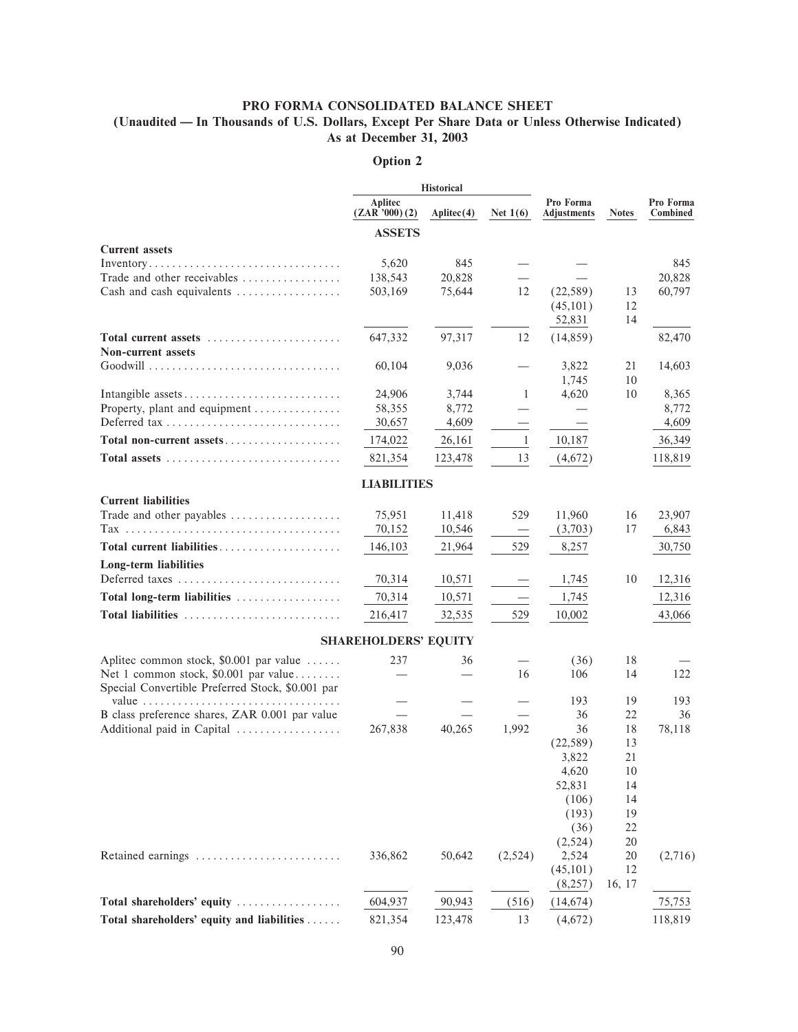## PRO FORMA CONSOLIDATED BALANCE SHEET

(Unaudited — In Thousands of U.S. Dollars, Except Per Share Data or Unless Otherwise Indicated) As at December 31, 2003

|                                                                              |                                | <b>Historical</b>   |                          |                          |              |                       |
|------------------------------------------------------------------------------|--------------------------------|---------------------|--------------------------|--------------------------|--------------|-----------------------|
|                                                                              | <b>Aplitec</b><br>(ZAR'000)(2) | $\text{Aplitec}(4)$ | Net $1(6)$               | Pro Forma<br>Adjustments | <b>Notes</b> | Pro Forma<br>Combined |
|                                                                              | <b>ASSETS</b>                  |                     |                          |                          |              |                       |
| <b>Current assets</b>                                                        |                                |                     |                          |                          |              |                       |
| $Inventory. \ldots. \ldots. \ldots. \ldots. \ldots. \ldots. \ldots. \ldots.$ | 5,620                          | 845                 |                          |                          |              | 845                   |
| Trade and other receivables                                                  | 138,543                        | 20,828              |                          |                          |              | 20,828                |
| Cash and cash equivalents                                                    | 503,169                        | 75,644              | 12                       | (22, 589)                | 13           | 60,797                |
|                                                                              |                                |                     |                          | (45, 101)                | 12<br>14     |                       |
|                                                                              |                                |                     |                          | 52,831                   |              |                       |
| Total current assets                                                         | 647,332                        | 97,317              | 12                       | (14, 859)                |              | 82,470                |
| <b>Non-current assets</b>                                                    | 60,104                         | 9,036               |                          | 3,822                    | 21           | 14,603                |
|                                                                              |                                |                     |                          | 1,745                    | 10           |                       |
| Intangible assets                                                            | 24,906                         | 3,744               | -1                       | 4,620                    | 10           | 8,365                 |
| Property, plant and equipment                                                | 58,355                         | 8,772               |                          |                          |              | 8,772                 |
| Deferred tax                                                                 | 30,657                         | 4,609               |                          |                          |              | 4,609                 |
| Total non-current assets                                                     | 174,022                        | 26,161              | 1                        | 10,187                   |              | 36,349                |
| Total assets                                                                 | 821,354                        | 123,478             | 13                       | (4,672)                  |              | 118,819               |
|                                                                              |                                |                     |                          |                          |              |                       |
|                                                                              | <b>LIABILITIES</b>             |                     |                          |                          |              |                       |
| <b>Current liabilities</b>                                                   |                                |                     |                          |                          |              |                       |
| Trade and other payables                                                     | 75,951                         | 11,418              | 529                      | 11,960                   | 16           | 23,907                |
|                                                                              | 70,152                         | 10,546              | $\overline{\phantom{m}}$ | (3,703)                  | 17           | 6,843                 |
| Total current liabilities                                                    | 146,103                        | 21,964              | 529                      | 8,257                    |              | 30,750                |
| Long-term liabilities                                                        |                                |                     |                          |                          |              |                       |
| Deferred taxes                                                               | 70,314                         | 10,571              |                          | 1,745                    | 10           | 12,316                |
| Total long-term liabilities                                                  | 70,314                         | 10,571              |                          | 1,745                    |              | 12,316                |
| Total liabilities                                                            | 216,417                        | 32,535              | 529                      | 10,002                   |              | 43,066                |
|                                                                              |                                |                     |                          |                          |              |                       |
|                                                                              | <b>SHAREHOLDERS' EQUITY</b>    |                     |                          |                          |              |                       |
| Aplitec common stock, \$0.001 par value                                      | 237                            | 36                  |                          | (36)                     | 18           |                       |
| Net 1 common stock, \$0.001 par value                                        |                                |                     | 16                       | 106                      | 14           | 122                   |
| Special Convertible Preferred Stock, \$0.001 par                             |                                |                     |                          |                          |              |                       |
| value $\ldots \ldots \ldots \ldots \ldots \ldots \ldots \ldots \ldots$       |                                |                     |                          | 193                      | 19           | 193                   |
| B class preference shares, ZAR 0.001 par value                               |                                |                     |                          | 36<br>36                 | 22           | 36                    |
| Additional paid in Capital                                                   | 267,838                        | 40,265              | 1,992                    | (22, 589)                | 18<br>13     | 78,118                |
|                                                                              |                                |                     |                          | 3,822                    | 21           |                       |
|                                                                              |                                |                     |                          | 4,620                    | 10           |                       |
|                                                                              |                                |                     |                          | 52,831                   | 14           |                       |
|                                                                              |                                |                     |                          | (106)                    | 14           |                       |
|                                                                              |                                |                     |                          | (193)                    | 19           |                       |
|                                                                              |                                |                     |                          | (36)                     | 22           |                       |
|                                                                              |                                |                     |                          | (2,524)                  | 20           |                       |
| Retained earnings                                                            | 336,862                        | 50,642              | (2,524)                  | 2,524                    | 20           | (2,716)               |
|                                                                              |                                |                     |                          | (45, 101)                | 12           |                       |
|                                                                              |                                |                     |                          | (8,257)                  | 16, 17       |                       |
| Total shareholders' equity                                                   | 604,937                        | 90,943              | (516)                    | (14, 674)                |              | 75,753                |
| Total shareholders' equity and liabilities                                   | 821,354                        | 123,478             | 13                       | (4,672)                  |              | 118,819               |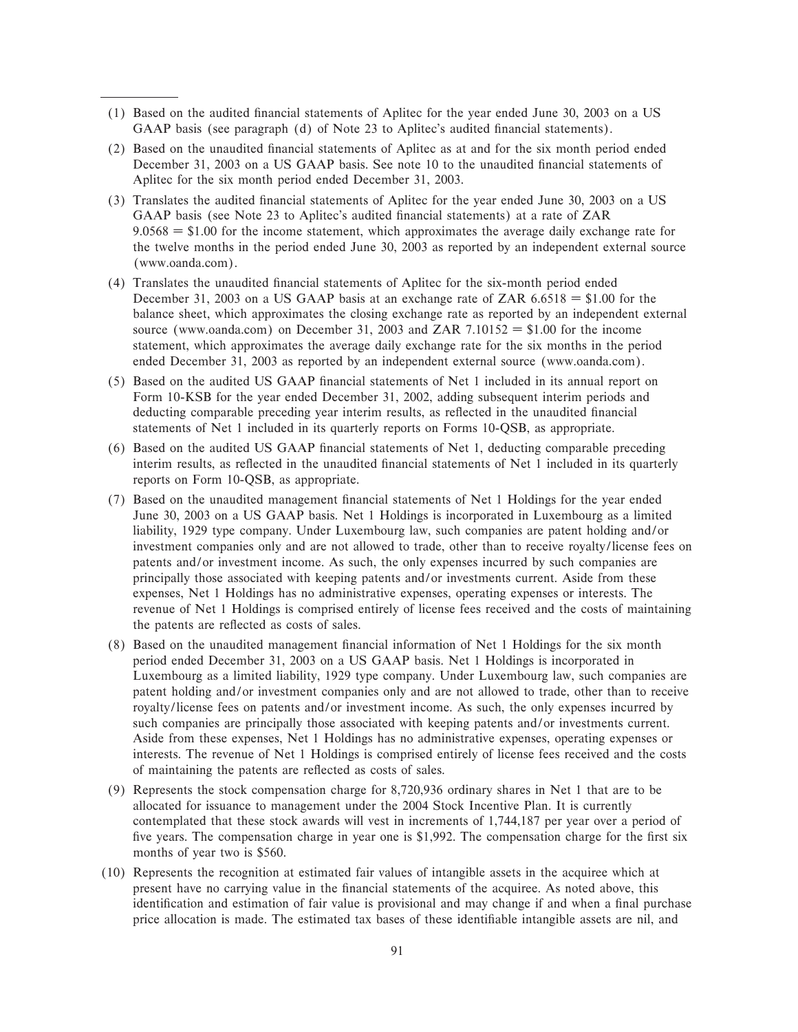- (1) Based on the audited Ñnancial statements of Aplitec for the year ended June 30, 2003 on a US GAAP basis (see paragraph (d) of Note 23 to Aplitec's audited financial statements).
- (2) Based on the unaudited Ñnancial statements of Aplitec as at and for the six month period ended December 31, 2003 on a US GAAP basis. See note 10 to the unaudited financial statements of Aplitec for the six month period ended December 31, 2003.
- (3) Translates the audited Ñnancial statements of Aplitec for the year ended June 30, 2003 on a US GAAP basis (see Note 23 to Aplitec's audited financial statements) at a rate of ZAR  $9.0568 = $1.00$  for the income statement, which approximates the average daily exchange rate for the twelve months in the period ended June 30, 2003 as reported by an independent external source (www.oanda.com).
- (4) Translates the unaudited Ñnancial statements of Aplitec for the six-month period ended December 31, 2003 on a US GAAP basis at an exchange rate of ZAR  $6.6518 = $1.00$  for the balance sheet, which approximates the closing exchange rate as reported by an independent external source (www.oanda.com) on December 31, 2003 and ZAR 7.10152 = \$1.00 for the income statement, which approximates the average daily exchange rate for the six months in the period ended December 31, 2003 as reported by an independent external source (www.oanda.com).
- (5) Based on the audited US GAAP Ñnancial statements of Net 1 included in its annual report on Form 10-KSB for the year ended December 31, 2002, adding subsequent interim periods and deducting comparable preceding year interim results, as reflected in the unaudited financial statements of Net 1 included in its quarterly reports on Forms 10-QSB, as appropriate.
- (6) Based on the audited US GAAP Ñnancial statements of Net 1, deducting comparable preceding interim results, as reflected in the unaudited financial statements of Net 1 included in its quarterly reports on Form 10-QSB, as appropriate.
- (7) Based on the unaudited management financial statements of Net 1 Holdings for the year ended June 30, 2003 on a US GAAP basis. Net 1 Holdings is incorporated in Luxembourg as a limited liability, 1929 type company. Under Luxembourg law, such companies are patent holding and/or investment companies only and are not allowed to trade, other than to receive royalty/license fees on patents and/or investment income. As such, the only expenses incurred by such companies are principally those associated with keeping patents and/or investments current. Aside from these expenses, Net 1 Holdings has no administrative expenses, operating expenses or interests. The revenue of Net 1 Holdings is comprised entirely of license fees received and the costs of maintaining the patents are reflected as costs of sales.
- (8) Based on the unaudited management financial information of Net 1 Holdings for the six month period ended December 31, 2003 on a US GAAP basis. Net 1 Holdings is incorporated in Luxembourg as a limited liability, 1929 type company. Under Luxembourg law, such companies are patent holding and/or investment companies only and are not allowed to trade, other than to receive royalty/license fees on patents and/or investment income. As such, the only expenses incurred by such companies are principally those associated with keeping patents and/or investments current. Aside from these expenses, Net 1 Holdings has no administrative expenses, operating expenses or interests. The revenue of Net 1 Holdings is comprised entirely of license fees received and the costs of maintaining the patents are reÖected as costs of sales.
- (9) Represents the stock compensation charge for 8,720,936 ordinary shares in Net 1 that are to be allocated for issuance to management under the 2004 Stock Incentive Plan. It is currently contemplated that these stock awards will vest in increments of 1,744,187 per year over a period of five years. The compensation charge in year one is \$1,992. The compensation charge for the first six months of year two is \$560.
- (10) Represents the recognition at estimated fair values of intangible assets in the acquiree which at present have no carrying value in the financial statements of the acquiree. As noted above, this identification and estimation of fair value is provisional and may change if and when a final purchase price allocation is made. The estimated tax bases of these identifiable intangible assets are nil, and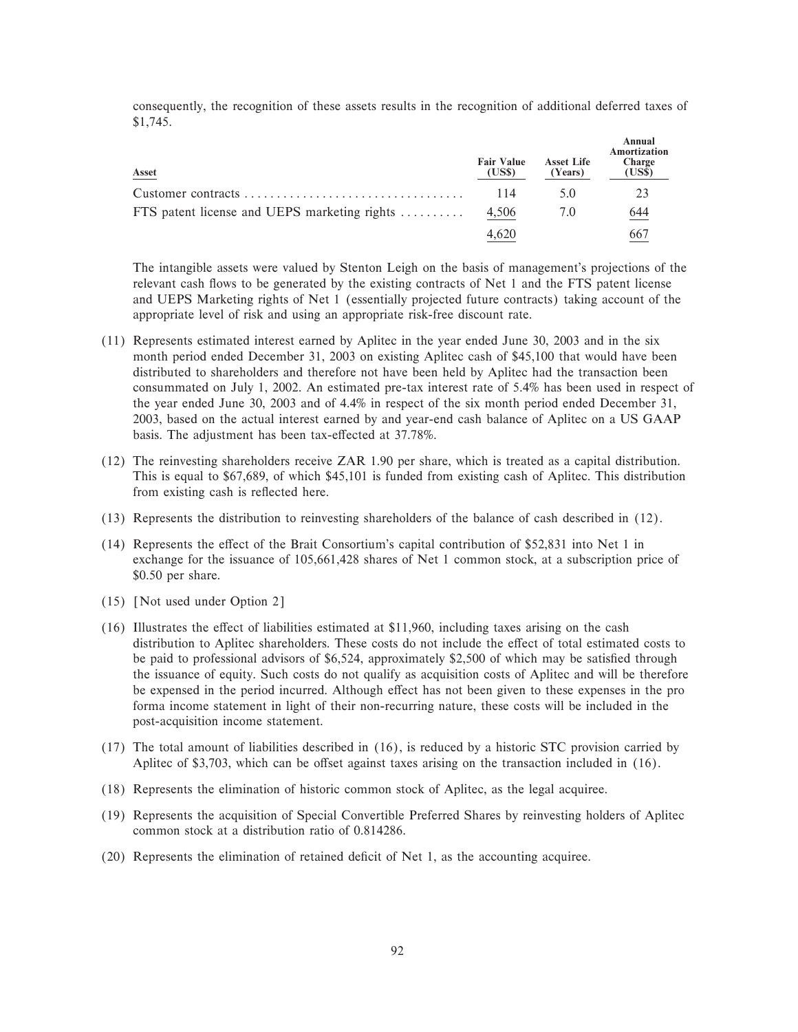consequently, the recognition of these assets results in the recognition of additional deferred taxes of \$1,745.

| Asset                                        | <b>Fair Value</b><br>(US\$) | <b>Asset Life</b><br>(Years) | Annual<br>Amortization<br>Charge<br>(US\$) |
|----------------------------------------------|-----------------------------|------------------------------|--------------------------------------------|
|                                              | 114                         | 5.0                          | 23                                         |
| FTS patent license and UEPS marketing rights | 4,506                       | 7.0                          | 644                                        |
|                                              | 4.620                       |                              | 667                                        |

The intangible assets were valued by Stenton Leigh on the basis of management's projections of the relevant cash flows to be generated by the existing contracts of Net 1 and the FTS patent license and UEPS Marketing rights of Net 1 (essentially projected future contracts) taking account of the appropriate level of risk and using an appropriate risk-free discount rate.

- (11) Represents estimated interest earned by Aplitec in the year ended June 30, 2003 and in the six month period ended December 31, 2003 on existing Aplitec cash of \$45,100 that would have been distributed to shareholders and therefore not have been held by Aplitec had the transaction been consummated on July 1, 2002. An estimated pre-tax interest rate of 5.4% has been used in respect of the year ended June 30, 2003 and of 4.4% in respect of the six month period ended December 31, 2003, based on the actual interest earned by and year-end cash balance of Aplitec on a US GAAP basis. The adjustment has been tax-effected at 37.78%.
- (12) The reinvesting shareholders receive ZAR 1.90 per share, which is treated as a capital distribution. This is equal to \$67,689, of which \$45,101 is funded from existing cash of Aplitec. This distribution from existing cash is reflected here.
- (13) Represents the distribution to reinvesting shareholders of the balance of cash described in (12).
- $(14)$  Represents the effect of the Brait Consortium's capital contribution of \$52,831 into Net 1 in exchange for the issuance of 105,661,428 shares of Net 1 common stock, at a subscription price of \$0.50 per share.
- $(15)$  [Not used under Option 2]
- $(16)$  Illustrates the effect of liabilities estimated at \$11,960, including taxes arising on the cash distribution to Aplitec shareholders. These costs do not include the effect of total estimated costs to be paid to professional advisors of \$6,524, approximately \$2,500 of which may be satisfied through the issuance of equity. Such costs do not qualify as acquisition costs of Aplitec and will be therefore be expensed in the period incurred. Although effect has not been given to these expenses in the pro forma income statement in light of their non-recurring nature, these costs will be included in the post-acquisition income statement.
- (17) The total amount of liabilities described in (16), is reduced by a historic STC provision carried by Aplitec of \$3,703, which can be offset against taxes arising on the transaction included in  $(16)$ .
- (18) Represents the elimination of historic common stock of Aplitec, as the legal acquiree.
- (19) Represents the acquisition of Special Convertible Preferred Shares by reinvesting holders of Aplitec common stock at a distribution ratio of 0.814286.
- (20) Represents the elimination of retained deÑcit of Net 1, as the accounting acquiree.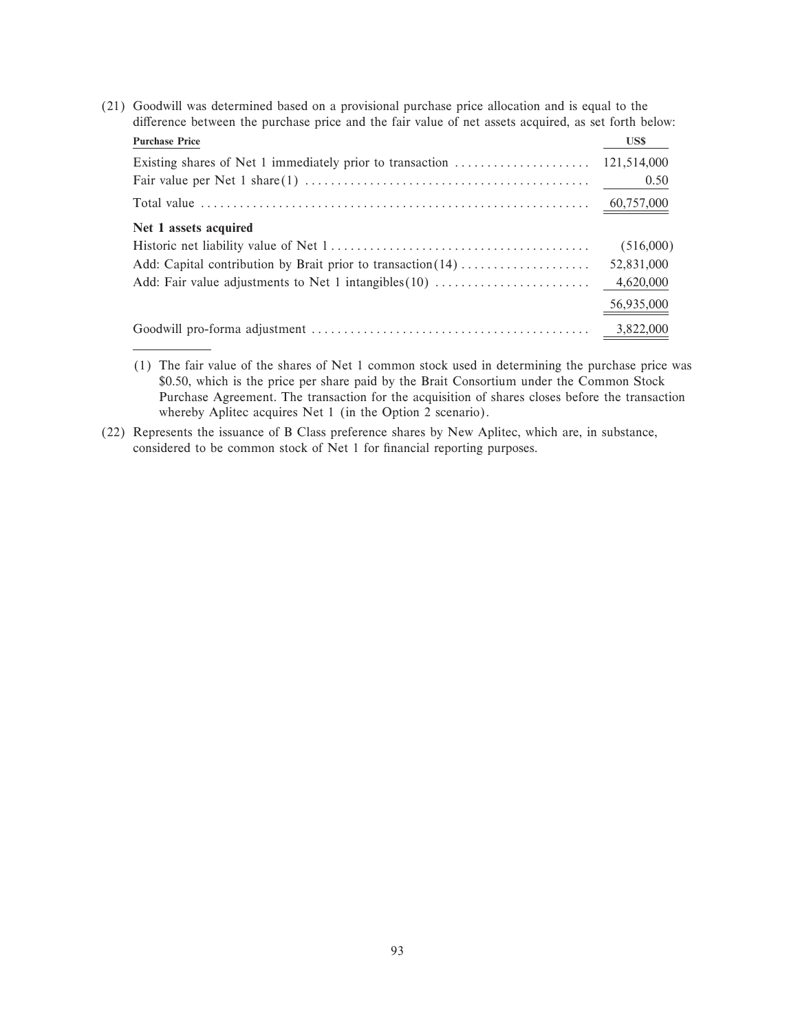(21) Goodwill was determined based on a provisional purchase price allocation and is equal to the difference between the purchase price and the fair value of net assets acquired, as set forth below: **Purchase Price US\$** Existing shares of Net 1 immediately prior to transaction ÏÏÏÏÏÏÏÏÏÏÏÏÏÏÏÏÏÏÏÏÏ 121,514,000 Fair value per Net 1 share(1) ÏÏÏÏÏÏÏÏÏÏÏÏÏÏÏÏÏÏÏÏÏÏÏÏÏÏÏÏÏÏÏÏÏÏÏÏÏÏÏÏÏÏÏÏ 0.50 Total value ÏÏÏÏÏÏÏÏÏÏÏÏÏÏÏÏÏÏÏÏÏÏÏÏÏÏÏÏÏÏÏÏÏÏÏÏÏÏÏÏÏÏÏÏÏÏÏÏÏÏÏÏÏÏÏÏÏÏÏÏ 60,757,000 **Net 1 assets acquired** Historic net liability value of Net 1ÏÏÏÏÏÏÏÏÏÏÏÏÏÏÏÏÏÏÏÏÏÏÏÏÏÏÏÏÏÏÏÏÏÏÏÏÏÏÏÏ (516,000) Add: Capital contribution by Brait prior to transaction(14)ÏÏÏÏÏÏÏÏÏÏÏÏÏÏÏÏÏÏÏÏ 52,831,000 Add: Fair value adjustments to Net 1 intangibles $(10)$   $\dots$  $\dots$  $\dots$  $\dots$  $\dots$   $4,620,000$ 56,935,000 Goodwill pro-forma adjustment  $\dots \dots \dots \dots \dots \dots \dots \dots \dots$  3,822,000

(22) Represents the issuance of B Class preference shares by New Aplitec, which are, in substance, considered to be common stock of Net 1 for financial reporting purposes.

<sup>(1)</sup> The fair value of the shares of Net 1 common stock used in determining the purchase price was \$0.50, which is the price per share paid by the Brait Consortium under the Common Stock Purchase Agreement. The transaction for the acquisition of shares closes before the transaction whereby Aplitec acquires Net 1 (in the Option 2 scenario).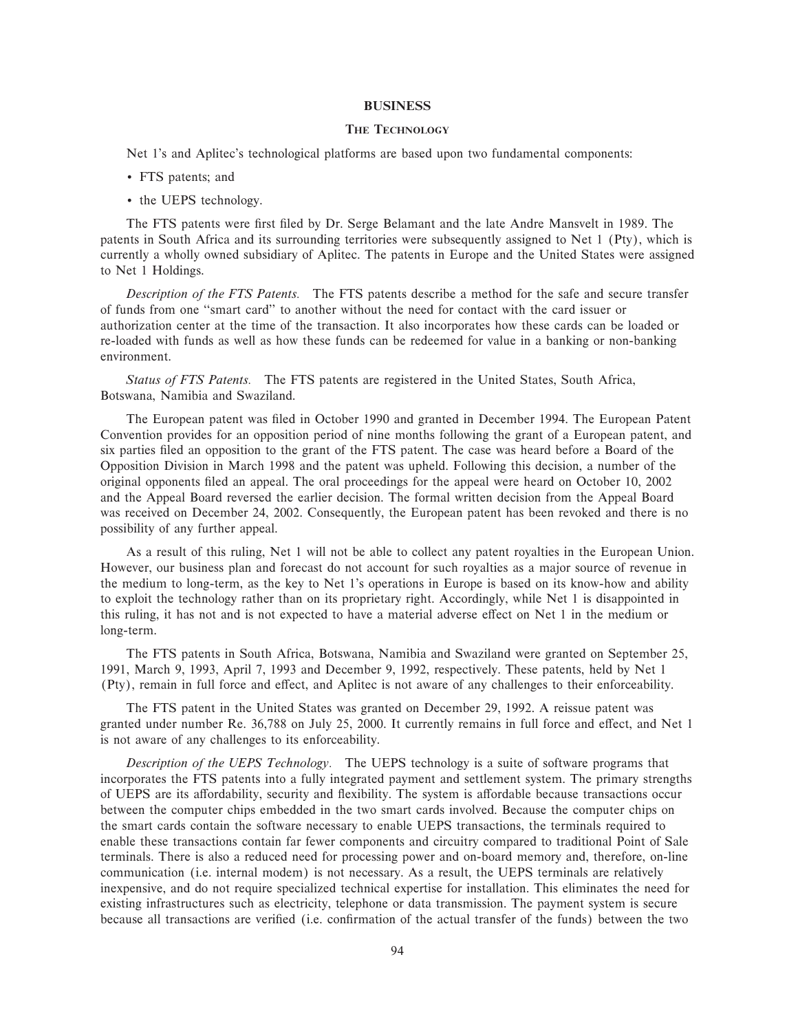#### **BUSINESS**

### **THE TECHNOLOGY**

Net 1's and Aplitec's technological platforms are based upon two fundamental components:

- ' FTS patents; and
- ' the UEPS technology.

The FTS patents were first filed by Dr. Serge Belamant and the late Andre Mansvelt in 1989. The patents in South Africa and its surrounding territories were subsequently assigned to Net 1 (Pty), which is currently a wholly owned subsidiary of Aplitec. The patents in Europe and the United States were assigned to Net 1 Holdings.

*Description of the FTS Patents.* The FTS patents describe a method for the safe and secure transfer of funds from one "smart card" to another without the need for contact with the card issuer or authorization center at the time of the transaction. It also incorporates how these cards can be loaded or re-loaded with funds as well as how these funds can be redeemed for value in a banking or non-banking environment.

*Status of FTS Patents.* The FTS patents are registered in the United States, South Africa, Botswana, Namibia and Swaziland.

The European patent was filed in October 1990 and granted in December 1994. The European Patent Convention provides for an opposition period of nine months following the grant of a European patent, and six parties filed an opposition to the grant of the FTS patent. The case was heard before a Board of the Opposition Division in March 1998 and the patent was upheld. Following this decision, a number of the original opponents Ñled an appeal. The oral proceedings for the appeal were heard on October 10, 2002 and the Appeal Board reversed the earlier decision. The formal written decision from the Appeal Board was received on December 24, 2002. Consequently, the European patent has been revoked and there is no possibility of any further appeal.

As a result of this ruling, Net 1 will not be able to collect any patent royalties in the European Union. However, our business plan and forecast do not account for such royalties as a major source of revenue in the medium to long-term, as the key to Net 1's operations in Europe is based on its know-how and ability to exploit the technology rather than on its proprietary right. Accordingly, while Net 1 is disappointed in this ruling, it has not and is not expected to have a material adverse effect on Net 1 in the medium or long-term.

The FTS patents in South Africa, Botswana, Namibia and Swaziland were granted on September 25, 1991, March 9, 1993, April 7, 1993 and December 9, 1992, respectively. These patents, held by Net 1 (Pty), remain in full force and effect, and Aplitec is not aware of any challenges to their enforceability.

The FTS patent in the United States was granted on December 29, 1992. A reissue patent was granted under number Re. 36,788 on July 25, 2000. It currently remains in full force and effect, and Net 1 is not aware of any challenges to its enforceability.

*Description of the UEPS Technology.* The UEPS technology is a suite of software programs that incorporates the FTS patents into a fully integrated payment and settlement system. The primary strengths of UEPS are its affordability, security and flexibility. The system is affordable because transactions occur between the computer chips embedded in the two smart cards involved. Because the computer chips on the smart cards contain the software necessary to enable UEPS transactions, the terminals required to enable these transactions contain far fewer components and circuitry compared to traditional Point of Sale terminals. There is also a reduced need for processing power and on-board memory and, therefore, on-line communication (i.e. internal modem) is not necessary. As a result, the UEPS terminals are relatively inexpensive, and do not require specialized technical expertise for installation. This eliminates the need for existing infrastructures such as electricity, telephone or data transmission. The payment system is secure because all transactions are verified (i.e. confirmation of the actual transfer of the funds) between the two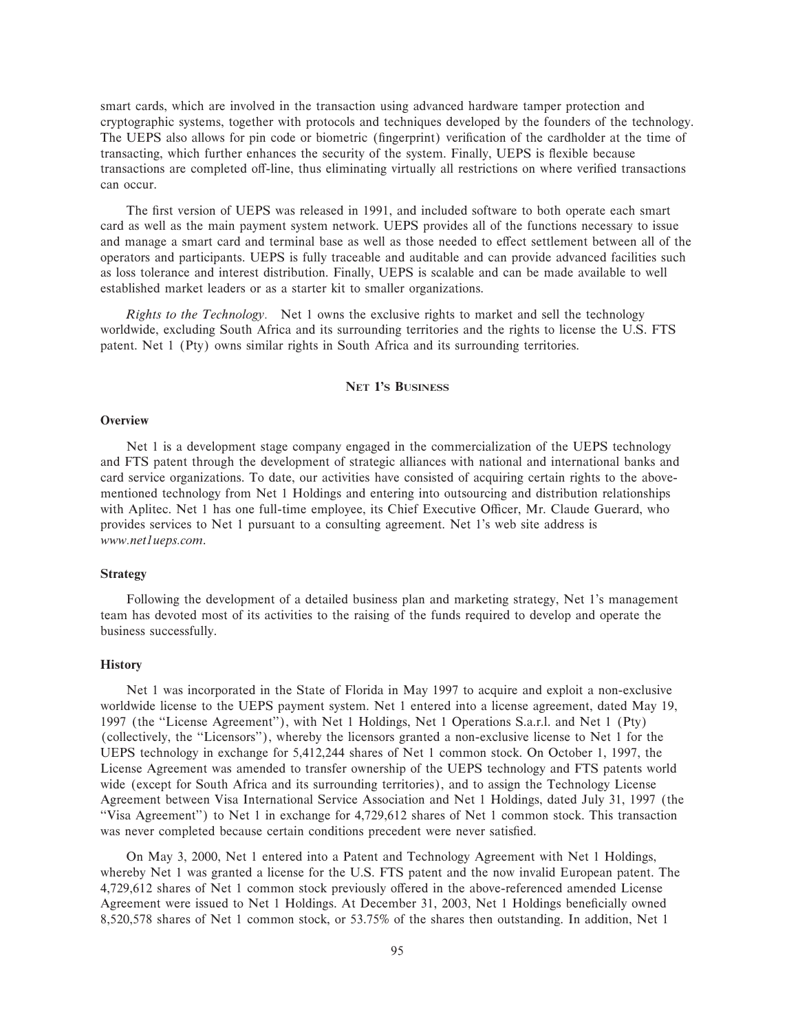smart cards, which are involved in the transaction using advanced hardware tamper protection and cryptographic systems, together with protocols and techniques developed by the founders of the technology. The UEPS also allows for pin code or biometric (fingerprint) verification of the cardholder at the time of transacting, which further enhances the security of the system. Finally, UEPS is flexible because transactions are completed off-line, thus eliminating virtually all restrictions on where verified transactions can occur.

The first version of UEPS was released in 1991, and included software to both operate each smart card as well as the main payment system network. UEPS provides all of the functions necessary to issue and manage a smart card and terminal base as well as those needed to effect settlement between all of the operators and participants. UEPS is fully traceable and auditable and can provide advanced facilities such as loss tolerance and interest distribution. Finally, UEPS is scalable and can be made available to well established market leaders or as a starter kit to smaller organizations.

*Rights to the Technology.* Net 1 owns the exclusive rights to market and sell the technology worldwide, excluding South Africa and its surrounding territories and the rights to license the U.S. FTS patent. Net 1 (Pty) owns similar rights in South Africa and its surrounding territories.

### **NET 1'S BUSINESS**

#### **Overview**

Net 1 is a development stage company engaged in the commercialization of the UEPS technology and FTS patent through the development of strategic alliances with national and international banks and card service organizations. To date, our activities have consisted of acquiring certain rights to the abovementioned technology from Net 1 Holdings and entering into outsourcing and distribution relationships with Aplitec. Net 1 has one full-time employee, its Chief Executive Officer, Mr. Claude Guerard, who provides services to Net 1 pursuant to a consulting agreement. Net 1's web site address is *www.net1ueps.com*.

### **Strategy**

Following the development of a detailed business plan and marketing strategy, Net 1's management team has devoted most of its activities to the raising of the funds required to develop and operate the business successfully.

### **History**

Net 1 was incorporated in the State of Florida in May 1997 to acquire and exploit a non-exclusive worldwide license to the UEPS payment system. Net 1 entered into a license agreement, dated May 19, 1997 (the "License Agreement"), with Net 1 Holdings, Net 1 Operations S.a.r.l. and Net 1 (Pty) (collectively, the ""Licensors''), whereby the licensors granted a non-exclusive license to Net 1 for the UEPS technology in exchange for 5,412,244 shares of Net 1 common stock. On October 1, 1997, the License Agreement was amended to transfer ownership of the UEPS technology and FTS patents world wide (except for South Africa and its surrounding territories), and to assign the Technology License Agreement between Visa International Service Association and Net 1 Holdings, dated July 31, 1997 (the "Visa Agreement") to Net 1 in exchange for 4,729,612 shares of Net 1 common stock. This transaction was never completed because certain conditions precedent were never satisfied.

On May 3, 2000, Net 1 entered into a Patent and Technology Agreement with Net 1 Holdings, whereby Net 1 was granted a license for the U.S. FTS patent and the now invalid European patent. The 4,729,612 shares of Net 1 common stock previously offered in the above-referenced amended License Agreement were issued to Net 1 Holdings. At December 31, 2003, Net 1 Holdings beneficially owned 8,520,578 shares of Net 1 common stock, or 53.75% of the shares then outstanding. In addition, Net 1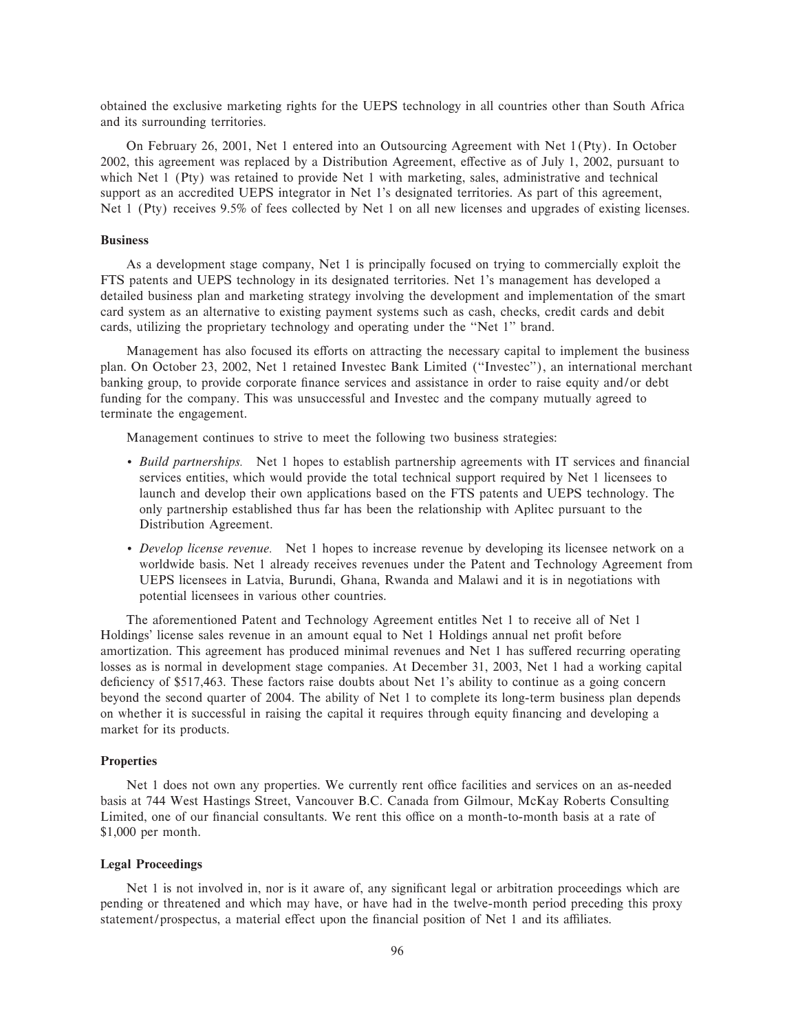obtained the exclusive marketing rights for the UEPS technology in all countries other than South Africa and its surrounding territories.

On February 26, 2001, Net 1 entered into an Outsourcing Agreement with Net 1(Pty). In October 2002, this agreement was replaced by a Distribution Agreement, effective as of July 1, 2002, pursuant to which Net 1 (Pty) was retained to provide Net 1 with marketing, sales, administrative and technical support as an accredited UEPS integrator in Net 1's designated territories. As part of this agreement, Net 1 (Pty) receives 9.5% of fees collected by Net 1 on all new licenses and upgrades of existing licenses.

### **Business**

As a development stage company, Net 1 is principally focused on trying to commercially exploit the FTS patents and UEPS technology in its designated territories. Net 1's management has developed a detailed business plan and marketing strategy involving the development and implementation of the smart card system as an alternative to existing payment systems such as cash, checks, credit cards and debit cards, utilizing the proprietary technology and operating under the ""Net 1'' brand.

Management has also focused its efforts on attracting the necessary capital to implement the business plan. On October 23, 2002, Net 1 retained Investec Bank Limited (""Investec''), an international merchant banking group, to provide corporate finance services and assistance in order to raise equity and/or debt funding for the company. This was unsuccessful and Investec and the company mutually agreed to terminate the engagement.

Management continues to strive to meet the following two business strategies:

- *Build partnerships*. Net 1 hopes to establish partnership agreements with IT services and financial services entities, which would provide the total technical support required by Net 1 licensees to launch and develop their own applications based on the FTS patents and UEPS technology. The only partnership established thus far has been the relationship with Aplitec pursuant to the Distribution Agreement.
- ' *Develop license revenue.* Net 1 hopes to increase revenue by developing its licensee network on a worldwide basis. Net 1 already receives revenues under the Patent and Technology Agreement from UEPS licensees in Latvia, Burundi, Ghana, Rwanda and Malawi and it is in negotiations with potential licensees in various other countries.

The aforementioned Patent and Technology Agreement entitles Net 1 to receive all of Net 1 Holdings' license sales revenue in an amount equal to Net 1 Holdings annual net profit before amortization. This agreement has produced minimal revenues and Net 1 has suffered recurring operating losses as is normal in development stage companies. At December 31, 2003, Net 1 had a working capital deficiency of \$517,463. These factors raise doubts about Net 1's ability to continue as a going concern beyond the second quarter of 2004. The ability of Net 1 to complete its long-term business plan depends on whether it is successful in raising the capital it requires through equity financing and developing a market for its products.

### **Properties**

Net 1 does not own any properties. We currently rent office facilities and services on an as-needed basis at 744 West Hastings Street, Vancouver B.C. Canada from Gilmour, McKay Roberts Consulting Limited, one of our financial consultants. We rent this office on a month-to-month basis at a rate of \$1,000 per month.

### **Legal Proceedings**

Net 1 is not involved in, nor is it aware of, any significant legal or arbitration proceedings which are pending or threatened and which may have, or have had in the twelve-month period preceding this proxy statement/prospectus, a material effect upon the financial position of Net 1 and its affiliates.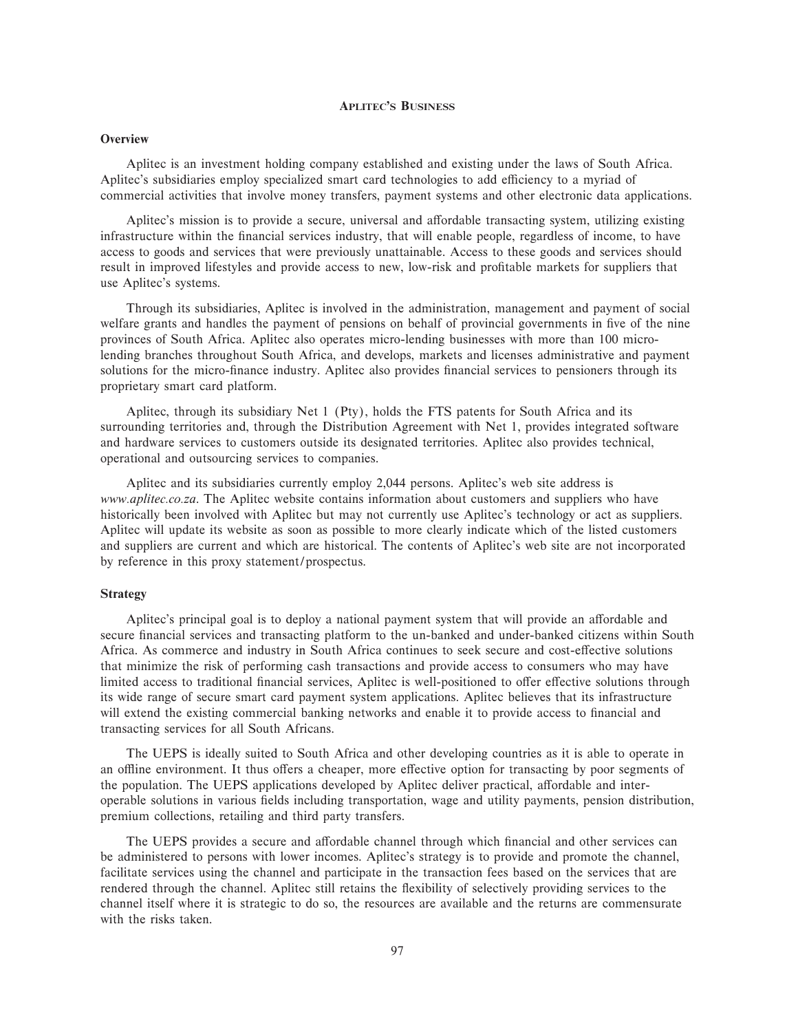### **APLITEC'S BUSINESS**

### **Overview**

Aplitec is an investment holding company established and existing under the laws of South Africa. Aplitec's subsidiaries employ specialized smart card technologies to add efficiency to a myriad of commercial activities that involve money transfers, payment systems and other electronic data applications.

Aplitec's mission is to provide a secure, universal and affordable transacting system, utilizing existing infrastructure within the financial services industry, that will enable people, regardless of income, to have access to goods and services that were previously unattainable. Access to these goods and services should result in improved lifestyles and provide access to new, low-risk and profitable markets for suppliers that use Aplitec's systems.

Through its subsidiaries, Aplitec is involved in the administration, management and payment of social welfare grants and handles the payment of pensions on behalf of provincial governments in five of the nine provinces of South Africa. Aplitec also operates micro-lending businesses with more than 100 microlending branches throughout South Africa, and develops, markets and licenses administrative and payment solutions for the micro-finance industry. Aplitec also provides financial services to pensioners through its proprietary smart card platform.

Aplitec, through its subsidiary Net 1 (Pty), holds the FTS patents for South Africa and its surrounding territories and, through the Distribution Agreement with Net 1, provides integrated software and hardware services to customers outside its designated territories. Aplitec also provides technical, operational and outsourcing services to companies.

Aplitec and its subsidiaries currently employ 2,044 persons. Aplitec's web site address is *www.aplitec.co.za*. The Aplitec website contains information about customers and suppliers who have historically been involved with Aplitec but may not currently use Aplitec's technology or act as suppliers. Aplitec will update its website as soon as possible to more clearly indicate which of the listed customers and suppliers are current and which are historical. The contents of Aplitec's web site are not incorporated by reference in this proxy statement/prospectus.

### **Strategy**

Aplitec's principal goal is to deploy a national payment system that will provide an affordable and secure financial services and transacting platform to the un-banked and under-banked citizens within South Africa. As commerce and industry in South Africa continues to seek secure and cost-effective solutions that minimize the risk of performing cash transactions and provide access to consumers who may have limited access to traditional financial services, Aplitec is well-positioned to offer effective solutions through its wide range of secure smart card payment system applications. Aplitec believes that its infrastructure will extend the existing commercial banking networks and enable it to provide access to financial and transacting services for all South Africans.

The UEPS is ideally suited to South Africa and other developing countries as it is able to operate in an offline environment. It thus offers a cheaper, more effective option for transacting by poor segments of the population. The UEPS applications developed by Aplitec deliver practical, affordable and interoperable solutions in various Ñelds including transportation, wage and utility payments, pension distribution, premium collections, retailing and third party transfers.

The UEPS provides a secure and affordable channel through which financial and other services can be administered to persons with lower incomes. Aplitec's strategy is to provide and promote the channel, facilitate services using the channel and participate in the transaction fees based on the services that are rendered through the channel. Aplitec still retains the flexibility of selectively providing services to the channel itself where it is strategic to do so, the resources are available and the returns are commensurate with the risks taken.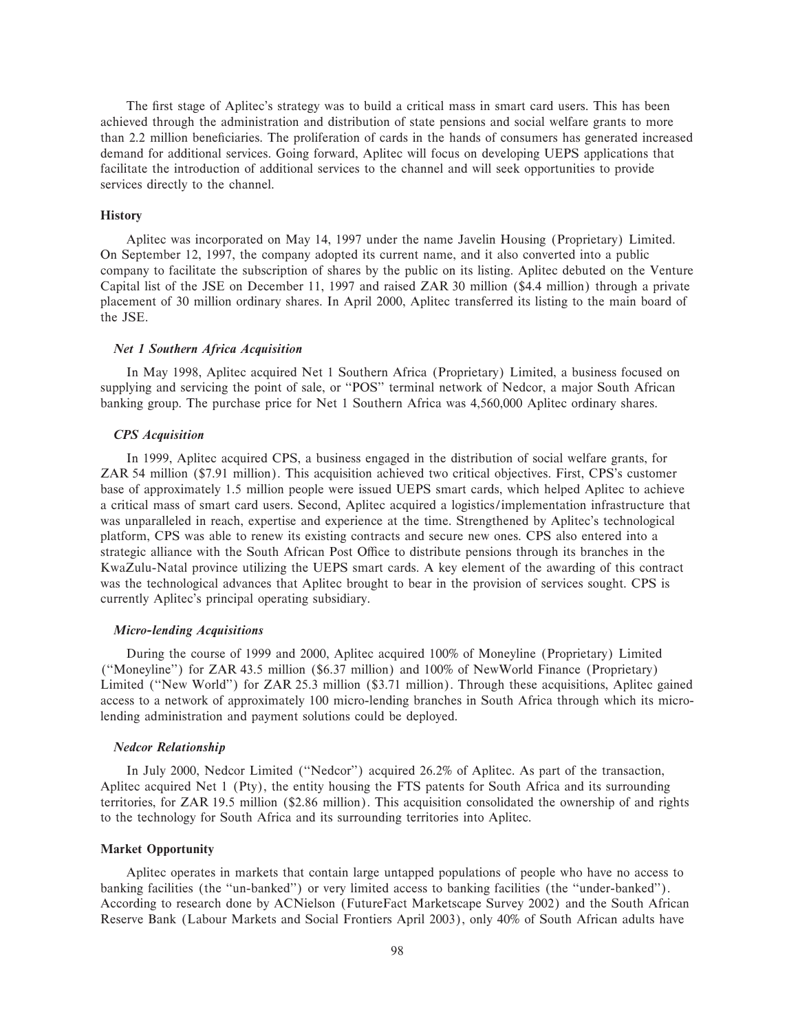The first stage of Aplitec's strategy was to build a critical mass in smart card users. This has been achieved through the administration and distribution of state pensions and social welfare grants to more than 2.2 million beneficiaries. The proliferation of cards in the hands of consumers has generated increased demand for additional services. Going forward, Aplitec will focus on developing UEPS applications that facilitate the introduction of additional services to the channel and will seek opportunities to provide services directly to the channel.

### **History**

Aplitec was incorporated on May 14, 1997 under the name Javelin Housing (Proprietary) Limited. On September 12, 1997, the company adopted its current name, and it also converted into a public company to facilitate the subscription of shares by the public on its listing. Aplitec debuted on the Venture Capital list of the JSE on December 11, 1997 and raised ZAR 30 million (\$4.4 million) through a private placement of 30 million ordinary shares. In April 2000, Aplitec transferred its listing to the main board of the JSE.

### *Net 1 Southern Africa Acquisition*

In May 1998, Aplitec acquired Net 1 Southern Africa (Proprietary) Limited, a business focused on supplying and servicing the point of sale, or "POS" terminal network of Nedcor, a major South African banking group. The purchase price for Net 1 Southern Africa was 4,560,000 Aplitec ordinary shares.

### *CPS Acquisition*

In 1999, Aplitec acquired CPS, a business engaged in the distribution of social welfare grants, for ZAR 54 million (\$7.91 million). This acquisition achieved two critical objectives. First, CPS's customer base of approximately 1.5 million people were issued UEPS smart cards, which helped Aplitec to achieve a critical mass of smart card users. Second, Aplitec acquired a logistics/implementation infrastructure that was unparalleled in reach, expertise and experience at the time. Strengthened by Aplitec's technological platform, CPS was able to renew its existing contracts and secure new ones. CPS also entered into a strategic alliance with the South African Post Office to distribute pensions through its branches in the KwaZulu-Natal province utilizing the UEPS smart cards. A key element of the awarding of this contract was the technological advances that Aplitec brought to bear in the provision of services sought. CPS is currently Aplitec's principal operating subsidiary.

### *Micro-lending Acquisitions*

During the course of 1999 and 2000, Aplitec acquired 100% of Moneyline (Proprietary) Limited (""Moneyline'') for ZAR 43.5 million (\$6.37 million) and 100% of NewWorld Finance (Proprietary) Limited (""New World'') for ZAR 25.3 million (\$3.71 million). Through these acquisitions, Aplitec gained access to a network of approximately 100 micro-lending branches in South Africa through which its microlending administration and payment solutions could be deployed.

#### *Nedcor Relationship*

In July 2000, Nedcor Limited (""Nedcor'') acquired 26.2% of Aplitec. As part of the transaction, Aplitec acquired Net 1 (Pty), the entity housing the FTS patents for South Africa and its surrounding territories, for ZAR 19.5 million (\$2.86 million). This acquisition consolidated the ownership of and rights to the technology for South Africa and its surrounding territories into Aplitec.

#### **Market Opportunity**

Aplitec operates in markets that contain large untapped populations of people who have no access to banking facilities (the "un-banked") or very limited access to banking facilities (the "under-banked"). According to research done by ACNielson (FutureFact Marketscape Survey 2002) and the South African Reserve Bank (Labour Markets and Social Frontiers April 2003), only 40% of South African adults have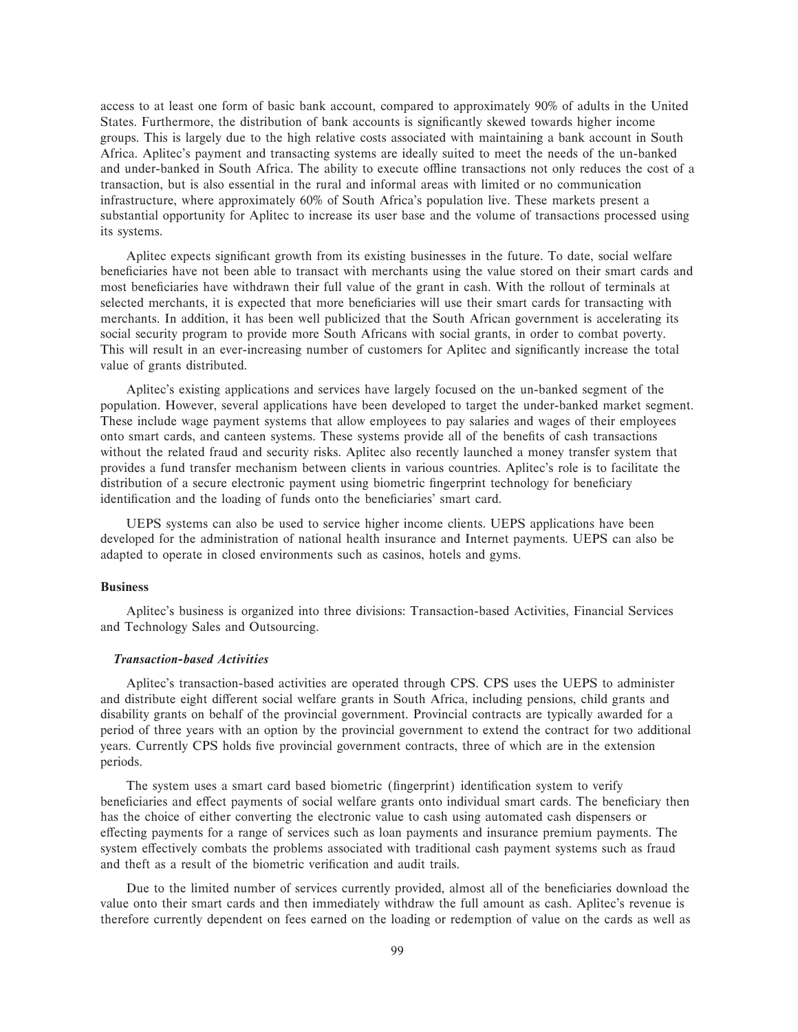access to at least one form of basic bank account, compared to approximately 90% of adults in the United States. Furthermore, the distribution of bank accounts is significantly skewed towards higher income groups. This is largely due to the high relative costs associated with maintaining a bank account in South Africa. Aplitec's payment and transacting systems are ideally suited to meet the needs of the un-banked and under-banked in South Africa. The ability to execute offline transactions not only reduces the cost of a transaction, but is also essential in the rural and informal areas with limited or no communication infrastructure, where approximately 60% of South Africa's population live. These markets present a substantial opportunity for Aplitec to increase its user base and the volume of transactions processed using its systems.

Aplitec expects significant growth from its existing businesses in the future. To date, social welfare beneficiaries have not been able to transact with merchants using the value stored on their smart cards and most beneficiaries have withdrawn their full value of the grant in cash. With the rollout of terminals at selected merchants, it is expected that more beneficiaries will use their smart cards for transacting with merchants. In addition, it has been well publicized that the South African government is accelerating its social security program to provide more South Africans with social grants, in order to combat poverty. This will result in an ever-increasing number of customers for Aplitec and significantly increase the total value of grants distributed.

Aplitec's existing applications and services have largely focused on the un-banked segment of the population. However, several applications have been developed to target the under-banked market segment. These include wage payment systems that allow employees to pay salaries and wages of their employees onto smart cards, and canteen systems. These systems provide all of the benefits of cash transactions without the related fraud and security risks. Aplitec also recently launched a money transfer system that provides a fund transfer mechanism between clients in various countries. Aplitec's role is to facilitate the distribution of a secure electronic payment using biometric fingerprint technology for beneficiary identification and the loading of funds onto the beneficiaries' smart card.

UEPS systems can also be used to service higher income clients. UEPS applications have been developed for the administration of national health insurance and Internet payments. UEPS can also be adapted to operate in closed environments such as casinos, hotels and gyms.

### **Business**

Aplitec's business is organized into three divisions: Transaction-based Activities, Financial Services and Technology Sales and Outsourcing.

### *Transaction-based Activities*

Aplitec's transaction-based activities are operated through CPS. CPS uses the UEPS to administer and distribute eight different social welfare grants in South Africa, including pensions, child grants and disability grants on behalf of the provincial government. Provincial contracts are typically awarded for a period of three years with an option by the provincial government to extend the contract for two additional years. Currently CPS holds five provincial government contracts, three of which are in the extension periods.

The system uses a smart card based biometric (fingerprint) identification system to verify beneficiaries and effect payments of social welfare grants onto individual smart cards. The beneficiary then has the choice of either converting the electronic value to cash using automated cash dispensers or effecting payments for a range of services such as loan payments and insurance premium payments. The system effectively combats the problems associated with traditional cash payment systems such as fraud and theft as a result of the biometric verification and audit trails.

Due to the limited number of services currently provided, almost all of the beneficiaries download the value onto their smart cards and then immediately withdraw the full amount as cash. Aplitec's revenue is therefore currently dependent on fees earned on the loading or redemption of value on the cards as well as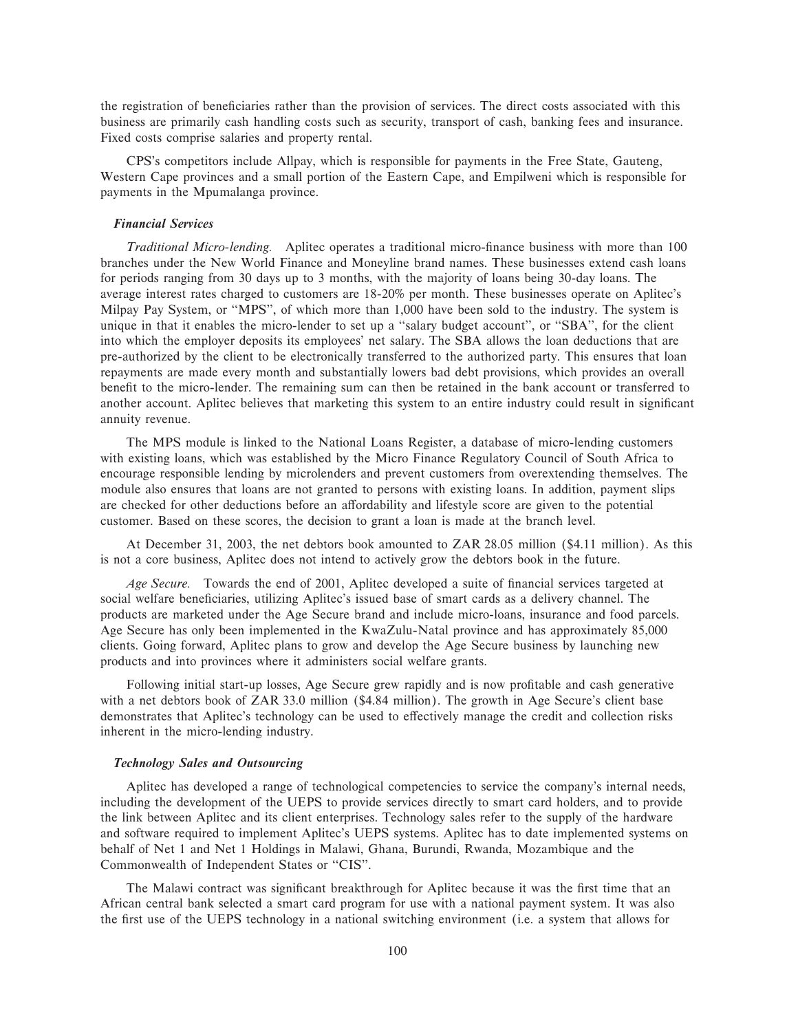the registration of beneficiaries rather than the provision of services. The direct costs associated with this business are primarily cash handling costs such as security, transport of cash, banking fees and insurance. Fixed costs comprise salaries and property rental.

CPS's competitors include Allpay, which is responsible for payments in the Free State, Gauteng, Western Cape provinces and a small portion of the Eastern Cape, and Empilweni which is responsible for payments in the Mpumalanga province.

#### *Financial Services*

*Traditional Micro-lending.* Aplitec operates a traditional micro-finance business with more than 100 branches under the New World Finance and Moneyline brand names. These businesses extend cash loans for periods ranging from 30 days up to 3 months, with the majority of loans being 30-day loans. The average interest rates charged to customers are 18-20% per month. These businesses operate on Aplitec's Milpay Pay System, or "MPS", of which more than 1,000 have been sold to the industry. The system is unique in that it enables the micro-lender to set up a "salary budget account", or "SBA", for the client into which the employer deposits its employees' net salary. The SBA allows the loan deductions that are pre-authorized by the client to be electronically transferred to the authorized party. This ensures that loan repayments are made every month and substantially lowers bad debt provisions, which provides an overall benefit to the micro-lender. The remaining sum can then be retained in the bank account or transferred to another account. Aplitec believes that marketing this system to an entire industry could result in significant annuity revenue.

The MPS module is linked to the National Loans Register, a database of micro-lending customers with existing loans, which was established by the Micro Finance Regulatory Council of South Africa to encourage responsible lending by microlenders and prevent customers from overextending themselves. The module also ensures that loans are not granted to persons with existing loans. In addition, payment slips are checked for other deductions before an affordability and lifestyle score are given to the potential customer. Based on these scores, the decision to grant a loan is made at the branch level.

At December 31, 2003, the net debtors book amounted to ZAR 28.05 million (\$4.11 million). As this is not a core business, Aplitec does not intend to actively grow the debtors book in the future.

Age Secure. Towards the end of 2001, Aplitec developed a suite of financial services targeted at social welfare beneficiaries, utilizing Aplitec's issued base of smart cards as a delivery channel. The products are marketed under the Age Secure brand and include micro-loans, insurance and food parcels. Age Secure has only been implemented in the KwaZulu-Natal province and has approximately 85,000 clients. Going forward, Aplitec plans to grow and develop the Age Secure business by launching new products and into provinces where it administers social welfare grants.

Following initial start-up losses, Age Secure grew rapidly and is now profitable and cash generative with a net debtors book of ZAR 33.0 million (\$4.84 million). The growth in Age Secure's client base demonstrates that Aplitec's technology can be used to effectively manage the credit and collection risks inherent in the micro-lending industry.

### *Technology Sales and Outsourcing*

Aplitec has developed a range of technological competencies to service the company's internal needs, including the development of the UEPS to provide services directly to smart card holders, and to provide the link between Aplitec and its client enterprises. Technology sales refer to the supply of the hardware and software required to implement Aplitec's UEPS systems. Aplitec has to date implemented systems on behalf of Net 1 and Net 1 Holdings in Malawi, Ghana, Burundi, Rwanda, Mozambique and the Commonwealth of Independent States or "CIS".

The Malawi contract was significant breakthrough for Aplitec because it was the first time that an African central bank selected a smart card program for use with a national payment system. It was also the Ñrst use of the UEPS technology in a national switching environment (i.e. a system that allows for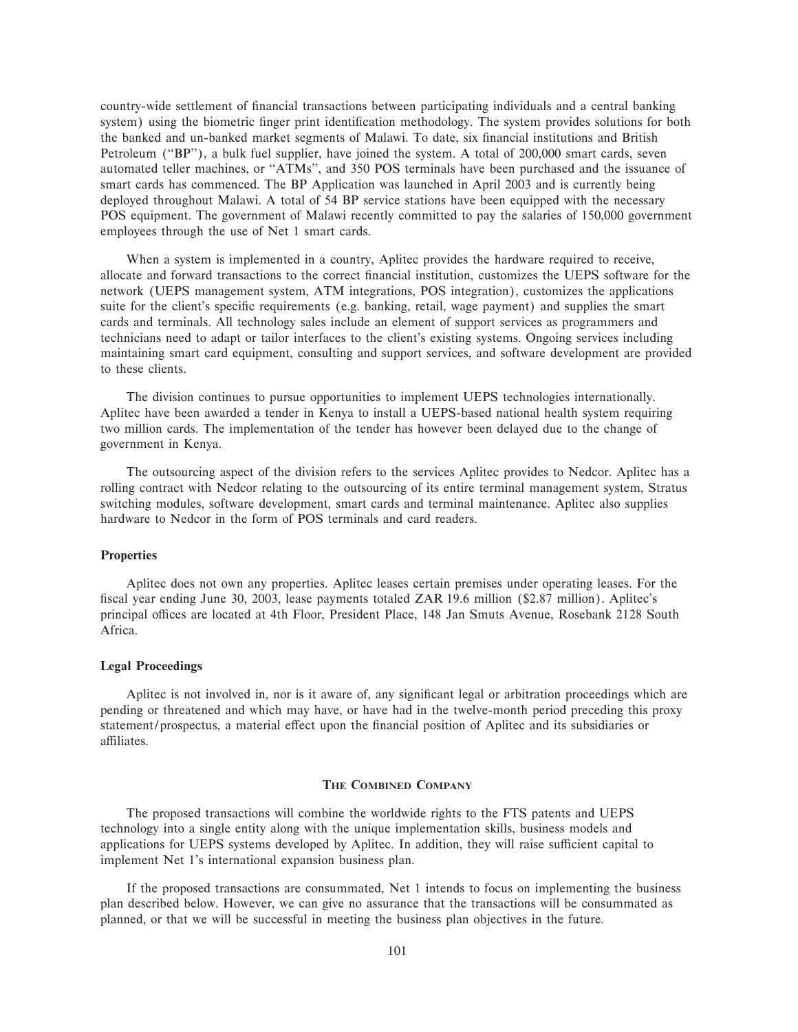country-wide settlement of financial transactions between participating individuals and a central banking system) using the biometric finger print identification methodology. The system provides solutions for both the banked and un-banked market segments of Malawi. To date, six financial institutions and British Petroleum ("BP"), a bulk fuel supplier, have joined the system. A total of 200,000 smart cards, seven automated teller machines, or "ATMs", and 350 POS terminals have been purchased and the issuance of smart cards has commenced. The BP Application was launched in April 2003 and is currently being deployed throughout Malawi. A total of 54 BP service stations have been equipped with the necessary POS equipment. The government of Malawi recently committed to pay the salaries of 150,000 government employees through the use of Net 1 smart cards.

When a system is implemented in a country, Aplitec provides the hardware required to receive, allocate and forward transactions to the correct financial institution, customizes the UEPS software for the network (UEPS management system, ATM integrations, POS integration), customizes the applications suite for the client's specific requirements (e.g. banking, retail, wage payment) and supplies the smart cards and terminals. All technology sales include an element of support services as programmers and technicians need to adapt or tailor interfaces to the client's existing systems. Ongoing services including maintaining smart card equipment, consulting and support services, and software development are provided to these clients.

The division continues to pursue opportunities to implement UEPS technologies internationally. Aplitec have been awarded a tender in Kenya to install a UEPS-based national health system requiring two million cards. The implementation of the tender has however been delayed due to the change of government in Kenya.

The outsourcing aspect of the division refers to the services Aplitec provides to Nedcor. Aplitec has a rolling contract with Nedcor relating to the outsourcing of its entire terminal management system, Stratus switching modules, software development, smart cards and terminal maintenance. Aplitec also supplies hardware to Nedcor in the form of POS terminals and card readers.

### **Properties**

Aplitec does not own any properties. Aplitec leases certain premises under operating leases. For the fiscal year ending June 30, 2003, lease payments totaled ZAR 19.6 million (\$2.87 million). Aplitec's principal offices are located at 4th Floor, President Place, 148 Jan Smuts Avenue, Rosebank 2128 South Africa.

### **Legal Proceedings**

Aplitec is not involved in, nor is it aware of, any significant legal or arbitration proceedings which are pending or threatened and which may have, or have had in the twelve-month period preceding this proxy statement/prospectus, a material effect upon the financial position of Aplitec and its subsidiaries or affiliates.

### **THE COMBINED COMPANY**

The proposed transactions will combine the worldwide rights to the FTS patents and UEPS technology into a single entity along with the unique implementation skills, business models and applications for UEPS systems developed by Aplitec. In addition, they will raise sufficient capital to implement Net 1's international expansion business plan.

If the proposed transactions are consummated, Net 1 intends to focus on implementing the business plan described below. However, we can give no assurance that the transactions will be consummated as planned, or that we will be successful in meeting the business plan objectives in the future.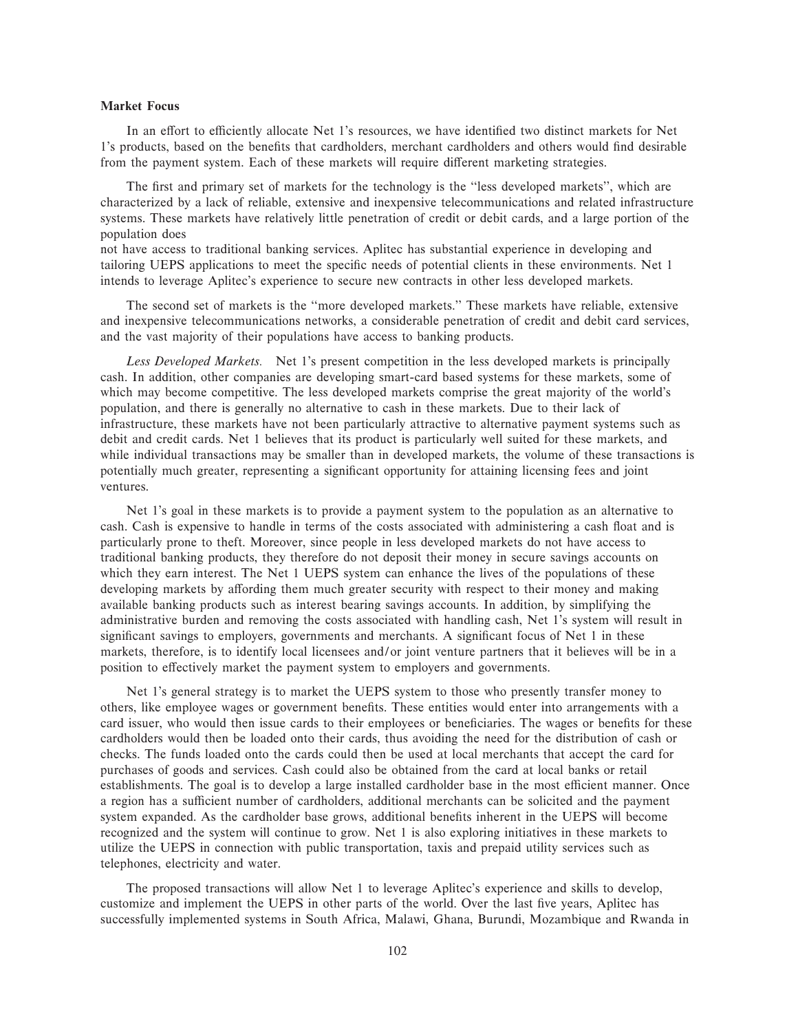### **Market Focus**

In an effort to efficiently allocate Net 1's resources, we have identified two distinct markets for Net 1's products, based on the benefits that cardholders, merchant cardholders and others would find desirable from the payment system. Each of these markets will require different marketing strategies.

The first and primary set of markets for the technology is the "less developed markets", which are characterized by a lack of reliable, extensive and inexpensive telecommunications and related infrastructure systems. These markets have relatively little penetration of credit or debit cards, and a large portion of the population does

not have access to traditional banking services. Aplitec has substantial experience in developing and tailoring UEPS applications to meet the specific needs of potential clients in these environments. Net 1 intends to leverage Aplitec's experience to secure new contracts in other less developed markets.

The second set of markets is the ""more developed markets.'' These markets have reliable, extensive and inexpensive telecommunications networks, a considerable penetration of credit and debit card services, and the vast majority of their populations have access to banking products.

*Less Developed Markets.* Net 1's present competition in the less developed markets is principally cash. In addition, other companies are developing smart-card based systems for these markets, some of which may become competitive. The less developed markets comprise the great majority of the world's population, and there is generally no alternative to cash in these markets. Due to their lack of infrastructure, these markets have not been particularly attractive to alternative payment systems such as debit and credit cards. Net 1 believes that its product is particularly well suited for these markets, and while individual transactions may be smaller than in developed markets, the volume of these transactions is potentially much greater, representing a significant opportunity for attaining licensing fees and joint ventures.

Net 1's goal in these markets is to provide a payment system to the population as an alternative to cash. Cash is expensive to handle in terms of the costs associated with administering a cash float and is particularly prone to theft. Moreover, since people in less developed markets do not have access to traditional banking products, they therefore do not deposit their money in secure savings accounts on which they earn interest. The Net 1 UEPS system can enhance the lives of the populations of these developing markets by affording them much greater security with respect to their money and making available banking products such as interest bearing savings accounts. In addition, by simplifying the administrative burden and removing the costs associated with handling cash, Net 1's system will result in significant savings to employers, governments and merchants. A significant focus of Net 1 in these markets, therefore, is to identify local licensees and/or joint venture partners that it believes will be in a position to effectively market the payment system to employers and governments.

Net 1's general strategy is to market the UEPS system to those who presently transfer money to others, like employee wages or government benefits. These entities would enter into arrangements with a card issuer, who would then issue cards to their employees or beneficiaries. The wages or benefits for these cardholders would then be loaded onto their cards, thus avoiding the need for the distribution of cash or checks. The funds loaded onto the cards could then be used at local merchants that accept the card for purchases of goods and services. Cash could also be obtained from the card at local banks or retail establishments. The goal is to develop a large installed cardholder base in the most efficient manner. Once a region has a sufficient number of cardholders, additional merchants can be solicited and the payment system expanded. As the cardholder base grows, additional benefits inherent in the UEPS will become recognized and the system will continue to grow. Net 1 is also exploring initiatives in these markets to utilize the UEPS in connection with public transportation, taxis and prepaid utility services such as telephones, electricity and water.

The proposed transactions will allow Net 1 to leverage Aplitec's experience and skills to develop, customize and implement the UEPS in other parts of the world. Over the last five years, Aplitec has successfully implemented systems in South Africa, Malawi, Ghana, Burundi, Mozambique and Rwanda in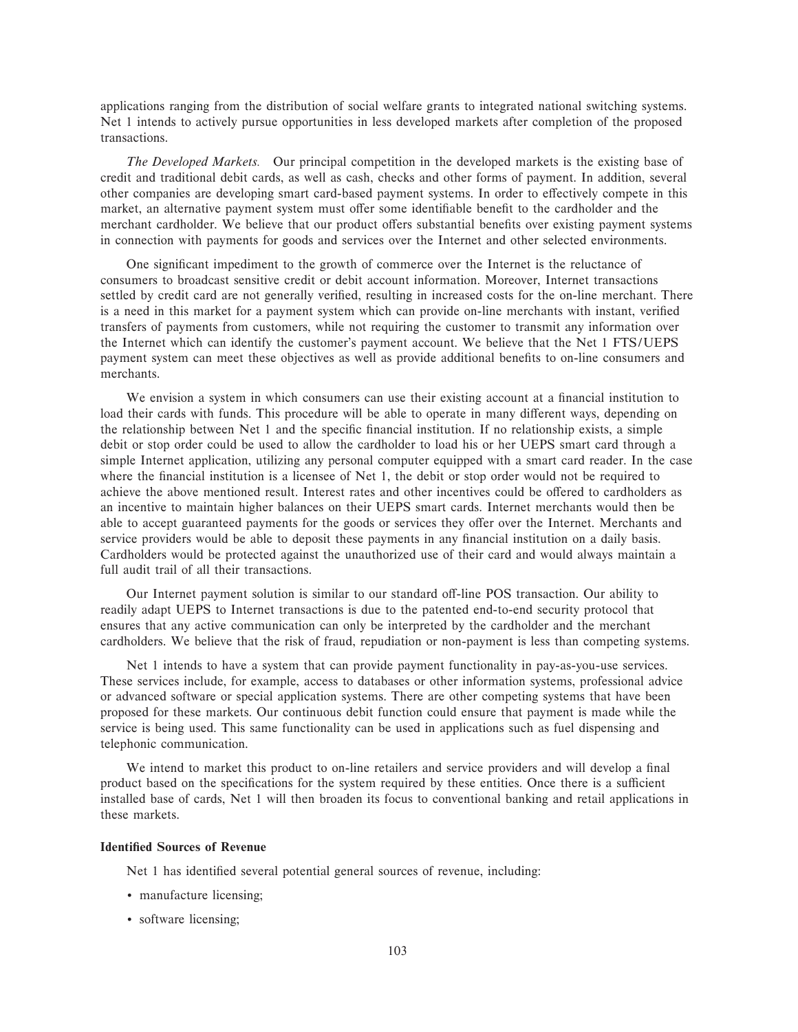applications ranging from the distribution of social welfare grants to integrated national switching systems. Net 1 intends to actively pursue opportunities in less developed markets after completion of the proposed transactions.

*The Developed Markets.* Our principal competition in the developed markets is the existing base of credit and traditional debit cards, as well as cash, checks and other forms of payment. In addition, several other companies are developing smart card-based payment systems. In order to effectively compete in this market, an alternative payment system must offer some identifiable benefit to the cardholder and the merchant cardholder. We believe that our product offers substantial benefits over existing payment systems in connection with payments for goods and services over the Internet and other selected environments.

One significant impediment to the growth of commerce over the Internet is the reluctance of consumers to broadcast sensitive credit or debit account information. Moreover, Internet transactions settled by credit card are not generally verified, resulting in increased costs for the on-line merchant. There is a need in this market for a payment system which can provide on-line merchants with instant, verified transfers of payments from customers, while not requiring the customer to transmit any information over the Internet which can identify the customer's payment account. We believe that the Net 1 FTS/UEPS payment system can meet these objectives as well as provide additional benefits to on-line consumers and merchants.

We envision a system in which consumers can use their existing account at a financial institution to load their cards with funds. This procedure will be able to operate in many different ways, depending on the relationship between Net 1 and the specific financial institution. If no relationship exists, a simple debit or stop order could be used to allow the cardholder to load his or her UEPS smart card through a simple Internet application, utilizing any personal computer equipped with a smart card reader. In the case where the financial institution is a licensee of Net 1, the debit or stop order would not be required to achieve the above mentioned result. Interest rates and other incentives could be offered to cardholders as an incentive to maintain higher balances on their UEPS smart cards. Internet merchants would then be able to accept guaranteed payments for the goods or services they offer over the Internet. Merchants and service providers would be able to deposit these payments in any financial institution on a daily basis. Cardholders would be protected against the unauthorized use of their card and would always maintain a full audit trail of all their transactions.

Our Internet payment solution is similar to our standard off-line POS transaction. Our ability to readily adapt UEPS to Internet transactions is due to the patented end-to-end security protocol that ensures that any active communication can only be interpreted by the cardholder and the merchant cardholders. We believe that the risk of fraud, repudiation or non-payment is less than competing systems.

Net 1 intends to have a system that can provide payment functionality in pay-as-you-use services. These services include, for example, access to databases or other information systems, professional advice or advanced software or special application systems. There are other competing systems that have been proposed for these markets. Our continuous debit function could ensure that payment is made while the service is being used. This same functionality can be used in applications such as fuel dispensing and telephonic communication.

We intend to market this product to on-line retailers and service providers and will develop a final product based on the specifications for the system required by these entities. Once there is a sufficient installed base of cards, Net 1 will then broaden its focus to conventional banking and retail applications in these markets.

### **Identified Sources of Revenue**

Net 1 has identified several potential general sources of revenue, including:

- ' manufacture licensing;
- ' software licensing;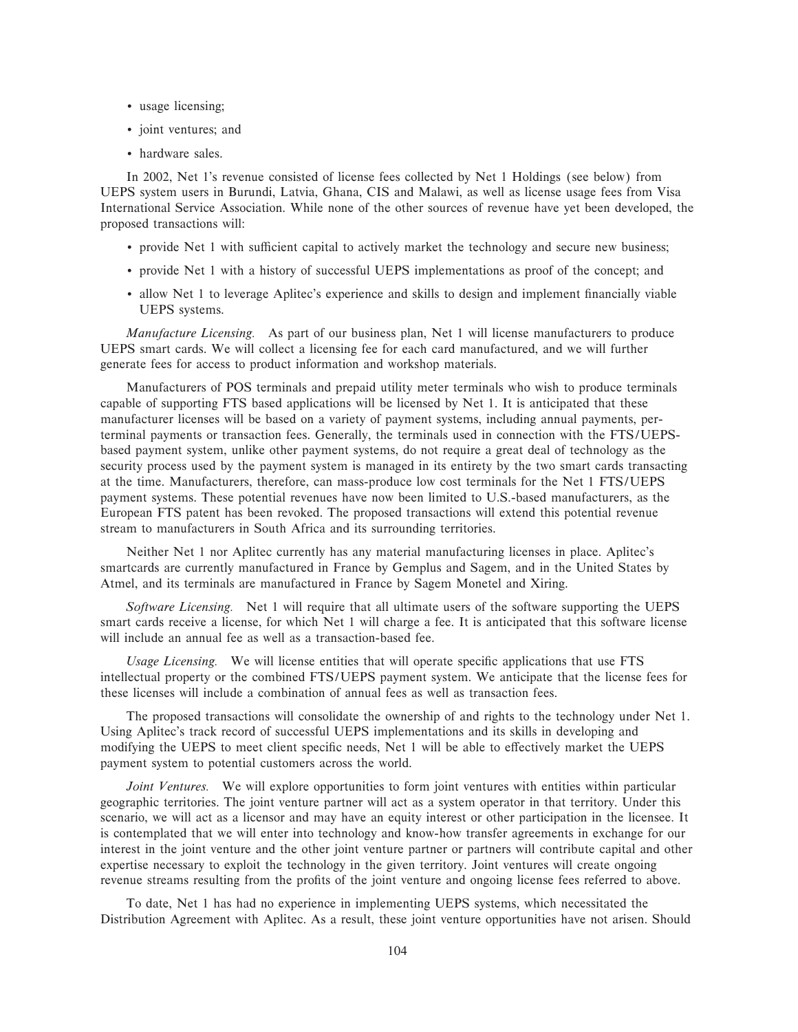- ' usage licensing;
- ' joint ventures; and
- ' hardware sales.

In 2002, Net 1's revenue consisted of license fees collected by Net 1 Holdings (see below) from UEPS system users in Burundi, Latvia, Ghana, CIS and Malawi, as well as license usage fees from Visa International Service Association. While none of the other sources of revenue have yet been developed, the proposed transactions will:

- provide Net 1 with sufficient capital to actively market the technology and secure new business;
- ' provide Net 1 with a history of successful UEPS implementations as proof of the concept; and
- ' allow Net 1 to leverage Aplitec's experience and skills to design and implement Ñnancially viable UEPS systems.

*Manufacture Licensing.* As part of our business plan, Net 1 will license manufacturers to produce UEPS smart cards. We will collect a licensing fee for each card manufactured, and we will further generate fees for access to product information and workshop materials.

Manufacturers of POS terminals and prepaid utility meter terminals who wish to produce terminals capable of supporting FTS based applications will be licensed by Net 1. It is anticipated that these manufacturer licenses will be based on a variety of payment systems, including annual payments, perterminal payments or transaction fees. Generally, the terminals used in connection with the FTS/UEPSbased payment system, unlike other payment systems, do not require a great deal of technology as the security process used by the payment system is managed in its entirety by the two smart cards transacting at the time. Manufacturers, therefore, can mass-produce low cost terminals for the Net 1 FTS/UEPS payment systems. These potential revenues have now been limited to U.S.-based manufacturers, as the European FTS patent has been revoked. The proposed transactions will extend this potential revenue stream to manufacturers in South Africa and its surrounding territories.

Neither Net 1 nor Aplitec currently has any material manufacturing licenses in place. Aplitec's smartcards are currently manufactured in France by Gemplus and Sagem, and in the United States by Atmel, and its terminals are manufactured in France by Sagem Monetel and Xiring.

*Software Licensing.* Net 1 will require that all ultimate users of the software supporting the UEPS smart cards receive a license, for which Net 1 will charge a fee. It is anticipated that this software license will include an annual fee as well as a transaction-based fee.

Usage Licensing. We will license entities that will operate specific applications that use FTS intellectual property or the combined FTS/UEPS payment system. We anticipate that the license fees for these licenses will include a combination of annual fees as well as transaction fees.

The proposed transactions will consolidate the ownership of and rights to the technology under Net 1. Using Aplitec's track record of successful UEPS implementations and its skills in developing and modifying the UEPS to meet client specific needs, Net 1 will be able to effectively market the UEPS payment system to potential customers across the world.

*Joint Ventures.* We will explore opportunities to form joint ventures with entities within particular geographic territories. The joint venture partner will act as a system operator in that territory. Under this scenario, we will act as a licensor and may have an equity interest or other participation in the licensee. It is contemplated that we will enter into technology and know-how transfer agreements in exchange for our interest in the joint venture and the other joint venture partner or partners will contribute capital and other expertise necessary to exploit the technology in the given territory. Joint ventures will create ongoing revenue streams resulting from the profits of the joint venture and ongoing license fees referred to above.

To date, Net 1 has had no experience in implementing UEPS systems, which necessitated the Distribution Agreement with Aplitec. As a result, these joint venture opportunities have not arisen. Should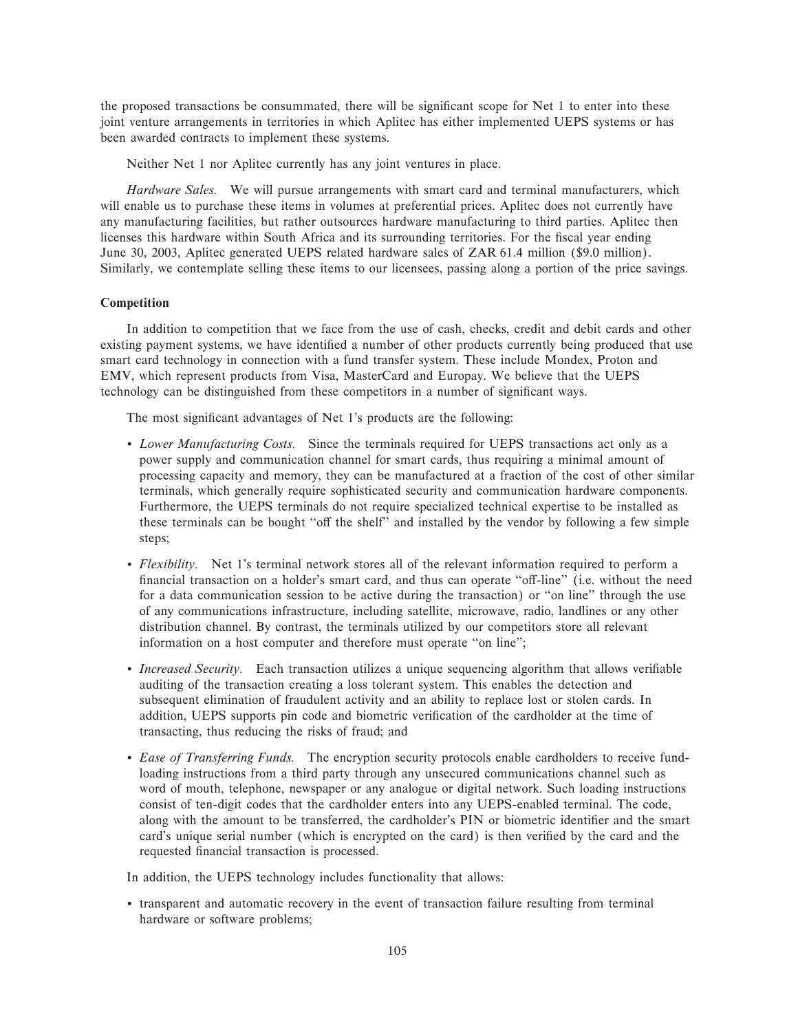the proposed transactions be consummated, there will be significant scope for Net 1 to enter into these joint venture arrangements in territories in which Aplitec has either implemented UEPS systems or has been awarded contracts to implement these systems.

Neither Net 1 nor Aplitec currently has any joint ventures in place.

*Hardware Sales.* We will pursue arrangements with smart card and terminal manufacturers, which will enable us to purchase these items in volumes at preferential prices. Aplitec does not currently have any manufacturing facilities, but rather outsources hardware manufacturing to third parties. Aplitec then licenses this hardware within South Africa and its surrounding territories. For the fiscal year ending June 30, 2003, Aplitec generated UEPS related hardware sales of ZAR 61.4 million (\$9.0 million). Similarly, we contemplate selling these items to our licensees, passing along a portion of the price savings.

# **Competition**

In addition to competition that we face from the use of cash, checks, credit and debit cards and other existing payment systems, we have identified a number of other products currently being produced that use smart card technology in connection with a fund transfer system. These include Mondex, Proton and EMV, which represent products from Visa, MasterCard and Europay. We believe that the UEPS technology can be distinguished from these competitors in a number of significant ways.

The most significant advantages of Net 1's products are the following:

- ' *Lower Manufacturing Costs.* Since the terminals required for UEPS transactions act only as a power supply and communication channel for smart cards, thus requiring a minimal amount of processing capacity and memory, they can be manufactured at a fraction of the cost of other similar terminals, which generally require sophisticated security and communication hardware components. Furthermore, the UEPS terminals do not require specialized technical expertise to be installed as these terminals can be bought "off the shelf" and installed by the vendor by following a few simple steps;
- ' *Flexibility.* Net 1's terminal network stores all of the relevant information required to perform a financial transaction on a holder's smart card, and thus can operate "off-line" (i.e. without the need for a data communication session to be active during the transaction) or "on line" through the use of any communications infrastructure, including satellite, microwave, radio, landlines or any other distribution channel. By contrast, the terminals utilized by our competitors store all relevant information on a host computer and therefore must operate "on line";
- *Increased Security.* Each transaction utilizes a unique sequencing algorithm that allows verifiable auditing of the transaction creating a loss tolerant system. This enables the detection and subsequent elimination of fraudulent activity and an ability to replace lost or stolen cards. In addition, UEPS supports pin code and biometric verification of the cardholder at the time of transacting, thus reducing the risks of fraud; and
- ' *Ease of Transferring Funds.* The encryption security protocols enable cardholders to receive fundloading instructions from a third party through any unsecured communications channel such as word of mouth, telephone, newspaper or any analogue or digital network. Such loading instructions consist of ten-digit codes that the cardholder enters into any UEPS-enabled terminal. The code, along with the amount to be transferred, the cardholder's PIN or biometric identifier and the smart card's unique serial number (which is encrypted on the card) is then verified by the card and the requested financial transaction is processed.

In addition, the UEPS technology includes functionality that allows:

' transparent and automatic recovery in the event of transaction failure resulting from terminal hardware or software problems;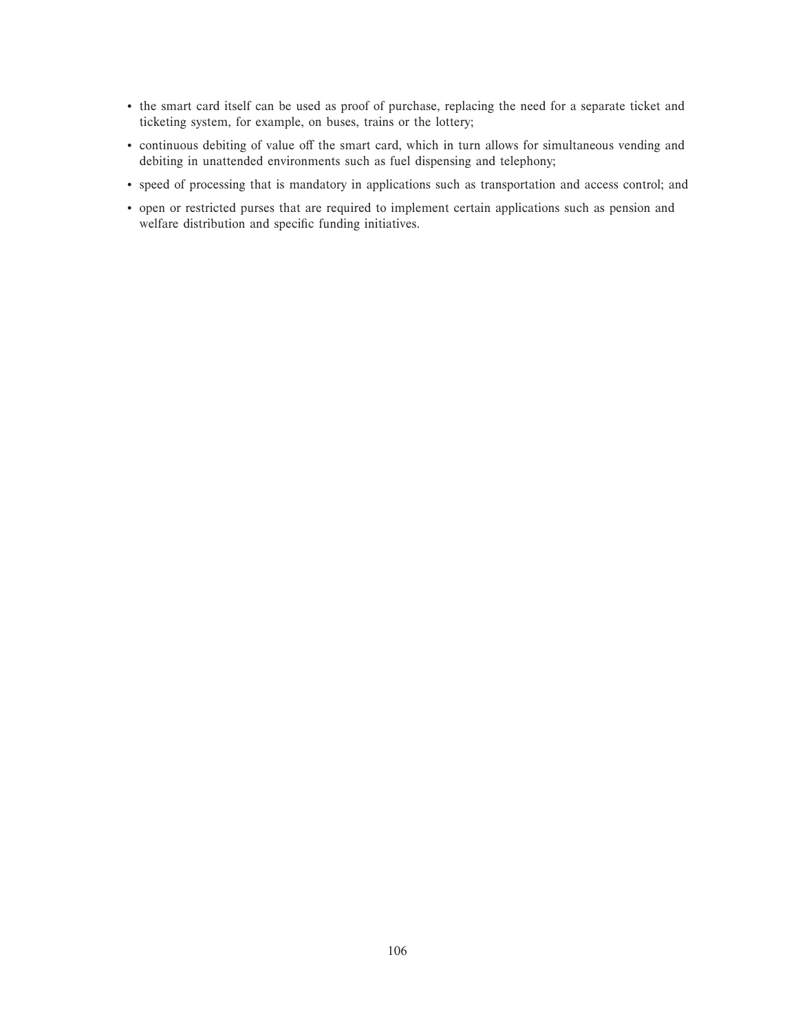- ' the smart card itself can be used as proof of purchase, replacing the need for a separate ticket and ticketing system, for example, on buses, trains or the lottery;
- continuous debiting of value off the smart card, which in turn allows for simultaneous vending and debiting in unattended environments such as fuel dispensing and telephony;
- ' speed of processing that is mandatory in applications such as transportation and access control; and
- ' open or restricted purses that are required to implement certain applications such as pension and welfare distribution and specific funding initiatives.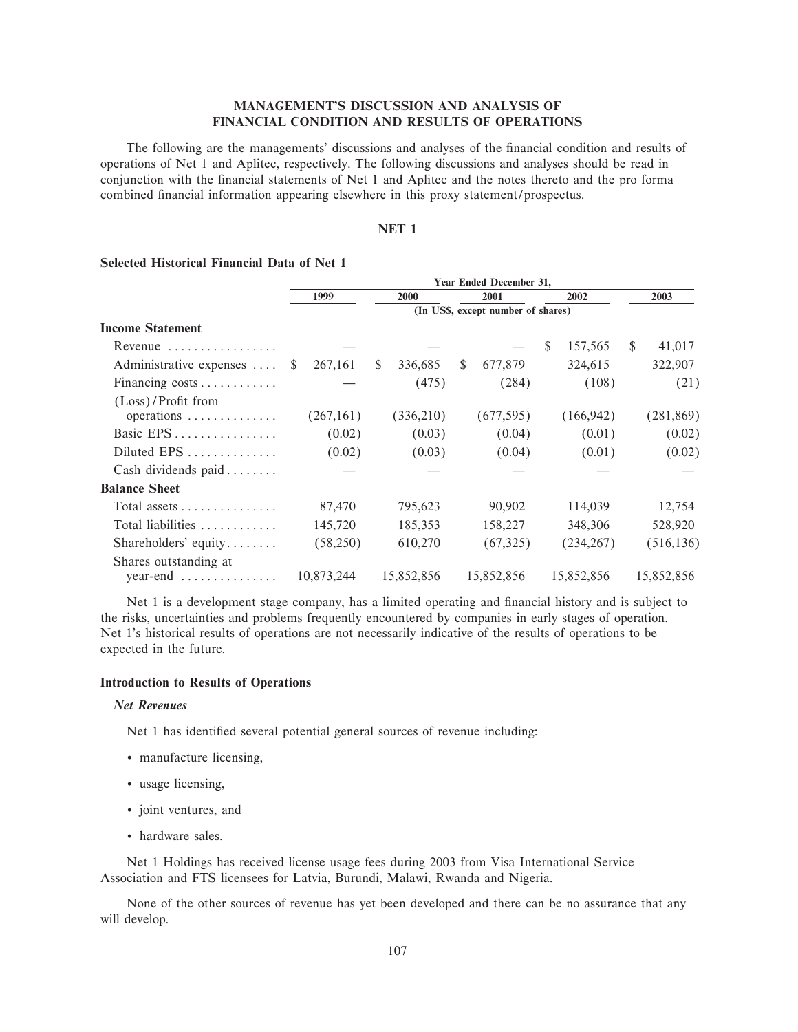# **MANAGEMENT'S DISCUSSION AND ANALYSIS OF FINANCIAL CONDITION AND RESULTS OF OPERATIONS**

The following are the managements' discussions and analyses of the financial condition and results of operations of Net 1 and Aplitec, respectively. The following discussions and analyses should be read in conjunction with the financial statements of Net 1 and Aplitec and the notes thereto and the pro forma combined financial information appearing elsewhere in this proxy statement/prospectus.

# **NET 1**

|                                          |              | Year Ended December 31, |              |            |              |                                    |               |            |               |            |
|------------------------------------------|--------------|-------------------------|--------------|------------|--------------|------------------------------------|---------------|------------|---------------|------------|
|                                          |              | 1999<br>2000<br>2001    |              |            |              |                                    |               | 2002       |               | 2003       |
|                                          |              |                         |              |            |              | (In US\$, except number of shares) |               |            |               |            |
| <b>Income Statement</b>                  |              |                         |              |            |              |                                    |               |            |               |            |
| Revenue                                  |              |                         |              |            |              |                                    | <sup>\$</sup> | 157,565    | <sup>\$</sup> | 41,017     |
| Administrative expenses                  | <sup>S</sup> | 267,161                 | $\mathbb{S}$ | 336,685    | <sup>S</sup> | 677,879                            |               | 324,615    |               | 322,907    |
| Financing costs                          |              |                         |              | (475)      |              | (284)                              |               | (108)      |               | (21)       |
| (Loss)/Profit from<br>operations         |              | (267,161)               |              | (336,210)  |              | (677, 595)                         |               | (166, 942) |               | (281, 869) |
| Basic EPS                                |              | (0.02)                  |              | (0.03)     |              | (0.04)                             |               | (0.01)     |               | (0.02)     |
| Diluted EPS                              |              | (0.02)                  |              | (0.03)     |              | (0.04)                             |               | (0.01)     |               | (0.02)     |
| Cash dividends paid                      |              |                         |              |            |              |                                    |               |            |               |            |
| <b>Balance Sheet</b>                     |              |                         |              |            |              |                                    |               |            |               |            |
| Total assets $\dots\dots\dots\dots\dots$ |              | 87,470                  |              | 795,623    |              | 90,902                             |               | 114,039    |               | 12,754     |
| Total liabilities                        |              | 145,720                 |              | 185,353    |              | 158,227                            |               | 348,306    |               | 528,920    |
| Shareholders' equity                     |              | (58,250)                |              | 610,270    |              | (67, 325)                          |               | (234, 267) |               | (516, 136) |
| Shares outstanding at                    |              | 10,873,244              |              | 15,852,856 |              | 15,852,856                         |               | 15,852,856 |               | 15,852,856 |

# **Selected Historical Financial Data of Net 1**

Net 1 is a development stage company, has a limited operating and financial history and is subject to the risks, uncertainties and problems frequently encountered by companies in early stages of operation. Net 1's historical results of operations are not necessarily indicative of the results of operations to be expected in the future.

# **Introduction to Results of Operations**

# *Net Revenues*

Net 1 has identified several potential general sources of revenue including:

- ' manufacture licensing,
- ' usage licensing,
- ' joint ventures, and
- ' hardware sales.

Net 1 Holdings has received license usage fees during 2003 from Visa International Service Association and FTS licensees for Latvia, Burundi, Malawi, Rwanda and Nigeria.

None of the other sources of revenue has yet been developed and there can be no assurance that any will develop.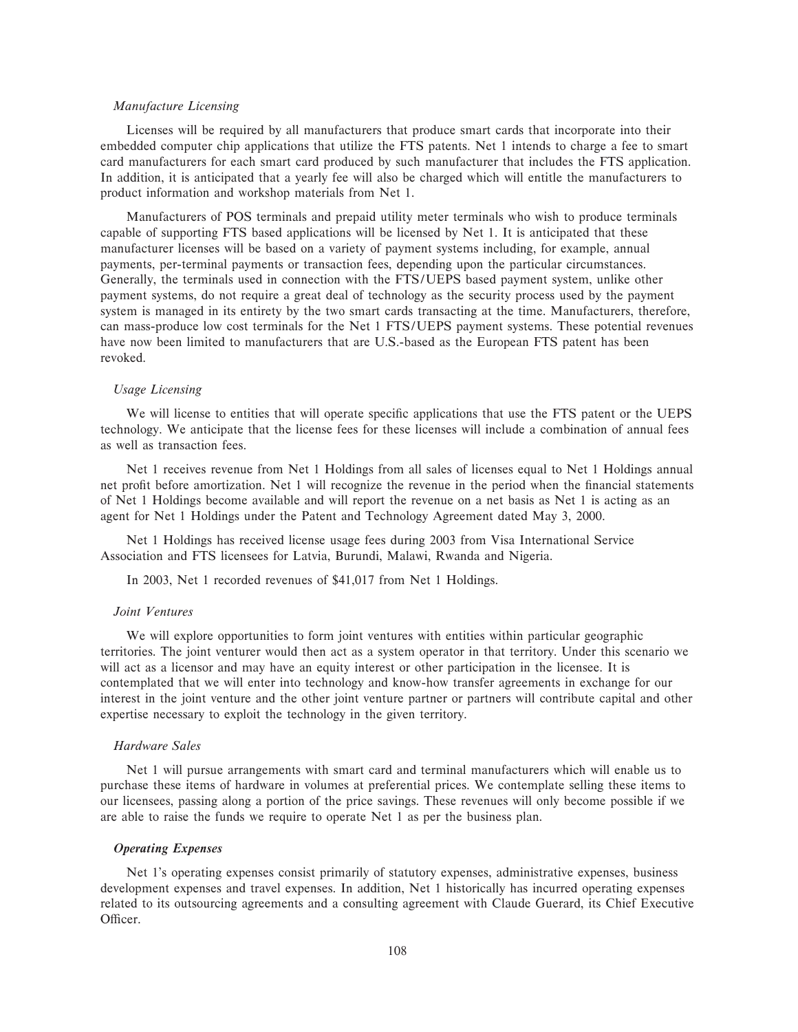### *Manufacture Licensing*

Licenses will be required by all manufacturers that produce smart cards that incorporate into their embedded computer chip applications that utilize the FTS patents. Net 1 intends to charge a fee to smart card manufacturers for each smart card produced by such manufacturer that includes the FTS application. In addition, it is anticipated that a yearly fee will also be charged which will entitle the manufacturers to product information and workshop materials from Net 1.

Manufacturers of POS terminals and prepaid utility meter terminals who wish to produce terminals capable of supporting FTS based applications will be licensed by Net 1. It is anticipated that these manufacturer licenses will be based on a variety of payment systems including, for example, annual payments, per-terminal payments or transaction fees, depending upon the particular circumstances. Generally, the terminals used in connection with the FTS/UEPS based payment system, unlike other payment systems, do not require a great deal of technology as the security process used by the payment system is managed in its entirety by the two smart cards transacting at the time. Manufacturers, therefore, can mass-produce low cost terminals for the Net 1 FTS/UEPS payment systems. These potential revenues have now been limited to manufacturers that are U.S.-based as the European FTS patent has been revoked.

### *Usage Licensing*

We will license to entities that will operate specific applications that use the FTS patent or the UEPS technology. We anticipate that the license fees for these licenses will include a combination of annual fees as well as transaction fees.

Net 1 receives revenue from Net 1 Holdings from all sales of licenses equal to Net 1 Holdings annual net profit before amortization. Net 1 will recognize the revenue in the period when the financial statements of Net 1 Holdings become available and will report the revenue on a net basis as Net 1 is acting as an agent for Net 1 Holdings under the Patent and Technology Agreement dated May 3, 2000.

Net 1 Holdings has received license usage fees during 2003 from Visa International Service Association and FTS licensees for Latvia, Burundi, Malawi, Rwanda and Nigeria.

In 2003, Net 1 recorded revenues of \$41,017 from Net 1 Holdings.

# *Joint Ventures*

We will explore opportunities to form joint ventures with entities within particular geographic territories. The joint venturer would then act as a system operator in that territory. Under this scenario we will act as a licensor and may have an equity interest or other participation in the licensee. It is contemplated that we will enter into technology and know-how transfer agreements in exchange for our interest in the joint venture and the other joint venture partner or partners will contribute capital and other expertise necessary to exploit the technology in the given territory.

#### *Hardware Sales*

Net 1 will pursue arrangements with smart card and terminal manufacturers which will enable us to purchase these items of hardware in volumes at preferential prices. We contemplate selling these items to our licensees, passing along a portion of the price savings. These revenues will only become possible if we are able to raise the funds we require to operate Net 1 as per the business plan.

#### *Operating Expenses*

Net 1's operating expenses consist primarily of statutory expenses, administrative expenses, business development expenses and travel expenses. In addition, Net 1 historically has incurred operating expenses related to its outsourcing agreements and a consulting agreement with Claude Guerard, its Chief Executive Officer.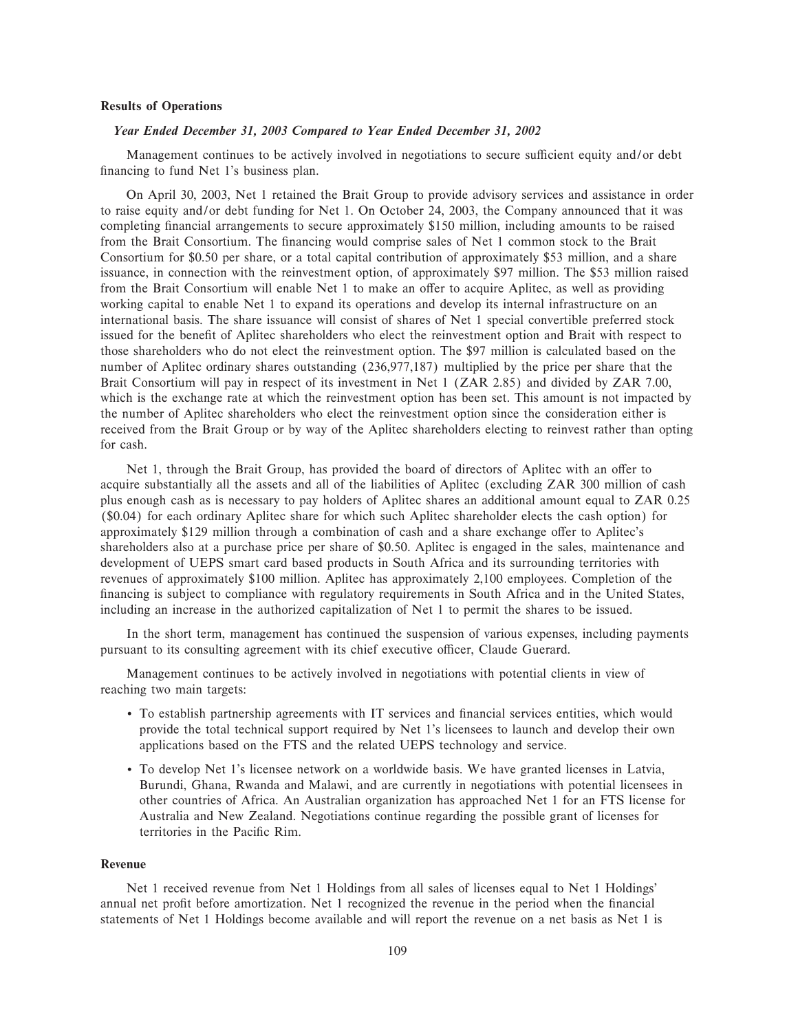# **Results of Operations**

#### *Year Ended December 31, 2003 Compared to Year Ended December 31, 2002*

Management continues to be actively involved in negotiations to secure sufficient equity and/or debt financing to fund Net 1's business plan.

On April 30, 2003, Net 1 retained the Brait Group to provide advisory services and assistance in order to raise equity and/or debt funding for Net 1. On October 24, 2003, the Company announced that it was completing financial arrangements to secure approximately \$150 million, including amounts to be raised from the Brait Consortium. The financing would comprise sales of Net 1 common stock to the Brait Consortium for \$0.50 per share, or a total capital contribution of approximately \$53 million, and a share issuance, in connection with the reinvestment option, of approximately \$97 million. The \$53 million raised from the Brait Consortium will enable Net 1 to make an offer to acquire Aplitec, as well as providing working capital to enable Net 1 to expand its operations and develop its internal infrastructure on an international basis. The share issuance will consist of shares of Net 1 special convertible preferred stock issued for the benefit of Aplitec shareholders who elect the reinvestment option and Brait with respect to those shareholders who do not elect the reinvestment option. The \$97 million is calculated based on the number of Aplitec ordinary shares outstanding (236,977,187) multiplied by the price per share that the Brait Consortium will pay in respect of its investment in Net 1 (ZAR 2.85) and divided by ZAR 7.00, which is the exchange rate at which the reinvestment option has been set. This amount is not impacted by the number of Aplitec shareholders who elect the reinvestment option since the consideration either is received from the Brait Group or by way of the Aplitec shareholders electing to reinvest rather than opting for cash.

Net 1, through the Brait Group, has provided the board of directors of Aplitec with an offer to acquire substantially all the assets and all of the liabilities of Aplitec (excluding ZAR 300 million of cash plus enough cash as is necessary to pay holders of Aplitec shares an additional amount equal to ZAR 0.25 (\$0.04) for each ordinary Aplitec share for which such Aplitec shareholder elects the cash option) for approximately \$129 million through a combination of cash and a share exchange offer to Aplitec's shareholders also at a purchase price per share of \$0.50. Aplitec is engaged in the sales, maintenance and development of UEPS smart card based products in South Africa and its surrounding territories with revenues of approximately \$100 million. Aplitec has approximately 2,100 employees. Completion of the financing is subject to compliance with regulatory requirements in South Africa and in the United States, including an increase in the authorized capitalization of Net 1 to permit the shares to be issued.

In the short term, management has continued the suspension of various expenses, including payments pursuant to its consulting agreement with its chief executive officer, Claude Guerard.

Management continues to be actively involved in negotiations with potential clients in view of reaching two main targets:

- ' To establish partnership agreements with IT services and Ñnancial services entities, which would provide the total technical support required by Net 1's licensees to launch and develop their own applications based on the FTS and the related UEPS technology and service.
- ' To develop Net 1's licensee network on a worldwide basis. We have granted licenses in Latvia, Burundi, Ghana, Rwanda and Malawi, and are currently in negotiations with potential licensees in other countries of Africa. An Australian organization has approached Net 1 for an FTS license for Australia and New Zealand. Negotiations continue regarding the possible grant of licenses for territories in the Pacific Rim.

# **Revenue**

Net 1 received revenue from Net 1 Holdings from all sales of licenses equal to Net 1 Holdings' annual net profit before amortization. Net 1 recognized the revenue in the period when the financial statements of Net 1 Holdings become available and will report the revenue on a net basis as Net 1 is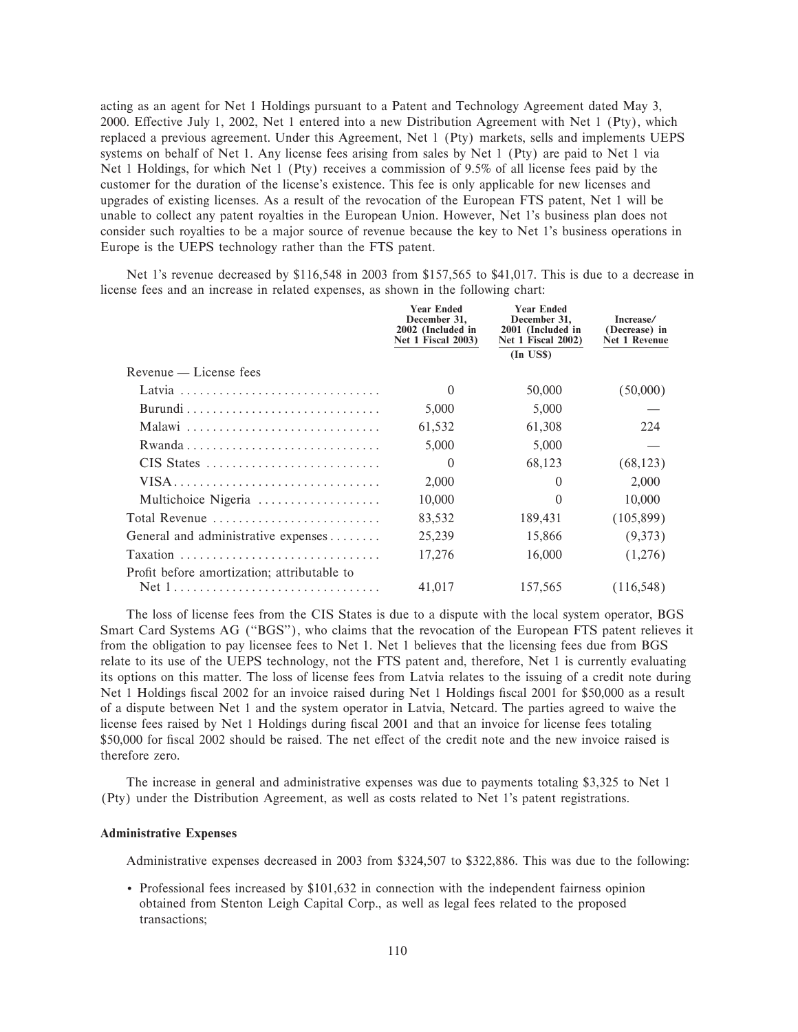acting as an agent for Net 1 Holdings pursuant to a Patent and Technology Agreement dated May 3, 2000. Effective July 1, 2002, Net 1 entered into a new Distribution Agreement with Net 1 (Pty), which replaced a previous agreement. Under this Agreement, Net 1 (Pty) markets, sells and implements UEPS systems on behalf of Net 1. Any license fees arising from sales by Net 1 (Pty) are paid to Net 1 via Net 1 Holdings, for which Net 1 (Pty) receives a commission of 9.5% of all license fees paid by the customer for the duration of the license's existence. This fee is only applicable for new licenses and upgrades of existing licenses. As a result of the revocation of the European FTS patent, Net 1 will be unable to collect any patent royalties in the European Union. However, Net 1's business plan does not consider such royalties to be a major source of revenue because the key to Net 1's business operations in Europe is the UEPS technology rather than the FTS patent.

Net 1's revenue decreased by \$116,548 in 2003 from \$157,565 to \$41,017. This is due to a decrease in license fees and an increase in related expenses, as shown in the following chart:

|                                             | <b>Year Ended</b><br>December 31,<br>2002 (Included in<br><b>Net 1 Fiscal 2003)</b> | <b>Year Ended</b><br>December 31,<br>2001 (Included in<br><b>Net 1 Fiscal 2002)</b> | Increase/<br>(Decrease) in<br>Net 1 Revenue |
|---------------------------------------------|-------------------------------------------------------------------------------------|-------------------------------------------------------------------------------------|---------------------------------------------|
|                                             |                                                                                     | $(In$ US\$)                                                                         |                                             |
| Revenue — License fees                      |                                                                                     |                                                                                     |                                             |
|                                             | $\Omega$                                                                            | 50,000                                                                              | (50,000)                                    |
|                                             | 5,000                                                                               | 5,000                                                                               |                                             |
| Malawi                                      | 61,532                                                                              | 61,308                                                                              | 224                                         |
|                                             | 5,000                                                                               | 5,000                                                                               |                                             |
| CIS States                                  | $\Omega$                                                                            | 68,123                                                                              | (68, 123)                                   |
| VISA                                        | 2,000                                                                               | $\Omega$                                                                            | 2,000                                       |
| Multichoice Nigeria                         | 10,000                                                                              | $\Omega$                                                                            | 10,000                                      |
| Total Revenue                               | 83,532                                                                              | 189,431                                                                             | (105, 899)                                  |
| General and administrative expenses         | 25,239                                                                              | 15,866                                                                              | (9,373)                                     |
| Taxation                                    | 17,276                                                                              | 16,000                                                                              | (1,276)                                     |
| Profit before amortization; attributable to |                                                                                     |                                                                                     |                                             |
| Net 1                                       | 41,017                                                                              | 157,565                                                                             | (116, 548)                                  |

The loss of license fees from the CIS States is due to a dispute with the local system operator, BGS Smart Card Systems AG (""BGS''), who claims that the revocation of the European FTS patent relieves it from the obligation to pay licensee fees to Net 1. Net 1 believes that the licensing fees due from BGS relate to its use of the UEPS technology, not the FTS patent and, therefore, Net 1 is currently evaluating its options on this matter. The loss of license fees from Latvia relates to the issuing of a credit note during Net 1 Holdings fiscal 2002 for an invoice raised during Net 1 Holdings fiscal 2001 for \$50,000 as a result of a dispute between Net 1 and the system operator in Latvia, Netcard. The parties agreed to waive the license fees raised by Net 1 Holdings during fiscal 2001 and that an invoice for license fees totaling \$50,000 for fiscal 2002 should be raised. The net effect of the credit note and the new invoice raised is therefore zero.

The increase in general and administrative expenses was due to payments totaling \$3,325 to Net 1 (Pty) under the Distribution Agreement, as well as costs related to Net 1's patent registrations.

# **Administrative Expenses**

Administrative expenses decreased in 2003 from \$324,507 to \$322,886. This was due to the following:

' Professional fees increased by \$101,632 in connection with the independent fairness opinion obtained from Stenton Leigh Capital Corp., as well as legal fees related to the proposed transactions;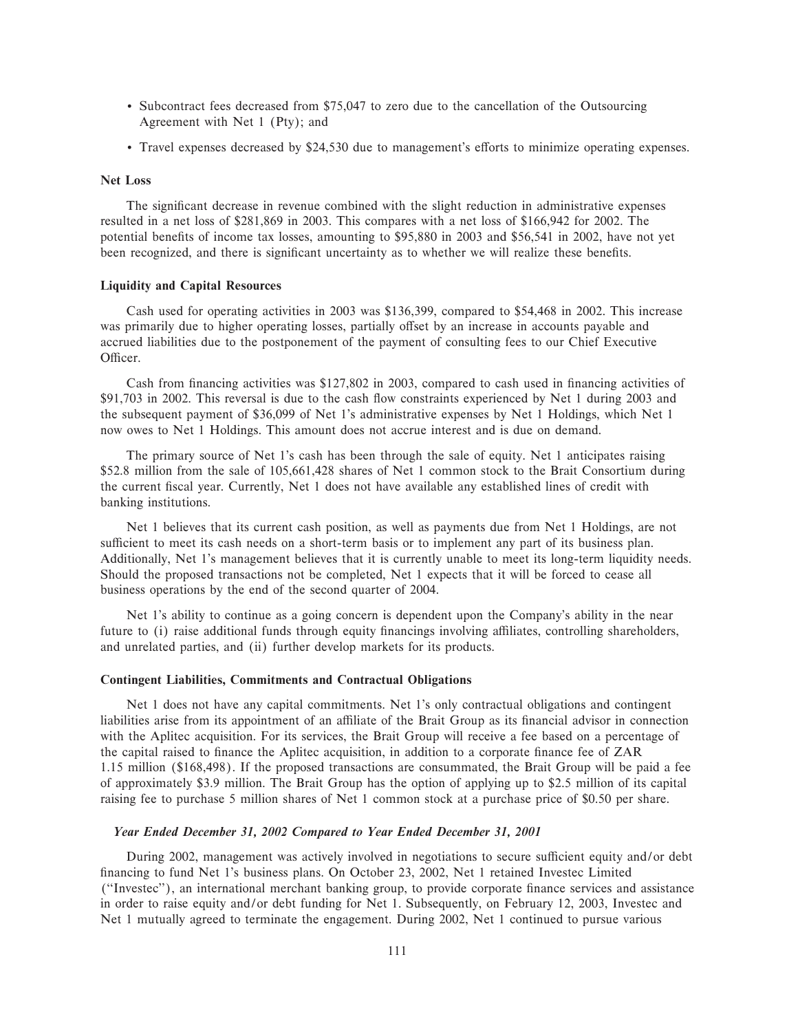- ' Subcontract fees decreased from \$75,047 to zero due to the cancellation of the Outsourcing Agreement with Net 1 (Pty); and
- Travel expenses decreased by \$24,530 due to management's efforts to minimize operating expenses.

# **Net Loss**

The significant decrease in revenue combined with the slight reduction in administrative expenses resulted in a net loss of \$281,869 in 2003. This compares with a net loss of \$166,942 for 2002. The potential benefits of income tax losses, amounting to \$95,880 in 2003 and \$56,541 in 2002, have not yet been recognized, and there is significant uncertainty as to whether we will realize these benefits.

# **Liquidity and Capital Resources**

Cash used for operating activities in 2003 was \$136,399, compared to \$54,468 in 2002. This increase was primarily due to higher operating losses, partially offset by an increase in accounts payable and accrued liabilities due to the postponement of the payment of consulting fees to our Chief Executive Officer.

Cash from financing activities was \$127,802 in 2003, compared to cash used in financing activities of \$91,703 in 2002. This reversal is due to the cash flow constraints experienced by Net 1 during 2003 and the subsequent payment of \$36,099 of Net 1's administrative expenses by Net 1 Holdings, which Net 1 now owes to Net 1 Holdings. This amount does not accrue interest and is due on demand.

The primary source of Net 1's cash has been through the sale of equity. Net 1 anticipates raising \$52.8 million from the sale of 105,661,428 shares of Net 1 common stock to the Brait Consortium during the current fiscal year. Currently, Net 1 does not have available any established lines of credit with banking institutions.

Net 1 believes that its current cash position, as well as payments due from Net 1 Holdings, are not sufficient to meet its cash needs on a short-term basis or to implement any part of its business plan. Additionally, Net 1's management believes that it is currently unable to meet its long-term liquidity needs. Should the proposed transactions not be completed, Net 1 expects that it will be forced to cease all business operations by the end of the second quarter of 2004.

Net 1's ability to continue as a going concern is dependent upon the Company's ability in the near future to (i) raise additional funds through equity financings involving affiliates, controlling shareholders, and unrelated parties, and (ii) further develop markets for its products.

# **Contingent Liabilities, Commitments and Contractual Obligations**

Net 1 does not have any capital commitments. Net 1's only contractual obligations and contingent liabilities arise from its appointment of an affiliate of the Brait Group as its financial advisor in connection with the Aplitec acquisition. For its services, the Brait Group will receive a fee based on a percentage of the capital raised to finance the Aplitec acquisition, in addition to a corporate finance fee of ZAR 1.15 million (\$168,498). If the proposed transactions are consummated, the Brait Group will be paid a fee of approximately \$3.9 million. The Brait Group has the option of applying up to \$2.5 million of its capital raising fee to purchase 5 million shares of Net 1 common stock at a purchase price of \$0.50 per share.

# *Year Ended December 31, 2002 Compared to Year Ended December 31, 2001*

During 2002, management was actively involved in negotiations to secure sufficient equity and/or debt financing to fund Net 1's business plans. On October 23, 2002, Net 1 retained Investec Limited (""Investec''), an international merchant banking group, to provide corporate Ñnance services and assistance in order to raise equity and/or debt funding for Net 1. Subsequently, on February 12, 2003, Investec and Net 1 mutually agreed to terminate the engagement. During 2002, Net 1 continued to pursue various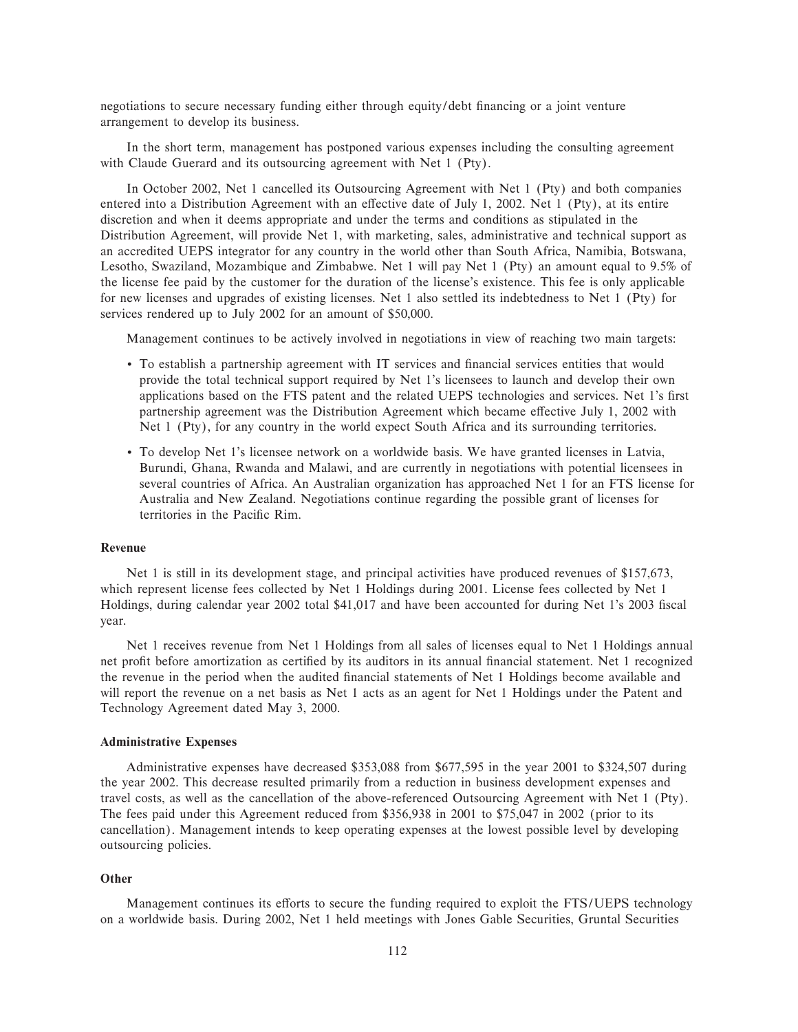negotiations to secure necessary funding either through equity/debt financing or a joint venture arrangement to develop its business.

In the short term, management has postponed various expenses including the consulting agreement with Claude Guerard and its outsourcing agreement with Net 1 (Pty).

In October 2002, Net 1 cancelled its Outsourcing Agreement with Net 1 (Pty) and both companies entered into a Distribution Agreement with an effective date of July 1, 2002. Net 1 (Pty), at its entire discretion and when it deems appropriate and under the terms and conditions as stipulated in the Distribution Agreement, will provide Net 1, with marketing, sales, administrative and technical support as an accredited UEPS integrator for any country in the world other than South Africa, Namibia, Botswana, Lesotho, Swaziland, Mozambique and Zimbabwe. Net 1 will pay Net 1 (Pty) an amount equal to 9.5% of the license fee paid by the customer for the duration of the license's existence. This fee is only applicable for new licenses and upgrades of existing licenses. Net 1 also settled its indebtedness to Net 1 (Pty) for services rendered up to July 2002 for an amount of \$50,000.

Management continues to be actively involved in negotiations in view of reaching two main targets:

- ' To establish a partnership agreement with IT services and Ñnancial services entities that would provide the total technical support required by Net 1's licensees to launch and develop their own applications based on the FTS patent and the related UEPS technologies and services. Net 1's first partnership agreement was the Distribution Agreement which became effective July 1, 2002 with Net 1 (Pty), for any country in the world expect South Africa and its surrounding territories.
- ' To develop Net 1's licensee network on a worldwide basis. We have granted licenses in Latvia, Burundi, Ghana, Rwanda and Malawi, and are currently in negotiations with potential licensees in several countries of Africa. An Australian organization has approached Net 1 for an FTS license for Australia and New Zealand. Negotiations continue regarding the possible grant of licenses for territories in the Pacific Rim.

# **Revenue**

Net 1 is still in its development stage, and principal activities have produced revenues of \$157,673, which represent license fees collected by Net 1 Holdings during 2001. License fees collected by Net 1 Holdings, during calendar year 2002 total \$41,017 and have been accounted for during Net 1's 2003 fiscal year.

Net 1 receives revenue from Net 1 Holdings from all sales of licenses equal to Net 1 Holdings annual net profit before amortization as certified by its auditors in its annual financial statement. Net 1 recognized the revenue in the period when the audited Ñnancial statements of Net 1 Holdings become available and will report the revenue on a net basis as Net 1 acts as an agent for Net 1 Holdings under the Patent and Technology Agreement dated May 3, 2000.

# **Administrative Expenses**

Administrative expenses have decreased \$353,088 from \$677,595 in the year 2001 to \$324,507 during the year 2002. This decrease resulted primarily from a reduction in business development expenses and travel costs, as well as the cancellation of the above-referenced Outsourcing Agreement with Net 1 (Pty). The fees paid under this Agreement reduced from \$356,938 in 2001 to \$75,047 in 2002 (prior to its cancellation). Management intends to keep operating expenses at the lowest possible level by developing outsourcing policies.

### **Other**

Management continues its efforts to secure the funding required to exploit the FTS/UEPS technology on a worldwide basis. During 2002, Net 1 held meetings with Jones Gable Securities, Gruntal Securities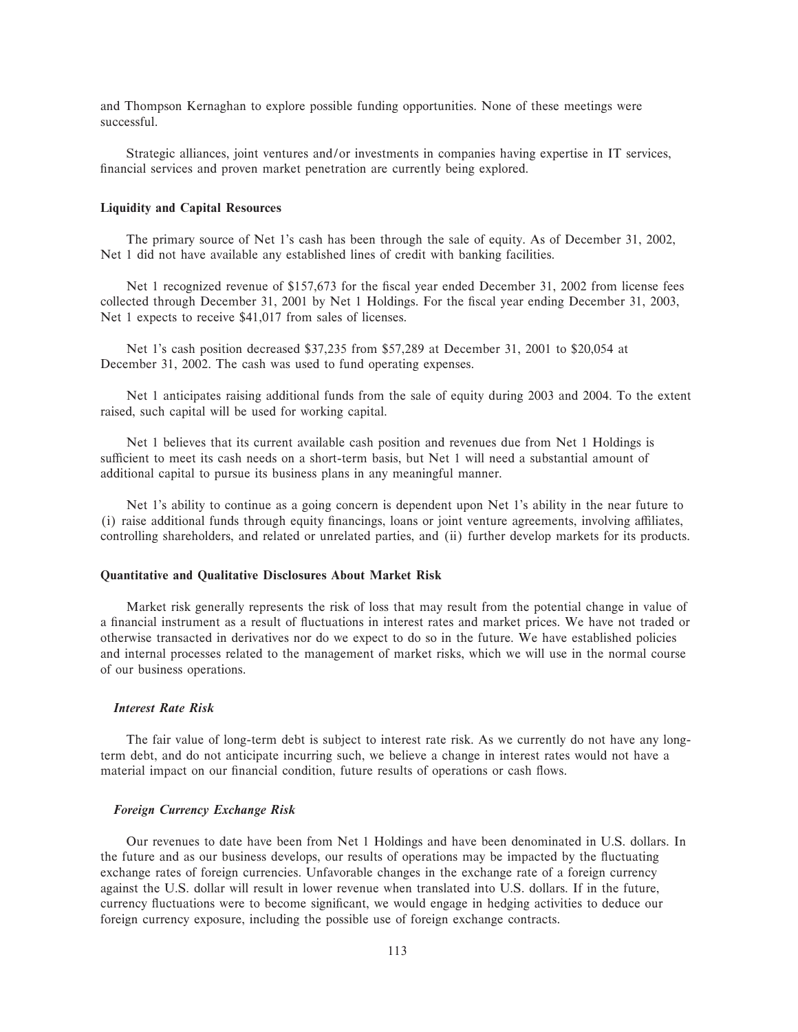and Thompson Kernaghan to explore possible funding opportunities. None of these meetings were successful.

Strategic alliances, joint ventures and/or investments in companies having expertise in IT services, financial services and proven market penetration are currently being explored.

# **Liquidity and Capital Resources**

The primary source of Net 1's cash has been through the sale of equity. As of December 31, 2002, Net 1 did not have available any established lines of credit with banking facilities.

Net 1 recognized revenue of \$157,673 for the fiscal year ended December 31, 2002 from license fees collected through December 31, 2001 by Net 1 Holdings. For the fiscal year ending December 31, 2003, Net 1 expects to receive \$41,017 from sales of licenses.

Net 1's cash position decreased \$37,235 from \$57,289 at December 31, 2001 to \$20,054 at December 31, 2002. The cash was used to fund operating expenses.

Net 1 anticipates raising additional funds from the sale of equity during 2003 and 2004. To the extent raised, such capital will be used for working capital.

Net 1 believes that its current available cash position and revenues due from Net 1 Holdings is sufficient to meet its cash needs on a short-term basis, but Net 1 will need a substantial amount of additional capital to pursue its business plans in any meaningful manner.

Net 1's ability to continue as a going concern is dependent upon Net 1's ability in the near future to (i) raise additional funds through equity financings, loans or joint venture agreements, involving affiliates, controlling shareholders, and related or unrelated parties, and (ii) further develop markets for its products.

# **Quantitative and Qualitative Disclosures About Market Risk**

Market risk generally represents the risk of loss that may result from the potential change in value of a financial instrument as a result of fluctuations in interest rates and market prices. We have not traded or otherwise transacted in derivatives nor do we expect to do so in the future. We have established policies and internal processes related to the management of market risks, which we will use in the normal course of our business operations.

# *Interest Rate Risk*

The fair value of long-term debt is subject to interest rate risk. As we currently do not have any longterm debt, and do not anticipate incurring such, we believe a change in interest rates would not have a material impact on our financial condition, future results of operations or cash flows.

# *Foreign Currency Exchange Risk*

Our revenues to date have been from Net 1 Holdings and have been denominated in U.S. dollars. In the future and as our business develops, our results of operations may be impacted by the fluctuating exchange rates of foreign currencies. Unfavorable changes in the exchange rate of a foreign currency against the U.S. dollar will result in lower revenue when translated into U.S. dollars. If in the future, currency fluctuations were to become significant, we would engage in hedging activities to deduce our foreign currency exposure, including the possible use of foreign exchange contracts.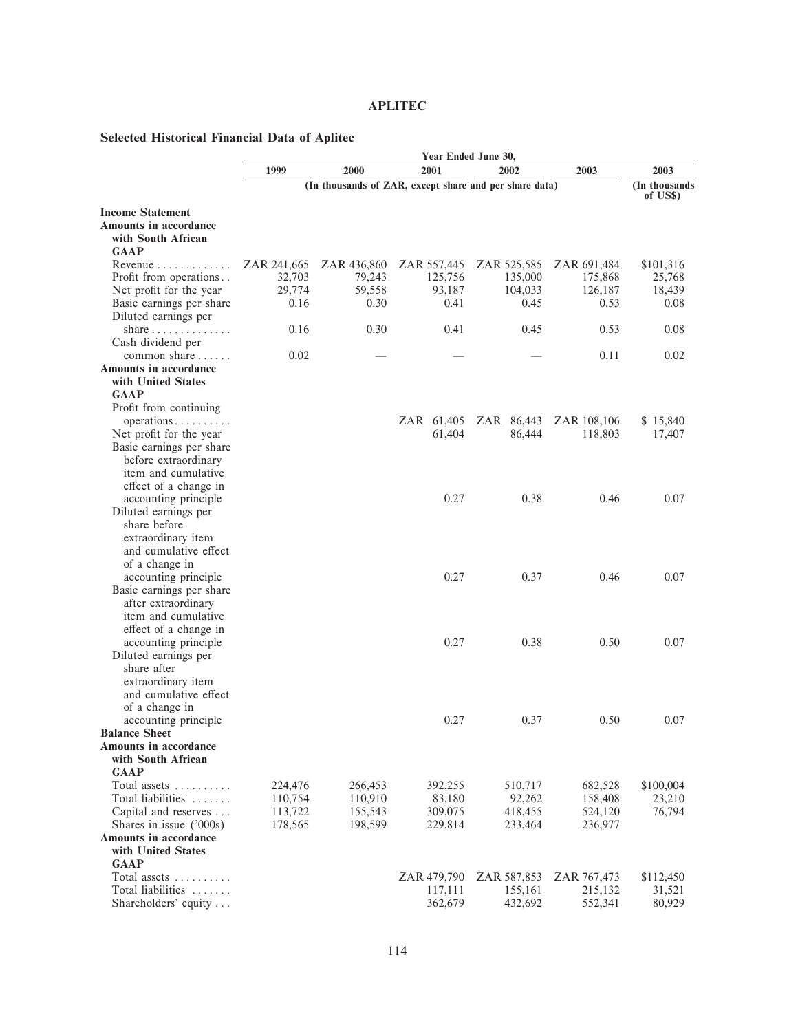# **APLITEC**

# **Selected Historical Financial Data of Aplitec**

|                                |             |             | Year Ended June 30, |                                                        |             |                            |
|--------------------------------|-------------|-------------|---------------------|--------------------------------------------------------|-------------|----------------------------|
|                                | 1999        | 2000        | 2001                | 2002                                                   | 2003        | 2003                       |
|                                |             |             |                     | (In thousands of ZAR, except share and per share data) |             | (In thousands)<br>of US\$) |
| <b>Income Statement</b>        |             |             |                     |                                                        |             |                            |
| Amounts in accordance          |             |             |                     |                                                        |             |                            |
| with South African             |             |             |                     |                                                        |             |                            |
| <b>GAAP</b>                    |             |             |                     |                                                        |             |                            |
| $Revenue \ldots \ldots \ldots$ | ZAR 241,665 | ZAR 436,860 | ZAR 557,445         | ZAR 525,585                                            | ZAR 691,484 | \$101,316                  |
| Profit from operations         | 32,703      | 79,243      | 125,756             | 135,000                                                | 175,868     | 25,768                     |
| Net profit for the year        | 29,774      | 59,558      | 93,187              | 104,033                                                | 126,187     | 18,439                     |
| Basic earnings per share       | 0.16        | 0.30        | 0.41                | 0.45                                                   | 0.53        | 0.08                       |
| Diluted earnings per           |             |             |                     |                                                        |             |                            |
| share $\ldots$                 | 0.16        | 0.30        | 0.41                | 0.45                                                   | 0.53        | 0.08                       |
| Cash dividend per              |             |             |                     |                                                        |             |                            |
| common share                   | 0.02        |             |                     |                                                        | 0.11        | 0.02                       |
| Amounts in accordance          |             |             |                     |                                                        |             |                            |
| with United States             |             |             |                     |                                                        |             |                            |
| <b>GAAP</b>                    |             |             |                     |                                                        |             |                            |
| Profit from continuing         |             |             |                     |                                                        |             |                            |
| $operations \ldots \ldots$     |             |             | ZAR 61,405          | ZAR 86,443                                             | ZAR 108,106 | \$15,840                   |
| Net profit for the year        |             |             | 61,404              | 86,444                                                 | 118,803     | 17,407                     |
| Basic earnings per share       |             |             |                     |                                                        |             |                            |
| before extraordinary           |             |             |                     |                                                        |             |                            |
| item and cumulative            |             |             |                     |                                                        |             |                            |
| effect of a change in          |             |             |                     |                                                        |             |                            |
| accounting principle           |             |             | 0.27                | 0.38                                                   | 0.46        | 0.07                       |
| Diluted earnings per           |             |             |                     |                                                        |             |                            |
| share before                   |             |             |                     |                                                        |             |                            |
| extraordinary item             |             |             |                     |                                                        |             |                            |
| and cumulative effect          |             |             |                     |                                                        |             |                            |
| of a change in                 |             |             |                     |                                                        |             |                            |
| accounting principle           |             |             | 0.27                | 0.37                                                   | 0.46        | 0.07                       |
| Basic earnings per share       |             |             |                     |                                                        |             |                            |
| after extraordinary            |             |             |                     |                                                        |             |                            |
| item and cumulative            |             |             |                     |                                                        |             |                            |
| effect of a change in          |             |             |                     |                                                        |             |                            |
| accounting principle           |             |             | 0.27                | 0.38                                                   | 0.50        | 0.07                       |
| Diluted earnings per           |             |             |                     |                                                        |             |                            |
| share after                    |             |             |                     |                                                        |             |                            |
| extraordinary item             |             |             |                     |                                                        |             |                            |
| and cumulative effect          |             |             |                     |                                                        |             |                            |
| of a change in                 |             |             |                     |                                                        |             |                            |
| accounting principle           |             |             | 0.27                | 0.37                                                   | 0.50        | 0.07                       |
| <b>Balance Sheet</b>           |             |             |                     |                                                        |             |                            |
| Amounts in accordance          |             |             |                     |                                                        |             |                            |
| with South African             |             |             |                     |                                                        |             |                            |
| <b>GAAP</b>                    |             |             |                     |                                                        |             |                            |
| Total assets $\dots\dots\dots$ | 224,476     | 266,453     | 392,255             | 510,717                                                | 682,528     | \$100,004                  |
| Total liabilities              | 110,754     | 110,910     | 83,180              | 92,262                                                 | 158,408     | 23,210                     |
| Capital and reserves           | 113,722     | 155,543     | 309,075             | 418,455                                                | 524,120     | 76,794                     |
| Shares in issue ('000s)        | 178,565     | 198,599     | 229,814             | 233,464                                                | 236,977     |                            |
| Amounts in accordance          |             |             |                     |                                                        |             |                            |
| with United States             |             |             |                     |                                                        |             |                            |
| <b>GAAP</b>                    |             |             |                     |                                                        |             |                            |
| Total assets $\dots\dots\dots$ |             |             | ZAR 479,790         | ZAR 587,853                                            | ZAR 767,473 | \$112,450                  |
| Total liabilities              |             |             | 117,111             | 155,161                                                | 215,132     | 31,521                     |
| Shareholders' equity           |             |             | 362,679             | 432,692                                                | 552,341     | 80,929                     |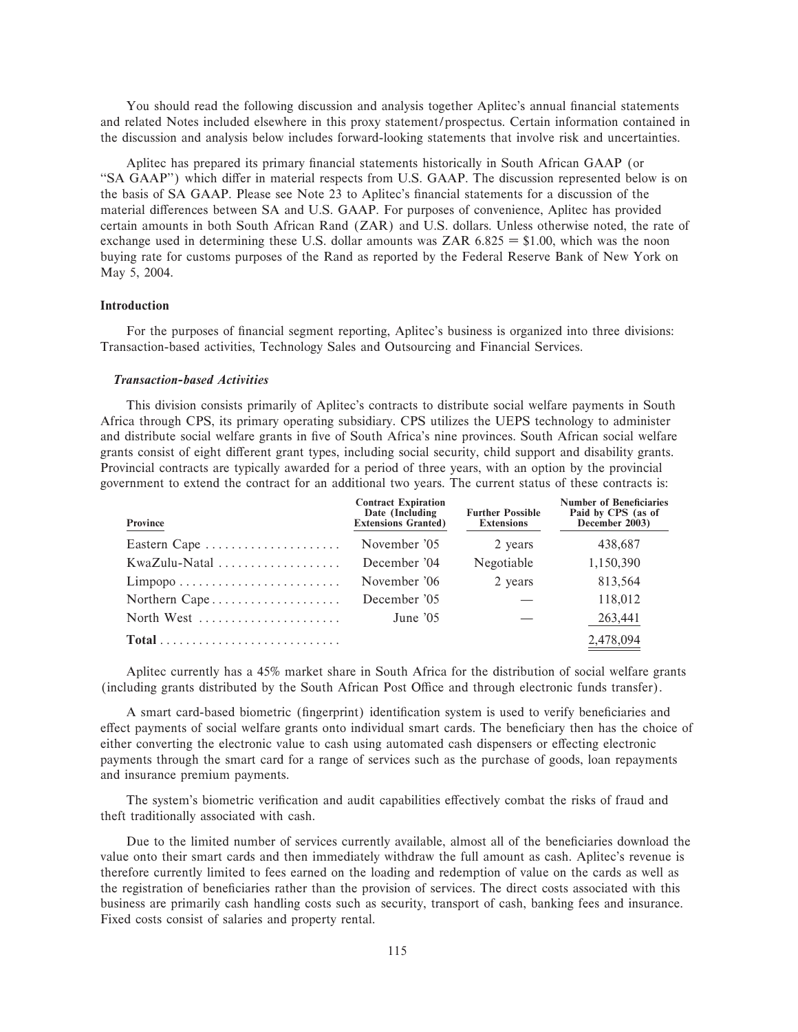You should read the following discussion and analysis together Aplitec's annual financial statements and related Notes included elsewhere in this proxy statement/prospectus. Certain information contained in the discussion and analysis below includes forward-looking statements that involve risk and uncertainties.

Aplitec has prepared its primary financial statements historically in South African GAAP (or "SA GAAP") which differ in material respects from U.S. GAAP. The discussion represented below is on the basis of SA GAAP. Please see Note 23 to Aplitec's financial statements for a discussion of the material differences between SA and U.S. GAAP. For purposes of convenience, Aplitec has provided certain amounts in both South African Rand (ZAR) and U.S. dollars. Unless otherwise noted, the rate of exchange used in determining these U.S. dollar amounts was  $ZAR$  6.825 = \$1.00, which was the noon buying rate for customs purposes of the Rand as reported by the Federal Reserve Bank of New York on May 5, 2004.

# **Introduction**

For the purposes of financial segment reporting, Aplitec's business is organized into three divisions: Transaction-based activities, Technology Sales and Outsourcing and Financial Services.

# *Transaction-based Activities*

This division consists primarily of Aplitec's contracts to distribute social welfare payments in South Africa through CPS, its primary operating subsidiary. CPS utilizes the UEPS technology to administer and distribute social welfare grants in five of South Africa's nine provinces. South African social welfare grants consist of eight different grant types, including social security, child support and disability grants. Provincial contracts are typically awarded for a period of three years, with an option by the provincial government to extend the contract for an additional two years. The current status of these contracts is:

| Province                                                            | <b>Contract Expiration</b><br>Date (Including<br><b>Extensions Granted)</b> | <b>Further Possible</b><br><b>Extensions</b> | <b>Number of Beneficiaries</b><br>Paid by CPS (as of<br>December 2003) |
|---------------------------------------------------------------------|-----------------------------------------------------------------------------|----------------------------------------------|------------------------------------------------------------------------|
| Eastern Cape                                                        | November '05                                                                | 2 years                                      | 438,687                                                                |
|                                                                     | December '04                                                                | Negotiable                                   | 1,150,390                                                              |
| $Limpopo \ldots \ldots \ldots \ldots \ldots \ldots \ldots$          | November '06                                                                | 2 years                                      | 813,564                                                                |
| Northern Cape                                                       | December '05                                                                |                                              | 118,012                                                                |
| North West                                                          | June $'05$                                                                  |                                              | 263,441                                                                |
| $Total \dots \dots \dots \dots \dots \dots \dots \dots \dots \dots$ |                                                                             |                                              | 2,478,094                                                              |

Aplitec currently has a 45% market share in South Africa for the distribution of social welfare grants (including grants distributed by the South African Post Office and through electronic funds transfer).

A smart card-based biometric (fingerprint) identification system is used to verify beneficiaries and effect payments of social welfare grants onto individual smart cards. The beneficiary then has the choice of either converting the electronic value to cash using automated cash dispensers or effecting electronic payments through the smart card for a range of services such as the purchase of goods, loan repayments and insurance premium payments.

The system's biometric verification and audit capabilities effectively combat the risks of fraud and theft traditionally associated with cash.

Due to the limited number of services currently available, almost all of the beneficiaries download the value onto their smart cards and then immediately withdraw the full amount as cash. Aplitec's revenue is therefore currently limited to fees earned on the loading and redemption of value on the cards as well as the registration of beneficiaries rather than the provision of services. The direct costs associated with this business are primarily cash handling costs such as security, transport of cash, banking fees and insurance. Fixed costs consist of salaries and property rental.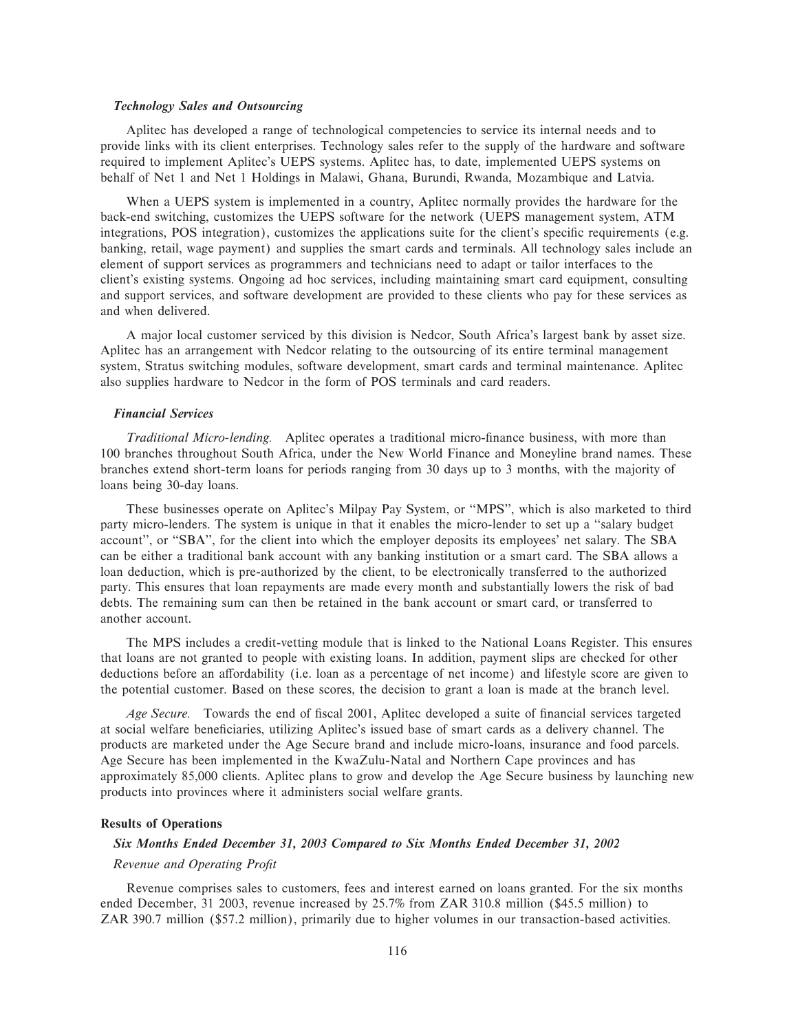# *Technology Sales and Outsourcing*

Aplitec has developed a range of technological competencies to service its internal needs and to provide links with its client enterprises. Technology sales refer to the supply of the hardware and software required to implement Aplitec's UEPS systems. Aplitec has, to date, implemented UEPS systems on behalf of Net 1 and Net 1 Holdings in Malawi, Ghana, Burundi, Rwanda, Mozambique and Latvia.

When a UEPS system is implemented in a country, Aplitec normally provides the hardware for the back-end switching, customizes the UEPS software for the network (UEPS management system, ATM integrations, POS integration), customizes the applications suite for the client's specific requirements (e.g. banking, retail, wage payment) and supplies the smart cards and terminals. All technology sales include an element of support services as programmers and technicians need to adapt or tailor interfaces to the client's existing systems. Ongoing ad hoc services, including maintaining smart card equipment, consulting and support services, and software development are provided to these clients who pay for these services as and when delivered.

A major local customer serviced by this division is Nedcor, South Africa's largest bank by asset size. Aplitec has an arrangement with Nedcor relating to the outsourcing of its entire terminal management system, Stratus switching modules, software development, smart cards and terminal maintenance. Aplitec also supplies hardware to Nedcor in the form of POS terminals and card readers.

### *Financial Services*

*Traditional Micro-lending.* Aplitec operates a traditional micro-finance business, with more than 100 branches throughout South Africa, under the New World Finance and Moneyline brand names. These branches extend short-term loans for periods ranging from 30 days up to 3 months, with the majority of loans being 30-day loans.

These businesses operate on Aplitec's Milpay Pay System, or ""MPS'', which is also marketed to third party micro-lenders. The system is unique in that it enables the micro-lender to set up a ""salary budget account'', or ""SBA'', for the client into which the employer deposits its employees' net salary. The SBA can be either a traditional bank account with any banking institution or a smart card. The SBA allows a loan deduction, which is pre-authorized by the client, to be electronically transferred to the authorized party. This ensures that loan repayments are made every month and substantially lowers the risk of bad debts. The remaining sum can then be retained in the bank account or smart card, or transferred to another account.

The MPS includes a credit-vetting module that is linked to the National Loans Register. This ensures that loans are not granted to people with existing loans. In addition, payment slips are checked for other deductions before an affordability (i.e. loan as a percentage of net income) and lifestyle score are given to the potential customer. Based on these scores, the decision to grant a loan is made at the branch level.

Age Secure. Towards the end of fiscal 2001, Aplitec developed a suite of financial services targeted at social welfare beneficiaries, utilizing Aplitec's issued base of smart cards as a delivery channel. The products are marketed under the Age Secure brand and include micro-loans, insurance and food parcels. Age Secure has been implemented in the KwaZulu-Natal and Northern Cape provinces and has approximately 85,000 clients. Aplitec plans to grow and develop the Age Secure business by launching new products into provinces where it administers social welfare grants.

# **Results of Operations**

# *Six Months Ended December 31, 2003 Compared to Six Months Ended December 31, 2002*

# *Revenue and Operating ProÑt*

Revenue comprises sales to customers, fees and interest earned on loans granted. For the six months ended December, 31 2003, revenue increased by 25.7% from ZAR 310.8 million (\$45.5 million) to ZAR 390.7 million (\$57.2 million), primarily due to higher volumes in our transaction-based activities.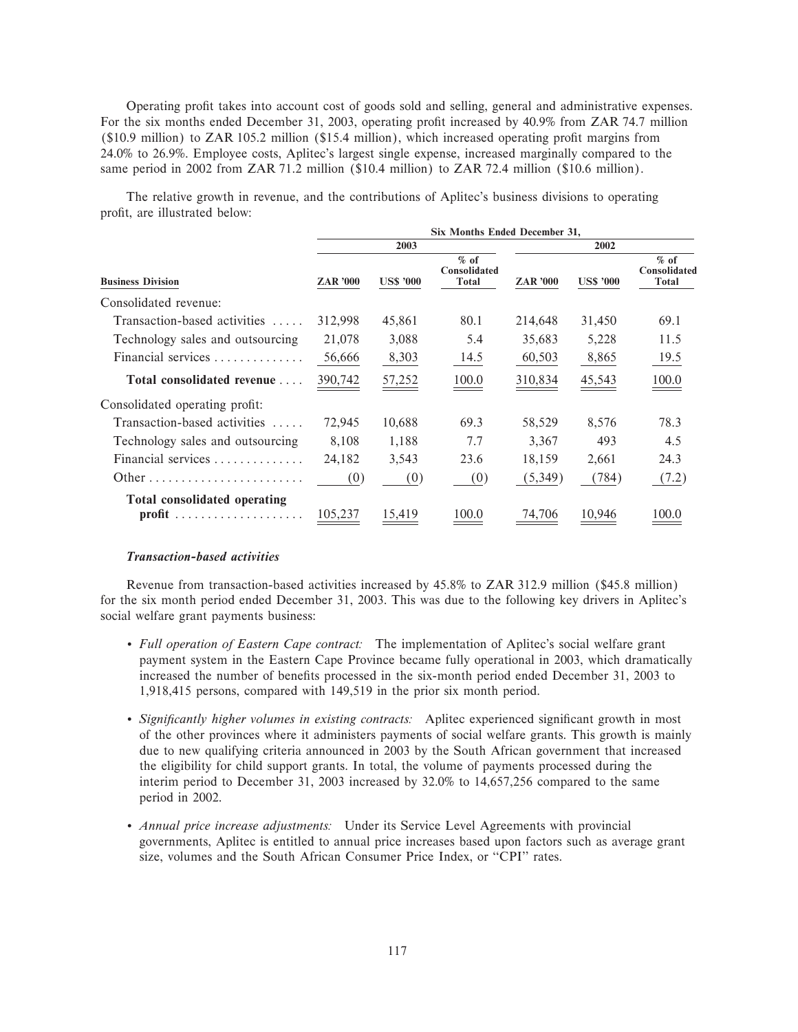Operating profit takes into account cost of goods sold and selling, general and administrative expenses. For the six months ended December 31, 2003, operating profit increased by 40.9% from ZAR 74.7 million  $(10.9 \text{ million})$  to ZAR 105.2 million  $(15.4 \text{ million})$ , which increased operating profit margins from 24.0% to 26.9%. Employee costs, Aplitec's largest single expense, increased marginally compared to the same period in 2002 from ZAR 71.2 million (\$10.4 million) to ZAR 72.4 million (\$10.6 million).

The relative growth in revenue, and the contributions of Aplitec's business divisions to operating profit, are illustrated below:

| Six Months Ended December 31, |                  |                                 |                 |                  |                                 |  |  |  |
|-------------------------------|------------------|---------------------------------|-----------------|------------------|---------------------------------|--|--|--|
|                               | 2003             |                                 |                 | 2002             |                                 |  |  |  |
| <b>ZAR</b> '000               | <b>US\$ '000</b> | $%$ of<br>Consolidated<br>Total | <b>ZAR '000</b> | <b>US\$ '000</b> | $%$ of<br>Consolidated<br>Total |  |  |  |
|                               |                  |                                 |                 |                  |                                 |  |  |  |
| 312,998                       | 45,861           | 80.1                            | 214,648         | 31,450           | 69.1                            |  |  |  |
| 21,078                        | 3,088            | 5.4                             | 35,683          | 5,228            | 11.5                            |  |  |  |
| 56,666                        | 8,303            | 14.5                            | 60,503          | 8,865            | 19.5                            |  |  |  |
| 390,742                       | 57,252           | 100.0                           | 310,834         | 45,543           | 100.0                           |  |  |  |
|                               |                  |                                 |                 |                  |                                 |  |  |  |
| 72,945                        | 10,688           | 69.3                            | 58,529          | 8,576            | 78.3                            |  |  |  |
| 8,108                         | 1,188            | 7.7                             | 3,367           | 493              | 4.5                             |  |  |  |
| 24,182                        | 3,543            | 23.6                            | 18,159          | 2,661            | 24.3                            |  |  |  |
| (0)                           | (0)              | (0)                             | (5,349)         | (784)            | (7.2)                           |  |  |  |
| 105,237                       | 15,419           | 100.0                           | 74,706          | 10.946           | 100.0                           |  |  |  |
|                               |                  |                                 |                 |                  |                                 |  |  |  |

### *Transaction-based activities*

Revenue from transaction-based activities increased by 45.8% to ZAR 312.9 million (\$45.8 million) for the six month period ended December 31, 2003. This was due to the following key drivers in Aplitec's social welfare grant payments business:

- ' *Full operation of Eastern Cape contract:* The implementation of Aplitec's social welfare grant payment system in the Eastern Cape Province became fully operational in 2003, which dramatically increased the number of benefits processed in the six-month period ended December 31, 2003 to 1,918,415 persons, compared with 149,519 in the prior six month period.
- *Significantly higher volumes in existing contracts:* Aplitec experienced significant growth in most of the other provinces where it administers payments of social welfare grants. This growth is mainly due to new qualifying criteria announced in 2003 by the South African government that increased the eligibility for child support grants. In total, the volume of payments processed during the interim period to December 31, 2003 increased by 32.0% to 14,657,256 compared to the same period in 2002.
- ' *Annual price increase adjustments:* Under its Service Level Agreements with provincial governments, Aplitec is entitled to annual price increases based upon factors such as average grant size, volumes and the South African Consumer Price Index, or "CPI" rates.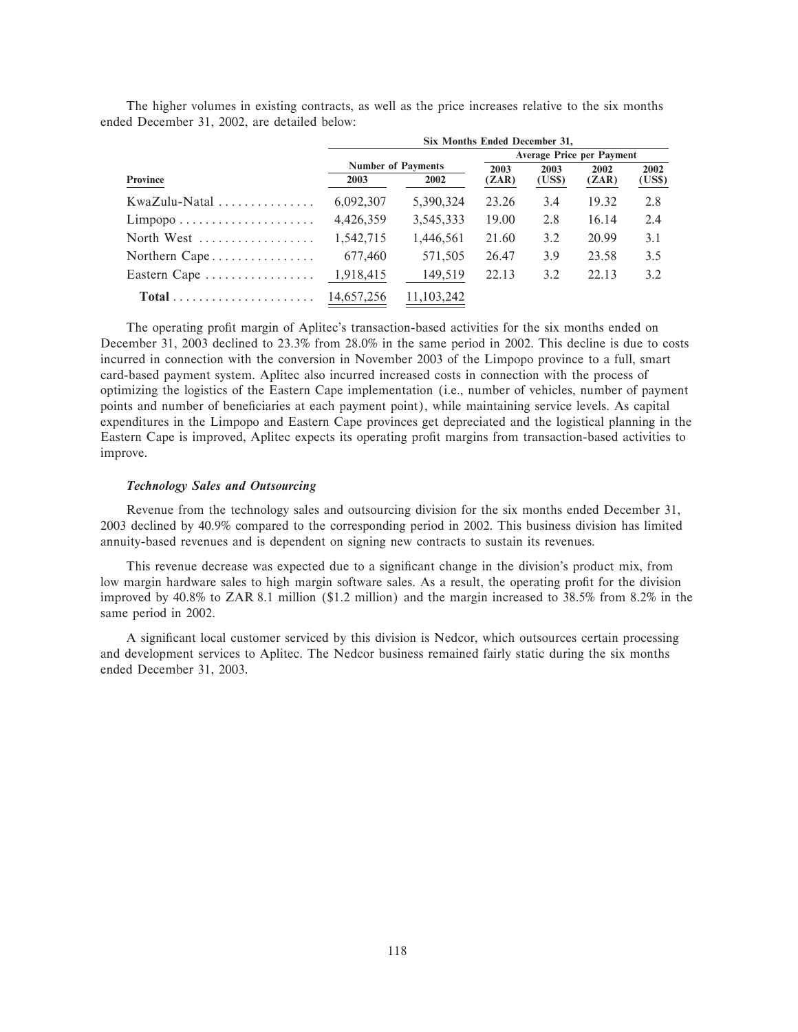|                                                         | Six Months Ended December 31,    |                           |       |        |       |        |  |  |  |
|---------------------------------------------------------|----------------------------------|---------------------------|-------|--------|-------|--------|--|--|--|
|                                                         | <b>Average Price per Payment</b> |                           |       |        |       |        |  |  |  |
|                                                         |                                  | <b>Number of Payments</b> | 2003  | 2003   | 2002  | 2002   |  |  |  |
| <b>Province</b>                                         | 2003                             | 2002                      | (ZAR) | (US\$) | (ZAR) | (US\$) |  |  |  |
|                                                         | 6,092,307                        | 5,390,324                 | 23.26 | 3.4    | 19.32 | 2.8    |  |  |  |
| $Limpopo \ldots \ldots \ldots \ldots \ldots \ldots$     | 4,426,359                        | 3,545,333                 | 19.00 | 2.8    | 16.14 | 2.4    |  |  |  |
| North West $\dots\dots\dots\dots\dots\dots$             | 1,542,715                        | 1,446,561                 | 21.60 | 3.2    | 20.99 | 3.1    |  |  |  |
| Northern Cape                                           | 677,460                          | 571,505                   | 26.47 | 3.9    | 23.58 | 3.5    |  |  |  |
| Eastern Cape                                            | 1,918,415                        | 149,519                   | 22.13 | 3.2    | 22.13 | 3.2    |  |  |  |
| $Total \dots \dots \dots \dots \dots \dots \dots \dots$ | 14,657,256                       | 11, 103, 242              |       |        |       |        |  |  |  |

The higher volumes in existing contracts, as well as the price increases relative to the six months ended December 31, 2002, are detailed below:

The operating profit margin of Aplitec's transaction-based activities for the six months ended on December 31, 2003 declined to 23.3% from 28.0% in the same period in 2002. This decline is due to costs incurred in connection with the conversion in November 2003 of the Limpopo province to a full, smart card-based payment system. Aplitec also incurred increased costs in connection with the process of optimizing the logistics of the Eastern Cape implementation (i.e., number of vehicles, number of payment points and number of beneficiaries at each payment point), while maintaining service levels. As capital expenditures in the Limpopo and Eastern Cape provinces get depreciated and the logistical planning in the Eastern Cape is improved, Aplitec expects its operating profit margins from transaction-based activities to improve.

# *Technology Sales and Outsourcing*

Revenue from the technology sales and outsourcing division for the six months ended December 31, 2003 declined by 40.9% compared to the corresponding period in 2002. This business division has limited annuity-based revenues and is dependent on signing new contracts to sustain its revenues.

This revenue decrease was expected due to a significant change in the division's product mix, from low margin hardware sales to high margin software sales. As a result, the operating profit for the division improved by 40.8% to ZAR 8.1 million (\$1.2 million) and the margin increased to 38.5% from 8.2% in the same period in 2002.

A significant local customer serviced by this division is Nedcor, which outsources certain processing and development services to Aplitec. The Nedcor business remained fairly static during the six months ended December 31, 2003.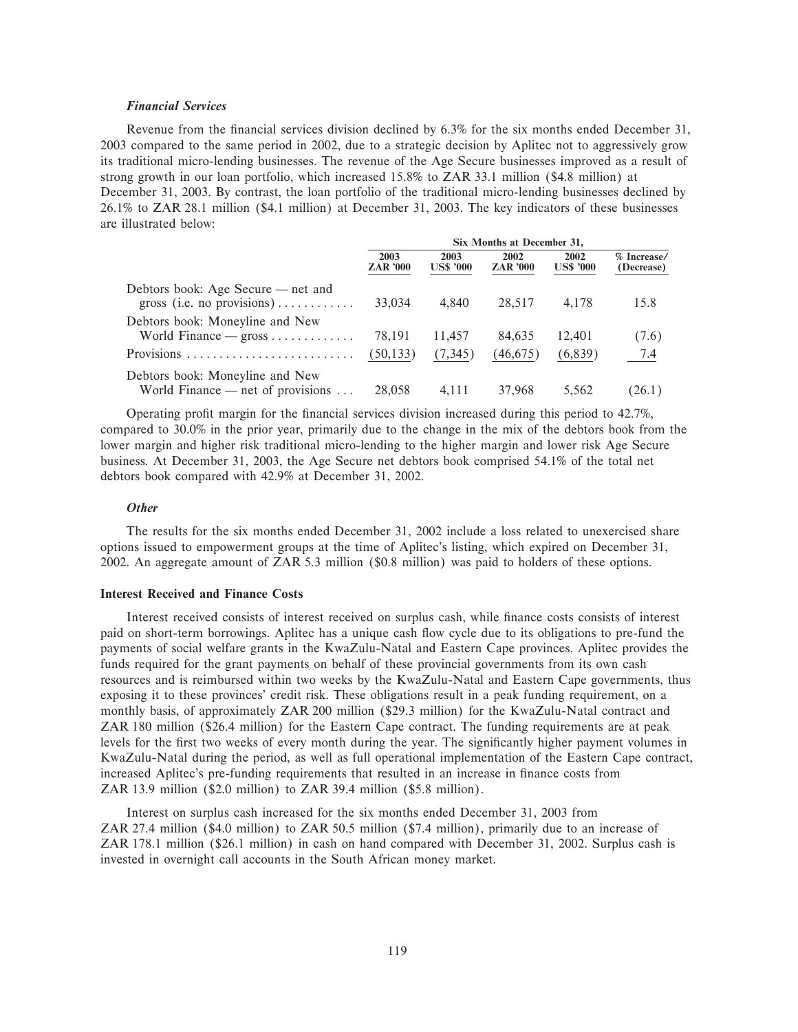# *Financial Services*

Revenue from the financial services division declined by 6.3% for the six months ended December 31, 2003 compared to the same period in 2002, due to a strategic decision by Aplitec not to aggressively grow its traditional micro-lending businesses. The revenue of the Age Secure businesses improved as a result of strong growth in our loan portfolio, which increased 15.8% to ZAR 33.1 million (\$4.8 million) at December 31, 2003. By contrast, the loan portfolio of the traditional micro-lending businesses declined by 26.1% to ZAR 28.1 million (\$4.1 million) at December 31, 2003. The key indicators of these businesses are illustrated below:

|                                                                              | Six Months at December 31, |                          |                         |                          |                           |  |  |
|------------------------------------------------------------------------------|----------------------------|--------------------------|-------------------------|--------------------------|---------------------------|--|--|
|                                                                              | 2003<br><b>ZAR</b> '000    | 2003<br><b>US\$ '000</b> | 2002<br><b>ZAR</b> '000 | 2002<br><b>US\$ '000</b> | % Increase/<br>(Decrease) |  |  |
| Debtors book: Age Secure — net and<br>gross (i.e. no provisions)             | 33,034                     | 4.840                    | 28,517                  | 4.178                    | 15.8                      |  |  |
| Debtors book: Moneyline and New                                              | 78.191                     | 11,457                   | 84.635                  | 12.401                   | (7.6)                     |  |  |
| Provisions                                                                   | (50, 133)                  | (7,345)                  | (46,675)                | (6,839)                  | 7.4                       |  |  |
| Debtors book: Moneyline and New<br>World Finance — net of provisions $\dots$ | 28,058                     | 4.111                    | 37,968                  | 5.562                    | (26.1)                    |  |  |

Operating profit margin for the financial services division increased during this period to 42.7%, compared to 30.0% in the prior year, primarily due to the change in the mix of the debtors book from the lower margin and higher risk traditional micro-lending to the higher margin and lower risk Age Secure business. At December 31, 2003, the Age Secure net debtors book comprised 54.1% of the total net debtors book compared with 42.9% at December 31, 2002.

# *Other*

The results for the six months ended December 31, 2002 include a loss related to unexercised share options issued to empowerment groups at the time of Aplitec's listing, which expired on December 31, 2002. An aggregate amount of ZAR 5.3 million (\$0.8 million) was paid to holders of these options.

# **Interest Received and Finance Costs**

Interest received consists of interest received on surplus cash, while finance costs consists of interest paid on short-term borrowings. Aplitec has a unique cash Öow cycle due to its obligations to pre-fund the payments of social welfare grants in the KwaZulu-Natal and Eastern Cape provinces. Aplitec provides the funds required for the grant payments on behalf of these provincial governments from its own cash resources and is reimbursed within two weeks by the KwaZulu-Natal and Eastern Cape governments, thus exposing it to these provinces' credit risk. These obligations result in a peak funding requirement, on a monthly basis, of approximately ZAR 200 million (\$29.3 million) for the KwaZulu-Natal contract and ZAR 180 million (\$26.4 million) for the Eastern Cape contract. The funding requirements are at peak levels for the first two weeks of every month during the year. The significantly higher payment volumes in KwaZulu-Natal during the period, as well as full operational implementation of the Eastern Cape contract, increased Aplitec's pre-funding requirements that resulted in an increase in finance costs from ZAR 13.9 million (\$2.0 million) to ZAR 39.4 million (\$5.8 million).

Interest on surplus cash increased for the six months ended December 31, 2003 from ZAR 27.4 million (\$4.0 million) to ZAR 50.5 million (\$7.4 million), primarily due to an increase of ZAR 178.1 million (\$26.1 million) in cash on hand compared with December 31, 2002. Surplus cash is invested in overnight call accounts in the South African money market.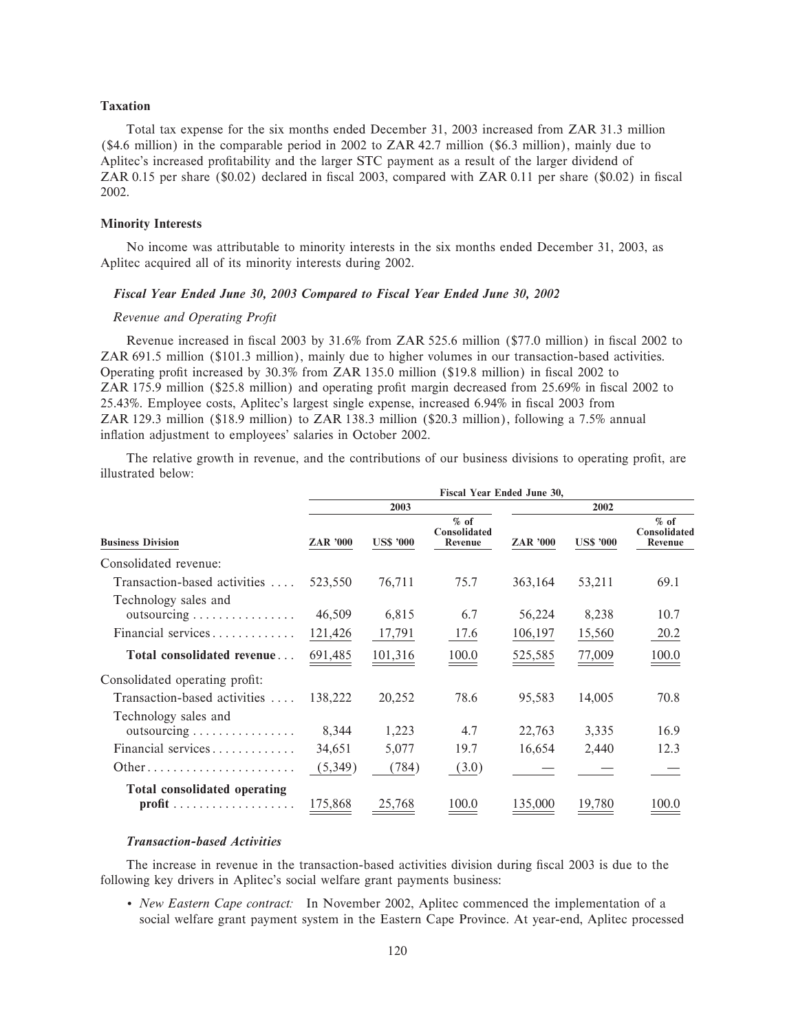# **Taxation**

Total tax expense for the six months ended December 31, 2003 increased from ZAR 31.3 million (\$4.6 million) in the comparable period in 2002 to ZAR 42.7 million (\$6.3 million), mainly due to Aplitec's increased profitability and the larger STC payment as a result of the larger dividend of ZAR 0.15 per share (\$0.02) declared in fiscal 2003, compared with ZAR 0.11 per share (\$0.02) in fiscal 2002.

# **Minority Interests**

No income was attributable to minority interests in the six months ended December 31, 2003, as Aplitec acquired all of its minority interests during 2002.

### *Fiscal Year Ended June 30, 2003 Compared to Fiscal Year Ended June 30, 2002*

### *Revenue and Operating ProÑt*

Revenue increased in fiscal 2003 by 31.6% from ZAR 525.6 million (\$77.0 million) in fiscal 2002 to ZAR 691.5 million (\$101.3 million), mainly due to higher volumes in our transaction-based activities. Operating profit increased by 30.3% from ZAR 135.0 million (\$19.8 million) in fiscal 2002 to ZAR 175.9 million (\$25.8 million) and operating profit margin decreased from 25.69% in fiscal 2002 to 25.43%. Employee costs, Aplitec's largest single expense, increased 6.94% in Ñscal 2003 from ZAR 129.3 million (\$18.9 million) to ZAR 138.3 million (\$20.3 million), following a 7.5% annual inflation adjustment to employees' salaries in October 2002.

The relative growth in revenue, and the contributions of our business divisions to operating profit, are illustrated below:

|                                                                             | Fiscal Year Ended June 30, |                  |                                   |                 |                  |                                   |  |  |  |
|-----------------------------------------------------------------------------|----------------------------|------------------|-----------------------------------|-----------------|------------------|-----------------------------------|--|--|--|
|                                                                             |                            | 2003             |                                   |                 | 2002             |                                   |  |  |  |
| <b>Business Division</b>                                                    | <b>ZAR '000</b>            | <b>US\$ '000</b> | $%$ of<br>Consolidated<br>Revenue | <b>ZAR '000</b> | <b>US\$ '000</b> | $%$ of<br>Consolidated<br>Revenue |  |  |  |
| Consolidated revenue:                                                       |                            |                  |                                   |                 |                  |                                   |  |  |  |
| Transaction-based activities                                                | 523,550                    | 76,711           | 75.7                              | 363,164         | 53,211           | 69.1                              |  |  |  |
| Technology sales and<br>$outsourcing \ldots \ldots \ldots \ldots$           | 46,509                     | 6,815            | 6.7                               | 56,224          | 8,238            | 10.7                              |  |  |  |
| Financial services                                                          | 121,426                    | 17,791           | 17.6                              | 106,197         | 15,560           | 20.2                              |  |  |  |
| Total consolidated revenue                                                  | 691,485                    | 101,316          | 100.0                             | 525,585         | 77,009           | 100.0                             |  |  |  |
| Consolidated operating profit:                                              |                            |                  |                                   |                 |                  |                                   |  |  |  |
| Transaction-based activities                                                | 138,222                    | 20,252           | 78.6                              | 95,583          | 14,005           | 70.8                              |  |  |  |
| Technology sales and<br>$outsourcing \ldots \ldots \ldots \ldots$           | 8,344                      | 1,223            | 4.7                               | 22,763          | 3,335            | 16.9                              |  |  |  |
| Financial services                                                          | 34,651                     | 5,077            | 19.7                              | 16,654          | 2,440            | 12.3                              |  |  |  |
| Other                                                                       | (5,349)                    | (784)            | (3.0)                             |                 |                  |                                   |  |  |  |
| Total consolidated operating<br>$profit \ldots \ldots \ldots \ldots \ldots$ | 175,868                    | 25,768           | 100.0                             | 135,000         | 19,780           | 100.0                             |  |  |  |

### *Transaction-based Activities*

The increase in revenue in the transaction-based activities division during fiscal 2003 is due to the following key drivers in Aplitec's social welfare grant payments business:

' *New Eastern Cape contract:* In November 2002, Aplitec commenced the implementation of a social welfare grant payment system in the Eastern Cape Province. At year-end, Aplitec processed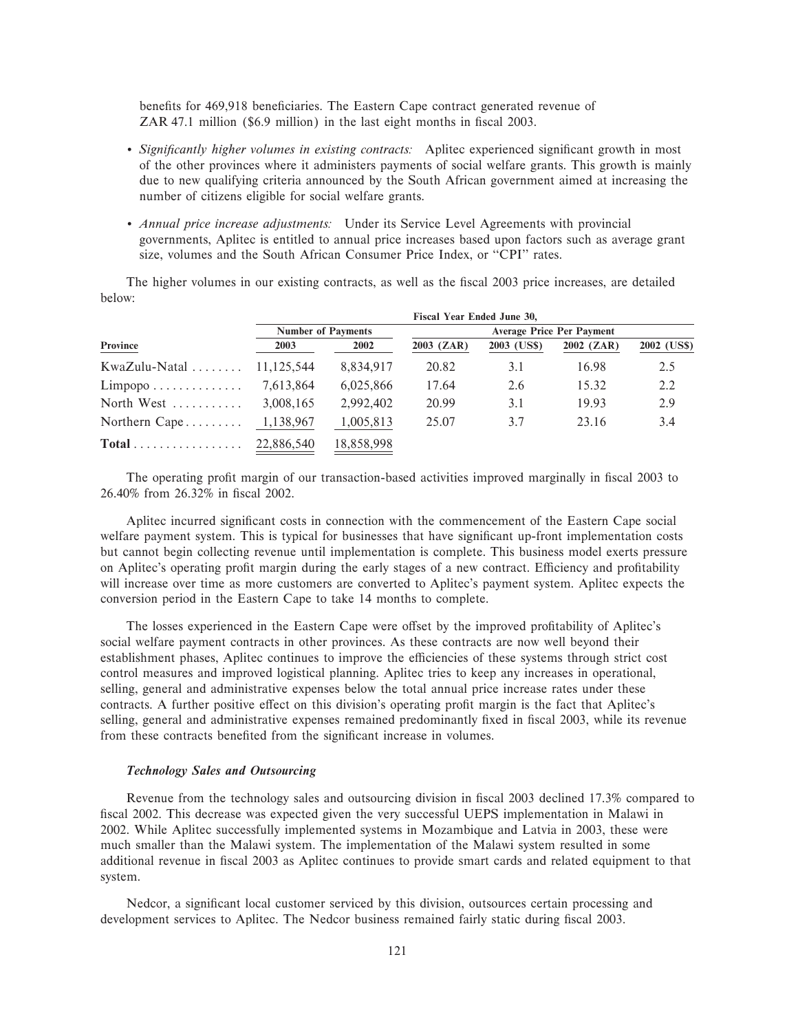benefits for 469,918 beneficiaries. The Eastern Cape contract generated revenue of ZAR 47.1 million (\$6.9 million) in the last eight months in fiscal 2003.

- *Significantly higher volumes in existing contracts:* Aplitec experienced significant growth in most of the other provinces where it administers payments of social welfare grants. This growth is mainly due to new qualifying criteria announced by the South African government aimed at increasing the number of citizens eligible for social welfare grants.
- ' *Annual price increase adjustments:* Under its Service Level Agreements with provincial governments, Aplitec is entitled to annual price increases based upon factors such as average grant size, volumes and the South African Consumer Price Index, or "CPI" rates.

The higher volumes in our existing contracts, as well as the fiscal 2003 price increases, are detailed below:

|                                             | Fiscal Year Ended June 30, |            |            |             |            |             |  |  |  |
|---------------------------------------------|----------------------------|------------|------------|-------------|------------|-------------|--|--|--|
| Province                                    | <b>Number of Payments</b>  |            |            |             |            |             |  |  |  |
|                                             | 2003                       | 2002       | 2003 (ZAR) | 2003 (US\$) | 2002 (ZAR) | 2002 (US\$) |  |  |  |
| $KwaZulu-Natal$                             | 11.125.544                 | 8,834,917  | 20.82      | 3.1         | 16.98      | 2.5         |  |  |  |
| $Limpopo \ldots \ldots \ldots$              | 7,613,864                  | 6,025,866  | 17.64      | 2.6         | 15.32      | $2.2\,$     |  |  |  |
| North West $\dots\dots\dots\dots$           | 3,008,165                  | 2,992,402  | 20.99      | 3.1         | 19.93      | 2.9         |  |  |  |
| Northern $Cape \ldots \ldots$               | 1,138,967                  | 1,005,813  | 25.07      | 3.7         | 23.16      | 3.4         |  |  |  |
| $Total \dots \dots \dots \dots \dots \dots$ | 22,886,540                 | 18,858,998 |            |             |            |             |  |  |  |

The operating profit margin of our transaction-based activities improved marginally in fiscal 2003 to 26.40% from 26.32% in Ñscal 2002.

Aplitec incurred significant costs in connection with the commencement of the Eastern Cape social welfare payment system. This is typical for businesses that have significant up-front implementation costs but cannot begin collecting revenue until implementation is complete. This business model exerts pressure on Aplitec's operating profit margin during the early stages of a new contract. Efficiency and profitability will increase over time as more customers are converted to Aplitec's payment system. Aplitec expects the conversion period in the Eastern Cape to take 14 months to complete.

The losses experienced in the Eastern Cape were offset by the improved profitability of Aplitec's social welfare payment contracts in other provinces. As these contracts are now well beyond their establishment phases, Aplitec continues to improve the efficiencies of these systems through strict cost control measures and improved logistical planning. Aplitec tries to keep any increases in operational, selling, general and administrative expenses below the total annual price increase rates under these contracts. A further positive effect on this division's operating profit margin is the fact that Aplitec's selling, general and administrative expenses remained predominantly fixed in fiscal 2003, while its revenue from these contracts benefited from the significant increase in volumes.

# *Technology Sales and Outsourcing*

Revenue from the technology sales and outsourcing division in fiscal 2003 declined 17.3% compared to fiscal 2002. This decrease was expected given the very successful UEPS implementation in Malawi in 2002. While Aplitec successfully implemented systems in Mozambique and Latvia in 2003, these were much smaller than the Malawi system. The implementation of the Malawi system resulted in some additional revenue in Ñscal 2003 as Aplitec continues to provide smart cards and related equipment to that system.

Nedcor, a significant local customer serviced by this division, outsources certain processing and development services to Aplitec. The Nedcor business remained fairly static during fiscal 2003.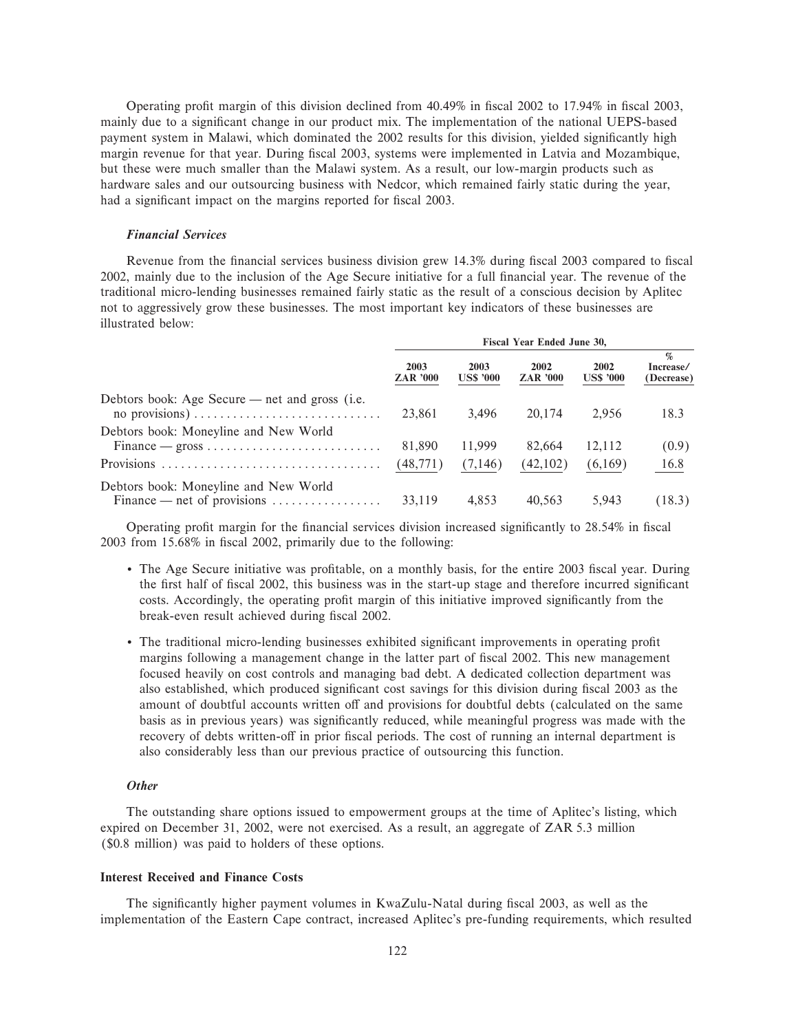Operating profit margin of this division declined from 40.49% in fiscal 2002 to 17.94% in fiscal 2003, mainly due to a significant change in our product mix. The implementation of the national UEPS-based payment system in Malawi, which dominated the 2002 results for this division, yielded significantly high margin revenue for that year. During fiscal 2003, systems were implemented in Latvia and Mozambique, but these were much smaller than the Malawi system. As a result, our low-margin products such as hardware sales and our outsourcing business with Nedcor, which remained fairly static during the year, had a significant impact on the margins reported for fiscal 2003.

### *Financial Services*

Revenue from the financial services business division grew 14.3% during fiscal 2003 compared to fiscal 2002, mainly due to the inclusion of the Age Secure initiative for a full financial year. The revenue of the traditional micro-lending businesses remained fairly static as the result of a conscious decision by Aplitec not to aggressively grow these businesses. The most important key indicators of these businesses are illustrated below:

|                                                                                                                          | Fiscal Year Ended June 30, |                          |                         |                          |                                             |  |
|--------------------------------------------------------------------------------------------------------------------------|----------------------------|--------------------------|-------------------------|--------------------------|---------------------------------------------|--|
|                                                                                                                          | 2003<br><b>ZAR '000</b>    | 2003<br><b>US\$ '000</b> | 2002<br><b>ZAR '000</b> | 2002<br><b>US\$ '000</b> | $\sigma_{\rm h}$<br>Increase/<br>(Decrease) |  |
| Debtors book: Age Secure — net and gross (i.e.<br>no provisions) $\dots \dots \dots \dots \dots \dots \dots \dots \dots$ | 23,861                     | 3.496                    | 20,174                  | 2.956                    | 18.3                                        |  |
| Debtors book: Moneyline and New World<br>$Finance - gross \dots \dots \dots \dots \dots \dots \dots \dots \dots$         | 81,890                     | 11.999                   | 82,664                  | 12.112                   | (0.9)                                       |  |
|                                                                                                                          | (48, 771)                  | (7,146)                  | (42,102)                | (6,169)                  | 16.8                                        |  |
| Debtors book: Moneyline and New World<br>Finance — net of provisions $\dots \dots \dots \dots \dots$                     | 33,119                     | 4,853                    | 40,563                  | 5,943                    | (18.3)                                      |  |

Operating profit margin for the financial services division increased significantly to 28.54% in fiscal 2003 from 15.68% in Ñscal 2002, primarily due to the following:

- The Age Secure initiative was profitable, on a monthly basis, for the entire 2003 fiscal year. During the first half of fiscal 2002, this business was in the start-up stage and therefore incurred significant costs. Accordingly, the operating profit margin of this initiative improved significantly from the break-even result achieved during fiscal 2002.
- The traditional micro-lending businesses exhibited significant improvements in operating profit margins following a management change in the latter part of fiscal 2002. This new management focused heavily on cost controls and managing bad debt. A dedicated collection department was also established, which produced significant cost savings for this division during fiscal 2003 as the amount of doubtful accounts written off and provisions for doubtful debts (calculated on the same basis as in previous years) was significantly reduced, while meaningful progress was made with the recovery of debts written-off in prior fiscal periods. The cost of running an internal department is also considerably less than our previous practice of outsourcing this function.

#### *Other*

The outstanding share options issued to empowerment groups at the time of Aplitec's listing, which expired on December 31, 2002, were not exercised. As a result, an aggregate of ZAR 5.3 million (\$0.8 million) was paid to holders of these options.

# **Interest Received and Finance Costs**

The significantly higher payment volumes in KwaZulu-Natal during fiscal 2003, as well as the implementation of the Eastern Cape contract, increased Aplitec's pre-funding requirements, which resulted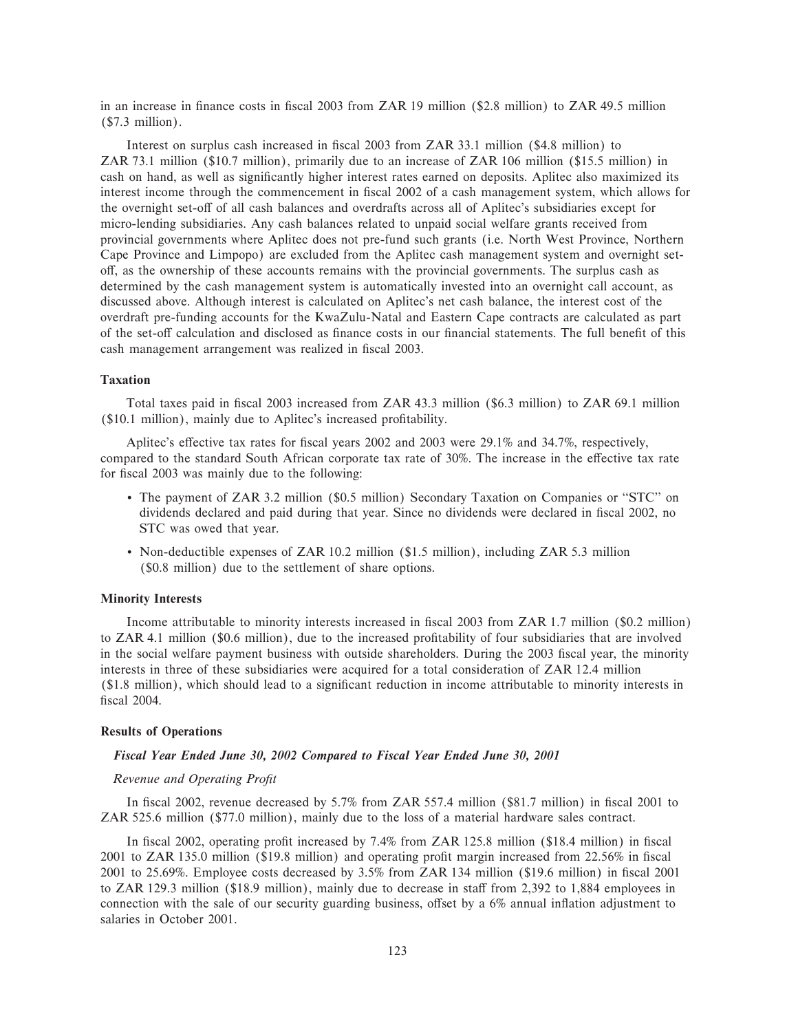in an increase in finance costs in fiscal 2003 from ZAR 19 million (\$2.8 million) to ZAR 49.5 million (\$7.3 million).

Interest on surplus cash increased in fiscal 2003 from ZAR 33.1 million (\$4.8 million) to ZAR 73.1 million (\$10.7 million), primarily due to an increase of ZAR 106 million (\$15.5 million) in cash on hand, as well as significantly higher interest rates earned on deposits. Aplitec also maximized its interest income through the commencement in fiscal 2002 of a cash management system, which allows for the overnight set-off of all cash balances and overdrafts across all of Aplitec's subsidiaries except for micro-lending subsidiaries. Any cash balances related to unpaid social welfare grants received from provincial governments where Aplitec does not pre-fund such grants (i.e. North West Province, Northern Cape Province and Limpopo) are excluded from the Aplitec cash management system and overnight setoff, as the ownership of these accounts remains with the provincial governments. The surplus cash as determined by the cash management system is automatically invested into an overnight call account, as discussed above. Although interest is calculated on Aplitec's net cash balance, the interest cost of the overdraft pre-funding accounts for the KwaZulu-Natal and Eastern Cape contracts are calculated as part of the set-off calculation and disclosed as finance costs in our financial statements. The full benefit of this cash management arrangement was realized in fiscal 2003.

#### **Taxation**

Total taxes paid in Ñscal 2003 increased from ZAR 43.3 million (\$6.3 million) to ZAR 69.1 million (\$10.1 million), mainly due to Aplitec's increased profitability.

Aplitec's effective tax rates for fiscal years 2002 and 2003 were  $29.1\%$  and 34.7%, respectively, compared to the standard South African corporate tax rate of 30%. The increase in the effective tax rate for fiscal 2003 was mainly due to the following:

- The payment of ZAR 3.2 million (\$0.5 million) Secondary Taxation on Companies or "STC" on dividends declared and paid during that year. Since no dividends were declared in fiscal 2002, no STC was owed that year.
- ' Non-deductible expenses of ZAR 10.2 million (\$1.5 million), including ZAR 5.3 million (\$0.8 million) due to the settlement of share options.

# **Minority Interests**

Income attributable to minority interests increased in fiscal 2003 from ZAR 1.7 million (\$0.2 million) to ZAR 4.1 million (\$0.6 million), due to the increased profitability of four subsidiaries that are involved in the social welfare payment business with outside shareholders. During the 2003 fiscal year, the minority interests in three of these subsidiaries were acquired for a total consideration of ZAR 12.4 million (\$1.8 million), which should lead to a significant reduction in income attributable to minority interests in fiscal 2004.

### **Results of Operations**

# *Fiscal Year Ended June 30, 2002 Compared to Fiscal Year Ended June 30, 2001*

# *Revenue and Operating ProÑt*

In fiscal 2002, revenue decreased by 5.7% from ZAR 557.4 million (\$81.7 million) in fiscal 2001 to ZAR 525.6 million (\$77.0 million), mainly due to the loss of a material hardware sales contract.

In fiscal 2002, operating profit increased by  $7.4\%$  from ZAR 125.8 million (\$18.4 million) in fiscal 2001 to ZAR 135.0 million (\$19.8 million) and operating profit margin increased from  $22.56\%$  in fiscal 2001 to 25.69%. Employee costs decreased by  $3.5\%$  from ZAR 134 million (\$19.6 million) in fiscal 2001 to ZAR 129.3 million ( $$18.9$  million), mainly due to decrease in staff from 2,392 to 1,884 employees in connection with the sale of our security guarding business, offset by a 6% annual inflation adjustment to salaries in October 2001.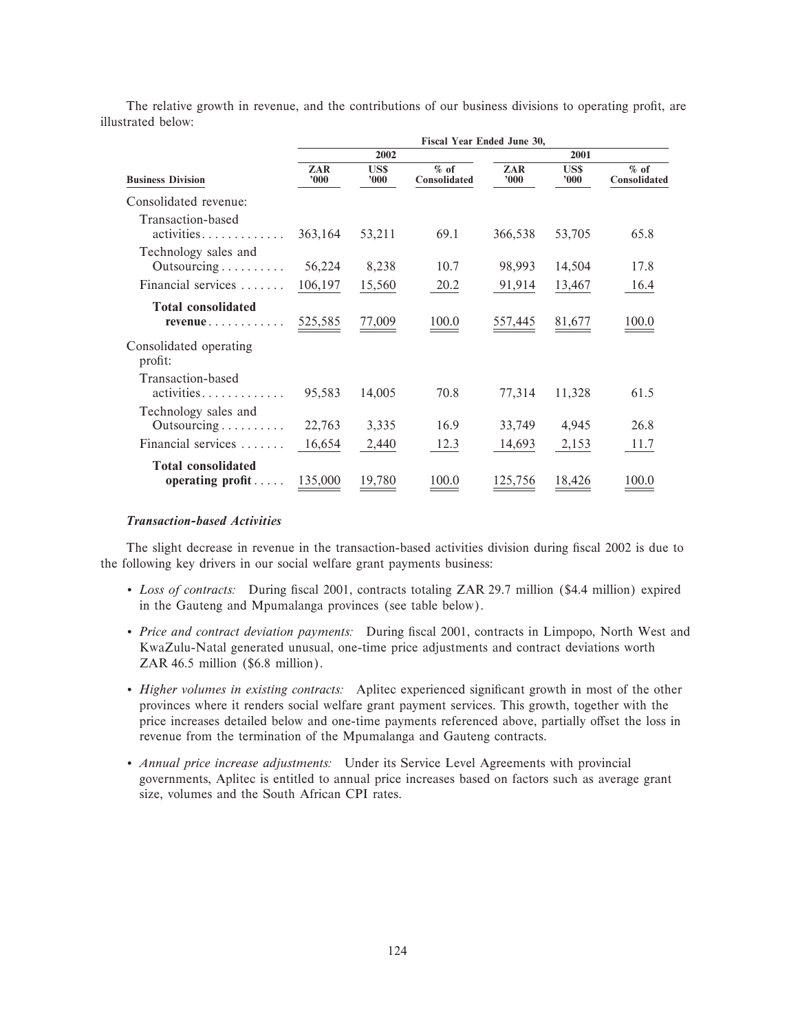The relative growth in revenue, and the contributions of our business divisions to operating profit, are illustrated below:

|                                                                  | Fiscal Year Ended June 30, |                   |                        |                |                   |                        |  |  |  |  |
|------------------------------------------------------------------|----------------------------|-------------------|------------------------|----------------|-------------------|------------------------|--|--|--|--|
|                                                                  |                            | 2002              |                        |                | 2001              |                        |  |  |  |  |
| <b>Business Division</b>                                         | ZAR<br>000'                | US\$<br>$v_{000}$ | $%$ of<br>Consolidated | ZAR<br>000'    | US\$<br>$v_{000}$ | $%$ of<br>Consolidated |  |  |  |  |
| Consolidated revenue:                                            |                            |                   |                        |                |                   |                        |  |  |  |  |
| Transaction-based<br>activities                                  | 363,164                    | 53,211            | 69.1                   | 366,538        | 53,705            | 65.8                   |  |  |  |  |
| Technology sales and<br>Outsourcing $\ldots \ldots \ldots$       | 56,224                     | 8,238             | 10.7                   | 98,993         | 14,504            | 17.8                   |  |  |  |  |
| Financial services                                               | 106,197                    | 15,560            | 20.2                   | 91,914         | 13,467            | 16.4                   |  |  |  |  |
| <b>Total consolidated</b><br>$revenue \ldots \ldots \ldots$      | <u>525,585</u>             | 77,009            | 100.0                  | <u>557,445</u> | 81,677            | 100.0                  |  |  |  |  |
| Consolidated operating<br>profit:                                |                            |                   |                        |                |                   |                        |  |  |  |  |
| Transaction-based<br>$\text{activities} \dots \dots \dots \dots$ | 95,583                     | 14,005            | 70.8                   | 77,314         | 11,328            | 61.5                   |  |  |  |  |
| Technology sales and<br>Outsourcing                              | 22,763                     | 3,335             | 16.9                   | 33,749         | 4,945             | 26.8                   |  |  |  |  |
| Financial services                                               | 16,654                     | 2,440             | 12.3                   | 14,693         | 2,153             | 11.7                   |  |  |  |  |
| <b>Total consolidated</b><br>operating $profit \ldots$ .         | 135,000                    | 19,780            | 100.0                  | 125,756        | 18,426            | 100.0                  |  |  |  |  |

# *Transaction-based Activities*

The slight decrease in revenue in the transaction-based activities division during fiscal 2002 is due to the following key drivers in our social welfare grant payments business:

- Loss of contracts: During fiscal 2001, contracts totaling ZAR 29.7 million (\$4.4 million) expired in the Gauteng and Mpumalanga provinces (see table below).
- ' *Price and contract deviation payments:* During Ñscal 2001, contracts in Limpopo, North West and KwaZulu-Natal generated unusual, one-time price adjustments and contract deviations worth ZAR 46.5 million (\$6.8 million).
- *Higher volumes in existing contracts:* Aplitec experienced significant growth in most of the other provinces where it renders social welfare grant payment services. This growth, together with the price increases detailed below and one-time payments referenced above, partially offset the loss in revenue from the termination of the Mpumalanga and Gauteng contracts.
- ' *Annual price increase adjustments:* Under its Service Level Agreements with provincial governments, Aplitec is entitled to annual price increases based on factors such as average grant size, volumes and the South African CPI rates.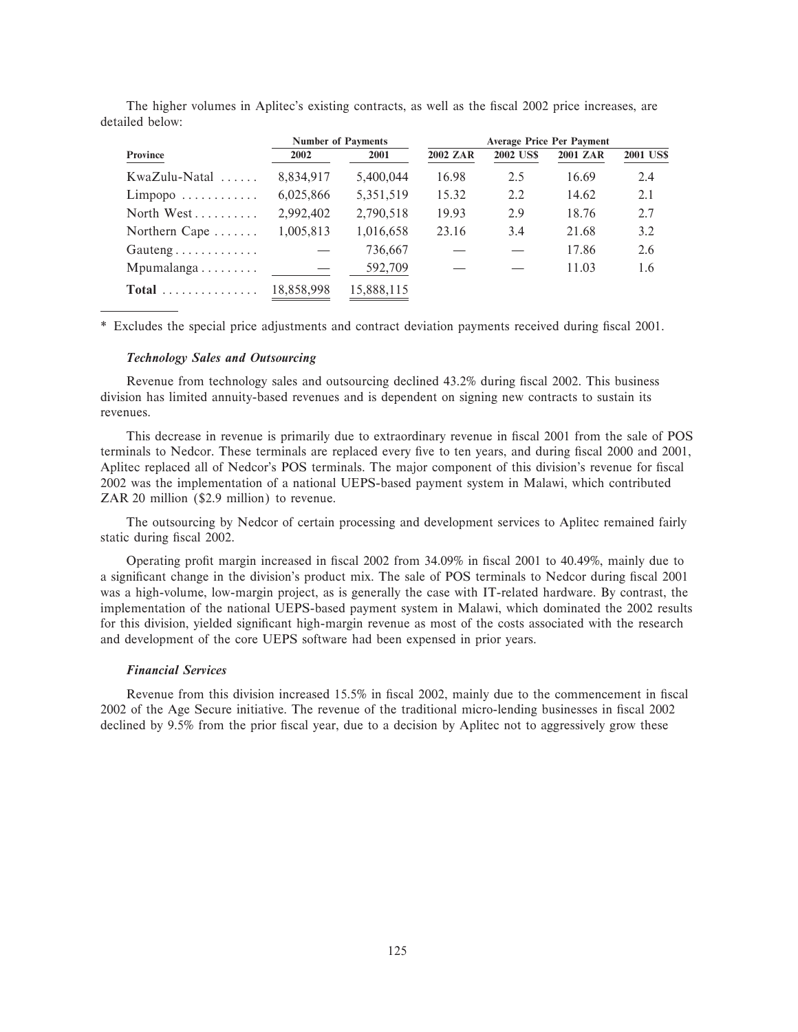|                                |            | <b>Number of Payments</b> | <b>Average Price Per Payment</b> |                  |                 |                  |  |  |
|--------------------------------|------------|---------------------------|----------------------------------|------------------|-----------------|------------------|--|--|
| Province                       | 2002       | 2001                      | <b>2002 ZAR</b>                  | <b>2002 US\$</b> | <b>2001 ZAR</b> | <b>2001 US\$</b> |  |  |
| KwaZulu-Natal                  | 8,834,917  | 5,400,044                 | 16.98                            | 2.5              | 16.69           | 2.4              |  |  |
| $Limpopo \ldots \ldots \ldots$ | 6,025,866  | 5,351,519                 | 15.32                            | 2.2              | 14.62           | 2.1              |  |  |
| North West                     | 2.992.402  | 2,790,518                 | 19.93                            | 2.9              | 18.76           | 2.7              |  |  |
| Northern Cape $\dots$          | 1,005,813  | 1,016,658                 | 23.16                            | 3.4              | 21.68           | 3.2              |  |  |
| $Gauteng \ldots \ldots \ldots$ |            | 736,667                   |                                  |                  | 17.86           | 2.6              |  |  |
| Mpumalanga                     |            | 592,709                   |                                  |                  | 11.03           | 1.6              |  |  |
| $Total$                        | 18.858.998 | 15.888.115                |                                  |                  |                 |                  |  |  |

The higher volumes in Aplitec's existing contracts, as well as the fiscal 2002 price increases, are detailed below:

\* Excludes the special price adjustments and contract deviation payments received during fiscal 2001.

# *Technology Sales and Outsourcing*

Revenue from technology sales and outsourcing declined 43.2% during fiscal 2002. This business division has limited annuity-based revenues and is dependent on signing new contracts to sustain its revenues.

This decrease in revenue is primarily due to extraordinary revenue in fiscal 2001 from the sale of POS terminals to Nedcor. These terminals are replaced every five to ten years, and during fiscal 2000 and 2001, Aplitec replaced all of Nedcor's POS terminals. The major component of this division's revenue for fiscal 2002 was the implementation of a national UEPS-based payment system in Malawi, which contributed ZAR 20 million (\$2.9 million) to revenue.

The outsourcing by Nedcor of certain processing and development services to Aplitec remained fairly static during fiscal 2002.

Operating profit margin increased in fiscal 2002 from 34.09% in fiscal 2001 to 40.49%, mainly due to a significant change in the division's product mix. The sale of POS terminals to Nedcor during fiscal 2001 was a high-volume, low-margin project, as is generally the case with IT-related hardware. By contrast, the implementation of the national UEPS-based payment system in Malawi, which dominated the 2002 results for this division, yielded significant high-margin revenue as most of the costs associated with the research and development of the core UEPS software had been expensed in prior years.

#### *Financial Services*

Revenue from this division increased 15.5% in fiscal 2002, mainly due to the commencement in fiscal 2002 of the Age Secure initiative. The revenue of the traditional micro-lending businesses in fiscal 2002 declined by 9.5% from the prior fiscal year, due to a decision by Aplitec not to aggressively grow these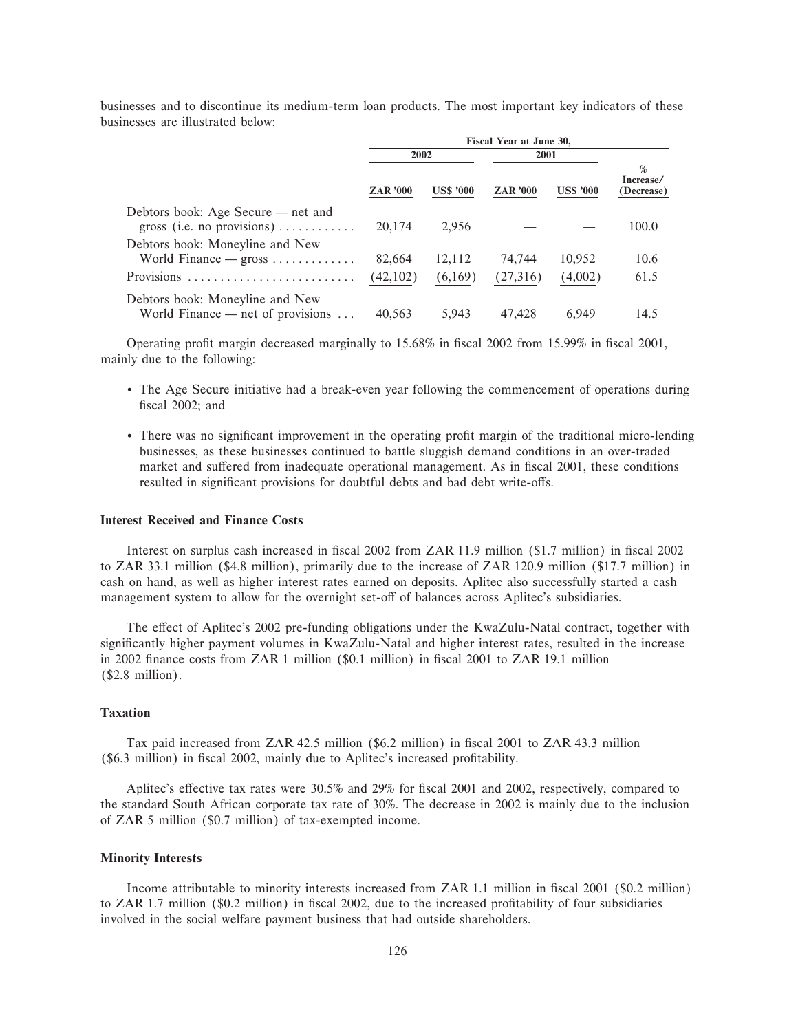|                                                                                | Fiscal Year at June 30, |                  |                 |                  |                                                       |  |
|--------------------------------------------------------------------------------|-------------------------|------------------|-----------------|------------------|-------------------------------------------------------|--|
|                                                                                | 2002                    |                  | 2001            |                  |                                                       |  |
|                                                                                | <b>ZAR</b> '000         | <b>US\$ '000</b> | <b>ZAR</b> '000 | <b>US\$ '000</b> | $\mathcal{G}_{\mathbf{c}}$<br>Increase/<br>(Decrease) |  |
| Debtors book: Age Secure — net and<br>gross (i.e. no provisions)               | 20,174                  | 2.956            |                 |                  | 100.0                                                 |  |
| Debtors book: Moneyline and New<br>World Finance $-$ gross $\dots \dots \dots$ | 82,664                  | 12,112           | 74,744          | 10,952           | 10.6                                                  |  |
| Provisions                                                                     | (42,102)                | (6,169)          | (27,316)        | (4,002)          | 61.5                                                  |  |
| Debtors book: Moneyline and New<br>World Finance — net of provisions $\dots$   | 40.563                  | 5,943            | 47.428          | 6.949            | 14.5                                                  |  |

businesses and to discontinue its medium-term loan products. The most important key indicators of these businesses are illustrated below:

Operating profit margin decreased marginally to 15.68% in fiscal 2002 from 15.99% in fiscal 2001, mainly due to the following:

- ' The Age Secure initiative had a break-even year following the commencement of operations during fiscal 2002; and
- There was no significant improvement in the operating profit margin of the traditional micro-lending businesses, as these businesses continued to battle sluggish demand conditions in an over-traded market and suffered from inadequate operational management. As in fiscal 2001, these conditions resulted in significant provisions for doubtful debts and bad debt write-offs.

### **Interest Received and Finance Costs**

Interest on surplus cash increased in fiscal 2002 from ZAR 11.9 million (\$1.7 million) in fiscal 2002 to ZAR 33.1 million (\$4.8 million), primarily due to the increase of ZAR 120.9 million (\$17.7 million) in cash on hand, as well as higher interest rates earned on deposits. Aplitec also successfully started a cash management system to allow for the overnight set-off of balances across Aplitec's subsidiaries.

The effect of Aplitec's 2002 pre-funding obligations under the KwaZulu-Natal contract, together with significantly higher payment volumes in KwaZulu-Natal and higher interest rates, resulted in the increase in 2002 finance costs from ZAR 1 million (\$0.1 million) in fiscal 2001 to ZAR 19.1 million (\$2.8 million).

# **Taxation**

Tax paid increased from ZAR 42.5 million (\$6.2 million) in fiscal 2001 to ZAR 43.3 million (\$6.3 million) in fiscal 2002, mainly due to Aplitec's increased profitability.

Aplitec's effective tax rates were 30.5% and 29% for fiscal 2001 and 2002, respectively, compared to the standard South African corporate tax rate of 30%. The decrease in 2002 is mainly due to the inclusion of ZAR 5 million (\$0.7 million) of tax-exempted income.

# **Minority Interests**

Income attributable to minority interests increased from ZAR 1.1 million in fiscal 2001 (\$0.2 million) to ZAR 1.7 million (\$0.2 million) in fiscal 2002, due to the increased profitability of four subsidiaries involved in the social welfare payment business that had outside shareholders.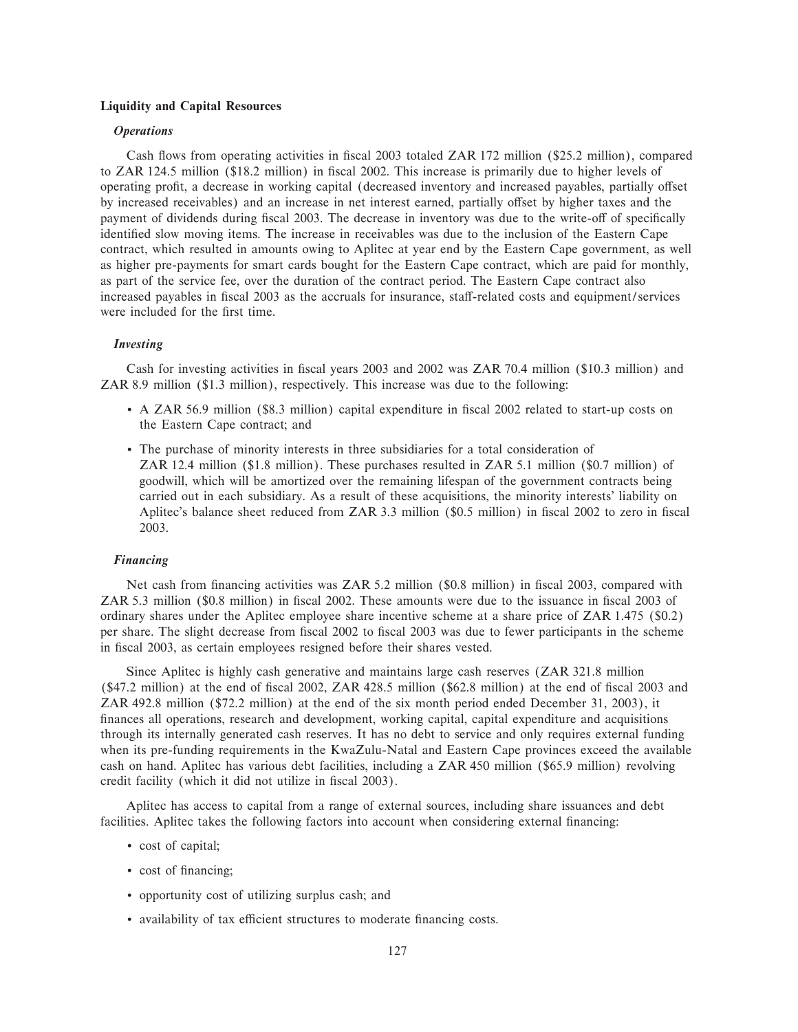# **Liquidity and Capital Resources**

# *Operations*

Cash flows from operating activities in fiscal 2003 totaled ZAR 172 million (\$25.2 million), compared to ZAR 124.5 million (\$18.2 million) in Ñscal 2002. This increase is primarily due to higher levels of operating profit, a decrease in working capital (decreased inventory and increased payables, partially offset by increased receivables) and an increase in net interest earned, partially offset by higher taxes and the payment of dividends during fiscal 2003. The decrease in inventory was due to the write-off of specifically identified slow moving items. The increase in receivables was due to the inclusion of the Eastern Cape contract, which resulted in amounts owing to Aplitec at year end by the Eastern Cape government, as well as higher pre-payments for smart cards bought for the Eastern Cape contract, which are paid for monthly, as part of the service fee, over the duration of the contract period. The Eastern Cape contract also increased payables in fiscal 2003 as the accruals for insurance, staff-related costs and equipment/services were included for the first time.

# *Investing*

Cash for investing activities in fiscal years 2003 and 2002 was ZAR 70.4 million (\$10.3 million) and ZAR 8.9 million (\$1.3 million), respectively. This increase was due to the following:

- A ZAR 56.9 million (\$8.3 million) capital expenditure in fiscal 2002 related to start-up costs on the Eastern Cape contract; and
- ' The purchase of minority interests in three subsidiaries for a total consideration of ZAR 12.4 million (\$1.8 million). These purchases resulted in ZAR 5.1 million (\$0.7 million) of goodwill, which will be amortized over the remaining lifespan of the government contracts being carried out in each subsidiary. As a result of these acquisitions, the minority interests' liability on Aplitec's balance sheet reduced from ZAR 3.3 million (\$0.5 million) in fiscal 2002 to zero in fiscal 2003.

# *Financing*

Net cash from financing activities was ZAR 5.2 million (\$0.8 million) in fiscal 2003, compared with ZAR 5.3 million (\$0.8 million) in fiscal 2002. These amounts were due to the issuance in fiscal 2003 of ordinary shares under the Aplitec employee share incentive scheme at a share price of ZAR 1.475 (\$0.2) per share. The slight decrease from Ñscal 2002 to Ñscal 2003 was due to fewer participants in the scheme in fiscal 2003, as certain employees resigned before their shares vested.

Since Aplitec is highly cash generative and maintains large cash reserves (ZAR 321.8 million (\$47.2 million) at the end of fiscal 2002, ZAR 428.5 million (\$62.8 million) at the end of fiscal 2003 and ZAR 492.8 million (\$72.2 million) at the end of the six month period ended December 31, 2003), it finances all operations, research and development, working capital, capital expenditure and acquisitions through its internally generated cash reserves. It has no debt to service and only requires external funding when its pre-funding requirements in the KwaZulu-Natal and Eastern Cape provinces exceed the available cash on hand. Aplitec has various debt facilities, including a ZAR 450 million (\$65.9 million) revolving credit facility (which it did not utilize in fiscal 2003).

Aplitec has access to capital from a range of external sources, including share issuances and debt facilities. Aplitec takes the following factors into account when considering external financing:

- ' cost of capital;
- cost of financing;
- ' opportunity cost of utilizing surplus cash; and
- availability of tax efficient structures to moderate financing costs.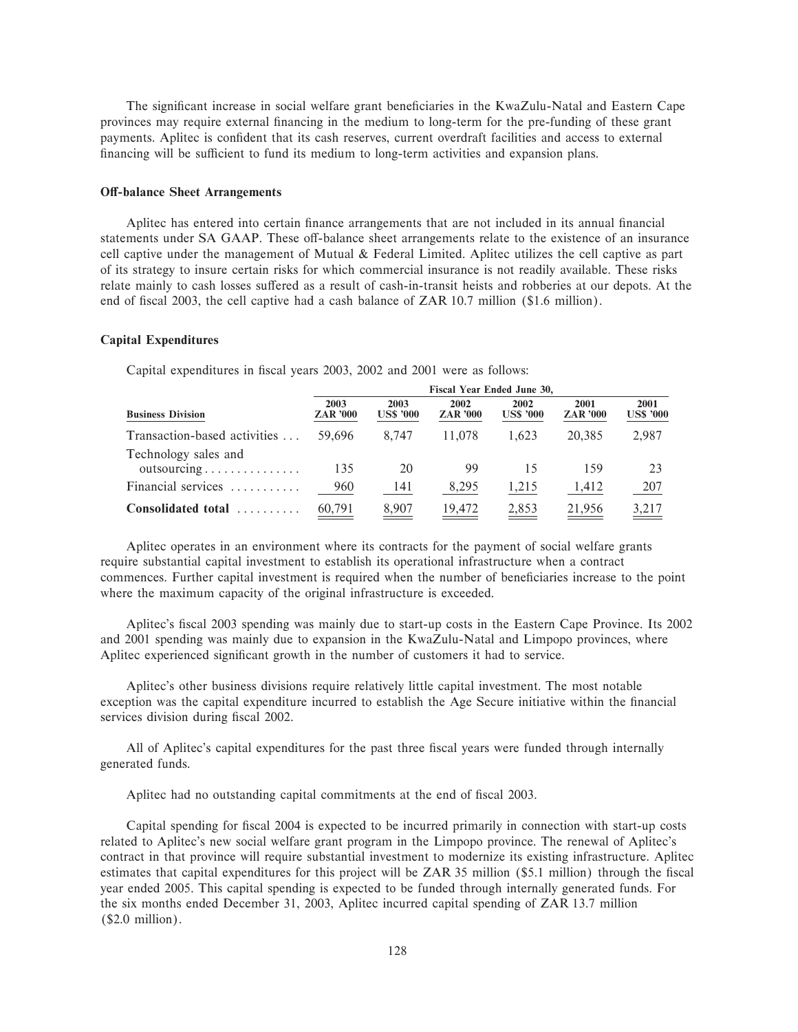The significant increase in social welfare grant beneficiaries in the KwaZulu-Natal and Eastern Cape provinces may require external Ñnancing in the medium to long-term for the pre-funding of these grant payments. Aplitec is confident that its cash reserves, current overdraft facilities and access to external financing will be sufficient to fund its medium to long-term activities and expansion plans.

# **Off-balance Sheet Arrangements**

Aplitec has entered into certain finance arrangements that are not included in its annual financial statements under SA GAAP. These off-balance sheet arrangements relate to the existence of an insurance cell captive under the management of Mutual & Federal Limited. Aplitec utilizes the cell captive as part of its strategy to insure certain risks for which commercial insurance is not readily available. These risks relate mainly to cash losses suffered as a result of cash-in-transit heists and robberies at our depots. At the end of fiscal 2003, the cell captive had a cash balance of ZAR 10.7 million (\$1.6 million).

# **Capital Expenditures**

Capital expenditures in fiscal years 2003, 2002 and 2001 were as follows:

| <b>Business Division</b>                                   | Fiscal Year Ended June 30, |                          |                         |                          |                         |                          |  |  |
|------------------------------------------------------------|----------------------------|--------------------------|-------------------------|--------------------------|-------------------------|--------------------------|--|--|
|                                                            | 2003<br><b>ZAR '000</b>    | 2003<br><b>US\$ '000</b> | 2002<br><b>ZAR '000</b> | 2002<br><b>US\$ '000</b> | 2001<br><b>ZAR</b> '000 | 2001<br><b>US\$ '000</b> |  |  |
| Transaction-based activities                               | 59.696                     | 8.747                    | 11,078                  | 1.623                    | 20.385                  | 2,987                    |  |  |
| Technology sales and<br>$outsourcing \ldots \ldots \ldots$ | 135                        | 20                       | 99                      | 15                       | 159                     | 23                       |  |  |
| Financial services                                         | 960                        | 141                      | 8,295                   | 1,215                    | 1,412                   | 207                      |  |  |
| Consolidated total                                         | $\underline{60,791}$       | 8,907                    | 19,472                  | $\frac{2,853}{2}$        | 21,956                  | <u>3,217</u>             |  |  |

Aplitec operates in an environment where its contracts for the payment of social welfare grants require substantial capital investment to establish its operational infrastructure when a contract commences. Further capital investment is required when the number of beneficiaries increase to the point where the maximum capacity of the original infrastructure is exceeded.

Aplitec's fiscal 2003 spending was mainly due to start-up costs in the Eastern Cape Province. Its 2002 and 2001 spending was mainly due to expansion in the KwaZulu-Natal and Limpopo provinces, where Aplitec experienced significant growth in the number of customers it had to service.

Aplitec's other business divisions require relatively little capital investment. The most notable exception was the capital expenditure incurred to establish the Age Secure initiative within the financial services division during fiscal 2002.

All of Aplitec's capital expenditures for the past three fiscal years were funded through internally generated funds.

Aplitec had no outstanding capital commitments at the end of fiscal 2003.

Capital spending for Ñscal 2004 is expected to be incurred primarily in connection with start-up costs related to Aplitec's new social welfare grant program in the Limpopo province. The renewal of Aplitec's contract in that province will require substantial investment to modernize its existing infrastructure. Aplitec estimates that capital expenditures for this project will be ZAR 35 million (\$5.1 million) through the fiscal year ended 2005. This capital spending is expected to be funded through internally generated funds. For the six months ended December 31, 2003, Aplitec incurred capital spending of ZAR 13.7 million (\$2.0 million).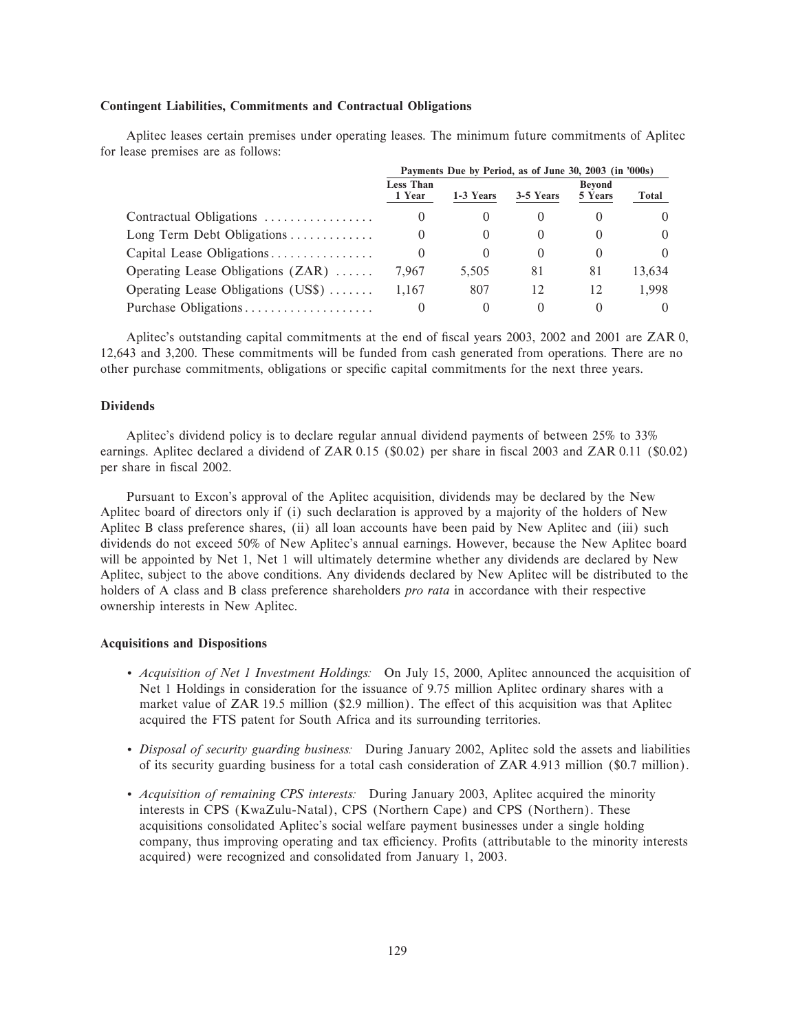# **Contingent Liabilities, Commitments and Contractual Obligations**

Aplitec leases certain premises under operating leases. The minimum future commitments of Aplitec for lease premises are as follows:

|                                     | Payments Due by Period, as of June 30, 2003 (in '000s) |           |           |                          |          |
|-------------------------------------|--------------------------------------------------------|-----------|-----------|--------------------------|----------|
|                                     | <b>Less Than</b><br>1 Year                             | 1-3 Years | 3-5 Years | <b>Bevond</b><br>5 Years | Total    |
| Contractual Obligations             | $\theta$                                               | $\theta$  | $\cup$    |                          |          |
| Long Term Debt Obligations          | $\theta$                                               | $\theta$  |           |                          | $\Omega$ |
| Capital Lease Obligations           | $\theta$                                               |           | $\theta$  |                          | 0        |
| Operating Lease Obligations $(ZAR)$ | 7.967                                                  | 5.505     | 81        | 81                       | 13,634   |
| Operating Lease Obligations (US\$)  | 1.167                                                  | 807       | 12        | 12                       | 1.998    |
| Purchase Obligations                | $\theta$                                               |           |           |                          | $\Omega$ |

Aplitec's outstanding capital commitments at the end of fiscal years 2003, 2002 and 2001 are ZAR 0, 12,643 and 3,200. These commitments will be funded from cash generated from operations. There are no other purchase commitments, obligations or specific capital commitments for the next three years.

# **Dividends**

Aplitec's dividend policy is to declare regular annual dividend payments of between 25% to 33% earnings. Aplitec declared a dividend of ZAR 0.15 (\$0.02) per share in fiscal 2003 and ZAR 0.11 (\$0.02) per share in fiscal 2002.

Pursuant to Excon's approval of the Aplitec acquisition, dividends may be declared by the New Aplitec board of directors only if (i) such declaration is approved by a majority of the holders of New Aplitec B class preference shares, (ii) all loan accounts have been paid by New Aplitec and (iii) such dividends do not exceed 50% of New Aplitec's annual earnings. However, because the New Aplitec board will be appointed by Net 1, Net 1 will ultimately determine whether any dividends are declared by New Aplitec, subject to the above conditions. Any dividends declared by New Aplitec will be distributed to the holders of A class and B class preference shareholders *pro rata* in accordance with their respective ownership interests in New Aplitec.

# **Acquisitions and Dispositions**

- ' *Acquisition of Net 1 Investment Holdings:* On July 15, 2000, Aplitec announced the acquisition of Net 1 Holdings in consideration for the issuance of 9.75 million Aplitec ordinary shares with a market value of ZAR 19.5 million (\$2.9 million). The effect of this acquisition was that Aplitec acquired the FTS patent for South Africa and its surrounding territories.
- ' *Disposal of security guarding business:* During January 2002, Aplitec sold the assets and liabilities of its security guarding business for a total cash consideration of ZAR 4.913 million (\$0.7 million).
- ' *Acquisition of remaining CPS interests:* During January 2003, Aplitec acquired the minority interests in CPS (KwaZulu-Natal), CPS (Northern Cape) and CPS (Northern). These acquisitions consolidated Aplitec's social welfare payment businesses under a single holding company, thus improving operating and tax efficiency. Profits (attributable to the minority interests acquired) were recognized and consolidated from January 1, 2003.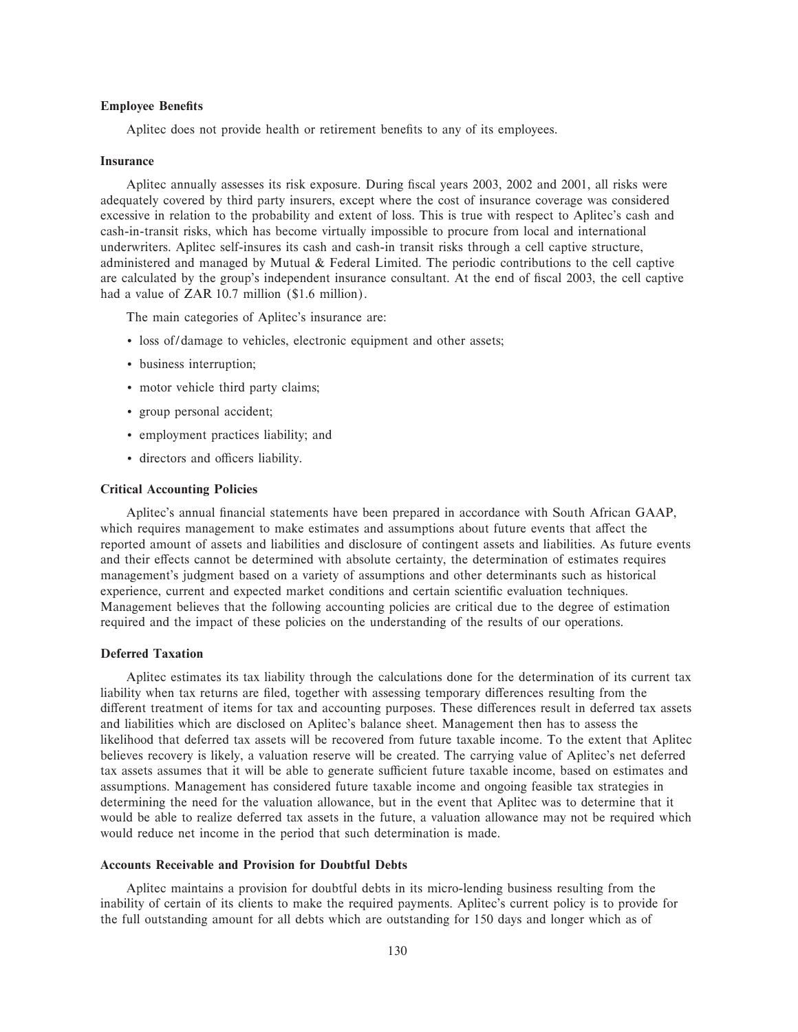# **Employee Benefits**

Aplitec does not provide health or retirement benefits to any of its employees.

#### **Insurance**

Aplitec annually assesses its risk exposure. During fiscal years 2003, 2002 and 2001, all risks were adequately covered by third party insurers, except where the cost of insurance coverage was considered excessive in relation to the probability and extent of loss. This is true with respect to Aplitec's cash and cash-in-transit risks, which has become virtually impossible to procure from local and international underwriters. Aplitec self-insures its cash and cash-in transit risks through a cell captive structure, administered and managed by Mutual  $\&$  Federal Limited. The periodic contributions to the cell captive are calculated by the group's independent insurance consultant. At the end of fiscal 2003, the cell captive had a value of ZAR 10.7 million (\$1.6 million).

The main categories of Aplitec's insurance are:

- ' loss of/damage to vehicles, electronic equipment and other assets;
- ' business interruption;
- ' motor vehicle third party claims;
- ' group personal accident;
- ' employment practices liability; and
- $\bullet$  directors and officers liability.

# **Critical Accounting Policies**

Aplitec's annual financial statements have been prepared in accordance with South African GAAP, which requires management to make estimates and assumptions about future events that affect the reported amount of assets and liabilities and disclosure of contingent assets and liabilities. As future events and their effects cannot be determined with absolute certainty, the determination of estimates requires management's judgment based on a variety of assumptions and other determinants such as historical experience, current and expected market conditions and certain scientific evaluation techniques. Management believes that the following accounting policies are critical due to the degree of estimation required and the impact of these policies on the understanding of the results of our operations.

### **Deferred Taxation**

Aplitec estimates its tax liability through the calculations done for the determination of its current tax liability when tax returns are filed, together with assessing temporary differences resulting from the different treatment of items for tax and accounting purposes. These differences result in deferred tax assets and liabilities which are disclosed on Aplitec's balance sheet. Management then has to assess the likelihood that deferred tax assets will be recovered from future taxable income. To the extent that Aplitec believes recovery is likely, a valuation reserve will be created. The carrying value of Aplitec's net deferred tax assets assumes that it will be able to generate sufficient future taxable income, based on estimates and assumptions. Management has considered future taxable income and ongoing feasible tax strategies in determining the need for the valuation allowance, but in the event that Aplitec was to determine that it would be able to realize deferred tax assets in the future, a valuation allowance may not be required which would reduce net income in the period that such determination is made.

#### **Accounts Receivable and Provision for Doubtful Debts**

Aplitec maintains a provision for doubtful debts in its micro-lending business resulting from the inability of certain of its clients to make the required payments. Aplitec's current policy is to provide for the full outstanding amount for all debts which are outstanding for 150 days and longer which as of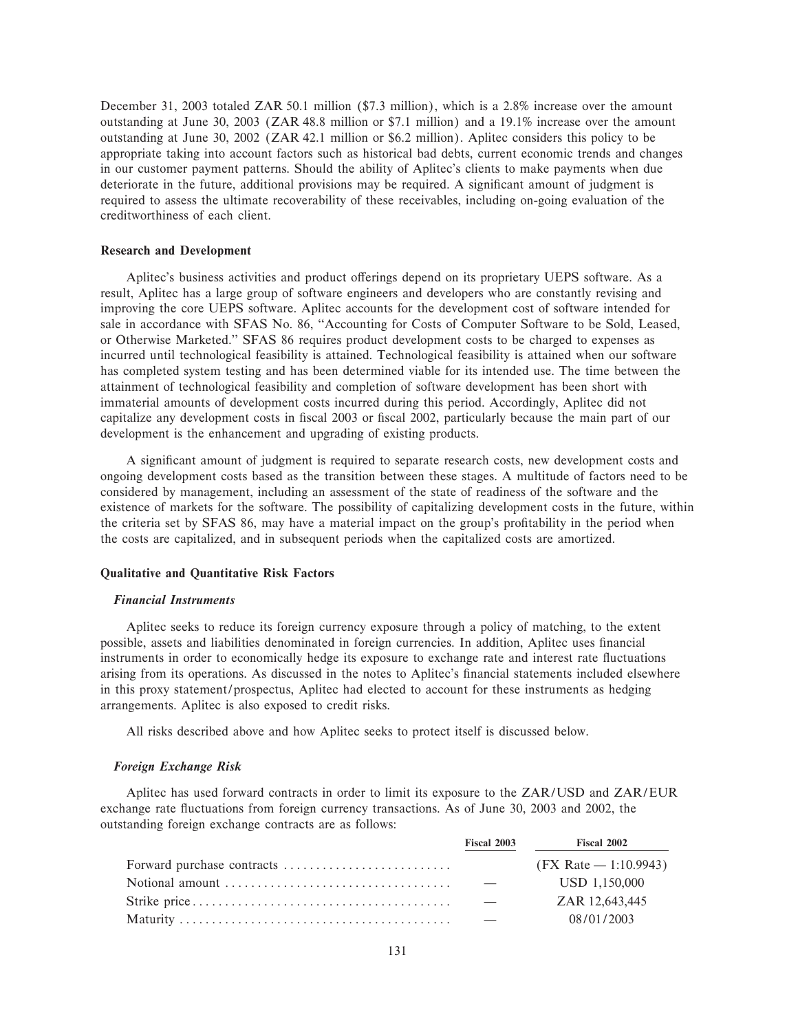December 31, 2003 totaled ZAR 50.1 million (\$7.3 million), which is a 2.8% increase over the amount outstanding at June 30, 2003 (ZAR 48.8 million or \$7.1 million) and a 19.1% increase over the amount outstanding at June 30, 2002 (ZAR 42.1 million or \$6.2 million). Aplitec considers this policy to be appropriate taking into account factors such as historical bad debts, current economic trends and changes in our customer payment patterns. Should the ability of Aplitec's clients to make payments when due deteriorate in the future, additional provisions may be required. A significant amount of judgment is required to assess the ultimate recoverability of these receivables, including on-going evaluation of the creditworthiness of each client.

## **Research and Development**

Aplitec's business activities and product offerings depend on its proprietary UEPS software. As a result, Aplitec has a large group of software engineers and developers who are constantly revising and improving the core UEPS software. Aplitec accounts for the development cost of software intended for sale in accordance with SFAS No. 86, "Accounting for Costs of Computer Software to be Sold, Leased, or Otherwise Marketed.'' SFAS 86 requires product development costs to be charged to expenses as incurred until technological feasibility is attained. Technological feasibility is attained when our software has completed system testing and has been determined viable for its intended use. The time between the attainment of technological feasibility and completion of software development has been short with immaterial amounts of development costs incurred during this period. Accordingly, Aplitec did not capitalize any development costs in fiscal 2003 or fiscal 2002, particularly because the main part of our development is the enhancement and upgrading of existing products.

A significant amount of judgment is required to separate research costs, new development costs and ongoing development costs based as the transition between these stages. A multitude of factors need to be considered by management, including an assessment of the state of readiness of the software and the existence of markets for the software. The possibility of capitalizing development costs in the future, within the criteria set by SFAS 86, may have a material impact on the group's profitability in the period when the costs are capitalized, and in subsequent periods when the capitalized costs are amortized.

## **Qualitative and Quantitative Risk Factors**

#### *Financial Instruments*

Aplitec seeks to reduce its foreign currency exposure through a policy of matching, to the extent possible, assets and liabilities denominated in foreign currencies. In addition, Aplitec uses financial instruments in order to economically hedge its exposure to exchange rate and interest rate fluctuations arising from its operations. As discussed in the notes to Aplitec's financial statements included elsewhere in this proxy statement/prospectus, Aplitec had elected to account for these instruments as hedging arrangements. Aplitec is also exposed to credit risks.

All risks described above and how Aplitec seeks to protect itself is discussed below.

# *Foreign Exchange Risk*

Aplitec has used forward contracts in order to limit its exposure to the ZAR/USD and ZAR/EUR exchange rate fluctuations from foreign currency transactions. As of June 30, 2003 and 2002, the outstanding foreign exchange contracts are as follows:

| Fiscal 2003 | <b>Fiscal 2002</b>      |
|-------------|-------------------------|
|             | $(FX Rate - 1:10.9943)$ |
|             | USD 1.150,000           |
|             | ZAR 12.643.445          |
|             | 08/01/2003              |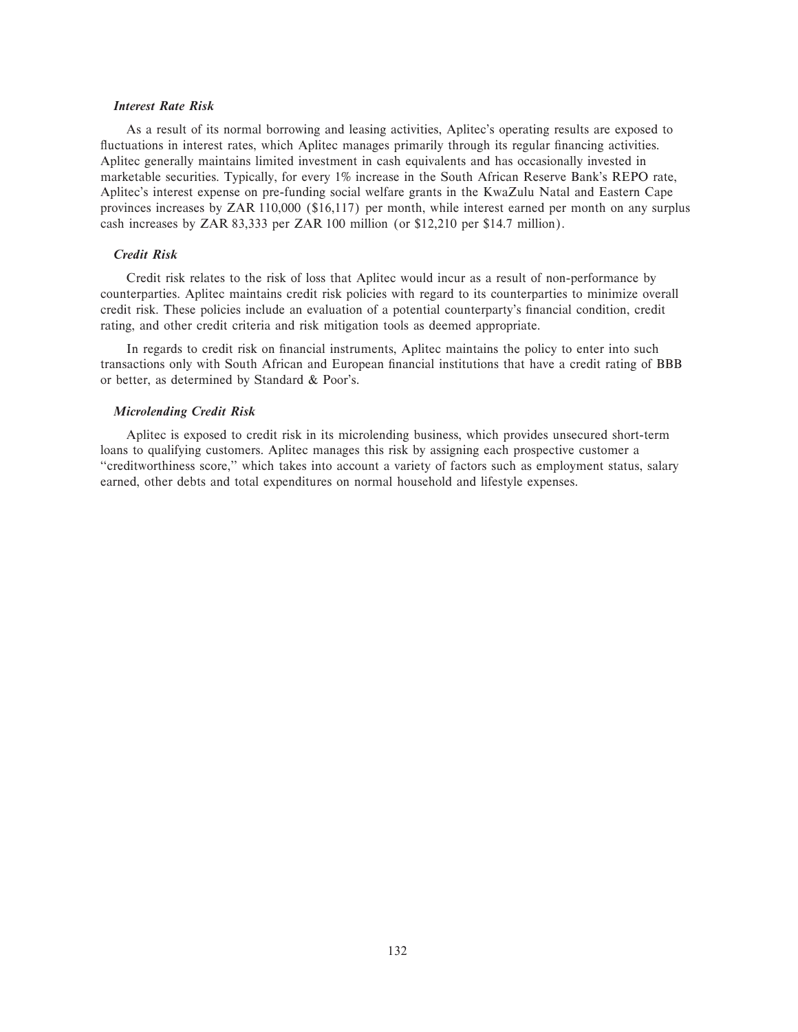# *Interest Rate Risk*

As a result of its normal borrowing and leasing activities, Aplitec's operating results are exposed to fluctuations in interest rates, which Aplitec manages primarily through its regular financing activities. Aplitec generally maintains limited investment in cash equivalents and has occasionally invested in marketable securities. Typically, for every 1% increase in the South African Reserve Bank's REPO rate, Aplitec's interest expense on pre-funding social welfare grants in the KwaZulu Natal and Eastern Cape provinces increases by ZAR 110,000 (\$16,117) per month, while interest earned per month on any surplus cash increases by ZAR 83,333 per ZAR 100 million (or \$12,210 per \$14.7 million).

# *Credit Risk*

Credit risk relates to the risk of loss that Aplitec would incur as a result of non-performance by counterparties. Aplitec maintains credit risk policies with regard to its counterparties to minimize overall credit risk. These policies include an evaluation of a potential counterparty's financial condition, credit rating, and other credit criteria and risk mitigation tools as deemed appropriate.

In regards to credit risk on financial instruments, Aplitec maintains the policy to enter into such transactions only with South African and European financial institutions that have a credit rating of BBB or better, as determined by Standard & Poor's.

# *Microlending Credit Risk*

Aplitec is exposed to credit risk in its microlending business, which provides unsecured short-term loans to qualifying customers. Aplitec manages this risk by assigning each prospective customer a "creditworthiness score," which takes into account a variety of factors such as employment status, salary earned, other debts and total expenditures on normal household and lifestyle expenses.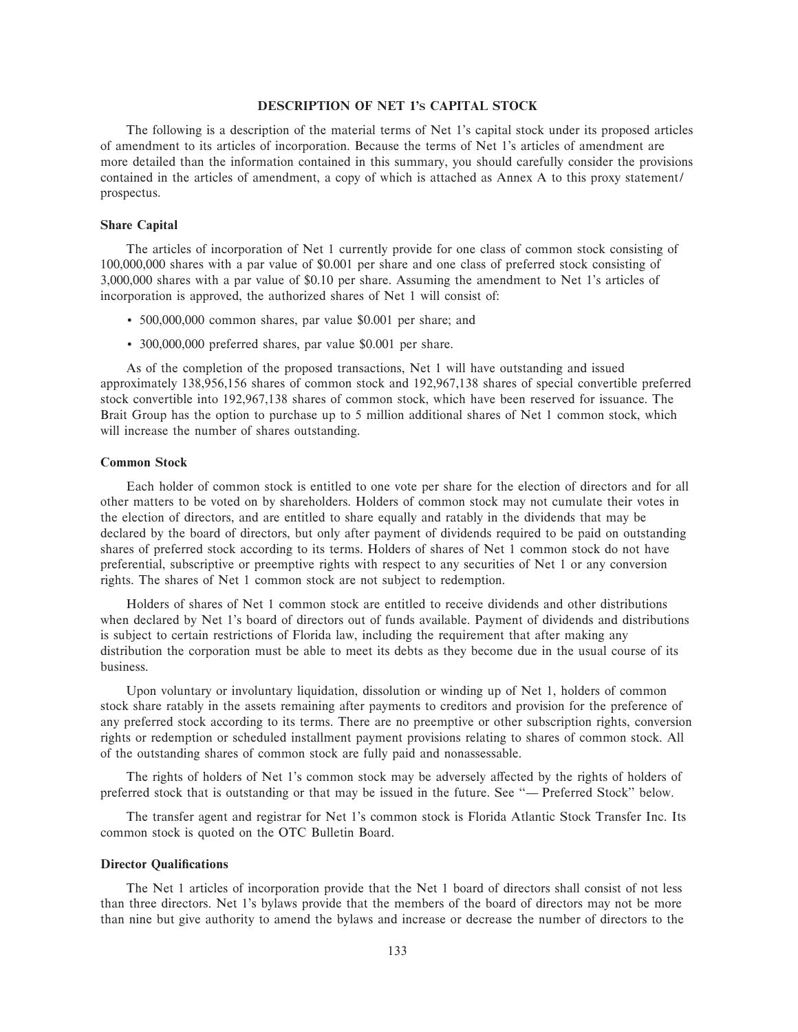# **DESCRIPTION OF NET 1'S CAPITAL STOCK**

The following is a description of the material terms of Net 1's capital stock under its proposed articles of amendment to its articles of incorporation. Because the terms of Net 1's articles of amendment are more detailed than the information contained in this summary, you should carefully consider the provisions contained in the articles of amendment, a copy of which is attached as Annex A to this proxy statement/ prospectus.

### **Share Capital**

The articles of incorporation of Net 1 currently provide for one class of common stock consisting of 100,000,000 shares with a par value of \$0.001 per share and one class of preferred stock consisting of 3,000,000 shares with a par value of \$0.10 per share. Assuming the amendment to Net 1's articles of incorporation is approved, the authorized shares of Net 1 will consist of:

- ' 500,000,000 common shares, par value \$0.001 per share; and
- ' 300,000,000 preferred shares, par value \$0.001 per share.

As of the completion of the proposed transactions, Net 1 will have outstanding and issued approximately 138,956,156 shares of common stock and 192,967,138 shares of special convertible preferred stock convertible into 192,967,138 shares of common stock, which have been reserved for issuance. The Brait Group has the option to purchase up to 5 million additional shares of Net 1 common stock, which will increase the number of shares outstanding.

### **Common Stock**

Each holder of common stock is entitled to one vote per share for the election of directors and for all other matters to be voted on by shareholders. Holders of common stock may not cumulate their votes in the election of directors, and are entitled to share equally and ratably in the dividends that may be declared by the board of directors, but only after payment of dividends required to be paid on outstanding shares of preferred stock according to its terms. Holders of shares of Net 1 common stock do not have preferential, subscriptive or preemptive rights with respect to any securities of Net 1 or any conversion rights. The shares of Net 1 common stock are not subject to redemption.

Holders of shares of Net 1 common stock are entitled to receive dividends and other distributions when declared by Net 1's board of directors out of funds available. Payment of dividends and distributions is subject to certain restrictions of Florida law, including the requirement that after making any distribution the corporation must be able to meet its debts as they become due in the usual course of its business.

Upon voluntary or involuntary liquidation, dissolution or winding up of Net 1, holders of common stock share ratably in the assets remaining after payments to creditors and provision for the preference of any preferred stock according to its terms. There are no preemptive or other subscription rights, conversion rights or redemption or scheduled installment payment provisions relating to shares of common stock. All of the outstanding shares of common stock are fully paid and nonassessable.

The rights of holders of Net 1's common stock may be adversely affected by the rights of holders of preferred stock that is outstanding or that may be issued in the future. See "— Preferred Stock" below.

The transfer agent and registrar for Net 1's common stock is Florida Atlantic Stock Transfer Inc. Its common stock is quoted on the OTC Bulletin Board.

# **Director Qualifications**

The Net 1 articles of incorporation provide that the Net 1 board of directors shall consist of not less than three directors. Net 1's bylaws provide that the members of the board of directors may not be more than nine but give authority to amend the bylaws and increase or decrease the number of directors to the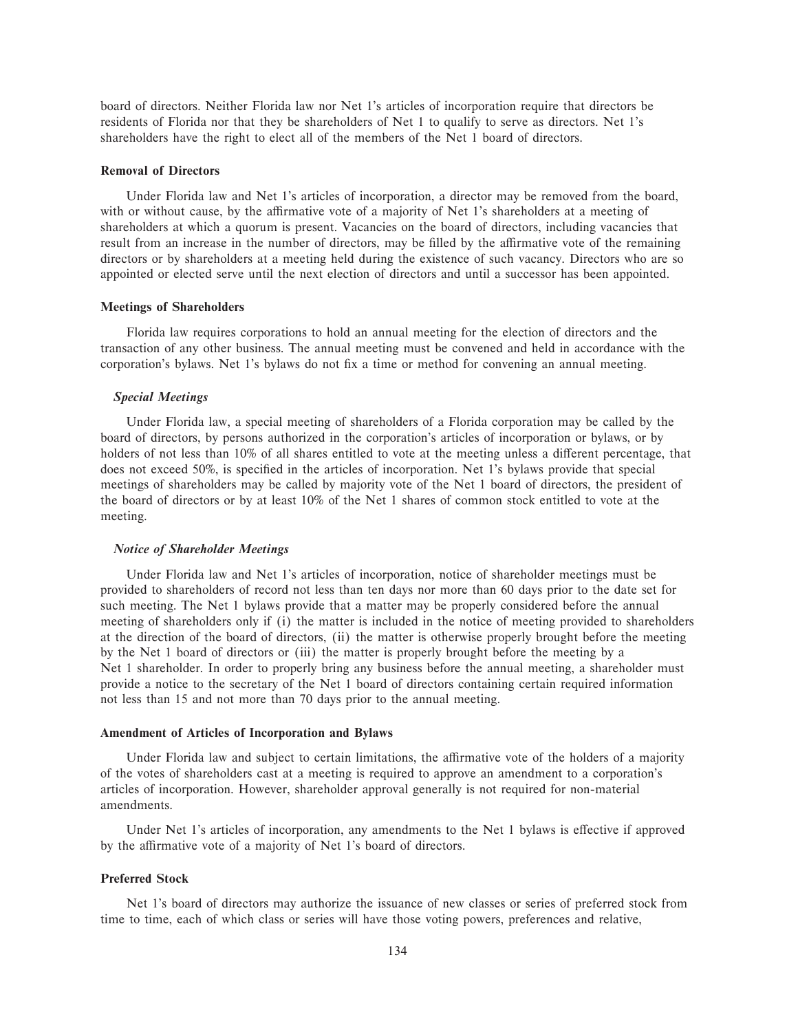board of directors. Neither Florida law nor Net 1's articles of incorporation require that directors be residents of Florida nor that they be shareholders of Net 1 to qualify to serve as directors. Net 1's shareholders have the right to elect all of the members of the Net 1 board of directors.

# **Removal of Directors**

Under Florida law and Net 1's articles of incorporation, a director may be removed from the board, with or without cause, by the affirmative vote of a majority of Net 1's shareholders at a meeting of shareholders at which a quorum is present. Vacancies on the board of directors, including vacancies that result from an increase in the number of directors, may be filled by the affirmative vote of the remaining directors or by shareholders at a meeting held during the existence of such vacancy. Directors who are so appointed or elected serve until the next election of directors and until a successor has been appointed.

# **Meetings of Shareholders**

Florida law requires corporations to hold an annual meeting for the election of directors and the transaction of any other business. The annual meeting must be convened and held in accordance with the corporation's bylaws. Net 1's bylaws do not fix a time or method for convening an annual meeting.

### *Special Meetings*

Under Florida law, a special meeting of shareholders of a Florida corporation may be called by the board of directors, by persons authorized in the corporation's articles of incorporation or bylaws, or by holders of not less than 10% of all shares entitled to vote at the meeting unless a different percentage, that does not exceed 50%, is specified in the articles of incorporation. Net 1's bylaws provide that special meetings of shareholders may be called by majority vote of the Net 1 board of directors, the president of the board of directors or by at least 10% of the Net 1 shares of common stock entitled to vote at the meeting.

#### *Notice of Shareholder Meetings*

Under Florida law and Net 1's articles of incorporation, notice of shareholder meetings must be provided to shareholders of record not less than ten days nor more than 60 days prior to the date set for such meeting. The Net 1 bylaws provide that a matter may be properly considered before the annual meeting of shareholders only if (i) the matter is included in the notice of meeting provided to shareholders at the direction of the board of directors, (ii) the matter is otherwise properly brought before the meeting by the Net 1 board of directors or (iii) the matter is properly brought before the meeting by a Net 1 shareholder. In order to properly bring any business before the annual meeting, a shareholder must provide a notice to the secretary of the Net 1 board of directors containing certain required information not less than 15 and not more than 70 days prior to the annual meeting.

#### **Amendment of Articles of Incorporation and Bylaws**

Under Florida law and subject to certain limitations, the affirmative vote of the holders of a majority of the votes of shareholders cast at a meeting is required to approve an amendment to a corporation's articles of incorporation. However, shareholder approval generally is not required for non-material amendments.

Under Net 1's articles of incorporation, any amendments to the Net 1 bylaws is effective if approved by the affirmative vote of a majority of Net 1's board of directors.

# **Preferred Stock**

Net 1's board of directors may authorize the issuance of new classes or series of preferred stock from time to time, each of which class or series will have those voting powers, preferences and relative,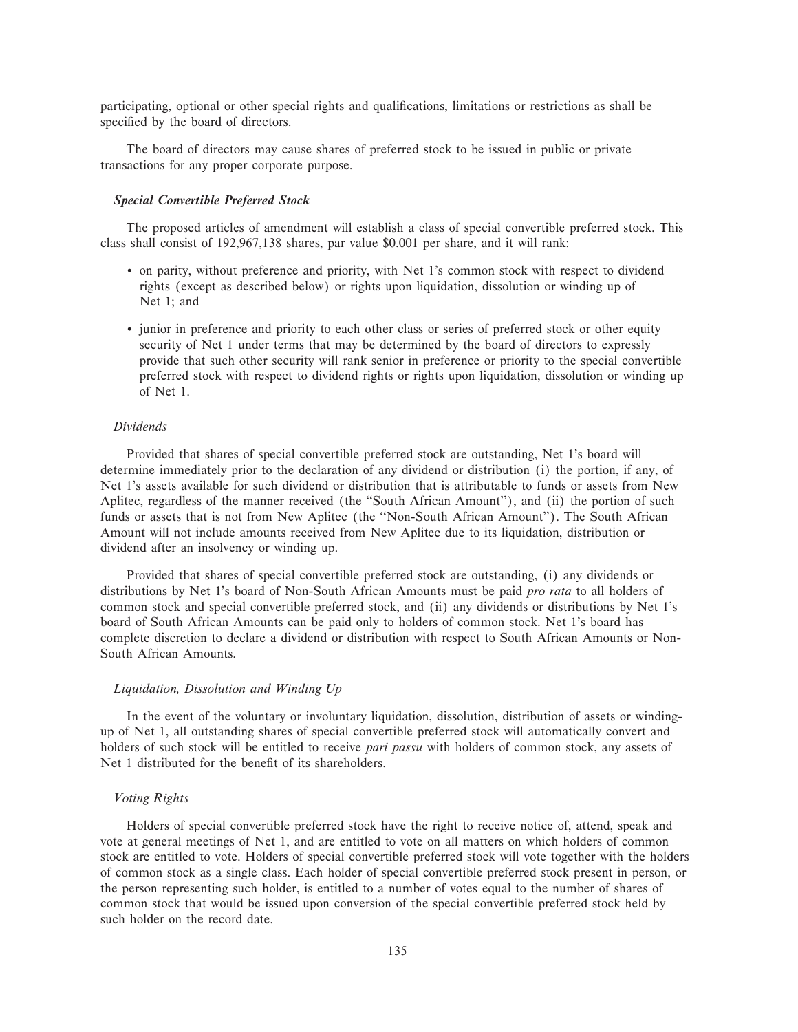participating, optional or other special rights and qualifications, limitations or restrictions as shall be specified by the board of directors.

The board of directors may cause shares of preferred stock to be issued in public or private transactions for any proper corporate purpose.

# *Special Convertible Preferred Stock*

The proposed articles of amendment will establish a class of special convertible preferred stock. This class shall consist of 192,967,138 shares, par value \$0.001 per share, and it will rank:

- ' on parity, without preference and priority, with Net 1's common stock with respect to dividend rights (except as described below) or rights upon liquidation, dissolution or winding up of Net 1; and
- ' junior in preference and priority to each other class or series of preferred stock or other equity security of Net 1 under terms that may be determined by the board of directors to expressly provide that such other security will rank senior in preference or priority to the special convertible preferred stock with respect to dividend rights or rights upon liquidation, dissolution or winding up of Net 1.

#### *Dividends*

Provided that shares of special convertible preferred stock are outstanding, Net 1's board will determine immediately prior to the declaration of any dividend or distribution (i) the portion, if any, of Net 1's assets available for such dividend or distribution that is attributable to funds or assets from New Aplitec, regardless of the manner received (the "South African Amount"), and (ii) the portion of such funds or assets that is not from New Aplitec (the "Non-South African Amount"). The South African Amount will not include amounts received from New Aplitec due to its liquidation, distribution or dividend after an insolvency or winding up.

Provided that shares of special convertible preferred stock are outstanding, (i) any dividends or distributions by Net 1's board of Non-South African Amounts must be paid *pro rata* to all holders of common stock and special convertible preferred stock, and (ii) any dividends or distributions by Net 1's board of South African Amounts can be paid only to holders of common stock. Net 1's board has complete discretion to declare a dividend or distribution with respect to South African Amounts or Non-South African Amounts.

# *Liquidation, Dissolution and Winding Up*

In the event of the voluntary or involuntary liquidation, dissolution, distribution of assets or windingup of Net 1, all outstanding shares of special convertible preferred stock will automatically convert and holders of such stock will be entitled to receive *pari passu* with holders of common stock, any assets of Net 1 distributed for the benefit of its shareholders.

### *Voting Rights*

Holders of special convertible preferred stock have the right to receive notice of, attend, speak and vote at general meetings of Net 1, and are entitled to vote on all matters on which holders of common stock are entitled to vote. Holders of special convertible preferred stock will vote together with the holders of common stock as a single class. Each holder of special convertible preferred stock present in person, or the person representing such holder, is entitled to a number of votes equal to the number of shares of common stock that would be issued upon conversion of the special convertible preferred stock held by such holder on the record date.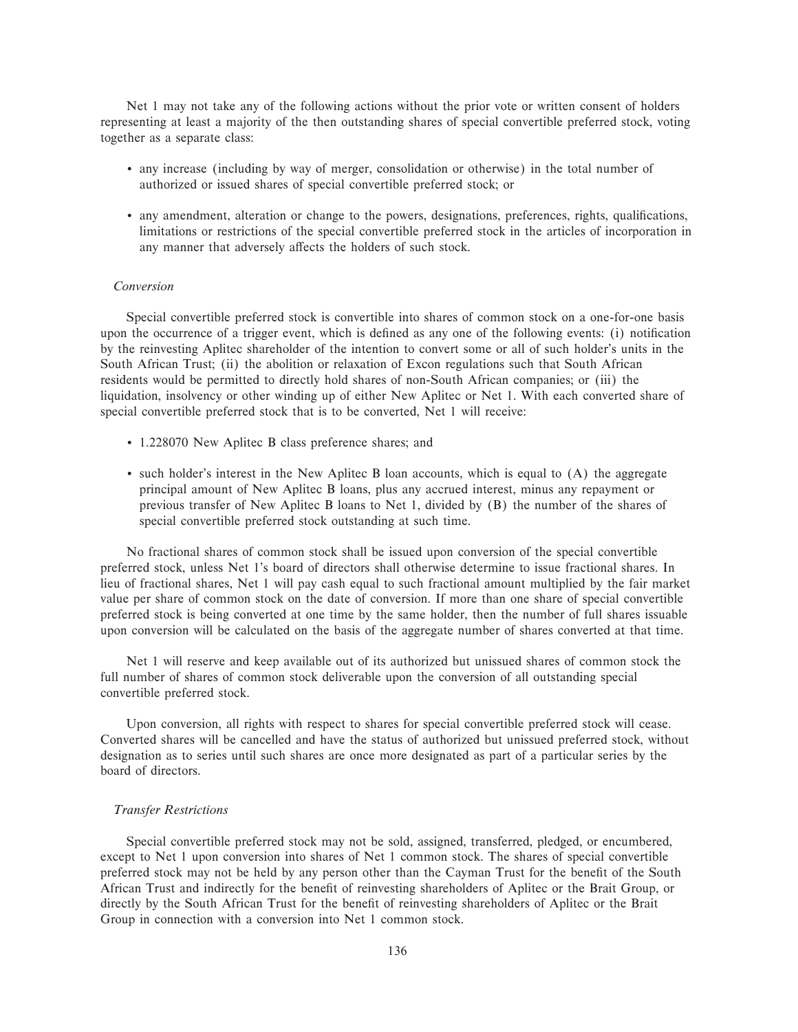Net 1 may not take any of the following actions without the prior vote or written consent of holders representing at least a majority of the then outstanding shares of special convertible preferred stock, voting together as a separate class:

- ' any increase (including by way of merger, consolidation or otherwise) in the total number of authorized or issued shares of special convertible preferred stock; or
- any amendment, alteration or change to the powers, designations, preferences, rights, qualifications, limitations or restrictions of the special convertible preferred stock in the articles of incorporation in any manner that adversely affects the holders of such stock.

# *Conversion*

Special convertible preferred stock is convertible into shares of common stock on a one-for-one basis upon the occurrence of a trigger event, which is defined as any one of the following events: (i) notification by the reinvesting Aplitec shareholder of the intention to convert some or all of such holder's units in the South African Trust; (ii) the abolition or relaxation of Excon regulations such that South African residents would be permitted to directly hold shares of non-South African companies; or (iii) the liquidation, insolvency or other winding up of either New Aplitec or Net 1. With each converted share of special convertible preferred stock that is to be converted, Net 1 will receive:

- ' 1.228070 New Aplitec B class preference shares; and
- ' such holder's interest in the New Aplitec B loan accounts, which is equal to (A) the aggregate principal amount of New Aplitec B loans, plus any accrued interest, minus any repayment or previous transfer of New Aplitec B loans to Net 1, divided by (B) the number of the shares of special convertible preferred stock outstanding at such time.

No fractional shares of common stock shall be issued upon conversion of the special convertible preferred stock, unless Net 1's board of directors shall otherwise determine to issue fractional shares. In lieu of fractional shares, Net 1 will pay cash equal to such fractional amount multiplied by the fair market value per share of common stock on the date of conversion. If more than one share of special convertible preferred stock is being converted at one time by the same holder, then the number of full shares issuable upon conversion will be calculated on the basis of the aggregate number of shares converted at that time.

Net 1 will reserve and keep available out of its authorized but unissued shares of common stock the full number of shares of common stock deliverable upon the conversion of all outstanding special convertible preferred stock.

Upon conversion, all rights with respect to shares for special convertible preferred stock will cease. Converted shares will be cancelled and have the status of authorized but unissued preferred stock, without designation as to series until such shares are once more designated as part of a particular series by the board of directors.

# *Transfer Restrictions*

Special convertible preferred stock may not be sold, assigned, transferred, pledged, or encumbered, except to Net 1 upon conversion into shares of Net 1 common stock. The shares of special convertible preferred stock may not be held by any person other than the Cayman Trust for the benefit of the South African Trust and indirectly for the benefit of reinvesting shareholders of Aplitec or the Brait Group, or directly by the South African Trust for the benefit of reinvesting shareholders of Aplitec or the Brait Group in connection with a conversion into Net 1 common stock.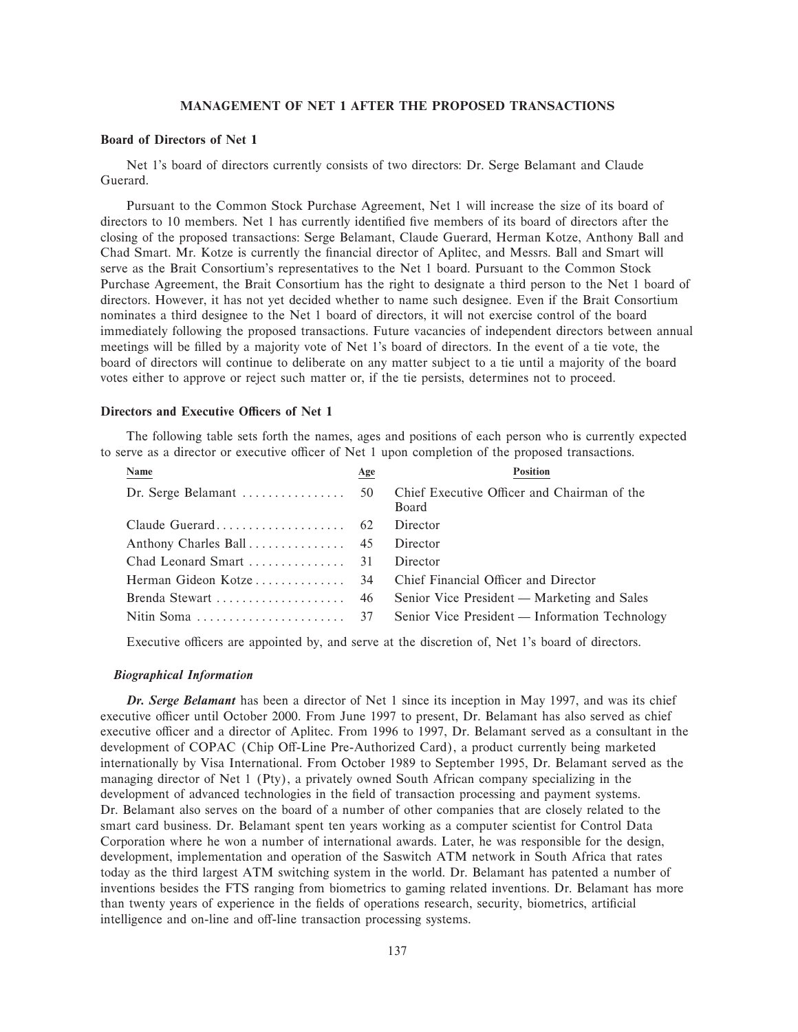# **MANAGEMENT OF NET 1 AFTER THE PROPOSED TRANSACTIONS**

# **Board of Directors of Net 1**

Net 1's board of directors currently consists of two directors: Dr. Serge Belamant and Claude Guerard.

Pursuant to the Common Stock Purchase Agreement, Net 1 will increase the size of its board of directors to 10 members. Net 1 has currently identified five members of its board of directors after the closing of the proposed transactions: Serge Belamant, Claude Guerard, Herman Kotze, Anthony Ball and Chad Smart. Mr. Kotze is currently the financial director of Aplitec, and Messrs. Ball and Smart will serve as the Brait Consortium's representatives to the Net 1 board. Pursuant to the Common Stock Purchase Agreement, the Brait Consortium has the right to designate a third person to the Net 1 board of directors. However, it has not yet decided whether to name such designee. Even if the Brait Consortium nominates a third designee to the Net 1 board of directors, it will not exercise control of the board immediately following the proposed transactions. Future vacancies of independent directors between annual meetings will be filled by a majority vote of Net 1's board of directors. In the event of a tie vote, the board of directors will continue to deliberate on any matter subject to a tie until a majority of the board votes either to approve or reject such matter or, if the tie persists, determines not to proceed.

# **Directors and Executive Officers of Net 1**

The following table sets forth the names, ages and positions of each person who is currently expected to serve as a director or executive officer of Net 1 upon completion of the proposed transactions.

| Name | Age | <b>Position</b>                                      |
|------|-----|------------------------------------------------------|
|      |     | Chief Executive Officer and Chairman of the<br>Board |
|      |     | Director                                             |
|      |     | Director                                             |
|      |     | Director                                             |
|      |     |                                                      |
|      |     | Senior Vice President — Marketing and Sales          |
|      |     | Senior Vice President — Information Technology       |

Executive officers are appointed by, and serve at the discretion of, Net 1's board of directors.

# *Biographical Information*

*Dr. Serge Belamant* has been a director of Net 1 since its inception in May 1997, and was its chief executive officer until October 2000. From June 1997 to present, Dr. Belamant has also served as chief executive officer and a director of Aplitec. From 1996 to 1997, Dr. Belamant served as a consultant in the development of COPAC (Chip Off-Line Pre-Authorized Card), a product currently being marketed internationally by Visa International. From October 1989 to September 1995, Dr. Belamant served as the managing director of Net 1 (Pty), a privately owned South African company specializing in the development of advanced technologies in the field of transaction processing and payment systems. Dr. Belamant also serves on the board of a number of other companies that are closely related to the smart card business. Dr. Belamant spent ten years working as a computer scientist for Control Data Corporation where he won a number of international awards. Later, he was responsible for the design, development, implementation and operation of the Saswitch ATM network in South Africa that rates today as the third largest ATM switching system in the world. Dr. Belamant has patented a number of inventions besides the FTS ranging from biometrics to gaming related inventions. Dr. Belamant has more than twenty years of experience in the fields of operations research, security, biometrics, artificial intelligence and on-line and off-line transaction processing systems.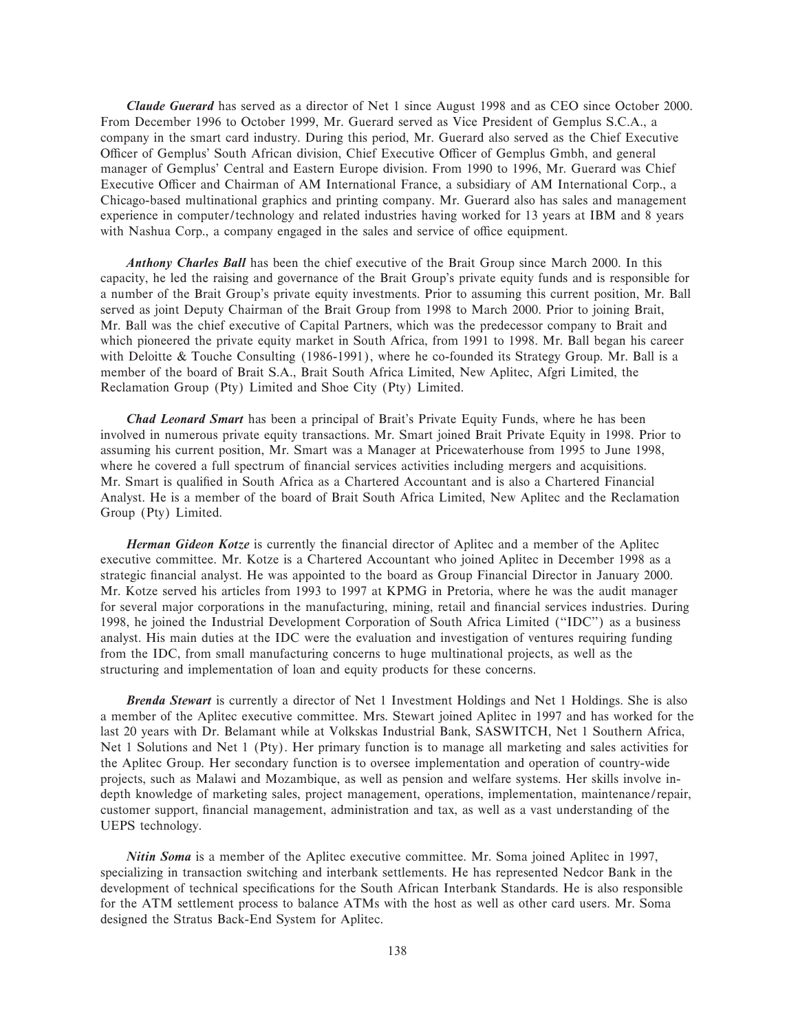*Claude Guerard* has served as a director of Net 1 since August 1998 and as CEO since October 2000. From December 1996 to October 1999, Mr. Guerard served as Vice President of Gemplus S.C.A., a company in the smart card industry. During this period, Mr. Guerard also served as the Chief Executive Officer of Gemplus' South African division, Chief Executive Officer of Gemplus Gmbh, and general manager of Gemplus' Central and Eastern Europe division. From 1990 to 1996, Mr. Guerard was Chief Executive Officer and Chairman of AM International France, a subsidiary of AM International Corp., a Chicago-based multinational graphics and printing company. Mr. Guerard also has sales and management experience in computer/technology and related industries having worked for 13 years at IBM and 8 years with Nashua Corp., a company engaged in the sales and service of office equipment.

*Anthony Charles Ball* has been the chief executive of the Brait Group since March 2000. In this capacity, he led the raising and governance of the Brait Group's private equity funds and is responsible for a number of the Brait Group's private equity investments. Prior to assuming this current position, Mr. Ball served as joint Deputy Chairman of the Brait Group from 1998 to March 2000. Prior to joining Brait, Mr. Ball was the chief executive of Capital Partners, which was the predecessor company to Brait and which pioneered the private equity market in South Africa, from 1991 to 1998. Mr. Ball began his career with Deloitte & Touche Consulting (1986-1991), where he co-founded its Strategy Group. Mr. Ball is a member of the board of Brait S.A., Brait South Africa Limited, New Aplitec, Afgri Limited, the Reclamation Group (Pty) Limited and Shoe City (Pty) Limited.

*Chad Leonard Smart* has been a principal of Brait's Private Equity Funds, where he has been involved in numerous private equity transactions. Mr. Smart joined Brait Private Equity in 1998. Prior to assuming his current position, Mr. Smart was a Manager at Pricewaterhouse from 1995 to June 1998, where he covered a full spectrum of financial services activities including mergers and acquisitions. Mr. Smart is qualified in South Africa as a Chartered Accountant and is also a Chartered Financial Analyst. He is a member of the board of Brait South Africa Limited, New Aplitec and the Reclamation Group (Pty) Limited.

*Herman Gideon Kotze* is currently the financial director of Aplitec and a member of the Aplitec executive committee. Mr. Kotze is a Chartered Accountant who joined Aplitec in December 1998 as a strategic financial analyst. He was appointed to the board as Group Financial Director in January 2000. Mr. Kotze served his articles from 1993 to 1997 at KPMG in Pretoria, where he was the audit manager for several major corporations in the manufacturing, mining, retail and financial services industries. During 1998, he joined the Industrial Development Corporation of South Africa Limited (""IDC'') as a business analyst. His main duties at the IDC were the evaluation and investigation of ventures requiring funding from the IDC, from small manufacturing concerns to huge multinational projects, as well as the structuring and implementation of loan and equity products for these concerns.

*Brenda Stewart* is currently a director of Net 1 Investment Holdings and Net 1 Holdings. She is also a member of the Aplitec executive committee. Mrs. Stewart joined Aplitec in 1997 and has worked for the last 20 years with Dr. Belamant while at Volkskas Industrial Bank, SASWITCH, Net 1 Southern Africa, Net 1 Solutions and Net 1 (Pty). Her primary function is to manage all marketing and sales activities for the Aplitec Group. Her secondary function is to oversee implementation and operation of country-wide projects, such as Malawi and Mozambique, as well as pension and welfare systems. Her skills involve indepth knowledge of marketing sales, project management, operations, implementation, maintenance/repair, customer support, financial management, administration and tax, as well as a vast understanding of the UEPS technology.

*Nitin Soma* is a member of the Aplitec executive committee. Mr. Soma joined Aplitec in 1997, specializing in transaction switching and interbank settlements. He has represented Nedcor Bank in the development of technical specifications for the South African Interbank Standards. He is also responsible for the ATM settlement process to balance ATMs with the host as well as other card users. Mr. Soma designed the Stratus Back-End System for Aplitec.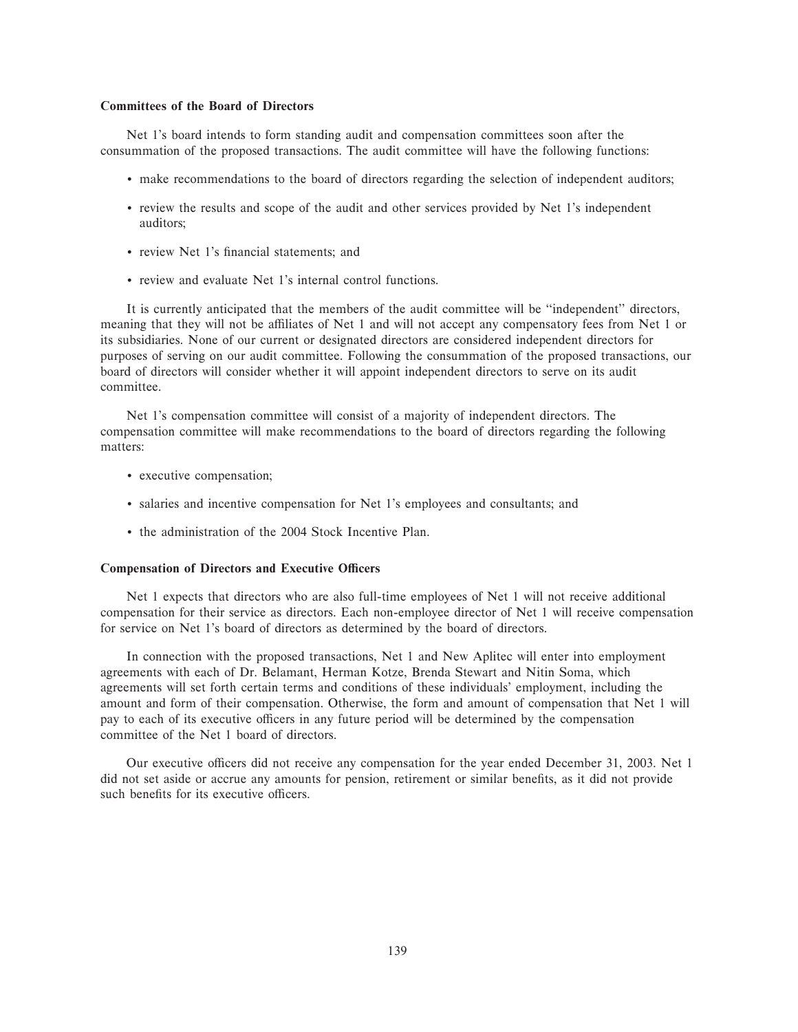### **Committees of the Board of Directors**

Net 1's board intends to form standing audit and compensation committees soon after the consummation of the proposed transactions. The audit committee will have the following functions:

- ' make recommendations to the board of directors regarding the selection of independent auditors;
- ' review the results and scope of the audit and other services provided by Net 1's independent auditors;
- review Net 1's financial statements; and
- ' review and evaluate Net 1's internal control functions.

It is currently anticipated that the members of the audit committee will be ""independent'' directors, meaning that they will not be affiliates of Net 1 and will not accept any compensatory fees from Net 1 or its subsidiaries. None of our current or designated directors are considered independent directors for purposes of serving on our audit committee. Following the consummation of the proposed transactions, our board of directors will consider whether it will appoint independent directors to serve on its audit committee.

Net 1's compensation committee will consist of a majority of independent directors. The compensation committee will make recommendations to the board of directors regarding the following matters:

- ' executive compensation;
- ' salaries and incentive compensation for Net 1's employees and consultants; and
- ' the administration of the 2004 Stock Incentive Plan.

### **Compensation of Directors and Executive Officers**

Net 1 expects that directors who are also full-time employees of Net 1 will not receive additional compensation for their service as directors. Each non-employee director of Net 1 will receive compensation for service on Net 1's board of directors as determined by the board of directors.

In connection with the proposed transactions, Net 1 and New Aplitec will enter into employment agreements with each of Dr. Belamant, Herman Kotze, Brenda Stewart and Nitin Soma, which agreements will set forth certain terms and conditions of these individuals' employment, including the amount and form of their compensation. Otherwise, the form and amount of compensation that Net 1 will pay to each of its executive officers in any future period will be determined by the compensation committee of the Net 1 board of directors.

Our executive officers did not receive any compensation for the year ended December 31, 2003. Net 1 did not set aside or accrue any amounts for pension, retirement or similar benefits, as it did not provide such benefits for its executive officers.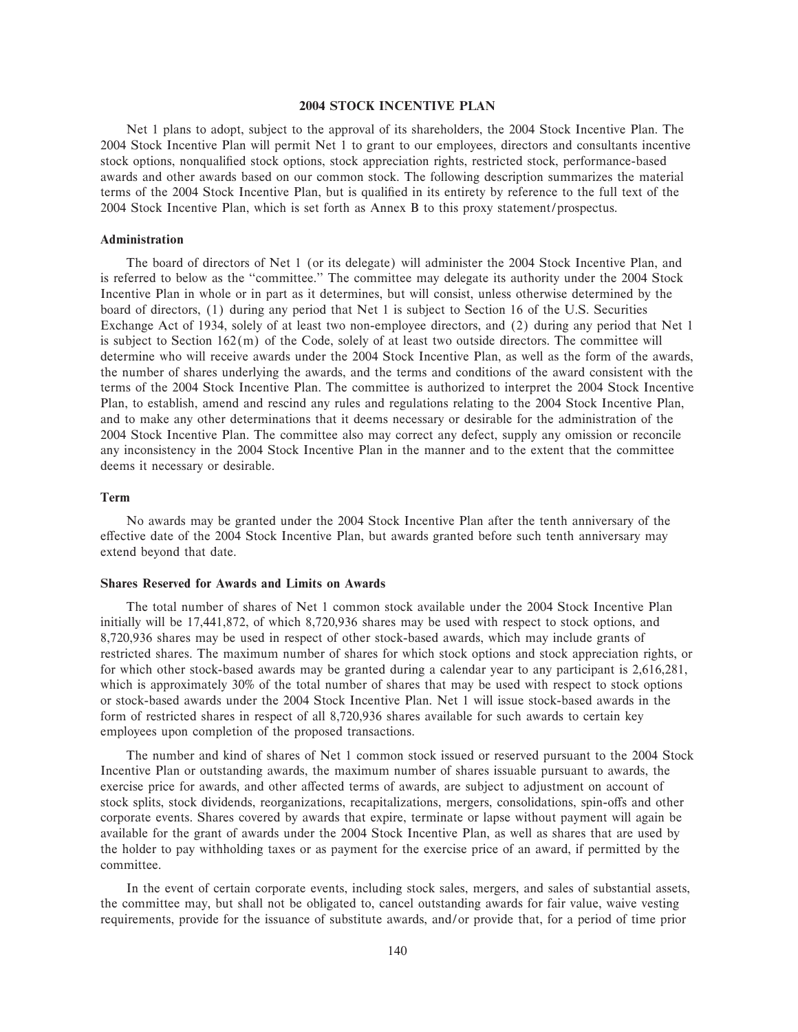#### **2004 STOCK INCENTIVE PLAN**

Net 1 plans to adopt, subject to the approval of its shareholders, the 2004 Stock Incentive Plan. The 2004 Stock Incentive Plan will permit Net 1 to grant to our employees, directors and consultants incentive stock options, nonqualified stock options, stock appreciation rights, restricted stock, performance-based awards and other awards based on our common stock. The following description summarizes the material terms of the 2004 Stock Incentive Plan, but is qualified in its entirety by reference to the full text of the 2004 Stock Incentive Plan, which is set forth as Annex B to this proxy statement/prospectus.

#### **Administration**

The board of directors of Net 1 (or its delegate) will administer the 2004 Stock Incentive Plan, and is referred to below as the "committee." The committee may delegate its authority under the 2004 Stock Incentive Plan in whole or in part as it determines, but will consist, unless otherwise determined by the board of directors, (1) during any period that Net 1 is subject to Section 16 of the U.S. Securities Exchange Act of 1934, solely of at least two non-employee directors, and (2) during any period that Net 1 is subject to Section 162(m) of the Code, solely of at least two outside directors. The committee will determine who will receive awards under the 2004 Stock Incentive Plan, as well as the form of the awards, the number of shares underlying the awards, and the terms and conditions of the award consistent with the terms of the 2004 Stock Incentive Plan. The committee is authorized to interpret the 2004 Stock Incentive Plan, to establish, amend and rescind any rules and regulations relating to the 2004 Stock Incentive Plan, and to make any other determinations that it deems necessary or desirable for the administration of the 2004 Stock Incentive Plan. The committee also may correct any defect, supply any omission or reconcile any inconsistency in the 2004 Stock Incentive Plan in the manner and to the extent that the committee deems it necessary or desirable.

#### **Term**

No awards may be granted under the 2004 Stock Incentive Plan after the tenth anniversary of the effective date of the 2004 Stock Incentive Plan, but awards granted before such tenth anniversary may extend beyond that date.

## **Shares Reserved for Awards and Limits on Awards**

The total number of shares of Net 1 common stock available under the 2004 Stock Incentive Plan initially will be 17,441,872, of which 8,720,936 shares may be used with respect to stock options, and 8,720,936 shares may be used in respect of other stock-based awards, which may include grants of restricted shares. The maximum number of shares for which stock options and stock appreciation rights, or for which other stock-based awards may be granted during a calendar year to any participant is 2,616,281, which is approximately 30% of the total number of shares that may be used with respect to stock options or stock-based awards under the 2004 Stock Incentive Plan. Net 1 will issue stock-based awards in the form of restricted shares in respect of all 8,720,936 shares available for such awards to certain key employees upon completion of the proposed transactions.

The number and kind of shares of Net 1 common stock issued or reserved pursuant to the 2004 Stock Incentive Plan or outstanding awards, the maximum number of shares issuable pursuant to awards, the exercise price for awards, and other affected terms of awards, are subject to adjustment on account of stock splits, stock dividends, reorganizations, recapitalizations, mergers, consolidations, spin-offs and other corporate events. Shares covered by awards that expire, terminate or lapse without payment will again be available for the grant of awards under the 2004 Stock Incentive Plan, as well as shares that are used by the holder to pay withholding taxes or as payment for the exercise price of an award, if permitted by the committee.

In the event of certain corporate events, including stock sales, mergers, and sales of substantial assets, the committee may, but shall not be obligated to, cancel outstanding awards for fair value, waive vesting requirements, provide for the issuance of substitute awards, and/or provide that, for a period of time prior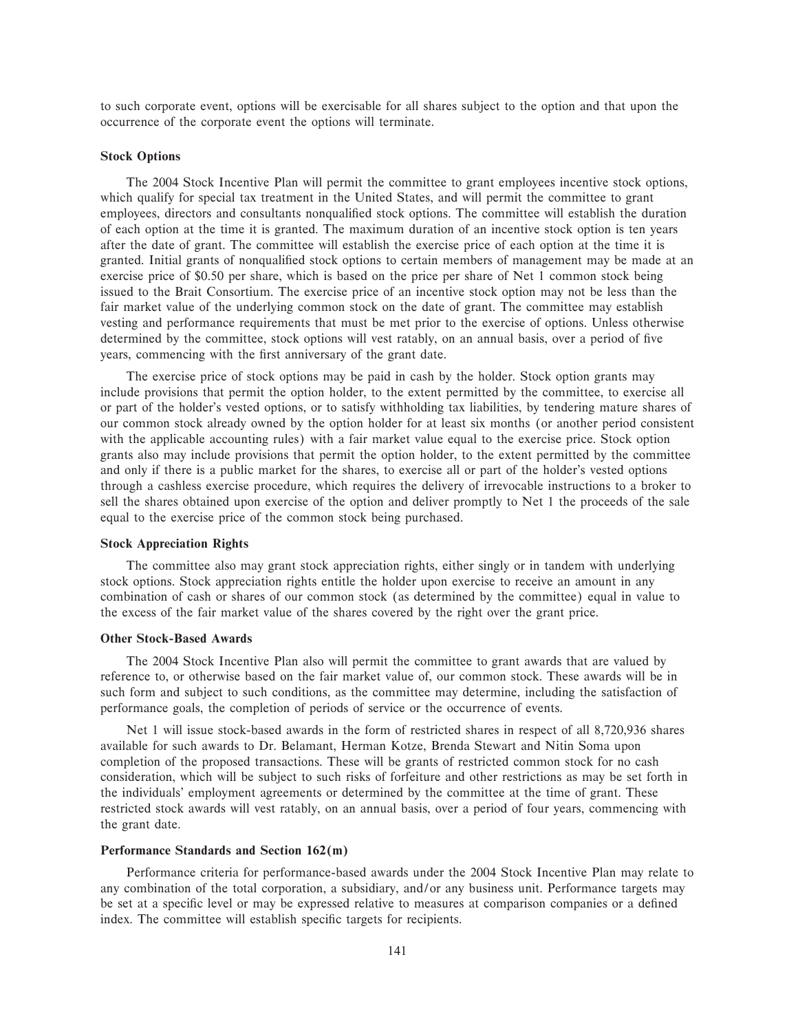to such corporate event, options will be exercisable for all shares subject to the option and that upon the occurrence of the corporate event the options will terminate.

#### **Stock Options**

The 2004 Stock Incentive Plan will permit the committee to grant employees incentive stock options, which qualify for special tax treatment in the United States, and will permit the committee to grant employees, directors and consultants nonqualified stock options. The committee will establish the duration of each option at the time it is granted. The maximum duration of an incentive stock option is ten years after the date of grant. The committee will establish the exercise price of each option at the time it is granted. Initial grants of nonqualified stock options to certain members of management may be made at an exercise price of \$0.50 per share, which is based on the price per share of Net 1 common stock being issued to the Brait Consortium. The exercise price of an incentive stock option may not be less than the fair market value of the underlying common stock on the date of grant. The committee may establish vesting and performance requirements that must be met prior to the exercise of options. Unless otherwise determined by the committee, stock options will vest ratably, on an annual basis, over a period of five years, commencing with the first anniversary of the grant date.

The exercise price of stock options may be paid in cash by the holder. Stock option grants may include provisions that permit the option holder, to the extent permitted by the committee, to exercise all or part of the holder's vested options, or to satisfy withholding tax liabilities, by tendering mature shares of our common stock already owned by the option holder for at least six months (or another period consistent with the applicable accounting rules) with a fair market value equal to the exercise price. Stock option grants also may include provisions that permit the option holder, to the extent permitted by the committee and only if there is a public market for the shares, to exercise all or part of the holder's vested options through a cashless exercise procedure, which requires the delivery of irrevocable instructions to a broker to sell the shares obtained upon exercise of the option and deliver promptly to Net 1 the proceeds of the sale equal to the exercise price of the common stock being purchased.

#### **Stock Appreciation Rights**

The committee also may grant stock appreciation rights, either singly or in tandem with underlying stock options. Stock appreciation rights entitle the holder upon exercise to receive an amount in any combination of cash or shares of our common stock (as determined by the committee) equal in value to the excess of the fair market value of the shares covered by the right over the grant price.

#### **Other Stock-Based Awards**

The 2004 Stock Incentive Plan also will permit the committee to grant awards that are valued by reference to, or otherwise based on the fair market value of, our common stock. These awards will be in such form and subject to such conditions, as the committee may determine, including the satisfaction of performance goals, the completion of periods of service or the occurrence of events.

Net 1 will issue stock-based awards in the form of restricted shares in respect of all 8,720,936 shares available for such awards to Dr. Belamant, Herman Kotze, Brenda Stewart and Nitin Soma upon completion of the proposed transactions. These will be grants of restricted common stock for no cash consideration, which will be subject to such risks of forfeiture and other restrictions as may be set forth in the individuals' employment agreements or determined by the committee at the time of grant. These restricted stock awards will vest ratably, on an annual basis, over a period of four years, commencing with the grant date.

#### **Performance Standards and Section 162(m)**

Performance criteria for performance-based awards under the 2004 Stock Incentive Plan may relate to any combination of the total corporation, a subsidiary, and/or any business unit. Performance targets may be set at a specific level or may be expressed relative to measures at comparison companies or a defined index. The committee will establish specific targets for recipients.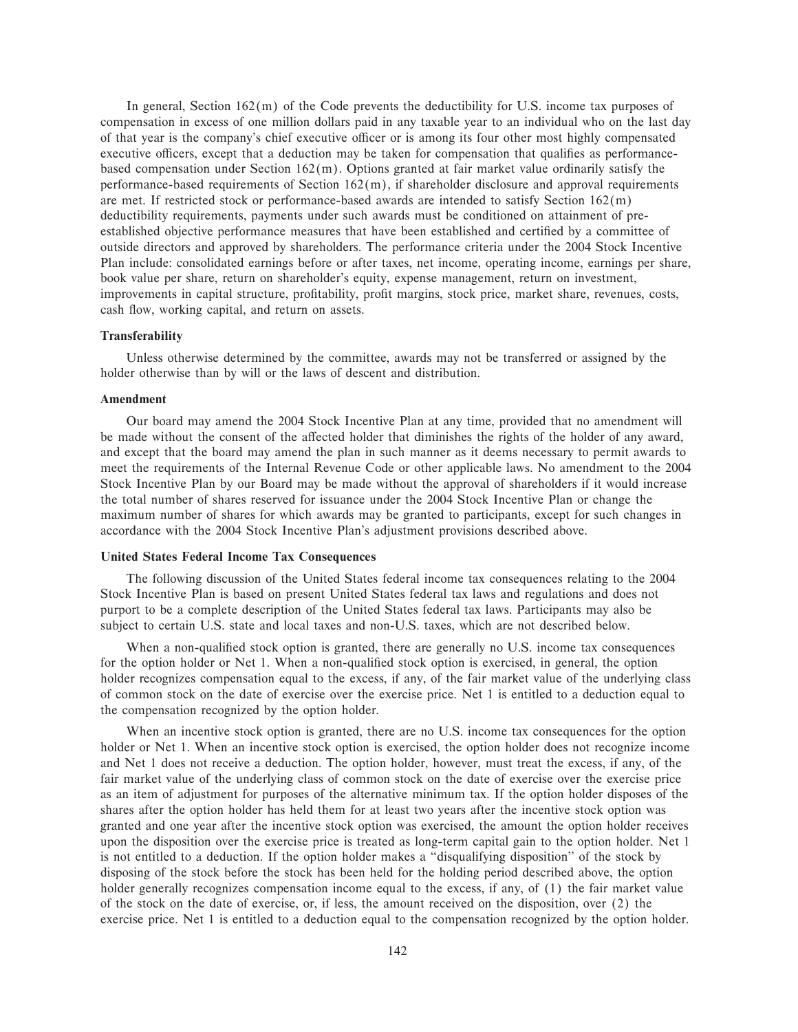In general, Section  $162(m)$  of the Code prevents the deductibility for U.S. income tax purposes of compensation in excess of one million dollars paid in any taxable year to an individual who on the last day of that year is the company's chief executive officer or is among its four other most highly compensated executive officers, except that a deduction may be taken for compensation that qualifies as performancebased compensation under Section  $162(m)$ . Options granted at fair market value ordinarily satisfy the performance-based requirements of Section 162(m), if shareholder disclosure and approval requirements are met. If restricted stock or performance-based awards are intended to satisfy Section 162(m) deductibility requirements, payments under such awards must be conditioned on attainment of preestablished objective performance measures that have been established and certified by a committee of outside directors and approved by shareholders. The performance criteria under the 2004 Stock Incentive Plan include: consolidated earnings before or after taxes, net income, operating income, earnings per share, book value per share, return on shareholder's equity, expense management, return on investment, improvements in capital structure, profitability, profit margins, stock price, market share, revenues, costs, cash flow, working capital, and return on assets.

#### **Transferability**

Unless otherwise determined by the committee, awards may not be transferred or assigned by the holder otherwise than by will or the laws of descent and distribution.

#### **Amendment**

Our board may amend the 2004 Stock Incentive Plan at any time, provided that no amendment will be made without the consent of the affected holder that diminishes the rights of the holder of any award, and except that the board may amend the plan in such manner as it deems necessary to permit awards to meet the requirements of the Internal Revenue Code or other applicable laws. No amendment to the 2004 Stock Incentive Plan by our Board may be made without the approval of shareholders if it would increase the total number of shares reserved for issuance under the 2004 Stock Incentive Plan or change the maximum number of shares for which awards may be granted to participants, except for such changes in accordance with the 2004 Stock Incentive Plan's adjustment provisions described above.

## **United States Federal Income Tax Consequences**

The following discussion of the United States federal income tax consequences relating to the 2004 Stock Incentive Plan is based on present United States federal tax laws and regulations and does not purport to be a complete description of the United States federal tax laws. Participants may also be subject to certain U.S. state and local taxes and non-U.S. taxes, which are not described below.

When a non-qualified stock option is granted, there are generally no U.S. income tax consequences for the option holder or Net 1. When a non-qualified stock option is exercised, in general, the option holder recognizes compensation equal to the excess, if any, of the fair market value of the underlying class of common stock on the date of exercise over the exercise price. Net 1 is entitled to a deduction equal to the compensation recognized by the option holder.

When an incentive stock option is granted, there are no U.S. income tax consequences for the option holder or Net 1. When an incentive stock option is exercised, the option holder does not recognize income and Net 1 does not receive a deduction. The option holder, however, must treat the excess, if any, of the fair market value of the underlying class of common stock on the date of exercise over the exercise price as an item of adjustment for purposes of the alternative minimum tax. If the option holder disposes of the shares after the option holder has held them for at least two years after the incentive stock option was granted and one year after the incentive stock option was exercised, the amount the option holder receives upon the disposition over the exercise price is treated as long-term capital gain to the option holder. Net 1 is not entitled to a deduction. If the option holder makes a ""disqualifying disposition'' of the stock by disposing of the stock before the stock has been held for the holding period described above, the option holder generally recognizes compensation income equal to the excess, if any, of (1) the fair market value of the stock on the date of exercise, or, if less, the amount received on the disposition, over (2) the exercise price. Net 1 is entitled to a deduction equal to the compensation recognized by the option holder.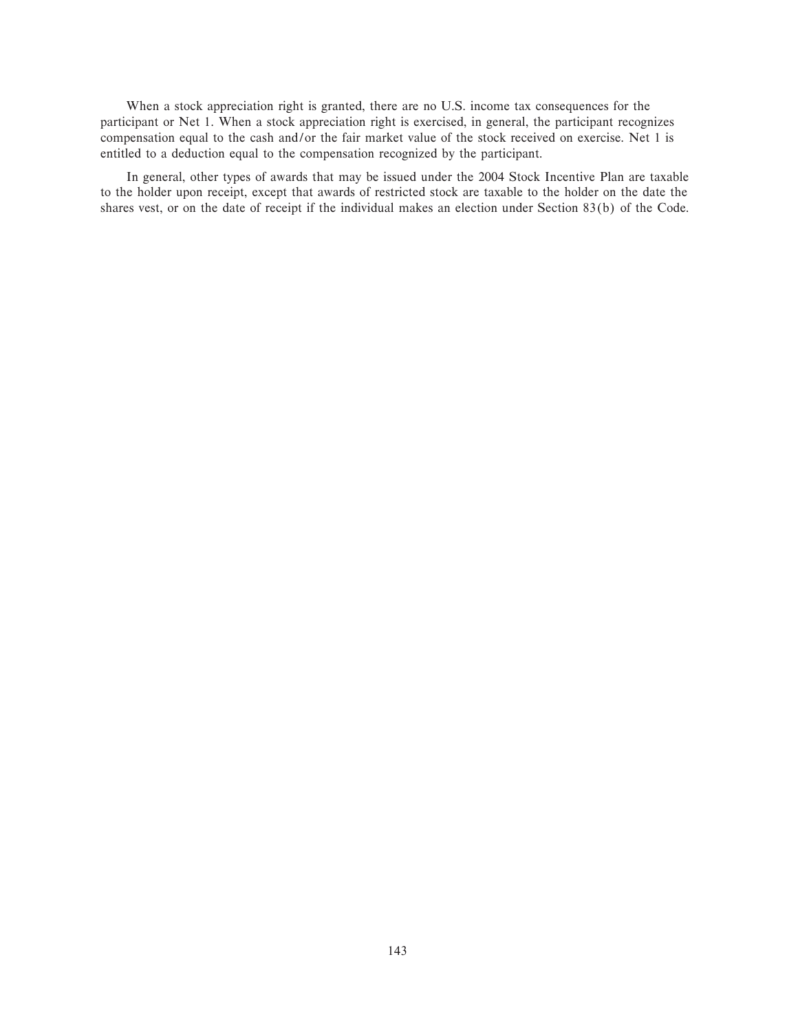When a stock appreciation right is granted, there are no U.S. income tax consequences for the participant or Net 1. When a stock appreciation right is exercised, in general, the participant recognizes compensation equal to the cash and/or the fair market value of the stock received on exercise. Net 1 is entitled to a deduction equal to the compensation recognized by the participant.

In general, other types of awards that may be issued under the 2004 Stock Incentive Plan are taxable to the holder upon receipt, except that awards of restricted stock are taxable to the holder on the date the shares vest, or on the date of receipt if the individual makes an election under Section 83(b) of the Code.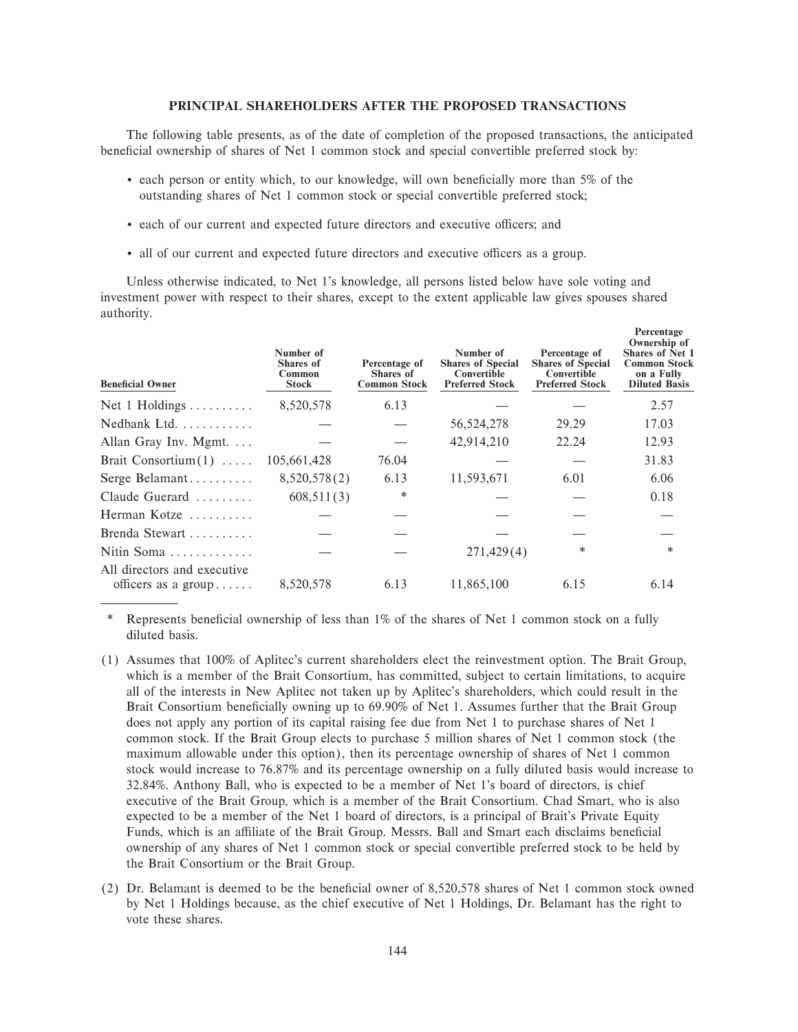#### PRINCIPAL SHAREHOLDERS AFTER THE PROPOSED TRANSACTIONS

The following table presents, as of the date of completion of the proposed transactions, the anticipated beneficial ownership of shares of Net 1 common stock and special convertible preferred stock by:

- each person or entity which, to our knowledge, will own beneficially more than 5% of the outstanding shares of Net 1 common stock or special convertible preferred stock;
- each of our current and expected future directors and executive officers; and
- all of our current and expected future directors and executive officers as a group.

Unless otherwise indicated, to Net 1's knowledge, all persons listed below have sole voting and investment power with respect to their shares, except to the extent applicable law gives spouses shared authority.

| <b>Beneficial Owner</b>                            | Number of<br><b>Shares</b> of<br>Common<br><b>Stock</b> | Percentage of<br><b>Shares of</b><br><b>Common Stock</b> | Number of<br><b>Shares of Special</b><br>Convertible<br><b>Preferred Stock</b> | Percentage of<br><b>Shares of Special</b><br>Convertible<br><b>Preferred Stock</b> | 1 cittutage<br>Ownership of<br><b>Shares of Net 1</b><br><b>Common Stock</b><br>on a Fully<br><b>Diluted Basis</b> |
|----------------------------------------------------|---------------------------------------------------------|----------------------------------------------------------|--------------------------------------------------------------------------------|------------------------------------------------------------------------------------|--------------------------------------------------------------------------------------------------------------------|
| Net 1 Holdings                                     | 8,520,578                                               | 6.13                                                     |                                                                                |                                                                                    | 2.57                                                                                                               |
| Nedbank Ltd.                                       |                                                         |                                                          | 56, 524, 278                                                                   | 29.29                                                                              | 17.03                                                                                                              |
| Allan Gray Inv. Mgmt. $\dots$                      |                                                         |                                                          | 42,914,210                                                                     | 22.24                                                                              | 12.93                                                                                                              |
| Brait Consortium $(1)$                             | 105,661,428                                             | 76.04                                                    |                                                                                |                                                                                    | 31.83                                                                                                              |
| Serge Belamant                                     | 8,520,578(2)                                            | 6.13                                                     | 11,593,671                                                                     | 6.01                                                                               | 6.06                                                                                                               |
| Claude Guerard                                     | 608,511(3)                                              | *                                                        |                                                                                |                                                                                    | 0.18                                                                                                               |
| Herman Kotze                                       |                                                         |                                                          |                                                                                |                                                                                    |                                                                                                                    |
| Brenda Stewart                                     |                                                         |                                                          |                                                                                |                                                                                    |                                                                                                                    |
| Nitin Soma                                         |                                                         |                                                          | 271,429(4)                                                                     | *                                                                                  | *                                                                                                                  |
| All directors and executive<br>officers as a group | 8,520,578                                               | 6.13                                                     | 11,865,100                                                                     | 6.15                                                                               | 6.14                                                                                                               |

Represents beneficial ownership of less than 1% of the shares of Net 1 common stock on a fully diluted basis.

- (1) Assumes that 100% of Aplitec's current shareholders elect the reinvestment option. The Brait Group, which is a member of the Brait Consortium, has committed, subject to certain limitations, to acquire all of the interests in New Aplitec not taken up by Aplitec's shareholders, which could result in the Brait Consortium beneficially owning up to 69.90% of Net 1. Assumes further that the Brait Group does not apply any portion of its capital raising fee due from Net 1 to purchase shares of Net 1 common stock. If the Brait Group elects to purchase 5 million shares of Net 1 common stock (the maximum allowable under this option), then its percentage ownership of shares of Net 1 common stock would increase to 76.87% and its percentage ownership on a fully diluted basis would increase to 32.84%. Anthony Ball, who is expected to be a member of Net 1's board of directors, is chief executive of the Brait Group, which is a member of the Brait Consortium. Chad Smart, who is also expected to be a member of the Net 1 board of directors, is a principal of Brait's Private Equity Funds, which is an affiliate of the Brait Group. Messrs. Ball and Smart each disclaims beneficial ownership of any shares of Net 1 common stock or special convertible preferred stock to be held by the Brait Consortium or the Brait Group.
- (2) Dr. Belamant is deemed to be the beneficial owner of 8,520,578 shares of Net 1 common stock owned by Net 1 Holdings because, as the chief executive of Net 1 Holdings, Dr. Belamant has the right to vote these shares.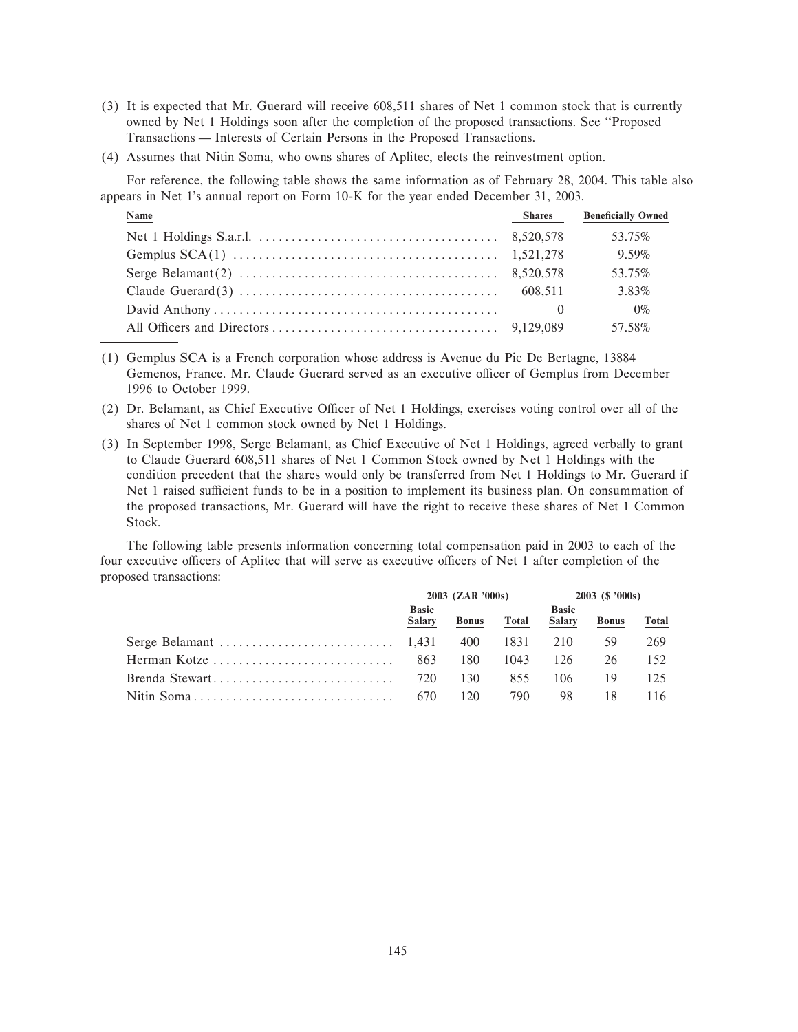- (3) It is expected that Mr. Guerard will receive 608,511 shares of Net 1 common stock that is currently owned by Net 1 Holdings soon after the completion of the proposed transactions. See "Proposed Transactions — Interests of Certain Persons in the Proposed Transactions.
- (4) Assumes that Nitin Soma, who owns shares of Aplitec, elects the reinvestment option.

For reference, the following table shows the same information as of February 28, 2004. This table also appears in Net 1's annual report on Form 10-K for the year ended December 31, 2003.

| <b>Name</b> | <b>Shares</b> | <b>Beneficially Owned</b> |
|-------------|---------------|---------------------------|
|             |               | 53.75%                    |
|             |               | 9.59%                     |
|             |               | 53.75%                    |
|             |               | 3.83%                     |
|             | 0             | $0\%$                     |
|             |               | 57.58%                    |

- (1) Gemplus SCA is a French corporation whose address is Avenue du Pic De Bertagne, 13884 Gemenos, France. Mr. Claude Guerard served as an executive officer of Gemplus from December 1996 to October 1999.
- (2) Dr. Belamant, as Chief Executive Officer of Net 1 Holdings, exercises voting control over all of the shares of Net 1 common stock owned by Net 1 Holdings.
- (3) In September 1998, Serge Belamant, as Chief Executive of Net 1 Holdings, agreed verbally to grant to Claude Guerard 608,511 shares of Net 1 Common Stock owned by Net 1 Holdings with the condition precedent that the shares would only be transferred from Net 1 Holdings to Mr. Guerard if Net 1 raised sufficient funds to be in a position to implement its business plan. On consummation of the proposed transactions, Mr. Guerard will have the right to receive these shares of Net 1 Common Stock.

The following table presents information concerning total compensation paid in 2003 to each of the four executive officers of Aplitec that will serve as executive officers of Net 1 after completion of the proposed transactions:

|                | 2003 (ZAR '000s)              |              |          | $2003$ (\$ '000s)             |              |              |
|----------------|-------------------------------|--------------|----------|-------------------------------|--------------|--------------|
|                | <b>Basic</b><br><b>Salary</b> | <b>Bonus</b> | Total    | <b>Basic</b><br><b>Salary</b> | <b>Bonus</b> | <b>Total</b> |
|                |                               | 400          | 1831 210 |                               | 59           | 269          |
| Herman Kotze   | 863                           | 180          | 1043     | 126                           | 26           | 152.         |
| Brenda Stewart | 720                           | 130          | 855      | 106                           | 19           | 125          |
|                | 670                           | 120          | 790      | 98                            |              | 116.         |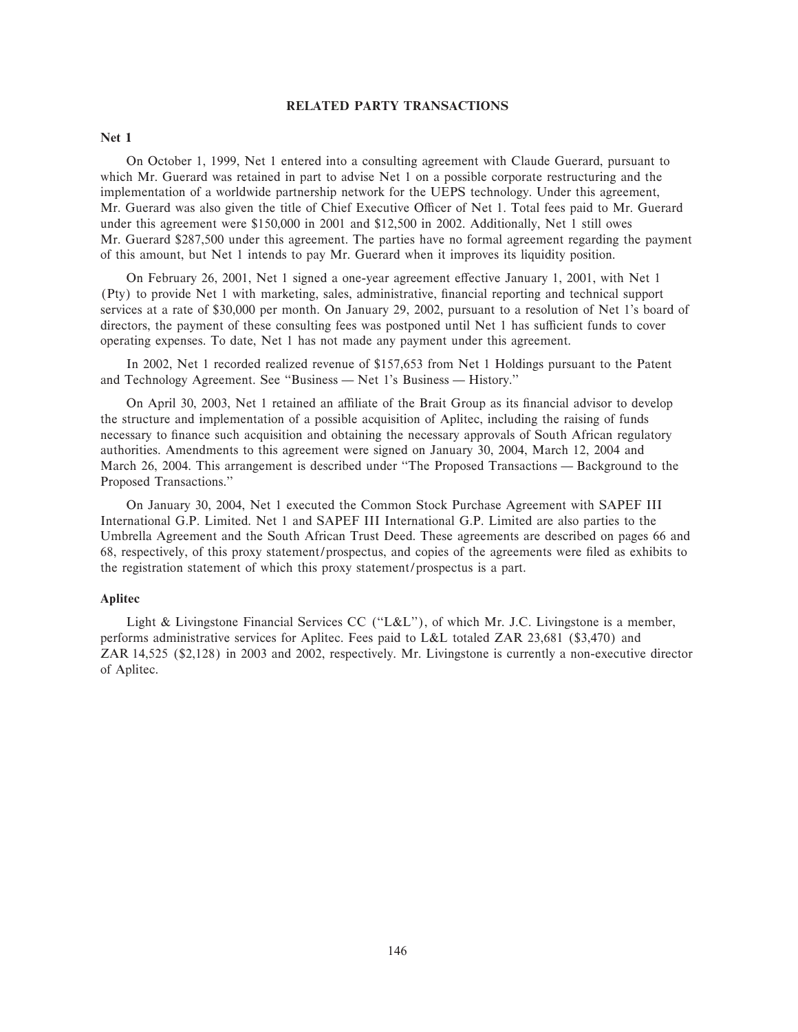#### **RELATED PARTY TRANSACTIONS**

#### **Net 1**

On October 1, 1999, Net 1 entered into a consulting agreement with Claude Guerard, pursuant to which Mr. Guerard was retained in part to advise Net 1 on a possible corporate restructuring and the implementation of a worldwide partnership network for the UEPS technology. Under this agreement, Mr. Guerard was also given the title of Chief Executive Officer of Net 1. Total fees paid to Mr. Guerard under this agreement were \$150,000 in 2001 and \$12,500 in 2002. Additionally, Net 1 still owes Mr. Guerard \$287,500 under this agreement. The parties have no formal agreement regarding the payment of this amount, but Net 1 intends to pay Mr. Guerard when it improves its liquidity position.

On February 26, 2001, Net 1 signed a one-year agreement effective January 1, 2001, with Net 1 (Pty) to provide Net 1 with marketing, sales, administrative, financial reporting and technical support services at a rate of \$30,000 per month. On January 29, 2002, pursuant to a resolution of Net 1's board of directors, the payment of these consulting fees was postponed until Net 1 has sufficient funds to cover operating expenses. To date, Net 1 has not made any payment under this agreement.

In 2002, Net 1 recorded realized revenue of \$157,653 from Net 1 Holdings pursuant to the Patent and Technology Agreement. See "Business — Net 1's Business — History."

On April 30, 2003, Net 1 retained an affiliate of the Brait Group as its financial advisor to develop the structure and implementation of a possible acquisition of Aplitec, including the raising of funds necessary to finance such acquisition and obtaining the necessary approvals of South African regulatory authorities. Amendments to this agreement were signed on January 30, 2004, March 12, 2004 and March 26, 2004. This arrangement is described under "The Proposed Transactions — Background to the Proposed Transactions.''

On January 30, 2004, Net 1 executed the Common Stock Purchase Agreement with SAPEF III International G.P. Limited. Net 1 and SAPEF III International G.P. Limited are also parties to the Umbrella Agreement and the South African Trust Deed. These agreements are described on pages 66 and 68, respectively, of this proxy statement/prospectus, and copies of the agreements were filed as exhibits to the registration statement of which this proxy statement/prospectus is a part.

## **Aplitec**

Light & Livingstone Financial Services CC (""L&L''), of which Mr. J.C. Livingstone is a member, performs administrative services for Aplitec. Fees paid to L&L totaled ZAR 23,681 (\$3,470) and ZAR 14,525 (\$2,128) in 2003 and 2002, respectively. Mr. Livingstone is currently a non-executive director of Aplitec.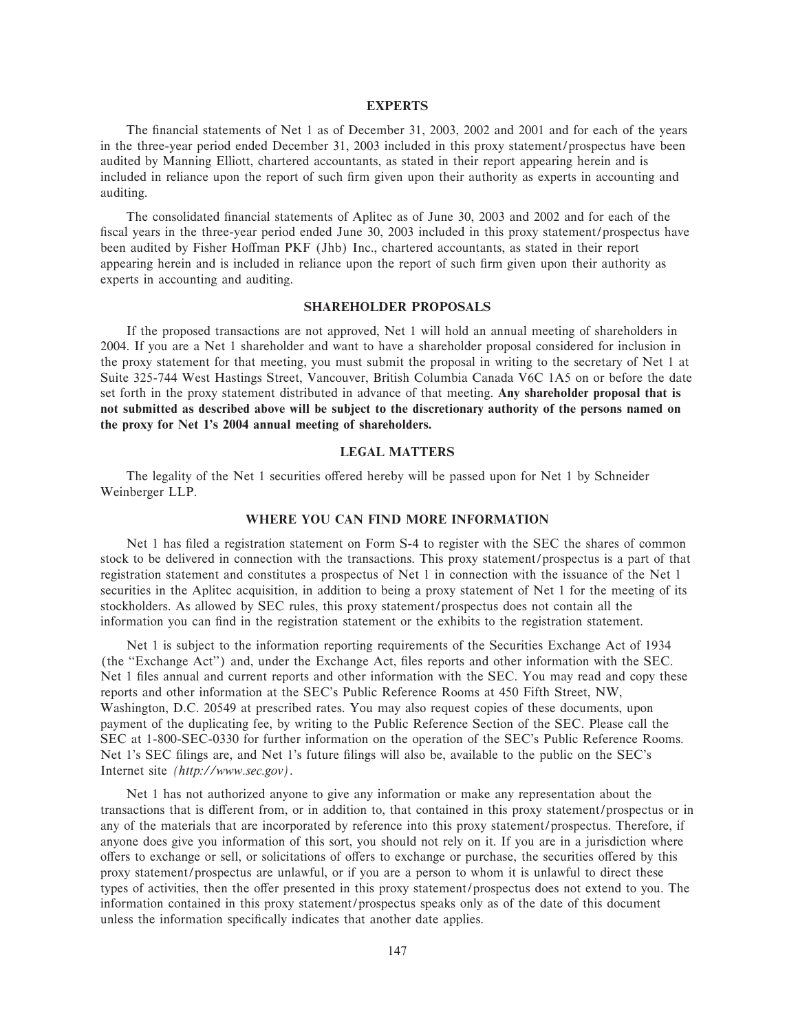#### **EXPERTS**

The financial statements of Net 1 as of December 31, 2003, 2002 and 2001 and for each of the years in the three-year period ended December 31, 2003 included in this proxy statement/prospectus have been audited by Manning Elliott, chartered accountants, as stated in their report appearing herein and is included in reliance upon the report of such firm given upon their authority as experts in accounting and auditing.

The consolidated financial statements of Aplitec as of June 30, 2003 and 2002 and for each of the fiscal years in the three-year period ended June 30, 2003 included in this proxy statement/prospectus have been audited by Fisher Hoffman PKF (Jhb) Inc., chartered accountants, as stated in their report appearing herein and is included in reliance upon the report of such firm given upon their authority as experts in accounting and auditing.

#### **SHAREHOLDER PROPOSALS**

If the proposed transactions are not approved, Net 1 will hold an annual meeting of shareholders in 2004. If you are a Net 1 shareholder and want to have a shareholder proposal considered for inclusion in the proxy statement for that meeting, you must submit the proposal in writing to the secretary of Net 1 at Suite 325-744 West Hastings Street, Vancouver, British Columbia Canada V6C 1A5 on or before the date set forth in the proxy statement distributed in advance of that meeting. **Any shareholder proposal that is not submitted as described above will be subject to the discretionary authority of the persons named on the proxy for Net 1's 2004 annual meeting of shareholders.**

## **LEGAL MATTERS**

The legality of the Net 1 securities offered hereby will be passed upon for Net 1 by Schneider Weinberger LLP.

#### **WHERE YOU CAN FIND MORE INFORMATION**

Net 1 has filed a registration statement on Form S-4 to register with the SEC the shares of common stock to be delivered in connection with the transactions. This proxy statement/prospectus is a part of that registration statement and constitutes a prospectus of Net 1 in connection with the issuance of the Net 1 securities in the Aplitec acquisition, in addition to being a proxy statement of Net 1 for the meeting of its stockholders. As allowed by SEC rules, this proxy statement/prospectus does not contain all the information you can find in the registration statement or the exhibits to the registration statement.

Net 1 is subject to the information reporting requirements of the Securities Exchange Act of 1934 (the "Exchange Act") and, under the Exchange Act, files reports and other information with the SEC. Net 1 files annual and current reports and other information with the SEC. You may read and copy these reports and other information at the SEC's Public Reference Rooms at 450 Fifth Street, NW, Washington, D.C. 20549 at prescribed rates. You may also request copies of these documents, upon payment of the duplicating fee, by writing to the Public Reference Section of the SEC. Please call the SEC at 1-800-SEC-0330 for further information on the operation of the SEC's Public Reference Rooms. Net 1's SEC filings are, and Net 1's future filings will also be, available to the public on the SEC's Internet site *(http://www.sec.gov)*.

Net 1 has not authorized anyone to give any information or make any representation about the transactions that is different from, or in addition to, that contained in this proxy statement/prospectus or in any of the materials that are incorporated by reference into this proxy statement/prospectus. Therefore, if anyone does give you information of this sort, you should not rely on it. If you are in a jurisdiction where offers to exchange or sell, or solicitations of offers to exchange or purchase, the securities offered by this proxy statement/prospectus are unlawful, or if you are a person to whom it is unlawful to direct these types of activities, then the offer presented in this proxy statement/prospectus does not extend to you. The information contained in this proxy statement/prospectus speaks only as of the date of this document unless the information specifically indicates that another date applies.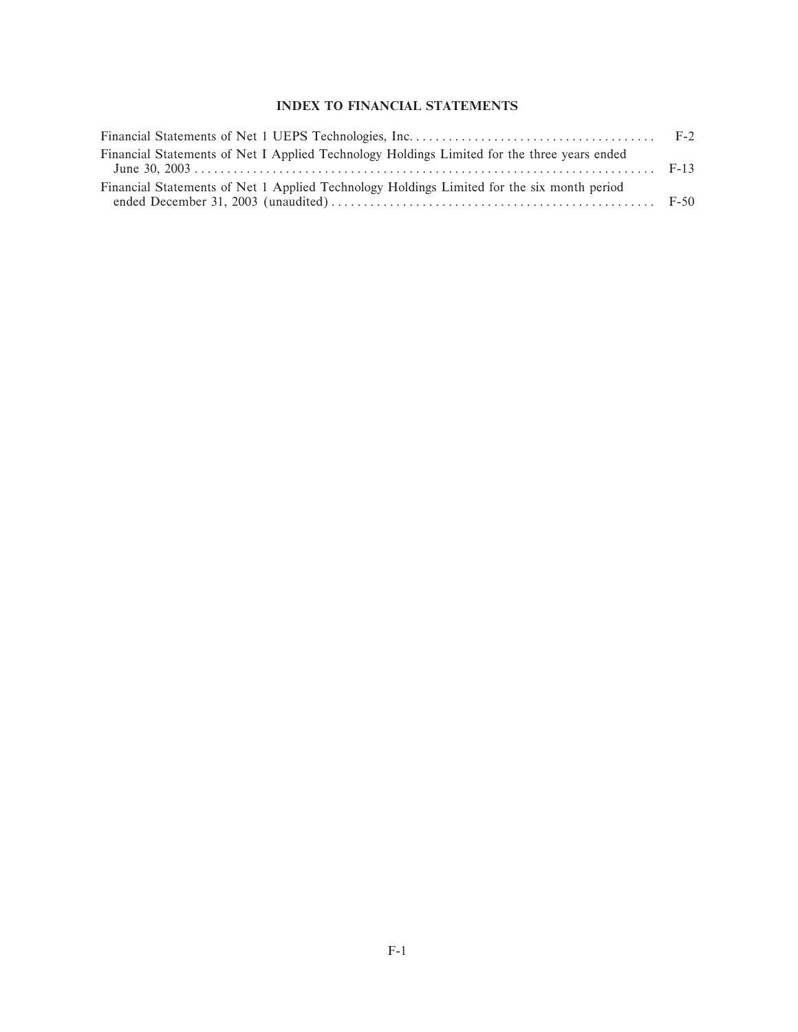## **INDEX TO FINANCIAL STATEMENTS**

| Financial Statements of Net I Applied Technology Holdings Limited for the three years ended |  |
|---------------------------------------------------------------------------------------------|--|
| Financial Statements of Net 1 Applied Technology Holdings Limited for the six month period  |  |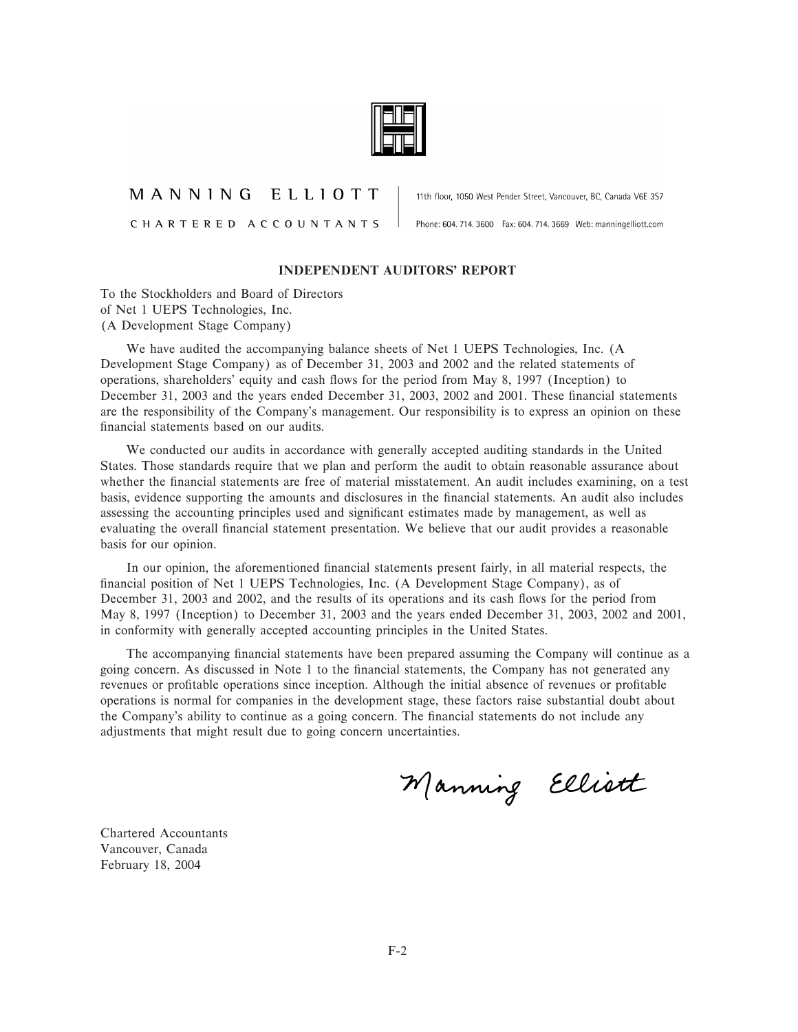

## MANNING ELLIOTT

CHARTERED ACCOUNTANTS

11th floor, 1050 West Pender Street, Vancouver, BC, Canada V6E 3S7

Phone: 604. 714. 3600 Fax: 604. 714. 3669 Web: manningelliott.com

#### **INDEPENDENT AUDITORS' REPORT**

To the Stockholders and Board of Directors of Net 1 UEPS Technologies, Inc. (A Development Stage Company)

We have audited the accompanying balance sheets of Net 1 UEPS Technologies, Inc. (A Development Stage Company) as of December 31, 2003 and 2002 and the related statements of operations, shareholders' equity and cash flows for the period from May 8, 1997 (Inception) to December 31, 2003 and the years ended December 31, 2003, 2002 and 2001. These financial statements are the responsibility of the Company's management. Our responsibility is to express an opinion on these financial statements based on our audits.

We conducted our audits in accordance with generally accepted auditing standards in the United States. Those standards require that we plan and perform the audit to obtain reasonable assurance about whether the financial statements are free of material misstatement. An audit includes examining, on a test basis, evidence supporting the amounts and disclosures in the financial statements. An audit also includes assessing the accounting principles used and significant estimates made by management, as well as evaluating the overall financial statement presentation. We believe that our audit provides a reasonable basis for our opinion.

In our opinion, the aforementioned financial statements present fairly, in all material respects, the financial position of Net 1 UEPS Technologies, Inc. (A Development Stage Company), as of December 31, 2003 and 2002, and the results of its operations and its cash flows for the period from May 8, 1997 (Inception) to December 31, 2003 and the years ended December 31, 2003, 2002 and 2001, in conformity with generally accepted accounting principles in the United States.

The accompanying financial statements have been prepared assuming the Company will continue as a going concern. As discussed in Note 1 to the Ñnancial statements, the Company has not generated any revenues or profitable operations since inception. Although the initial absence of revenues or profitable operations is normal for companies in the development stage, these factors raise substantial doubt about the Company's ability to continue as a going concern. The financial statements do not include any adjustments that might result due to going concern uncertainties.

Manning Ellistt

Chartered Accountants Vancouver, Canada February 18, 2004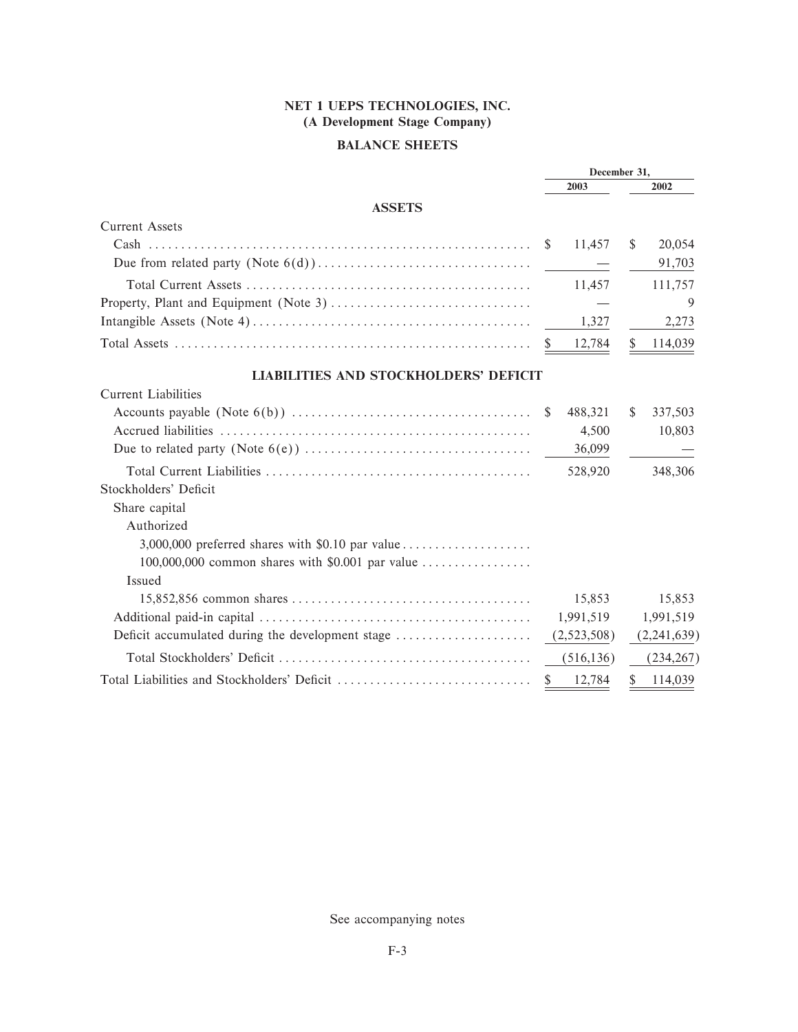# **BALANCE SHEETS**

|                                                  | December 31, |             |               |             |
|--------------------------------------------------|--------------|-------------|---------------|-------------|
|                                                  |              | 2003        |               | 2002        |
| <b>ASSETS</b>                                    |              |             |               |             |
| <b>Current Assets</b>                            |              |             |               |             |
|                                                  | <sup>S</sup> | 11,457      | <sup>\$</sup> | 20,054      |
|                                                  |              |             |               | 91,703      |
|                                                  |              | 11,457      |               | 111,757     |
|                                                  |              |             |               | 9           |
|                                                  |              | 1,327       |               | 2,273       |
|                                                  | <sup>S</sup> | 12,784      | \$            | 114,039     |
| <b>LIABILITIES AND STOCKHOLDERS' DEFICIT</b>     |              |             |               |             |
| <b>Current Liabilities</b>                       |              |             |               |             |
|                                                  |              | 488,321     | S.            | 337,503     |
|                                                  |              | 4,500       |               | 10,803      |
|                                                  |              | 36,099      |               |             |
|                                                  |              | 528,920     |               | 348,306     |
| Stockholders' Deficit                            |              |             |               |             |
| Share capital                                    |              |             |               |             |
| Authorized                                       |              |             |               |             |
|                                                  |              |             |               |             |
| 100,000,000 common shares with \$0.001 par value |              |             |               |             |
| Issued                                           |              |             |               |             |
|                                                  |              | 15,853      |               | 15,853      |
|                                                  |              | 1,991,519   |               | 1,991,519   |
| Deficit accumulated during the development stage |              | (2,523,508) |               | (2,241,639) |
|                                                  |              | (516, 136)  |               | (234, 267)  |
|                                                  |              | 12,784      |               | 114,039     |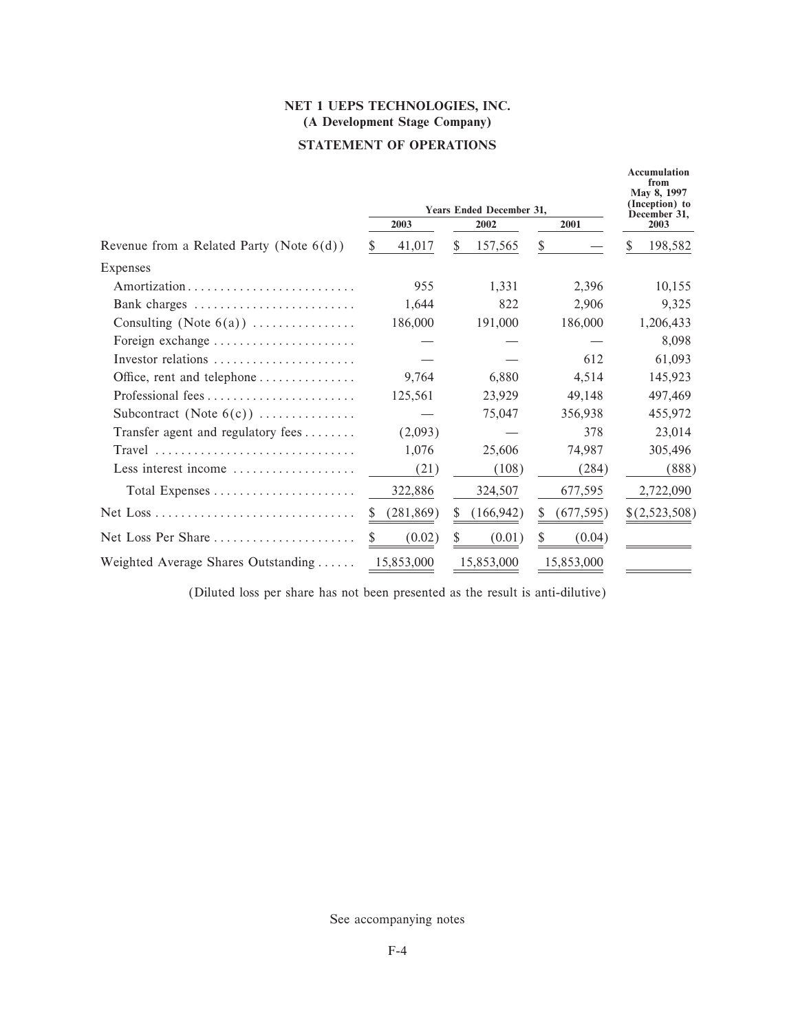# **STATEMENT OF OPERATIONS**

|                                                                            |              | <b>Years Ended December 31,</b> |            | <b>Accumulation</b><br>from<br>May 8, 1997<br>(Inception) to |  |
|----------------------------------------------------------------------------|--------------|---------------------------------|------------|--------------------------------------------------------------|--|
|                                                                            | 2003         | 2002                            | 2001       | December 31,<br>2003                                         |  |
| Revenue from a Related Party (Note $6(d)$ )                                | 41,017<br>S. | \$<br>157,565                   | S.         | \$<br>198,582                                                |  |
| Expenses                                                                   |              |                                 |            |                                                              |  |
|                                                                            | 955          | 1,331                           | 2,396      | 10,155                                                       |  |
| Bank charges                                                               | 1,644        | 822                             | 2,906      | 9,325                                                        |  |
| Consulting (Note $6(a)$ )                                                  | 186,000      | 191,000                         | 186,000    | 1,206,433                                                    |  |
| Foreign exchange                                                           |              |                                 |            | 8,098                                                        |  |
| Investor relations                                                         |              |                                 | 612        | 61,093                                                       |  |
| Office, rent and telephone                                                 | 9.764        | 6,880                           | 4,514      | 145,923                                                      |  |
|                                                                            | 125,561      | 23,929                          | 49,148     | 497.469                                                      |  |
| Subcontract (Note $6(c)$ )                                                 |              | 75,047                          | 356,938    | 455,972                                                      |  |
| Transfer agent and regulatory fees                                         | (2,093)      |                                 | 378        | 23,014                                                       |  |
| $Travel \dots \dots \dots \dots \dots \dots \dots \dots \dots \dots \dots$ | 1,076        | 25,606                          | 74,987     | 305,496                                                      |  |
| Less interest income $\dots\dots\dots\dots\dots\dots$                      | (21)         | (108)                           | (284)      | (888)                                                        |  |
| Total Expenses                                                             | 322,886      | 324,507                         | 677,595    | 2,722,090                                                    |  |
|                                                                            | (281, 869)   | (166, 942)<br>S                 | (677, 595) | \$(2,523,508)                                                |  |
| Net Loss Per Share $\dots\dots\dots\dots\dots\dots\dots\dots$              | (0.02)       | (0.01)<br>S.                    | (0.04)     |                                                              |  |
| Weighted Average Shares Outstanding                                        | 15,853,000   | 15,853,000                      | 15,853,000 |                                                              |  |

(Diluted loss per share has not been presented as the result is anti-dilutive)

See accompanying notes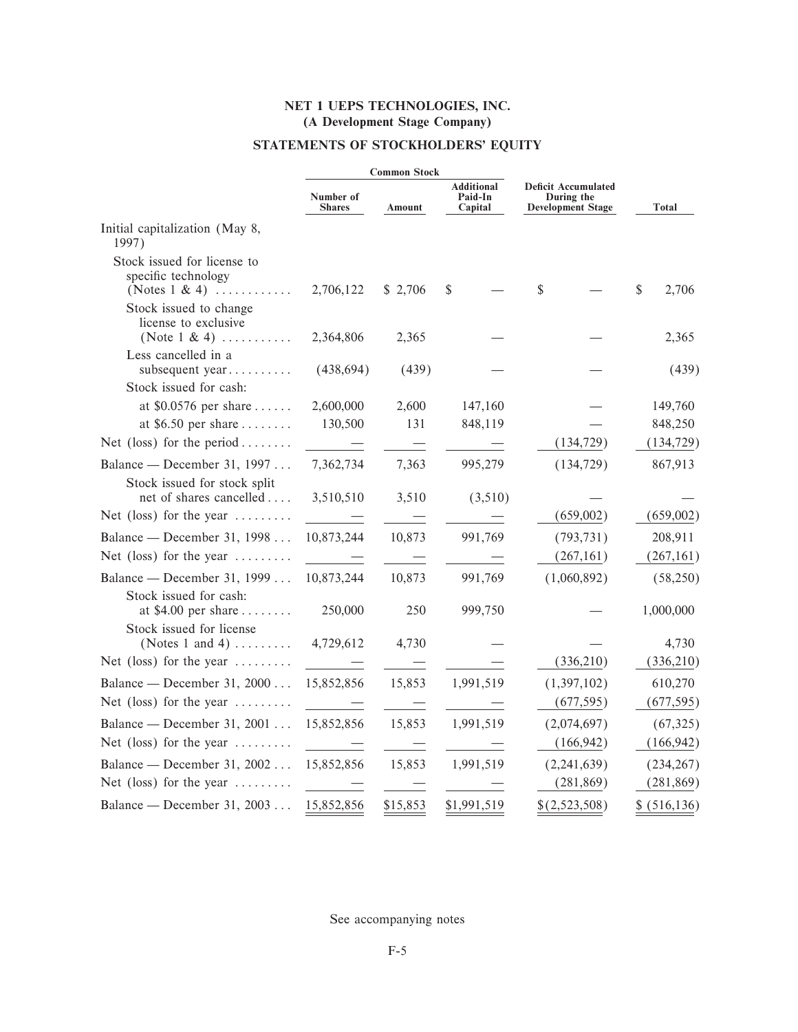# STATEMENTS OF STOCKHOLDERS' EQUITY

|                                                                            |                                                                                                                                                                                                                                      | <b>Common Stock</b>      |                                         |                                                                      |               |
|----------------------------------------------------------------------------|--------------------------------------------------------------------------------------------------------------------------------------------------------------------------------------------------------------------------------------|--------------------------|-----------------------------------------|----------------------------------------------------------------------|---------------|
|                                                                            | Number of<br><b>Shares</b>                                                                                                                                                                                                           | Amount                   | <b>Additional</b><br>Paid-In<br>Capital | <b>Deficit Accumulated</b><br>During the<br><b>Development Stage</b> | <b>Total</b>  |
| Initial capitalization (May 8,<br>1997)                                    |                                                                                                                                                                                                                                      |                          |                                         |                                                                      |               |
| Stock issued for license to<br>specific technology<br>(Notes $1 \& 4$ )    | 2,706,122                                                                                                                                                                                                                            | \$2,706                  | \$                                      | \$                                                                   | \$<br>2,706   |
| Stock issued to change<br>license to exclusive<br>(Note $1 \& 4$ )         | 2,364,806                                                                                                                                                                                                                            | 2,365                    |                                         |                                                                      | 2,365         |
| Less cancelled in a<br>subsequent year                                     | (438, 694)                                                                                                                                                                                                                           | (439)                    |                                         |                                                                      | (439)         |
| Stock issued for cash:<br>at $$0.0576$ per share                           | 2,600,000                                                                                                                                                                                                                            | 2,600                    | 147,160                                 |                                                                      | 149,760       |
| at \$6.50 per share $\dots\dots$                                           | 130,500                                                                                                                                                                                                                              | 131                      | 848,119                                 |                                                                      | 848,250       |
| Net (loss) for the period                                                  |                                                                                                                                                                                                                                      | $\equiv$                 |                                         | (134, 729)                                                           | (134, 729)    |
| Balance — December 31, 1997<br>Stock issued for stock split                | 7,362,734                                                                                                                                                                                                                            | 7,363                    | 995,279                                 | (134, 729)                                                           | 867,913       |
| net of shares cancelled                                                    | 3,510,510                                                                                                                                                                                                                            | 3,510                    | (3,510)                                 |                                                                      |               |
| Net (loss) for the year $\dots\dots\dots$                                  | <u>and the second second</u>                                                                                                                                                                                                         | $\equiv$                 |                                         | (659,002)                                                            | (659,002)     |
| Balance — December 31, 1998                                                | 10,873,244                                                                                                                                                                                                                           | 10,873                   | 991,769                                 | (793, 731)                                                           | 208,911       |
| Net (loss) for the year $\dots\dots\dots$                                  | $\overline{\phantom{m}}$                                                                                                                                                                                                             | $\overline{\phantom{0}}$ |                                         | (267, 161)                                                           | (267, 161)    |
| Balance — December 31, 1999                                                | 10,873,244                                                                                                                                                                                                                           | 10,873                   | 991,769                                 | (1,060,892)                                                          | (58,250)      |
| Stock issued for cash:<br>at $$4.00$ per share<br>Stock issued for license | 250,000                                                                                                                                                                                                                              | 250                      | 999,750                                 |                                                                      | 1,000,000     |
| (Notes 1 and 4) $\dots$                                                    | 4,729,612                                                                                                                                                                                                                            | 4,730                    |                                         |                                                                      | 4,730         |
| Net (loss) for the year $\dots\dots\dots$                                  | <u>and the state of the state of the state of the state of the state of the state of the state of the state of the state of the state of the state of the state of the state of the state of the state of the state of the state</u> | $\overline{\phantom{0}}$ |                                         | (336,210)                                                            | (336, 210)    |
| Balance — December 31, 2000                                                | 15,852,856                                                                                                                                                                                                                           | 15,853                   | 1,991,519                               | (1,397,102)                                                          | 610,270       |
| Net (loss) for the year $\dots\dots\dots$                                  |                                                                                                                                                                                                                                      |                          |                                         | (677, 595)                                                           | (677, 595)    |
| Balance — December 31, 2001                                                | 15,852,856                                                                                                                                                                                                                           | 15,853                   | 1,991,519                               | (2,074,697)                                                          | (67, 325)     |
| Net (loss) for the year $\dots\dots\dots$                                  |                                                                                                                                                                                                                                      | $\overline{\phantom{0}}$ |                                         | (166, 942)                                                           | (166, 942)    |
| Balance — December 31, 2002                                                | 15,852,856                                                                                                                                                                                                                           | 15,853                   | 1,991,519                               | (2,241,639)                                                          | (234, 267)    |
| Net (loss) for the year $\dots\dots\dots$                                  |                                                                                                                                                                                                                                      |                          |                                         | (281, 869)                                                           | (281, 869)    |
| Balance — December 31, 2003                                                | 15,852,856                                                                                                                                                                                                                           | \$15,853                 | \$1,991,519                             | \$(2,523,508)                                                        | \$ (516, 136) |

See accompanying notes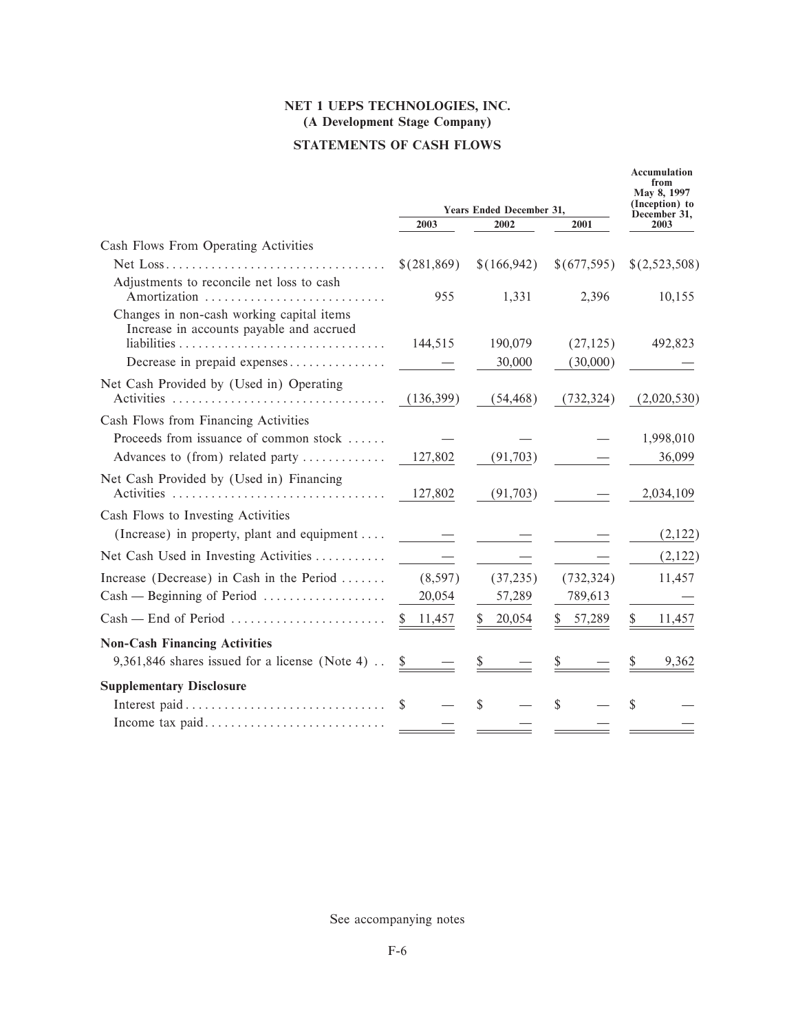# **STATEMENTS OF CASH FLOWS**

|                                                                                       |             |                                 |              | <b>Accumulation</b><br>from<br>May 8, 1997 |  |
|---------------------------------------------------------------------------------------|-------------|---------------------------------|--------------|--------------------------------------------|--|
|                                                                                       |             | <b>Years Ended December 31,</b> |              | (Inception) to<br>December 31,             |  |
|                                                                                       | 2003        | 2002                            | 2001         | 2003                                       |  |
| Cash Flows From Operating Activities                                                  |             |                                 |              |                                            |  |
|                                                                                       | \$(281,869) | \$(166,942)                     | \$(677,595)  | \$(2,523,508)                              |  |
| Adjustments to reconcile net loss to cash<br>Amortization                             | 955         | 1,331                           | 2,396        | 10,155                                     |  |
| Changes in non-cash working capital items<br>Increase in accounts payable and accrued | 144,515     | 190,079                         | (27, 125)    | 492,823                                    |  |
| Decrease in prepaid expenses                                                          |             | 30,000                          | (30,000)     |                                            |  |
|                                                                                       |             |                                 |              |                                            |  |
| Net Cash Provided by (Used in) Operating<br>Activities                                | (136,399)   | (54, 468)                       | (732, 324)   | (2,020,530)                                |  |
| Cash Flows from Financing Activities                                                  |             |                                 |              |                                            |  |
| Proceeds from issuance of common stock                                                |             |                                 |              | 1,998,010                                  |  |
| Advances to (from) related party                                                      | 127,802     | (91,703)                        |              | 36,099                                     |  |
| Net Cash Provided by (Used in) Financing<br>Activities                                | 127,802     | (91,703)                        |              | 2,034,109                                  |  |
| Cash Flows to Investing Activities                                                    |             |                                 |              |                                            |  |
| (Increase) in property, plant and equipment                                           |             |                                 |              | (2,122)                                    |  |
| Net Cash Used in Investing Activities                                                 |             |                                 |              | (2,122)                                    |  |
| Increase (Decrease) in Cash in the Period                                             | (8,597)     | (37, 235)                       | (732, 324)   | 11,457                                     |  |
| $Cash - Beginning of Period \dots \dots \dots \dots \dots$                            | 20,054      | 57,289                          | 789,613      |                                            |  |
| $Cash$ – End of Period                                                                | 11,457      | 20,054                          | 57,289<br>S. | 11,457                                     |  |
| <b>Non-Cash Financing Activities</b>                                                  |             |                                 |              |                                            |  |
| 9,361,846 shares issued for a license (Note 4).                                       | \$          |                                 |              | 9,362                                      |  |
| <b>Supplementary Disclosure</b>                                                       |             |                                 |              |                                            |  |
|                                                                                       | \$.         | \$                              | \$           | S                                          |  |
| Income tax paid                                                                       |             |                                 |              |                                            |  |

See accompanying notes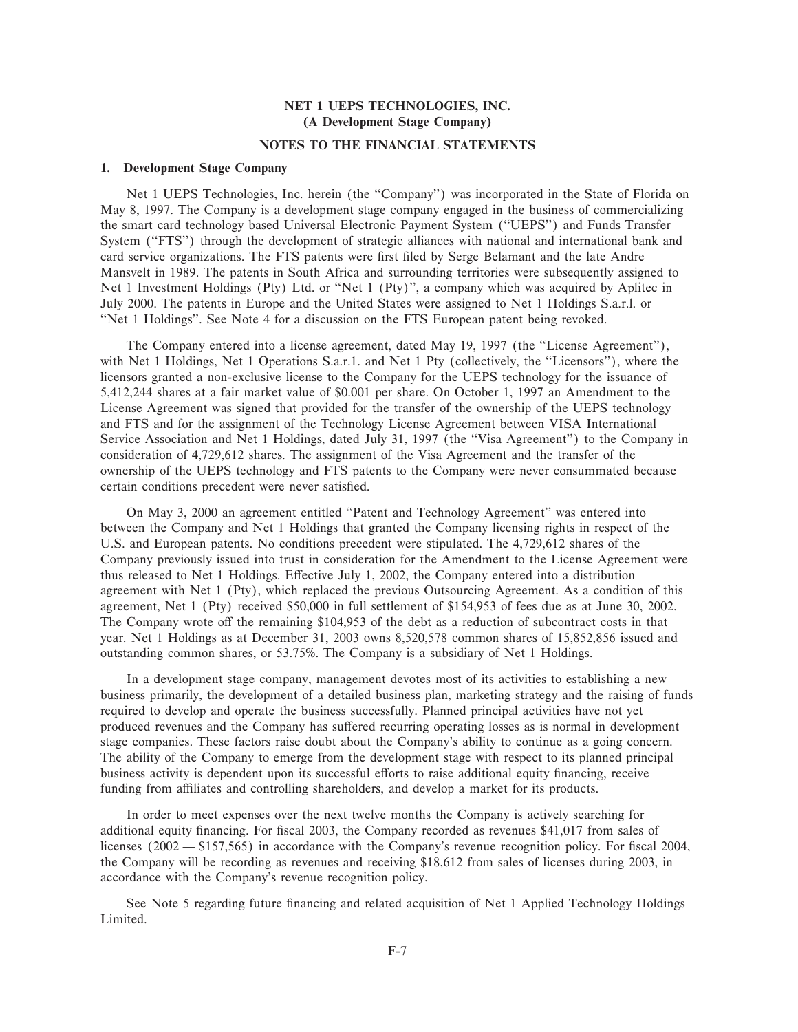## **NOTES TO THE FINANCIAL STATEMENTS**

#### **1. Development Stage Company**

Net 1 UEPS Technologies, Inc. herein (the "Company") was incorporated in the State of Florida on May 8, 1997. The Company is a development stage company engaged in the business of commercializing the smart card technology based Universal Electronic Payment System (""UEPS'') and Funds Transfer System ("FTS") through the development of strategic alliances with national and international bank and card service organizations. The FTS patents were first filed by Serge Belamant and the late Andre Mansvelt in 1989. The patents in South Africa and surrounding territories were subsequently assigned to Net 1 Investment Holdings (Pty) Ltd. or "Net 1 (Pty)", a company which was acquired by Aplitec in July 2000. The patents in Europe and the United States were assigned to Net 1 Holdings S.a.r.l. or ""Net 1 Holdings''. See Note 4 for a discussion on the FTS European patent being revoked.

The Company entered into a license agreement, dated May 19, 1997 (the "License Agreement"), with Net 1 Holdings, Net 1 Operations S.a.r.1. and Net 1 Pty (collectively, the "Licensors"), where the licensors granted a non-exclusive license to the Company for the UEPS technology for the issuance of 5,412,244 shares at a fair market value of \$0.001 per share. On October 1, 1997 an Amendment to the License Agreement was signed that provided for the transfer of the ownership of the UEPS technology and FTS and for the assignment of the Technology License Agreement between VISA International Service Association and Net 1 Holdings, dated July 31, 1997 (the "Visa Agreement") to the Company in consideration of 4,729,612 shares. The assignment of the Visa Agreement and the transfer of the ownership of the UEPS technology and FTS patents to the Company were never consummated because certain conditions precedent were never satisfied.

On May 3, 2000 an agreement entitled ""Patent and Technology Agreement'' was entered into between the Company and Net 1 Holdings that granted the Company licensing rights in respect of the U.S. and European patents. No conditions precedent were stipulated. The 4,729,612 shares of the Company previously issued into trust in consideration for the Amendment to the License Agreement were thus released to Net 1 Holdings. Effective July 1, 2002, the Company entered into a distribution agreement with Net 1 (Pty), which replaced the previous Outsourcing Agreement. As a condition of this agreement, Net 1 (Pty) received \$50,000 in full settlement of \$154,953 of fees due as at June 30, 2002. The Company wrote off the remaining \$104,953 of the debt as a reduction of subcontract costs in that year. Net 1 Holdings as at December 31, 2003 owns 8,520,578 common shares of 15,852,856 issued and outstanding common shares, or 53.75%. The Company is a subsidiary of Net 1 Holdings.

In a development stage company, management devotes most of its activities to establishing a new business primarily, the development of a detailed business plan, marketing strategy and the raising of funds required to develop and operate the business successfully. Planned principal activities have not yet produced revenues and the Company has suffered recurring operating losses as is normal in development stage companies. These factors raise doubt about the Company's ability to continue as a going concern. The ability of the Company to emerge from the development stage with respect to its planned principal business activity is dependent upon its successful efforts to raise additional equity financing, receive funding from affiliates and controlling shareholders, and develop a market for its products.

In order to meet expenses over the next twelve months the Company is actively searching for additional equity financing. For fiscal 2003, the Company recorded as revenues \$41,017 from sales of licenses  $(2002 - $157,565)$  in accordance with the Company's revenue recognition policy. For fiscal 2004, the Company will be recording as revenues and receiving \$18,612 from sales of licenses during 2003, in accordance with the Company's revenue recognition policy.

See Note 5 regarding future financing and related acquisition of Net 1 Applied Technology Holdings Limited.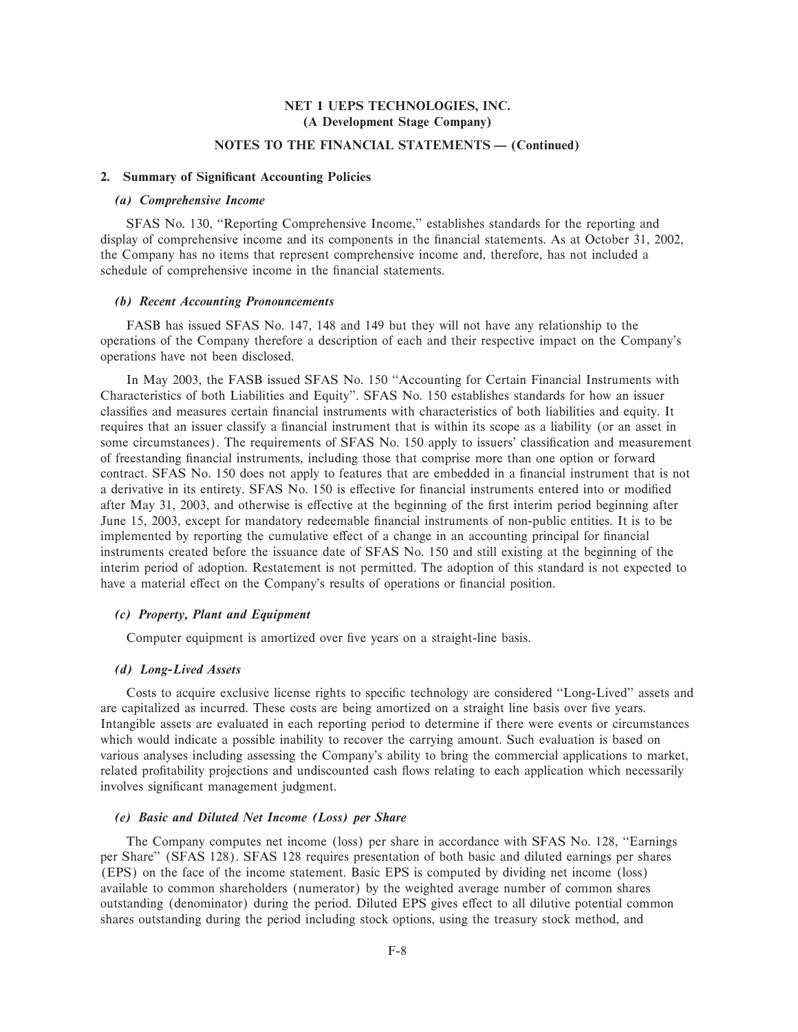## **NOTES TO THE FINANCIAL STATEMENTS - (Continued)**

#### 2. Summary of Significant Accounting Policies

## *(a) Comprehensive Income*

SFAS No. 130, "Reporting Comprehensive Income," establishes standards for the reporting and display of comprehensive income and its components in the financial statements. As at October 31, 2002, the Company has no items that represent comprehensive income and, therefore, has not included a schedule of comprehensive income in the financial statements.

#### *(b) Recent Accounting Pronouncements*

FASB has issued SFAS No. 147, 148 and 149 but they will not have any relationship to the operations of the Company therefore a description of each and their respective impact on the Company's operations have not been disclosed.

In May 2003, the FASB issued SFAS No. 150 "Accounting for Certain Financial Instruments with Characteristics of both Liabilities and Equity''. SFAS No. 150 establishes standards for how an issuer classifies and measures certain financial instruments with characteristics of both liabilities and equity. It requires that an issuer classify a financial instrument that is within its scope as a liability (or an asset in some circumstances). The requirements of SFAS No. 150 apply to issuers' classification and measurement of freestanding financial instruments, including those that comprise more than one option or forward contract. SFAS No. 150 does not apply to features that are embedded in a financial instrument that is not a derivative in its entirety. SFAS No. 150 is effective for financial instruments entered into or modified after May 31, 2003, and otherwise is effective at the beginning of the first interim period beginning after June 15, 2003, except for mandatory redeemable financial instruments of non-public entities. It is to be implemented by reporting the cumulative effect of a change in an accounting principal for financial instruments created before the issuance date of SFAS No. 150 and still existing at the beginning of the interim period of adoption. Restatement is not permitted. The adoption of this standard is not expected to have a material effect on the Company's results of operations or financial position.

#### *(c) Property, Plant and Equipment*

Computer equipment is amortized over five years on a straight-line basis.

## *(d) Long-Lived Assets*

Costs to acquire exclusive license rights to specific technology are considered "Long-Lived" assets and are capitalized as incurred. These costs are being amortized on a straight line basis over five years. Intangible assets are evaluated in each reporting period to determine if there were events or circumstances which would indicate a possible inability to recover the carrying amount. Such evaluation is based on various analyses including assessing the Company's ability to bring the commercial applications to market, related profitability projections and undiscounted cash flows relating to each application which necessarily involves significant management judgment.

#### *(e) Basic and Diluted Net Income (Loss) per Share*

The Company computes net income (loss) per share in accordance with SFAS No. 128, "Earnings" per Share'' (SFAS 128). SFAS 128 requires presentation of both basic and diluted earnings per shares (EPS) on the face of the income statement. Basic EPS is computed by dividing net income (loss) available to common shareholders (numerator) by the weighted average number of common shares outstanding (denominator) during the period. Diluted EPS gives effect to all dilutive potential common shares outstanding during the period including stock options, using the treasury stock method, and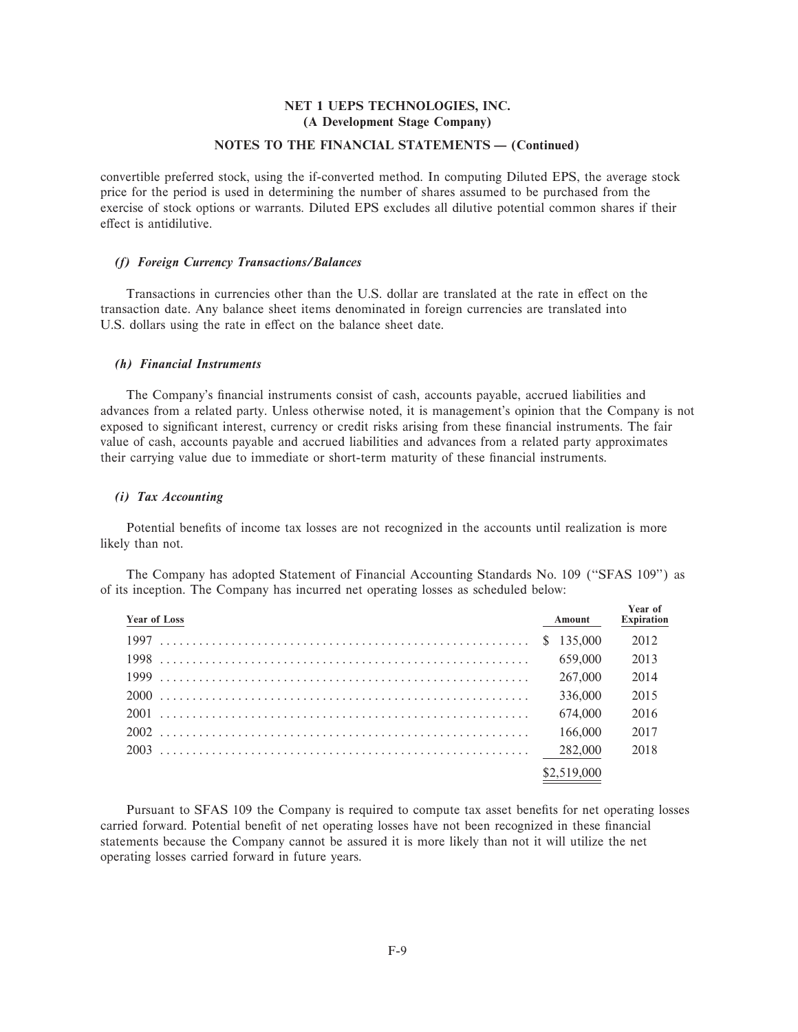## **NOTES TO THE FINANCIAL STATEMENTS - (Continued)**

convertible preferred stock, using the if-converted method. In computing Diluted EPS, the average stock price for the period is used in determining the number of shares assumed to be purchased from the exercise of stock options or warrants. Diluted EPS excludes all dilutive potential common shares if their effect is antidilutive.

#### *(f) Foreign Currency Transactions/Balances*

Transactions in currencies other than the U.S. dollar are translated at the rate in effect on the transaction date. Any balance sheet items denominated in foreign currencies are translated into U.S. dollars using the rate in effect on the balance sheet date.

#### *(h) Financial Instruments*

The Company's financial instruments consist of cash, accounts payable, accrued liabilities and advances from a related party. Unless otherwise noted, it is management's opinion that the Company is not exposed to significant interest, currency or credit risks arising from these financial instruments. The fair value of cash, accounts payable and accrued liabilities and advances from a related party approximates their carrying value due to immediate or short-term maturity of these financial instruments.

#### *(i) Tax Accounting*

Potential benefits of income tax losses are not recognized in the accounts until realization is more likely than not.

| <b>Year of Loss</b> | Amount      | Year of<br><b>Expiration</b> |
|---------------------|-------------|------------------------------|
|                     | \$135,000   | 2012                         |
|                     | 659,000     | 2013                         |
|                     | 267,000     | 2014                         |
|                     | 336,000     | 2015                         |
|                     | 674,000     | 2016                         |
|                     | 166,000     | 2017                         |
|                     | 282,000     | 2018                         |
|                     | \$2,519,000 |                              |

The Company has adopted Statement of Financial Accounting Standards No. 109 (""SFAS 109'') as of its inception. The Company has incurred net operating losses as scheduled below:

Pursuant to SFAS 109 the Company is required to compute tax asset benefits for net operating losses carried forward. Potential benefit of net operating losses have not been recognized in these financial statements because the Company cannot be assured it is more likely than not it will utilize the net operating losses carried forward in future years.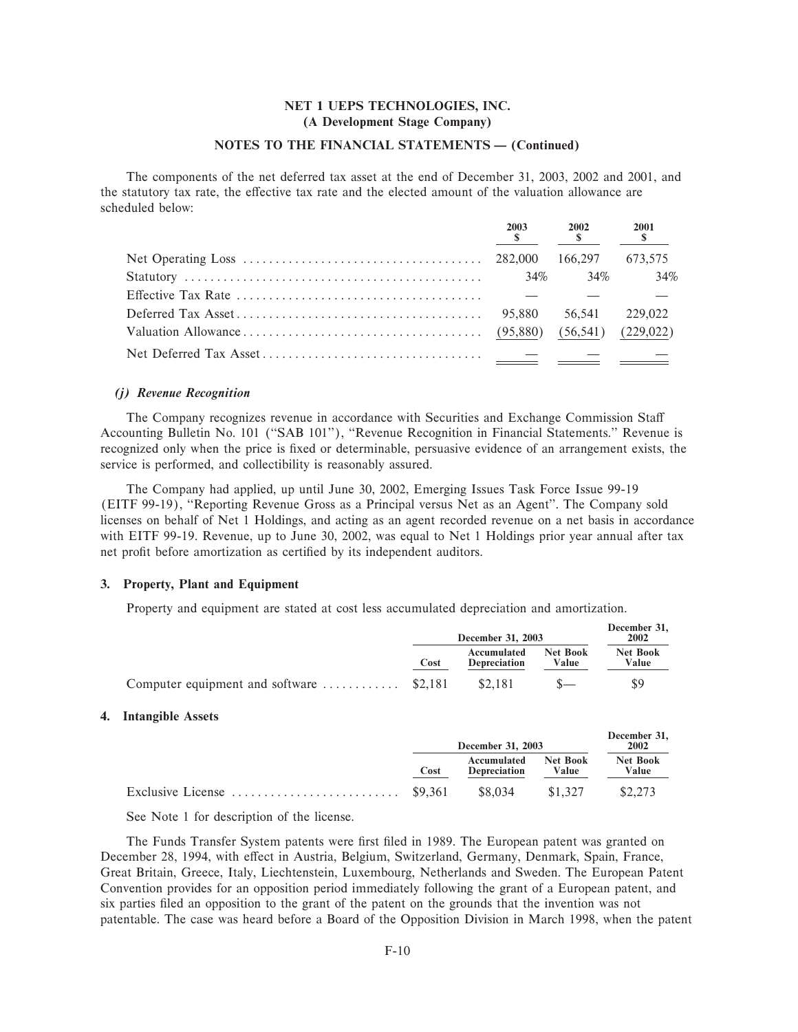## NOTES TO THE FINANCIAL STATEMENTS - (Continued)

The components of the net deferred tax asset at the end of December 31, 2003, 2002 and 2001, and the statutory tax rate, the effective tax rate and the elected amount of the valuation allowance are scheduled below.

| 2003 | 2002      | 2001 |
|------|-----------|------|
|      |           |      |
|      | 34\% 34\% | 34%  |
|      |           |      |
|      |           |      |
|      |           |      |
|      |           |      |

#### (i) Revenue Recognition

The Company recognizes revenue in accordance with Securities and Exchange Commission Staff Accounting Bulletin No. 101 ("SAB 101"), "Revenue Recognition in Financial Statements." Revenue is recognized only when the price is fixed or determinable, persuasive evidence of an arrangement exists, the service is performed, and collectibility is reasonably assured.

The Company had applied, up until June 30, 2002, Emerging Issues Task Force Issue 99-19 (EITF 99-19), "Reporting Revenue Gross as a Principal versus Net as an Agent". The Company sold licenses on behalf of Net 1 Holdings, and acting as an agent recorded revenue on a net basis in accordance with EITF 99-19. Revenue, up to June 30, 2002, was equal to Net 1 Holdings prior year annual after tax net profit before amortization as certified by its independent auditors.

## 3. Property, Plant and Equipment

Property and equipment are stated at cost less accumulated depreciation and amortization.

|                                                             |      | December 31, 2003                  |                   | December 31.<br>2002 |  |
|-------------------------------------------------------------|------|------------------------------------|-------------------|----------------------|--|
|                                                             | Cost | Accumulated<br><b>Depreciation</b> | Net Book<br>Value | Net Book<br>Value    |  |
| Computer equipment and software $\dots \dots \dots$ \$2,181 |      | \$2.181                            |                   |                      |  |

## 4. Intangible Assets

|      | <b>December 31, 2003</b>    |                   | December 31.<br>2002     |  |
|------|-----------------------------|-------------------|--------------------------|--|
| Cost | Accumulated<br>Depreciation | Net Book<br>Value | <b>Net Book</b><br>Value |  |
|      | \$8.034                     | \$1,327           | \$2.273                  |  |

See Note 1 for description of the license.

The Funds Transfer System patents were first filed in 1989. The European patent was granted on December 28, 1994, with effect in Austria, Belgium, Switzerland, Germany, Denmark, Spain, France, Great Britain, Greece, Italy, Liechtenstein, Luxembourg, Netherlands and Sweden. The European Patent Convention provides for an opposition period immediately following the grant of a European patent, and six parties filed an opposition to the grant of the patent on the grounds that the invention was not patentable. The case was heard before a Board of the Opposition Division in March 1998, when the patent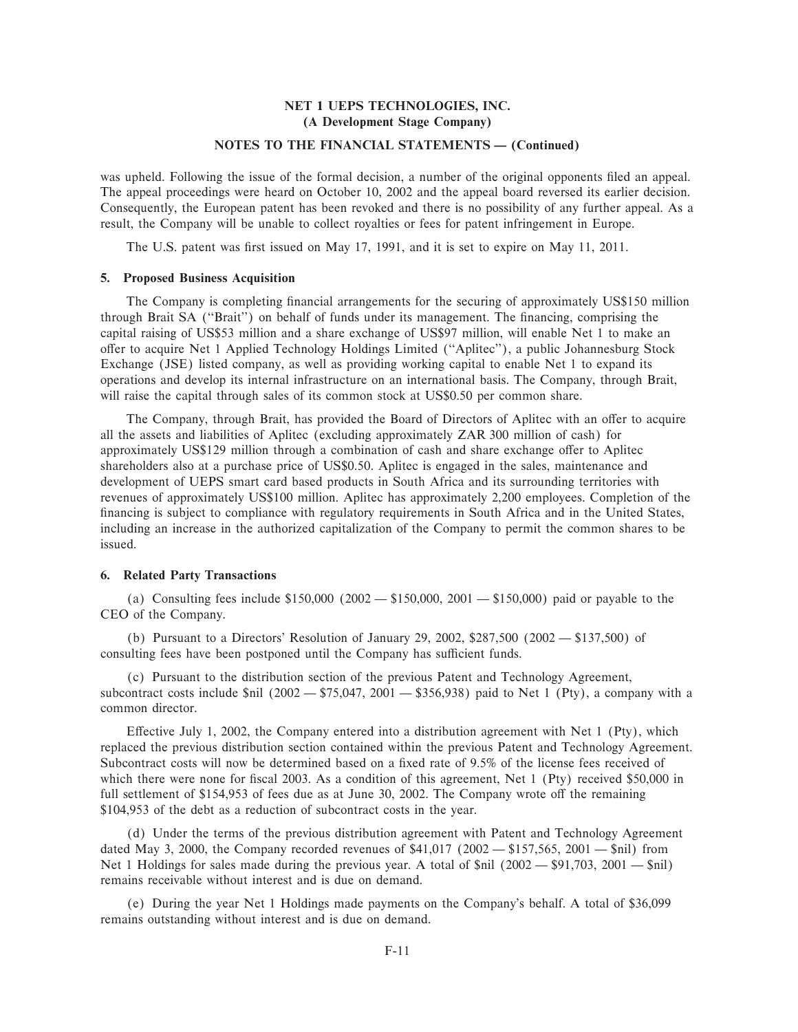## **NOTES TO THE FINANCIAL STATEMENTS - (Continued)**

was upheld. Following the issue of the formal decision, a number of the original opponents filed an appeal. The appeal proceedings were heard on October 10, 2002 and the appeal board reversed its earlier decision. Consequently, the European patent has been revoked and there is no possibility of any further appeal. As a result, the Company will be unable to collect royalties or fees for patent infringement in Europe.

The U.S. patent was first issued on May 17, 1991, and it is set to expire on May 11, 2011.

## **5. Proposed Business Acquisition**

The Company is completing financial arrangements for the securing of approximately US\$150 million through Brait SA ("Brait") on behalf of funds under its management. The financing, comprising the capital raising of US\$53 million and a share exchange of US\$97 million, will enable Net 1 to make an offer to acquire Net 1 Applied Technology Holdings Limited ("Aplitec"), a public Johannesburg Stock Exchange (JSE) listed company, as well as providing working capital to enable Net 1 to expand its operations and develop its internal infrastructure on an international basis. The Company, through Brait, will raise the capital through sales of its common stock at US\$0.50 per common share.

The Company, through Brait, has provided the Board of Directors of Aplitec with an offer to acquire all the assets and liabilities of Aplitec (excluding approximately ZAR 300 million of cash) for approximately US\$129 million through a combination of cash and share exchange offer to Aplitec shareholders also at a purchase price of US\$0.50. Aplitec is engaged in the sales, maintenance and development of UEPS smart card based products in South Africa and its surrounding territories with revenues of approximately US\$100 million. Aplitec has approximately 2,200 employees. Completion of the financing is subject to compliance with regulatory requirements in South Africa and in the United States, including an increase in the authorized capitalization of the Company to permit the common shares to be issued.

## **6. Related Party Transactions**

(a) Consulting fees include  $$150,000 (2002 - $150,000, 2001 - $150,000)$  paid or payable to the CEO of the Company.

(b) Pursuant to a Directors' Resolution of January 29, 2002, \$287,500 (2002  $-$  \$137,500) of consulting fees have been postponed until the Company has sufficient funds.

(c) Pursuant to the distribution section of the previous Patent and Technology Agreement, subcontract costs include  $\sin(2002 - \frac{575047}{2001} - \frac{3356038}{2001})$  paid to Net 1 (Pty), a company with a common director.

Effective July 1, 2002, the Company entered into a distribution agreement with Net 1 (Pty), which replaced the previous distribution section contained within the previous Patent and Technology Agreement. Subcontract costs will now be determined based on a fixed rate of 9.5% of the license fees received of which there were none for fiscal 2003. As a condition of this agreement, Net  $1$  (Pty) received \$50,000 in full settlement of  $$154,953$  of fees due as at June 30, 2002. The Company wrote off the remaining \$104,953 of the debt as a reduction of subcontract costs in the year.

(d) Under the terms of the previous distribution agreement with Patent and Technology Agreement dated May 3, 2000, the Company recorded revenues of  $$41,017$  (2002  $- $157,565, 2001 - $nii$ ) from Net 1 Holdings for sales made during the previous year. A total of  $\sinh(2002 - \frac{691}{703}, 2001 - \frac{61}{7})$ remains receivable without interest and is due on demand.

(e) During the year Net 1 Holdings made payments on the Company's behalf. A total of \$36,099 remains outstanding without interest and is due on demand.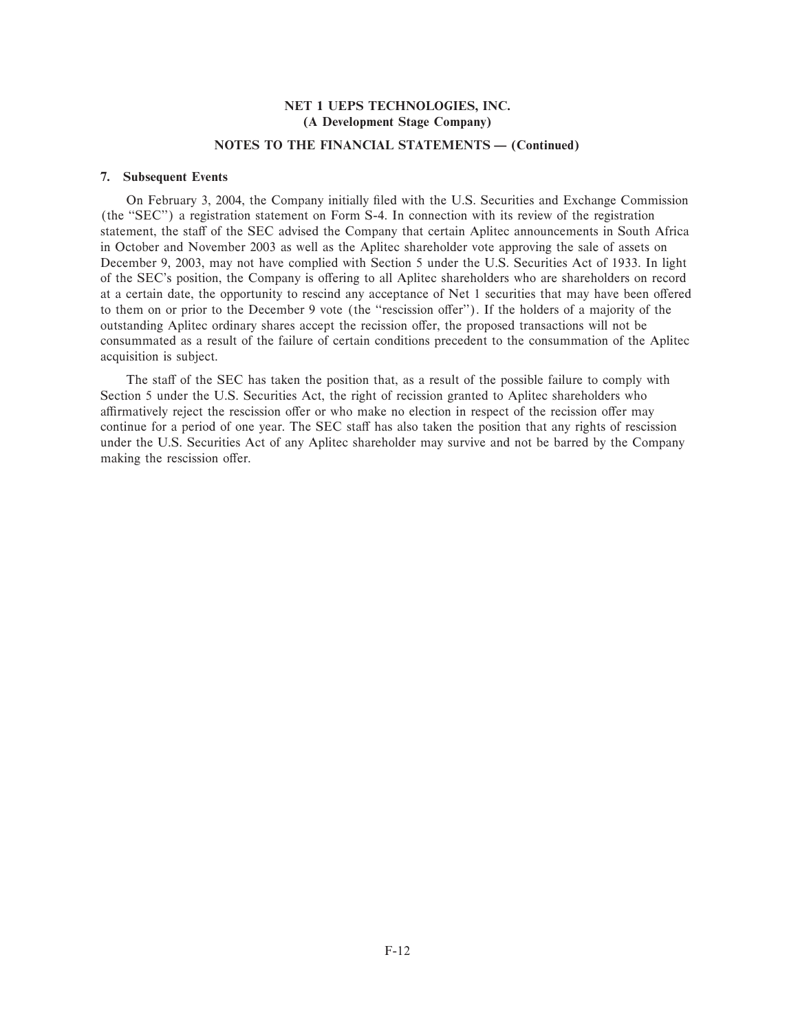## **NOTES TO THE FINANCIAL STATEMENTS — (Continued)**

#### **7. Subsequent Events**

On February 3, 2004, the Company initially filed with the U.S. Securities and Exchange Commission (the "SEC") a registration statement on Form S-4. In connection with its review of the registration statement, the staff of the SEC advised the Company that certain Aplitec announcements in South Africa in October and November 2003 as well as the Aplitec shareholder vote approving the sale of assets on December 9, 2003, may not have complied with Section 5 under the U.S. Securities Act of 1933. In light of the SEC's position, the Company is offering to all Aplitec shareholders who are shareholders on record at a certain date, the opportunity to rescind any acceptance of Net 1 securities that may have been offered to them on or prior to the December 9 vote (the "rescission offer"). If the holders of a majority of the outstanding Aplitec ordinary shares accept the recission offer, the proposed transactions will not be consummated as a result of the failure of certain conditions precedent to the consummation of the Aplitec acquisition is subject.

The staff of the SEC has taken the position that, as a result of the possible failure to comply with Section 5 under the U.S. Securities Act, the right of recission granted to Aplitec shareholders who affirmatively reject the rescission offer or who make no election in respect of the recission offer may continue for a period of one year. The SEC staff has also taken the position that any rights of rescission under the U.S. Securities Act of any Aplitec shareholder may survive and not be barred by the Company making the rescission offer.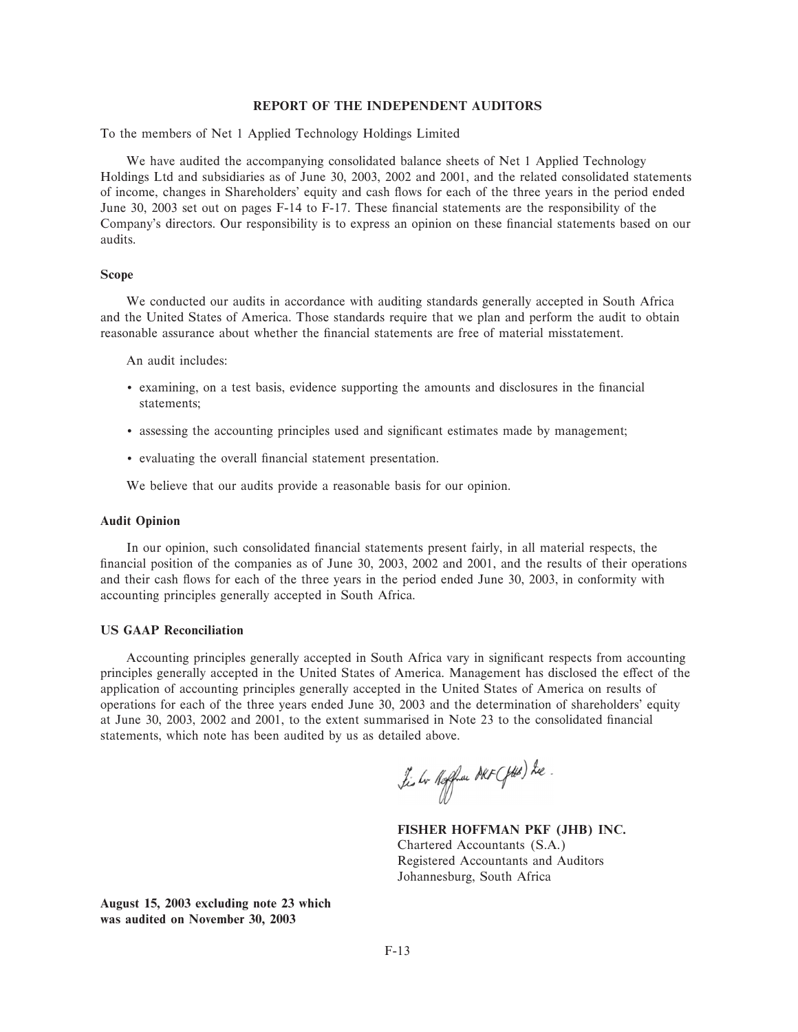#### **REPORT OF THE INDEPENDENT AUDITORS**

To the members of Net 1 Applied Technology Holdings Limited

We have audited the accompanying consolidated balance sheets of Net 1 Applied Technology Holdings Ltd and subsidiaries as of June 30, 2003, 2002 and 2001, and the related consolidated statements of income, changes in Shareholders' equity and cash Öows for each of the three years in the period ended June 30, 2003 set out on pages  $F-14$  to  $F-17$ . These financial statements are the responsibility of the Company's directors. Our responsibility is to express an opinion on these financial statements based on our audits.

#### **Scope**

We conducted our audits in accordance with auditing standards generally accepted in South Africa and the United States of America. Those standards require that we plan and perform the audit to obtain reasonable assurance about whether the financial statements are free of material misstatement.

An audit includes:

- examining, on a test basis, evidence supporting the amounts and disclosures in the financial statements;
- assessing the accounting principles used and significant estimates made by management;
- evaluating the overall financial statement presentation.

We believe that our audits provide a reasonable basis for our opinion.

#### **Audit Opinion**

In our opinion, such consolidated financial statements present fairly, in all material respects, the financial position of the companies as of June 30, 2003, 2002 and 2001, and the results of their operations and their cash flows for each of the three years in the period ended June 30, 2003, in conformity with accounting principles generally accepted in South Africa.

## **US GAAP Reconciliation**

Accounting principles generally accepted in South Africa vary in significant respects from accounting principles generally accepted in the United States of America. Management has disclosed the effect of the application of accounting principles generally accepted in the United States of America on results of operations for each of the three years ended June 30, 2003 and the determination of shareholders' equity at June 30, 2003, 2002 and 2001, to the extent summarised in Note 23 to the consolidated financial statements, which note has been audited by us as detailed above.

Lis br Reffrau DRF (fild) he.

**FISHER HOFFMAN PKF (JHB) INC.** Chartered Accountants (S.A.) Registered Accountants and Auditors Johannesburg, South Africa

**August 15, 2003 excluding note 23 which was audited on November 30, 2003**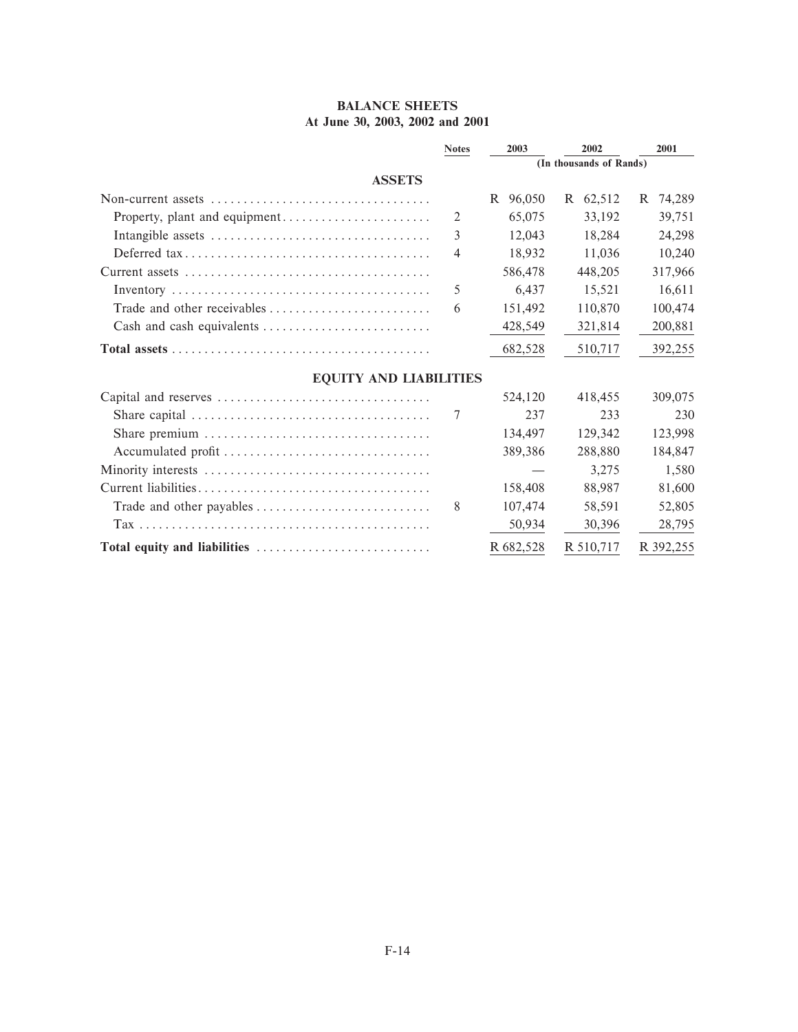## **BALANCE SHEETS At June 30, 2003, 2002 and 2001**

|                                                                                              | <b>Notes</b> | 2003      | 2002                    | 2001        |  |  |
|----------------------------------------------------------------------------------------------|--------------|-----------|-------------------------|-------------|--|--|
|                                                                                              |              |           | (In thousands of Rands) |             |  |  |
| <b>ASSETS</b>                                                                                |              |           |                         |             |  |  |
| Non-current assets $\dots \dots \dots \dots \dots \dots \dots \dots \dots \dots \dots \dots$ |              | R 96,050  | R 62,512                | 74,289<br>R |  |  |
| Property, plant and equipment                                                                | 2            | 65,075    | 33.192                  | 39,751      |  |  |
|                                                                                              | 3            | 12,043    | 18,284                  | 24,298      |  |  |
|                                                                                              | 4            | 18,932    | 11.036                  | 10,240      |  |  |
|                                                                                              |              | 586,478   | 448,205                 | 317,966     |  |  |
|                                                                                              | 5            | 6,437     | 15,521                  | 16,611      |  |  |
| Trade and other receivables                                                                  | 6            | 151,492   | 110,870                 | 100,474     |  |  |
| Cash and cash equivalents $\dots \dots \dots \dots \dots \dots \dots \dots$                  |              | 428,549   | 321,814                 | 200,881     |  |  |
|                                                                                              |              | 682,528   | 510,717                 | 392,255     |  |  |
| <b>EQUITY AND LIABILITIES</b>                                                                |              |           |                         |             |  |  |
|                                                                                              |              | 524,120   | 418,455                 | 309,075     |  |  |
|                                                                                              | 7            | 237       | 233                     | 230         |  |  |
|                                                                                              |              | 134,497   | 129,342                 | 123,998     |  |  |
| Accumulated profit                                                                           |              | 389,386   | 288,880                 | 184,847     |  |  |
|                                                                                              |              |           | 3,275                   | 1,580       |  |  |
|                                                                                              |              | 158,408   | 88.987                  | 81,600      |  |  |
|                                                                                              | 8            | 107,474   | 58,591                  | 52,805      |  |  |
|                                                                                              |              | 50,934    | 30,396                  | 28,795      |  |  |
| Total equity and liabilities                                                                 |              | R 682,528 | R 510,717               | R 392,255   |  |  |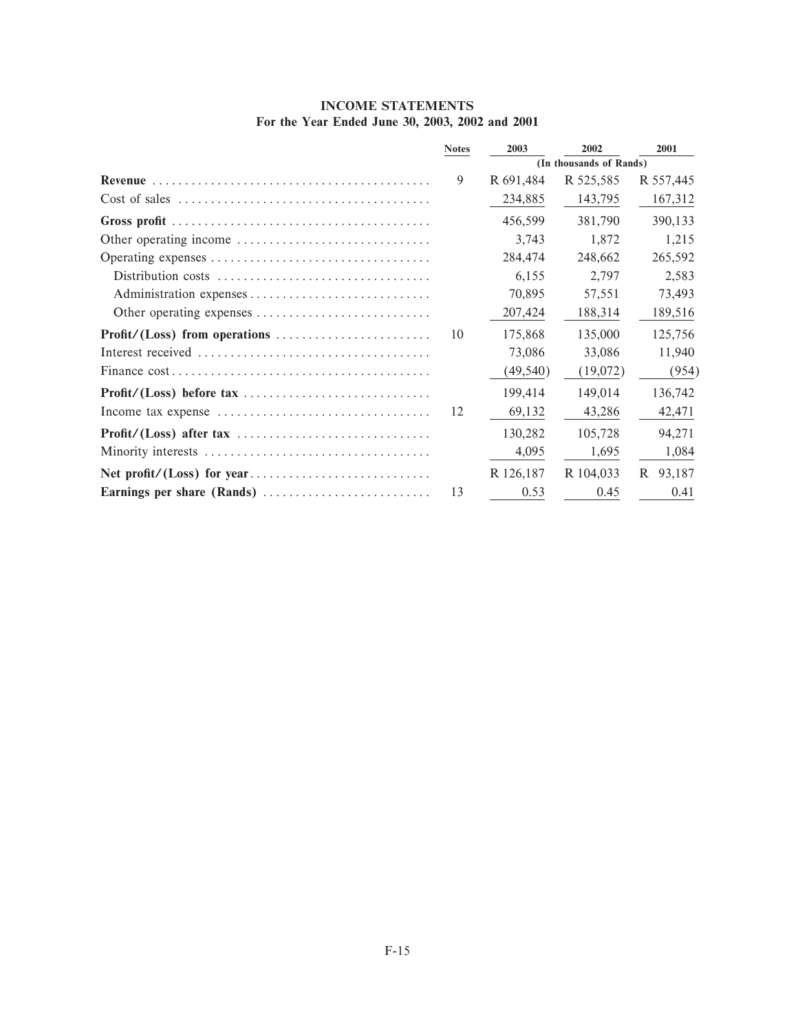| <b>INCOME STATEMENTS</b> |  |  |                                                 |  |  |  |  |  |  |
|--------------------------|--|--|-------------------------------------------------|--|--|--|--|--|--|
|                          |  |  | For the Year Ended June 30, 2003, 2002 and 2001 |  |  |  |  |  |  |

|                            | <b>Notes</b> | 2003      | 2002                    | 2001      |
|----------------------------|--------------|-----------|-------------------------|-----------|
|                            |              |           | (In thousands of Rands) |           |
|                            | 9            | R 691,484 | R 525,585               | R 557,445 |
|                            |              | 234,885   | 143,795                 | 167,312   |
|                            |              | 456,599   | 381,790                 | 390,133   |
|                            |              | 3,743     | 1,872                   | 1,215     |
|                            |              | 284,474   | 248,662                 | 265,592   |
|                            |              | 6,155     | 2,797                   | 2,583     |
| Administration expenses    |              | 70,895    | 57,551                  | 73,493    |
| Other operating expenses   |              | 207,424   | 188,314                 | 189,516   |
|                            | 10           | 175,868   | 135,000                 | 125,756   |
|                            |              | 73,086    | 33,086                  | 11,940    |
|                            |              | (49, 540) | (19,072)                | (954)     |
|                            |              | 199,414   | 149,014                 | 136,742   |
|                            | 12           | 69,132    | 43,286                  | 42,471    |
|                            |              | 130,282   | 105,728                 | 94,271    |
|                            |              | 4,095     | 1,695                   | 1,084     |
|                            |              | R 126,187 | R 104,033               | R 93,187  |
| Earnings per share (Rands) | 13           | 0.53      | 0.45                    | 0.41      |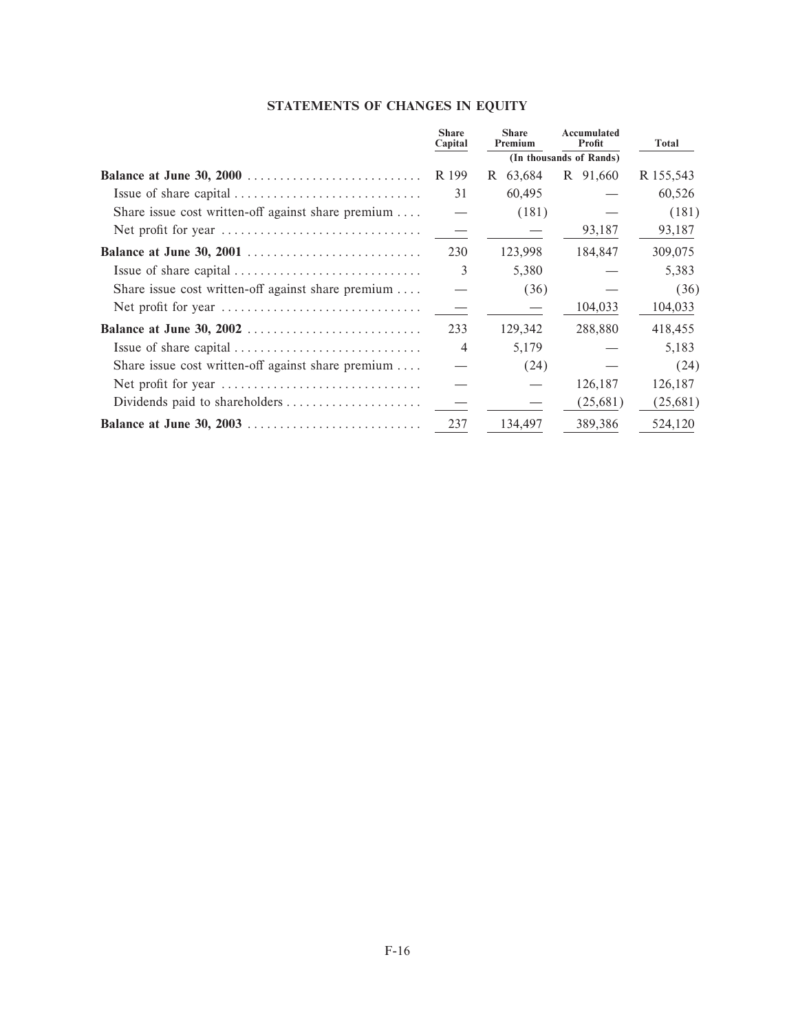# **STATEMENTS OF CHANGES IN EQUITY**

|                                                    | <b>Share</b><br>Capital | <b>Share</b><br>Premium | Accumulated<br>Profit   | Total     |
|----------------------------------------------------|-------------------------|-------------------------|-------------------------|-----------|
|                                                    |                         |                         | (In thousands of Rands) |           |
|                                                    | R 199                   | 63,684<br>R             | R 91,660                | R 155,543 |
|                                                    | 31                      | 60,495                  |                         | 60,526    |
| Share issue cost written-off against share premium |                         | (181)                   |                         | (181)     |
|                                                    |                         |                         | 93,187                  | 93,187    |
| Balance at June 30, 2001                           | 230                     | 123,998                 | 184,847                 | 309,075   |
|                                                    | 3                       | 5,380                   |                         | 5,383     |
| Share issue cost written-off against share premium |                         | (36)                    |                         | (36)      |
|                                                    |                         |                         | 104,033                 | 104,033   |
| Balance at June 30, 2002                           | 233                     | 129,342                 | 288,880                 | 418,455   |
|                                                    | $\overline{4}$          | 5,179                   |                         | 5,183     |
| Share issue cost written-off against share premium |                         | (24)                    |                         | (24)      |
|                                                    |                         |                         | 126,187                 | 126,187   |
| Dividends paid to shareholders                     |                         |                         | (25,681)                | (25,681)  |
|                                                    | 237                     | 134,497                 | 389,386                 | 524,120   |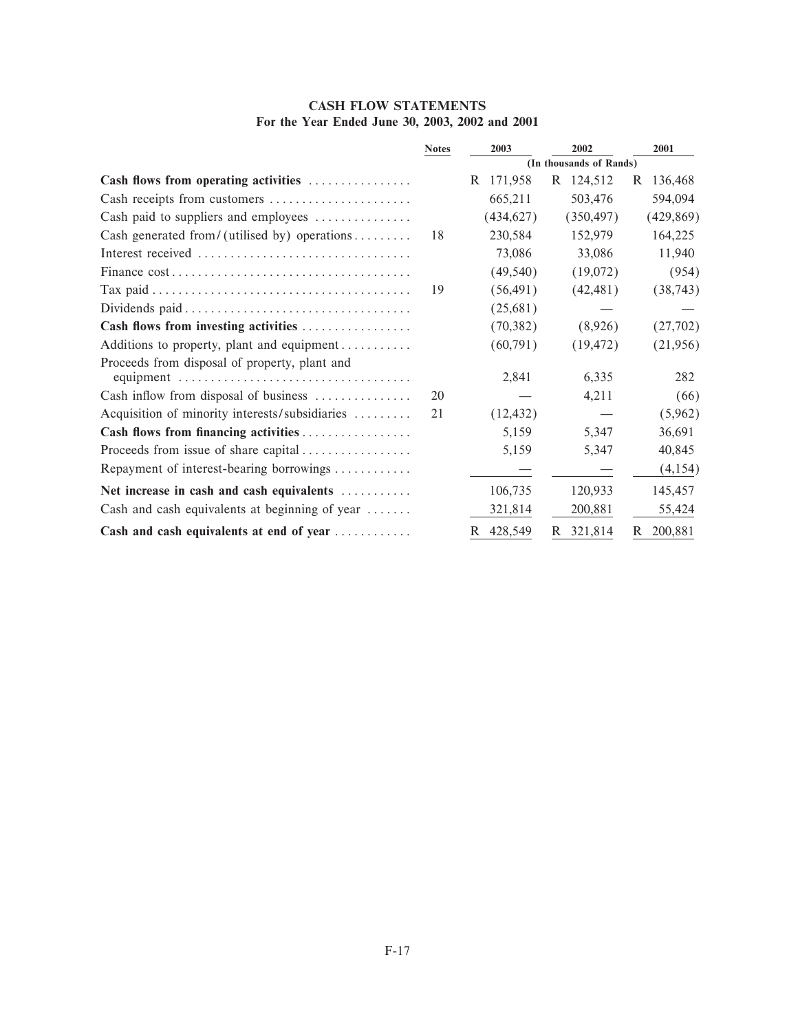| <b>CASH FLOW STATEMENTS</b>                     |  |  |  |  |  |  |  |  |
|-------------------------------------------------|--|--|--|--|--|--|--|--|
| For the Year Ended June 30, 2003, 2002 and 2001 |  |  |  |  |  |  |  |  |

|                                                                  | <b>Notes</b> | 2003                    | 2002       | 2001          |
|------------------------------------------------------------------|--------------|-------------------------|------------|---------------|
|                                                                  |              | (In thousands of Rands) |            |               |
| Cash flows from operating activities                             |              | 171,958<br>R            | R 124,512  | 136,468<br>R  |
| Cash receipts from customers                                     |              | 665,211                 | 503,476    | 594,094       |
| Cash paid to suppliers and employees $\dots\dots\dots\dots\dots$ |              | (434, 627)              | (350, 497) | (429, 869)    |
| Cash generated from/(utilised by) operations                     | 18           | 230,584                 | 152,979    | 164,225       |
|                                                                  |              | 73,086                  | 33,086     | 11,940        |
|                                                                  |              | (49, 540)               | (19,072)   | (954)         |
|                                                                  | 19           | (56, 491)               | (42, 481)  | (38, 743)     |
|                                                                  |              | (25,681)                |            |               |
| Cash flows from investing activities                             |              | (70, 382)               | (8,926)    | (27,702)      |
| Additions to property, plant and equipment                       |              | (60, 791)               | (19, 472)  | (21,956)      |
| Proceeds from disposal of property, plant and                    |              |                         |            |               |
|                                                                  |              | 2,841                   | 6,335      | 282           |
| Cash inflow from disposal of business                            | 20           |                         | 4,211      | (66)          |
| Acquisition of minority interests/subsidiaries                   | 21           | (12, 432)               |            | (5,962)       |
|                                                                  |              | 5,159                   | 5,347      | 36,691        |
| Proceeds from issue of share capital                             |              | 5,159                   | 5,347      | 40,845        |
| Repayment of interest-bearing borrowings                         |              |                         |            | (4,154)       |
| Net increase in cash and cash equivalents                        |              | 106,735                 | 120,933    | 145,457       |
| Cash and cash equivalents at beginning of year $\dots\dots$      |              | 321,814                 | 200,881    | 55,424        |
| Cash and cash equivalents at end of year                         |              | 428,549<br>R.           | R 321,814  | 200,881<br>R. |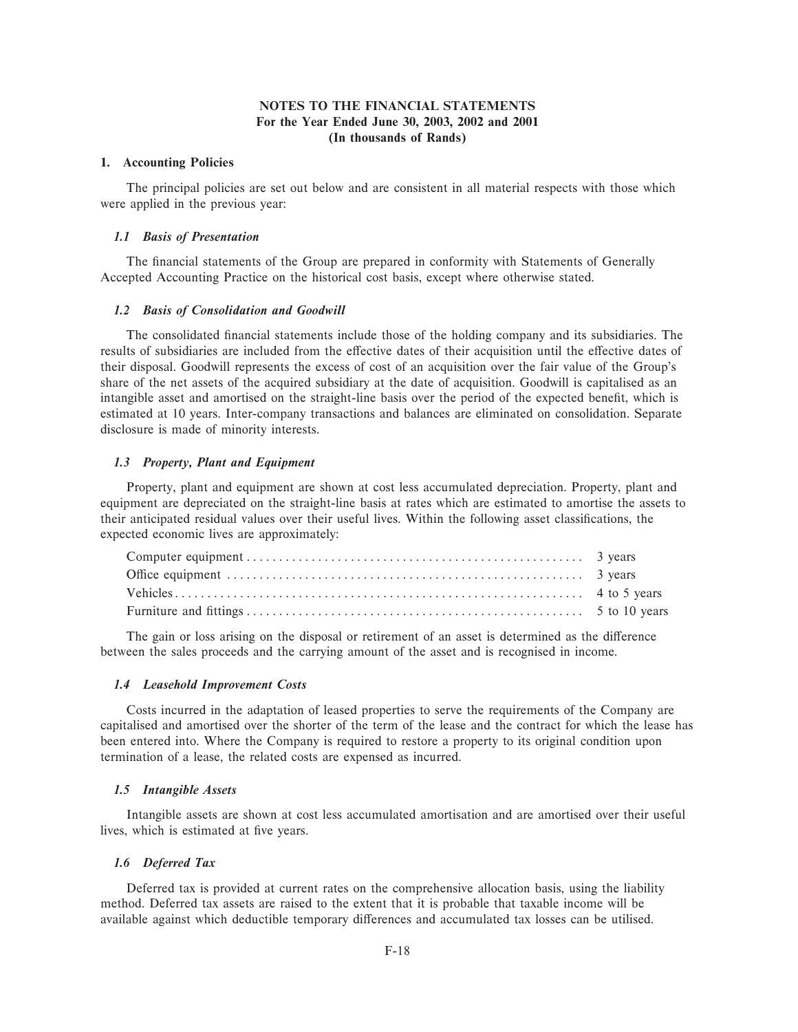## **NOTES TO THE FINANCIAL STATEMENTS For the Year Ended June 30, 2003, 2002 and 2001 (In thousands of Rands)**

#### **1. Accounting Policies**

The principal policies are set out below and are consistent in all material respects with those which were applied in the previous year:

## *1.1 Basis of Presentation*

The financial statements of the Group are prepared in conformity with Statements of Generally Accepted Accounting Practice on the historical cost basis, except where otherwise stated.

#### *1.2 Basis of Consolidation and Goodwill*

The consolidated financial statements include those of the holding company and its subsidiaries. The results of subsidiaries are included from the effective dates of their acquisition until the effective dates of their disposal. Goodwill represents the excess of cost of an acquisition over the fair value of the Group's share of the net assets of the acquired subsidiary at the date of acquisition. Goodwill is capitalised as an intangible asset and amortised on the straight-line basis over the period of the expected benefit, which is estimated at 10 years. Inter-company transactions and balances are eliminated on consolidation. Separate disclosure is made of minority interests.

#### *1.3 Property, Plant and Equipment*

Property, plant and equipment are shown at cost less accumulated depreciation. Property, plant and equipment are depreciated on the straight-line basis at rates which are estimated to amortise the assets to their anticipated residual values over their useful lives. Within the following asset classifications, the expected economic lives are approximately:

The gain or loss arising on the disposal or retirement of an asset is determined as the difference between the sales proceeds and the carrying amount of the asset and is recognised in income.

#### *1.4 Leasehold Improvement Costs*

Costs incurred in the adaptation of leased properties to serve the requirements of the Company are capitalised and amortised over the shorter of the term of the lease and the contract for which the lease has been entered into. Where the Company is required to restore a property to its original condition upon termination of a lease, the related costs are expensed as incurred.

#### *1.5 Intangible Assets*

Intangible assets are shown at cost less accumulated amortisation and are amortised over their useful lives, which is estimated at five years.

#### *1.6 Deferred Tax*

Deferred tax is provided at current rates on the comprehensive allocation basis, using the liability method. Deferred tax assets are raised to the extent that it is probable that taxable income will be available against which deductible temporary differences and accumulated tax losses can be utilised.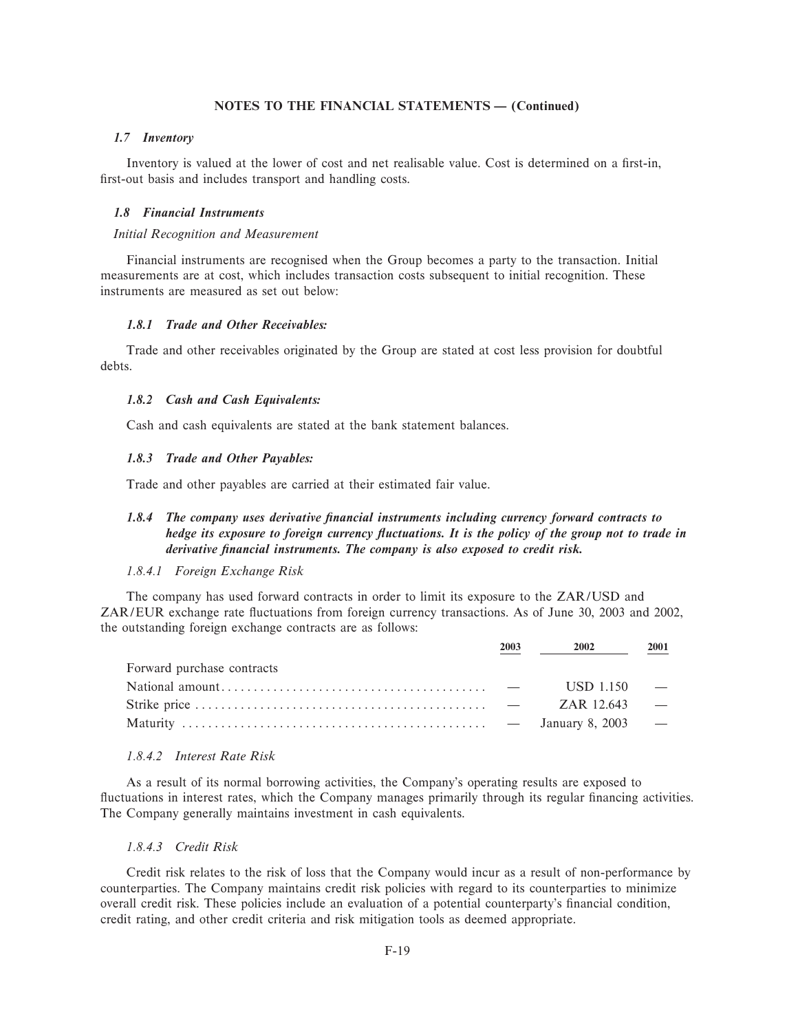## *1.7 Inventory*

Inventory is valued at the lower of cost and net realisable value. Cost is determined on a first-in, first-out basis and includes transport and handling costs.

#### *1.8 Financial Instruments*

#### *Initial Recognition and Measurement*

Financial instruments are recognised when the Group becomes a party to the transaction. Initial measurements are at cost, which includes transaction costs subsequent to initial recognition. These instruments are measured as set out below:

## *1.8.1 Trade and Other Receivables:*

Trade and other receivables originated by the Group are stated at cost less provision for doubtful debts.

#### *1.8.2 Cash and Cash Equivalents:*

Cash and cash equivalents are stated at the bank statement balances.

## *1.8.3 Trade and Other Payables:*

Trade and other payables are carried at their estimated fair value.

## *1.8.4 The company uses derivative Ñnancial instruments including currency forward contracts to hedge its exposure to foreign currency fluctuations. It is the policy of the group not to trade in* derivative financial instruments. The company is also exposed to credit risk.

#### *1.8.4.1 Foreign Exchange Risk*

The company has used forward contracts in order to limit its exposure to the ZAR/USD and ZAR/EUR exchange rate Öuctuations from foreign currency transactions. As of June 30, 2003 and 2002, the outstanding foreign exchange contracts are as follows:

|                            | 2003 | 2002          | 2001                     |
|----------------------------|------|---------------|--------------------------|
| Forward purchase contracts |      |               |                          |
|                            |      | $USD 1.150 -$ |                          |
|                            |      | ZAR 12.643    | <b>Contract Contract</b> |
|                            |      |               |                          |

## *1.8.4.2 Interest Rate Risk*

As a result of its normal borrowing activities, the Company's operating results are exposed to fluctuations in interest rates, which the Company manages primarily through its regular financing activities. The Company generally maintains investment in cash equivalents.

## *1.8.4.3 Credit Risk*

Credit risk relates to the risk of loss that the Company would incur as a result of non-performance by counterparties. The Company maintains credit risk policies with regard to its counterparties to minimize overall credit risk. These policies include an evaluation of a potential counterparty's financial condition, credit rating, and other credit criteria and risk mitigation tools as deemed appropriate.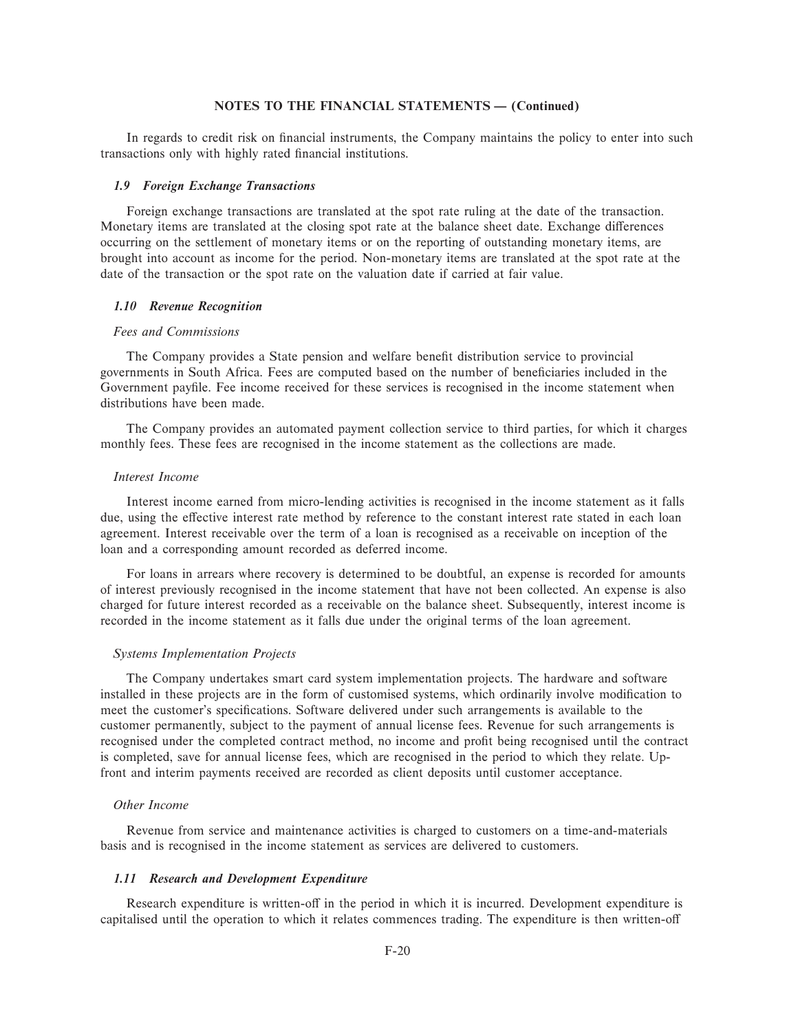In regards to credit risk on financial instruments, the Company maintains the policy to enter into such transactions only with highly rated financial institutions.

### *1.9 Foreign Exchange Transactions*

Foreign exchange transactions are translated at the spot rate ruling at the date of the transaction. Monetary items are translated at the closing spot rate at the balance sheet date. Exchange differences occurring on the settlement of monetary items or on the reporting of outstanding monetary items, are brought into account as income for the period. Non-monetary items are translated at the spot rate at the date of the transaction or the spot rate on the valuation date if carried at fair value.

#### *1.10 Revenue Recognition*

#### *Fees and Commissions*

The Company provides a State pension and welfare benefit distribution service to provincial governments in South Africa. Fees are computed based on the number of beneficiaries included in the Government payfile. Fee income received for these services is recognised in the income statement when distributions have been made.

The Company provides an automated payment collection service to third parties, for which it charges monthly fees. These fees are recognised in the income statement as the collections are made.

#### *Interest Income*

Interest income earned from micro-lending activities is recognised in the income statement as it falls due, using the effective interest rate method by reference to the constant interest rate stated in each loan agreement. Interest receivable over the term of a loan is recognised as a receivable on inception of the loan and a corresponding amount recorded as deferred income.

For loans in arrears where recovery is determined to be doubtful, an expense is recorded for amounts of interest previously recognised in the income statement that have not been collected. An expense is also charged for future interest recorded as a receivable on the balance sheet. Subsequently, interest income is recorded in the income statement as it falls due under the original terms of the loan agreement.

#### *Systems Implementation Projects*

The Company undertakes smart card system implementation projects. The hardware and software installed in these projects are in the form of customised systems, which ordinarily involve modification to meet the customer's specifications. Software delivered under such arrangements is available to the customer permanently, subject to the payment of annual license fees. Revenue for such arrangements is recognised under the completed contract method, no income and profit being recognised until the contract is completed, save for annual license fees, which are recognised in the period to which they relate. Upfront and interim payments received are recorded as client deposits until customer acceptance.

## *Other Income*

Revenue from service and maintenance activities is charged to customers on a time-and-materials basis and is recognised in the income statement as services are delivered to customers.

#### *1.11 Research and Development Expenditure*

Research expenditure is written-off in the period in which it is incurred. Development expenditure is capitalised until the operation to which it relates commences trading. The expenditure is then written-off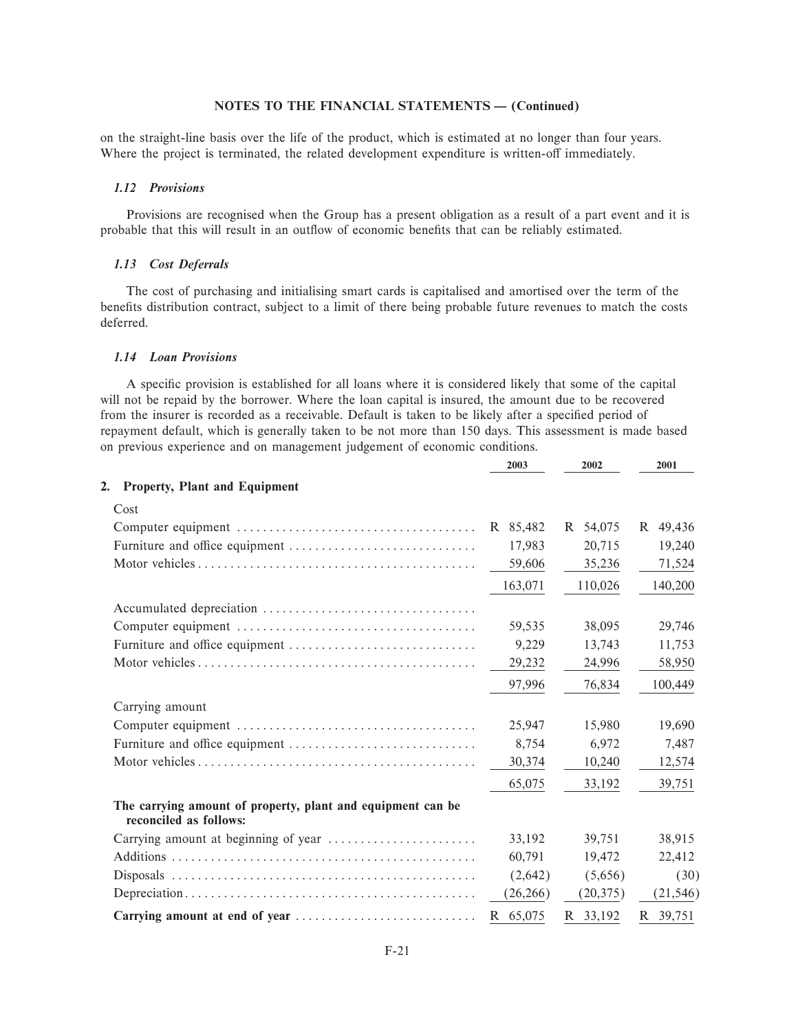on the straight-line basis over the life of the product, which is estimated at no longer than four years. Where the project is terminated, the related development expenditure is written-off immediately.

#### *1.12 Provisions*

Provisions are recognised when the Group has a present obligation as a result of a part event and it is probable that this will result in an outflow of economic benefits that can be reliably estimated.

## *1.13 Cost Deferrals*

The cost of purchasing and initialising smart cards is capitalised and amortised over the term of the benefits distribution contract, subject to a limit of there being probable future revenues to match the costs deferred.

## *1.14 Loan Provisions*

A specific provision is established for all loans where it is considered likely that some of the capital will not be repaid by the borrower. Where the loan capital is insured, the amount due to be recovered from the insurer is recorded as a receivable. Default is taken to be likely after a specified period of repayment default, which is generally taken to be not more than 150 days. This assessment is made based on previous experience and on management judgement of economic conditions.

|                                                                                       | 2003      | 2002      | 2001         |
|---------------------------------------------------------------------------------------|-----------|-----------|--------------|
| <b>Property, Plant and Equipment</b><br>2.                                            |           |           |              |
| Cost                                                                                  |           |           |              |
|                                                                                       | R 85,482  | R 54,075  | 49,436<br>R. |
|                                                                                       | 17,983    | 20,715    | 19,240       |
|                                                                                       | 59,606    | 35,236    | 71,524       |
|                                                                                       | 163,071   | 110,026   | 140,200      |
|                                                                                       |           |           |              |
|                                                                                       | 59,535    | 38,095    | 29,746       |
|                                                                                       | 9,229     | 13,743    | 11,753       |
|                                                                                       | 29,232    | 24,996    | 58,950       |
|                                                                                       | 97,996    | 76,834    | 100,449      |
| Carrying amount                                                                       |           |           |              |
|                                                                                       | 25,947    | 15,980    | 19,690       |
|                                                                                       | 8,754     | 6,972     | 7,487        |
|                                                                                       | 30,374    | 10,240    | 12,574       |
|                                                                                       | 65,075    | 33,192    | 39,751       |
| The carrying amount of property, plant and equipment can be<br>reconciled as follows: |           |           |              |
|                                                                                       | 33.192    | 39.751    | 38,915       |
|                                                                                       | 60.791    | 19,472    | 22,412       |
|                                                                                       | (2,642)   | (5,656)   | (30)         |
|                                                                                       | (26, 266) | (20, 375) | (21, 546)    |
| Carrying amount at end of year                                                        | R 65,075  | R 33,192  | R 39,751     |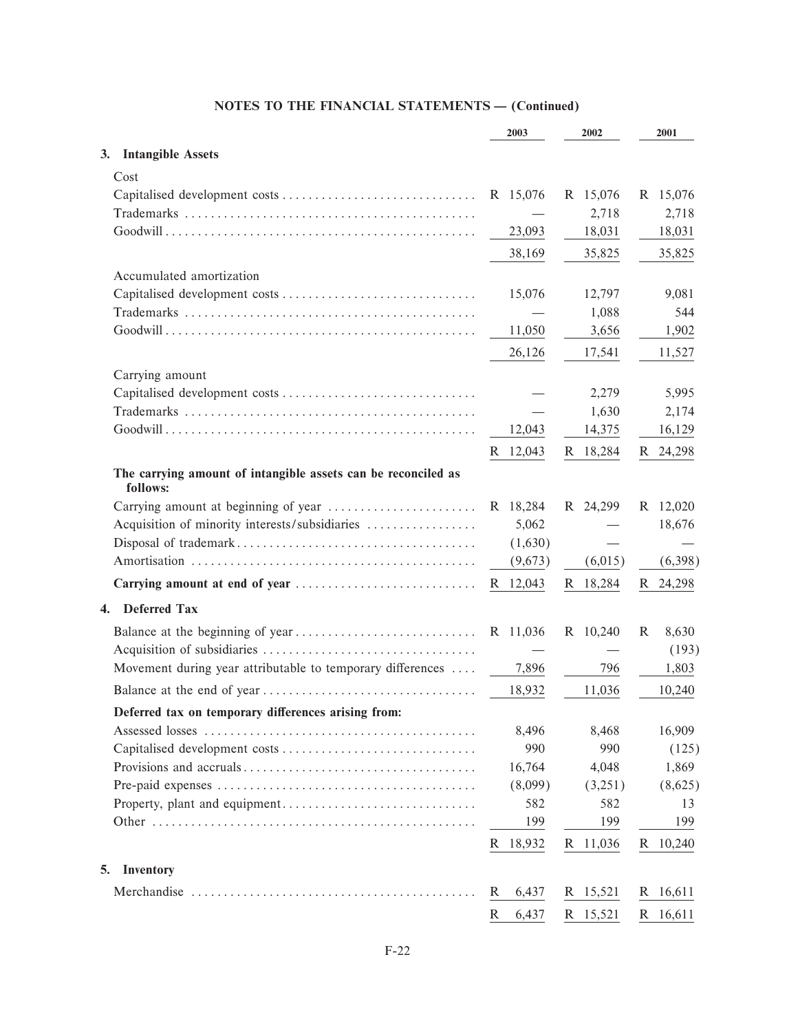|                                                                           | 2003        | 2002     | 2001       |
|---------------------------------------------------------------------------|-------------|----------|------------|
| <b>Intangible Assets</b><br>3.                                            |             |          |            |
| Cost                                                                      |             |          |            |
|                                                                           | R 15,076    | R 15,076 | R 15,076   |
|                                                                           |             | 2,718    | 2,718      |
|                                                                           | 23,093      | 18,031   | 18,031     |
|                                                                           | 38,169      | 35,825   | 35,825     |
| Accumulated amortization                                                  |             |          |            |
|                                                                           | 15,076      | 12,797   | 9,081      |
|                                                                           |             | 1,088    | 544        |
|                                                                           | 11,050      | 3,656    | 1,902      |
|                                                                           | 26,126      | 17,541   | 11,527     |
| Carrying amount                                                           |             |          |            |
|                                                                           |             | 2,279    | 5,995      |
|                                                                           |             | 1,630    | 2,174      |
|                                                                           | 12,043      | 14,375   | 16,129     |
|                                                                           | R 12,043    | R 18,284 | R 24,298   |
|                                                                           |             |          |            |
| The carrying amount of intangible assets can be reconciled as<br>follows: |             |          |            |
|                                                                           | R 18,284    | R 24,299 | R 12,020   |
| Acquisition of minority interests/subsidiaries                            | 5,062       |          | 18,676     |
|                                                                           | (1,630)     |          |            |
|                                                                           | (9,673)     | (6,015)  | (6,398)    |
|                                                                           | R 12,043    | R 18,284 | R 24,298   |
| <b>Deferred Tax</b><br>4.                                                 |             |          |            |
|                                                                           | R 11,036    | R 10,240 | R<br>8,630 |
|                                                                           |             |          | (193)      |
| Movement during year attributable to temporary differences                | 7,896       | 796      | 1,803      |
|                                                                           | 18,932      | 11,036   | 10,240     |
|                                                                           |             |          |            |
| Deferred tax on temporary differences arising from:                       | 8,496       | 8,468    | 16,909     |
|                                                                           | 990         | 990      | (125)      |
|                                                                           | 16,764      | 4,048    | 1,869      |
|                                                                           | (8,099)     | (3,251)  | (8,625)    |
|                                                                           | 582         | 582      | 13         |
|                                                                           | 199         | 199      | 199        |
|                                                                           | R 18,932    | R 11,036 | R 10,240   |
|                                                                           |             |          |            |
| Inventory<br>5.                                                           |             |          |            |
|                                                                           | 6,437<br>R. | R 15,521 | R 16,611   |
|                                                                           | R<br>6,437  | R 15,521 | R 16,611   |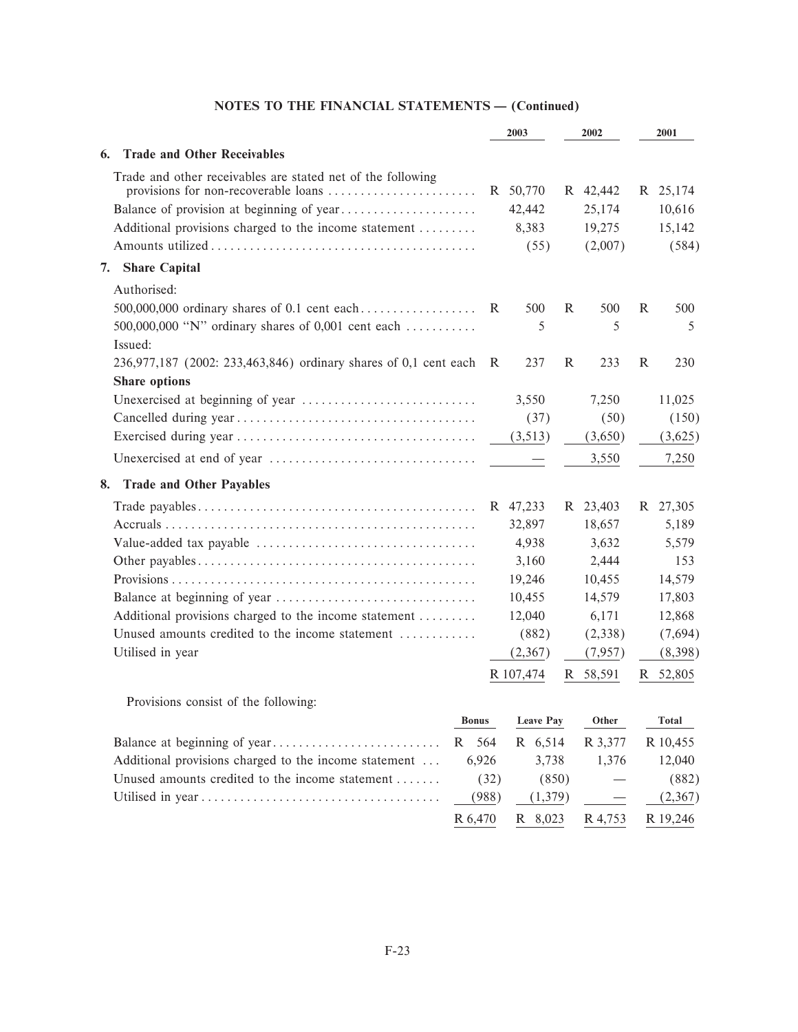|                                                                                                                              |                                            | 2003                                            |   | 2002                                    |              | 2001                                               |
|------------------------------------------------------------------------------------------------------------------------------|--------------------------------------------|-------------------------------------------------|---|-----------------------------------------|--------------|----------------------------------------------------|
| <b>Trade and Other Receivables</b><br>6.                                                                                     |                                            |                                                 |   |                                         |              |                                                    |
| Trade and other receivables are stated net of the following<br>Additional provisions charged to the income statement         |                                            | R 50,770<br>42,442<br>8,383<br>(55)             |   | R 42,442<br>25,174<br>19,275<br>(2,007) |              | R 25,174<br>10,616<br>15,142<br>(584)              |
| <b>Share Capital</b><br>7.                                                                                                   |                                            |                                                 |   |                                         |              |                                                    |
| Authorised:<br>500,000,000 ordinary shares of 0.1 cent each<br>500,000,000 "N" ordinary shares of 0,001 cent each<br>Issued: | R                                          | 500<br>5                                        | R | 500<br>5                                | R            | 500<br>5                                           |
| 236,977,187 (2002: 233,463,846) ordinary shares of 0,1 cent each<br><b>Share options</b>                                     | R                                          | 237                                             | R | 233                                     | $\mathbb{R}$ | 230                                                |
|                                                                                                                              |                                            | 3,550<br>(37)<br>(3,513)                        |   | 7.250<br>(50)<br>(3,650)                |              | 11,025<br>(150)<br>(3,625)                         |
|                                                                                                                              |                                            |                                                 |   | 3,550                                   |              | 7,250                                              |
| 8. Trade and Other Payables                                                                                                  |                                            |                                                 |   |                                         |              |                                                    |
|                                                                                                                              |                                            | R 47,233<br>32,897<br>4,938<br>3,160            |   | R 23,403<br>18,657<br>3,632<br>2,444    |              | R 27,305<br>5,189<br>5,579<br>153                  |
| Additional provisions charged to the income statement<br>Unused amounts credited to the income statement                     |                                            | 19,246<br>10,455<br>12,040<br>(882)             |   | 10,455<br>14,579<br>6,171<br>(2,338)    |              | 14,579<br>17,803<br>12,868<br>(7,694)              |
| Utilised in year                                                                                                             |                                            | (2,367)<br>R 107,474                            |   | (7,957)<br>R 58,591                     |              | (8,398)<br>R 52,805                                |
| Provisions consist of the following:                                                                                         |                                            |                                                 |   |                                         |              |                                                    |
|                                                                                                                              | <b>Bonus</b>                               | Leave Pay                                       |   | Other                                   |              | Total                                              |
| Additional provisions charged to the income statement<br>Unused amounts credited to the income statement                     | R 564<br>6,926<br>(32)<br>(988)<br>R 6,470 | R 6,514<br>3,738<br>(850)<br>(1,379)<br>R 8,023 |   | R 3,377<br>1,376<br>R 4,753             |              | R 10,455<br>12,040<br>(882)<br>(2,367)<br>R 19,246 |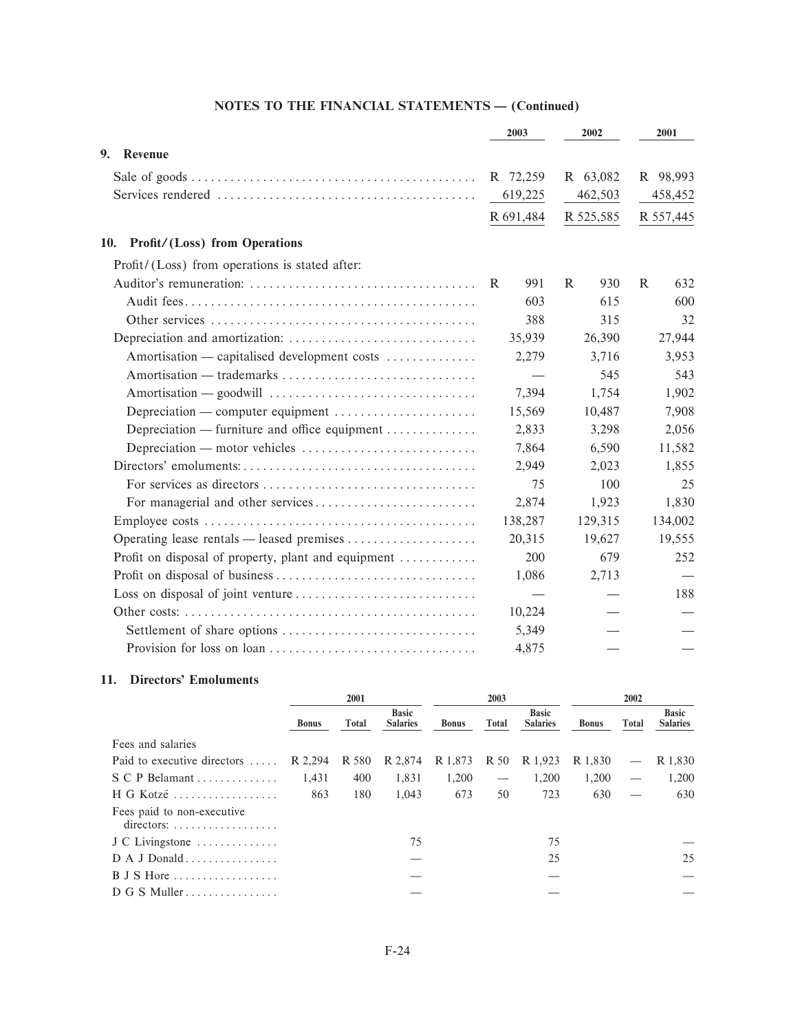|                                                                                    | 2003      | 2002      | 2001      |  |
|------------------------------------------------------------------------------------|-----------|-----------|-----------|--|
| 9.<br>Revenue                                                                      |           |           |           |  |
|                                                                                    | R 72,259  | R 63,082  | R 98,993  |  |
|                                                                                    | 619,225   | 462,503   | 458,452   |  |
|                                                                                    | R 691,484 | R 525,585 | R 557,445 |  |
| <b>Profit/(Loss)</b> from Operations<br>10.                                        |           |           |           |  |
| Profit/(Loss) from operations is stated after:                                     |           |           |           |  |
|                                                                                    | 991<br>R  | R<br>930  | R<br>632  |  |
|                                                                                    | 603       | 615       | 600       |  |
|                                                                                    | 388       | 315       | 32        |  |
|                                                                                    | 35,939    | 26,390    | 27,944    |  |
| Amortisation — capitalised development costs                                       | 2,279     | 3,716     | 3,953     |  |
|                                                                                    |           | 545       | 543       |  |
|                                                                                    | 7,394     | 1,754     | 1,902     |  |
| Depreciation — computer equipment $\dots\dots\dots\dots\dots\dots\dots$            | 15,569    | 10,487    | 7,908     |  |
| Depreciation — furniture and office equipment                                      | 2,833     | 3,298     | 2,056     |  |
| Depreciation — motor vehicles $\dots\dots\dots\dots\dots\dots\dots\dots\dots\dots$ | 7,864     | 6,590     | 11,582    |  |
|                                                                                    | 2,949     | 2,023     | 1,855     |  |
|                                                                                    | 75        | 100       | 25        |  |
|                                                                                    | 2,874     | 1,923     | 1,830     |  |
|                                                                                    | 138,287   | 129,315   | 134,002   |  |
|                                                                                    | 20,315    | 19,627    | 19,555    |  |
| Profit on disposal of property, plant and equipment                                | 200       | 679       | 252       |  |
|                                                                                    | 1,086     | 2,713     |           |  |
|                                                                                    |           |           | 188       |  |
|                                                                                    | 10,224    |           |           |  |
|                                                                                    | 5,349     |           |           |  |
|                                                                                    | 4,875     |           |           |  |
|                                                                                    |           |           |           |  |

## 11. Directors' Emoluments

|                                                                                | 2001         |              |                                 | 2003                 |                                 |                                 | 2002         |                          |                                 |
|--------------------------------------------------------------------------------|--------------|--------------|---------------------------------|----------------------|---------------------------------|---------------------------------|--------------|--------------------------|---------------------------------|
|                                                                                | <b>Bonus</b> | <b>Total</b> | <b>Basic</b><br><b>Salaries</b> | <b>Bonus</b>         | Total                           | <b>Basic</b><br><b>Salaries</b> | <b>Bonus</b> | <b>Total</b>             | <b>Basic</b><br><b>Salaries</b> |
| Fees and salaries                                                              |              |              |                                 |                      |                                 |                                 |              |                          |                                 |
| Paid to executive directors                                                    | R 2,294      | R 580        | R 2,874                         | R 1,873 R 50 R 1,923 |                                 |                                 | R 1,830      | $\overline{\phantom{m}}$ | R 1,830                         |
| S C P Belamant                                                                 | 1,431        | 400          | 1,831                           | 1,200                | $\hspace{0.1mm}-\hspace{0.1mm}$ | 1,200                           | 1,200        |                          | 1,200                           |
| H G Kotzé                                                                      | 863          | 180          | 1.043                           | 673                  | 50                              | 723                             | 630          |                          | 630                             |
| Fees paid to non-executive<br>$directions: \ldots \ldots \ldots \ldots \ldots$ |              |              |                                 |                      |                                 |                                 |              |                          |                                 |
| J C Livingstone                                                                |              |              | 75                              |                      |                                 | 75                              |              |                          |                                 |
|                                                                                |              |              |                                 |                      |                                 | 25                              |              |                          | 25                              |
| $B$ J S Hore                                                                   |              |              |                                 |                      |                                 |                                 |              |                          |                                 |
| D G S Multer                                                                   |              |              |                                 |                      |                                 |                                 |              |                          |                                 |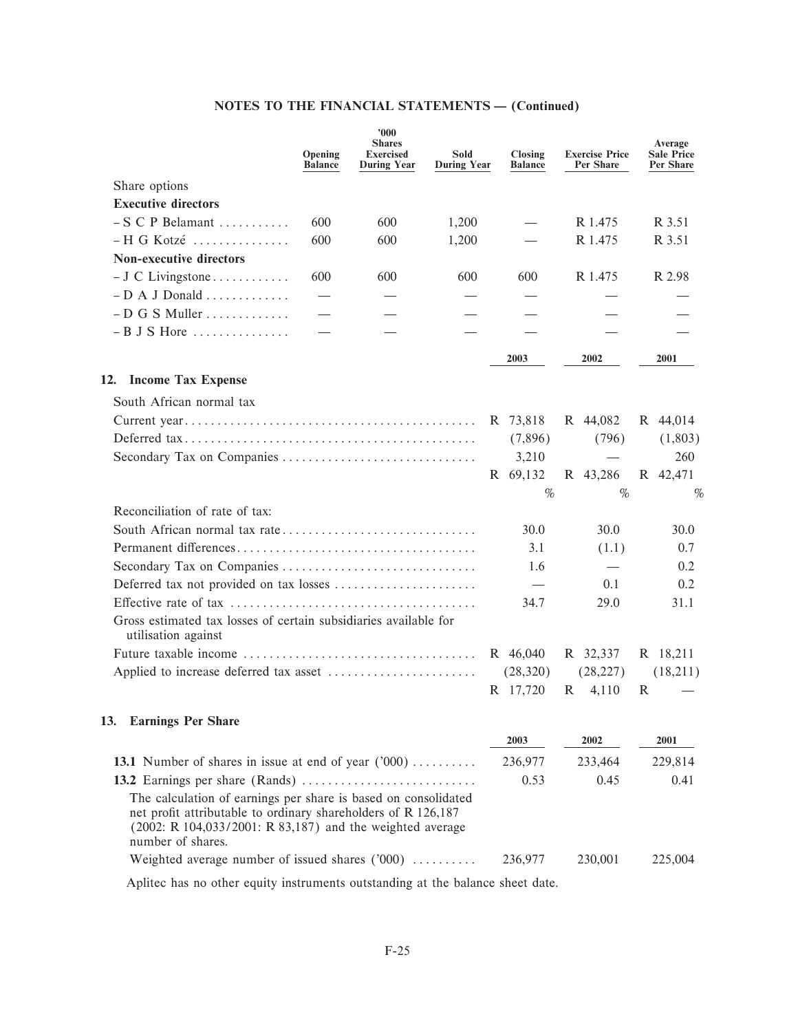|                                                                                         | Opening<br><b>Balance</b> | 900'<br><b>Shares</b><br><b>Exercised</b><br><b>During Year</b> | Sold<br><b>During Year</b> | Closing<br><b>Balance</b> | <b>Exercise Price</b><br>Per Share | Average<br><b>Sale Price</b><br>Per Share |
|-----------------------------------------------------------------------------------------|---------------------------|-----------------------------------------------------------------|----------------------------|---------------------------|------------------------------------|-------------------------------------------|
| Share options                                                                           |                           |                                                                 |                            |                           |                                    |                                           |
| <b>Executive directors</b>                                                              |                           |                                                                 |                            |                           |                                    |                                           |
| $-S \ C \ P \ Belamant \ldots \ldots$                                                   | 600                       | 600                                                             | 1,200                      |                           | R 1.475                            | R 3.51                                    |
| $-H G$ Kotzé                                                                            | 600                       | 600                                                             | 1,200                      |                           | R 1.475                            | R 3.51                                    |
| <b>Non-executive directors</b>                                                          |                           |                                                                 |                            |                           |                                    |                                           |
| $-J \, C$ Livingstone                                                                   | 600                       | 600                                                             | 600                        | 600                       | R 1.475                            | R 2.98                                    |
| $-D A J Donald \dots$                                                                   |                           |                                                                 |                            |                           |                                    |                                           |
| $-D$ G S Muller                                                                         |                           |                                                                 |                            |                           |                                    |                                           |
| $-B$ J S Hore                                                                           |                           |                                                                 |                            |                           |                                    |                                           |
|                                                                                         |                           |                                                                 |                            | 2003                      | 2002                               | 2001                                      |
| <b>Income Tax Expense</b><br>12.                                                        |                           |                                                                 |                            |                           |                                    |                                           |
| South African normal tax                                                                |                           |                                                                 |                            |                           |                                    |                                           |
|                                                                                         |                           |                                                                 |                            | R 73,818                  | R 44,082                           | R 44,014                                  |
|                                                                                         |                           |                                                                 |                            | (7,896)                   | (796)                              | (1,803)                                   |
|                                                                                         |                           |                                                                 |                            | 3,210                     |                                    | 260                                       |
|                                                                                         |                           |                                                                 |                            | R 69,132                  | R 43,286                           | R 42,471                                  |
|                                                                                         |                           |                                                                 |                            | %                         | $\%$                               | $\%$                                      |
| Reconciliation of rate of tax:                                                          |                           |                                                                 |                            |                           |                                    |                                           |
|                                                                                         |                           |                                                                 |                            | 30.0                      | 30.0                               | 30.0                                      |
|                                                                                         |                           |                                                                 |                            | 3.1                       | (1.1)                              | 0.7                                       |
|                                                                                         |                           |                                                                 |                            | 1.6                       |                                    | 0.2                                       |
| Deferred tax not provided on tax losses                                                 |                           |                                                                 |                            | $\hspace{0.05cm}$         | 0.1                                | 0.2                                       |
|                                                                                         |                           |                                                                 |                            | 34.7                      | 29.0                               | 31.1                                      |
| Gross estimated tax losses of certain subsidiaries available for<br>utilisation against |                           |                                                                 |                            |                           |                                    |                                           |
|                                                                                         |                           |                                                                 |                            | R 46,040                  | R 32,337                           | R 18,211                                  |
|                                                                                         |                           |                                                                 |                            | (28, 320)                 | (28, 227)                          | (18,211)                                  |
|                                                                                         |                           |                                                                 |                            | R 17,720                  | R<br>4,110                         | R                                         |
| 13. Earnings Per Share                                                                  |                           |                                                                 |                            |                           |                                    |                                           |
|                                                                                         |                           |                                                                 |                            | 2003                      | 2002                               | 2001                                      |
| 13.1 Number of shares in issue at end of year $('000)$                                  |                           |                                                                 |                            | 236,977                   | 233,464                            | 229,814                                   |
|                                                                                         |                           |                                                                 |                            | 0.53                      | 0.45                               | 0.41                                      |
| The calculation of earnings per share is based on consolidated                          |                           |                                                                 |                            |                           |                                    |                                           |
| net profit attributable to ordinary shareholders of R 126,187                           |                           |                                                                 |                            |                           |                                    |                                           |
| (2002: R 104,033/2001: R 83,187) and the weighted average                               |                           |                                                                 |                            |                           |                                    |                                           |
| number of shares.                                                                       |                           |                                                                 |                            |                           |                                    |                                           |
| Weighted average number of issued shares ('000)                                         |                           |                                                                 |                            | 236,977                   | 230,001                            | 225,004                                   |

Aplitec has no other equity instruments outstanding at the balance sheet date.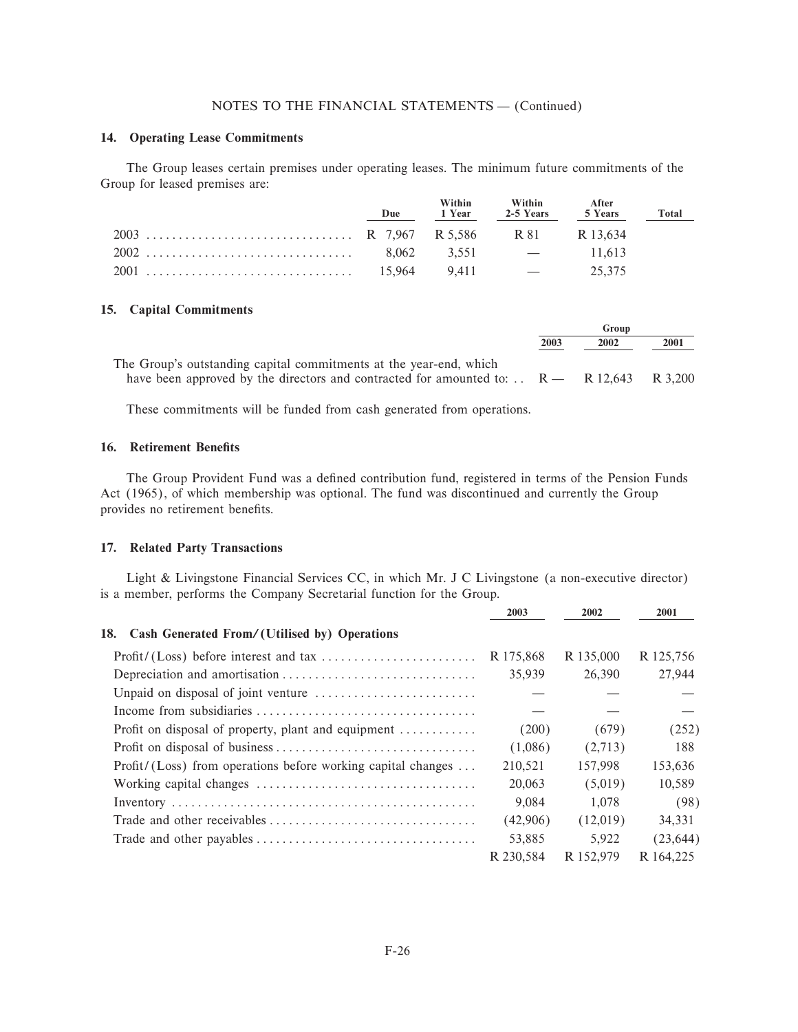## 14. Operating Lease Commitments

The Group leases certain premises under operating leases. The minimum future commitments of the Group for leased premises are:

| Due | Within | Within<br>1 Year 2-5 Years 5 Years | <b>After</b> | Total |
|-----|--------|------------------------------------|--------------|-------|
|     |        |                                    |              |       |
|     |        |                                    |              |       |
|     |        |                                    | 25,375       |       |

#### 15. Capital Commitments

|                                                                                                       |      | Group |      |  |
|-------------------------------------------------------------------------------------------------------|------|-------|------|--|
|                                                                                                       | 2003 | 2002  | 2001 |  |
| The Group's outstanding capital commitments at the year-end, which                                    |      |       |      |  |
| have been approved by the directors and contracted for amounted to: $\therefore$ R = R 12,643 R 3,200 |      |       |      |  |

These commitments will be funded from cash generated from operations.

## 16. Retirement Benefits

The Group Provident Fund was a defined contribution fund, registered in terms of the Pension Funds Act (1965), of which membership was optional. The fund was discontinued and currently the Group provides no retirement benefits.

## 17. Related Party Transactions

Light & Livingstone Financial Services CC, in which Mr. J C Livingstone (a non-executive director) is a member, performs the Company Secretarial function for the Group.

|                                                                            | 2003      | 2002      | 2001      |
|----------------------------------------------------------------------------|-----------|-----------|-----------|
| Cash Generated From/(Utilised by) Operations<br>18.                        |           |           |           |
|                                                                            | R 175,868 | R 135,000 | R 125,756 |
|                                                                            | 35,939    | 26,390    | 27,944    |
|                                                                            |           |           |           |
|                                                                            |           |           |           |
| Profit on disposal of property, plant and equipment $\dots\dots\dots\dots$ | (200)     | (679)     | (252)     |
|                                                                            | (1,086)   | (2,713)   | 188       |
| $Profit / (Loss)$ from operations before working capital changes           | 210,521   | 157,998   | 153,636   |
|                                                                            | 20,063    | (5,019)   | 10,589    |
|                                                                            | 9,084     | 1.078     | (98)      |
|                                                                            | (42,906)  | (12,019)  | 34,331    |
|                                                                            | 53,885    | 5.922     | (23, 644) |
|                                                                            | R 230.584 | R 152.979 | R 164.225 |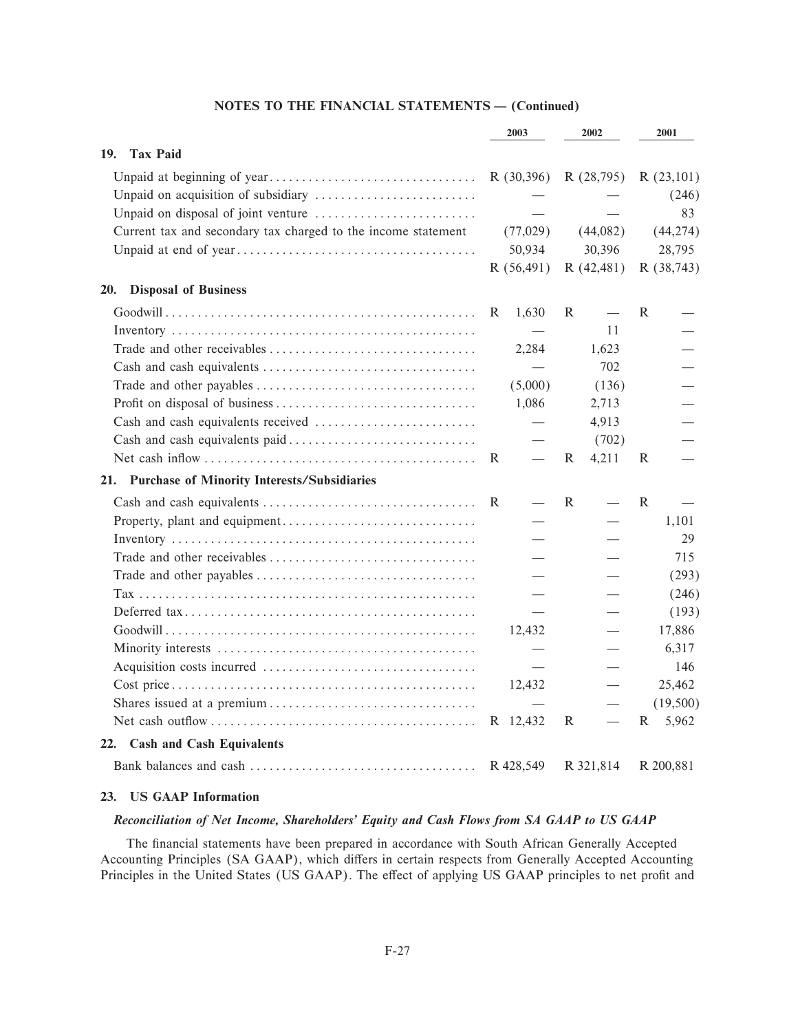|                                                               |   | 2003                     |   | 2002                     |   | 2001       |
|---------------------------------------------------------------|---|--------------------------|---|--------------------------|---|------------|
| <b>Tax Paid</b><br>19.                                        |   |                          |   |                          |   |            |
|                                                               |   | R(30,396)                |   | R (28,795)               |   | R(23,101)  |
|                                                               |   |                          |   |                          |   | (246)      |
|                                                               |   |                          |   |                          |   | 83         |
| Current tax and secondary tax charged to the income statement |   | (77,029)                 |   | (44,082)                 |   | (44, 274)  |
|                                                               |   | 50,934                   |   | 30,396                   |   | 28,795     |
|                                                               |   | R(56,491)                |   | R(42, 481)               |   | R (38,743) |
| <b>Disposal of Business</b><br>20.                            |   |                          |   |                          |   |            |
|                                                               | R | 1,630                    | R |                          | R |            |
|                                                               |   |                          |   | 11                       |   |            |
|                                                               |   | 2,284                    |   | 1,623                    |   |            |
|                                                               |   |                          |   | 702                      |   |            |
|                                                               |   | (5,000)                  |   | (136)                    |   |            |
|                                                               |   | 1,086                    |   | 2,713                    |   |            |
|                                                               |   | $\overline{\phantom{m}}$ |   | 4,913                    |   |            |
|                                                               |   |                          |   | (702)                    |   |            |
|                                                               | R |                          | R | 4,211                    | R |            |
| 21. Purchase of Minority Interests/Subsidiaries               |   |                          |   |                          |   |            |
|                                                               | R |                          | R | $\overline{\phantom{m}}$ | R |            |
|                                                               |   |                          |   |                          |   | 1,101      |
|                                                               |   |                          |   |                          |   | 29         |
|                                                               |   |                          |   |                          |   | 715        |
|                                                               |   |                          |   |                          |   | (293)      |
|                                                               |   |                          |   |                          |   | (246)      |
|                                                               |   |                          |   |                          |   | (193)      |
|                                                               |   | 12,432                   |   |                          |   | 17,886     |
|                                                               |   |                          |   |                          |   | 6,317      |
|                                                               |   |                          |   |                          |   | 146        |
|                                                               |   | 12,432                   |   |                          |   | 25,462     |
|                                                               |   |                          |   |                          |   | (19,500)   |
|                                                               |   | R 12,432                 | R |                          | R | 5,962      |
| 22. Cash and Cash Equivalents                                 |   |                          |   |                          |   |            |
|                                                               |   | R 428,549                |   | R 321,814                |   | R 200,881  |

## 23. US GAAP Information

## Reconciliation of Net Income, Shareholders' Equity and Cash Flows from SA GAAP to US GAAP

The financial statements have been prepared in accordance with South African Generally Accepted Accounting Principles (SA GAAP), which differs in certain respects from Generally Accepted Accounting Principles in the United States (US GAAP). The effect of applying US GAAP principles to net profit and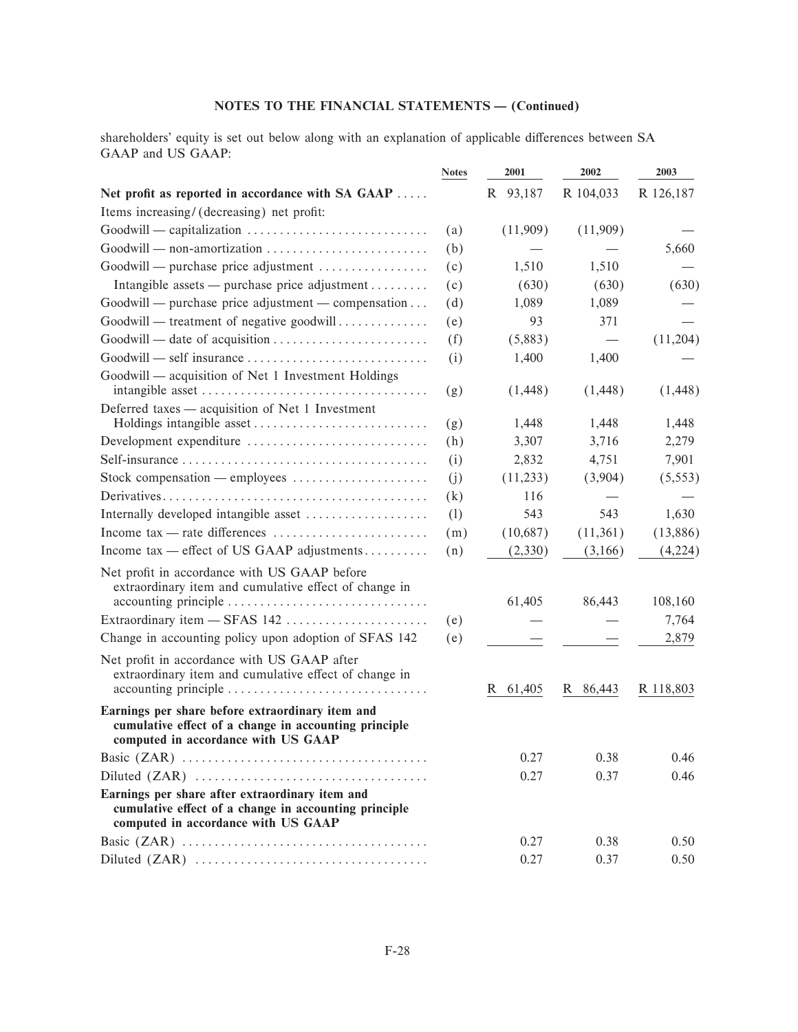shareholders' equity is set out below along with an explanation of applicable differences between SA GAAP and US GAAP:

|                                                                                                                                                  | <b>Notes</b> | 2001     | 2002      | 2003      |
|--------------------------------------------------------------------------------------------------------------------------------------------------|--------------|----------|-----------|-----------|
| Net profit as reported in accordance with SA GAAP                                                                                                |              | R 93,187 | R 104,033 | R 126,187 |
| Items increasing/ (decreasing) net profit:                                                                                                       |              |          |           |           |
|                                                                                                                                                  | (a)          | (11,909) | (11,909)  |           |
| Goodwill — non-amortization                                                                                                                      | (b)          |          |           | 5,660     |
| Goodwill — purchase price adjustment                                                                                                             | (c)          | 1,510    | 1,510     |           |
| Intangible assets — purchase price adjustment                                                                                                    | (c)          | (630)    | (630)     | (630)     |
| Goodwill — purchase price adjustment — compensation                                                                                              | (d)          | 1,089    | 1,089     |           |
| Goodwill — treatment of negative goodwill                                                                                                        | (e)          | 93       | 371       |           |
|                                                                                                                                                  | (f)          | (5,883)  |           | (11,204)  |
|                                                                                                                                                  | (i)          | 1,400    | 1,400     |           |
| Goodwill — acquisition of Net 1 Investment Holdings                                                                                              | (g)          | (1, 448) | (1, 448)  | (1, 448)  |
| Deferred taxes — acquisition of Net 1 Investment                                                                                                 |              |          |           |           |
|                                                                                                                                                  | (g)          | 1,448    | 1,448     | 1,448     |
| Development expenditure                                                                                                                          | (h)          | 3,307    | 3,716     | 2,279     |
| $Self-insurance \ldots \ldots \ldots \ldots \ldots \ldots \ldots \ldots \ldots \ldots \ldots$                                                    | (i)          | 2,832    | 4,751     | 7,901     |
| Stock compensation — employees                                                                                                                   | (j)          | (11,233) | (3,904)   | (5, 553)  |
|                                                                                                                                                  | (k)          | 116      |           |           |
| Internally developed intangible asset                                                                                                            | (1)          | 543      | 543       | 1,630     |
|                                                                                                                                                  | (m)          | (10,687) | (11,361)  | (13,886)  |
| Income tax — effect of US GAAP adjustments                                                                                                       | (n)          | (2,330)  | (3,166)   | (4,224)   |
| Net profit in accordance with US GAAP before<br>extraordinary item and cumulative effect of change in                                            |              | 61,405   | 86,443    | 108,160   |
| Extraordinary item - SFAS 142                                                                                                                    | (e)          |          |           | 7,764     |
| Change in accounting policy upon adoption of SFAS 142                                                                                            | (e)          |          |           | 2,879     |
| Net profit in accordance with US GAAP after<br>extraordinary item and cumulative effect of change in                                             |              | R 61,405 | R 86,443  | R 118,803 |
| Earnings per share before extraordinary item and<br>cumulative effect of a change in accounting principle<br>computed in accordance with US GAAP |              |          |           |           |
|                                                                                                                                                  |              | 0.27     | 0.38      | 0.46      |
|                                                                                                                                                  |              | 0.27     | 0.37      | 0.46      |
| Earnings per share after extraordinary item and<br>cumulative effect of a change in accounting principle<br>computed in accordance with US GAAP  |              |          |           |           |
|                                                                                                                                                  |              | 0.27     | 0.38      | 0.50      |
|                                                                                                                                                  |              | 0.27     | 0.37      | 0.50      |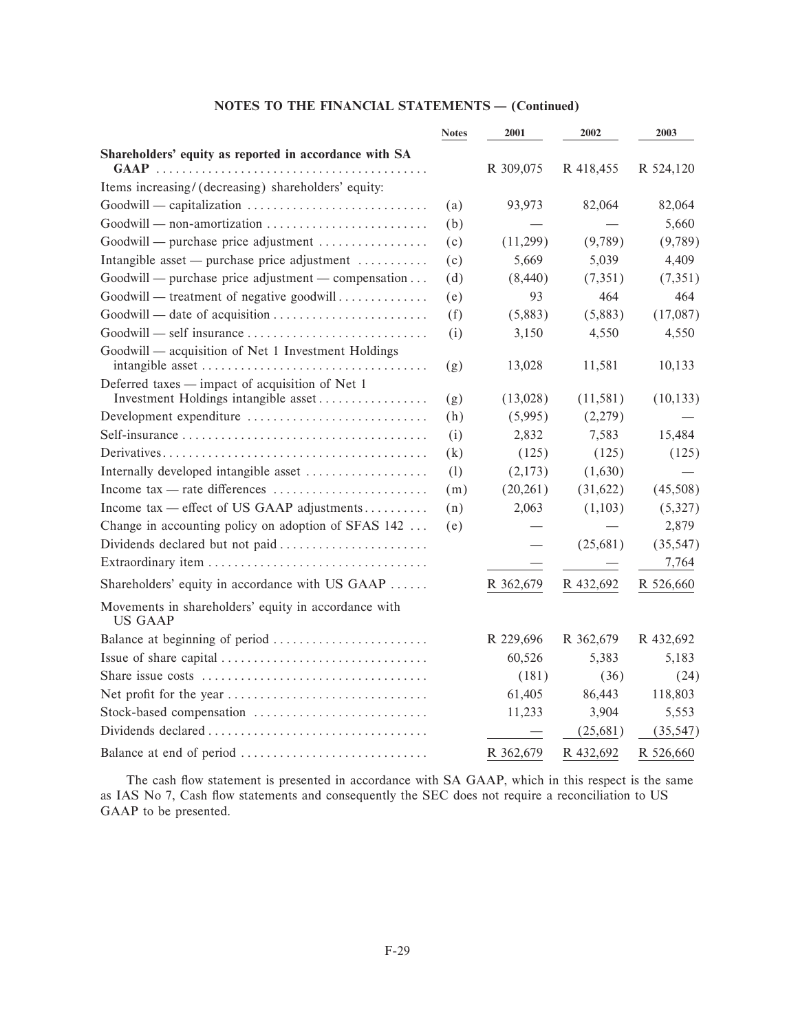|                                                                                    | <b>Notes</b> | 2001      | 2002      | 2003      |
|------------------------------------------------------------------------------------|--------------|-----------|-----------|-----------|
| Shareholders' equity as reported in accordance with SA                             |              |           |           |           |
| $GAAP$ .                                                                           |              | R 309,075 | R 418,455 | R 524,120 |
| Items increasing/(decreasing) shareholders' equity:                                |              |           |           |           |
|                                                                                    | (a)          | 93,973    | 82,064    | 82,064    |
| Goodwill — non-amortization                                                        | (b)          |           |           | 5,660     |
| Goodwill — purchase price adjustment                                               | (c)          | (11,299)  | (9,789)   | (9,789)   |
| Intangible asset — purchase price adjustment                                       | (c)          | 5,669     | 5,039     | 4,409     |
| Goodwill — purchase price adjustment — compensation                                | (d)          | (8,440)   | (7,351)   | (7,351)   |
| Goodwill — treatment of negative goodwill                                          | (e)          | 93        | 464       | 464       |
|                                                                                    | (f)          | (5,883)   | (5,883)   | (17,087)  |
| $Good will = self insurance \dots \dots \dots \dots \dots \dots \dots \dots \dots$ | (i)          | 3,150     | 4,550     | 4,550     |
| Goodwill — acquisition of Net 1 Investment Holdings                                |              |           |           |           |
|                                                                                    | (g)          | 13,028    | 11,581    | 10,133    |
| Deferred taxes — impact of acquisition of Net 1                                    |              |           |           |           |
| Investment Holdings intangible asset                                               | (g)          | (13,028)  | (11, 581) | (10, 133) |
| Development expenditure                                                            | (h)          | (5,995)   | (2,279)   |           |
|                                                                                    | (i)          | 2,832     | 7,583     | 15,484    |
|                                                                                    | (k)          | (125)     | (125)     | (125)     |
| Internally developed intangible asset                                              | (1)          | (2,173)   | (1,630)   |           |
| Income tax — rate differences                                                      | (m)          | (20, 261) | (31,622)  | (45,508)  |
| Income tax — effect of US GAAP adjustments                                         | (n)          | 2,063     | (1,103)   | (5,327)   |
| Change in accounting policy on adoption of SFAS 142                                | (e)          |           |           | 2,879     |
| Dividends declared but not paid                                                    |              |           | (25,681)  | (35, 547) |
|                                                                                    |              |           |           | 7,764     |
| Shareholders' equity in accordance with US GAAP                                    |              | R 362,679 | R 432,692 | R 526,660 |
| Movements in shareholders' equity in accordance with<br><b>US GAAP</b>             |              |           |           |           |
| Balance at beginning of period                                                     |              | R 229,696 | R 362,679 | R 432,692 |
|                                                                                    |              | 60,526    | 5,383     | 5,183     |
|                                                                                    |              | (181)     | (36)      | (24)      |
|                                                                                    |              | 61,405    | 86,443    | 118,803   |
| Stock-based compensation                                                           |              | 11,233    | 3,904     | 5,553     |
|                                                                                    |              |           | (25,681)  | (35, 547) |
|                                                                                    |              | R 362,679 | R 432,692 | R 526,660 |

The cash flow statement is presented in accordance with SA GAAP, which in this respect is the same as IAS No 7, Cash flow statements and consequently the SEC does not require a reconciliation to US GAAP to be presented.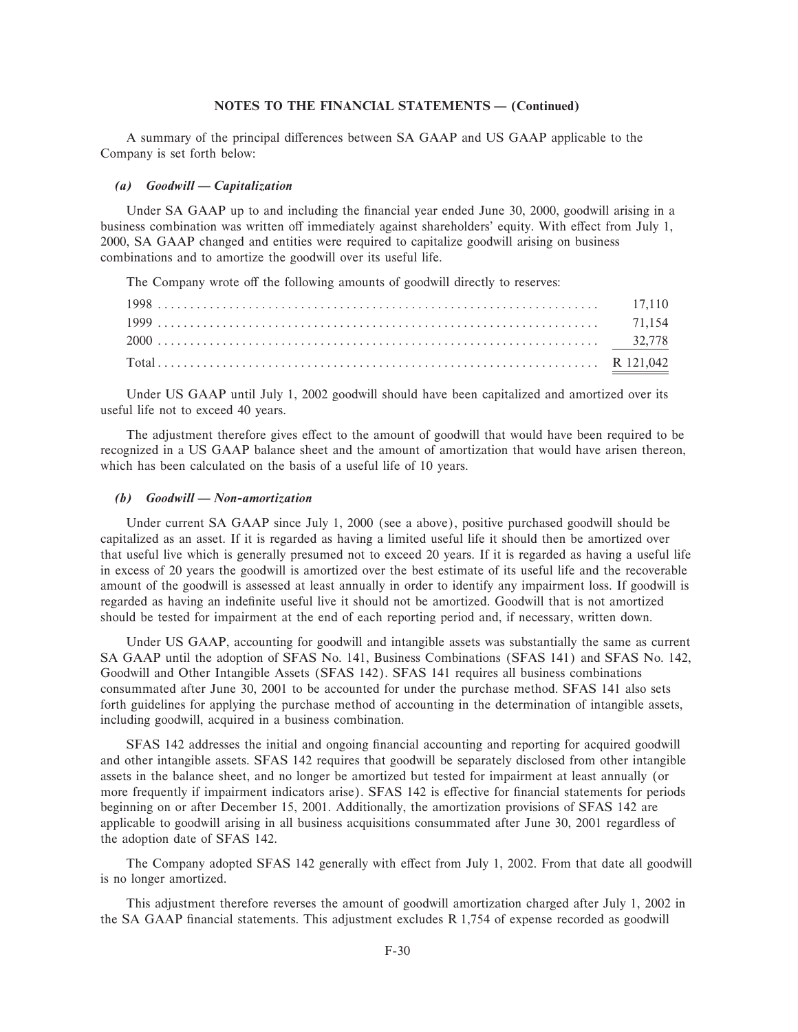A summary of the principal differences between SA GAAP and US GAAP applicable to the Company is set forth below:

# *(a)* Goodwill — Capitalization

Under SA GAAP up to and including the financial year ended June 30, 2000, goodwill arising in a business combination was written off immediately against shareholders' equity. With effect from July 1, 2000, SA GAAP changed and entities were required to capitalize goodwill arising on business combinations and to amortize the goodwill over its useful life.

The Company wrote off the following amounts of goodwill directly to reserves:

Under US GAAP until July 1, 2002 goodwill should have been capitalized and amortized over its useful life not to exceed 40 years.

The adjustment therefore gives effect to the amount of goodwill that would have been required to be recognized in a US GAAP balance sheet and the amount of amortization that would have arisen thereon, which has been calculated on the basis of a useful life of 10 years.

### *(b)* Goodwill — Non-amortization

Under current SA GAAP since July 1, 2000 (see a above), positive purchased goodwill should be capitalized as an asset. If it is regarded as having a limited useful life it should then be amortized over that useful live which is generally presumed not to exceed 20 years. If it is regarded as having a useful life in excess of 20 years the goodwill is amortized over the best estimate of its useful life and the recoverable amount of the goodwill is assessed at least annually in order to identify any impairment loss. If goodwill is regarded as having an indefinite useful live it should not be amortized. Goodwill that is not amortized should be tested for impairment at the end of each reporting period and, if necessary, written down.

Under US GAAP, accounting for goodwill and intangible assets was substantially the same as current SA GAAP until the adoption of SFAS No. 141, Business Combinations (SFAS 141) and SFAS No. 142, Goodwill and Other Intangible Assets (SFAS 142). SFAS 141 requires all business combinations consummated after June 30, 2001 to be accounted for under the purchase method. SFAS 141 also sets forth guidelines for applying the purchase method of accounting in the determination of intangible assets, including goodwill, acquired in a business combination.

SFAS 142 addresses the initial and ongoing financial accounting and reporting for acquired goodwill and other intangible assets. SFAS 142 requires that goodwill be separately disclosed from other intangible assets in the balance sheet, and no longer be amortized but tested for impairment at least annually (or more frequently if impairment indicators arise). SFAS 142 is effective for financial statements for periods beginning on or after December 15, 2001. Additionally, the amortization provisions of SFAS 142 are applicable to goodwill arising in all business acquisitions consummated after June 30, 2001 regardless of the adoption date of SFAS 142.

The Company adopted SFAS 142 generally with effect from July 1, 2002. From that date all goodwill is no longer amortized.

This adjustment therefore reverses the amount of goodwill amortization charged after July 1, 2002 in the SA GAAP financial statements. This adjustment excludes  $R$  1,754 of expense recorded as goodwill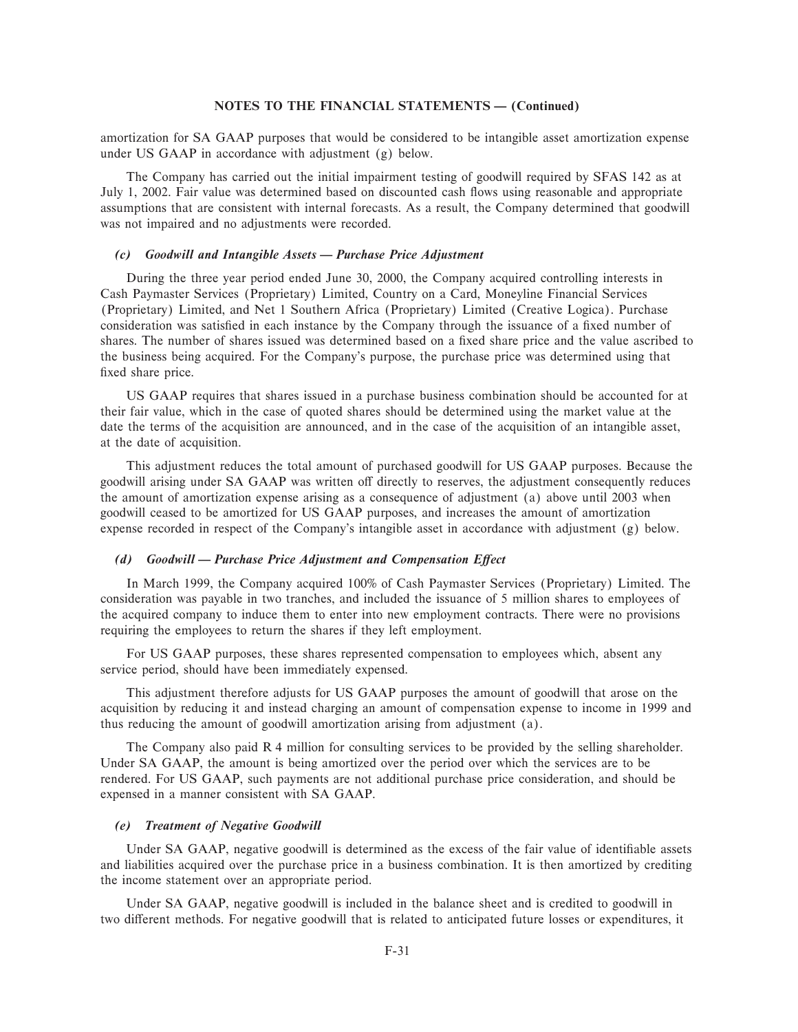amortization for SA GAAP purposes that would be considered to be intangible asset amortization expense under US GAAP in accordance with adjustment (g) below.

The Company has carried out the initial impairment testing of goodwill required by SFAS 142 as at July 1, 2002. Fair value was determined based on discounted cash Öows using reasonable and appropriate assumptions that are consistent with internal forecasts. As a result, the Company determined that goodwill was not impaired and no adjustments were recorded.

### *(c)* Goodwill and Intangible Assets – Purchase Price Adjustment

During the three year period ended June 30, 2000, the Company acquired controlling interests in Cash Paymaster Services (Proprietary) Limited, Country on a Card, Moneyline Financial Services (Proprietary) Limited, and Net 1 Southern Africa (Proprietary) Limited (Creative Logica). Purchase consideration was satisfied in each instance by the Company through the issuance of a fixed number of shares. The number of shares issued was determined based on a fixed share price and the value ascribed to the business being acquired. For the Company's purpose, the purchase price was determined using that fixed share price.

US GAAP requires that shares issued in a purchase business combination should be accounted for at their fair value, which in the case of quoted shares should be determined using the market value at the date the terms of the acquisition are announced, and in the case of the acquisition of an intangible asset, at the date of acquisition.

This adjustment reduces the total amount of purchased goodwill for US GAAP purposes. Because the goodwill arising under SA GAAP was written off directly to reserves, the adjustment consequently reduces the amount of amortization expense arising as a consequence of adjustment (a) above until 2003 when goodwill ceased to be amortized for US GAAP purposes, and increases the amount of amortization expense recorded in respect of the Company's intangible asset in accordance with adjustment (g) below.

### *(d)* Goodwill — Purchase Price Adjustment and Compensation Effect

In March 1999, the Company acquired 100% of Cash Paymaster Services (Proprietary) Limited. The consideration was payable in two tranches, and included the issuance of 5 million shares to employees of the acquired company to induce them to enter into new employment contracts. There were no provisions requiring the employees to return the shares if they left employment.

For US GAAP purposes, these shares represented compensation to employees which, absent any service period, should have been immediately expensed.

This adjustment therefore adjusts for US GAAP purposes the amount of goodwill that arose on the acquisition by reducing it and instead charging an amount of compensation expense to income in 1999 and thus reducing the amount of goodwill amortization arising from adjustment (a).

The Company also paid R 4 million for consulting services to be provided by the selling shareholder. Under SA GAAP, the amount is being amortized over the period over which the services are to be rendered. For US GAAP, such payments are not additional purchase price consideration, and should be expensed in a manner consistent with SA GAAP.

#### *(e) Treatment of Negative Goodwill*

Under SA GAAP, negative goodwill is determined as the excess of the fair value of identifiable assets and liabilities acquired over the purchase price in a business combination. It is then amortized by crediting the income statement over an appropriate period.

Under SA GAAP, negative goodwill is included in the balance sheet and is credited to goodwill in two different methods. For negative goodwill that is related to anticipated future losses or expenditures, it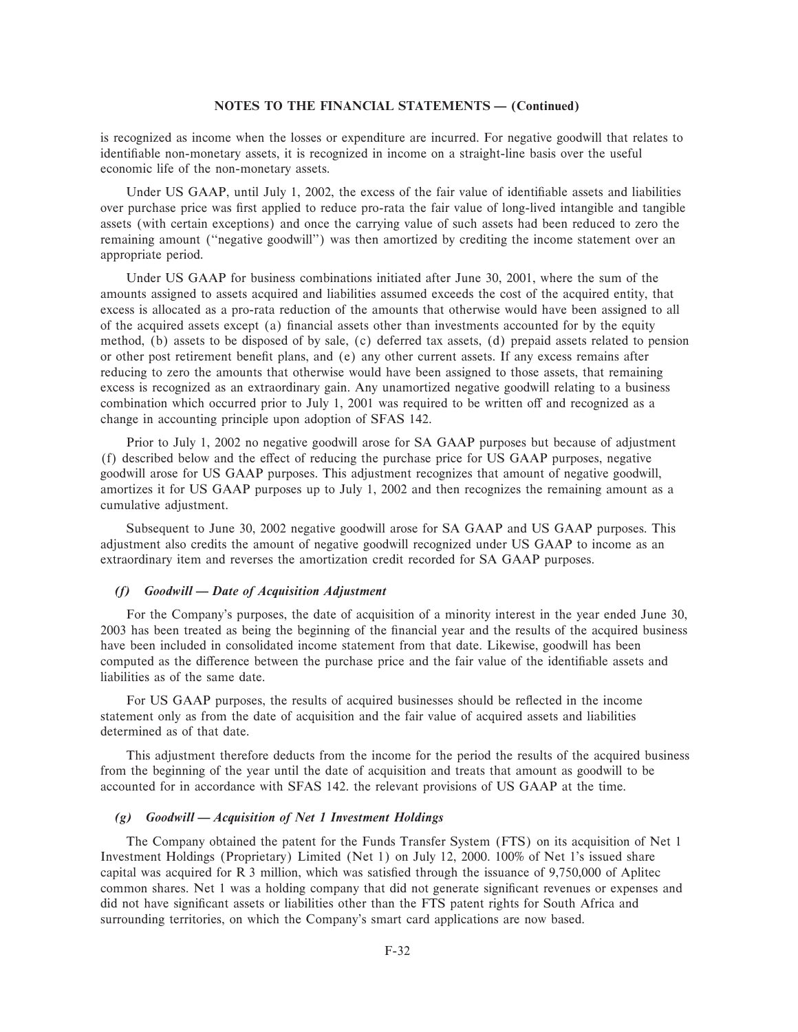is recognized as income when the losses or expenditure are incurred. For negative goodwill that relates to identifiable non-monetary assets, it is recognized in income on a straight-line basis over the useful economic life of the non-monetary assets.

Under US GAAP, until July 1, 2002, the excess of the fair value of identifiable assets and liabilities over purchase price was first applied to reduce pro-rata the fair value of long-lived intangible and tangible assets (with certain exceptions) and once the carrying value of such assets had been reduced to zero the remaining amount (""negative goodwill'') was then amortized by crediting the income statement over an appropriate period.

Under US GAAP for business combinations initiated after June 30, 2001, where the sum of the amounts assigned to assets acquired and liabilities assumed exceeds the cost of the acquired entity, that excess is allocated as a pro-rata reduction of the amounts that otherwise would have been assigned to all of the acquired assets except (a) Ñnancial assets other than investments accounted for by the equity method, (b) assets to be disposed of by sale, (c) deferred tax assets, (d) prepaid assets related to pension or other post retirement benefit plans, and (e) any other current assets. If any excess remains after reducing to zero the amounts that otherwise would have been assigned to those assets, that remaining excess is recognized as an extraordinary gain. Any unamortized negative goodwill relating to a business combination which occurred prior to July 1, 2001 was required to be written off and recognized as a change in accounting principle upon adoption of SFAS 142.

Prior to July 1, 2002 no negative goodwill arose for SA GAAP purposes but because of adjustment (f) described below and the effect of reducing the purchase price for US GAAP purposes, negative goodwill arose for US GAAP purposes. This adjustment recognizes that amount of negative goodwill, amortizes it for US GAAP purposes up to July 1, 2002 and then recognizes the remaining amount as a cumulative adjustment.

Subsequent to June 30, 2002 negative goodwill arose for SA GAAP and US GAAP purposes. This adjustment also credits the amount of negative goodwill recognized under US GAAP to income as an extraordinary item and reverses the amortization credit recorded for SA GAAP purposes.

# *(f)* Goodwill — Date of Acquisition Adjustment

For the Company's purposes, the date of acquisition of a minority interest in the year ended June 30, 2003 has been treated as being the beginning of the financial year and the results of the acquired business have been included in consolidated income statement from that date. Likewise, goodwill has been computed as the difference between the purchase price and the fair value of the identifiable assets and liabilities as of the same date.

For US GAAP purposes, the results of acquired businesses should be reflected in the income statement only as from the date of acquisition and the fair value of acquired assets and liabilities determined as of that date.

This adjustment therefore deducts from the income for the period the results of the acquired business from the beginning of the year until the date of acquisition and treats that amount as goodwill to be accounted for in accordance with SFAS 142. the relevant provisions of US GAAP at the time.

# (g) Goodwill – Acquisition of Net 1 Investment Holdings

The Company obtained the patent for the Funds Transfer System (FTS) on its acquisition of Net 1 Investment Holdings (Proprietary) Limited (Net 1) on July 12, 2000. 100% of Net 1's issued share capital was acquired for  $R$  3 million, which was satisfied through the issuance of 9,750,000 of Aplitec common shares. Net 1 was a holding company that did not generate significant revenues or expenses and did not have significant assets or liabilities other than the FTS patent rights for South Africa and surrounding territories, on which the Company's smart card applications are now based.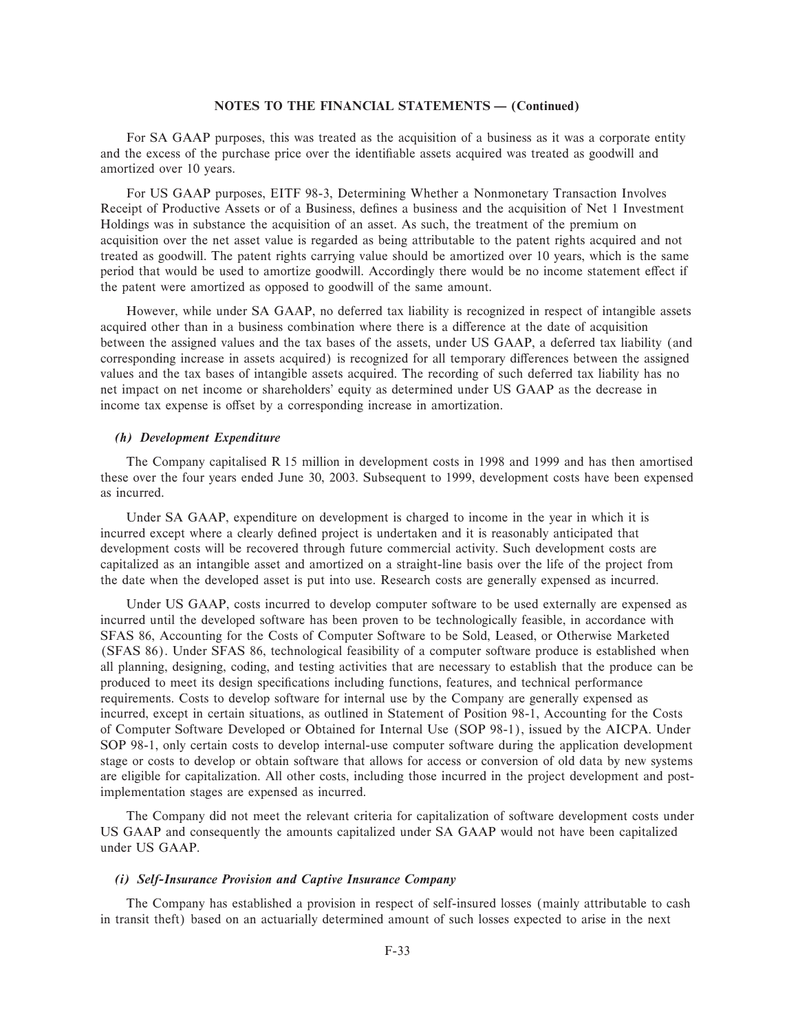For SA GAAP purposes, this was treated as the acquisition of a business as it was a corporate entity and the excess of the purchase price over the identifiable assets acquired was treated as goodwill and amortized over 10 years.

For US GAAP purposes, EITF 98-3, Determining Whether a Nonmonetary Transaction Involves Receipt of Productive Assets or of a Business, defines a business and the acquisition of Net 1 Investment Holdings was in substance the acquisition of an asset. As such, the treatment of the premium on acquisition over the net asset value is regarded as being attributable to the patent rights acquired and not treated as goodwill. The patent rights carrying value should be amortized over 10 years, which is the same period that would be used to amortize goodwill. Accordingly there would be no income statement effect if the patent were amortized as opposed to goodwill of the same amount.

However, while under SA GAAP, no deferred tax liability is recognized in respect of intangible assets acquired other than in a business combination where there is a difference at the date of acquisition between the assigned values and the tax bases of the assets, under US GAAP, a deferred tax liability (and corresponding increase in assets acquired) is recognized for all temporary differences between the assigned values and the tax bases of intangible assets acquired. The recording of such deferred tax liability has no net impact on net income or shareholders' equity as determined under US GAAP as the decrease in income tax expense is offset by a corresponding increase in amortization.

# *(h) Development Expenditure*

The Company capitalised R 15 million in development costs in 1998 and 1999 and has then amortised these over the four years ended June 30, 2003. Subsequent to 1999, development costs have been expensed as incurred.

Under SA GAAP, expenditure on development is charged to income in the year in which it is incurred except where a clearly defined project is undertaken and it is reasonably anticipated that development costs will be recovered through future commercial activity. Such development costs are capitalized as an intangible asset and amortized on a straight-line basis over the life of the project from the date when the developed asset is put into use. Research costs are generally expensed as incurred.

Under US GAAP, costs incurred to develop computer software to be used externally are expensed as incurred until the developed software has been proven to be technologically feasible, in accordance with SFAS 86, Accounting for the Costs of Computer Software to be Sold, Leased, or Otherwise Marketed (SFAS 86). Under SFAS 86, technological feasibility of a computer software produce is established when all planning, designing, coding, and testing activities that are necessary to establish that the produce can be produced to meet its design specifications including functions, features, and technical performance requirements. Costs to develop software for internal use by the Company are generally expensed as incurred, except in certain situations, as outlined in Statement of Position 98-1, Accounting for the Costs of Computer Software Developed or Obtained for Internal Use (SOP 98-1), issued by the AICPA. Under SOP 98-1, only certain costs to develop internal-use computer software during the application development stage or costs to develop or obtain software that allows for access or conversion of old data by new systems are eligible for capitalization. All other costs, including those incurred in the project development and postimplementation stages are expensed as incurred.

The Company did not meet the relevant criteria for capitalization of software development costs under US GAAP and consequently the amounts capitalized under SA GAAP would not have been capitalized under US GAAP.

# *(i) Self-Insurance Provision and Captive Insurance Company*

The Company has established a provision in respect of self-insured losses (mainly attributable to cash in transit theft) based on an actuarially determined amount of such losses expected to arise in the next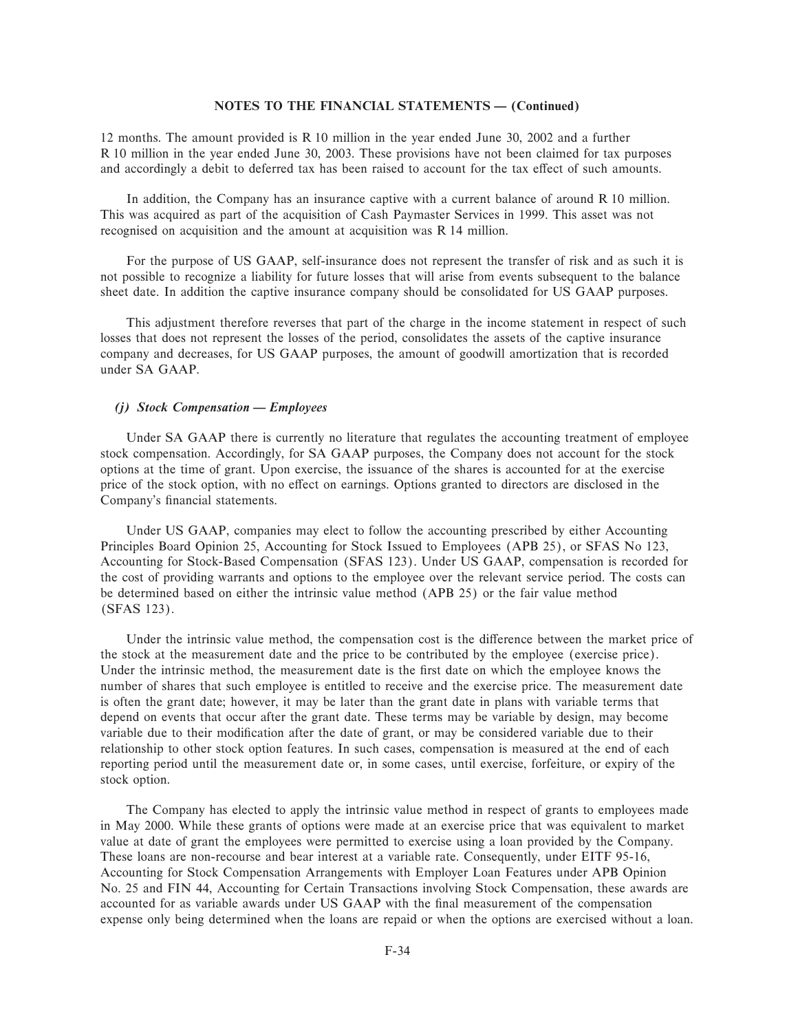12 months. The amount provided is R 10 million in the year ended June 30, 2002 and a further R 10 million in the year ended June 30, 2003. These provisions have not been claimed for tax purposes and accordingly a debit to deferred tax has been raised to account for the tax effect of such amounts.

In addition, the Company has an insurance captive with a current balance of around R 10 million. This was acquired as part of the acquisition of Cash Paymaster Services in 1999. This asset was not recognised on acquisition and the amount at acquisition was R 14 million.

For the purpose of US GAAP, self-insurance does not represent the transfer of risk and as such it is not possible to recognize a liability for future losses that will arise from events subsequent to the balance sheet date. In addition the captive insurance company should be consolidated for US GAAP purposes.

This adjustment therefore reverses that part of the charge in the income statement in respect of such losses that does not represent the losses of the period, consolidates the assets of the captive insurance company and decreases, for US GAAP purposes, the amount of goodwill amortization that is recorded under SA GAAP.

### *(j)* Stock Compensation – Employees

Under SA GAAP there is currently no literature that regulates the accounting treatment of employee stock compensation. Accordingly, for SA GAAP purposes, the Company does not account for the stock options at the time of grant. Upon exercise, the issuance of the shares is accounted for at the exercise price of the stock option, with no effect on earnings. Options granted to directors are disclosed in the Company's financial statements.

Under US GAAP, companies may elect to follow the accounting prescribed by either Accounting Principles Board Opinion 25, Accounting for Stock Issued to Employees (APB 25), or SFAS No 123, Accounting for Stock-Based Compensation (SFAS 123). Under US GAAP, compensation is recorded for the cost of providing warrants and options to the employee over the relevant service period. The costs can be determined based on either the intrinsic value method (APB 25) or the fair value method (SFAS 123).

Under the intrinsic value method, the compensation cost is the difference between the market price of the stock at the measurement date and the price to be contributed by the employee (exercise price). Under the intrinsic method, the measurement date is the first date on which the employee knows the number of shares that such employee is entitled to receive and the exercise price. The measurement date is often the grant date; however, it may be later than the grant date in plans with variable terms that depend on events that occur after the grant date. These terms may be variable by design, may become variable due to their modification after the date of grant, or may be considered variable due to their relationship to other stock option features. In such cases, compensation is measured at the end of each reporting period until the measurement date or, in some cases, until exercise, forfeiture, or expiry of the stock option.

The Company has elected to apply the intrinsic value method in respect of grants to employees made in May 2000. While these grants of options were made at an exercise price that was equivalent to market value at date of grant the employees were permitted to exercise using a loan provided by the Company. These loans are non-recourse and bear interest at a variable rate. Consequently, under EITF 95-16, Accounting for Stock Compensation Arrangements with Employer Loan Features under APB Opinion No. 25 and FIN 44, Accounting for Certain Transactions involving Stock Compensation, these awards are accounted for as variable awards under US GAAP with the final measurement of the compensation expense only being determined when the loans are repaid or when the options are exercised without a loan.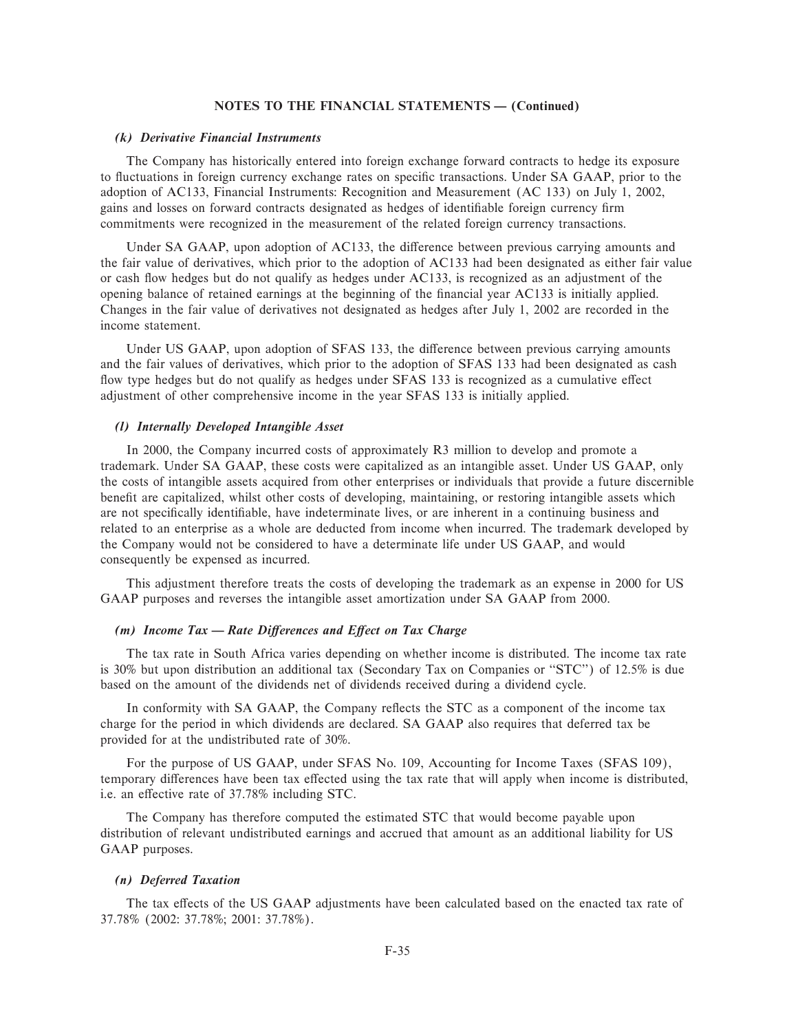#### *(k) Derivative Financial Instruments*

The Company has historically entered into foreign exchange forward contracts to hedge its exposure to fluctuations in foreign currency exchange rates on specific transactions. Under SA GAAP, prior to the adoption of AC133, Financial Instruments: Recognition and Measurement (AC 133) on July 1, 2002, gains and losses on forward contracts designated as hedges of identifiable foreign currency firm commitments were recognized in the measurement of the related foreign currency transactions.

Under SA GAAP, upon adoption of AC133, the difference between previous carrying amounts and the fair value of derivatives, which prior to the adoption of AC133 had been designated as either fair value or cash Öow hedges but do not qualify as hedges under AC133, is recognized as an adjustment of the opening balance of retained earnings at the beginning of the financial year AC133 is initially applied. Changes in the fair value of derivatives not designated as hedges after July 1, 2002 are recorded in the income statement.

Under US GAAP, upon adoption of SFAS 133, the difference between previous carrying amounts and the fair values of derivatives, which prior to the adoption of SFAS 133 had been designated as cash flow type hedges but do not qualify as hedges under SFAS 133 is recognized as a cumulative effect adjustment of other comprehensive income in the year SFAS 133 is initially applied.

# *(l) Internally Developed Intangible Asset*

In 2000, the Company incurred costs of approximately R3 million to develop and promote a trademark. Under SA GAAP, these costs were capitalized as an intangible asset. Under US GAAP, only the costs of intangible assets acquired from other enterprises or individuals that provide a future discernible benefit are capitalized, whilst other costs of developing, maintaining, or restoring intangible assets which are not specifically identifiable, have indeterminate lives, or are inherent in a continuing business and related to an enterprise as a whole are deducted from income when incurred. The trademark developed by the Company would not be considered to have a determinate life under US GAAP, and would consequently be expensed as incurred.

This adjustment therefore treats the costs of developing the trademark as an expense in 2000 for US GAAP purposes and reverses the intangible asset amortization under SA GAAP from 2000.

# *(m) Income Tax — Rate Differences and Effect on Tax Charge*

The tax rate in South Africa varies depending on whether income is distributed. The income tax rate is 30% but upon distribution an additional tax (Secondary Tax on Companies or "STC") of 12.5% is due based on the amount of the dividends net of dividends received during a dividend cycle.

In conformity with SA GAAP, the Company reflects the STC as a component of the income tax charge for the period in which dividends are declared. SA GAAP also requires that deferred tax be provided for at the undistributed rate of 30%.

For the purpose of US GAAP, under SFAS No. 109, Accounting for Income Taxes (SFAS 109), temporary differences have been tax effected using the tax rate that will apply when income is distributed, i.e. an effective rate of 37.78% including STC.

The Company has therefore computed the estimated STC that would become payable upon distribution of relevant undistributed earnings and accrued that amount as an additional liability for US GAAP purposes.

### *(n) Deferred Taxation*

The tax effects of the US GAAP adjustments have been calculated based on the enacted tax rate of 37.78% (2002: 37.78%; 2001: 37.78%).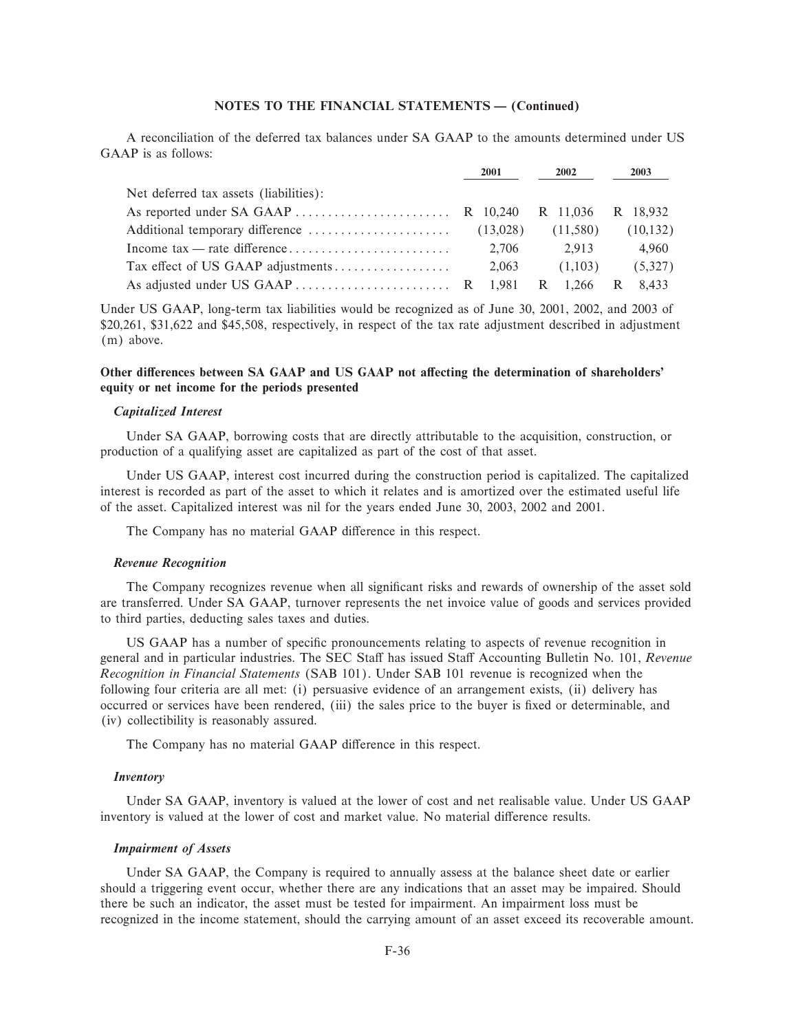A reconciliation of the deferred tax balances under SA GAAP to the amounts determined under US GAAP is as follows:

|                                        | 2001  | 2002     | 2003      |
|----------------------------------------|-------|----------|-----------|
| Net deferred tax assets (liabilities): |       |          |           |
|                                        |       |          |           |
|                                        |       | (11,580) | (10, 132) |
|                                        | 2.706 | 2.913    | 4.960     |
|                                        | 2,063 | (1,103)  | (5,327)   |
|                                        |       |          |           |

Under US GAAP, long-term tax liabilities would be recognized as of June 30, 2001, 2002, and 2003 of \$20,261, \$31,622 and \$45,508, respectively, in respect of the tax rate adjustment described in adjustment (m) above.

# Other differences between SA GAAP and US GAAP not affecting the determination of shareholders' **equity or net income for the periods presented**

### *Capitalized Interest*

Under SA GAAP, borrowing costs that are directly attributable to the acquisition, construction, or production of a qualifying asset are capitalized as part of the cost of that asset.

Under US GAAP, interest cost incurred during the construction period is capitalized. The capitalized interest is recorded as part of the asset to which it relates and is amortized over the estimated useful life of the asset. Capitalized interest was nil for the years ended June 30, 2003, 2002 and 2001.

The Company has no material GAAP difference in this respect.

#### *Revenue Recognition*

The Company recognizes revenue when all significant risks and rewards of ownership of the asset sold are transferred. Under SA GAAP, turnover represents the net invoice value of goods and services provided to third parties, deducting sales taxes and duties.

US GAAP has a number of specific pronouncements relating to aspects of revenue recognition in general and in particular industries. The SEC Staff has issued Staff Accounting Bulletin No. 101, *Revenue Recognition in Financial Statements* (SAB 101). Under SAB 101 revenue is recognized when the following four criteria are all met: (i) persuasive evidence of an arrangement exists, (ii) delivery has occurred or services have been rendered, (iii) the sales price to the buyer is fixed or determinable, and (iv) collectibility is reasonably assured.

The Company has no material GAAP difference in this respect.

#### *Inventory*

Under SA GAAP, inventory is valued at the lower of cost and net realisable value. Under US GAAP inventory is valued at the lower of cost and market value. No material difference results.

#### *Impairment of Assets*

Under SA GAAP, the Company is required to annually assess at the balance sheet date or earlier should a triggering event occur, whether there are any indications that an asset may be impaired. Should there be such an indicator, the asset must be tested for impairment. An impairment loss must be recognized in the income statement, should the carrying amount of an asset exceed its recoverable amount.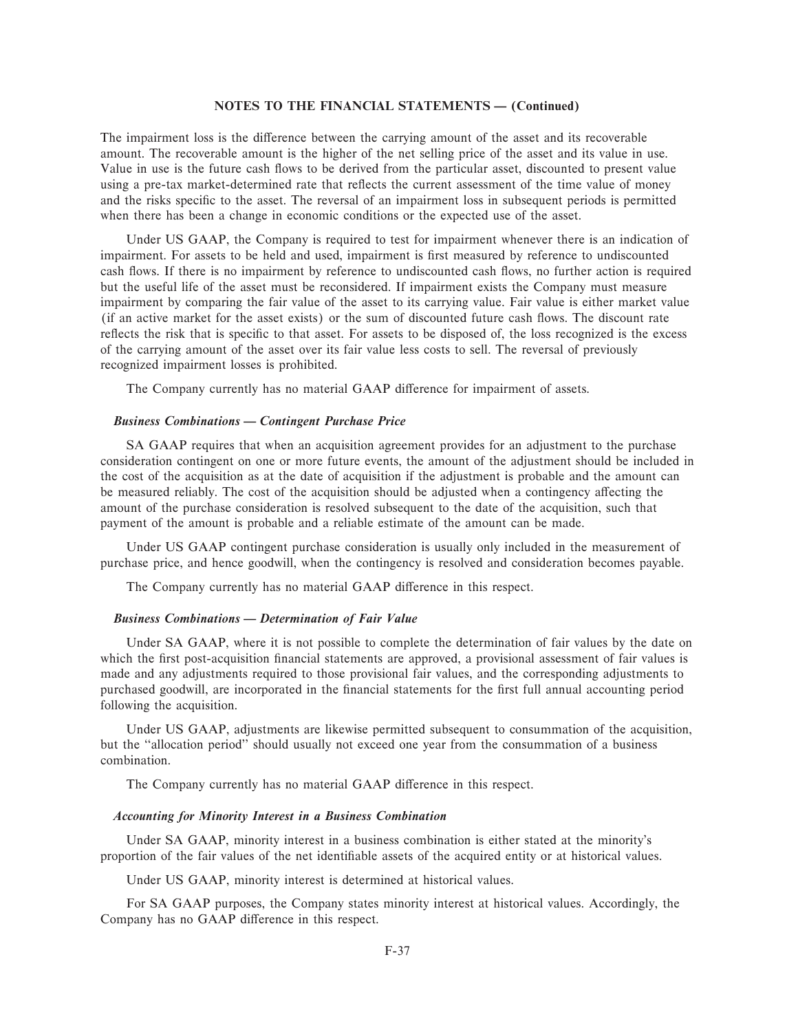The impairment loss is the difference between the carrying amount of the asset and its recoverable amount. The recoverable amount is the higher of the net selling price of the asset and its value in use. Value in use is the future cash flows to be derived from the particular asset, discounted to present value using a pre-tax market-determined rate that reflects the current assessment of the time value of money and the risks specific to the asset. The reversal of an impairment loss in subsequent periods is permitted when there has been a change in economic conditions or the expected use of the asset.

Under US GAAP, the Company is required to test for impairment whenever there is an indication of impairment. For assets to be held and used, impairment is first measured by reference to undiscounted cash flows. If there is no impairment by reference to undiscounted cash flows, no further action is required but the useful life of the asset must be reconsidered. If impairment exists the Company must measure impairment by comparing the fair value of the asset to its carrying value. Fair value is either market value (if an active market for the asset exists) or the sum of discounted future cash Öows. The discount rate reflects the risk that is specific to that asset. For assets to be disposed of, the loss recognized is the excess of the carrying amount of the asset over its fair value less costs to sell. The reversal of previously recognized impairment losses is prohibited.

The Company currently has no material GAAP difference for impairment of assets.

## *Business Combinations – Contingent Purchase Price*

SA GAAP requires that when an acquisition agreement provides for an adjustment to the purchase consideration contingent on one or more future events, the amount of the adjustment should be included in the cost of the acquisition as at the date of acquisition if the adjustment is probable and the amount can be measured reliably. The cost of the acquisition should be adjusted when a contingency affecting the amount of the purchase consideration is resolved subsequent to the date of the acquisition, such that payment of the amount is probable and a reliable estimate of the amount can be made.

Under US GAAP contingent purchase consideration is usually only included in the measurement of purchase price, and hence goodwill, when the contingency is resolved and consideration becomes payable.

The Company currently has no material GAAP difference in this respect.

#### *Business Combinations – Determination of Fair Value*

Under SA GAAP, where it is not possible to complete the determination of fair values by the date on which the first post-acquisition financial statements are approved, a provisional assessment of fair values is made and any adjustments required to those provisional fair values, and the corresponding adjustments to purchased goodwill, are incorporated in the financial statements for the first full annual accounting period following the acquisition.

Under US GAAP, adjustments are likewise permitted subsequent to consummation of the acquisition, but the ""allocation period'' should usually not exceed one year from the consummation of a business combination.

The Company currently has no material GAAP difference in this respect.

# *Accounting for Minority Interest in a Business Combination*

Under SA GAAP, minority interest in a business combination is either stated at the minority's proportion of the fair values of the net identifiable assets of the acquired entity or at historical values.

Under US GAAP, minority interest is determined at historical values.

For SA GAAP purposes, the Company states minority interest at historical values. Accordingly, the Company has no GAAP difference in this respect.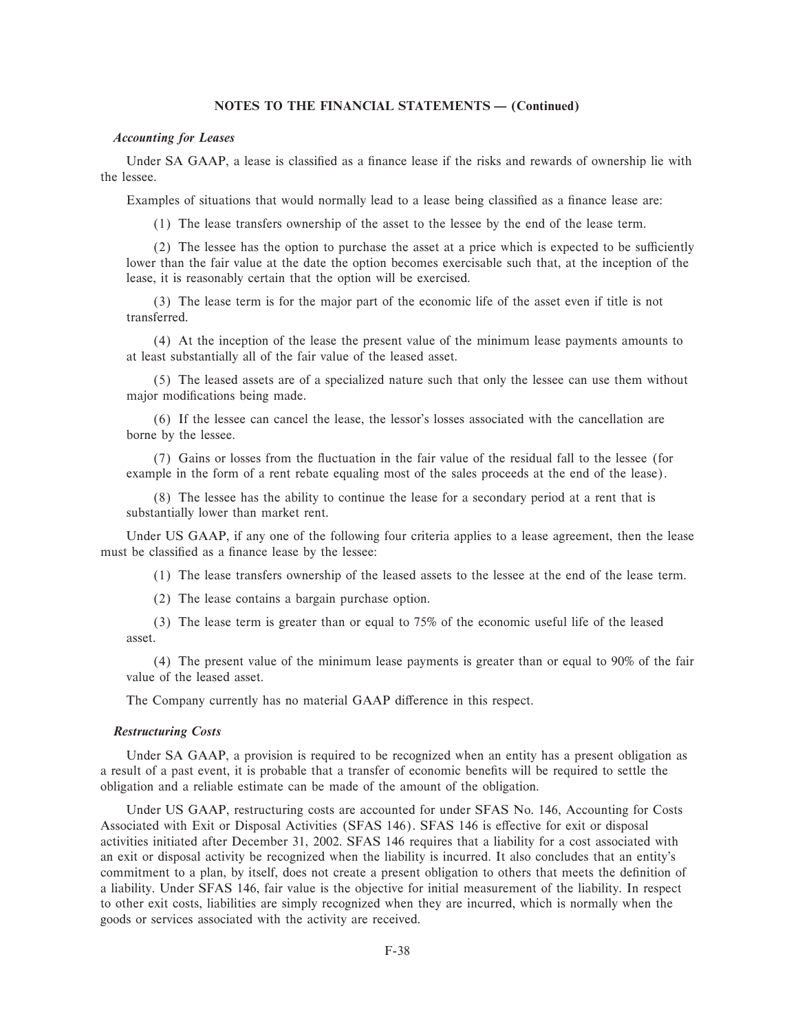### *Accounting for Leases*

Under SA GAAP, a lease is classified as a finance lease if the risks and rewards of ownership lie with the lessee.

Examples of situations that would normally lead to a lease being classified as a finance lease are:

(1) The lease transfers ownership of the asset to the lessee by the end of the lease term.

 $(2)$  The lessee has the option to purchase the asset at a price which is expected to be sufficiently lower than the fair value at the date the option becomes exercisable such that, at the inception of the lease, it is reasonably certain that the option will be exercised.

(3) The lease term is for the major part of the economic life of the asset even if title is not transferred.

(4) At the inception of the lease the present value of the minimum lease payments amounts to at least substantially all of the fair value of the leased asset.

(5) The leased assets are of a specialized nature such that only the lessee can use them without major modifications being made.

(6) If the lessee can cancel the lease, the lessor's losses associated with the cancellation are borne by the lessee.

(7) Gains or losses from the Öuctuation in the fair value of the residual fall to the lessee (for example in the form of a rent rebate equaling most of the sales proceeds at the end of the lease).

(8) The lessee has the ability to continue the lease for a secondary period at a rent that is substantially lower than market rent.

Under US GAAP, if any one of the following four criteria applies to a lease agreement, then the lease must be classified as a finance lease by the lessee:

(1) The lease transfers ownership of the leased assets to the lessee at the end of the lease term.

(2) The lease contains a bargain purchase option.

(3) The lease term is greater than or equal to 75% of the economic useful life of the leased asset.

(4) The present value of the minimum lease payments is greater than or equal to 90% of the fair value of the leased asset.

The Company currently has no material GAAP difference in this respect.

#### *Restructuring Costs*

Under SA GAAP, a provision is required to be recognized when an entity has a present obligation as a result of a past event, it is probable that a transfer of economic benefits will be required to settle the obligation and a reliable estimate can be made of the amount of the obligation.

Under US GAAP, restructuring costs are accounted for under SFAS No. 146, Accounting for Costs Associated with Exit or Disposal Activities (SFAS 146). SFAS 146 is effective for exit or disposal activities initiated after December 31, 2002. SFAS 146 requires that a liability for a cost associated with an exit or disposal activity be recognized when the liability is incurred. It also concludes that an entity's commitment to a plan, by itself, does not create a present obligation to others that meets the definition of a liability. Under SFAS 146, fair value is the objective for initial measurement of the liability. In respect to other exit costs, liabilities are simply recognized when they are incurred, which is normally when the goods or services associated with the activity are received.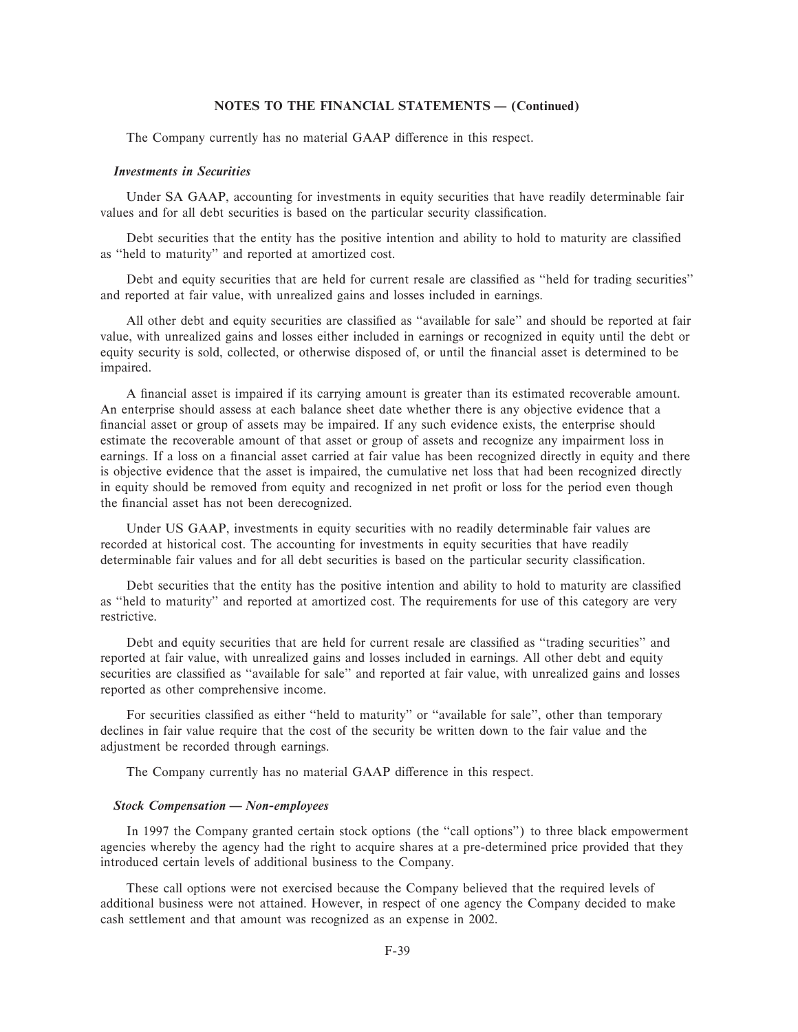The Company currently has no material GAAP difference in this respect.

### *Investments in Securities*

Under SA GAAP, accounting for investments in equity securities that have readily determinable fair values and for all debt securities is based on the particular security classification.

Debt securities that the entity has the positive intention and ability to hold to maturity are classified as ""held to maturity'' and reported at amortized cost.

Debt and equity securities that are held for current resale are classified as "held for trading securities" and reported at fair value, with unrealized gains and losses included in earnings.

All other debt and equity securities are classified as "available for sale" and should be reported at fair value, with unrealized gains and losses either included in earnings or recognized in equity until the debt or equity security is sold, collected, or otherwise disposed of, or until the financial asset is determined to be impaired.

A Ñnancial asset is impaired if its carrying amount is greater than its estimated recoverable amount. An enterprise should assess at each balance sheet date whether there is any objective evidence that a financial asset or group of assets may be impaired. If any such evidence exists, the enterprise should estimate the recoverable amount of that asset or group of assets and recognize any impairment loss in earnings. If a loss on a financial asset carried at fair value has been recognized directly in equity and there is objective evidence that the asset is impaired, the cumulative net loss that had been recognized directly in equity should be removed from equity and recognized in net profit or loss for the period even though the financial asset has not been derecognized.

Under US GAAP, investments in equity securities with no readily determinable fair values are recorded at historical cost. The accounting for investments in equity securities that have readily determinable fair values and for all debt securities is based on the particular security classification.

Debt securities that the entity has the positive intention and ability to hold to maturity are classified as ""held to maturity'' and reported at amortized cost. The requirements for use of this category are very restrictive.

Debt and equity securities that are held for current resale are classified as "trading securities" and reported at fair value, with unrealized gains and losses included in earnings. All other debt and equity securities are classified as "available for sale" and reported at fair value, with unrealized gains and losses reported as other comprehensive income.

For securities classified as either "held to maturity" or "available for sale", other than temporary declines in fair value require that the cost of the security be written down to the fair value and the adjustment be recorded through earnings.

The Company currently has no material GAAP difference in this respect.

# *Stock Compensation — Non-employees*

In 1997 the Company granted certain stock options (the "call options") to three black empowerment agencies whereby the agency had the right to acquire shares at a pre-determined price provided that they introduced certain levels of additional business to the Company.

These call options were not exercised because the Company believed that the required levels of additional business were not attained. However, in respect of one agency the Company decided to make cash settlement and that amount was recognized as an expense in 2002.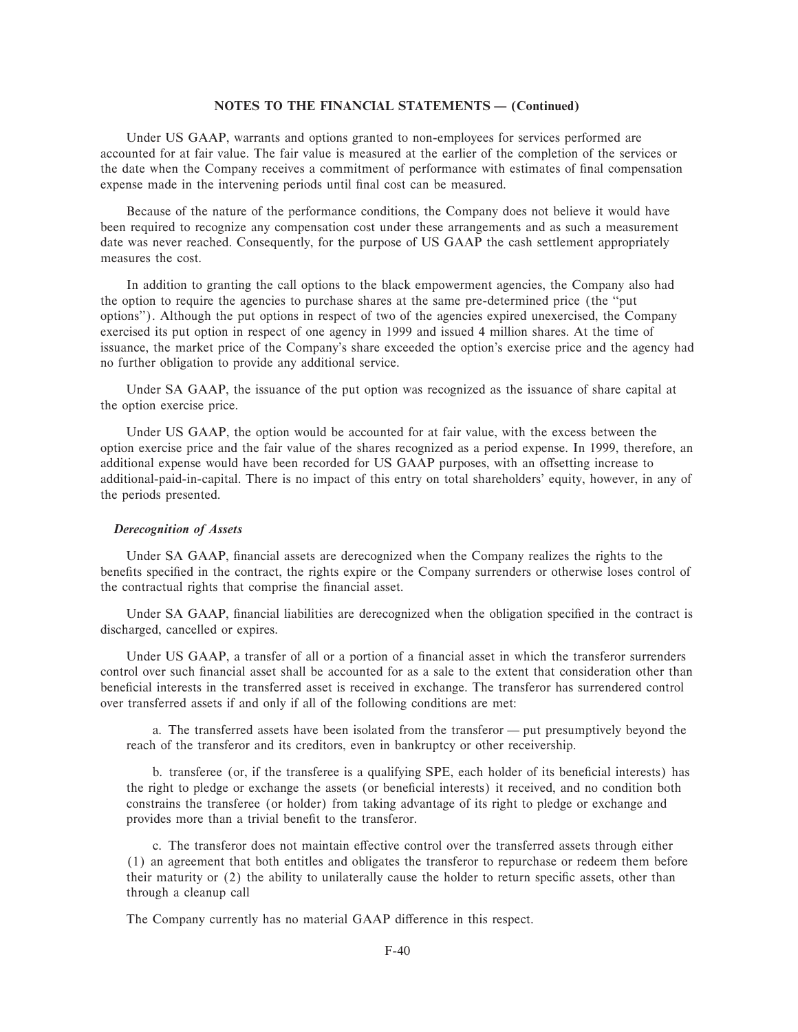Under US GAAP, warrants and options granted to non-employees for services performed are accounted for at fair value. The fair value is measured at the earlier of the completion of the services or the date when the Company receives a commitment of performance with estimates of final compensation expense made in the intervening periods until final cost can be measured.

Because of the nature of the performance conditions, the Company does not believe it would have been required to recognize any compensation cost under these arrangements and as such a measurement date was never reached. Consequently, for the purpose of US GAAP the cash settlement appropriately measures the cost.

In addition to granting the call options to the black empowerment agencies, the Company also had the option to require the agencies to purchase shares at the same pre-determined price (the ""put options''). Although the put options in respect of two of the agencies expired unexercised, the Company exercised its put option in respect of one agency in 1999 and issued 4 million shares. At the time of issuance, the market price of the Company's share exceeded the option's exercise price and the agency had no further obligation to provide any additional service.

Under SA GAAP, the issuance of the put option was recognized as the issuance of share capital at the option exercise price.

Under US GAAP, the option would be accounted for at fair value, with the excess between the option exercise price and the fair value of the shares recognized as a period expense. In 1999, therefore, an additional expense would have been recorded for US GAAP purposes, with an offsetting increase to additional-paid-in-capital. There is no impact of this entry on total shareholders' equity, however, in any of the periods presented.

### *Derecognition of Assets*

Under SA GAAP, financial assets are derecognized when the Company realizes the rights to the benefits specified in the contract, the rights expire or the Company surrenders or otherwise loses control of the contractual rights that comprise the financial asset.

Under SA GAAP, financial liabilities are derecognized when the obligation specified in the contract is discharged, cancelled or expires.

Under US GAAP, a transfer of all or a portion of a financial asset in which the transferor surrenders control over such financial asset shall be accounted for as a sale to the extent that consideration other than beneficial interests in the transferred asset is received in exchange. The transferor has surrendered control over transferred assets if and only if all of the following conditions are met:

a. The transferred assets have been isolated from the transferor  $-$  put presumptively beyond the reach of the transferor and its creditors, even in bankruptcy or other receivership.

b. transferee (or, if the transferee is a qualifying SPE, each holder of its beneficial interests) has the right to pledge or exchange the assets (or beneficial interests) it received, and no condition both constrains the transferee (or holder) from taking advantage of its right to pledge or exchange and provides more than a trivial benefit to the transferor.

c. The transferor does not maintain effective control over the transferred assets through either (1) an agreement that both entitles and obligates the transferor to repurchase or redeem them before their maturity or  $(2)$  the ability to unilaterally cause the holder to return specific assets, other than through a cleanup call

The Company currently has no material GAAP difference in this respect.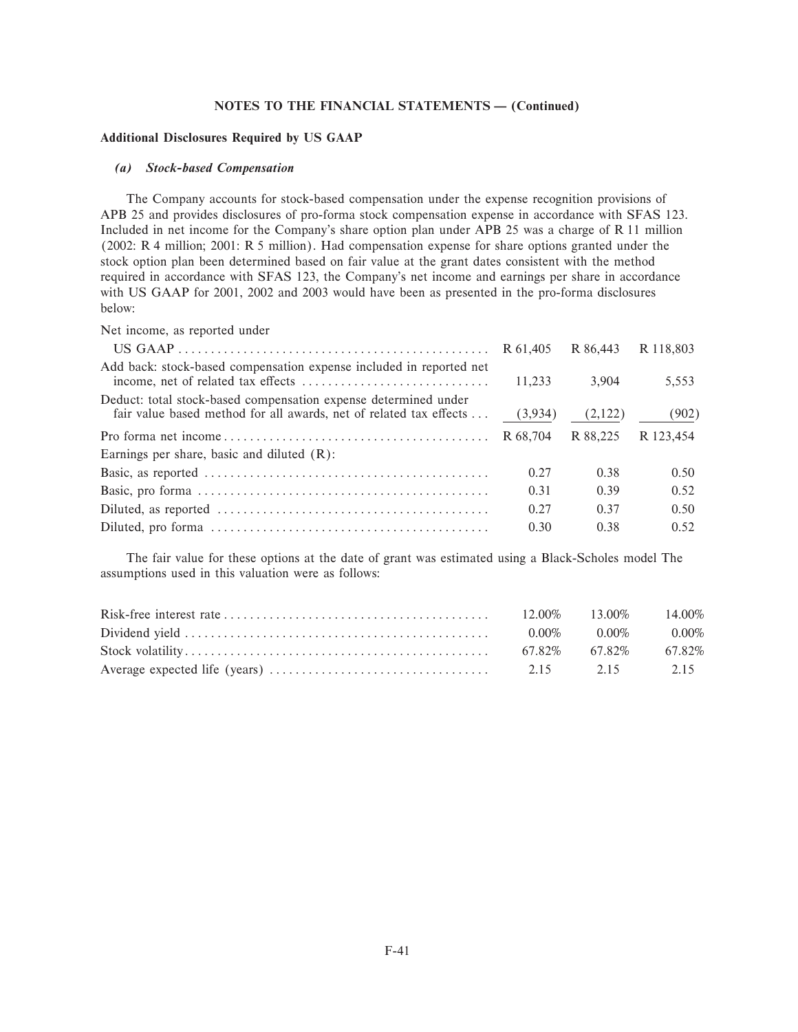### **Additional Disclosures Required by US GAAP**

#### *(a) Stock-based Compensation*

The Company accounts for stock-based compensation under the expense recognition provisions of APB 25 and provides disclosures of pro-forma stock compensation expense in accordance with SFAS 123. Included in net income for the Company's share option plan under APB 25 was a charge of R 11 million (2002: R 4 million; 2001: R 5 million). Had compensation expense for share options granted under the stock option plan been determined based on fair value at the grant dates consistent with the method required in accordance with SFAS 123, the Company's net income and earnings per share in accordance with US GAAP for 2001, 2002 and 2003 would have been as presented in the pro-forma disclosures below:

Net income, as reported under

|                                                                                                                                       | R 61.405 | R 86.443 | R 118.803 |
|---------------------------------------------------------------------------------------------------------------------------------------|----------|----------|-----------|
| Add back: stock-based compensation expense included in reported net                                                                   | 11.233   | 3.904    | 5,553     |
| Deduct: total stock-based compensation expense determined under<br>fair value based method for all awards, net of related tax effects | (3,934)  | (2,122)  | (902)     |
|                                                                                                                                       |          | R 88.225 | R 123.454 |
| Earnings per share, basic and diluted $(R)$ :                                                                                         |          |          |           |
|                                                                                                                                       | 0.27     | 0.38     | 0.50      |
|                                                                                                                                       | 0.31     | 0.39     | 0.52      |
|                                                                                                                                       | 0.27     | 0.37     | 0.50      |
|                                                                                                                                       | 0.30     | 0.38     | 0.52      |

The fair value for these options at the date of grant was estimated using a Black-Scholes model The assumptions used in this valuation were as follows:

|                                                                                                                                     | $12.00\%$ $13.00\%$ $14.00\%$ |  |
|-------------------------------------------------------------------------------------------------------------------------------------|-------------------------------|--|
|                                                                                                                                     | $0.00\%$ $0.00\%$ $0.00\%$    |  |
|                                                                                                                                     | 67.82\% 67.82\% 67.82\%       |  |
| Average expected life (years) $\ldots$ $\ldots$ $\ldots$ $\ldots$ $\ldots$ $\ldots$ $\ldots$ $\ldots$ $\ldots$ $2.15$ $2.15$ $2.15$ |                               |  |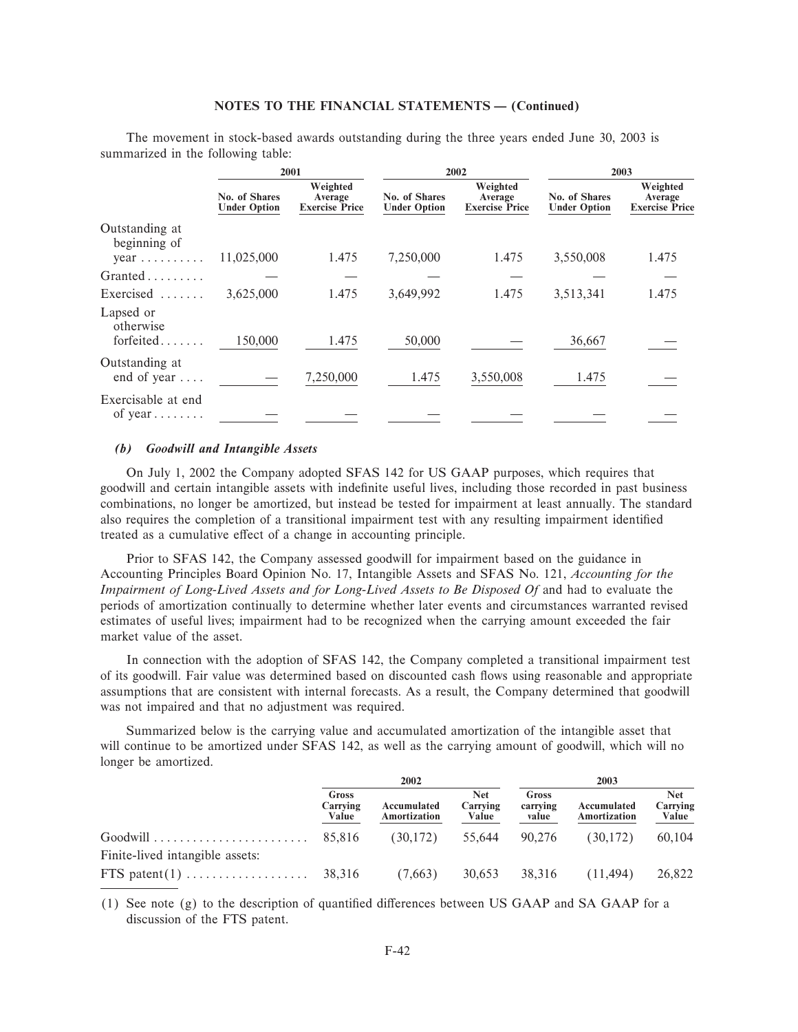The movement in stock-based awards outstanding during the three years ended June 30, 2003 is summarized in the following table:

|                                                      |                                      | 2001<br>2002<br>2003                         |                                      |                                              |                                      |                                              |
|------------------------------------------------------|--------------------------------------|----------------------------------------------|--------------------------------------|----------------------------------------------|--------------------------------------|----------------------------------------------|
|                                                      | No. of Shares<br><b>Under Option</b> | Weighted<br>Average<br><b>Exercise Price</b> | No. of Shares<br><b>Under Option</b> | Weighted<br>Average<br><b>Exercise Price</b> | No. of Shares<br><b>Under Option</b> | Weighted<br>Average<br><b>Exercise Price</b> |
| Outstanding at<br>beginning of<br>$year \dots \dots$ | 11,025,000                           | 1.475                                        | 7,250,000                            | 1.475                                        | 3,550,008                            | 1.475                                        |
| Granted                                              |                                      |                                              |                                      |                                              |                                      |                                              |
| Exercised                                            | 3,625,000                            | 1.475                                        | 3,649,992                            | 1.475                                        | 3,513,341                            | 1.475                                        |
| Lapsed or<br>otherwise<br>forfeited                  | 150,000                              | 1.475                                        | 50,000                               |                                              | 36,667                               |                                              |
| Outstanding at<br>end of year $\dots$                |                                      | 7,250,000                                    | 1.475                                | 3,550,008                                    | 1.475                                |                                              |
| Exercisable at end<br>of year $\dots \dots$          |                                      |                                              |                                      |                                              |                                      |                                              |

### (b) Goodwill and Intangible Assets

On July 1, 2002 the Company adopted SFAS 142 for US GAAP purposes, which requires that goodwill and certain intangible assets with indefinite useful lives, including those recorded in past business combinations, no longer be amortized, but instead be tested for impairment at least annually. The standard also requires the completion of a transitional impairment test with any resulting impairment identified treated as a cumulative effect of a change in accounting principle.

Prior to SFAS 142, the Company assessed goodwill for impairment based on the guidance in Accounting Principles Board Opinion No. 17, Intangible Assets and SFAS No. 121, Accounting for the Impairment of Long-Lived Assets and for Long-Lived Assets to Be Disposed Of and had to evaluate the periods of amortization continually to determine whether later events and circumstances warranted revised estimates of useful lives; impairment had to be recognized when the carrying amount exceeded the fair market value of the asset.

In connection with the adoption of SFAS 142, the Company completed a transitional impairment test of its goodwill. Fair value was determined based on discounted cash flows using reasonable and appropriate assumptions that are consistent with internal forecasts. As a result, the Company determined that goodwill was not impaired and that no adjustment was required.

Summarized below is the carrying value and accumulated amortization of the intangible asset that will continue to be amortized under SFAS 142, as well as the carrying amount of goodwill, which will no longer be amortized.

|                                                     | 2002                       |                             |                                 | 2003                       |                             |                                 |
|-----------------------------------------------------|----------------------------|-----------------------------|---------------------------------|----------------------------|-----------------------------|---------------------------------|
|                                                     | Gross<br>Carrying<br>Value | Accumulated<br>Amortization | <b>Net</b><br>Carrying<br>Value | Gross<br>carrying<br>value | Accumulated<br>Amortization | <b>Net</b><br>Carrying<br>Value |
|                                                     | 85.816                     | (30,172)                    | 55,644                          | 90.276                     | (30,172)                    | 60.104                          |
| Finite-lived intangible assets:<br>FTS patent $(1)$ | 38,316                     | (7,663)                     | 30,653                          | 38.316                     | (11.494)                    | 26,822                          |

(1) See note  $(g)$  to the description of quantified differences between US GAAP and SA GAAP for a discussion of the FTS patent.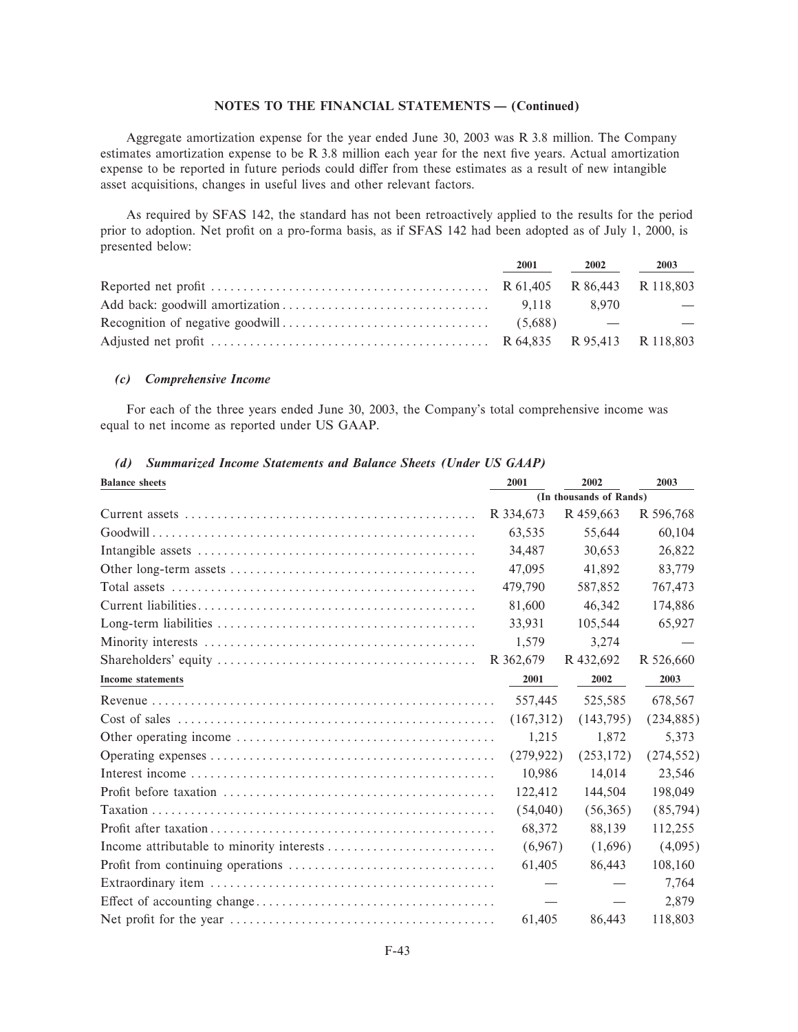Aggregate amortization expense for the year ended June 30, 2003 was R 3.8 million. The Company estimates amortization expense to be R 3.8 million each year for the next five years. Actual amortization expense to be reported in future periods could differ from these estimates as a result of new intangible asset acquisitions, changes in useful lives and other relevant factors.

As required by SFAS 142, the standard has not been retroactively applied to the results for the period prior to adoption. Net profit on a pro-forma basis, as if SFAS 142 had been adopted as of July 1, 2000, is presented below:

| 2001 | 2002  | 2003 |
|------|-------|------|
|      |       |      |
|      | 8.970 |      |
|      |       |      |
|      |       |      |

# (c) Comprehensive Income

For each of the three years ended June 30, 2003, the Company's total comprehensive income was equal to net income as reported under US GAAP.

| <b>Balance</b> sheets                                                                                               | 2001                    | 2002       | 2003       |  |
|---------------------------------------------------------------------------------------------------------------------|-------------------------|------------|------------|--|
|                                                                                                                     | (In thousands of Rands) |            |            |  |
|                                                                                                                     | R 334,673               | R 459,663  | R 596,768  |  |
|                                                                                                                     | 63.535                  | 55,644     | 60,104     |  |
|                                                                                                                     | 34.487                  | 30.653     | 26,822     |  |
|                                                                                                                     | 47,095                  | 41,892     | 83,779     |  |
|                                                                                                                     | 479,790                 | 587,852    | 767,473    |  |
|                                                                                                                     | 81,600                  | 46,342     | 174,886    |  |
|                                                                                                                     | 33,931                  | 105,544    | 65,927     |  |
|                                                                                                                     | 1,579                   | 3,274      |            |  |
| $Shareholders'$ equity $\ldots \ldots \ldots \ldots \ldots \ldots \ldots \ldots \ldots \ldots \ldots \ldots \ldots$ | R 362,679               | R 432,692  | R 526,660  |  |
| <b>Income statements</b>                                                                                            | 2001                    | 2002       | 2003       |  |
|                                                                                                                     | 557,445                 | 525,585    | 678,567    |  |
|                                                                                                                     | (167,312)               | (143,795)  | (234, 885) |  |
|                                                                                                                     | 1,215                   | 1,872      | 5,373      |  |
|                                                                                                                     | (279, 922)              | (253, 172) | (274, 552) |  |
|                                                                                                                     | 10,986                  | 14,014     | 23,546     |  |
|                                                                                                                     | 122,412                 | 144,504    | 198,049    |  |
|                                                                                                                     | (54,040)                | (56,365)   | (85,794)   |  |
|                                                                                                                     | 68,372                  | 88,139     | 112,255    |  |
|                                                                                                                     | (6,967)                 | (1,696)    | (4,095)    |  |
|                                                                                                                     | 61,405                  | 86,443     | 108.160    |  |
|                                                                                                                     |                         |            | 7,764      |  |
|                                                                                                                     |                         |            | 2,879      |  |
|                                                                                                                     | 61,405                  | 86,443     | 118,803    |  |

# (d) Summarized Income Statements and Balance Sheets (Under US GAAP)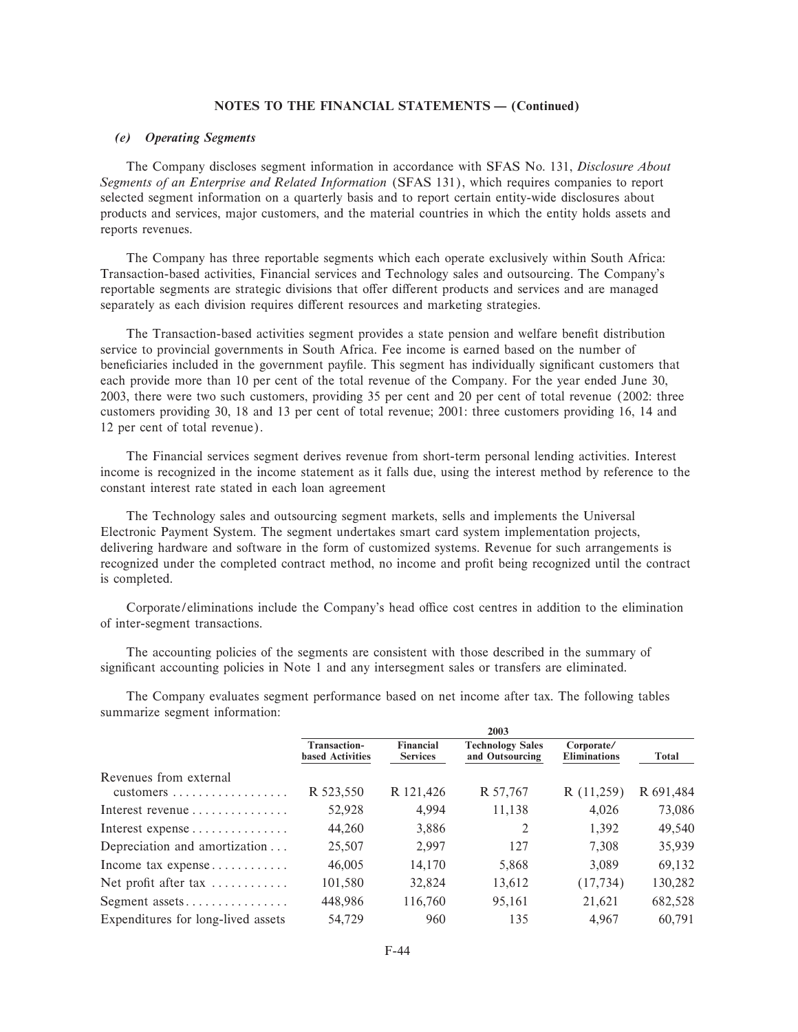# *(e) Operating Segments*

The Company discloses segment information in accordance with SFAS No. 131, *Disclosure About Segments of an Enterprise and Related Information* (SFAS 131), which requires companies to report selected segment information on a quarterly basis and to report certain entity-wide disclosures about products and services, major customers, and the material countries in which the entity holds assets and reports revenues.

The Company has three reportable segments which each operate exclusively within South Africa: Transaction-based activities, Financial services and Technology sales and outsourcing. The Company's reportable segments are strategic divisions that offer different products and services and are managed separately as each division requires different resources and marketing strategies.

The Transaction-based activities segment provides a state pension and welfare benefit distribution service to provincial governments in South Africa. Fee income is earned based on the number of beneficiaries included in the government payfile. This segment has individually significant customers that each provide more than 10 per cent of the total revenue of the Company. For the year ended June 30, 2003, there were two such customers, providing 35 per cent and 20 per cent of total revenue (2002: three customers providing 30, 18 and 13 per cent of total revenue; 2001: three customers providing 16, 14 and 12 per cent of total revenue).

The Financial services segment derives revenue from short-term personal lending activities. Interest income is recognized in the income statement as it falls due, using the interest method by reference to the constant interest rate stated in each loan agreement

The Technology sales and outsourcing segment markets, sells and implements the Universal Electronic Payment System. The segment undertakes smart card system implementation projects, delivering hardware and software in the form of customized systems. Revenue for such arrangements is recognized under the completed contract method, no income and profit being recognized until the contract is completed.

Corporate/eliminations include the Company's head office cost centres in addition to the elimination of inter-segment transactions.

The accounting policies of the segments are consistent with those described in the summary of significant accounting policies in Note 1 and any intersegment sales or transfers are eliminated.

The Company evaluates segment performance based on net income after tax. The following tables summarize segment information:

|                                    | 2003                                           |                              |                                            |                                   |           |
|------------------------------------|------------------------------------------------|------------------------------|--------------------------------------------|-----------------------------------|-----------|
|                                    | <b>Transaction-</b><br><b>based Activities</b> | Financial<br><b>Services</b> | <b>Technology Sales</b><br>and Outsourcing | Corporate/<br><b>Eliminations</b> | Total     |
| Revenues from external             | R 523,550                                      | R 121,426                    | R 57,767                                   | R(11,259)                         | R 691,484 |
| Interest revenue                   | 52,928                                         | 4,994                        | 11,138                                     | 4,026                             | 73,086    |
| Interest expense                   | 44,260                                         | 3,886                        | 2                                          | 1,392                             | 49,540    |
| Depreciation and amortization      | 25,507                                         | 2,997                        | 127                                        | 7,308                             | 35,939    |
| Income tax expense                 | 46,005                                         | 14,170                       | 5,868                                      | 3,089                             | 69,132    |
| Net profit after tax               | 101,580                                        | 32,824                       | 13,612                                     | (17, 734)                         | 130,282   |
| Segment assets                     | 448,986                                        | 116,760                      | 95,161                                     | 21,621                            | 682,528   |
| Expenditures for long-lived assets | 54,729                                         | 960                          | 135                                        | 4.967                             | 60.791    |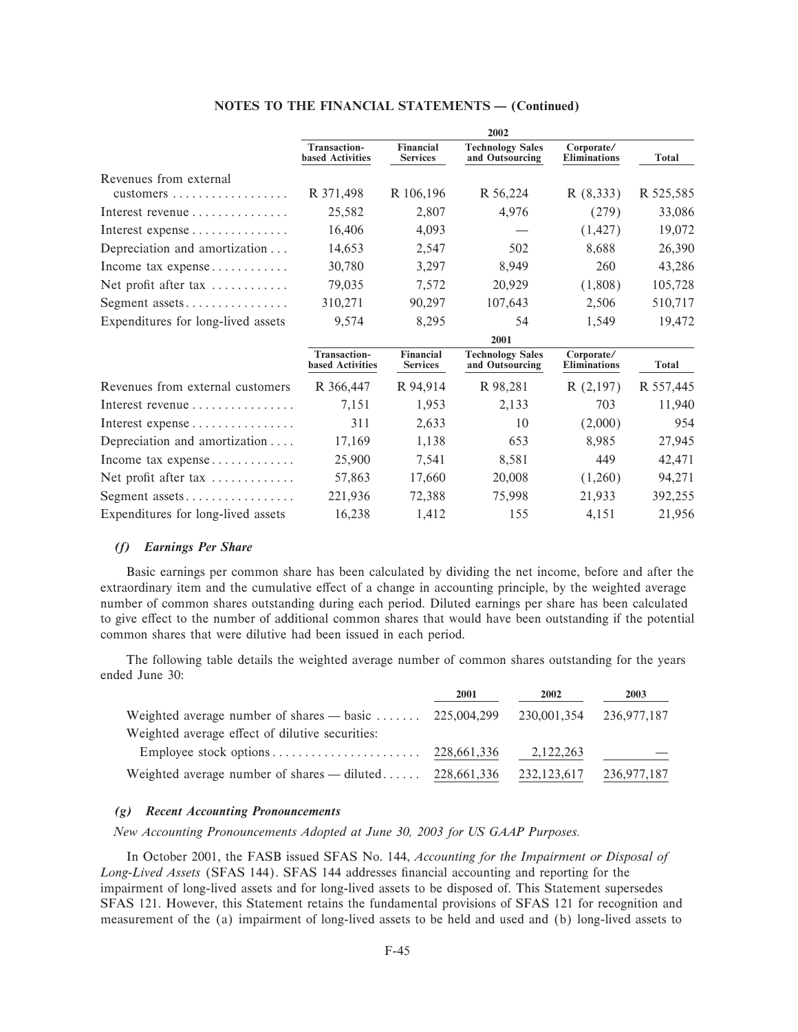|                                    |                                                | 2002                         |                                            |                                   |              |  |
|------------------------------------|------------------------------------------------|------------------------------|--------------------------------------------|-----------------------------------|--------------|--|
|                                    | <b>Transaction-</b><br><b>based Activities</b> | Financial<br><b>Services</b> | <b>Technology Sales</b><br>and Outsourcing | Corporate/<br><b>Eliminations</b> | <b>Total</b> |  |
| Revenues from external             |                                                |                              |                                            |                                   |              |  |
|                                    | R 371,498                                      | R 106,196                    | R 56,224                                   | R(8,333)                          | R 525,585    |  |
| Interest revenue                   | 25,582                                         | 2,807                        | 4,976                                      | (279)                             | 33,086       |  |
|                                    | 16,406                                         | 4,093                        |                                            | (1, 427)                          | 19,072       |  |
| Depreciation and amortization      | 14,653                                         | 2,547                        | 502                                        | 8,688                             | 26,390       |  |
| Income tax expense                 | 30,780                                         | 3,297                        | 8,949                                      | 260                               | 43,286       |  |
| Net profit after tax               | 79,035                                         | 7,572                        | 20,929                                     | (1,808)                           | 105,728      |  |
| Segment assets                     | 310,271                                        | 90,297                       | 107,643                                    | 2,506                             | 510,717      |  |
| Expenditures for long-lived assets | 9,574                                          | 8,295                        | 54                                         | 1,549                             | 19,472       |  |
|                                    | 2001                                           |                              |                                            |                                   |              |  |
|                                    | <b>Transaction-</b><br><b>based Activities</b> | Financial<br><b>Services</b> | <b>Technology Sales</b><br>and Outsourcing | Corporate/<br><b>Eliminations</b> | <b>Total</b> |  |
| Revenues from external customers   | R 366,447                                      | R 94,914                     | R 98,281                                   | R(2,197)                          | R 557,445    |  |
| Interest revenue                   | 7,151                                          | 1,953                        | 2,133                                      | 703                               | 11,940       |  |
|                                    | 311                                            | 2,633                        | 10                                         | (2,000)                           | 954          |  |
| Depreciation and amortization      | 17,169                                         | 1,138                        | 653                                        | 8,985                             | 27,945       |  |
| Income tax expense                 | 25,900                                         | 7,541                        | 8,581                                      | 449                               | 42,471       |  |
| Net profit after tax               | 57,863                                         | 17,660                       | 20,008                                     | (1,260)                           | 94,271       |  |
|                                    | 221,936                                        | 72,388                       | 75,998                                     | 21,933                            | 392,255      |  |
| Expenditures for long-lived assets | 16,238                                         | 1,412                        | 155                                        | 4,151                             | 21,956       |  |

#### *(f) Earnings Per Share*

Basic earnings per common share has been calculated by dividing the net income, before and after the extraordinary item and the cumulative effect of a change in accounting principle, by the weighted average number of common shares outstanding during each period. Diluted earnings per share has been calculated to give effect to the number of additional common shares that would have been outstanding if the potential common shares that were dilutive had been issued in each period.

The following table details the weighted average number of common shares outstanding for the years ended June 30:

|                                                 | 2001        | 2002          | 2003        |
|-------------------------------------------------|-------------|---------------|-------------|
| Weighted average number of shares $-$ basic     | 225,004,299 | 230,001,354   | 236,977,187 |
| Weighted average effect of dilutive securities: |             |               |             |
| Employee stock options                          | 228,661,336 | 2,122,263     |             |
| Weighted average number of shares $-$ diluted   | 228,661,336 | 232, 123, 617 | 236,977,187 |

# *(g) Recent Accounting Pronouncements*

*New Accounting Pronouncements Adopted at June 30, 2003 for US GAAP Purposes.*

In October 2001, the FASB issued SFAS No. 144, *Accounting for the Impairment or Disposal of* Long-Lived Assets (SFAS 144). SFAS 144 addresses financial accounting and reporting for the impairment of long-lived assets and for long-lived assets to be disposed of. This Statement supersedes SFAS 121. However, this Statement retains the fundamental provisions of SFAS 121 for recognition and measurement of the (a) impairment of long-lived assets to be held and used and (b) long-lived assets to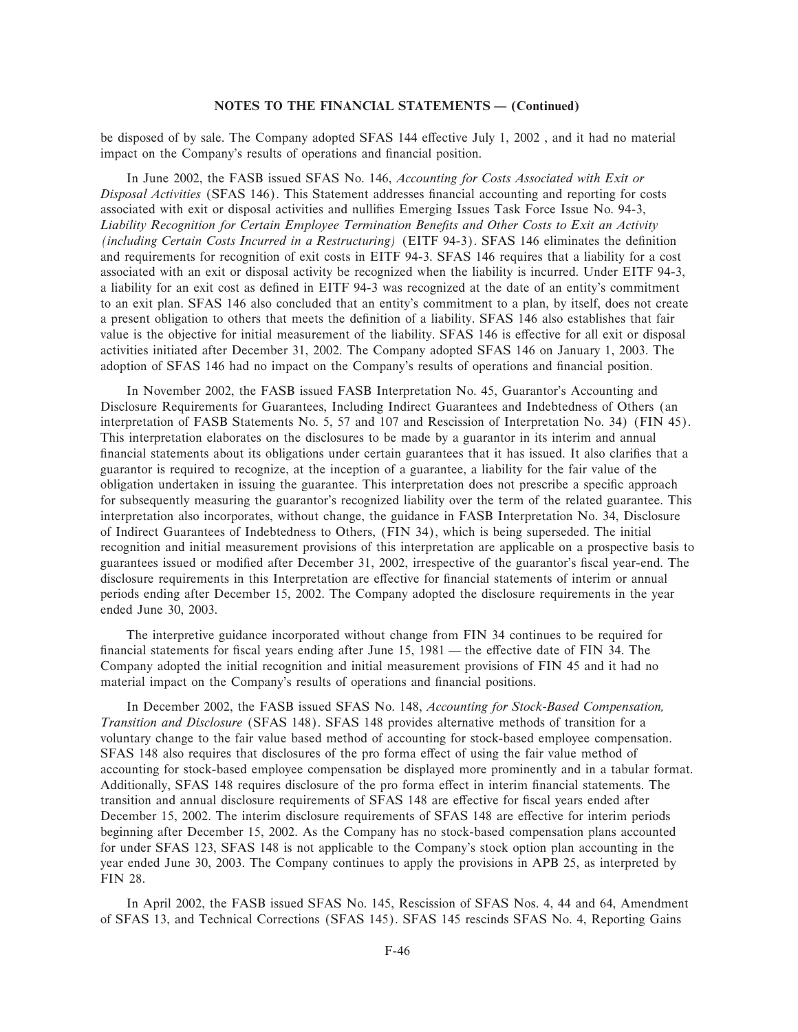be disposed of by sale. The Company adopted SFAS 144 effective July 1, 2002, and it had no material impact on the Company's results of operations and financial position.

In June 2002, the FASB issued SFAS No. 146, *Accounting for Costs Associated with Exit or Disposal Activities* (SFAS 146). This Statement addresses Ñnancial accounting and reporting for costs associated with exit or disposal activities and nullifies Emerging Issues Task Force Issue No. 94-3, Liability Recognition for Certain Employee Termination Benefits and Other Costs to Exit an Activity *(including Certain Costs Incurred in a Restructuring) (EITF 94-3)*. SFAS 146 eliminates the definition and requirements for recognition of exit costs in EITF 94-3. SFAS 146 requires that a liability for a cost associated with an exit or disposal activity be recognized when the liability is incurred. Under EITF 94-3, a liability for an exit cost as deÑned in EITF 94-3 was recognized at the date of an entity's commitment to an exit plan. SFAS 146 also concluded that an entity's commitment to a plan, by itself, does not create a present obligation to others that meets the definition of a liability. SFAS 146 also establishes that fair value is the objective for initial measurement of the liability. SFAS 146 is effective for all exit or disposal activities initiated after December 31, 2002. The Company adopted SFAS 146 on January 1, 2003. The adoption of SFAS 146 had no impact on the Company's results of operations and financial position.

In November 2002, the FASB issued FASB Interpretation No. 45, Guarantor's Accounting and Disclosure Requirements for Guarantees, Including Indirect Guarantees and Indebtedness of Others (an interpretation of FASB Statements No. 5, 57 and 107 and Rescission of Interpretation No. 34) (FIN 45). This interpretation elaborates on the disclosures to be made by a guarantor in its interim and annual financial statements about its obligations under certain guarantees that it has issued. It also clarifies that a guarantor is required to recognize, at the inception of a guarantee, a liability for the fair value of the obligation undertaken in issuing the guarantee. This interpretation does not prescribe a specific approach for subsequently measuring the guarantor's recognized liability over the term of the related guarantee. This interpretation also incorporates, without change, the guidance in FASB Interpretation No. 34, Disclosure of Indirect Guarantees of Indebtedness to Others, (FIN 34), which is being superseded. The initial recognition and initial measurement provisions of this interpretation are applicable on a prospective basis to guarantees issued or modified after December 31, 2002, irrespective of the guarantor's fiscal year-end. The disclosure requirements in this Interpretation are effective for financial statements of interim or annual periods ending after December 15, 2002. The Company adopted the disclosure requirements in the year ended June 30, 2003.

The interpretive guidance incorporated without change from FIN 34 continues to be required for financial statements for fiscal years ending after June  $15$ ,  $1981$  — the effective date of FIN 34. The Company adopted the initial recognition and initial measurement provisions of FIN 45 and it had no material impact on the Company's results of operations and financial positions.

In December 2002, the FASB issued SFAS No. 148, *Accounting for Stock-Based Compensation, Transition and Disclosure* (SFAS 148). SFAS 148 provides alternative methods of transition for a voluntary change to the fair value based method of accounting for stock-based employee compensation. SFAS 148 also requires that disclosures of the pro forma effect of using the fair value method of accounting for stock-based employee compensation be displayed more prominently and in a tabular format. Additionally, SFAS 148 requires disclosure of the pro forma effect in interim financial statements. The transition and annual disclosure requirements of SFAS 148 are effective for fiscal years ended after December 15, 2002. The interim disclosure requirements of SFAS 148 are effective for interim periods beginning after December 15, 2002. As the Company has no stock-based compensation plans accounted for under SFAS 123, SFAS 148 is not applicable to the Company's stock option plan accounting in the year ended June 30, 2003. The Company continues to apply the provisions in APB 25, as interpreted by FIN 28.

In April 2002, the FASB issued SFAS No. 145, Rescission of SFAS Nos. 4, 44 and 64, Amendment of SFAS 13, and Technical Corrections (SFAS 145). SFAS 145 rescinds SFAS No. 4, Reporting Gains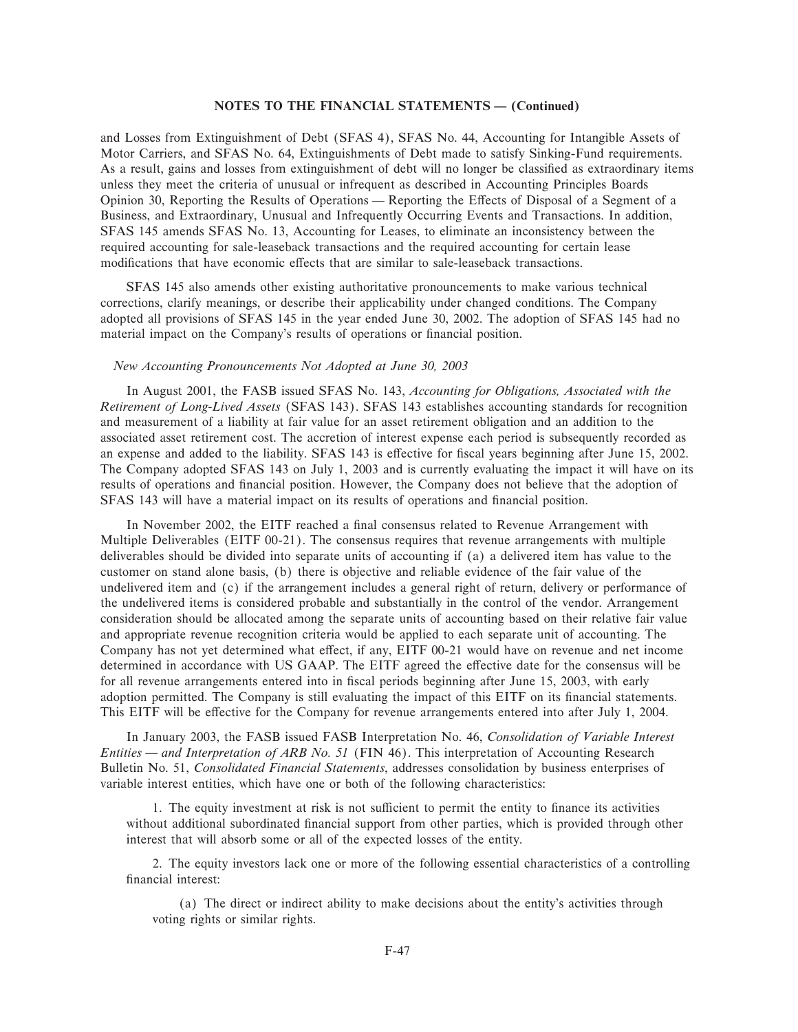and Losses from Extinguishment of Debt (SFAS 4), SFAS No. 44, Accounting for Intangible Assets of Motor Carriers, and SFAS No. 64, Extinguishments of Debt made to satisfy Sinking-Fund requirements. As a result, gains and losses from extinguishment of debt will no longer be classified as extraordinary items unless they meet the criteria of unusual or infrequent as described in Accounting Principles Boards Opinion 30, Reporting the Results of Operations — Reporting the Effects of Disposal of a Segment of a Business, and Extraordinary, Unusual and Infrequently Occurring Events and Transactions. In addition, SFAS 145 amends SFAS No. 13, Accounting for Leases, to eliminate an inconsistency between the required accounting for sale-leaseback transactions and the required accounting for certain lease modifications that have economic effects that are similar to sale-leaseback transactions.

SFAS 145 also amends other existing authoritative pronouncements to make various technical corrections, clarify meanings, or describe their applicability under changed conditions. The Company adopted all provisions of SFAS 145 in the year ended June 30, 2002. The adoption of SFAS 145 had no material impact on the Company's results of operations or financial position.

# *New Accounting Pronouncements Not Adopted at June 30, 2003*

In August 2001, the FASB issued SFAS No. 143, *Accounting for Obligations, Associated with the Retirement of Long-Lived Assets* (SFAS 143). SFAS 143 establishes accounting standards for recognition and measurement of a liability at fair value for an asset retirement obligation and an addition to the associated asset retirement cost. The accretion of interest expense each period is subsequently recorded as an expense and added to the liability. SFAS 143 is effective for fiscal years beginning after June 15, 2002. The Company adopted SFAS 143 on July 1, 2003 and is currently evaluating the impact it will have on its results of operations and financial position. However, the Company does not believe that the adoption of SFAS 143 will have a material impact on its results of operations and financial position.

In November 2002, the EITF reached a final consensus related to Revenue Arrangement with Multiple Deliverables (EITF 00-21). The consensus requires that revenue arrangements with multiple deliverables should be divided into separate units of accounting if (a) a delivered item has value to the customer on stand alone basis, (b) there is objective and reliable evidence of the fair value of the undelivered item and (c) if the arrangement includes a general right of return, delivery or performance of the undelivered items is considered probable and substantially in the control of the vendor. Arrangement consideration should be allocated among the separate units of accounting based on their relative fair value and appropriate revenue recognition criteria would be applied to each separate unit of accounting. The Company has not yet determined what effect, if any, EITF 00-21 would have on revenue and net income determined in accordance with US GAAP. The EITF agreed the effective date for the consensus will be for all revenue arrangements entered into in fiscal periods beginning after June 15, 2003, with early adoption permitted. The Company is still evaluating the impact of this EITF on its financial statements. This EITF will be effective for the Company for revenue arrangements entered into after July 1, 2004.

In January 2003, the FASB issued FASB Interpretation No. 46, *Consolidation of Variable Interest Entities — and Interpretation of ARB No. 51* (FIN 46). This interpretation of Accounting Research Bulletin No. 51, *Consolidated Financial Statements*, addresses consolidation by business enterprises of variable interest entities, which have one or both of the following characteristics:

1. The equity investment at risk is not sufficient to permit the entity to finance its activities without additional subordinated financial support from other parties, which is provided through other interest that will absorb some or all of the expected losses of the entity.

2. The equity investors lack one or more of the following essential characteristics of a controlling financial interest:

(a) The direct or indirect ability to make decisions about the entity's activities through voting rights or similar rights.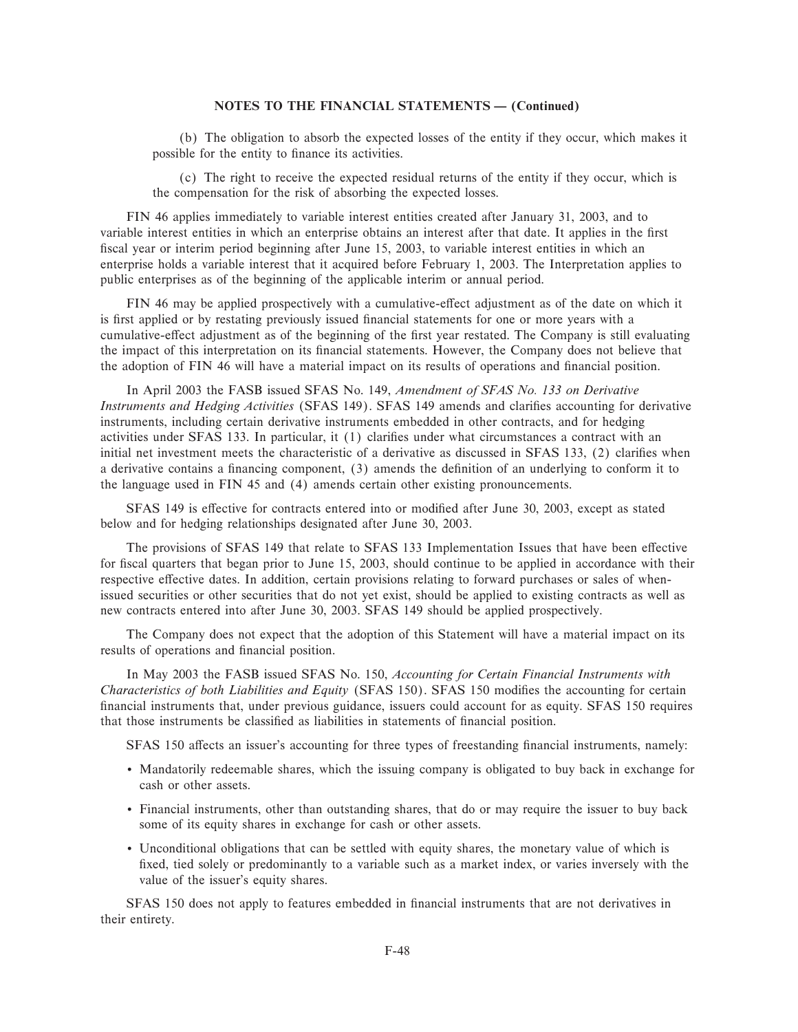(b) The obligation to absorb the expected losses of the entity if they occur, which makes it possible for the entity to finance its activities.

(c) The right to receive the expected residual returns of the entity if they occur, which is the compensation for the risk of absorbing the expected losses.

FIN 46 applies immediately to variable interest entities created after January 31, 2003, and to variable interest entities in which an enterprise obtains an interest after that date. It applies in the first fiscal year or interim period beginning after June 15, 2003, to variable interest entities in which an enterprise holds a variable interest that it acquired before February 1, 2003. The Interpretation applies to public enterprises as of the beginning of the applicable interim or annual period.

FIN 46 may be applied prospectively with a cumulative-effect adjustment as of the date on which it is first applied or by restating previously issued financial statements for one or more years with a cumulative-effect adjustment as of the beginning of the first year restated. The Company is still evaluating the impact of this interpretation on its financial statements. However, the Company does not believe that the adoption of FIN 46 will have a material impact on its results of operations and financial position.

In April 2003 the FASB issued SFAS No. 149, *Amendment of SFAS No. 133 on Derivative Instruments and Hedging Activities* (SFAS 149). SFAS 149 amends and clarifies accounting for derivative instruments, including certain derivative instruments embedded in other contracts, and for hedging activities under SFAS 133. In particular, it (1) clarifies under what circumstances a contract with an initial net investment meets the characteristic of a derivative as discussed in SFAS 133, (2) clarifies when a derivative contains a financing component, (3) amends the definition of an underlying to conform it to the language used in FIN 45 and (4) amends certain other existing pronouncements.

SFAS 149 is effective for contracts entered into or modified after June 30, 2003, except as stated below and for hedging relationships designated after June 30, 2003.

The provisions of SFAS 149 that relate to SFAS 133 Implementation Issues that have been effective for fiscal quarters that began prior to June 15, 2003, should continue to be applied in accordance with their respective effective dates. In addition, certain provisions relating to forward purchases or sales of whenissued securities or other securities that do not yet exist, should be applied to existing contracts as well as new contracts entered into after June 30, 2003. SFAS 149 should be applied prospectively.

The Company does not expect that the adoption of this Statement will have a material impact on its results of operations and financial position.

In May 2003 the FASB issued SFAS No. 150, *Accounting for Certain Financial Instruments with Characteristics of both Liabilities and Equity (SFAS 150). SFAS 150 modifies the accounting for certain* financial instruments that, under previous guidance, issuers could account for as equity. SFAS 150 requires that those instruments be classified as liabilities in statements of financial position.

SFAS 150 affects an issuer's accounting for three types of freestanding financial instruments, namely:

- ' Mandatorily redeemable shares, which the issuing company is obligated to buy back in exchange for cash or other assets.
- ' Financial instruments, other than outstanding shares, that do or may require the issuer to buy back some of its equity shares in exchange for cash or other assets.
- ' Unconditional obligations that can be settled with equity shares, the monetary value of which is fixed, tied solely or predominantly to a variable such as a market index, or varies inversely with the value of the issuer's equity shares.

SFAS 150 does not apply to features embedded in financial instruments that are not derivatives in their entirety.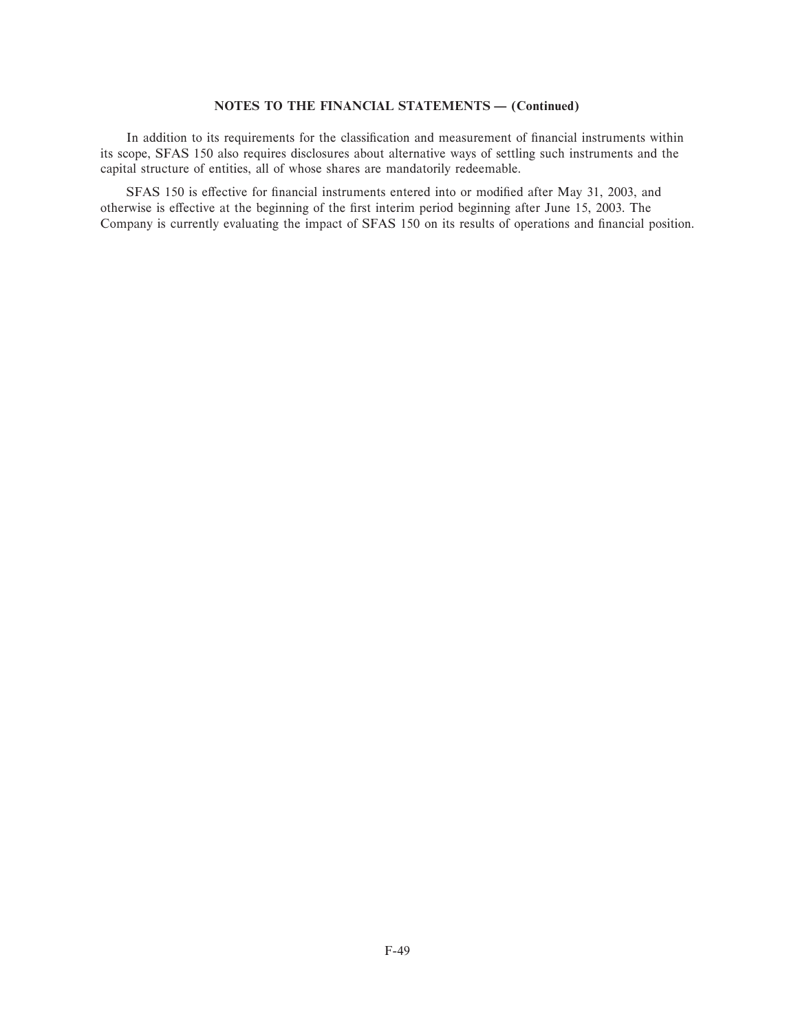In addition to its requirements for the classification and measurement of financial instruments within its scope, SFAS 150 also requires disclosures about alternative ways of settling such instruments and the capital structure of entities, all of whose shares are mandatorily redeemable.

SFAS 150 is effective for financial instruments entered into or modified after May 31, 2003, and otherwise is effective at the beginning of the first interim period beginning after June 15, 2003. The Company is currently evaluating the impact of SFAS 150 on its results of operations and financial position.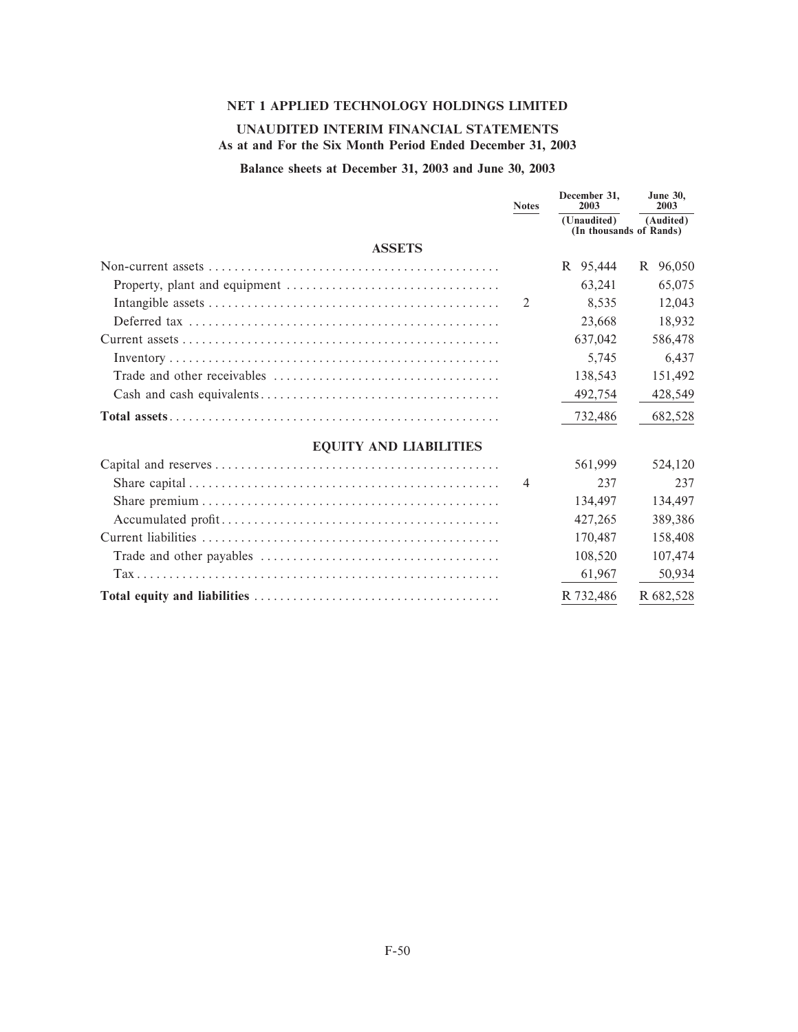# **NET 1 APPLIED TECHNOLOGY HOLDINGS LIMITED**

# **UNAUDITED INTERIM FINANCIAL STATEMENTS As at and For the Six Month Period Ended December 31, 2003**

# **Balance sheets at December 31, 2003 and June 30, 2003**

|                               | <b>Notes</b>   | December 31.<br>2003<br>(Unaudited) | <b>June 30.</b><br>2003<br>(Audited) |
|-------------------------------|----------------|-------------------------------------|--------------------------------------|
|                               |                | (In thousands of Rands)             |                                      |
| <b>ASSETS</b>                 |                |                                     |                                      |
|                               |                | R 95,444                            | R 96,050                             |
|                               |                | 63,241                              | 65,075                               |
|                               | 2              | 8.535                               | 12,043                               |
|                               |                | 23,668                              | 18,932                               |
|                               |                | 637,042                             | 586,478                              |
|                               |                | 5,745                               | 6,437                                |
|                               |                | 138,543                             | 151,492                              |
|                               |                | 492,754                             | 428,549                              |
|                               |                | 732,486                             | 682,528                              |
| <b>EQUITY AND LIABILITIES</b> |                |                                     |                                      |
|                               |                | 561,999                             | 524,120                              |
|                               | $\overline{4}$ | 237                                 | 237                                  |
|                               |                | 134,497                             | 134,497                              |
|                               |                | 427,265                             | 389,386                              |
|                               |                | 170,487                             | 158,408                              |
|                               |                | 108,520                             | 107,474                              |
|                               |                | 61,967                              | 50,934                               |
|                               |                | R 732,486                           | R 682,528                            |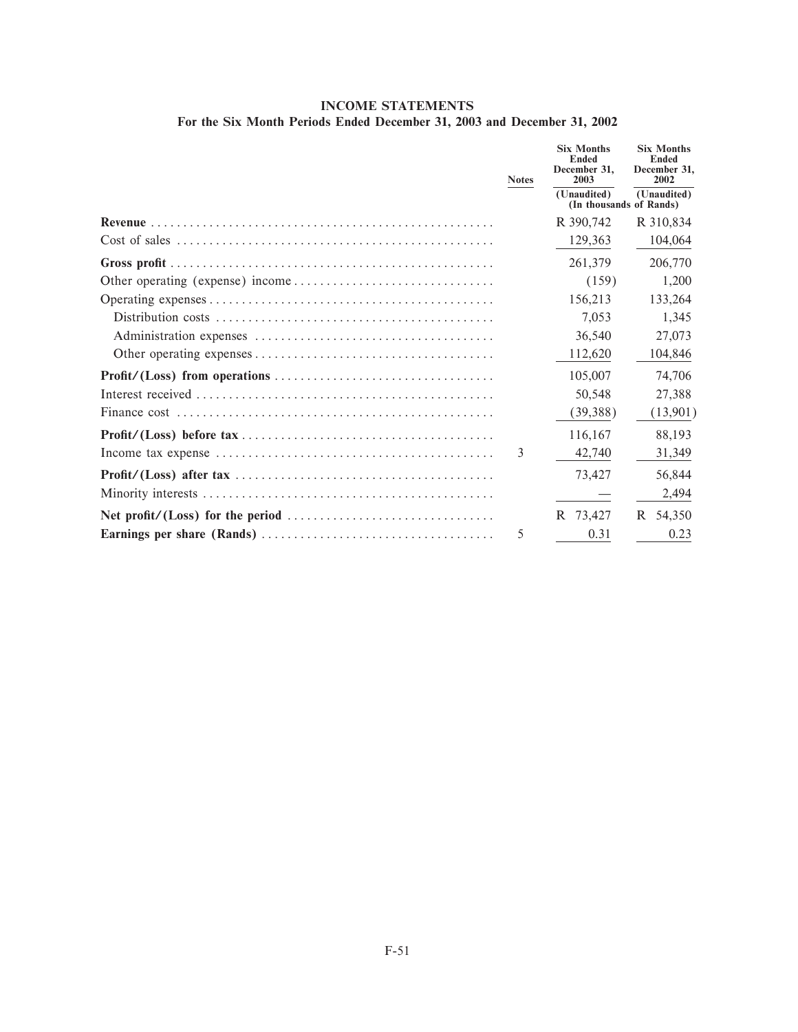# **INCOME STATEMENTS For the Six Month Periods Ended December 31, 2003 and December 31, 2002**

| <b>Notes</b> | <b>Six Months</b><br><b>Ended</b><br>December 31.<br>2003 | <b>Six Months</b><br><b>Ended</b><br>December 31,<br>2002 |
|--------------|-----------------------------------------------------------|-----------------------------------------------------------|
|              | (Unaudited)<br>(In thousands of Rands)                    | (Unaudited)                                               |
|              | R 390,742                                                 | R 310,834                                                 |
|              | 129,363                                                   | 104,064                                                   |
|              | 261,379                                                   | 206,770                                                   |
|              | (159)                                                     | 1,200                                                     |
|              | 156,213                                                   | 133,264                                                   |
|              | 7.053                                                     | 1.345                                                     |
|              | 36,540                                                    | 27,073                                                    |
|              | 112,620                                                   | 104,846                                                   |
|              | 105,007                                                   | 74,706                                                    |
|              | 50,548                                                    | 27,388                                                    |
|              | (39, 388)                                                 | (13,901)                                                  |
|              | 116,167                                                   | 88.193                                                    |
| 3            | 42,740                                                    | 31,349                                                    |
|              | 73.427                                                    | 56,844                                                    |
|              |                                                           | 2,494                                                     |
|              | R 73,427                                                  | R 54.350                                                  |
| 5            | 0.31                                                      | 0.23                                                      |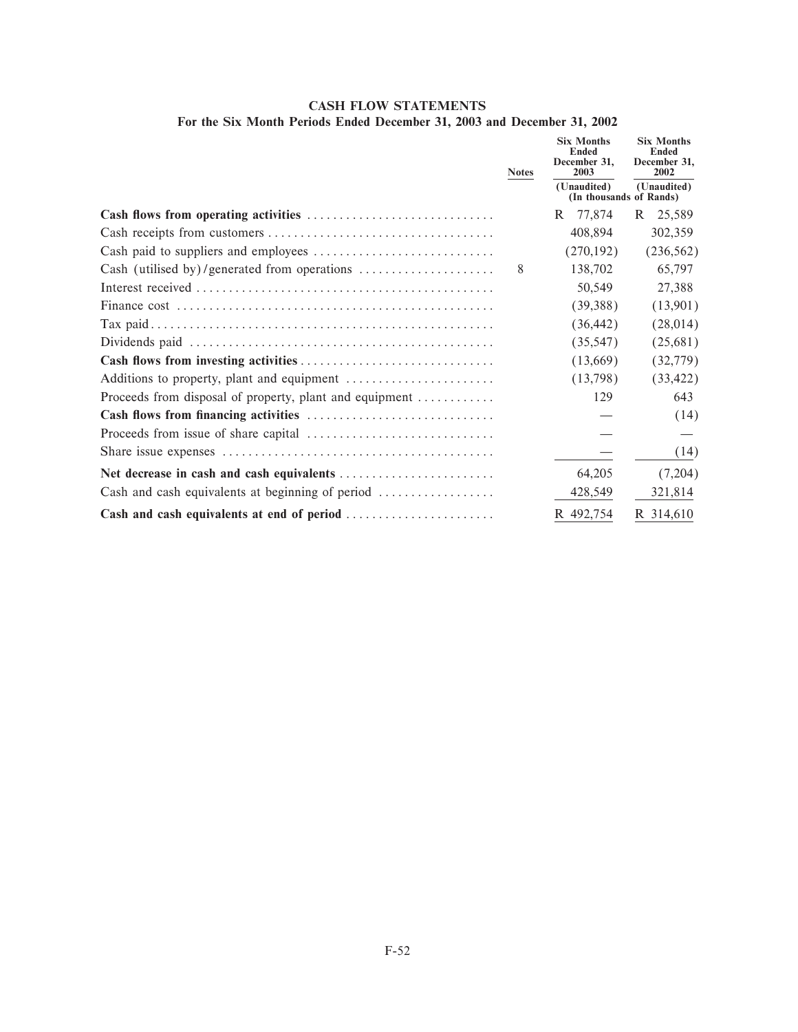# **CASH FLOW STATEMENTS For the Six Month Periods Ended December 31, 2003 and December 31, 2002**

|                                                                                    | <b>Notes</b> | <b>Six Months</b><br><b>Ended</b><br>December 31.<br>2003 | <b>Six Months</b><br><b>Ended</b><br>December 31,<br>2002 |  |
|------------------------------------------------------------------------------------|--------------|-----------------------------------------------------------|-----------------------------------------------------------|--|
|                                                                                    |              | (Unaudited)<br>(In thousands of Rands)                    | (Unaudited)                                               |  |
|                                                                                    |              | 77,874<br>R.                                              | 25,589<br>R.                                              |  |
|                                                                                    |              | 408,894                                                   | 302,359                                                   |  |
|                                                                                    |              | (270, 192)                                                | (236, 562)                                                |  |
| Cash (utilised by)/generated from operations $\dots\dots\dots\dots\dots\dots\dots$ | 8            | 138,702                                                   | 65,797                                                    |  |
|                                                                                    |              | 50,549                                                    | 27,388                                                    |  |
|                                                                                    |              | (39,388)                                                  | (13,901)                                                  |  |
|                                                                                    |              | (36, 442)                                                 | (28,014)                                                  |  |
|                                                                                    |              | (35, 547)                                                 | (25,681)                                                  |  |
|                                                                                    |              | (13,669)                                                  | (32, 779)                                                 |  |
|                                                                                    |              | (13,798)                                                  | (33, 422)                                                 |  |
| Proceeds from disposal of property, plant and equipment                            |              | 129                                                       | 643                                                       |  |
|                                                                                    |              |                                                           | (14)                                                      |  |
|                                                                                    |              |                                                           |                                                           |  |
|                                                                                    |              |                                                           | (14)                                                      |  |
|                                                                                    |              | 64,205                                                    | (7,204)                                                   |  |
| Cash and cash equivalents at beginning of period                                   |              | 428,549                                                   | 321,814                                                   |  |
| Cash and cash equivalents at end of period                                         |              | R 492,754                                                 | R 314,610                                                 |  |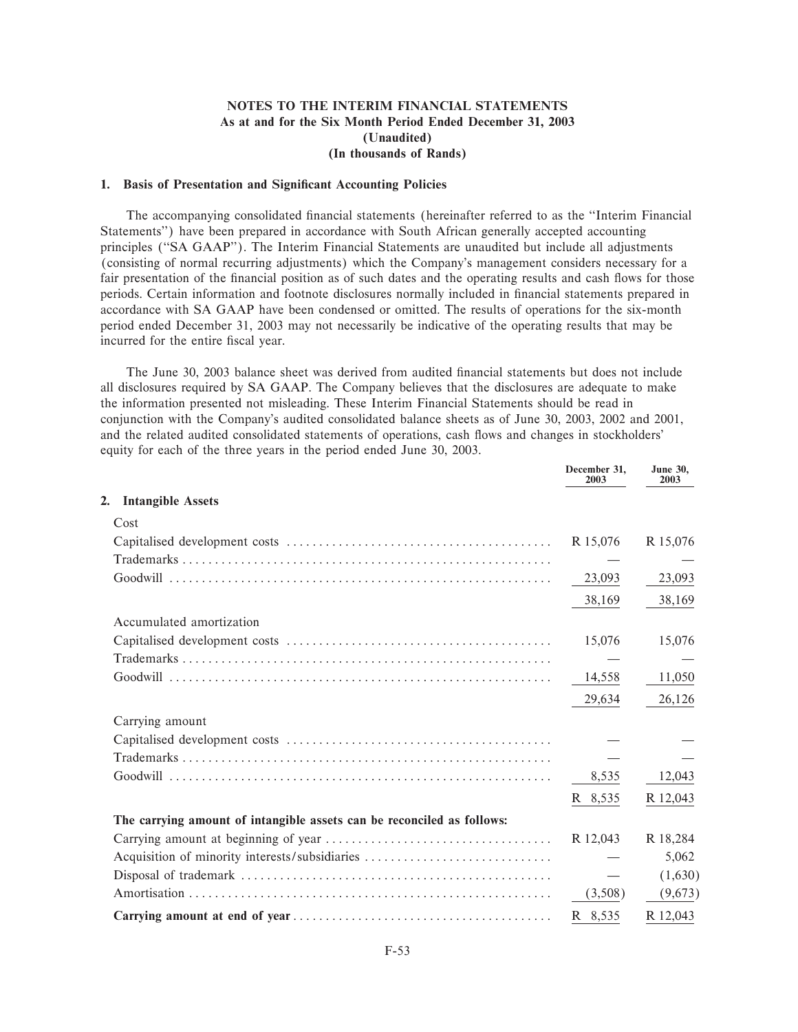# **NOTES TO THE INTERIM FINANCIAL STATEMENTS As at and for the Six Month Period Ended December 31, 2003 (Unaudited) (In thousands of Rands)**

### **1. Basis of Presentation and Significant Accounting Policies**

The accompanying consolidated financial statements (hereinafter referred to as the "Interim Financial Statements'') have been prepared in accordance with South African generally accepted accounting principles ("SA GAAP"). The Interim Financial Statements are unaudited but include all adjustments (consisting of normal recurring adjustments) which the Company's management considers necessary for a fair presentation of the financial position as of such dates and the operating results and cash flows for those periods. Certain information and footnote disclosures normally included in financial statements prepared in accordance with SA GAAP have been condensed or omitted. The results of operations for the six-month period ended December 31, 2003 may not necessarily be indicative of the operating results that may be incurred for the entire fiscal year.

The June 30, 2003 balance sheet was derived from audited financial statements but does not include all disclosures required by SA GAAP. The Company believes that the disclosures are adequate to make the information presented not misleading. These Interim Financial Statements should be read in conjunction with the Company's audited consolidated balance sheets as of June 30, 2003, 2002 and 2001, and the related audited consolidated statements of operations, cash Öows and changes in stockholders' equity for each of the three years in the period ended June 30, 2003.

|                                                                        | December 31,<br>2003 | <b>June 30,</b><br>2003 |
|------------------------------------------------------------------------|----------------------|-------------------------|
| <b>Intangible Assets</b><br>2.                                         |                      |                         |
| Cost                                                                   |                      |                         |
|                                                                        | R 15,076             | R 15,076                |
|                                                                        |                      |                         |
|                                                                        | 23,093               | 23,093                  |
|                                                                        | 38,169               | 38,169                  |
| Accumulated amortization                                               |                      |                         |
|                                                                        | 15,076               | 15,076                  |
|                                                                        |                      |                         |
|                                                                        | 14,558               | 11,050                  |
|                                                                        | 29,634               | 26,126                  |
| Carrying amount                                                        |                      |                         |
|                                                                        |                      |                         |
|                                                                        |                      |                         |
|                                                                        | 8,535                | 12,043                  |
|                                                                        | R 8,535              | R 12,043                |
| The carrying amount of intangible assets can be reconciled as follows: |                      |                         |
|                                                                        | R 12,043             | R 18,284                |
| Acquisition of minority interests/subsidiaries                         |                      | 5,062                   |
|                                                                        |                      | (1,630)                 |
|                                                                        | (3,508)              | (9,673)                 |
|                                                                        | R 8,535              | R 12,043                |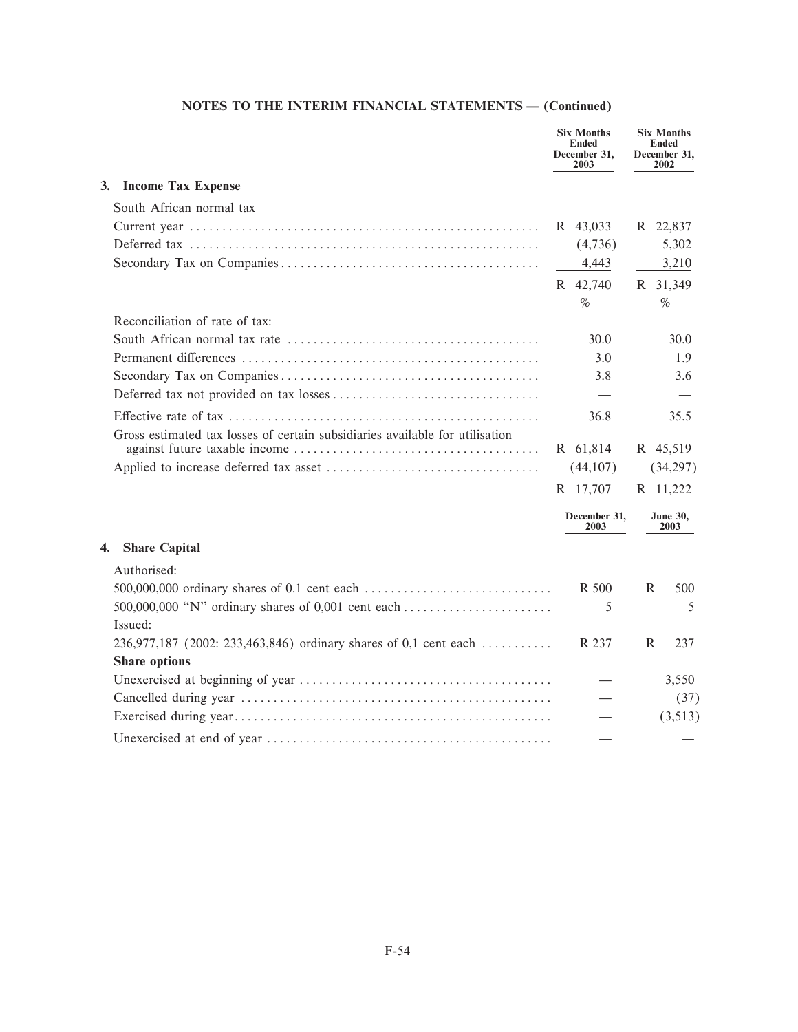|                                                                              | <b>Six Months</b><br><b>Ended</b><br>December 31,<br>2003 | <b>Six Months</b><br><b>Ended</b><br>December 31,<br>2002 |                         |
|------------------------------------------------------------------------------|-----------------------------------------------------------|-----------------------------------------------------------|-------------------------|
| 3.<br><b>Income Tax Expense</b>                                              |                                                           |                                                           |                         |
| South African normal tax                                                     |                                                           |                                                           |                         |
|                                                                              | R 43,033                                                  | R 22,837                                                  |                         |
|                                                                              | (4,736)                                                   |                                                           | 5,302                   |
|                                                                              | 4,443                                                     |                                                           | 3,210                   |
|                                                                              | R 42,740                                                  | R 31,349                                                  |                         |
|                                                                              | $\%$                                                      | $\%$                                                      |                         |
| Reconciliation of rate of tax:                                               |                                                           |                                                           |                         |
|                                                                              | 30.0                                                      |                                                           | 30.0                    |
|                                                                              | 3.0                                                       |                                                           | 1.9                     |
|                                                                              | 3.8                                                       |                                                           | 3.6                     |
|                                                                              |                                                           |                                                           |                         |
|                                                                              | 36.8                                                      |                                                           | 35.5                    |
| Gross estimated tax losses of certain subsidiaries available for utilisation |                                                           |                                                           |                         |
|                                                                              | R 61,814                                                  | R 45,519                                                  |                         |
|                                                                              | (44,107)                                                  |                                                           | (34,297)                |
|                                                                              | R 17,707                                                  | R 11,222                                                  |                         |
|                                                                              | December 31,<br>2003                                      |                                                           | <b>June 30,</b><br>2003 |
| <b>Share Capital</b><br>4.                                                   |                                                           |                                                           |                         |
| Authorised:                                                                  |                                                           |                                                           |                         |
| 500,000,000 ordinary shares of 0.1 cent each                                 | R 500                                                     | R                                                         | 500                     |
| 500,000,000 "N" ordinary shares of 0,001 cent each                           | 5                                                         |                                                           | 5                       |
| Issued:                                                                      |                                                           |                                                           |                         |
| 236,977,187 (2002: 233,463,846) ordinary shares of 0,1 cent each             | R 237                                                     | R                                                         | 237                     |
| <b>Share options</b>                                                         |                                                           |                                                           |                         |
|                                                                              |                                                           |                                                           | 3,550                   |
|                                                                              |                                                           |                                                           | (37)                    |
|                                                                              |                                                           |                                                           | (3,513)                 |
|                                                                              |                                                           |                                                           |                         |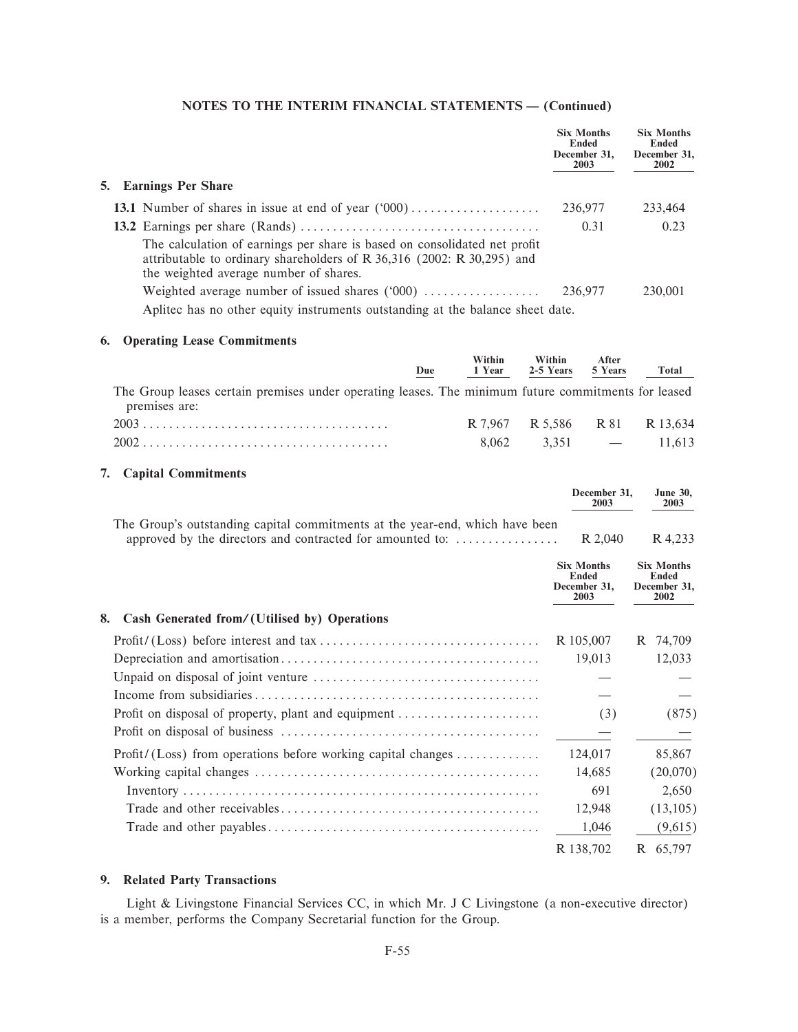|                                                                                                                                                                                               | <b>Six Months</b><br>Ended<br>December 31,<br>2003 | <b>Six Months</b><br>Ended<br>December 31,<br>2002 |
|-----------------------------------------------------------------------------------------------------------------------------------------------------------------------------------------------|----------------------------------------------------|----------------------------------------------------|
| 5. Earnings Per Share                                                                                                                                                                         |                                                    |                                                    |
| 13.1 Number of shares in issue at end of year $(000)$                                                                                                                                         | 236,977                                            | 233,464                                            |
|                                                                                                                                                                                               | 0.31                                               | 0.23                                               |
| The calculation of earnings per share is based on consolidated net profit<br>attributable to ordinary shareholders of R 36,316 (2002: R 30,295) and<br>the weighted average number of shares. |                                                    |                                                    |
| Weighted average number of issued shares $(000)$                                                                                                                                              | 236,977                                            | 230,001                                            |
| Aplited has no other equity instruments outstanding at the balance sheet date.                                                                                                                |                                                    |                                                    |

# 6. Operating Lease Commitments

| Due                                                                                                                  | Within | Within<br>1 Year 2-5 Years 5 Years | After     | Total  |
|----------------------------------------------------------------------------------------------------------------------|--------|------------------------------------|-----------|--------|
| The Group leases certain premises under operating leases. The minimum future commitments for leased<br>premises are: |        |                                    |           |        |
|                                                                                                                      |        | R 7.967 R 5.586 R 81 R 13.634      |           |        |
|                                                                                                                      | 8.062  |                                    | $3.351 -$ | 11.613 |

# 7. Capital Commitments

|                                                                                                                                           | December 31.<br>2003                                      | <b>June 30.</b><br>2003                                   |
|-------------------------------------------------------------------------------------------------------------------------------------------|-----------------------------------------------------------|-----------------------------------------------------------|
| The Group's outstanding capital commitments at the year-end, which have been<br>approved by the directors and contracted for amounted to: | R 2,040                                                   | R 4,233                                                   |
|                                                                                                                                           | <b>Six Months</b><br><b>Ended</b><br>December 31.<br>2003 | <b>Six Months</b><br><b>Ended</b><br>December 31,<br>2002 |
| Cash Generated from/(Utilised by) Operations<br>8.                                                                                        |                                                           |                                                           |
|                                                                                                                                           | R 105,007                                                 | R<br>74,709                                               |
|                                                                                                                                           | 19,013                                                    | 12,033                                                    |
| Unpaid on disposal of joint venture $\dots \dots \dots \dots \dots \dots \dots \dots \dots \dots \dots$                                   |                                                           |                                                           |
|                                                                                                                                           |                                                           |                                                           |
| Profit on disposal of property, plant and equipment                                                                                       | (3)                                                       | (875)                                                     |
|                                                                                                                                           |                                                           |                                                           |
| $Profit / (Loss)$ from operations before working capital changes                                                                          | 124,017                                                   | 85,867                                                    |
|                                                                                                                                           | 14,685                                                    | (20,070)                                                  |
|                                                                                                                                           | 691                                                       | 2,650                                                     |
|                                                                                                                                           | 12,948                                                    | (13,105)                                                  |
|                                                                                                                                           | 1,046                                                     | (9,615)                                                   |
|                                                                                                                                           | R 138,702                                                 | R 65,797                                                  |

# 9. Related Party Transactions

Light & Livingstone Financial Services CC, in which Mr. J C Livingstone (a non-executive director) is a member, performs the Company Secretarial function for the Group.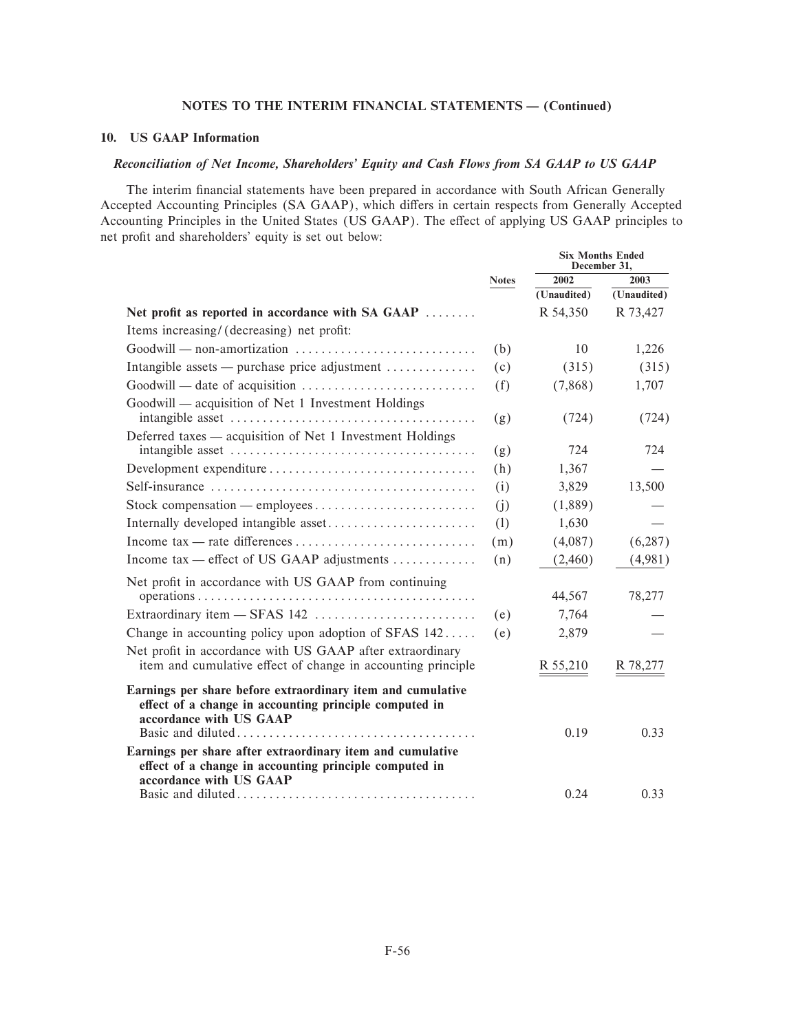# 10. US GAAP Information

# Reconciliation of Net Income, Shareholders' Equity and Cash Flows from SA GAAP to US GAAP

The interim financial statements have been prepared in accordance with South African Generally Accepted Accounting Principles (SA GAAP), which differs in certain respects from Generally Accepted Accounting Principles in the United States (US GAAP). The effect of applying US GAAP principles to net profit and shareholders' equity is set out below:

|                                                                                                                                                  |              |             | <b>Six Months Ended</b><br>December 31, |  |
|--------------------------------------------------------------------------------------------------------------------------------------------------|--------------|-------------|-----------------------------------------|--|
|                                                                                                                                                  | <b>Notes</b> | 2002        | 2003                                    |  |
|                                                                                                                                                  |              | (Unaudited) | (Unaudited)                             |  |
| Net profit as reported in accordance with SA GAAP                                                                                                |              | R 54,350    | R 73,427                                |  |
| Items increasing/ (decreasing) net profit:                                                                                                       |              |             |                                         |  |
| Goodwill — non-amortization                                                                                                                      | (b)          | 10          | 1,226                                   |  |
| Intangible assets — purchase price adjustment                                                                                                    | (c)          | (315)       | (315)                                   |  |
|                                                                                                                                                  | (f)          | (7,868)     | 1,707                                   |  |
| Goodwill — acquisition of Net 1 Investment Holdings                                                                                              | (g)          | (724)       | (724)                                   |  |
| Deferred taxes — acquisition of Net 1 Investment Holdings                                                                                        |              |             |                                         |  |
|                                                                                                                                                  | (g)          | 724         | 724                                     |  |
|                                                                                                                                                  | (h)          | 1,367       |                                         |  |
|                                                                                                                                                  | (i)          | 3,829       | 13,500                                  |  |
|                                                                                                                                                  | (i)          | (1,889)     |                                         |  |
|                                                                                                                                                  | (1)          | 1,630       |                                         |  |
|                                                                                                                                                  | (m)          | (4,087)     | (6, 287)                                |  |
| Income tax — effect of US GAAP adjustments                                                                                                       | (n)          | (2,460)     | (4,981)                                 |  |
| Net profit in accordance with US GAAP from continuing                                                                                            |              |             |                                         |  |
|                                                                                                                                                  |              | 44,567      | 78,277                                  |  |
|                                                                                                                                                  | (e)          | 7,764       |                                         |  |
| Change in accounting policy upon adoption of SFAS 142                                                                                            | (e)          | 2,879       |                                         |  |
| Net profit in accordance with US GAAP after extraordinary<br>item and cumulative effect of change in accounting principle                        |              | R 55,210    | R 78,277                                |  |
| Earnings per share before extraordinary item and cumulative<br>effect of a change in accounting principle computed in<br>accordance with US GAAP |              | 0.19        | 0.33                                    |  |
| Earnings per share after extraordinary item and cumulative<br>effect of a change in accounting principle computed in<br>accordance with US GAAP  |              | 0.24        | 0.33                                    |  |
|                                                                                                                                                  |              |             |                                         |  |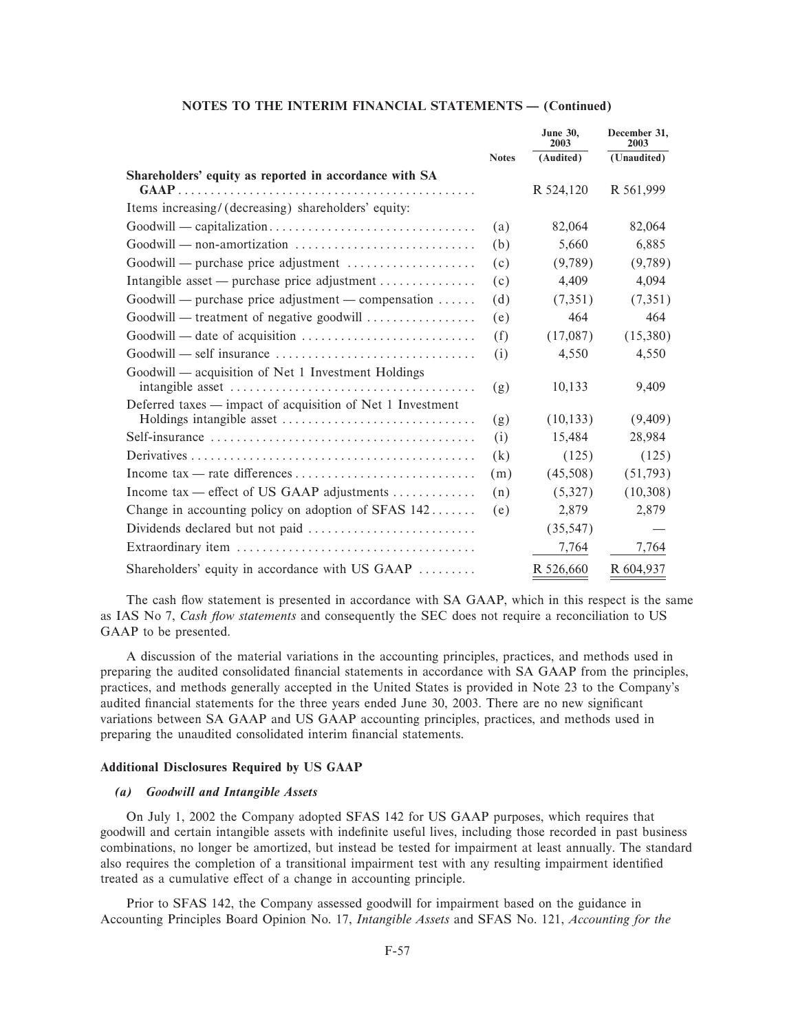|                                                                   |              | <b>June 30,</b><br>2003 | December 31,<br>2003 |
|-------------------------------------------------------------------|--------------|-------------------------|----------------------|
|                                                                   | <b>Notes</b> | (Audited)               | (Unaudited)          |
| Shareholders' equity as reported in accordance with SA            |              |                         |                      |
|                                                                   |              | R 524,120               | R 561,999            |
| Items increasing/ (decreasing) shareholders' equity:              |              |                         |                      |
|                                                                   | (a)          | 82,064                  | 82,064               |
| Goodwill — non-amortization                                       | (b)          | 5,660                   | 6,885                |
| Goodwill — purchase price adjustment                              | (c)          | (9,789)                 | (9,789)              |
| Intangible asset — purchase price adjustment                      | (c)          | 4,409                   | 4,094                |
| $Good will$ — purchase price adjustment — compensation $\dots$    | (d)          | (7,351)                 | (7,351)              |
| Goodwill — treatment of negative goodwill                         | (e)          | 464                     | 464                  |
|                                                                   | (f)          | (17,087)                | (15,380)             |
|                                                                   | (i)          | 4,550                   | 4,550                |
| Goodwill - acquisition of Net 1 Investment Holdings               |              |                         |                      |
|                                                                   | (g)          | 10,133                  | 9,409                |
| Deferred taxes — impact of acquisition of Net 1 Investment        |              |                         |                      |
|                                                                   | (g)          | (10, 133)               | (9,409)              |
|                                                                   | (i)          | 15,484                  | 28,984               |
|                                                                   | (k)          | (125)                   | (125)                |
|                                                                   | (m)          | (45,508)                | (51,793)             |
| Income tax — effect of US GAAP adjustments $\dots\dots\dots\dots$ | (n)          | (5,327)                 | (10,308)             |
| Change in accounting policy on adoption of SFAS 142               | (e)          | 2,879                   | 2,879                |
|                                                                   |              | (35, 547)               |                      |
|                                                                   |              | 7,764                   | 7,764                |
| Shareholders' equity in accordance with US GAAP                   |              | R 526,660               | R 604,937            |

The cash flow statement is presented in accordance with SA GAAP, which in this respect is the same as IAS No 7, Cash flow statements and consequently the SEC does not require a reconciliation to US GAAP to be presented.

A discussion of the material variations in the accounting principles, practices, and methods used in preparing the audited consolidated financial statements in accordance with SA GAAP from the principles, practices, and methods generally accepted in the United States is provided in Note 23 to the Company's audited financial statements for the three years ended June 30, 2003. There are no new significant variations between SA GAAP and US GAAP accounting principles, practices, and methods used in preparing the unaudited consolidated interim financial statements.

# **Additional Disclosures Required by US GAAP**

# (a) Goodwill and Intangible Assets

On July 1, 2002 the Company adopted SFAS 142 for US GAAP purposes, which requires that goodwill and certain intangible assets with indefinite useful lives, including those recorded in past business combinations, no longer be amortized, but instead be tested for impairment at least annually. The standard also requires the completion of a transitional impairment test with any resulting impairment identified treated as a cumulative effect of a change in accounting principle.

Prior to SFAS 142, the Company assessed goodwill for impairment based on the guidance in Accounting Principles Board Opinion No. 17, Intangible Assets and SFAS No. 121, Accounting for the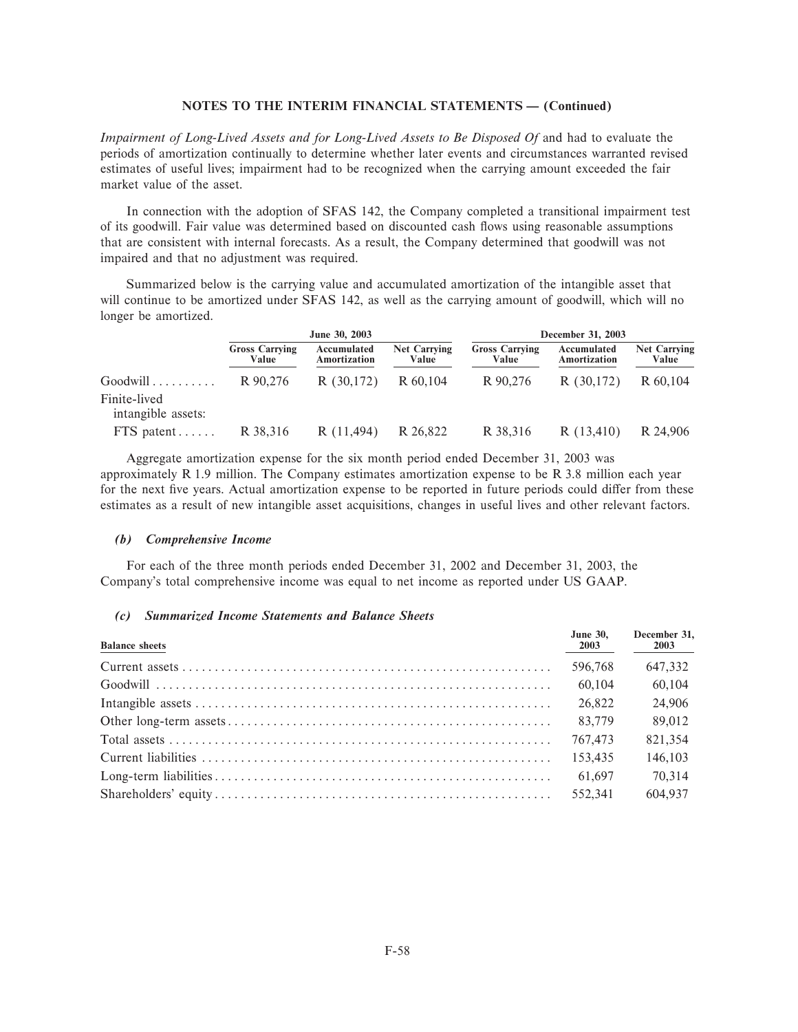*Impairment of Long-Lived Assets and for Long-Lived Assets to Be Disposed Of* and had to evaluate the periods of amortization continually to determine whether later events and circumstances warranted revised estimates of useful lives; impairment had to be recognized when the carrying amount exceeded the fair market value of the asset.

In connection with the adoption of SFAS 142, the Company completed a transitional impairment test of its goodwill. Fair value was determined based on discounted cash Öows using reasonable assumptions that are consistent with internal forecasts. As a result, the Company determined that goodwill was not impaired and that no adjustment was required.

Summarized below is the carrying value and accumulated amortization of the intangible asset that will continue to be amortized under SFAS 142, as well as the carrying amount of goodwill, which will no longer be amortized.

|                                                | June 30, 2003                  |                             |                              |                                | December 31, 2003           |                              |
|------------------------------------------------|--------------------------------|-----------------------------|------------------------------|--------------------------------|-----------------------------|------------------------------|
|                                                | <b>Gross Carrying</b><br>Value | Accumulated<br>Amortization | <b>Net Carrying</b><br>Value | <b>Gross Carrying</b><br>Value | Accumulated<br>Amortization | <b>Net Carrying</b><br>Value |
| Goodwill<br>Finite-lived<br>intangible assets: | R 90.276                       | R(30,172)                   | R 60,104                     | R 90,276                       | R(30,172)                   | R 60.104                     |
| $FTS$ patent $\ldots$ .                        | R 38,316                       | R(11,494)                   | R 26.822                     | R 38,316                       | R(13,410)                   | R 24,906                     |

Aggregate amortization expense for the six month period ended December 31, 2003 was approximately R 1.9 million. The Company estimates amortization expense to be R 3.8 million each year for the next five years. Actual amortization expense to be reported in future periods could differ from these estimates as a result of new intangible asset acquisitions, changes in useful lives and other relevant factors.

#### *(b) Comprehensive Income*

For each of the three month periods ended December 31, 2002 and December 31, 2003, the Company's total comprehensive income was equal to net income as reported under US GAAP.

# *(c) Summarized Income Statements and Balance Sheets*

| <b>Balance sheets</b> | <b>June 30.</b><br>2003 | December 31,<br>2003 |
|-----------------------|-------------------------|----------------------|
|                       | 596,768                 | 647.332              |
|                       | 60.104                  | 60.104               |
|                       | 26,822                  | 24,906               |
|                       | 83,779                  | 89,012               |
|                       | 767,473                 | 821,354              |
|                       | 153.435                 | 146,103              |
|                       | 61.697                  | 70,314               |
|                       | 552.341                 | 604,937              |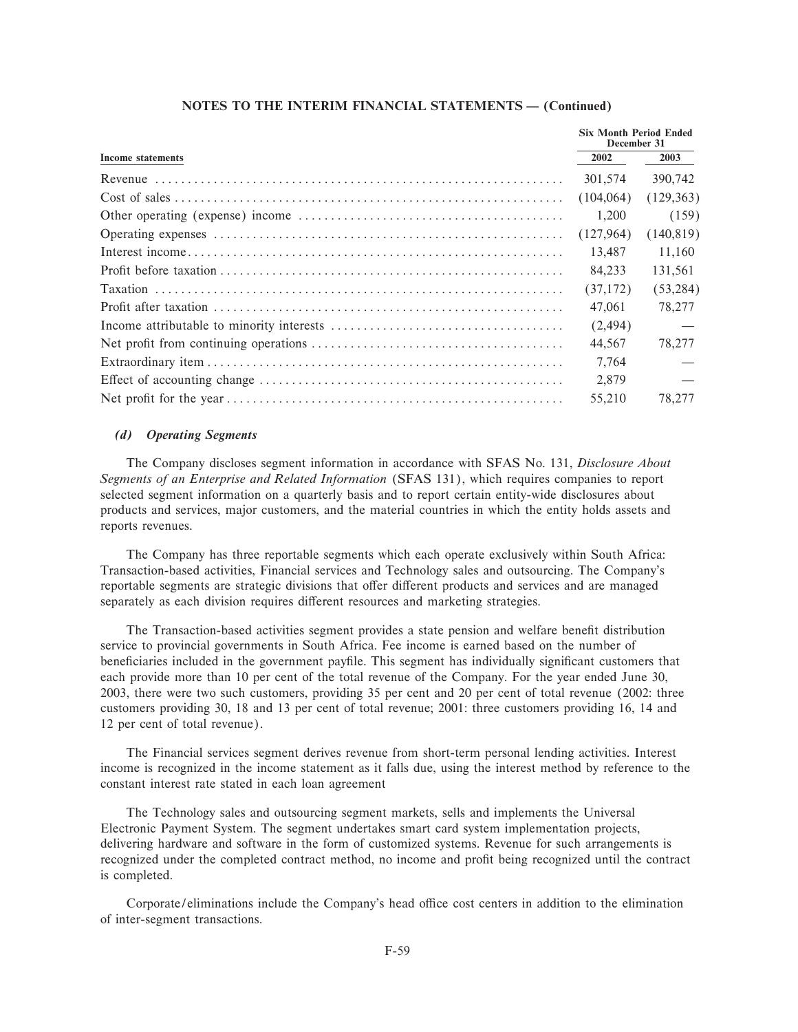|                          |            | <b>Six Month Period Ended</b><br>December 31 |  |
|--------------------------|------------|----------------------------------------------|--|
| <b>Income statements</b> | 2002       | 2003                                         |  |
|                          | 301.574    | 390,742                                      |  |
|                          | (104, 064) | (129, 363)                                   |  |
|                          | 1,200      | (159)                                        |  |
|                          | (127,964)  | (140, 819)                                   |  |
|                          | 13.487     | 11,160                                       |  |
|                          | 84.233     | 131.561                                      |  |
|                          | (37,172)   | (53, 284)                                    |  |
|                          | 47.061     | 78,277                                       |  |
|                          | (2, 494)   |                                              |  |
|                          | 44.567     | 78,277                                       |  |
|                          | 7,764      |                                              |  |
|                          | 2.879      |                                              |  |
|                          | 55.210     | 78.277                                       |  |

# (d) Operating Segments

The Company discloses segment information in accordance with SFAS No. 131, Disclosure About Segments of an Enterprise and Related Information (SFAS 131), which requires companies to report selected segment information on a quarterly basis and to report certain entity-wide disclosures about products and services, major customers, and the material countries in which the entity holds assets and reports revenues.

The Company has three reportable segments which each operate exclusively within South Africa: Transaction-based activities, Financial services and Technology sales and outsourcing. The Company's reportable segments are strategic divisions that offer different products and services and are managed separately as each division requires different resources and marketing strategies.

The Transaction-based activities segment provides a state pension and welfare benefit distribution service to provincial governments in South Africa. Fee income is earned based on the number of beneficiaries included in the government payfile. This segment has individually significant customers that each provide more than 10 per cent of the total revenue of the Company. For the year ended June 30, 2003, there were two such customers, providing 35 per cent and 20 per cent of total revenue (2002: three customers providing 30, 18 and 13 per cent of total revenue; 2001: three customers providing 16, 14 and 12 per cent of total revenue).

The Financial services segment derives revenue from short-term personal lending activities. Interest income is recognized in the income statement as it falls due, using the interest method by reference to the constant interest rate stated in each loan agreement

The Technology sales and outsourcing segment markets, sells and implements the Universal Electronic Payment System. The segment undertakes smart card system implementation projects, delivering hardware and software in the form of customized systems. Revenue for such arrangements is recognized under the completed contract method, no income and profit being recognized until the contract is completed.

Corporate/eliminations include the Company's head office cost centers in addition to the elimination of inter-segment transactions.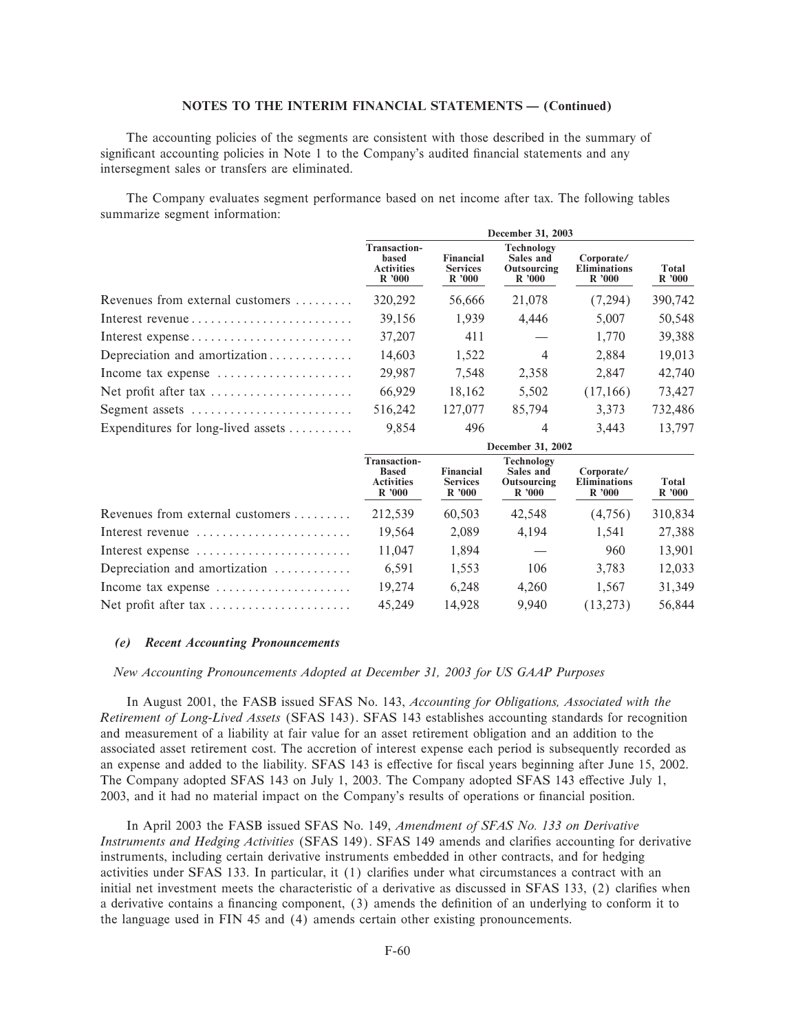The accounting policies of the segments are consistent with those described in the summary of significant accounting policies in Note 1 to the Company's audited financial statements and any intersegment sales or transfers are eliminated.

The Company evaluates segment performance based on net income after tax. The following tables summarize segment information:

|                                                          | December 31, 2003                                          |                                              |                                                 |                                            |                |
|----------------------------------------------------------|------------------------------------------------------------|----------------------------------------------|-------------------------------------------------|--------------------------------------------|----------------|
|                                                          | <b>Transaction-</b><br>based<br><b>Activities</b><br>R'000 | <b>Financial</b><br><b>Services</b><br>R'000 | Technology<br>Sales and<br>Outsourcing<br>R'000 | Corporate/<br><b>Eliminations</b><br>R'000 | Total<br>R'000 |
| Revenues from external customers                         | 320,292                                                    | 56.666                                       | 21,078                                          | (7,294)                                    | 390,742        |
| Interest revenue                                         | 39.156                                                     | 1.939                                        | 4.446                                           | 5.007                                      | 50,548         |
| Interest expense                                         | 37,207                                                     | 411                                          |                                                 | 1.770                                      | 39,388         |
| Depreciation and amortization                            | 14,603                                                     | 1,522                                        | $\overline{4}$                                  | 2.884                                      | 19,013         |
| Income tax expense $\dots\dots\dots\dots\dots\dots\dots$ | 29.987                                                     | 7.548                                        | 2,358                                           | 2.847                                      | 42,740         |
| Net profit after tax                                     | 66,929                                                     | 18.162                                       | 5.502                                           | (17,166)                                   | 73,427         |
| Segment assets                                           | 516.242                                                    | 127,077                                      | 85,794                                          | 3.373                                      | 732,486        |
| Expenditures for long-lived assets $\dots\dots\dots$     | 9,854                                                      | 496                                          | $\overline{4}$                                  | 3,443                                      | 13,797         |
|                                                          | December 31, 2002                                          |                                              |                                                 |                                            |                |

|                                                          | <b>Transaction-</b><br><b>Based</b><br><b>Activities</b><br>R'000 | Financial<br><b>Services</b><br>R'000 | Technology<br>Sales and<br>Outsourcing<br>R'000 | Corporate/<br><b>Eliminations</b><br>R'000 | <b>Total</b><br>R'000 |
|----------------------------------------------------------|-------------------------------------------------------------------|---------------------------------------|-------------------------------------------------|--------------------------------------------|-----------------------|
| Revenues from external customers                         | 212,539                                                           | 60,503                                | 42.548                                          | (4,756)                                    | 310,834               |
| Interest revenue                                         | 19,564                                                            | 2,089                                 | 4,194                                           | 1,541                                      | 27,388                |
| Interest expense                                         | 11,047                                                            | 1,894                                 |                                                 | 960                                        | 13,901                |
| Depreciation and amortization                            | 6,591                                                             | 1,553                                 | 106                                             | 3,783                                      | 12,033                |
| Income tax expense $\dots\dots\dots\dots\dots\dots\dots$ | 19.274                                                            | 6.248                                 | 4,260                                           | 1,567                                      | 31,349                |
| Net profit after tax                                     | 45,249                                                            | 14.928                                | 9.940                                           | (13,273)                                   | 56,844                |

#### (e) Recent Accounting Pronouncements

New Accounting Pronouncements Adopted at December 31, 2003 for US GAAP Purposes

In August 2001, the FASB issued SFAS No. 143, Accounting for Obligations, Associated with the Retirement of Long-Lived Assets (SFAS 143). SFAS 143 establishes accounting standards for recognition and measurement of a liability at fair value for an asset retirement obligation and an addition to the associated asset retirement cost. The accretion of interest expense each period is subsequently recorded as an expense and added to the liability. SFAS 143 is effective for fiscal years beginning after June 15, 2002. The Company adopted SFAS 143 on July 1, 2003. The Company adopted SFAS 143 effective July 1, 2003, and it had no material impact on the Company's results of operations or financial position.

In April 2003 the FASB issued SFAS No. 149, Amendment of SFAS No. 133 on Derivative Instruments and Hedging Activities (SFAS 149). SFAS 149 amends and clarifies accounting for derivative instruments, including certain derivative instruments embedded in other contracts, and for hedging activities under SFAS 133. In particular, it (1) clarifies under what circumstances a contract with an initial net investment meets the characteristic of a derivative as discussed in SFAS 133, (2) clarifies when a derivative contains a financing component, (3) amends the definition of an underlying to conform it to the language used in FIN 45 and (4) amends certain other existing pronouncements.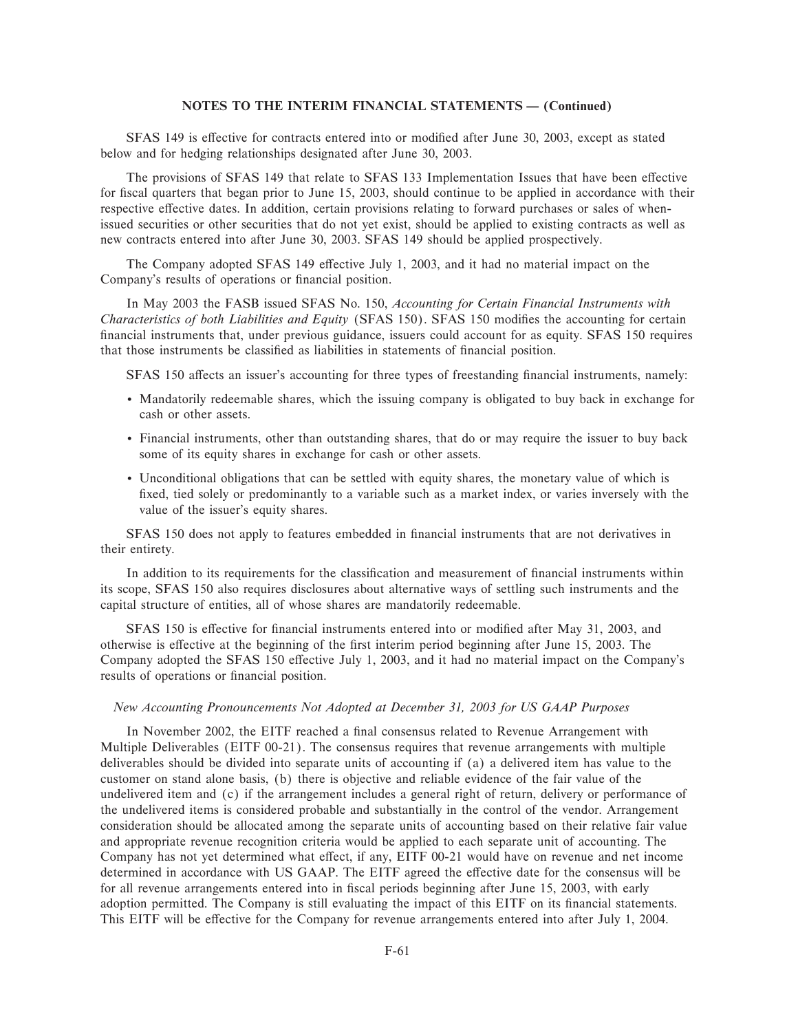SFAS 149 is effective for contracts entered into or modified after June 30, 2003, except as stated below and for hedging relationships designated after June 30, 2003.

The provisions of SFAS 149 that relate to SFAS 133 Implementation Issues that have been effective for fiscal quarters that began prior to June 15, 2003, should continue to be applied in accordance with their respective effective dates. In addition, certain provisions relating to forward purchases or sales of whenissued securities or other securities that do not yet exist, should be applied to existing contracts as well as new contracts entered into after June 30, 2003. SFAS 149 should be applied prospectively.

The Company adopted SFAS 149 effective July 1, 2003, and it had no material impact on the Company's results of operations or financial position.

In May 2003 the FASB issued SFAS No. 150, *Accounting for Certain Financial Instruments with Characteristics of both Liabilities and Equity (SFAS 150). SFAS 150 modifies the accounting for certain* financial instruments that, under previous guidance, issuers could account for as equity. SFAS 150 requires that those instruments be classified as liabilities in statements of financial position.

SFAS 150 affects an issuer's accounting for three types of freestanding financial instruments, namely:

- ' Mandatorily redeemable shares, which the issuing company is obligated to buy back in exchange for cash or other assets.
- ' Financial instruments, other than outstanding shares, that do or may require the issuer to buy back some of its equity shares in exchange for cash or other assets.
- ' Unconditional obligations that can be settled with equity shares, the monetary value of which is fixed, tied solely or predominantly to a variable such as a market index, or varies inversely with the value of the issuer's equity shares.

SFAS 150 does not apply to features embedded in financial instruments that are not derivatives in their entirety.

In addition to its requirements for the classification and measurement of financial instruments within its scope, SFAS 150 also requires disclosures about alternative ways of settling such instruments and the capital structure of entities, all of whose shares are mandatorily redeemable.

SFAS 150 is effective for financial instruments entered into or modified after May 31, 2003, and otherwise is effective at the beginning of the first interim period beginning after June 15, 2003. The Company adopted the SFAS 150 effective July 1, 2003, and it had no material impact on the Company's results of operations or financial position.

# *New Accounting Pronouncements Not Adopted at December 31, 2003 for US GAAP Purposes*

In November 2002, the EITF reached a final consensus related to Revenue Arrangement with Multiple Deliverables (EITF 00-21). The consensus requires that revenue arrangements with multiple deliverables should be divided into separate units of accounting if (a) a delivered item has value to the customer on stand alone basis, (b) there is objective and reliable evidence of the fair value of the undelivered item and (c) if the arrangement includes a general right of return, delivery or performance of the undelivered items is considered probable and substantially in the control of the vendor. Arrangement consideration should be allocated among the separate units of accounting based on their relative fair value and appropriate revenue recognition criteria would be applied to each separate unit of accounting. The Company has not yet determined what effect, if any, EITF 00-21 would have on revenue and net income determined in accordance with US GAAP. The EITF agreed the effective date for the consensus will be for all revenue arrangements entered into in fiscal periods beginning after June 15, 2003, with early adoption permitted. The Company is still evaluating the impact of this EITF on its financial statements. This EITF will be effective for the Company for revenue arrangements entered into after July 1, 2004.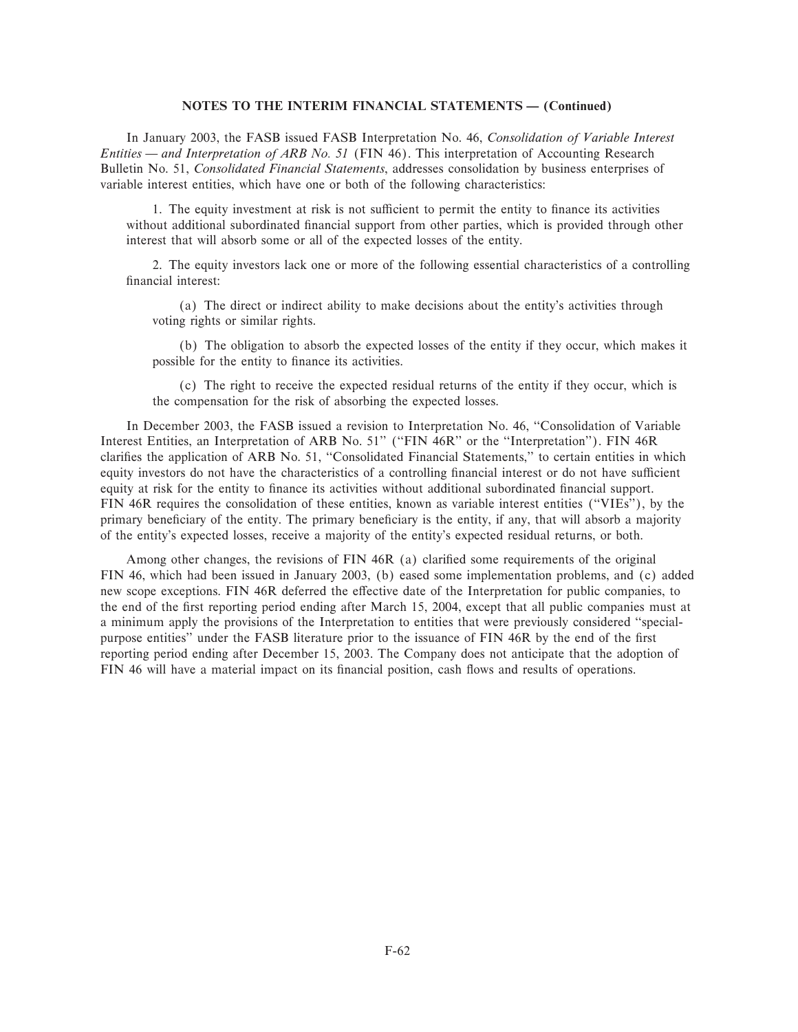In January 2003, the FASB issued FASB Interpretation No. 46, *Consolidation of Variable Interest Entities — and Interpretation of ARB No. 51* (FIN 46). This interpretation of Accounting Research Bulletin No. 51, *Consolidated Financial Statements*, addresses consolidation by business enterprises of variable interest entities, which have one or both of the following characteristics:

1. The equity investment at risk is not sufficient to permit the entity to finance its activities without additional subordinated financial support from other parties, which is provided through other interest that will absorb some or all of the expected losses of the entity.

2. The equity investors lack one or more of the following essential characteristics of a controlling financial interest:

(a) The direct or indirect ability to make decisions about the entity's activities through voting rights or similar rights.

(b) The obligation to absorb the expected losses of the entity if they occur, which makes it possible for the entity to finance its activities.

(c) The right to receive the expected residual returns of the entity if they occur, which is the compensation for the risk of absorbing the expected losses.

In December 2003, the FASB issued a revision to Interpretation No. 46, "Consolidation of Variable Interest Entities, an Interpretation of ARB No. 51'' (""FIN 46R'' or the ""Interpretation''). FIN 46R clarifies the application of ARB No. 51, "Consolidated Financial Statements," to certain entities in which equity investors do not have the characteristics of a controlling financial interest or do not have sufficient equity at risk for the entity to finance its activities without additional subordinated financial support. FIN 46R requires the consolidation of these entities, known as variable interest entities (""VIEs''), by the primary beneficiary of the entity. The primary beneficiary is the entity, if any, that will absorb a majority of the entity's expected losses, receive a majority of the entity's expected residual returns, or both.

Among other changes, the revisions of  $FIN$  46R (a) clarified some requirements of the original FIN 46, which had been issued in January 2003, (b) eased some implementation problems, and (c) added new scope exceptions. FIN 46R deferred the effective date of the Interpretation for public companies, to the end of the first reporting period ending after March 15, 2004, except that all public companies must at a minimum apply the provisions of the Interpretation to entities that were previously considered ""specialpurpose entities" under the FASB literature prior to the issuance of FIN 46R by the end of the first reporting period ending after December 15, 2003. The Company does not anticipate that the adoption of FIN 46 will have a material impact on its financial position, cash flows and results of operations.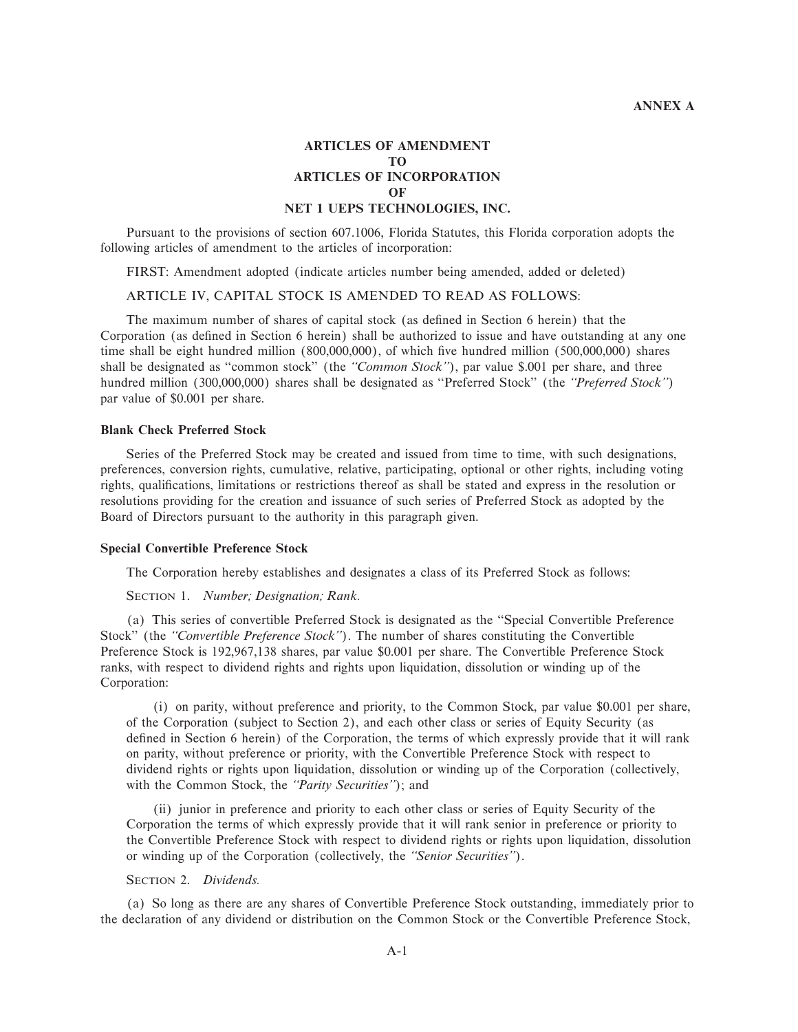# **ARTICLES OF AMENDMENT TO ARTICLES OF INCORPORATION OF NET 1 UEPS TECHNOLOGIES, INC.**

Pursuant to the provisions of section 607.1006, Florida Statutes, this Florida corporation adopts the following articles of amendment to the articles of incorporation:

FIRST: Amendment adopted (indicate articles number being amended, added or deleted)

# ARTICLE IV, CAPITAL STOCK IS AMENDED TO READ AS FOLLOWS:

The maximum number of shares of capital stock (as defined in Section 6 herein) that the Corporation (as defined in Section 6 herein) shall be authorized to issue and have outstanding at any one time shall be eight hundred million (800,000,000), of which five hundred million (500,000,000) shares shall be designated as "common stock" (the "Common Stock"), par value \$.001 per share, and three hundred million (300,000,000) shares shall be designated as ""Preferred Stock'' (the *""Preferred Stock''*) par value of \$0.001 per share.

### **Blank Check Preferred Stock**

Series of the Preferred Stock may be created and issued from time to time, with such designations, preferences, conversion rights, cumulative, relative, participating, optional or other rights, including voting rights, qualifications, limitations or restrictions thereof as shall be stated and express in the resolution or resolutions providing for the creation and issuance of such series of Preferred Stock as adopted by the Board of Directors pursuant to the authority in this paragraph given.

#### **Special Convertible Preference Stock**

The Corporation hereby establishes and designates a class of its Preferred Stock as follows:

SECTION 1. *Number; Designation; Rank.*

(a) This series of convertible Preferred Stock is designated as the ""Special Convertible Preference Stock'' (the *""Convertible Preference Stock''*). The number of shares constituting the Convertible Preference Stock is 192,967,138 shares, par value \$0.001 per share. The Convertible Preference Stock ranks, with respect to dividend rights and rights upon liquidation, dissolution or winding up of the Corporation:

(i) on parity, without preference and priority, to the Common Stock, par value \$0.001 per share, of the Corporation (subject to Section 2), and each other class or series of Equity Security (as defined in Section 6 herein) of the Corporation, the terms of which expressly provide that it will rank on parity, without preference or priority, with the Convertible Preference Stock with respect to dividend rights or rights upon liquidation, dissolution or winding up of the Corporation (collectively, with the Common Stock, the *"Parity Securities"*); and

(ii) junior in preference and priority to each other class or series of Equity Security of the Corporation the terms of which expressly provide that it will rank senior in preference or priority to the Convertible Preference Stock with respect to dividend rights or rights upon liquidation, dissolution or winding up of the Corporation (collectively, the *""Senior Securities''*).

# SECTION 2. *Dividends.*

(a) So long as there are any shares of Convertible Preference Stock outstanding, immediately prior to the declaration of any dividend or distribution on the Common Stock or the Convertible Preference Stock,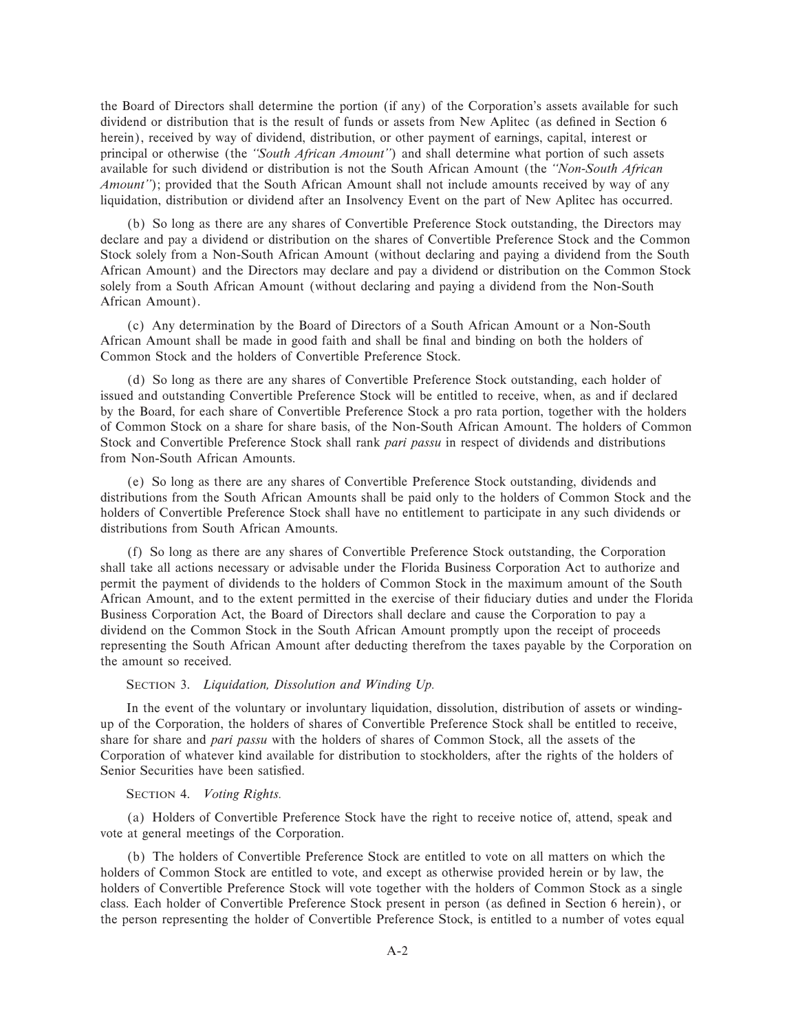the Board of Directors shall determine the portion (if any) of the Corporation's assets available for such dividend or distribution that is the result of funds or assets from New Aplitec (as defined in Section 6 herein), received by way of dividend, distribution, or other payment of earnings, capital, interest or principal or otherwise (the *""South African Amount''*) and shall determine what portion of such assets available for such dividend or distribution is not the South African Amount (the *""Non-South African Amount''*); provided that the South African Amount shall not include amounts received by way of any liquidation, distribution or dividend after an Insolvency Event on the part of New Aplitec has occurred.

(b) So long as there are any shares of Convertible Preference Stock outstanding, the Directors may declare and pay a dividend or distribution on the shares of Convertible Preference Stock and the Common Stock solely from a Non-South African Amount (without declaring and paying a dividend from the South African Amount) and the Directors may declare and pay a dividend or distribution on the Common Stock solely from a South African Amount (without declaring and paying a dividend from the Non-South African Amount).

(c) Any determination by the Board of Directors of a South African Amount or a Non-South African Amount shall be made in good faith and shall be final and binding on both the holders of Common Stock and the holders of Convertible Preference Stock.

(d) So long as there are any shares of Convertible Preference Stock outstanding, each holder of issued and outstanding Convertible Preference Stock will be entitled to receive, when, as and if declared by the Board, for each share of Convertible Preference Stock a pro rata portion, together with the holders of Common Stock on a share for share basis, of the Non-South African Amount. The holders of Common Stock and Convertible Preference Stock shall rank *pari passu* in respect of dividends and distributions from Non-South African Amounts.

(e) So long as there are any shares of Convertible Preference Stock outstanding, dividends and distributions from the South African Amounts shall be paid only to the holders of Common Stock and the holders of Convertible Preference Stock shall have no entitlement to participate in any such dividends or distributions from South African Amounts.

(f) So long as there are any shares of Convertible Preference Stock outstanding, the Corporation shall take all actions necessary or advisable under the Florida Business Corporation Act to authorize and permit the payment of dividends to the holders of Common Stock in the maximum amount of the South African Amount, and to the extent permitted in the exercise of their fiduciary duties and under the Florida Business Corporation Act, the Board of Directors shall declare and cause the Corporation to pay a dividend on the Common Stock in the South African Amount promptly upon the receipt of proceeds representing the South African Amount after deducting therefrom the taxes payable by the Corporation on the amount so received.

# SECTION 3. *Liquidation, Dissolution and Winding Up.*

In the event of the voluntary or involuntary liquidation, dissolution, distribution of assets or windingup of the Corporation, the holders of shares of Convertible Preference Stock shall be entitled to receive, share for share and *pari passu* with the holders of shares of Common Stock, all the assets of the Corporation of whatever kind available for distribution to stockholders, after the rights of the holders of Senior Securities have been satisfied.

# SECTION 4. *Voting Rights.*

(a) Holders of Convertible Preference Stock have the right to receive notice of, attend, speak and vote at general meetings of the Corporation.

(b) The holders of Convertible Preference Stock are entitled to vote on all matters on which the holders of Common Stock are entitled to vote, and except as otherwise provided herein or by law, the holders of Convertible Preference Stock will vote together with the holders of Common Stock as a single class. Each holder of Convertible Preference Stock present in person (as defined in Section 6 herein), or the person representing the holder of Convertible Preference Stock, is entitled to a number of votes equal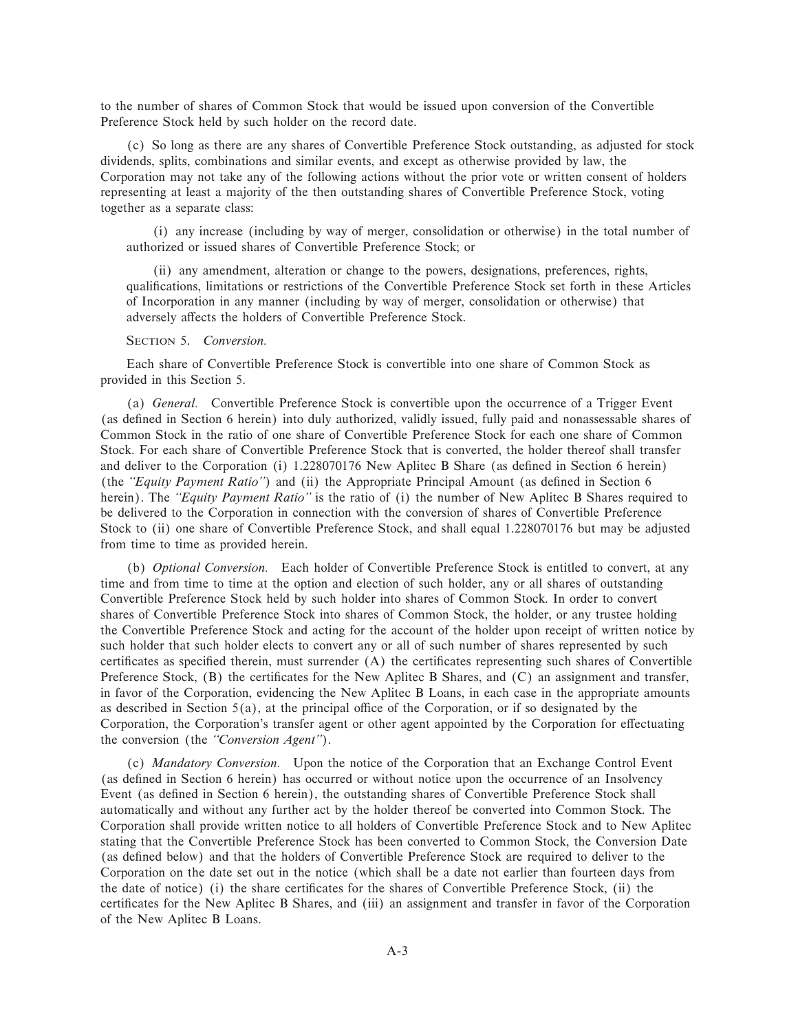to the number of shares of Common Stock that would be issued upon conversion of the Convertible Preference Stock held by such holder on the record date.

(c) So long as there are any shares of Convertible Preference Stock outstanding, as adjusted for stock dividends, splits, combinations and similar events, and except as otherwise provided by law, the Corporation may not take any of the following actions without the prior vote or written consent of holders representing at least a majority of the then outstanding shares of Convertible Preference Stock, voting together as a separate class:

(i) any increase (including by way of merger, consolidation or otherwise) in the total number of authorized or issued shares of Convertible Preference Stock; or

(ii) any amendment, alteration or change to the powers, designations, preferences, rights, qualifications, limitations or restrictions of the Convertible Preference Stock set forth in these Articles of Incorporation in any manner (including by way of merger, consolidation or otherwise) that adversely affects the holders of Convertible Preference Stock.

#### SECTION 5. *Conversion.*

Each share of Convertible Preference Stock is convertible into one share of Common Stock as provided in this Section 5.

(a) *General.* Convertible Preference Stock is convertible upon the occurrence of a Trigger Event (as deÑned in Section 6 herein) into duly authorized, validly issued, fully paid and nonassessable shares of Common Stock in the ratio of one share of Convertible Preference Stock for each one share of Common Stock. For each share of Convertible Preference Stock that is converted, the holder thereof shall transfer and deliver to the Corporation (i) 1.228070176 New Aplitec B Share (as defined in Section 6 herein) (the *"Equity Payment Ratio"*) and (ii) the Appropriate Principal Amount (as defined in Section 6 herein). The *"Equity Payment Ratio"* is the ratio of (i) the number of New Aplitec B Shares required to be delivered to the Corporation in connection with the conversion of shares of Convertible Preference Stock to (ii) one share of Convertible Preference Stock, and shall equal 1.228070176 but may be adjusted from time to time as provided herein.

(b) *Optional Conversion.* Each holder of Convertible Preference Stock is entitled to convert, at any time and from time to time at the option and election of such holder, any or all shares of outstanding Convertible Preference Stock held by such holder into shares of Common Stock. In order to convert shares of Convertible Preference Stock into shares of Common Stock, the holder, or any trustee holding the Convertible Preference Stock and acting for the account of the holder upon receipt of written notice by such holder that such holder elects to convert any or all of such number of shares represented by such certificates as specified therein, must surrender (A) the certificates representing such shares of Convertible Preference Stock,  $(B)$  the certificates for the New Aplitec B Shares, and  $(C)$  an assignment and transfer, in favor of the Corporation, evidencing the New Aplitec B Loans, in each case in the appropriate amounts as described in Section  $5(a)$ , at the principal office of the Corporation, or if so designated by the Corporation, the Corporation's transfer agent or other agent appointed by the Corporation for effectuating the conversion (the *""Conversion Agent''*).

(c) *Mandatory Conversion.* Upon the notice of the Corporation that an Exchange Control Event (as defined in Section 6 herein) has occurred or without notice upon the occurrence of an Insolvency Event (as defined in Section 6 herein), the outstanding shares of Convertible Preference Stock shall automatically and without any further act by the holder thereof be converted into Common Stock. The Corporation shall provide written notice to all holders of Convertible Preference Stock and to New Aplitec stating that the Convertible Preference Stock has been converted to Common Stock, the Conversion Date (as deÑned below) and that the holders of Convertible Preference Stock are required to deliver to the Corporation on the date set out in the notice (which shall be a date not earlier than fourteen days from the date of notice) (i) the share certificates for the shares of Convertible Preference Stock, (ii) the certificates for the New Aplitec B Shares, and (iii) an assignment and transfer in favor of the Corporation of the New Aplitec B Loans.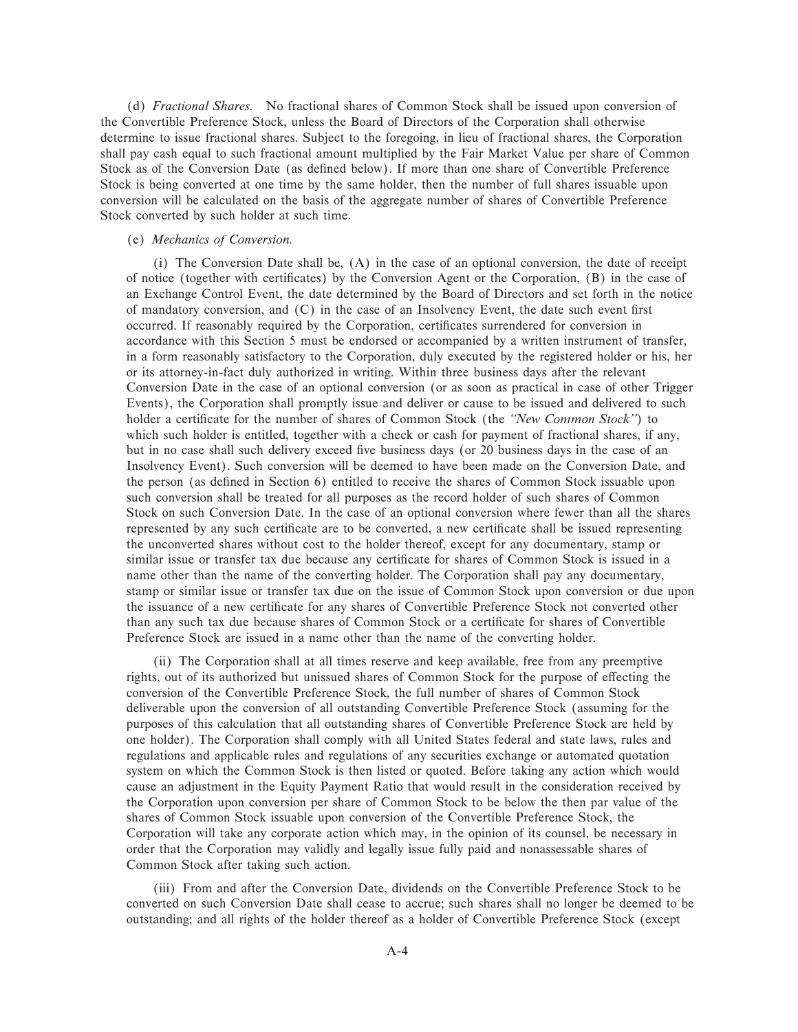(d) *Fractional Shares.* No fractional shares of Common Stock shall be issued upon conversion of the Convertible Preference Stock, unless the Board of Directors of the Corporation shall otherwise determine to issue fractional shares. Subject to the foregoing, in lieu of fractional shares, the Corporation shall pay cash equal to such fractional amount multiplied by the Fair Market Value per share of Common Stock as of the Conversion Date (as defined below). If more than one share of Convertible Preference Stock is being converted at one time by the same holder, then the number of full shares issuable upon conversion will be calculated on the basis of the aggregate number of shares of Convertible Preference Stock converted by such holder at such time.

## (e) *Mechanics of Conversion.*

(i) The Conversion Date shall be, (A) in the case of an optional conversion, the date of receipt of notice (together with certificates) by the Conversion Agent or the Corporation, (B) in the case of an Exchange Control Event, the date determined by the Board of Directors and set forth in the notice of mandatory conversion, and  $(C)$  in the case of an Insolvency Event, the date such event first occurred. If reasonably required by the Corporation, certificates surrendered for conversion in accordance with this Section 5 must be endorsed or accompanied by a written instrument of transfer, in a form reasonably satisfactory to the Corporation, duly executed by the registered holder or his, her or its attorney-in-fact duly authorized in writing. Within three business days after the relevant Conversion Date in the case of an optional conversion (or as soon as practical in case of other Trigger Events), the Corporation shall promptly issue and deliver or cause to be issued and delivered to such holder a certificate for the number of shares of Common Stock (the *"New Common Stock"*) to which such holder is entitled, together with a check or cash for payment of fractional shares, if any, but in no case shall such delivery exceed five business days (or 20 business days in the case of an Insolvency Event). Such conversion will be deemed to have been made on the Conversion Date, and the person (as deÑned in Section 6) entitled to receive the shares of Common Stock issuable upon such conversion shall be treated for all purposes as the record holder of such shares of Common Stock on such Conversion Date. In the case of an optional conversion where fewer than all the shares represented by any such certificate are to be converted, a new certificate shall be issued representing the unconverted shares without cost to the holder thereof, except for any documentary, stamp or similar issue or transfer tax due because any certificate for shares of Common Stock is issued in a name other than the name of the converting holder. The Corporation shall pay any documentary, stamp or similar issue or transfer tax due on the issue of Common Stock upon conversion or due upon the issuance of a new certificate for any shares of Convertible Preference Stock not converted other than any such tax due because shares of Common Stock or a certificate for shares of Convertible Preference Stock are issued in a name other than the name of the converting holder.

(ii) The Corporation shall at all times reserve and keep available, free from any preemptive rights, out of its authorized but unissued shares of Common Stock for the purpose of effecting the conversion of the Convertible Preference Stock, the full number of shares of Common Stock deliverable upon the conversion of all outstanding Convertible Preference Stock (assuming for the purposes of this calculation that all outstanding shares of Convertible Preference Stock are held by one holder). The Corporation shall comply with all United States federal and state laws, rules and regulations and applicable rules and regulations of any securities exchange or automated quotation system on which the Common Stock is then listed or quoted. Before taking any action which would cause an adjustment in the Equity Payment Ratio that would result in the consideration received by the Corporation upon conversion per share of Common Stock to be below the then par value of the shares of Common Stock issuable upon conversion of the Convertible Preference Stock, the Corporation will take any corporate action which may, in the opinion of its counsel, be necessary in order that the Corporation may validly and legally issue fully paid and nonassessable shares of Common Stock after taking such action.

(iii) From and after the Conversion Date, dividends on the Convertible Preference Stock to be converted on such Conversion Date shall cease to accrue; such shares shall no longer be deemed to be outstanding; and all rights of the holder thereof as a holder of Convertible Preference Stock (except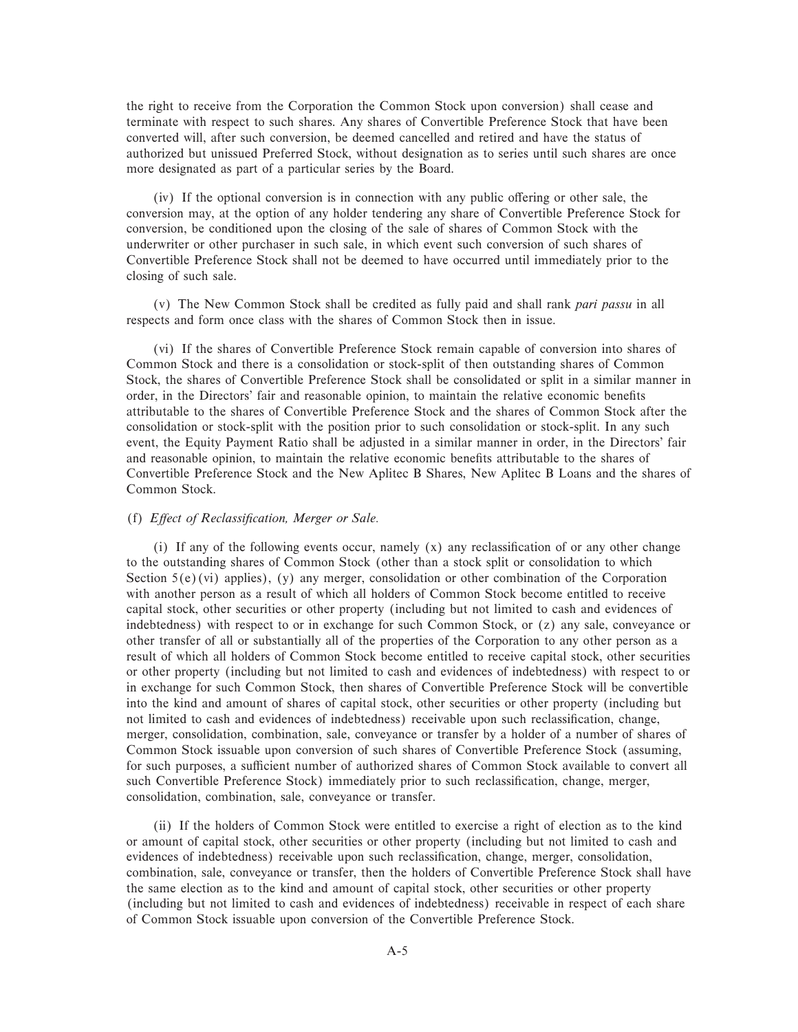the right to receive from the Corporation the Common Stock upon conversion) shall cease and terminate with respect to such shares. Any shares of Convertible Preference Stock that have been converted will, after such conversion, be deemed cancelled and retired and have the status of authorized but unissued Preferred Stock, without designation as to series until such shares are once more designated as part of a particular series by the Board.

 $(iv)$  If the optional conversion is in connection with any public offering or other sale, the conversion may, at the option of any holder tendering any share of Convertible Preference Stock for conversion, be conditioned upon the closing of the sale of shares of Common Stock with the underwriter or other purchaser in such sale, in which event such conversion of such shares of Convertible Preference Stock shall not be deemed to have occurred until immediately prior to the closing of such sale.

(v) The New Common Stock shall be credited as fully paid and shall rank *pari passu* in all respects and form once class with the shares of Common Stock then in issue.

(vi) If the shares of Convertible Preference Stock remain capable of conversion into shares of Common Stock and there is a consolidation or stock-split of then outstanding shares of Common Stock, the shares of Convertible Preference Stock shall be consolidated or split in a similar manner in order, in the Directors' fair and reasonable opinion, to maintain the relative economic benefits attributable to the shares of Convertible Preference Stock and the shares of Common Stock after the consolidation or stock-split with the position prior to such consolidation or stock-split. In any such event, the Equity Payment Ratio shall be adjusted in a similar manner in order, in the Directors' fair and reasonable opinion, to maintain the relative economic benefits attributable to the shares of Convertible Preference Stock and the New Aplitec B Shares, New Aplitec B Loans and the shares of Common Stock.

## (f) *Effect of Reclassification, Merger or Sale.*

(i) If any of the following events occur, namely  $(x)$  any reclassification of or any other change to the outstanding shares of Common Stock (other than a stock split or consolidation to which Section 5(e)(vi) applies), (y) any merger, consolidation or other combination of the Corporation with another person as a result of which all holders of Common Stock become entitled to receive capital stock, other securities or other property (including but not limited to cash and evidences of indebtedness) with respect to or in exchange for such Common Stock, or (z) any sale, conveyance or other transfer of all or substantially all of the properties of the Corporation to any other person as a result of which all holders of Common Stock become entitled to receive capital stock, other securities or other property (including but not limited to cash and evidences of indebtedness) with respect to or in exchange for such Common Stock, then shares of Convertible Preference Stock will be convertible into the kind and amount of shares of capital stock, other securities or other property (including but not limited to cash and evidences of indebtedness) receivable upon such reclassification, change, merger, consolidation, combination, sale, conveyance or transfer by a holder of a number of shares of Common Stock issuable upon conversion of such shares of Convertible Preference Stock (assuming, for such purposes, a sufficient number of authorized shares of Common Stock available to convert all such Convertible Preference Stock) immediately prior to such reclassification, change, merger, consolidation, combination, sale, conveyance or transfer.

(ii) If the holders of Common Stock were entitled to exercise a right of election as to the kind or amount of capital stock, other securities or other property (including but not limited to cash and evidences of indebtedness) receivable upon such reclassification, change, merger, consolidation, combination, sale, conveyance or transfer, then the holders of Convertible Preference Stock shall have the same election as to the kind and amount of capital stock, other securities or other property (including but not limited to cash and evidences of indebtedness) receivable in respect of each share of Common Stock issuable upon conversion of the Convertible Preference Stock.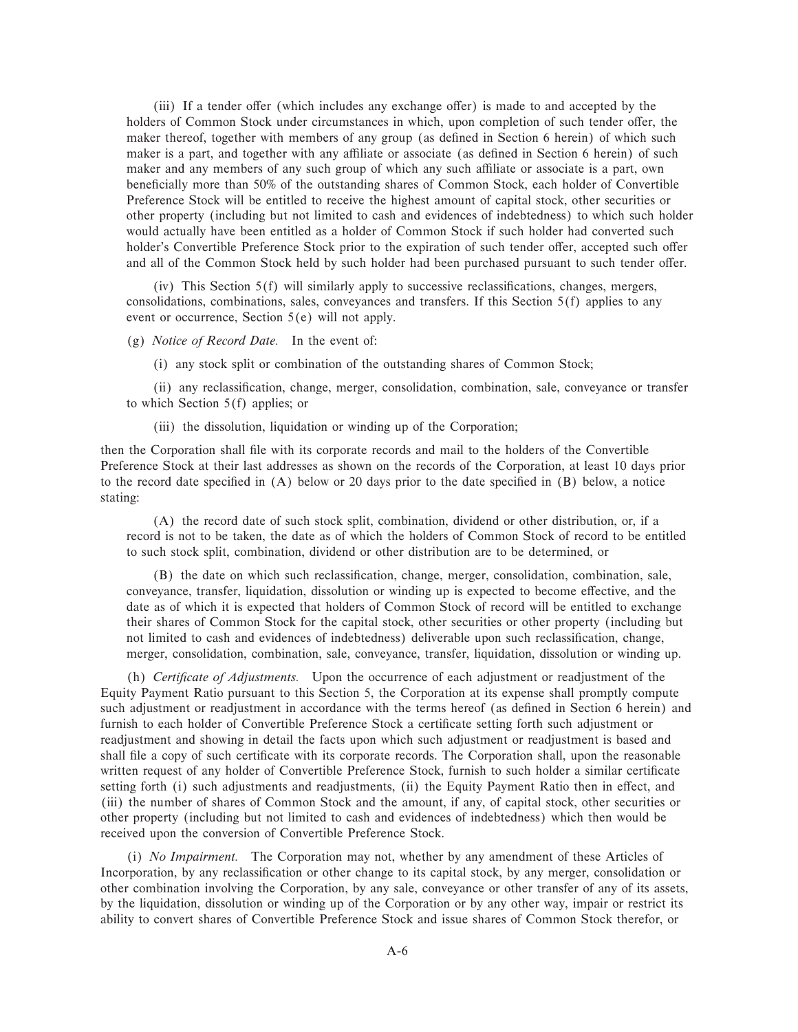(iii) If a tender offer (which includes any exchange offer) is made to and accepted by the holders of Common Stock under circumstances in which, upon completion of such tender offer, the maker thereof, together with members of any group (as defined in Section 6 herein) of which such maker is a part, and together with any affiliate or associate (as defined in Section 6 herein) of such maker and any members of any such group of which any such affiliate or associate is a part, own beneficially more than 50% of the outstanding shares of Common Stock, each holder of Convertible Preference Stock will be entitled to receive the highest amount of capital stock, other securities or other property (including but not limited to cash and evidences of indebtedness) to which such holder would actually have been entitled as a holder of Common Stock if such holder had converted such holder's Convertible Preference Stock prior to the expiration of such tender offer, accepted such offer and all of the Common Stock held by such holder had been purchased pursuant to such tender offer.

(iv) This Section  $5(f)$  will similarly apply to successive reclassifications, changes, mergers, consolidations, combinations, sales, conveyances and transfers. If this Section 5(f) applies to any event or occurrence, Section 5(e) will not apply.

(g) *Notice of Record Date.* In the event of:

(i) any stock split or combination of the outstanding shares of Common Stock;

(ii) any reclassification, change, merger, consolidation, combination, sale, conveyance or transfer to which Section 5(f) applies; or

(iii) the dissolution, liquidation or winding up of the Corporation;

then the Corporation shall file with its corporate records and mail to the holders of the Convertible Preference Stock at their last addresses as shown on the records of the Corporation, at least 10 days prior to the record date specified in  $(A)$  below or 20 days prior to the date specified in  $(B)$  below, a notice stating:

(A) the record date of such stock split, combination, dividend or other distribution, or, if a record is not to be taken, the date as of which the holders of Common Stock of record to be entitled to such stock split, combination, dividend or other distribution are to be determined, or

(B) the date on which such reclassification, change, merger, consolidation, combination, sale, conveyance, transfer, liquidation, dissolution or winding up is expected to become effective, and the date as of which it is expected that holders of Common Stock of record will be entitled to exchange their shares of Common Stock for the capital stock, other securities or other property (including but not limited to cash and evidences of indebtedness) deliverable upon such reclassification, change, merger, consolidation, combination, sale, conveyance, transfer, liquidation, dissolution or winding up.

(h) *Certificate of Adjustments*. Upon the occurrence of each adjustment or readjustment of the Equity Payment Ratio pursuant to this Section 5, the Corporation at its expense shall promptly compute such adjustment or readjustment in accordance with the terms hereof (as defined in Section 6 herein) and furnish to each holder of Convertible Preference Stock a certificate setting forth such adjustment or readjustment and showing in detail the facts upon which such adjustment or readjustment is based and shall file a copy of such certificate with its corporate records. The Corporation shall, upon the reasonable written request of any holder of Convertible Preference Stock, furnish to such holder a similar certificate setting forth (i) such adjustments and readjustments, (ii) the Equity Payment Ratio then in effect, and (iii) the number of shares of Common Stock and the amount, if any, of capital stock, other securities or other property (including but not limited to cash and evidences of indebtedness) which then would be received upon the conversion of Convertible Preference Stock.

(i) *No Impairment.* The Corporation may not, whether by any amendment of these Articles of Incorporation, by any reclassification or other change to its capital stock, by any merger, consolidation or other combination involving the Corporation, by any sale, conveyance or other transfer of any of its assets, by the liquidation, dissolution or winding up of the Corporation or by any other way, impair or restrict its ability to convert shares of Convertible Preference Stock and issue shares of Common Stock therefor, or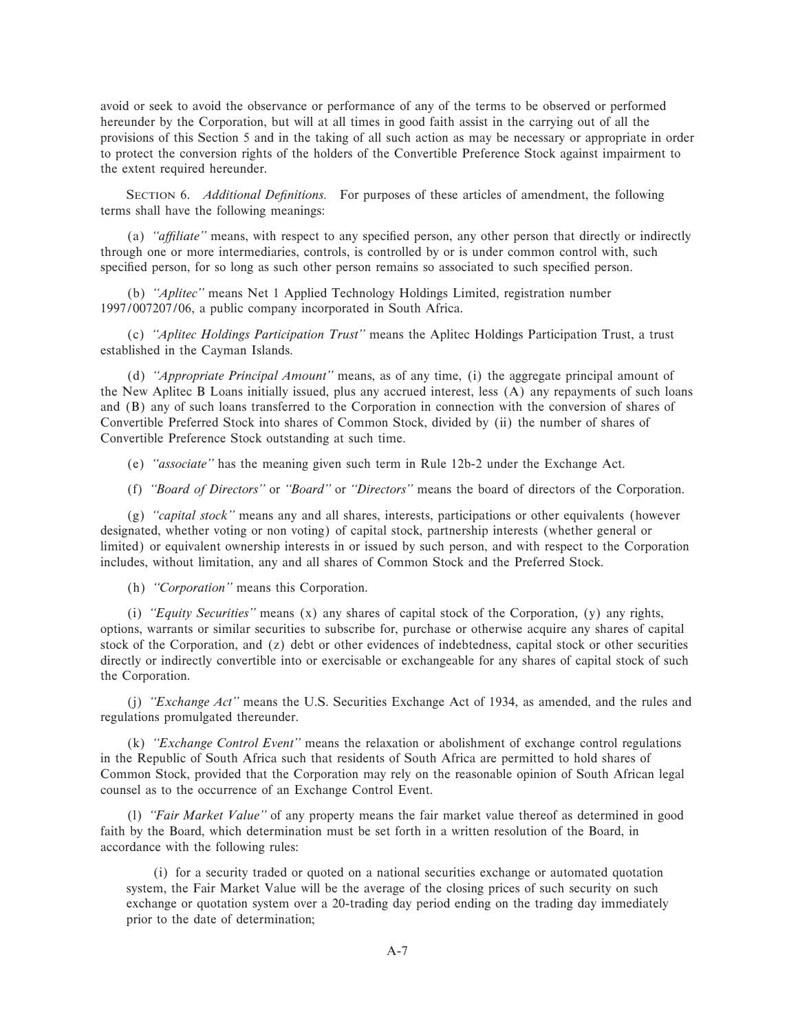avoid or seek to avoid the observance or performance of any of the terms to be observed or performed hereunder by the Corporation, but will at all times in good faith assist in the carrying out of all the provisions of this Section 5 and in the taking of all such action as may be necessary or appropriate in order to protect the conversion rights of the holders of the Convertible Preference Stock against impairment to the extent required hereunder.

SECTION 6. *Additional Definitions*. For purposes of these articles of amendment, the following terms shall have the following meanings:

(a) *"affiliate"* means, with respect to any specified person, any other person that directly or indirectly through one or more intermediaries, controls, is controlled by or is under common control with, such specified person, for so long as such other person remains so associated to such specified person.

(b) *""Aplitec''* means Net 1 Applied Technology Holdings Limited, registration number 1997/007207/06, a public company incorporated in South Africa.

(c) *""Aplitec Holdings Participation Trust''* means the Aplitec Holdings Participation Trust, a trust established in the Cayman Islands.

(d) *""Appropriate Principal Amount''* means, as of any time, (i) the aggregate principal amount of the New Aplitec B Loans initially issued, plus any accrued interest, less (A) any repayments of such loans and (B) any of such loans transferred to the Corporation in connection with the conversion of shares of Convertible Preferred Stock into shares of Common Stock, divided by (ii) the number of shares of Convertible Preference Stock outstanding at such time.

(e) *""associate''* has the meaning given such term in Rule 12b-2 under the Exchange Act.

(f) *""Board of Directors''* or *""Board''* or *""Directors''* means the board of directors of the Corporation.

(g) *""capital stock''* means any and all shares, interests, participations or other equivalents (however designated, whether voting or non voting) of capital stock, partnership interests (whether general or limited) or equivalent ownership interests in or issued by such person, and with respect to the Corporation includes, without limitation, any and all shares of Common Stock and the Preferred Stock.

(h) *""Corporation''* means this Corporation.

(i) *""Equity Securities''* means (x) any shares of capital stock of the Corporation, (y) any rights, options, warrants or similar securities to subscribe for, purchase or otherwise acquire any shares of capital stock of the Corporation, and (z) debt or other evidences of indebtedness, capital stock or other securities directly or indirectly convertible into or exercisable or exchangeable for any shares of capital stock of such the Corporation.

(j) *""Exchange Act''* means the U.S. Securities Exchange Act of 1934, as amended, and the rules and regulations promulgated thereunder.

(k) *""Exchange Control Event''* means the relaxation or abolishment of exchange control regulations in the Republic of South Africa such that residents of South Africa are permitted to hold shares of Common Stock, provided that the Corporation may rely on the reasonable opinion of South African legal counsel as to the occurrence of an Exchange Control Event.

(l) *""Fair Market Value''* of any property means the fair market value thereof as determined in good faith by the Board, which determination must be set forth in a written resolution of the Board, in accordance with the following rules:

(i) for a security traded or quoted on a national securities exchange or automated quotation system, the Fair Market Value will be the average of the closing prices of such security on such exchange or quotation system over a 20-trading day period ending on the trading day immediately prior to the date of determination;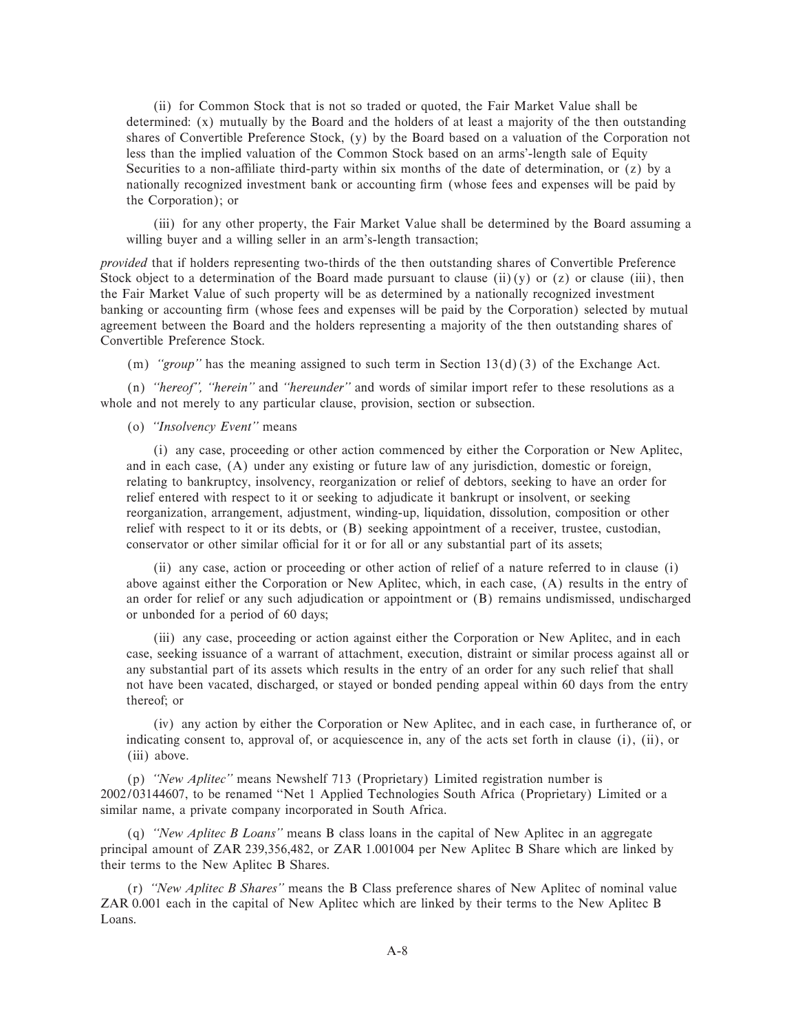(ii) for Common Stock that is not so traded or quoted, the Fair Market Value shall be determined: (x) mutually by the Board and the holders of at least a majority of the then outstanding shares of Convertible Preference Stock, (y) by the Board based on a valuation of the Corporation not less than the implied valuation of the Common Stock based on an arms'-length sale of Equity Securities to a non-affiliate third-party within six months of the date of determination, or  $(z)$  by a nationally recognized investment bank or accounting firm (whose fees and expenses will be paid by the Corporation); or

(iii) for any other property, the Fair Market Value shall be determined by the Board assuming a willing buyer and a willing seller in an arm's-length transaction;

*provided* that if holders representing two-thirds of the then outstanding shares of Convertible Preference Stock object to a determination of the Board made pursuant to clause (ii)(y) or (z) or clause (iii), then the Fair Market Value of such property will be as determined by a nationally recognized investment banking or accounting firm (whose fees and expenses will be paid by the Corporation) selected by mutual agreement between the Board and the holders representing a majority of the then outstanding shares of Convertible Preference Stock.

(m) *""group''* has the meaning assigned to such term in Section 13(d)(3) of the Exchange Act.

(n) *""hereof'', ""herein''* and *""hereunder''* and words of similar import refer to these resolutions as a whole and not merely to any particular clause, provision, section or subsection.

(o) *""Insolvency Event''* means

(i) any case, proceeding or other action commenced by either the Corporation or New Aplitec, and in each case, (A) under any existing or future law of any jurisdiction, domestic or foreign, relating to bankruptcy, insolvency, reorganization or relief of debtors, seeking to have an order for relief entered with respect to it or seeking to adjudicate it bankrupt or insolvent, or seeking reorganization, arrangement, adjustment, winding-up, liquidation, dissolution, composition or other relief with respect to it or its debts, or (B) seeking appointment of a receiver, trustee, custodian, conservator or other similar official for it or for all or any substantial part of its assets;

(ii) any case, action or proceeding or other action of relief of a nature referred to in clause (i) above against either the Corporation or New Aplitec, which, in each case, (A) results in the entry of an order for relief or any such adjudication or appointment or (B) remains undismissed, undischarged or unbonded for a period of 60 days;

(iii) any case, proceeding or action against either the Corporation or New Aplitec, and in each case, seeking issuance of a warrant of attachment, execution, distraint or similar process against all or any substantial part of its assets which results in the entry of an order for any such relief that shall not have been vacated, discharged, or stayed or bonded pending appeal within 60 days from the entry thereof; or

(iv) any action by either the Corporation or New Aplitec, and in each case, in furtherance of, or indicating consent to, approval of, or acquiescence in, any of the acts set forth in clause (i), (ii), or (iii) above.

(p) *""New Aplitec''* means Newshelf 713 (Proprietary) Limited registration number is 2002/03144607, to be renamed ""Net 1 Applied Technologies South Africa (Proprietary) Limited or a similar name, a private company incorporated in South Africa.

(q) *""New Aplitec B Loans''* means B class loans in the capital of New Aplitec in an aggregate principal amount of ZAR 239,356,482, or ZAR 1.001004 per New Aplitec B Share which are linked by their terms to the New Aplitec B Shares.

(r) *""New Aplitec B Shares''* means the B Class preference shares of New Aplitec of nominal value ZAR 0.001 each in the capital of New Aplitec which are linked by their terms to the New Aplitec B Loans.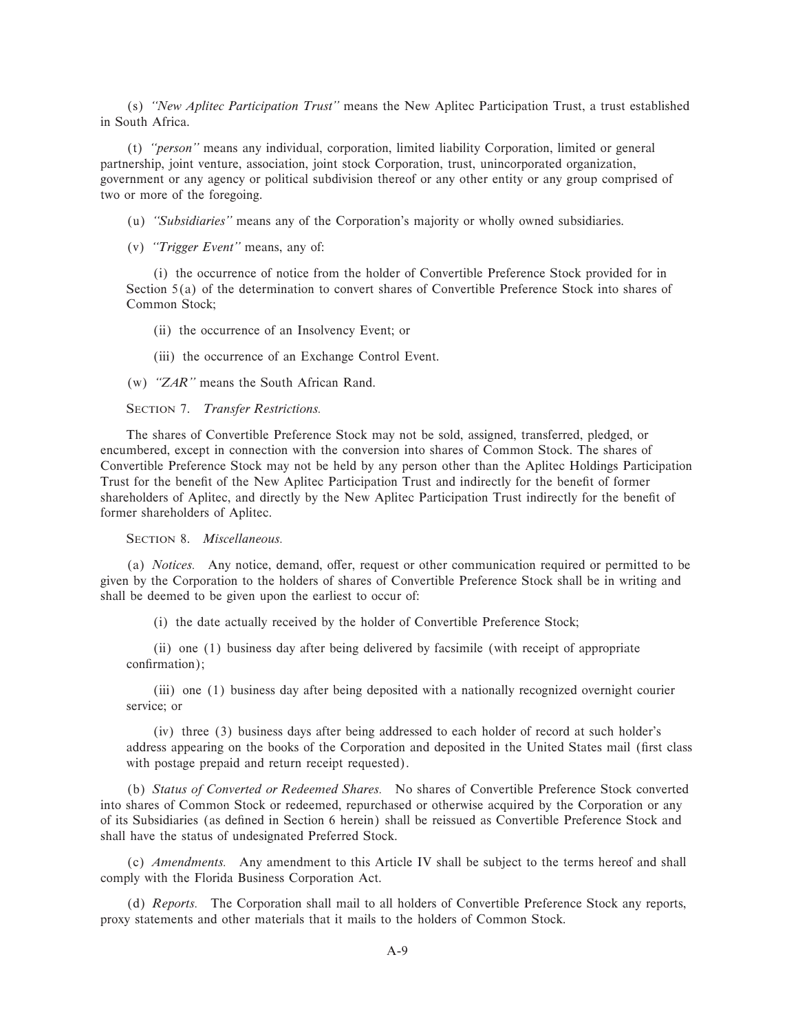(s) *""New Aplitec Participation Trust''* means the New Aplitec Participation Trust, a trust established in South Africa.

(t) *""person''* means any individual, corporation, limited liability Corporation, limited or general partnership, joint venture, association, joint stock Corporation, trust, unincorporated organization, government or any agency or political subdivision thereof or any other entity or any group comprised of two or more of the foregoing.

(u) *""Subsidiaries''* means any of the Corporation's majority or wholly owned subsidiaries.

(v) *""Trigger Event''* means, any of:

(i) the occurrence of notice from the holder of Convertible Preference Stock provided for in Section 5(a) of the determination to convert shares of Convertible Preference Stock into shares of Common Stock;

(ii) the occurrence of an Insolvency Event; or

(iii) the occurrence of an Exchange Control Event.

(w) *""ZAR''* means the South African Rand.

## SECTION 7. *Transfer Restrictions.*

The shares of Convertible Preference Stock may not be sold, assigned, transferred, pledged, or encumbered, except in connection with the conversion into shares of Common Stock. The shares of Convertible Preference Stock may not be held by any person other than the Aplitec Holdings Participation Trust for the benefit of the New Aplitec Participation Trust and indirectly for the benefit of former shareholders of Aplitec, and directly by the New Aplitec Participation Trust indirectly for the benefit of former shareholders of Aplitec.

SECTION 8. *Miscellaneous.*

(a) *Notices*. Any notice, demand, offer, request or other communication required or permitted to be given by the Corporation to the holders of shares of Convertible Preference Stock shall be in writing and shall be deemed to be given upon the earliest to occur of:

(i) the date actually received by the holder of Convertible Preference Stock;

(ii) one (1) business day after being delivered by facsimile (with receipt of appropriate confirmation);

(iii) one (1) business day after being deposited with a nationally recognized overnight courier service; or

(iv) three (3) business days after being addressed to each holder of record at such holder's address appearing on the books of the Corporation and deposited in the United States mail (first class with postage prepaid and return receipt requested).

(b) *Status of Converted or Redeemed Shares.* No shares of Convertible Preference Stock converted into shares of Common Stock or redeemed, repurchased or otherwise acquired by the Corporation or any of its Subsidiaries (as deÑned in Section 6 herein) shall be reissued as Convertible Preference Stock and shall have the status of undesignated Preferred Stock.

(c) *Amendments.* Any amendment to this Article IV shall be subject to the terms hereof and shall comply with the Florida Business Corporation Act.

(d) *Reports.* The Corporation shall mail to all holders of Convertible Preference Stock any reports, proxy statements and other materials that it mails to the holders of Common Stock.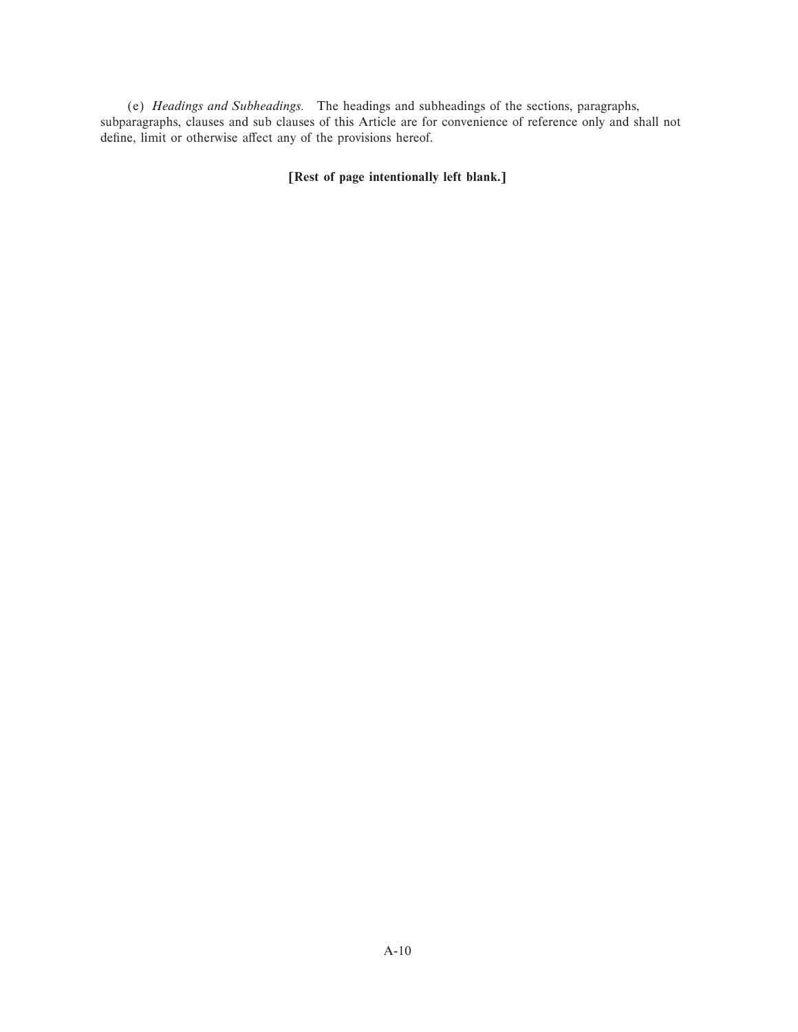(e) *Headings and Subheadings.* The headings and subheadings of the sections, paragraphs, subparagraphs, clauses and sub clauses of this Article are for convenience of reference only and shall not define, limit or otherwise affect any of the provisions hereof.

**[Rest of page intentionally left blank.]**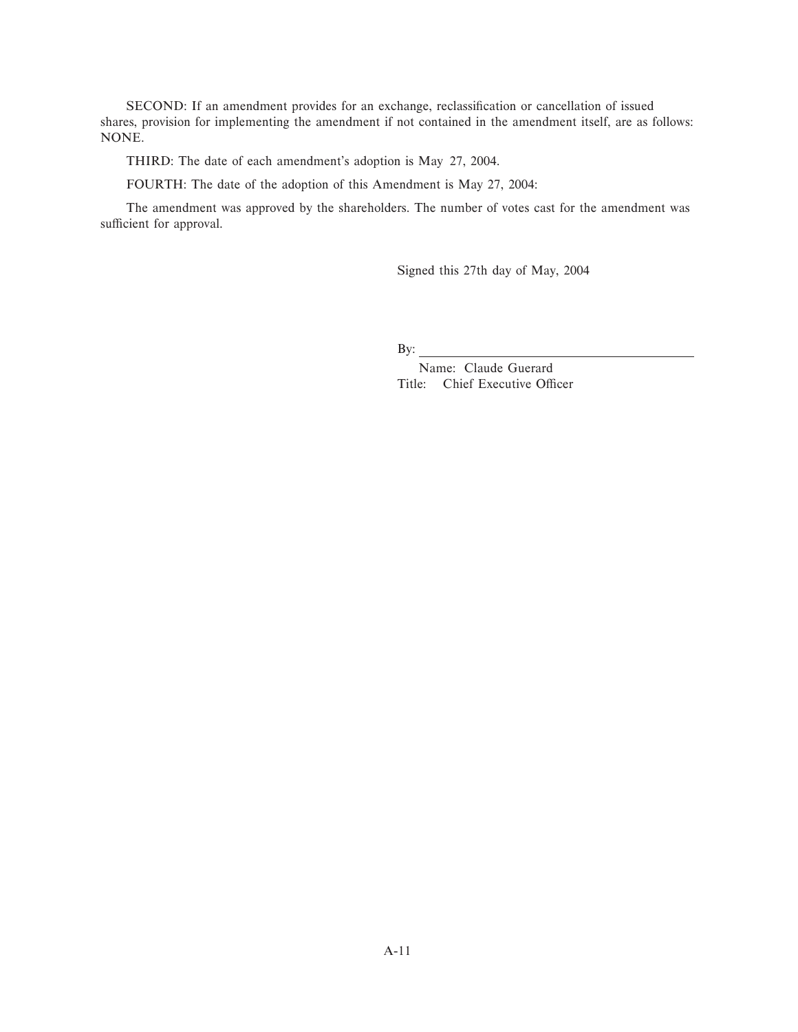SECOND: If an amendment provides for an exchange, reclassification or cancellation of issued shares, provision for implementing the amendment if not contained in the amendment itself, are as follows: NONE.

THIRD: The date of each amendment's adoption is May 27, 2004.

FOURTH: The date of the adoption of this Amendment is May 27, 2004:

The amendment was approved by the shareholders. The number of votes cast for the amendment was sufficient for approval.

Signed this 27th day of May, 2004

By:

Name: Claude Guerard Title: Chief Executive Officer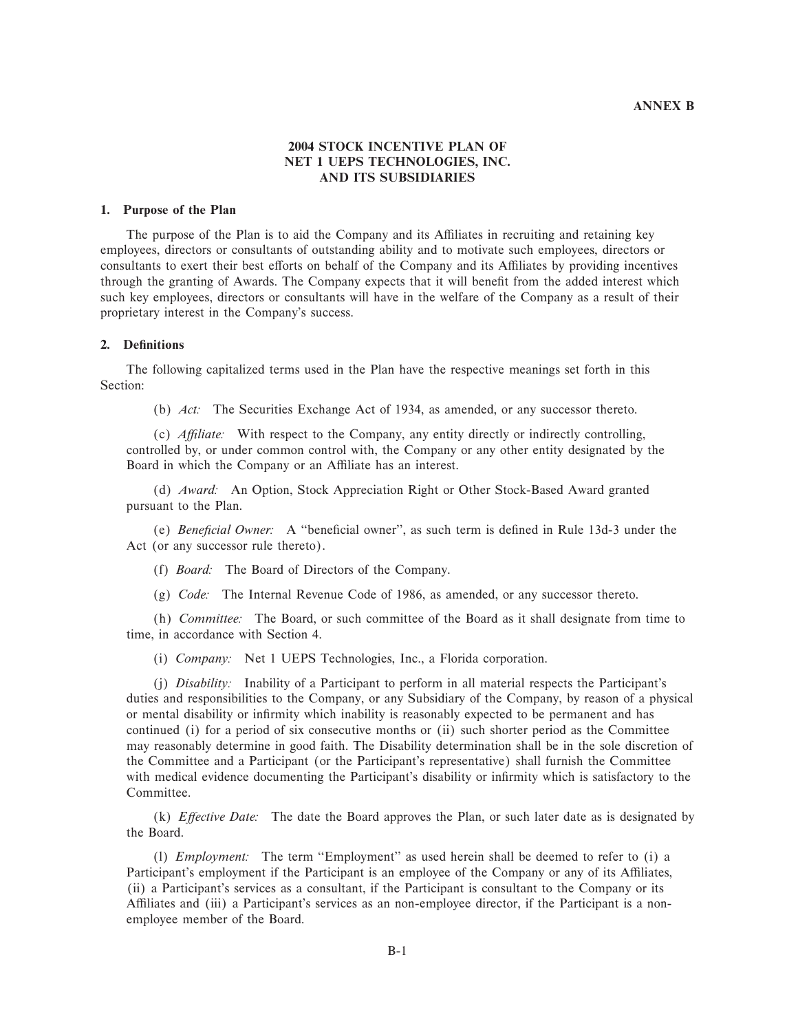### **ANNEX B**

# **2004 STOCK INCENTIVE PLAN OF NET 1 UEPS TECHNOLOGIES, INC. AND ITS SUBSIDIARIES**

### **1. Purpose of the Plan**

The purpose of the Plan is to aid the Company and its Affiliates in recruiting and retaining key employees, directors or consultants of outstanding ability and to motivate such employees, directors or consultants to exert their best efforts on behalf of the Company and its Affiliates by providing incentives through the granting of Awards. The Company expects that it will benefit from the added interest which such key employees, directors or consultants will have in the welfare of the Company as a result of their proprietary interest in the Company's success.

## **2. DeÑnitions**

The following capitalized terms used in the Plan have the respective meanings set forth in this Section:

(b) *Act:* The Securities Exchange Act of 1934, as amended, or any successor thereto.

(c) *AÇliate:* With respect to the Company, any entity directly or indirectly controlling, controlled by, or under common control with, the Company or any other entity designated by the Board in which the Company or an Affiliate has an interest.

(d) *Award:* An Option, Stock Appreciation Right or Other Stock-Based Award granted pursuant to the Plan.

(e) *Beneficial Owner*: A "beneficial owner", as such term is defined in Rule 13d-3 under the Act (or any successor rule thereto).

(f) *Board:* The Board of Directors of the Company.

(g) *Code:* The Internal Revenue Code of 1986, as amended, or any successor thereto.

(h) *Committee:* The Board, or such committee of the Board as it shall designate from time to time, in accordance with Section 4.

(i) *Company:* Net 1 UEPS Technologies, Inc., a Florida corporation.

(j) *Disability:* Inability of a Participant to perform in all material respects the Participant's duties and responsibilities to the Company, or any Subsidiary of the Company, by reason of a physical or mental disability or infirmity which inability is reasonably expected to be permanent and has continued (i) for a period of six consecutive months or (ii) such shorter period as the Committee may reasonably determine in good faith. The Disability determination shall be in the sole discretion of the Committee and a Participant (or the Participant's representative) shall furnish the Committee with medical evidence documenting the Participant's disability or infirmity which is satisfactory to the Committee.

(k) *Effective Date:* The date the Board approves the Plan, or such later date as is designated by the Board.

(1) *Employment:* The term "Employment" as used herein shall be deemed to refer to (i) a Participant's employment if the Participant is an employee of the Company or any of its Affiliates, (ii) a Participant's services as a consultant, if the Participant is consultant to the Company or its Affiliates and (iii) a Participant's services as an non-employee director, if the Participant is a nonemployee member of the Board.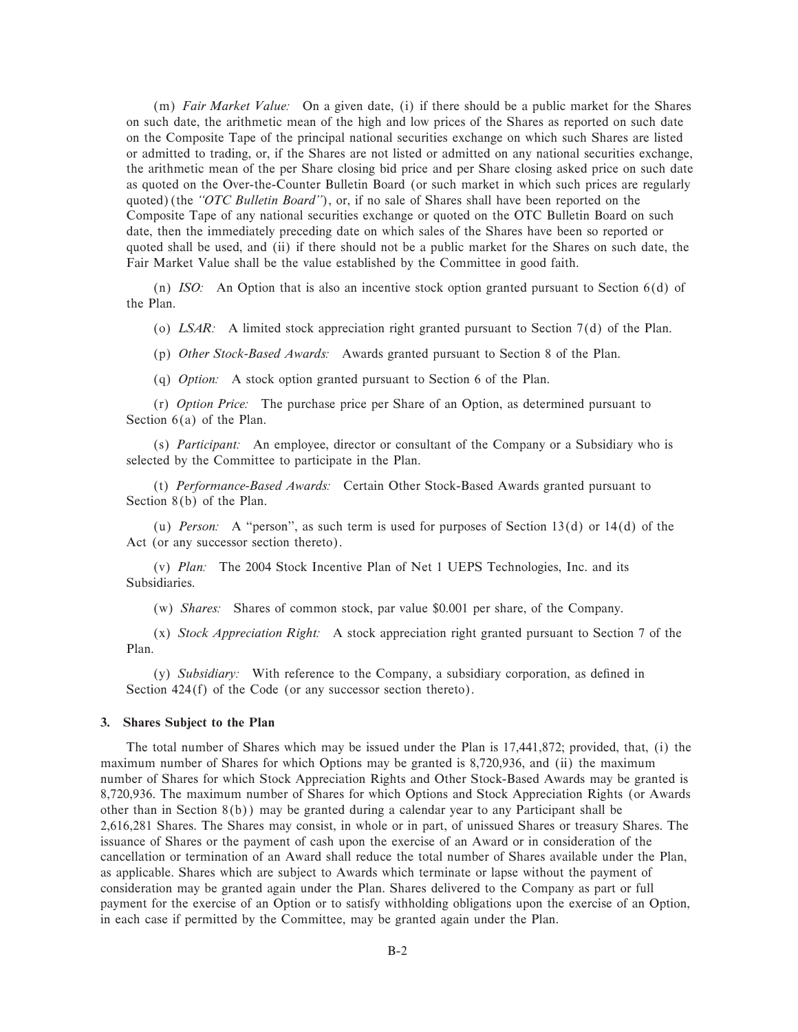(m) *Fair Market Value:* On a given date, (i) if there should be a public market for the Shares on such date, the arithmetic mean of the high and low prices of the Shares as reported on such date on the Composite Tape of the principal national securities exchange on which such Shares are listed or admitted to trading, or, if the Shares are not listed or admitted on any national securities exchange, the arithmetic mean of the per Share closing bid price and per Share closing asked price on such date as quoted on the Over-the-Counter Bulletin Board (or such market in which such prices are regularly quoted) (the "OTC Bulletin Board"), or, if no sale of Shares shall have been reported on the Composite Tape of any national securities exchange or quoted on the OTC Bulletin Board on such date, then the immediately preceding date on which sales of the Shares have been so reported or quoted shall be used, and (ii) if there should not be a public market for the Shares on such date, the Fair Market Value shall be the value established by the Committee in good faith.

(n) *ISO:* An Option that is also an incentive stock option granted pursuant to Section 6(d) of the Plan.

(o) *LSAR:* A limited stock appreciation right granted pursuant to Section 7(d) of the Plan.

(p) *Other Stock-Based Awards:* Awards granted pursuant to Section 8 of the Plan.

(q) *Option:* A stock option granted pursuant to Section 6 of the Plan.

(r) *Option Price:* The purchase price per Share of an Option, as determined pursuant to Section 6(a) of the Plan.

(s) *Participant:* An employee, director or consultant of the Company or a Subsidiary who is selected by the Committee to participate in the Plan.

(t) *Performance-Based Awards:* Certain Other Stock-Based Awards granted pursuant to Section 8(b) of the Plan.

(u) *Person:* A "person", as such term is used for purposes of Section 13(d) or 14(d) of the Act (or any successor section thereto).

(v) *Plan:* The 2004 Stock Incentive Plan of Net 1 UEPS Technologies, Inc. and its Subsidiaries.

(w) *Shares:* Shares of common stock, par value \$0.001 per share, of the Company.

(x) *Stock Appreciation Right:* A stock appreciation right granted pursuant to Section 7 of the Plan.

(y) *Subsidiary:* With reference to the Company, a subsidiary corporation, as defined in Section 424(f) of the Code (or any successor section thereto).

## **3. Shares Subject to the Plan**

The total number of Shares which may be issued under the Plan is 17,441,872; provided, that, (i) the maximum number of Shares for which Options may be granted is 8,720,936, and (ii) the maximum number of Shares for which Stock Appreciation Rights and Other Stock-Based Awards may be granted is 8,720,936. The maximum number of Shares for which Options and Stock Appreciation Rights (or Awards other than in Section 8(b)) may be granted during a calendar year to any Participant shall be 2,616,281 Shares. The Shares may consist, in whole or in part, of unissued Shares or treasury Shares. The issuance of Shares or the payment of cash upon the exercise of an Award or in consideration of the cancellation or termination of an Award shall reduce the total number of Shares available under the Plan, as applicable. Shares which are subject to Awards which terminate or lapse without the payment of consideration may be granted again under the Plan. Shares delivered to the Company as part or full payment for the exercise of an Option or to satisfy withholding obligations upon the exercise of an Option, in each case if permitted by the Committee, may be granted again under the Plan.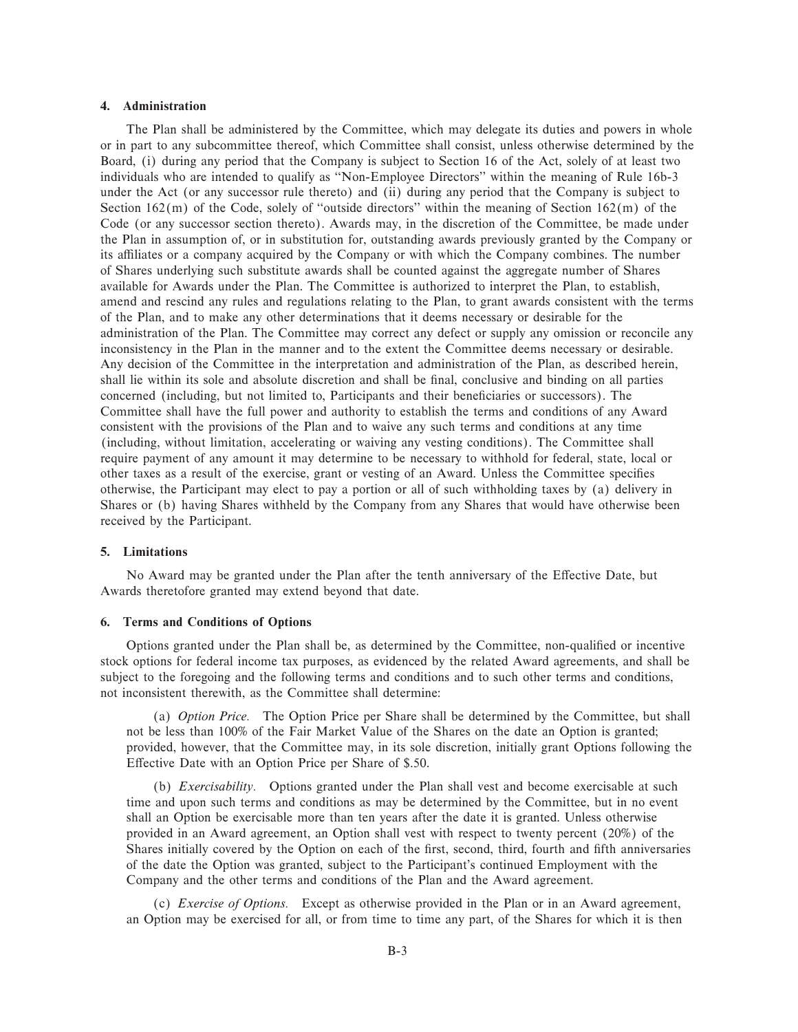### **4. Administration**

The Plan shall be administered by the Committee, which may delegate its duties and powers in whole or in part to any subcommittee thereof, which Committee shall consist, unless otherwise determined by the Board, (i) during any period that the Company is subject to Section 16 of the Act, solely of at least two individuals who are intended to qualify as ""Non-Employee Directors'' within the meaning of Rule 16b-3 under the Act (or any successor rule thereto) and (ii) during any period that the Company is subject to Section  $162(m)$  of the Code, solely of "outside directors" within the meaning of Section  $162(m)$  of the Code (or any successor section thereto). Awards may, in the discretion of the Committee, be made under the Plan in assumption of, or in substitution for, outstanding awards previously granted by the Company or its affiliates or a company acquired by the Company or with which the Company combines. The number of Shares underlying such substitute awards shall be counted against the aggregate number of Shares available for Awards under the Plan. The Committee is authorized to interpret the Plan, to establish, amend and rescind any rules and regulations relating to the Plan, to grant awards consistent with the terms of the Plan, and to make any other determinations that it deems necessary or desirable for the administration of the Plan. The Committee may correct any defect or supply any omission or reconcile any inconsistency in the Plan in the manner and to the extent the Committee deems necessary or desirable. Any decision of the Committee in the interpretation and administration of the Plan, as described herein, shall lie within its sole and absolute discretion and shall be final, conclusive and binding on all parties concerned (including, but not limited to, Participants and their beneficiaries or successors). The Committee shall have the full power and authority to establish the terms and conditions of any Award consistent with the provisions of the Plan and to waive any such terms and conditions at any time (including, without limitation, accelerating or waiving any vesting conditions). The Committee shall require payment of any amount it may determine to be necessary to withhold for federal, state, local or other taxes as a result of the exercise, grant or vesting of an Award. Unless the Committee specifies otherwise, the Participant may elect to pay a portion or all of such withholding taxes by (a) delivery in Shares or (b) having Shares withheld by the Company from any Shares that would have otherwise been received by the Participant.

## **5. Limitations**

No Award may be granted under the Plan after the tenth anniversary of the Effective Date, but Awards theretofore granted may extend beyond that date.

### **6. Terms and Conditions of Options**

Options granted under the Plan shall be, as determined by the Committee, non-qualified or incentive stock options for federal income tax purposes, as evidenced by the related Award agreements, and shall be subject to the foregoing and the following terms and conditions and to such other terms and conditions, not inconsistent therewith, as the Committee shall determine:

(a) *Option Price.* The Option Price per Share shall be determined by the Committee, but shall not be less than 100% of the Fair Market Value of the Shares on the date an Option is granted; provided, however, that the Committee may, in its sole discretion, initially grant Options following the Effective Date with an Option Price per Share of \$.50.

(b) *Exercisability.* Options granted under the Plan shall vest and become exercisable at such time and upon such terms and conditions as may be determined by the Committee, but in no event shall an Option be exercisable more than ten years after the date it is granted. Unless otherwise provided in an Award agreement, an Option shall vest with respect to twenty percent (20%) of the Shares initially covered by the Option on each of the first, second, third, fourth and fifth anniversaries of the date the Option was granted, subject to the Participant's continued Employment with the Company and the other terms and conditions of the Plan and the Award agreement.

(c) *Exercise of Options.* Except as otherwise provided in the Plan or in an Award agreement, an Option may be exercised for all, or from time to time any part, of the Shares for which it is then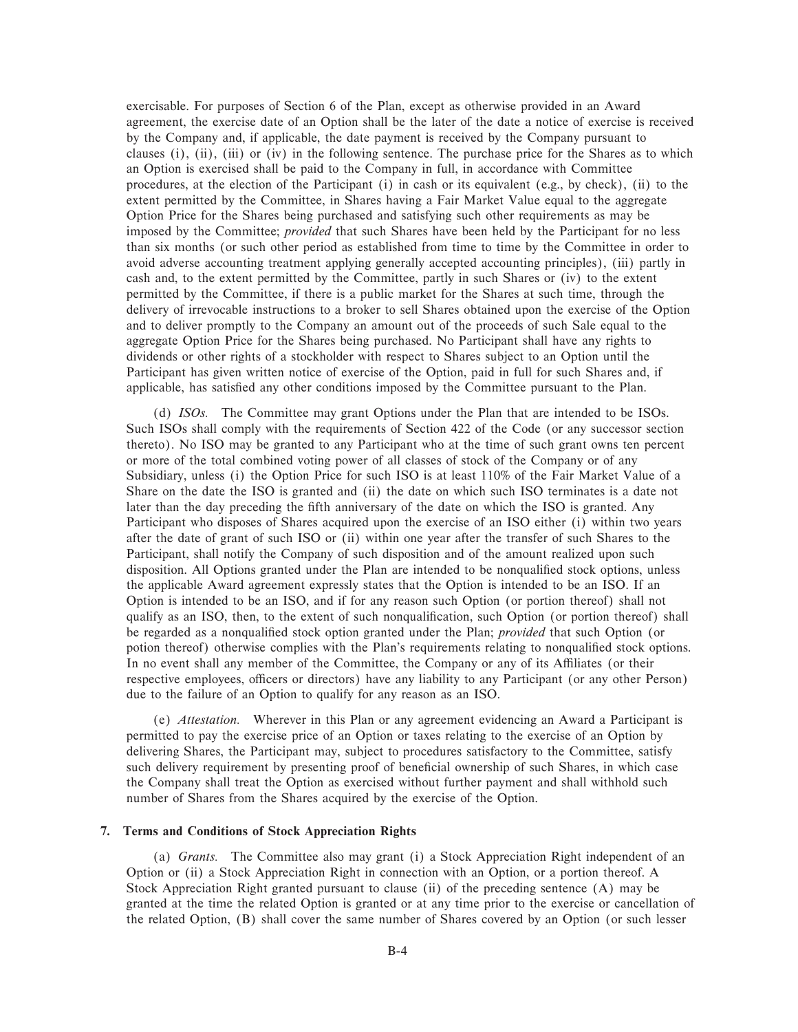exercisable. For purposes of Section 6 of the Plan, except as otherwise provided in an Award agreement, the exercise date of an Option shall be the later of the date a notice of exercise is received by the Company and, if applicable, the date payment is received by the Company pursuant to clauses (i), (ii), (iii) or (iv) in the following sentence. The purchase price for the Shares as to which an Option is exercised shall be paid to the Company in full, in accordance with Committee procedures, at the election of the Participant (i) in cash or its equivalent (e.g., by check), (ii) to the extent permitted by the Committee, in Shares having a Fair Market Value equal to the aggregate Option Price for the Shares being purchased and satisfying such other requirements as may be imposed by the Committee; *provided* that such Shares have been held by the Participant for no less than six months (or such other period as established from time to time by the Committee in order to avoid adverse accounting treatment applying generally accepted accounting principles), (iii) partly in cash and, to the extent permitted by the Committee, partly in such Shares or (iv) to the extent permitted by the Committee, if there is a public market for the Shares at such time, through the delivery of irrevocable instructions to a broker to sell Shares obtained upon the exercise of the Option and to deliver promptly to the Company an amount out of the proceeds of such Sale equal to the aggregate Option Price for the Shares being purchased. No Participant shall have any rights to dividends or other rights of a stockholder with respect to Shares subject to an Option until the Participant has given written notice of exercise of the Option, paid in full for such Shares and, if applicable, has satisfied any other conditions imposed by the Committee pursuant to the Plan.

(d) *ISOs.* The Committee may grant Options under the Plan that are intended to be ISOs. Such ISOs shall comply with the requirements of Section 422 of the Code (or any successor section thereto). No ISO may be granted to any Participant who at the time of such grant owns ten percent or more of the total combined voting power of all classes of stock of the Company or of any Subsidiary, unless (i) the Option Price for such ISO is at least 110% of the Fair Market Value of a Share on the date the ISO is granted and (ii) the date on which such ISO terminates is a date not later than the day preceding the fifth anniversary of the date on which the ISO is granted. Any Participant who disposes of Shares acquired upon the exercise of an ISO either (i) within two years after the date of grant of such ISO or (ii) within one year after the transfer of such Shares to the Participant, shall notify the Company of such disposition and of the amount realized upon such disposition. All Options granted under the Plan are intended to be nonqualified stock options, unless the applicable Award agreement expressly states that the Option is intended to be an ISO. If an Option is intended to be an ISO, and if for any reason such Option (or portion thereof) shall not qualify as an ISO, then, to the extent of such nonqualification, such Option (or portion thereof) shall be regarded as a nonqualified stock option granted under the Plan; *provided* that such Option (or potion thereof) otherwise complies with the Plan's requirements relating to nonqualified stock options. In no event shall any member of the Committee, the Company or any of its Affiliates (or their respective employees, officers or directors) have any liability to any Participant (or any other Person) due to the failure of an Option to qualify for any reason as an ISO.

(e) *Attestation.* Wherever in this Plan or any agreement evidencing an Award a Participant is permitted to pay the exercise price of an Option or taxes relating to the exercise of an Option by delivering Shares, the Participant may, subject to procedures satisfactory to the Committee, satisfy such delivery requirement by presenting proof of beneficial ownership of such Shares, in which case the Company shall treat the Option as exercised without further payment and shall withhold such number of Shares from the Shares acquired by the exercise of the Option.

## **7. Terms and Conditions of Stock Appreciation Rights**

(a) *Grants.* The Committee also may grant (i) a Stock Appreciation Right independent of an Option or (ii) a Stock Appreciation Right in connection with an Option, or a portion thereof. A Stock Appreciation Right granted pursuant to clause (ii) of the preceding sentence (A) may be granted at the time the related Option is granted or at any time prior to the exercise or cancellation of the related Option, (B) shall cover the same number of Shares covered by an Option (or such lesser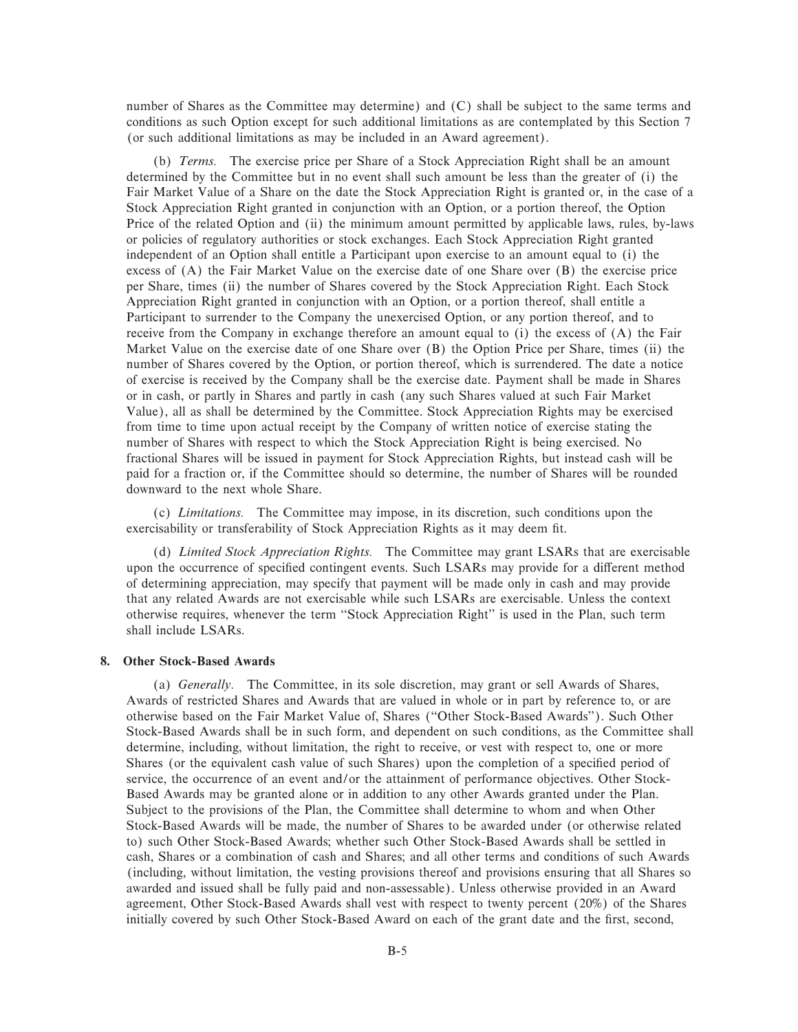number of Shares as the Committee may determine) and (C) shall be subject to the same terms and conditions as such Option except for such additional limitations as are contemplated by this Section 7 (or such additional limitations as may be included in an Award agreement).

(b) *Terms.* The exercise price per Share of a Stock Appreciation Right shall be an amount determined by the Committee but in no event shall such amount be less than the greater of (i) the Fair Market Value of a Share on the date the Stock Appreciation Right is granted or, in the case of a Stock Appreciation Right granted in conjunction with an Option, or a portion thereof, the Option Price of the related Option and (ii) the minimum amount permitted by applicable laws, rules, by-laws or policies of regulatory authorities or stock exchanges. Each Stock Appreciation Right granted independent of an Option shall entitle a Participant upon exercise to an amount equal to (i) the excess of (A) the Fair Market Value on the exercise date of one Share over (B) the exercise price per Share, times (ii) the number of Shares covered by the Stock Appreciation Right. Each Stock Appreciation Right granted in conjunction with an Option, or a portion thereof, shall entitle a Participant to surrender to the Company the unexercised Option, or any portion thereof, and to receive from the Company in exchange therefore an amount equal to (i) the excess of (A) the Fair Market Value on the exercise date of one Share over (B) the Option Price per Share, times (ii) the number of Shares covered by the Option, or portion thereof, which is surrendered. The date a notice of exercise is received by the Company shall be the exercise date. Payment shall be made in Shares or in cash, or partly in Shares and partly in cash (any such Shares valued at such Fair Market Value), all as shall be determined by the Committee. Stock Appreciation Rights may be exercised from time to time upon actual receipt by the Company of written notice of exercise stating the number of Shares with respect to which the Stock Appreciation Right is being exercised. No fractional Shares will be issued in payment for Stock Appreciation Rights, but instead cash will be paid for a fraction or, if the Committee should so determine, the number of Shares will be rounded downward to the next whole Share.

(c) *Limitations.* The Committee may impose, in its discretion, such conditions upon the exercisability or transferability of Stock Appreciation Rights as it may deem fit.

(d) *Limited Stock Appreciation Rights.* The Committee may grant LSARs that are exercisable upon the occurrence of specified contingent events. Such LSARs may provide for a different method of determining appreciation, may specify that payment will be made only in cash and may provide that any related Awards are not exercisable while such LSARs are exercisable. Unless the context otherwise requires, whenever the term ""Stock Appreciation Right'' is used in the Plan, such term shall include LSARs.

#### **8. Other Stock-Based Awards**

(a) *Generally.* The Committee, in its sole discretion, may grant or sell Awards of Shares, Awards of restricted Shares and Awards that are valued in whole or in part by reference to, or are otherwise based on the Fair Market Value of, Shares (""Other Stock-Based Awards''). Such Other Stock-Based Awards shall be in such form, and dependent on such conditions, as the Committee shall determine, including, without limitation, the right to receive, or vest with respect to, one or more Shares (or the equivalent cash value of such Shares) upon the completion of a specified period of service, the occurrence of an event and/or the attainment of performance objectives. Other Stock-Based Awards may be granted alone or in addition to any other Awards granted under the Plan. Subject to the provisions of the Plan, the Committee shall determine to whom and when Other Stock-Based Awards will be made, the number of Shares to be awarded under (or otherwise related to) such Other Stock-Based Awards; whether such Other Stock-Based Awards shall be settled in cash, Shares or a combination of cash and Shares; and all other terms and conditions of such Awards (including, without limitation, the vesting provisions thereof and provisions ensuring that all Shares so awarded and issued shall be fully paid and non-assessable). Unless otherwise provided in an Award agreement, Other Stock-Based Awards shall vest with respect to twenty percent (20%) of the Shares initially covered by such Other Stock-Based Award on each of the grant date and the first, second,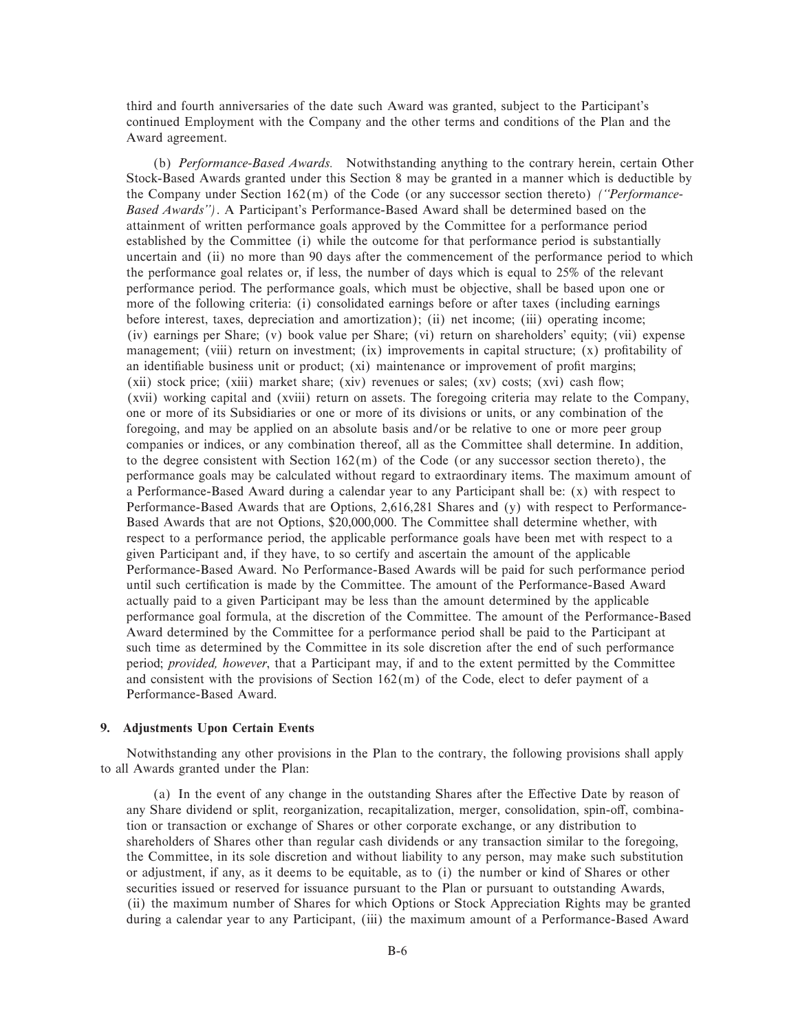third and fourth anniversaries of the date such Award was granted, subject to the Participant's continued Employment with the Company and the other terms and conditions of the Plan and the Award agreement.

(b) *Performance-Based Awards.* Notwithstanding anything to the contrary herein, certain Other Stock-Based Awards granted under this Section 8 may be granted in a manner which is deductible by the Company under Section 162(m) of the Code (or any successor section thereto) *(""Performance-Based Awards'')*. A Participant's Performance-Based Award shall be determined based on the attainment of written performance goals approved by the Committee for a performance period established by the Committee (i) while the outcome for that performance period is substantially uncertain and (ii) no more than 90 days after the commencement of the performance period to which the performance goal relates or, if less, the number of days which is equal to 25% of the relevant performance period. The performance goals, which must be objective, shall be based upon one or more of the following criteria: (i) consolidated earnings before or after taxes (including earnings before interest, taxes, depreciation and amortization); (ii) net income; (iii) operating income; (iv) earnings per Share; (v) book value per Share; (vi) return on shareholders' equity; (vii) expense management; (viii) return on investment; (ix) improvements in capital structure; (x) profitability of an identifiable business unit or product; (xi) maintenance or improvement of profit margins;  $(xii)$  stock price;  $(xiii)$  market share;  $(xiv)$  revenues or sales;  $(xv)$  costs;  $(xvi)$  cash flow; (xvii) working capital and (xviii) return on assets. The foregoing criteria may relate to the Company, one or more of its Subsidiaries or one or more of its divisions or units, or any combination of the foregoing, and may be applied on an absolute basis and/or be relative to one or more peer group companies or indices, or any combination thereof, all as the Committee shall determine. In addition, to the degree consistent with Section  $162(m)$  of the Code (or any successor section thereto), the performance goals may be calculated without regard to extraordinary items. The maximum amount of a Performance-Based Award during a calendar year to any Participant shall be: (x) with respect to Performance-Based Awards that are Options, 2,616,281 Shares and (y) with respect to Performance-Based Awards that are not Options, \$20,000,000. The Committee shall determine whether, with respect to a performance period, the applicable performance goals have been met with respect to a given Participant and, if they have, to so certify and ascertain the amount of the applicable Performance-Based Award. No Performance-Based Awards will be paid for such performance period until such certification is made by the Committee. The amount of the Performance-Based Award actually paid to a given Participant may be less than the amount determined by the applicable performance goal formula, at the discretion of the Committee. The amount of the Performance-Based Award determined by the Committee for a performance period shall be paid to the Participant at such time as determined by the Committee in its sole discretion after the end of such performance period; *provided, however*, that a Participant may, if and to the extent permitted by the Committee and consistent with the provisions of Section  $162(m)$  of the Code, elect to defer payment of a Performance-Based Award.

## **9. Adjustments Upon Certain Events**

Notwithstanding any other provisions in the Plan to the contrary, the following provisions shall apply to all Awards granted under the Plan:

(a) In the event of any change in the outstanding Shares after the Effective Date by reason of any Share dividend or split, reorganization, recapitalization, merger, consolidation, spin-off, combination or transaction or exchange of Shares or other corporate exchange, or any distribution to shareholders of Shares other than regular cash dividends or any transaction similar to the foregoing, the Committee, in its sole discretion and without liability to any person, may make such substitution or adjustment, if any, as it deems to be equitable, as to (i) the number or kind of Shares or other securities issued or reserved for issuance pursuant to the Plan or pursuant to outstanding Awards, (ii) the maximum number of Shares for which Options or Stock Appreciation Rights may be granted during a calendar year to any Participant, (iii) the maximum amount of a Performance-Based Award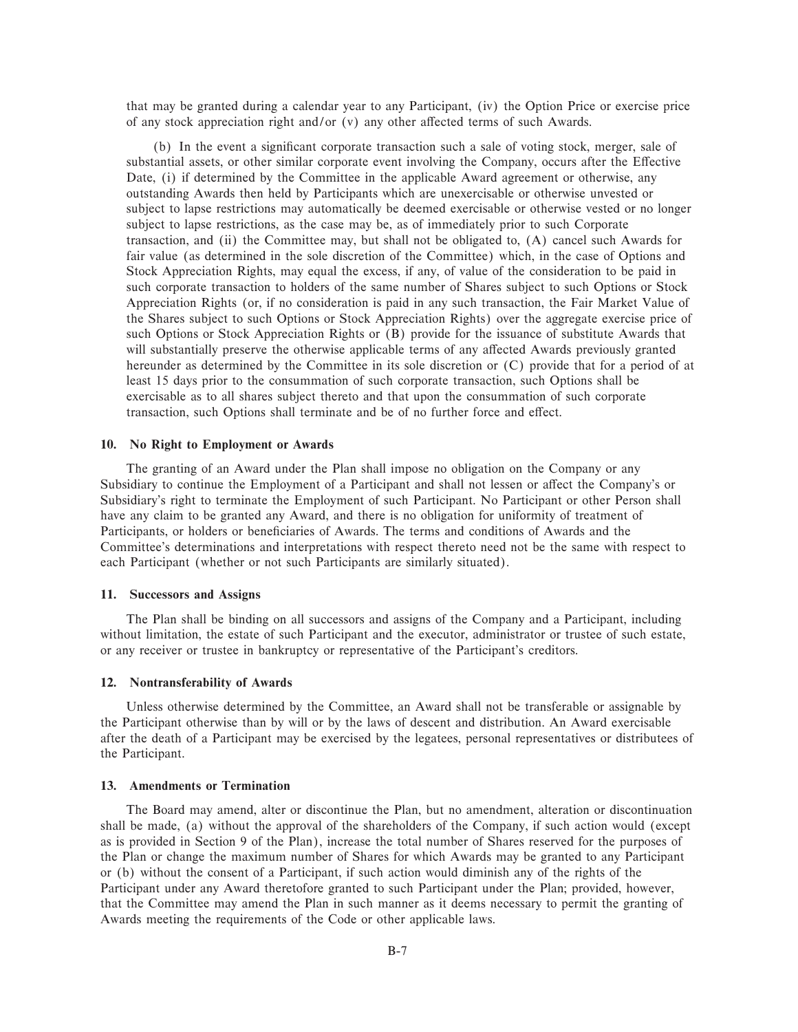that may be granted during a calendar year to any Participant, (iv) the Option Price or exercise price of any stock appreciation right and/or  $(v)$  any other affected terms of such Awards.

(b) In the event a significant corporate transaction such a sale of voting stock, merger, sale of substantial assets, or other similar corporate event involving the Company, occurs after the Effective Date, (i) if determined by the Committee in the applicable Award agreement or otherwise, any outstanding Awards then held by Participants which are unexercisable or otherwise unvested or subject to lapse restrictions may automatically be deemed exercisable or otherwise vested or no longer subject to lapse restrictions, as the case may be, as of immediately prior to such Corporate transaction, and (ii) the Committee may, but shall not be obligated to, (A) cancel such Awards for fair value (as determined in the sole discretion of the Committee) which, in the case of Options and Stock Appreciation Rights, may equal the excess, if any, of value of the consideration to be paid in such corporate transaction to holders of the same number of Shares subject to such Options or Stock Appreciation Rights (or, if no consideration is paid in any such transaction, the Fair Market Value of the Shares subject to such Options or Stock Appreciation Rights) over the aggregate exercise price of such Options or Stock Appreciation Rights or (B) provide for the issuance of substitute Awards that will substantially preserve the otherwise applicable terms of any affected Awards previously granted hereunder as determined by the Committee in its sole discretion or (C) provide that for a period of at least 15 days prior to the consummation of such corporate transaction, such Options shall be exercisable as to all shares subject thereto and that upon the consummation of such corporate transaction, such Options shall terminate and be of no further force and effect.

## **10. No Right to Employment or Awards**

The granting of an Award under the Plan shall impose no obligation on the Company or any Subsidiary to continue the Employment of a Participant and shall not lessen or affect the Company's or Subsidiary's right to terminate the Employment of such Participant. No Participant or other Person shall have any claim to be granted any Award, and there is no obligation for uniformity of treatment of Participants, or holders or beneficiaries of Awards. The terms and conditions of Awards and the Committee's determinations and interpretations with respect thereto need not be the same with respect to each Participant (whether or not such Participants are similarly situated).

## **11. Successors and Assigns**

The Plan shall be binding on all successors and assigns of the Company and a Participant, including without limitation, the estate of such Participant and the executor, administrator or trustee of such estate, or any receiver or trustee in bankruptcy or representative of the Participant's creditors.

#### **12. Nontransferability of Awards**

Unless otherwise determined by the Committee, an Award shall not be transferable or assignable by the Participant otherwise than by will or by the laws of descent and distribution. An Award exercisable after the death of a Participant may be exercised by the legatees, personal representatives or distributees of the Participant.

### **13. Amendments or Termination**

The Board may amend, alter or discontinue the Plan, but no amendment, alteration or discontinuation shall be made, (a) without the approval of the shareholders of the Company, if such action would (except as is provided in Section 9 of the Plan), increase the total number of Shares reserved for the purposes of the Plan or change the maximum number of Shares for which Awards may be granted to any Participant or (b) without the consent of a Participant, if such action would diminish any of the rights of the Participant under any Award theretofore granted to such Participant under the Plan; provided, however, that the Committee may amend the Plan in such manner as it deems necessary to permit the granting of Awards meeting the requirements of the Code or other applicable laws.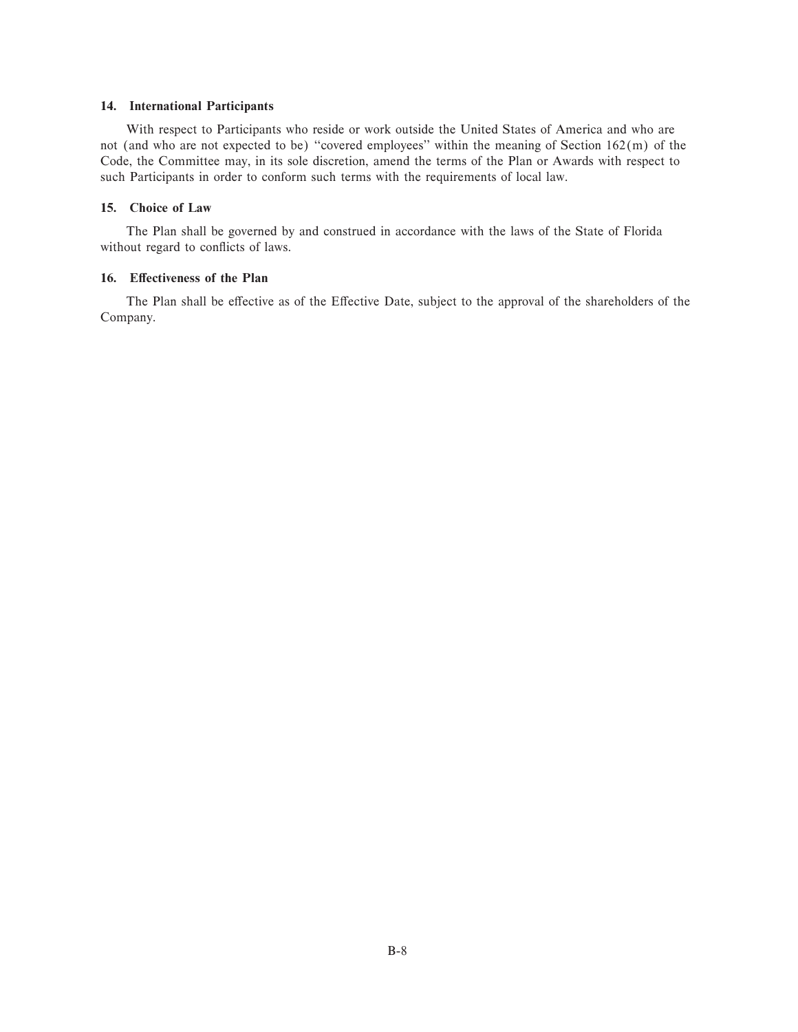## **14. International Participants**

With respect to Participants who reside or work outside the United States of America and who are not (and who are not expected to be) "covered employees" within the meaning of Section 162(m) of the Code, the Committee may, in its sole discretion, amend the terms of the Plan or Awards with respect to such Participants in order to conform such terms with the requirements of local law.

# **15. Choice of Law**

The Plan shall be governed by and construed in accordance with the laws of the State of Florida without regard to conflicts of laws.

## 16. Effectiveness of the Plan

The Plan shall be effective as of the Effective Date, subject to the approval of the shareholders of the Company.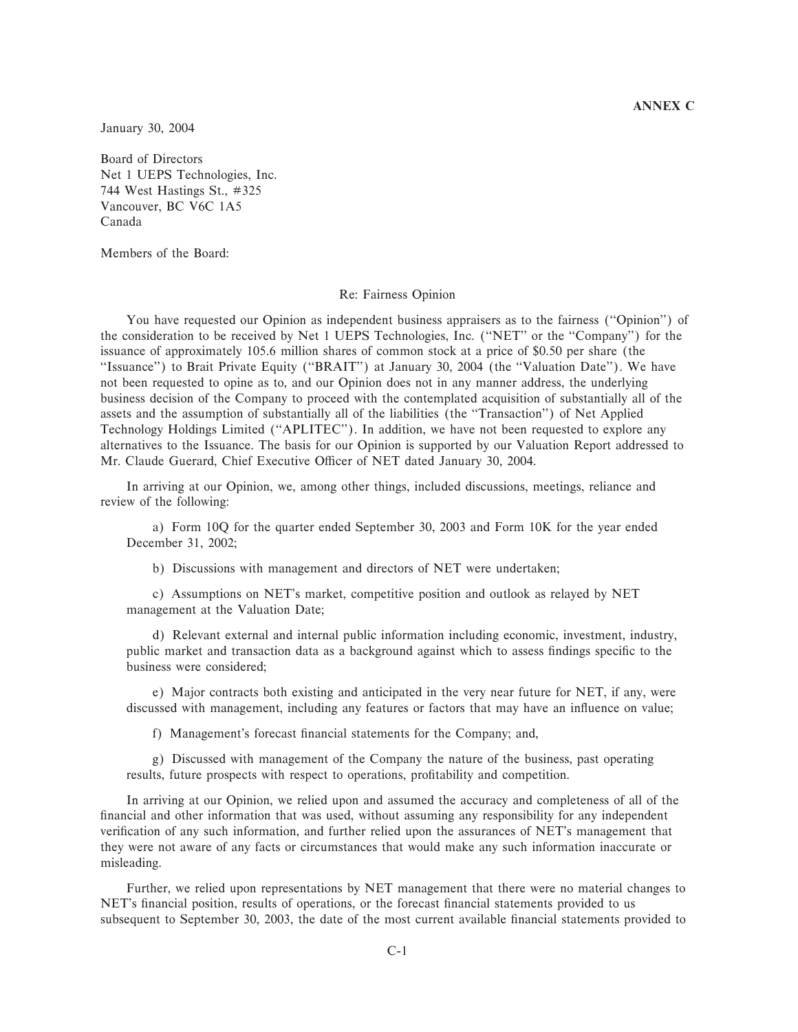## **ANNEX C**

January 30, 2004

Board of Directors Net 1 UEPS Technologies, Inc. 744 West Hastings St., #325 Vancouver, BC V6C 1A5 Canada

Members of the Board:

#### Re: Fairness Opinion

You have requested our Opinion as independent business appraisers as to the fairness ("Opinion") of the consideration to be received by Net 1 UEPS Technologies, Inc. (""NET'' or the ""Company'') for the issuance of approximately 105.6 million shares of common stock at a price of \$0.50 per share (the "Issuance") to Brait Private Equity ("BRAIT") at January 30, 2004 (the "Valuation Date"). We have not been requested to opine as to, and our Opinion does not in any manner address, the underlying business decision of the Company to proceed with the contemplated acquisition of substantially all of the assets and the assumption of substantially all of the liabilities (the ""Transaction'') of Net Applied Technology Holdings Limited (""APLITEC''). In addition, we have not been requested to explore any alternatives to the Issuance. The basis for our Opinion is supported by our Valuation Report addressed to Mr. Claude Guerard, Chief Executive Officer of NET dated January 30, 2004.

In arriving at our Opinion, we, among other things, included discussions, meetings, reliance and review of the following:

a) Form 10Q for the quarter ended September 30, 2003 and Form 10K for the year ended December 31, 2002;

b) Discussions with management and directors of NET were undertaken;

c) Assumptions on NET's market, competitive position and outlook as relayed by NET management at the Valuation Date;

d) Relevant external and internal public information including economic, investment, industry, public market and transaction data as a background against which to assess findings specific to the business were considered;

e) Major contracts both existing and anticipated in the very near future for NET, if any, were discussed with management, including any features or factors that may have an influence on value;

f) Management's forecast financial statements for the Company; and,

g) Discussed with management of the Company the nature of the business, past operating results, future prospects with respect to operations, profitability and competition.

In arriving at our Opinion, we relied upon and assumed the accuracy and completeness of all of the financial and other information that was used, without assuming any responsibility for any independent verification of any such information, and further relied upon the assurances of NET's management that they were not aware of any facts or circumstances that would make any such information inaccurate or misleading.

Further, we relied upon representations by NET management that there were no material changes to NET's financial position, results of operations, or the forecast financial statements provided to us subsequent to September 30, 2003, the date of the most current available financial statements provided to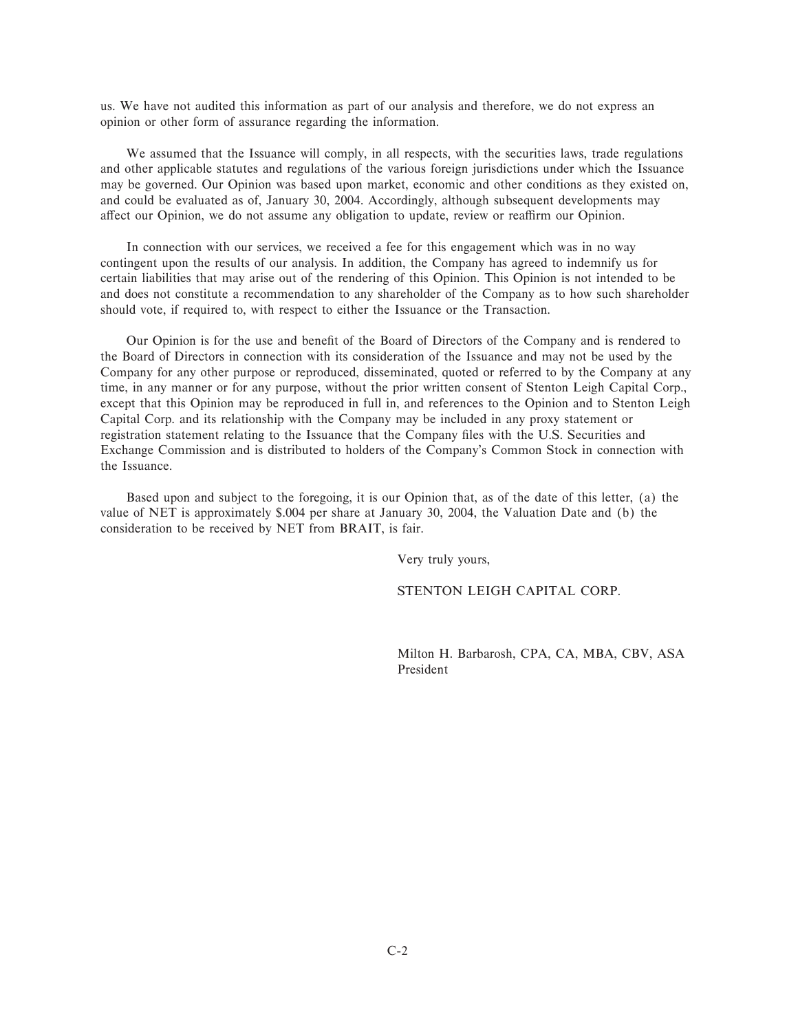us. We have not audited this information as part of our analysis and therefore, we do not express an opinion or other form of assurance regarding the information.

We assumed that the Issuance will comply, in all respects, with the securities laws, trade regulations and other applicable statutes and regulations of the various foreign jurisdictions under which the Issuance may be governed. Our Opinion was based upon market, economic and other conditions as they existed on, and could be evaluated as of, January 30, 2004. Accordingly, although subsequent developments may affect our Opinion, we do not assume any obligation to update, review or reaffirm our Opinion.

In connection with our services, we received a fee for this engagement which was in no way contingent upon the results of our analysis. In addition, the Company has agreed to indemnify us for certain liabilities that may arise out of the rendering of this Opinion. This Opinion is not intended to be and does not constitute a recommendation to any shareholder of the Company as to how such shareholder should vote, if required to, with respect to either the Issuance or the Transaction.

Our Opinion is for the use and benefit of the Board of Directors of the Company and is rendered to the Board of Directors in connection with its consideration of the Issuance and may not be used by the Company for any other purpose or reproduced, disseminated, quoted or referred to by the Company at any time, in any manner or for any purpose, without the prior written consent of Stenton Leigh Capital Corp., except that this Opinion may be reproduced in full in, and references to the Opinion and to Stenton Leigh Capital Corp. and its relationship with the Company may be included in any proxy statement or registration statement relating to the Issuance that the Company files with the U.S. Securities and Exchange Commission and is distributed to holders of the Company's Common Stock in connection with the Issuance.

Based upon and subject to the foregoing, it is our Opinion that, as of the date of this letter, (a) the value of NET is approximately \$.004 per share at January 30, 2004, the Valuation Date and (b) the consideration to be received by NET from BRAIT, is fair.

Very truly yours,

STENTON LEIGH CAPITAL CORP.

Milton H. Barbarosh, CPA, CA, MBA, CBV, ASA President